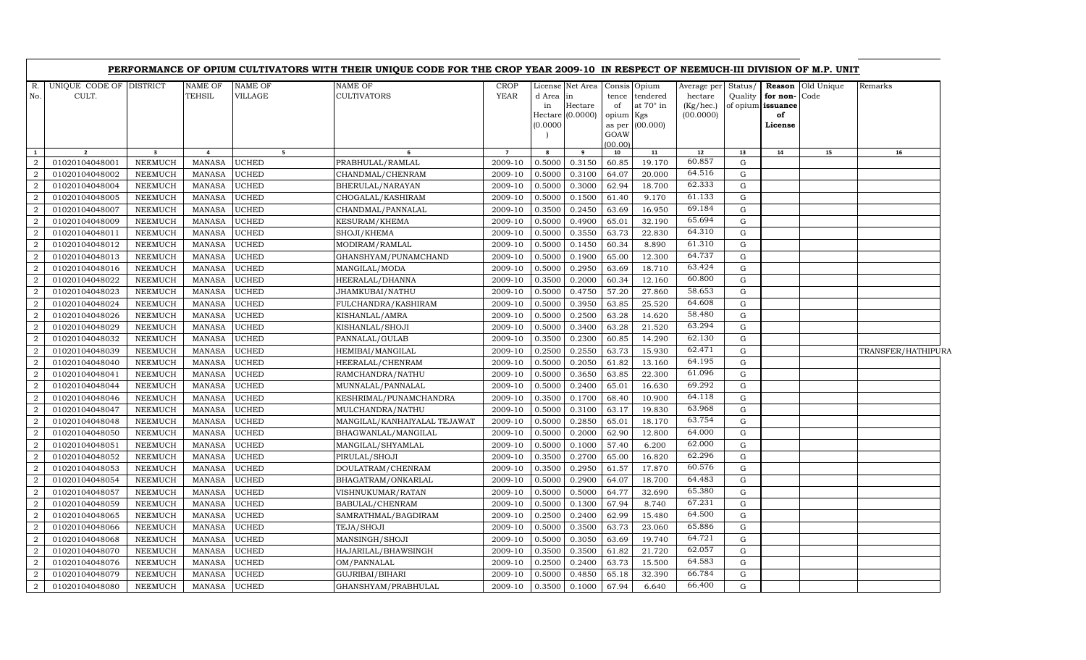|                  |                                  |                         |                          |                    | PERFORMANCE OF OPIUM CULTIVATORS WITH THEIR UNIQUE CODE FOR THE CROP YEAR 2009-10 IN RESPECT OF NEEMUCH-III DIVISION OF M.P. UNIT |                            |                             |                                                   |                                |                                                                 |                                                  |                    |                                                    |                          |                    |
|------------------|----------------------------------|-------------------------|--------------------------|--------------------|-----------------------------------------------------------------------------------------------------------------------------------|----------------------------|-----------------------------|---------------------------------------------------|--------------------------------|-----------------------------------------------------------------|--------------------------------------------------|--------------------|----------------------------------------------------|--------------------------|--------------------|
| R.<br>No.        | UNIQUE CODE OF DISTRICT<br>CULT. |                         | <b>NAME OF</b><br>TEHSIL | NAME OF<br>VILLAGE | NAME OF<br><b>CULTIVATORS</b>                                                                                                     | <b>CROP</b><br><b>YEAR</b> | d Area in<br>in<br>(0.0000) | License Net Area<br>Hectare<br>Hectare $(0.0000)$ | tence<br>of<br>opium<br>as per | Consis Opium<br>tendered<br>at $70^\circ$ in<br>Kgs<br>(00.000) | Average per<br>hectare<br>(Kg/hec.)<br>(00.0000) | Status/<br>Quality | for non-Code<br>of opium issuance<br>of<br>License | <b>Reason</b> Old Unique | Remarks            |
|                  |                                  |                         |                          |                    |                                                                                                                                   |                            |                             |                                                   | GOAW                           |                                                                 |                                                  |                    |                                                    |                          |                    |
| $\mathbf{1}$     | $\overline{2}$                   | $\overline{\mathbf{3}}$ | $\overline{a}$           | 5 <sub>5</sub>     | 6                                                                                                                                 | $\overline{7}$             | 8                           | 9                                                 | (00.00)<br>10                  | 11                                                              | 12                                               | 13                 | 14                                                 | 15                       | 16                 |
| 2                | 01020104048001                   | NEEMUCH                 | <b>MANASA</b>            | UCHED              | PRABHULAL/RAMLAL                                                                                                                  | 2009-10                    | 0.5000                      | 0.3150                                            | 60.85                          | 19.170                                                          | 60.857                                           | G                  |                                                    |                          |                    |
| $\overline{2}$   | 01020104048002                   | NEEMUCH                 | <b>MANASA</b>            | <b>UCHED</b>       | CHANDMAL/CHENRAM                                                                                                                  | 2009-10                    | 0.5000                      | 0.3100                                            | 64.07                          | 20.000                                                          | 64.516                                           | G                  |                                                    |                          |                    |
| $\overline{2}$   | 01020104048004                   | <b>NEEMUCH</b>          | <b>MANASA</b>            | UCHED              | BHERULAL/NARAYAN                                                                                                                  | 2009-10                    | 0.5000                      | 0.3000                                            | 62.94                          | 18.700                                                          | 62.333                                           | G                  |                                                    |                          |                    |
| $\overline{a}$   | 01020104048005                   | NEEMUCH                 | <b>MANASA</b>            | UCHED              | CHOGALAL/KASHIRAM                                                                                                                 | 2009-10                    | 0.5000                      | 0.1500                                            | 61.40                          | 9.170                                                           | 61.133                                           | ${\rm G}$          |                                                    |                          |                    |
| $\overline{2}$   | 01020104048007                   | NEEMUCH                 | <b>MANASA</b>            | UCHED              | CHANDMAL/PANNALAL                                                                                                                 | 2009-10                    | 0.3500                      | 0.2450                                            | 63.69                          | 16.950                                                          | 69.184                                           | G                  |                                                    |                          |                    |
| $\overline{2}$   | 01020104048009                   | NEEMUCH                 | <b>MANASA</b>            | UCHED              | KESURAM/KHEMA                                                                                                                     | 2009-10                    | 0.5000                      | 0.4900                                            | 65.01                          | 32.190                                                          | 65.694                                           | G                  |                                                    |                          |                    |
| $\overline{2}$   | 01020104048011                   | NEEMUCH                 | <b>MANASA</b>            | <b>UCHED</b>       | SHOJI/KHEMA                                                                                                                       | 2009-10                    | 0.5000                      | 0.3550                                            | 63.73                          | 22.830                                                          | 64.310                                           | ${\rm G}$          |                                                    |                          |                    |
| $\overline{2}$   | 01020104048012                   | <b>NEEMUCH</b>          | <b>MANASA</b>            | <b>UCHED</b>       | MODIRAM/RAMLAL                                                                                                                    | 2009-10                    | 0.5000                      | 0.1450                                            | 60.34                          | 8.890                                                           | 61.310                                           | G                  |                                                    |                          |                    |
| $\overline{2}$   | 01020104048013                   | NEEMUCH                 | <b>MANASA</b>            | <b>UCHED</b>       | GHANSHYAM/PUNAMCHAND                                                                                                              | 2009-10                    | 0.5000                      | 0.1900                                            | 65.00                          | 12.300                                                          | 64.737                                           | G                  |                                                    |                          |                    |
| $\overline{2}$   | 01020104048016                   | NEEMUCH                 | <b>MANASA</b>            | UCHED              | MANGILAL/MODA                                                                                                                     | 2009-10                    | 0.5000                      | 0.2950                                            | 63.69                          | 18.710                                                          | 63.424                                           | G                  |                                                    |                          |                    |
| $\overline{2}$   | 01020104048022                   | <b>NEEMUCH</b>          | <b>MANASA</b>            | <b>UCHED</b>       | HEERALAL/DHANNA                                                                                                                   | 2009-10                    | 0.3500                      | 0.2000                                            | 60.34                          | 12.160                                                          | 60.800                                           | G                  |                                                    |                          |                    |
| $\overline{2}$   | 01020104048023                   | NEEMUCH                 | <b>MANASA</b>            | UCHED              | JHAMKUBAI/NATHU                                                                                                                   | 2009-10                    | 0.5000                      | 0.4750                                            | 57.20                          | 27.860                                                          | 58.653                                           | G                  |                                                    |                          |                    |
| $\overline{2}$   | 01020104048024                   | <b>NEEMUCH</b>          | <b>MANASA</b>            | UCHED              | FULCHANDRA/KASHIRAM                                                                                                               | 2009-10                    | 0.5000                      | 0.3950                                            | 63.85                          | 25.520                                                          | 64.608                                           | G                  |                                                    |                          |                    |
| $\overline{2}$   | 01020104048026                   | <b>NEEMUCH</b>          | <b>MANASA</b>            | <b>UCHED</b>       | KISHANLAL/AMRA                                                                                                                    | 2009-10                    | 0.5000                      | 0.2500                                            | 63.28                          | 14.620                                                          | 58.480                                           | ${\rm G}$          |                                                    |                          |                    |
| $\overline{2}$   | 01020104048029                   | NEEMUCH                 | <b>MANASA</b>            | UCHED              | KISHANLAL/SHOJI                                                                                                                   | 2009-10                    | 0.5000                      | 0.3400                                            | 63.28                          | 21.520                                                          | 63.294                                           | G                  |                                                    |                          |                    |
| $\overline{2}$   | 01020104048032                   | NEEMUCH                 | <b>MANASA</b>            | <b>UCHED</b>       | PANNALAL/GULAB                                                                                                                    | 2009-10                    | 0.3500                      | 0.2300                                            | 60.85                          | 14.290                                                          | 62.130                                           | ${\rm G}$          |                                                    |                          |                    |
| $\overline{2}$   | 01020104048039                   | <b>NEEMUCH</b>          | <b>MANASA</b>            | <b>UCHED</b>       | HEMIBAI/MANGILAL                                                                                                                  | 2009-10                    | 0.2500                      | 0.2550                                            | 63.73                          | 15.930                                                          | 62.471                                           | G                  |                                                    |                          | TRANSFER/HATHIPURA |
| $\overline{2}$   | 01020104048040                   | NEEMUCH                 | <b>MANASA</b>            | UCHED              | HEERALAL/CHENRAM                                                                                                                  | 2009-10                    | 0.5000                      | 0.2050                                            | 61.82                          | 13.160                                                          | 64.195                                           | G                  |                                                    |                          |                    |
| $\overline{2}$   | 01020104048041                   | <b>NEEMUCH</b>          | <b>MANASA</b>            | <b>UCHED</b>       | RAMCHANDRA/NATHU                                                                                                                  | 2009-10                    | 0.5000                      | 0.3650                                            | 63.85                          | 22.300                                                          | 61.096                                           | $\mathbf G$        |                                                    |                          |                    |
| $\overline{2}$   | 01020104048044                   | NEEMUCH                 | <b>MANASA</b>            | <b>UCHED</b>       | MUNNALAL/PANNALAL                                                                                                                 | 2009-10                    | 0.5000                      | 0.2400                                            | 65.01                          | 16.630                                                          | 69.292                                           | G                  |                                                    |                          |                    |
| $\overline{a}$   | 01020104048046                   | NEEMUCH                 | <b>MANASA</b>            | UCHED              | KESHRIMAL/PUNAMCHANDRA                                                                                                            | 2009-10                    | 0.3500                      | 0.1700                                            | 68.40                          | 10.900                                                          | 64.118                                           | G                  |                                                    |                          |                    |
| $\overline{2}$   | 01020104048047                   | NEEMUCH                 | <b>MANASA</b>            | UCHED              | MULCHANDRA/NATHU                                                                                                                  | 2009-10                    | 0.5000                      | 0.3100                                            | 63.17                          | 19.830                                                          | 63.968                                           | G                  |                                                    |                          |                    |
| $\overline{a}$   | 01020104048048                   | NEEMUCH                 | <b>MANASA</b>            | UCHED              | MANGILAL/KANHAIYALAL TEJAWAT                                                                                                      | 2009-10                    | 0.5000                      | 0.2850                                            | 65.01                          | 18.170                                                          | 63.754                                           | G                  |                                                    |                          |                    |
| $\overline{2}$   | 01020104048050                   | NEEMUCH                 | <b>MANASA</b>            | UCHED              | BHAGWANLAL/MANGILAL                                                                                                               | 2009-10                    | 0.5000                      | 0.2000                                            | 62.90                          | 12.800                                                          | 64.000                                           | G                  |                                                    |                          |                    |
| $\overline{2}$   | 01020104048051                   | <b>NEEMUCH</b>          | <b>MANASA</b>            | UCHED              | MANGILAL/SHYAMLAL                                                                                                                 | 2009-10                    | 0.5000                      | 0.1000                                            | 57.40                          | 6.200                                                           | 62.000                                           | ${\rm G}$          |                                                    |                          |                    |
| $\overline{2}$   | 01020104048052                   | NEEMUCH                 | <b>MANASA</b>            | UCHED              | PIRULAL/SHOJI                                                                                                                     | 2009-10                    | 0.3500                      | 0.2700                                            | 65.00                          | 16.820                                                          | 62.296                                           | G                  |                                                    |                          |                    |
| $\overline{2}$   | 01020104048053                   | NEEMUCH                 | <b>MANASA</b>            | UCHED              | DOULATRAM/CHENRAM                                                                                                                 | 2009-10                    | 0.3500                      | 0.2950                                            | 61.57                          | 17.870                                                          | 60.576                                           | G                  |                                                    |                          |                    |
| $\overline{2}$   | 01020104048054                   | NEEMUCH                 | <b>MANASA</b>            | <b>UCHED</b>       | BHAGATRAM/ONKARLAL                                                                                                                | 2009-10                    | 0.5000                      | 0.2900                                            | 64.07                          | 18.700                                                          | 64.483                                           | G                  |                                                    |                          |                    |
| $\overline{2}$   | 01020104048057                   | NEEMUCH                 | <b>MANASA</b>            | <b>UCHED</b>       | VISHNUKUMAR/RATAN                                                                                                                 | 2009-10                    | 0.5000                      | 0.5000                                            | 64.77                          | 32.690                                                          | 65.380                                           | G                  |                                                    |                          |                    |
| $\overline{2}$   | 01020104048059                   | <b>NEEMUCH</b>          | <b>MANASA</b>            | <b>UCHED</b>       | BABULAL/CHENRAM                                                                                                                   | 2009-10                    | 0.5000                      | 0.1300                                            | 67.94                          | 8.740                                                           | 67.231                                           | G                  |                                                    |                          |                    |
| $\overline{2}$   | 01020104048065                   | <b>NEEMUCH</b>          | <b>MANASA</b>            | UCHED              | SAMRATHMAL/BAGDIRAM                                                                                                               | 2009-10                    | 0.2500                      | 0.2400                                            | 62.99                          | 15.480                                                          | 64.500                                           | G                  |                                                    |                          |                    |
| $\overline{2}$   | 01020104048066                   | NEEMUCH                 | <b>MANASA</b>            | UCHED              | TEJA/SHOJI                                                                                                                        | 2009-10                    | 0.5000                      | 0.3500                                            | 63.73                          | 23.060                                                          | 65.886                                           | G                  |                                                    |                          |                    |
| $\overline{2}$   | 01020104048068                   | NEEMUCH                 | <b>MANASA</b>            | <b>UCHED</b>       | MANSINGH/SHOJI                                                                                                                    | 2009-10                    | 0.5000                      | 0.3050                                            | 63.69                          | 19.740                                                          | 64.721                                           | G                  |                                                    |                          |                    |
| $\overline{2}$   | 01020104048070                   | NEEMUCH                 | <b>MANASA</b>            | <b>UCHED</b>       | HAJARILAL/BHAWSINGH                                                                                                               | 2009-10                    | 0.3500                      | 0.3500                                            | 61.82                          | 21.720                                                          | 62.057                                           | G                  |                                                    |                          |                    |
| $\overline{2}$   | 01020104048076                   | NEEMUCH                 | <b>MANASA</b>            | <b>UCHED</b>       | OM/PANNALAL                                                                                                                       | 2009-10                    | 0.2500                      | 0.2400                                            | 63.73                          | 15.500                                                          | 64.583                                           | G                  |                                                    |                          |                    |
| 2                | 01020104048079                   | <b>NEEMUCH</b>          | <b>MANASA</b>            | UCHED              | GUJRIBAI/BIHARI                                                                                                                   | 2009-10                    | 0.5000                      | 0.4850                                            | 65.18                          | 32.390                                                          | 66.784                                           | G                  |                                                    |                          |                    |
| $\boldsymbol{2}$ | 01020104048080                   | NEEMUCH                 | <b>MANASA</b>            | <b>UCHED</b>       | GHANSHYAM/PRABHULAL                                                                                                               | 2009-10                    | 0.3500                      | 0.1000                                            | 67.94                          | 6.640                                                           | 66.400                                           | G                  |                                                    |                          |                    |

 $\overline{\phantom{0}}$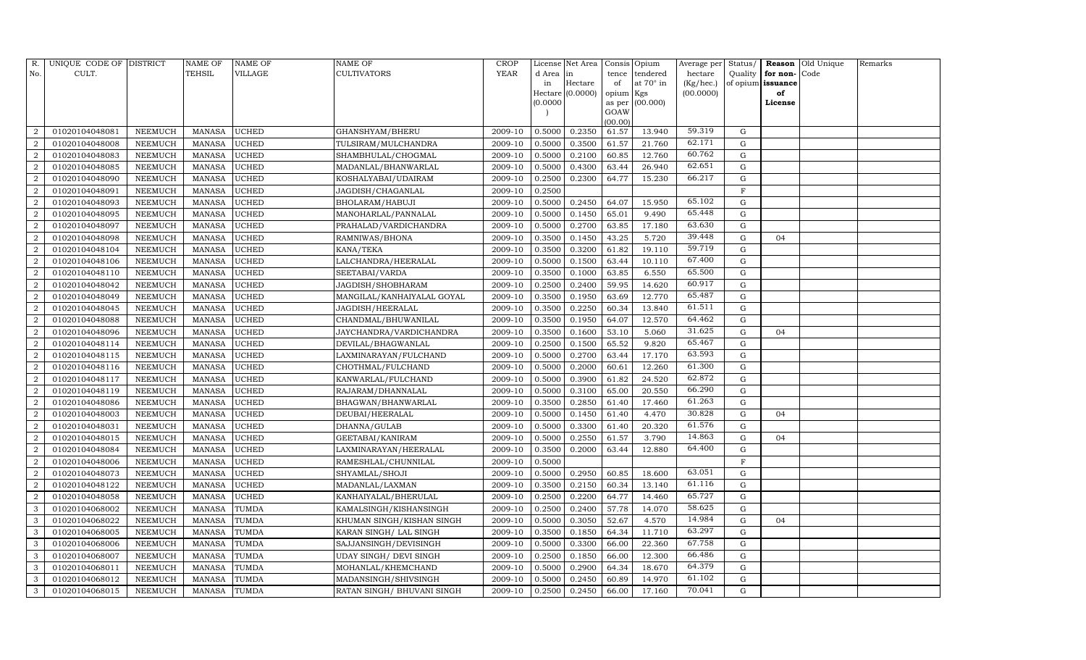| R.             | UNIQUE CODE OF DISTRICT |                | <b>NAME OF</b> | <b>NAME OF</b> | <b>NAME OF</b>                | <b>CROP</b> |           | License Net Area |                | Consis Opium | Average per | Status/      | Reason   | Old Unique | Remarks |
|----------------|-------------------------|----------------|----------------|----------------|-------------------------------|-------------|-----------|------------------|----------------|--------------|-------------|--------------|----------|------------|---------|
| No.            | CULT.                   |                | <b>TEHSIL</b>  | <b>VILLAGE</b> | <b>CULTIVATORS</b>            | YEAR        | d Area in |                  | tence          | tendered     | hectare     | Quality      | for non- | Code       |         |
|                |                         |                |                |                |                               |             | in        | Hectare          | of             | at 70° in    | (Kg/hec.)   | of opium     | issuance |            |         |
|                |                         |                |                |                |                               |             |           | Hectare (0.0000) | opium Kgs      |              | (00.0000)   |              | of       |            |         |
|                |                         |                |                |                |                               |             | (0.0000)  |                  | as per<br>GOAW | (00.000)     |             |              | License  |            |         |
|                |                         |                |                |                |                               |             |           |                  | (00.00)        |              |             |              |          |            |         |
| $\overline{2}$ | 01020104048081          | NEEMUCH        | <b>MANASA</b>  | <b>UCHED</b>   | GHANSHYAM/BHERU               | 2009-10     | 0.5000    | 0.2350           | 61.57          | 13.940       | 59.319      | G            |          |            |         |
| $\overline{2}$ | 01020104048008          | NEEMUCH        | <b>MANASA</b>  | <b>UCHED</b>   | TULSIRAM/MULCHANDRA           | 2009-10     | 0.5000    | 0.3500           | 61.57          | 21.760       | 62.171      | G            |          |            |         |
| $\overline{2}$ | 01020104048083          | <b>NEEMUCH</b> | <b>MANASA</b>  | <b>UCHED</b>   | SHAMBHULAL/CHOGMAL            | 2009-10     | 0.5000    | 0.2100           | 60.85          | 12.760       | 60.762      | G            |          |            |         |
| $\overline{a}$ | 01020104048085          | <b>NEEMUCH</b> | <b>MANASA</b>  | <b>UCHED</b>   | MADANLAL/BHANWARLAL           | 2009-10     | 0.5000    | 0.4300           | 63.44          | 26.940       | 62.651      | G            |          |            |         |
| $\overline{2}$ | 01020104048090          | <b>NEEMUCH</b> | <b>MANASA</b>  | <b>UCHED</b>   | KOSHALYABAI/UDAIRAM           | 2009-10     | 0.2500    | 0.2300           | 64.77          | 15.230       | 66.217      | G            |          |            |         |
| $\overline{2}$ | 01020104048091          | <b>NEEMUCH</b> | <b>MANASA</b>  | <b>UCHED</b>   | JAGDISH/CHAGANLAL             | 2009-10     | 0.2500    |                  |                |              |             | $\mathbf{F}$ |          |            |         |
| $\overline{c}$ | 01020104048093          | NEEMUCH        | <b>MANASA</b>  | <b>UCHED</b>   | BHOLARAM/HABUJI               | 2009-10     | 0.5000    | 0.2450           | 64.07          | 15.950       | 65.102      | G            |          |            |         |
| $\overline{2}$ | 01020104048095          | NEEMUCH        | <b>MANASA</b>  | <b>UCHED</b>   | MANOHARLAL/PANNALAL           | 2009-10     | 0.5000    | 0.1450           | 65.01          | 9.490        | 65.448      | G            |          |            |         |
| $\overline{2}$ | 01020104048097          | <b>NEEMUCH</b> | <b>MANASA</b>  | <b>UCHED</b>   | PRAHALAD/VARDICHANDRA         | 2009-10     | 0.5000    | 0.2700           | 63.85          | 17.180       | 63.630      | G            |          |            |         |
| $\overline{2}$ | 01020104048098          | NEEMUCH        | MANASA         | <b>UCHED</b>   | RAMNIWAS/BHONA                | 2009-10     | 0.3500    | 0.1450           | 43.25          | 5.720        | 39.448      | G            | 04       |            |         |
| $\,2$          | 01020104048104          | NEEMUCH        | <b>MANASA</b>  | <b>UCHED</b>   | KANA/TEKA                     | 2009-10     | 0.3500    | 0.3200           | 61.82          | 19.110       | 59.719      | G            |          |            |         |
| $\overline{2}$ | 01020104048106          | <b>NEEMUCH</b> | <b>MANASA</b>  | <b>UCHED</b>   | LALCHANDRA/HEERALAL           | 2009-10     | 0.5000    | 0.1500           | 63.44          | 10.110       | 67.400      | G            |          |            |         |
| $\overline{2}$ | 01020104048110          | NEEMUCH        | <b>MANASA</b>  | <b>UCHED</b>   | SEETABAI/VARDA                | 2009-10     | 0.3500    | 0.1000           | 63.85          | 6.550        | 65.500      | G            |          |            |         |
| $\overline{a}$ | 01020104048042          | <b>NEEMUCH</b> | <b>MANASA</b>  | <b>UCHED</b>   | JAGDISH/SHOBHARAM             | 2009-10     | 0.2500    | 0.2400           | 59.95          | 14.620       | 60.917      | G            |          |            |         |
| $\overline{a}$ | 01020104048049          | <b>NEEMUCH</b> | <b>MANASA</b>  | <b>UCHED</b>   | MANGILAL/KANHAIYALAL GOYAL    | 2009-10     | 0.3500    | 0.1950           | 63.69          | 12.770       | 65.487      | G            |          |            |         |
| $\overline{a}$ | 01020104048045          | NEEMUCH        | <b>MANASA</b>  | <b>UCHED</b>   | JAGDISH/HEERALAL              | 2009-10     | 0.3500    | 0.2250           | 60.34          | 13.840       | 61.511      | $\mathbf G$  |          |            |         |
| $\overline{2}$ | 01020104048088          | NEEMUCH        | <b>MANASA</b>  | <b>UCHED</b>   | CHANDMAL/BHUWANILAL           | 2009-10     | 0.3500    | 0.1950           | 64.07          | 12.570       | 64.462      | G            |          |            |         |
| $\overline{2}$ | 01020104048096          | <b>NEEMUCH</b> | <b>MANASA</b>  | <b>UCHED</b>   | JAYCHANDRA/VARDICHANDRA       | 2009-10     | 0.3500    | 0.1600           | 53.10          | 5.060        | 31.625      | G            | 04       |            |         |
| $\,2$          | 01020104048114          | NEEMUCH        | <b>MANASA</b>  | <b>UCHED</b>   | DEVILAL/BHAGWANLAL            | 2009-10     | 0.2500    | 0.1500           | 65.52          | 9.820        | 65.467      | G            |          |            |         |
| $\overline{2}$ | 01020104048115          | <b>NEEMUCH</b> | <b>MANASA</b>  | <b>UCHED</b>   | LAXMINARAYAN/FULCHAND         | 2009-10     | 0.5000    | 0.2700           | 63.44          | 17.170       | 63.593      | $\mathbf G$  |          |            |         |
| $\overline{a}$ | 01020104048116          | NEEMUCH        | <b>MANASA</b>  | <b>UCHED</b>   | CHOTHMAL/FULCHAND             | 2009-10     | 0.5000    | 0.2000           | 60.61          | 12.260       | 61.300      | G            |          |            |         |
| $\overline{a}$ | 01020104048117          | NEEMUCH        | <b>MANASA</b>  | <b>UCHED</b>   | KANWARLAL/FULCHAND            | 2009-10     | 0.5000    | 0.3900           | 61.82          | 24.520       | 62.872      | G            |          |            |         |
| $\overline{2}$ | 01020104048119          | <b>NEEMUCH</b> | <b>MANASA</b>  | <b>UCHED</b>   | RAJARAM/DHANNALAL             | 2009-10     | 0.5000    | 0.3100           | 65.00          | 20.550       | 66.290      | G            |          |            |         |
| $\overline{a}$ | 01020104048086          | <b>NEEMUCH</b> | <b>MANASA</b>  | <b>UCHED</b>   | BHAGWAN/BHANWARLAL            | 2009-10     | 0.3500    | 0.2850           | 61.40          | 17.460       | 61.263      | G            |          |            |         |
| $\overline{2}$ | 01020104048003          | <b>NEEMUCH</b> | <b>MANASA</b>  | <b>UCHED</b>   | DEUBAI/HEERALAL               | 2009-10     | 0.5000    | 0.1450           | 61.40          | 4.470        | 30.828      | G            | 04       |            |         |
| $\overline{a}$ | 01020104048031          | <b>NEEMUCH</b> | <b>MANASA</b>  | <b>UCHED</b>   | DHANNA/GULAB                  | 2009-10     | 0.5000    | 0.3300           | 61.40          | 20.320       | 61.576      | G            |          |            |         |
| $\overline{2}$ | 01020104048015          | NEEMUCH        | <b>MANASA</b>  | <b>UCHED</b>   | GEETABAI/KANIRAM              | 2009-10     | 0.5000    | 0.2550           | 61.57          | 3.790        | 14.863      | G            | 04       |            |         |
| $\overline{2}$ | 01020104048084          | <b>NEEMUCH</b> | <b>MANASA</b>  | <b>UCHED</b>   | LAXMINARAYAN/HEERALAL         | 2009-10     | 0.3500    | 0.2000           | 63.44          | 12.880       | 64.400      | $\mathbf G$  |          |            |         |
| $\overline{a}$ | 01020104048006          | NEEMUCH        | <b>MANASA</b>  | <b>UCHED</b>   | RAMESHLAL/CHUNNILAL           | 2009-10     | 0.5000    |                  |                |              |             | $\mathbf F$  |          |            |         |
| $\overline{a}$ | 01020104048073          | <b>NEEMUCH</b> | <b>MANASA</b>  | <b>UCHED</b>   | SHYAMLAL/SHOJI                | 2009-10     | 0.5000    | 0.2950           | 60.85          | 18.600       | 63.051      | G            |          |            |         |
| $\overline{2}$ | 01020104048122          | <b>NEEMUCH</b> | <b>MANASA</b>  | <b>UCHED</b>   | MADANLAL/LAXMAN               | 2009-10     | 0.3500    | 0.2150           | 60.34          | 13.140       | 61.116      | $\mathbf G$  |          |            |         |
| $\overline{2}$ | 01020104048058          | NEEMUCH        | <b>MANASA</b>  | <b>UCHED</b>   | KANHAIYALAL/BHERULAL          | 2009-10     | 0.2500    | 0.2200           | 64.77          | 14.460       | 65.727      | G            |          |            |         |
| 3              | 01020104068002          | <b>NEEMUCH</b> | <b>MANASA</b>  | <b>TUMDA</b>   | KAMALSINGH/KISHANSINGH        | 2009-10     | 0.2500    | 0.2400           | 57.78          | 14.070       | 58.625      | G            |          |            |         |
| 3              | 01020104068022          | NEEMUCH        | <b>MANASA</b>  | <b>TUMDA</b>   | KHUMAN SINGH/KISHAN SINGH     | 2009-10     | 0.5000    | 0.3050           | 52.67          | 4.570        | 14.984      | G            | 04       |            |         |
| 3              | 01020104068005          | NEEMUCH        | <b>MANASA</b>  | <b>TUMDA</b>   | KARAN SINGH / LAL SINGH       | 2009-10     | 0.3500    | 0.1850           | 64.34          | 11.710       | 63.297      | G            |          |            |         |
| 3              | 01020104068006          | <b>NEEMUCH</b> | <b>MANASA</b>  | <b>TUMDA</b>   | SAJJANSINGH/DEVISINGH         | 2009-10     | 0.5000    | 0.3300           | 66.00          | 22.360       | 67.758      | G            |          |            |         |
| 3              | 01020104068007          | <b>NEEMUCH</b> | <b>MANASA</b>  | <b>TUMDA</b>   | <b>UDAY SINGH/ DEVI SINGH</b> | 2009-10     | 0.2500    | 0.1850           | 66.00          | 12.300       | 66.486      | G            |          |            |         |
| 3              | 01020104068011          | <b>NEEMUCH</b> | <b>MANASA</b>  | <b>TUMDA</b>   | MOHANLAL/KHEMCHAND            | 2009-10     | 0.5000    | 0.2900           | 64.34          | 18.670       | 64.379      | G            |          |            |         |
| 3              | 01020104068012          | <b>NEEMUCH</b> | <b>MANASA</b>  | <b>TUMDA</b>   | MADANSINGH/SHIVSINGH          | 2009-10     | 0.5000    | 0.2450           | 60.89          | 14.970       | 61.102      | $\mathbf G$  |          |            |         |
| $\mathbf{3}$   | 01020104068015          | NEEMUCH        | MANASA         | <b>TUMDA</b>   | RATAN SINGH/ BHUVANI SINGH    | 2009-10     | 0.2500    | 0.2450           | 66.00          | 17.160       | 70.041      | G            |          |            |         |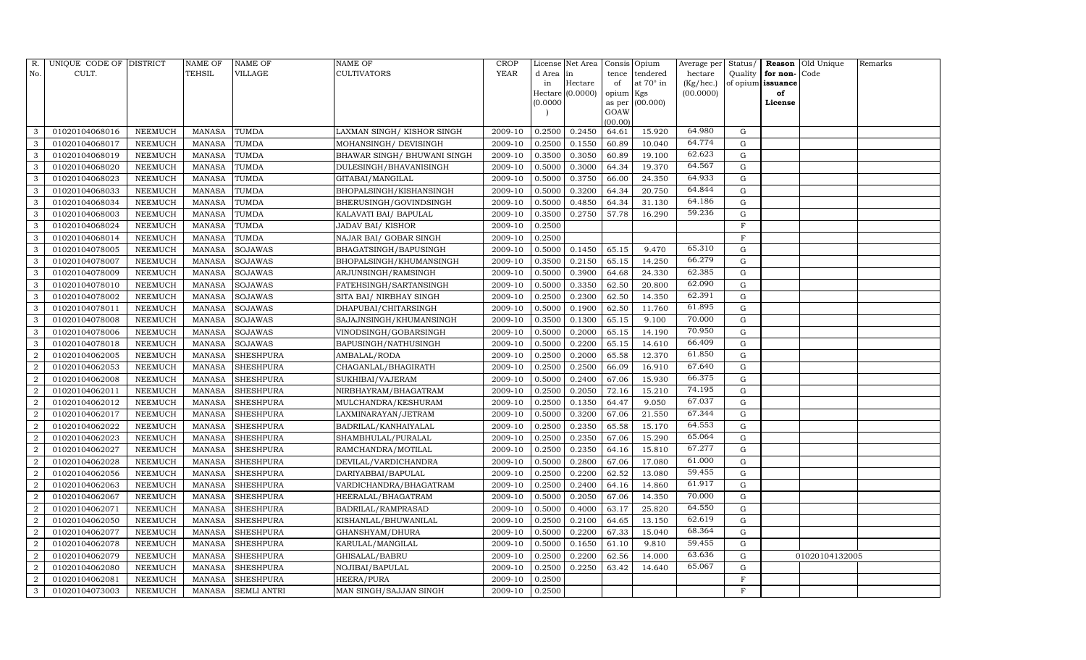| R.             | UNIQUE CODE OF DISTRICT |                | <b>NAME OF</b> | <b>NAME OF</b>     | <b>NAME OF</b>               | <b>CROP</b> |           | License Net Area |                | Consis Opium | Average per | Status/     | Reason   | Old Unique     | Remarks |
|----------------|-------------------------|----------------|----------------|--------------------|------------------------------|-------------|-----------|------------------|----------------|--------------|-------------|-------------|----------|----------------|---------|
| No.            | CULT.                   |                | <b>TEHSIL</b>  | <b>VILLAGE</b>     | <b>CULTIVATORS</b>           | YEAR        | d Area in |                  | tence          | tendered     | hectare     | Quality     | for non- | Code           |         |
|                |                         |                |                |                    |                              |             | in        | Hectare          | of             | at 70° in    | (Kg/hec.)   | of opium    | issuance |                |         |
|                |                         |                |                |                    |                              |             |           | Hectare (0.0000) | opium Kgs      |              | (00.0000)   |             | of       |                |         |
|                |                         |                |                |                    |                              |             | (0.0000)  |                  | as per<br>GOAW | (00.000)     |             |             | License  |                |         |
|                |                         |                |                |                    |                              |             |           |                  | (00.00)        |              |             |             |          |                |         |
| 3              | 01020104068016          | NEEMUCH        | <b>MANASA</b>  | <b>TUMDA</b>       | LAXMAN SINGH/KISHOR SINGH    | 2009-10     | 0.2500    | 0.2450           | 64.61          | 15.920       | 64.980      | G           |          |                |         |
| 3              | 01020104068017          | NEEMUCH        | <b>MANASA</b>  | <b>TUMDA</b>       | MOHANSINGH/ DEVISINGH        | 2009-10     | 0.2500    | 0.1550           | 60.89          | 10.040       | 64.774      | G           |          |                |         |
| 3              | 01020104068019          | <b>NEEMUCH</b> | <b>MANASA</b>  | <b>TUMDA</b>       | BHAWAR SINGH / BHUWANI SINGH | 2009-10     | 0.3500    | 0.3050           | 60.89          | 19.100       | 62.623      | G           |          |                |         |
| 3              | 01020104068020          | <b>NEEMUCH</b> | <b>MANASA</b>  | <b>TUMDA</b>       | DULESINGH/BHAVANISINGH       | 2009-10     | 0.5000    | 0.3000           | 64.34          | 19.370       | 64.567      | ${\rm G}$   |          |                |         |
| 3              | 01020104068023          | <b>NEEMUCH</b> | <b>MANASA</b>  | <b>TUMDA</b>       | GITABAI/MANGILAL             | 2009-10     | 0.5000    | 0.3750           | 66.00          | 24.350       | 64.933      | G           |          |                |         |
| 3              | 01020104068033          | <b>NEEMUCH</b> | <b>MANASA</b>  | TUMDA              | BHOPALSINGH/KISHANSINGH      | 2009-10     | 0.5000    | 0.3200           | 64.34          | 20.750       | 64.844      | G           |          |                |         |
| 3              | 01020104068034          | <b>NEEMUCH</b> | <b>MANASA</b>  | <b>TUMDA</b>       | BHERUSINGH/GOVINDSINGH       | 2009-10     | 0.5000    | 0.4850           | 64.34          | 31.130       | 64.186      | ${\rm G}$   |          |                |         |
| 3              | 01020104068003          | NEEMUCH        | <b>MANASA</b>  | <b>TUMDA</b>       | KALAVATI BAI/ BAPULAL        | 2009-10     | 0.3500    | 0.2750           | 57.78          | 16.290       | 59.236      | G           |          |                |         |
| 3              | 01020104068024          | <b>NEEMUCH</b> | <b>MANASA</b>  | <b>TUMDA</b>       | <b>JADAV BAI/ KISHOR</b>     | 2009-10     | 0.2500    |                  |                |              |             | $\mathbf F$ |          |                |         |
| 3              | 01020104068014          | NEEMUCH        | <b>MANASA</b>  | TUMDA              | NAJAR BAI/ GOBAR SINGH       | 2009-10     | 0.2500    |                  |                |              |             | $\mathbf F$ |          |                |         |
| 3              | 01020104078005          | NEEMUCH        | <b>MANASA</b>  | <b>SOJAWAS</b>     | <b>BHAGATSINGH/BAPUSINGH</b> | 2009-10     | 0.5000    | 0.1450           | 65.15          | 9.470        | 65.310      | ${\rm G}$   |          |                |         |
| 3              | 01020104078007          | <b>NEEMUCH</b> | <b>MANASA</b>  | <b>SOJAWAS</b>     | BHOPALSINGH/KHUMANSINGH      | 2009-10     | 0.3500    | 0.2150           | 65.15          | 14.250       | 66.279      | G           |          |                |         |
| 3              | 01020104078009          | <b>NEEMUCH</b> | <b>MANASA</b>  | <b>SOJAWAS</b>     | ARJUNSINGH/RAMSINGH          | 2009-10     | 0.5000    | 0.3900           | 64.68          | 24.330       | 62.385      | $\mathbf G$ |          |                |         |
| 3              | 01020104078010          | <b>NEEMUCH</b> | <b>MANASA</b>  | <b>SOJAWAS</b>     | FATEHSINGH/SARTANSINGH       | 2009-10     | 0.5000    | 0.3350           | 62.50          | 20.800       | 62.090      | G           |          |                |         |
| 3              | 01020104078002          | NEEMUCH        | <b>MANASA</b>  | <b>SOJAWAS</b>     | SITA BAI/ NIRBHAY SINGH      | 2009-10     | 0.2500    | 0.2300           | 62.50          | 14.350       | 62.391      | G           |          |                |         |
| 3              | 01020104078011          | NEEMUCH        | <b>MANASA</b>  | <b>SOJAWAS</b>     | DHAPUBAI/CHITARSINGH         | 2009-10     | 0.5000    | 0.1900           | 62.50          | 11.760       | 61.895      | G           |          |                |         |
| 3              | 01020104078008          | NEEMUCH        | <b>MANASA</b>  | <b>SOJAWAS</b>     | SAJAJNSINGH/KHUMANSINGH      | 2009-10     | 0.3500    | 0.1300           | 65.15          | 9.100        | 70.000      | G           |          |                |         |
| 3              | 01020104078006          | <b>NEEMUCH</b> | <b>MANASA</b>  | <b>SOJAWAS</b>     | VINODSINGH/GOBARSINGH        | 2009-10     | 0.5000    | 0.2000           | 65.15          | 14.190       | 70.950      | G           |          |                |         |
| 3              | 01020104078018          | NEEMUCH        | <b>MANASA</b>  | <b>SOJAWAS</b>     | BAPUSINGH/NATHUSINGH         | 2009-10     | 0.5000    | 0.2200           | 65.15          | 14.610       | 66.409      | G           |          |                |         |
| $\overline{2}$ | 01020104062005          | NEEMUCH        | <b>MANASA</b>  | <b>SHESHPURA</b>   | AMBALAL/RODA                 | 2009-10     | 0.2500    | 0.2000           | 65.58          | 12.370       | 61.850      | G           |          |                |         |
| $\overline{2}$ | 01020104062053          | NEEMUCH        | <b>MANASA</b>  | <b>SHESHPURA</b>   | CHAGANLAL/BHAGIRATH          | 2009-10     | 0.2500    | 0.2500           | 66.09          | 16.910       | 67.640      | G           |          |                |         |
| $\overline{a}$ | 01020104062008          | <b>NEEMUCH</b> | <b>MANASA</b>  | <b>SHESHPURA</b>   | SUKHIBAI/VAJERAM             | 2009-10     | 0.5000    | 0.2400           | 67.06          | 15.930       | 66.375      | G           |          |                |         |
| $\overline{a}$ | 01020104062011          | NEEMUCH        | <b>MANASA</b>  | <b>SHESHPURA</b>   | NIRBHAYRAM/BHAGATRAM         | 2009-10     | 0.2500    | 0.2050           | 72.16          | 15.210       | 74.195      | G           |          |                |         |
| $\overline{2}$ | 01020104062012          | <b>NEEMUCH</b> | <b>MANASA</b>  | <b>SHESHPURA</b>   | MULCHANDRA/KESHURAM          | 2009-10     | 0.2500    | 0.1350           | 64.47          | 9.050        | 67.037      | G           |          |                |         |
| $\overline{2}$ | 01020104062017          | <b>NEEMUCH</b> | <b>MANASA</b>  | <b>SHESHPURA</b>   | LAXMINARAYAN/JETRAM          | 2009-10     | 0.5000    | 0.3200           | 67.06          | 21.550       | 67.344      | G           |          |                |         |
| $\overline{a}$ | 01020104062022          | <b>NEEMUCH</b> | <b>MANASA</b>  | <b>SHESHPURA</b>   | BADRILAL/KANHAIYALAL         | 2009-10     | 0.2500    | 0.2350           | 65.58          | 15.170       | 64.553      | G           |          |                |         |
| $\overline{a}$ | 01020104062023          | NEEMUCH        | <b>MANASA</b>  | <b>SHESHPURA</b>   | SHAMBHULAL/PURALAL           | 2009-10     | 0.2500    | 0.2350           | 67.06          | 15.290       | 65.064      | ${\rm G}$   |          |                |         |
| $\overline{2}$ | 01020104062027          | <b>NEEMUCH</b> | <b>MANASA</b>  | <b>SHESHPURA</b>   | RAMCHANDRA/MOTILAL           | 2009-10     | 0.2500    | 0.2350           | 64.16          | 15.810       | 67.277      | G           |          |                |         |
| $\overline{2}$ | 01020104062028          | <b>NEEMUCH</b> | <b>MANASA</b>  | <b>SHESHPURA</b>   | DEVILAL/VARDICHANDRA         | 2009-10     | 0.5000    | 0.2800           | 67.06          | 17.080       | 61.000      | G           |          |                |         |
| $\overline{a}$ | 01020104062056          | <b>NEEMUCH</b> | <b>MANASA</b>  | <b>SHESHPURA</b>   | DARIYABBAI/BAPULAL           | 2009-10     | 0.2500    | 0.2200           | 62.52          | 13.080       | 59.455      | G           |          |                |         |
| $\overline{a}$ | 01020104062063          | <b>NEEMUCH</b> | <b>MANASA</b>  | <b>SHESHPURA</b>   | VARDICHANDRA/BHAGATRAM       | 2009-10     | 0.2500    | 0.2400           | 64.16          | 14.860       | 61.917      | G           |          |                |         |
| $\overline{2}$ | 01020104062067          | <b>NEEMUCH</b> | <b>MANASA</b>  | <b>SHESHPURA</b>   | HEERALAL/BHAGATRAM           | 2009-10     | 0.5000    | 0.2050           | 67.06          | 14.350       | 70.000      | ${\rm G}$   |          |                |         |
| $\overline{2}$ | 01020104062071          | <b>NEEMUCH</b> | <b>MANASA</b>  | <b>SHESHPURA</b>   | <b>BADRILAL/RAMPRASAD</b>    | 2009-10     | 0.5000    | 0.4000           | 63.17          | 25.820       | 64.550      | ${\rm G}$   |          |                |         |
| $\overline{a}$ | 01020104062050          | <b>NEEMUCH</b> | <b>MANASA</b>  | <b>SHESHPURA</b>   | KISHANLAL/BHUWANILAL         | 2009-10     | 0.2500    | 0.2100           | 64.65          | 13.150       | 62.619      | G           |          |                |         |
| $\overline{a}$ | 01020104062077          | <b>NEEMUCH</b> | <b>MANASA</b>  | <b>SHESHPURA</b>   | GHANSHYAM/DHURA              | 2009-10     | 0.5000    | 0.2200           | 67.33          | 15.040       | 68.364      | ${\rm G}$   |          |                |         |
| $\overline{2}$ | 01020104062078          | <b>NEEMUCH</b> | <b>MANASA</b>  | <b>SHESHPURA</b>   | KARULAL/MANGILAL             | 2009-10     | 0.5000    | 0.1650           | 61.10          | 9.810        | 59.455      | ${\rm G}$   |          |                |         |
| $\overline{2}$ | 01020104062079          | <b>NEEMUCH</b> | <b>MANASA</b>  | <b>SHESHPURA</b>   | GHISALAL/BABRU               | 2009-10     | 0.2500    | 0.2200           | 62.56          | 14.000       | 63.636      | G           |          | 01020104132005 |         |
| 2              | 01020104062080          | <b>NEEMUCH</b> | <b>MANASA</b>  | <b>SHESHPURA</b>   | NOJIBAI/BAPULAL              | 2009-10     | 0.2500    | 0.2250           | 63.42          | 14.640       | 65.067      | G           |          |                |         |
| $\sqrt{2}$     | 01020104062081          | <b>NEEMUCH</b> | <b>MANASA</b>  | <b>SHESHPURA</b>   | <b>HEERA/PURA</b>            | 2009-10     | 0.2500    |                  |                |              |             | F           |          |                |         |
| 3              | 01020104073003          | <b>NEEMUCH</b> | MANASA         | <b>SEMLI ANTRI</b> | MAN SINGH/SAJJAN SINGH       | 2009-10     | 0.2500    |                  |                |              |             | F           |          |                |         |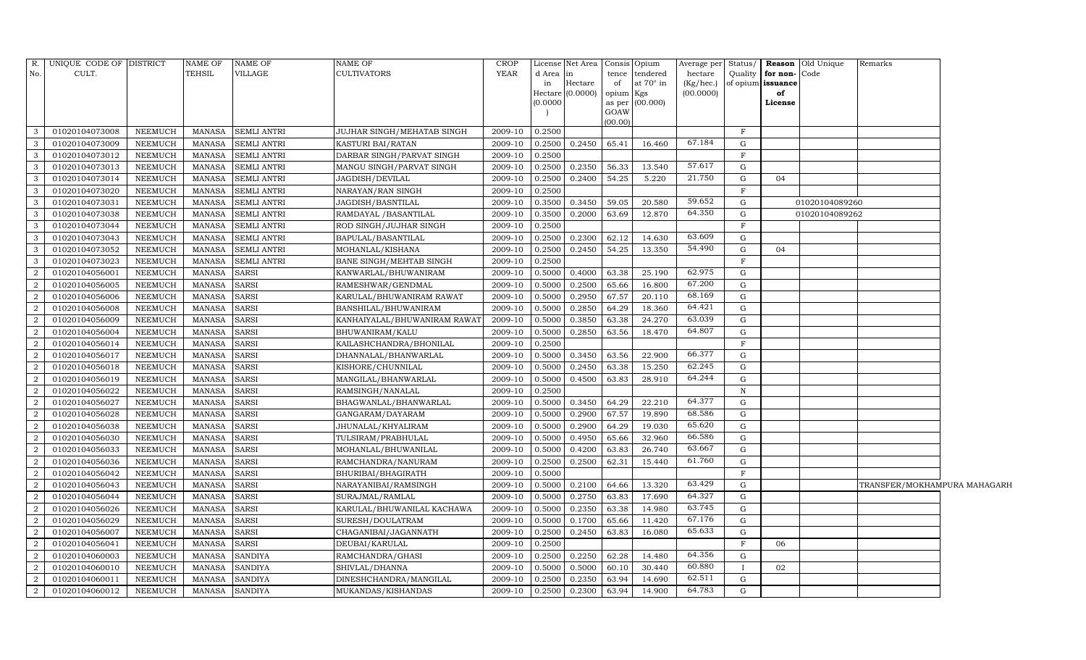| R.             | UNIQUE CODE OF DISTRICT |                | <b>NAME OF</b> | <b>NAME OF</b>     | NAME OF                      | CROP        |          | License Net Area   Consis   Opium |           |                  |           |              |                   | Average per   Status/   Reason   Old Unique<br>Remarks |  |
|----------------|-------------------------|----------------|----------------|--------------------|------------------------------|-------------|----------|-----------------------------------|-----------|------------------|-----------|--------------|-------------------|--------------------------------------------------------|--|
| No.            | CULT.                   |                | <b>TEHSIL</b>  | <b>VILLAGE</b>     | <b>CULTIVATORS</b>           | <b>YEAR</b> | d Area   | in                                | tence     | tendered         | hectare   | Quality      | for non-Code      |                                                        |  |
|                |                         |                |                |                    |                              |             | in       | Hectare                           | of        | at $70^\circ$ in | (Kg/hec.) |              | of opium issuance |                                                        |  |
|                |                         |                |                |                    |                              |             | (0.0000) | Hectare $(0.0000)$                | opium Kgs | as per (00.000)  | (00.0000) |              | of<br>License     |                                                        |  |
|                |                         |                |                |                    |                              |             |          |                                   | GOAW      |                  |           |              |                   |                                                        |  |
|                |                         |                |                |                    |                              |             |          |                                   | (00.00)   |                  |           |              |                   |                                                        |  |
|                | 01020104073008          | NEEMUCH        | <b>MANASA</b>  | <b>SEMLI ANTRI</b> | JUJHAR SINGH/MEHATAB SINGH   | 2009-10     | 0.2500   |                                   |           |                  |           | F            |                   |                                                        |  |
| 3              | 01020104073009          | NEEMUCH        | MANASA         | <b>SEMLI ANTRI</b> | KASTURI BAI/RATAN            | 2009-10     |          | 0.2500 0.2450                     | 65.41     | 16.460           | 67.184    | G            |                   |                                                        |  |
| 3              | 01020104073012          | NEEMUCH        | <b>MANASA</b>  | <b>SEMLI ANTRI</b> | DARBAR SINGH/PARVAT SINGH    | 2009-10     | 0.2500   |                                   |           |                  |           | F            |                   |                                                        |  |
| 3              | 01020104073013          | NEEMUCH        | <b>MANASA</b>  | <b>SEMLI ANTRI</b> | MANGU SINGH/PARVAT SINGH     | 2009-10     | 0.2500   | 0.2350                            | 56.33     | 13.540           | 57.617    | G            |                   |                                                        |  |
| 3              | 01020104073014          | NEEMUCH        | <b>MANASA</b>  | <b>SEMLI ANTRI</b> | JAGDISH/DEVILAL              | 2009-10     | 0.2500   | 0.2400                            | 54.25     | 5.220            | 21.750    | G            | 04                |                                                        |  |
| 3              | 01020104073020          | <b>NEEMUCH</b> | <b>MANASA</b>  | <b>SEMLI ANTRI</b> | NARAYAN/RAN SINGH            | 2009-10     | 0.2500   |                                   |           |                  |           | F            |                   |                                                        |  |
| 3              | 01020104073031          | NEEMUCH        | <b>MANASA</b>  | <b>SEMLI ANTRI</b> | JAGDISH/BASNTILAL            | 2009-10     | 0.3500   | 0.3450                            | 59.05     | 20.580           | 59.652    | G            |                   | 01020104089260                                         |  |
| 3              | 01020104073038          | NEEMUCH        | <b>MANASA</b>  | <b>SEMLI ANTRI</b> | RAMDAYAL / BASANTILAL        | 2009-10     | 0.3500   | 0.2000                            | 63.69     | 12.870           | 64.350    | G            |                   | 01020104089262                                         |  |
|                | 01020104073044          | <b>NEEMUCH</b> | <b>MANASA</b>  | <b>SEMLI ANTRI</b> | ROD SINGH/JUJHAR SINGH       | 2009-10     | 0.2500   |                                   |           |                  |           | F            |                   |                                                        |  |
| 3              | 01020104073043          | NEEMUCH        | <b>MANASA</b>  | <b>SEMLI ANTRI</b> | BAPULAL/BASANTILAL           | 2009-10     | 0.2500   | 0.2300                            | 62.12     | 14.630           | 63.609    | G            |                   |                                                        |  |
| 3              | 01020104073052          | NEEMUCH        | <b>MANASA</b>  | <b>SEMLI ANTRI</b> | MOHANLAL/KISHANA             | 2009-10     | 0.2500   | 0.2450                            | 54.25     | 13.350           | 54.490    | G            | 04                |                                                        |  |
| 3              | 01020104073023          | NEEMUCH        | <b>MANASA</b>  | <b>SEMLI ANTRI</b> | BANE SINGH/MEHTAB SINGH      | 2009-10     | 0.2500   |                                   |           |                  |           | F            |                   |                                                        |  |
| $\overline{2}$ | 01020104056001          | NEEMUCH        | <b>MANASA</b>  | <b>SARSI</b>       | KANWARLAL/BHUWANIRAM         | 2009-10     | 0.5000   | 0.4000                            | 63.38     | 25.190           | 62.975    | G            |                   |                                                        |  |
| 2              | 01020104056005          | NEEMUCH        | <b>MANASA</b>  | <b>SARSI</b>       | RAMESHWAR/GENDMAL            | 2009-10     | 0.5000   | 0.2500                            | 65.66     | 16.800           | 67.200    | G            |                   |                                                        |  |
| 2              | 01020104056006          | NEEMUCH        | <b>MANASA</b>  | <b>SARSI</b>       | KARULAL/BHUWANIRAM RAWAT     | 2009-10     | 0.5000   | 0.2950                            | 67.57     | 20.110           | 68.169    | G            |                   |                                                        |  |
| 2              | 01020104056008          | NEEMUCH        | <b>MANASA</b>  | <b>SARSI</b>       | BANSHILAL/BHUWANIRAM         | 2009-10     | 0.5000   | 0.2850                            | 64.29     | 18.360           | 64.421    | G            |                   |                                                        |  |
| $\overline{2}$ | 01020104056009          | NEEMUCH        | <b>MANASA</b>  | <b>SARSI</b>       | KANHAIYALAL/BHUWANIRAM RAWA' | 2009-10     | 0.5000   | 0.3850                            | 63.38     | 24.270           | 63.039    | G            |                   |                                                        |  |
| 2              | 01020104056004          | NEEMUCH        | <b>MANASA</b>  | <b>SARSI</b>       | BHUWANIRAM/KALU              | 2009-10     | 0.5000   | 0.2850                            | 63.56     | 18.470           | 64.807    | G            |                   |                                                        |  |
| 2              | 01020104056014          | NEEMUCH        | <b>MANASA</b>  | <b>SARSI</b>       | KAILASHCHANDRA/BHONILAL      | 2009-10     | 0.2500   |                                   |           |                  |           | F            |                   |                                                        |  |
| 2              | 01020104056017          | NEEMUCH        | <b>MANASA</b>  | <b>SARSI</b>       | DHANNALAL/BHANWARLAL         | 2009-10     | 0.5000   | 0.3450                            | 63.56     | 22.900           | 66.377    | G            |                   |                                                        |  |
| 2              | 01020104056018          | NEEMUCH        | <b>MANASA</b>  | <b>SARSI</b>       | KISHORE/CHUNNILAL            | 2009-10     | 0.5000   | 0.2450                            | 63.38     | 15.250           | 62.245    | G            |                   |                                                        |  |
| 2              | 01020104056019          | NEEMUCH        | <b>MANASA</b>  | <b>SARSI</b>       | MANGILAL/BHANWARLAL          | 2009-10     | 0.5000   | 0.4500                            | 63.83     | 28.910           | 64.244    | G            |                   |                                                        |  |
| $\overline{a}$ | 01020104056022          | NEEMUCH        | <b>MANASA</b>  | <b>SARSI</b>       | RAMSINGH/NANALAL             | 2009-10     | 0.2500   |                                   |           |                  |           | N            |                   |                                                        |  |
| 2              | 01020104056027          | NEEMUCH        | <b>MANASA</b>  | <b>SARSI</b>       | BHAGWANLAL/BHANWARLAL        | 2009-10     | 0.5000   | 0.3450                            | 64.29     | 22.210           | 64.377    | G            |                   |                                                        |  |
| $\overline{2}$ | 01020104056028          | NEEMUCH        | <b>MANASA</b>  | <b>SARSI</b>       | GANGARAM/DAYARAM             | 2009-10     | 0.5000   | 0.2900                            | 67.57     | 19.890           | 68.586    | G            |                   |                                                        |  |
| 2              | 01020104056038          | NEEMUCH        | <b>MANASA</b>  | <b>SARSI</b>       | JHUNALAL/KHYALIRAM           | 2009-10     | 0.5000   | 0.2900                            | 64.29     | 19.030           | 65.620    | G            |                   |                                                        |  |
| 2              | 01020104056030          | NEEMUCH        | <b>MANASA</b>  | <b>SARSI</b>       | TULSIRAM/PRABHULAL           | 2009-10     | 0.5000   | 0.4950                            | 65.66     | 32.960           | 66.586    | G            |                   |                                                        |  |
| 2              | 01020104056033          | NEEMUCH        | <b>MANASA</b>  | <b>SARSI</b>       | MOHANLAL/BHUWANILAL          | 2009-10     | 0.5000   | 0.4200                            | 63.83     | 26.740           | 63.667    | G            |                   |                                                        |  |
| 2              | 01020104056036          | NEEMUCH        | <b>MANASA</b>  | <b>SARSI</b>       | RAMCHANDRA/NANURAM           | 2009-10     | 0.2500   | 0.2500                            | 62.31     | 15.440           | 61.760    | G            |                   |                                                        |  |
| 2              | 01020104056042          | NEEMUCH        | <b>MANASA</b>  | <b>SARSI</b>       | BHURIBAI/BHAGIRATH           | 2009-10     | 0.5000   |                                   |           |                  |           | F            |                   |                                                        |  |
| 2              | 01020104056043          | NEEMUCH        | <b>MANASA</b>  | <b>SARSI</b>       | NARAYANIBAI/RAMSINGH         | 2009-10     | 0.5000   | 0.2100                            | 64.66     | 13.320           | 63.429    | G            |                   | TRANSFER/MOKHAMPURA MAHAGARH                           |  |
| 2              | 01020104056044          | NEEMUCH        | <b>MANASA</b>  | <b>SARSI</b>       | SURAJMAL/RAMLAL              | 2009-10     | 0.5000   | 0.2750                            | 63.83     | 17.690           | 64.327    | G            |                   |                                                        |  |
| $\overline{2}$ | 01020104056026          | NEEMUCH        | <b>MANASA</b>  | <b>SARSI</b>       | KARULAL/BHUWANILAL KACHAWA   | 2009-10     | 0.5000   | 0.2350                            | 63.38     | 14.980           | 63.745    | G            |                   |                                                        |  |
| 2              | 01020104056029          | NEEMUCH        | <b>MANASA</b>  | <b>SARSI</b>       | SURESH/DOULATRAM             | 2009-10     | 0.5000   | 0.1700                            | 65.66     | 11.420           | 67.176    | G            |                   |                                                        |  |
| 2              | 01020104056007          | NEEMUCH        | <b>MANASA</b>  | <b>SARSI</b>       | CHAGANIBAI/JAGANNATH         | 2009-10     | 0.2500   | 0.2450                            | 63.83     | 16.080           | 65.633    | G            |                   |                                                        |  |
| 2              | 01020104056041          | NEEMUCH        | <b>MANASA</b>  | <b>SARSI</b>       | DEUBAI/KARULAL               | 2009-10     | 0.2500   |                                   |           |                  |           | $\mathbf{F}$ | 06                |                                                        |  |
| 2              | 01020104060003          | NEEMUCH        | <b>MANASA</b>  | <b>SANDIYA</b>     | RAMCHANDRA/GHASI             | 2009-10     | 0.2500   | 0.2250                            | 62.28     | 14.480           | 64.356    | G            |                   |                                                        |  |
| $\overline{2}$ | 01020104060010          | NEEMUCH        | <b>MANASA</b>  | <b>SANDIYA</b>     | SHIVLAL/DHANNA               | 2009-10     | 0.5000   | 0.5000                            | 60.10     | 30.440           | 60.880    | $\mathbf{I}$ | 02                |                                                        |  |
| $\overline{a}$ | 01020104060011          | <b>NEEMUCH</b> | <b>MANASA</b>  | <b>SANDIYA</b>     | DINESHCHANDRA/MANGILAL       | 2009-10     | 0.2500   | 0.2350                            | 63.94     | 14.690           | 62.511    | G            |                   |                                                        |  |
| $\overline{a}$ | 01020104060012          | <b>NEEMUCH</b> | <b>MANASA</b>  | <b>SANDIYA</b>     | MUKANDAS/KISHANDAS           | 2009-10     | 0.2500   | 0.2300                            | 63.94     | 14.900           | 64.783    | G            |                   |                                                        |  |
|                |                         |                |                |                    |                              |             |          |                                   |           |                  |           |              |                   |                                                        |  |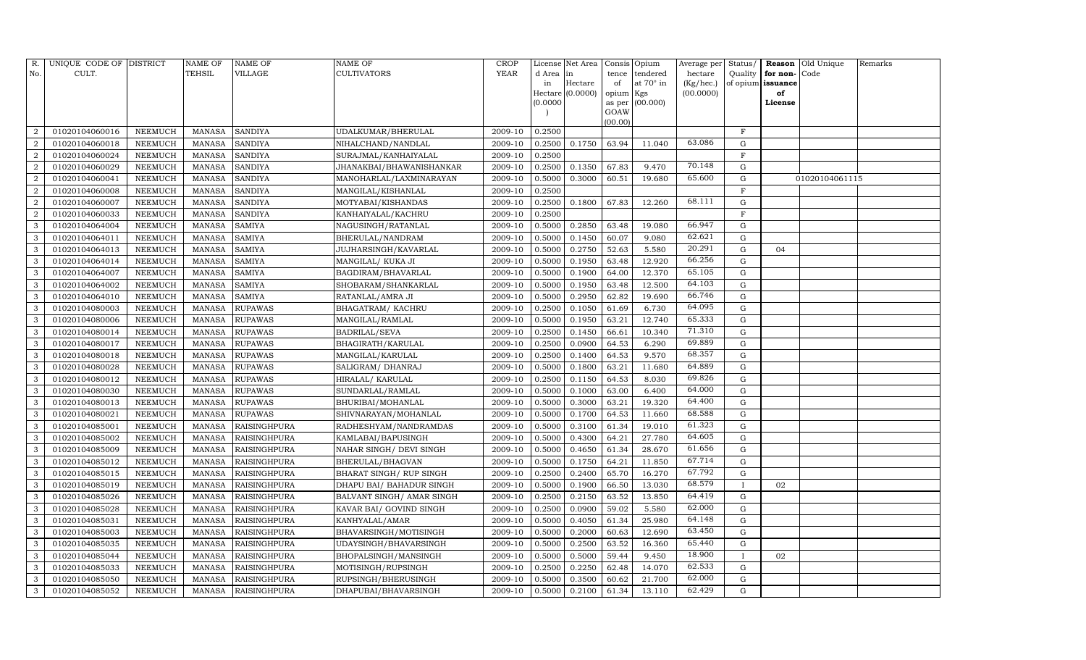| R.             | UNIQUE CODE OF DISTRICT |                | <b>NAME OF</b> | <b>NAME OF</b>      | <b>NAME OF</b>            | CROP    |           | License Net Area |                | Consis Opium     | Average per | Status/     | Reason            | Old Unique     | Remarks |
|----------------|-------------------------|----------------|----------------|---------------------|---------------------------|---------|-----------|------------------|----------------|------------------|-------------|-------------|-------------------|----------------|---------|
| No.            | CULT.                   |                | <b>TEHSIL</b>  | VILLAGE             | <b>CULTIVATORS</b>        | YEAR    | d Area in |                  | tence          | tendered         | hectare     | Quality     | for non-          | Code           |         |
|                |                         |                |                |                     |                           |         | in        | Hectare          | of             | at $70^\circ$ in | (Kg/hec.)   |             | of opium issuance |                |         |
|                |                         |                |                |                     |                           |         | (0.0000)  | Hectare (0.0000) | opium Kgs      |                  | (00.0000)   |             | of<br>License     |                |         |
|                |                         |                |                |                     |                           |         |           |                  | as per<br>GOAW | (00.000)         |             |             |                   |                |         |
|                |                         |                |                |                     |                           |         |           |                  | (00.00)        |                  |             |             |                   |                |         |
| $\overline{2}$ | 01020104060016          | NEEMUCH        | MANASA         | <b>SANDIYA</b>      | UDALKUMAR/BHERULAL        | 2009-10 | 0.2500    |                  |                |                  |             | $\mathbf F$ |                   |                |         |
| $\overline{2}$ | 01020104060018          | NEEMUCH        | MANASA         | <b>SANDIYA</b>      | NIHALCHAND/NANDLAL        | 2009-10 | 0.2500    | 0.1750           | 63.94          | 11.040           | 63.086      | G           |                   |                |         |
| $\overline{2}$ | 01020104060024          | <b>NEEMUCH</b> | <b>MANASA</b>  | <b>SANDIYA</b>      | SURAJMAL/KANHAIYALAL      | 2009-10 | 0.2500    |                  |                |                  |             | $\rm F$     |                   |                |         |
| $\overline{2}$ | 01020104060029          | NEEMUCH        | MANASA         | <b>SANDIYA</b>      | JHANAKBAI/BHAWANISHANKAR  | 2009-10 | 0.2500    | 0.1350           | 67.83          | 9.470            | 70.148      | G           |                   |                |         |
| $\overline{2}$ | 01020104060041          | NEEMUCH        | MANASA         | <b>SANDIYA</b>      | MANOHARLAL/LAXMINARAYAN   | 2009-10 | 0.5000    | 0.3000           | 60.51          | 19.680           | 65.600      | $\mathbf G$ |                   | 01020104061115 |         |
| $\overline{2}$ | 01020104060008          | NEEMUCH        | MANASA         | <b>SANDIYA</b>      | MANGILAL/KISHANLAL        | 2009-10 | 0.2500    |                  |                |                  |             | $\mathbf F$ |                   |                |         |
| $\overline{2}$ | 01020104060007          | NEEMUCH        | MANASA         | <b>SANDIYA</b>      | MOTYABAI/KISHANDAS        | 2009-10 | 0.2500    | 0.1800           | 67.83          | 12.260           | 68.111      | G           |                   |                |         |
| $\overline{2}$ | 01020104060033          | NEEMUCH        | MANASA         | <b>SANDIYA</b>      | KANHAIYALAL/KACHRU        | 2009-10 | 0.2500    |                  |                |                  |             | $\mathbf F$ |                   |                |         |
| 3              | 01020104064004          | <b>NEEMUCH</b> | <b>MANASA</b>  | <b>SAMIYA</b>       | NAGUSINGH/RATANLAL        | 2009-10 | 0.5000    | 0.2850           | 63.48          | 19.080           | 66.947      | $\mathbf G$ |                   |                |         |
| 3              | 01020104064011          | NEEMUCH        | MANASA         | <b>SAMIYA</b>       | BHERULAL/NANDRAM          | 2009-10 | 0.5000    | 0.1450           | 60.07          | 9.080            | 62.621      | ${\rm G}$   |                   |                |         |
| 3              | 01020104064013          | <b>NEEMUCH</b> | <b>MANASA</b>  | <b>SAMIYA</b>       | JUJHARSINGH/KAVARLAL      | 2009-10 | 0.5000    | 0.2750           | 52.63          | 5.580            | 20.291      | ${\rm G}$   | 04                |                |         |
| 3              | 01020104064014          | <b>NEEMUCH</b> | MANASA         | <b>SAMIYA</b>       | MANGILAL/KUKA JI          | 2009-10 | 0.5000    | 0.1950           | 63.48          | 12.920           | 66.256      | G           |                   |                |         |
| 3              | 01020104064007          | <b>NEEMUCH</b> | <b>MANASA</b>  | <b>SAMIYA</b>       | BAGDIRAM/BHAVARLAL        | 2009-10 | 0.5000    | 0.1900           | 64.00          | 12.370           | 65.105      | $\mathbf G$ |                   |                |         |
| 3              | 01020104064002          | <b>NEEMUCH</b> | <b>MANASA</b>  | <b>SAMIYA</b>       | SHOBARAM/SHANKARLAL       | 2009-10 | 0.5000    | 0.1950           | 63.48          | 12.500           | 64.103      | G           |                   |                |         |
| 3              | 01020104064010          | NEEMUCH        | MANASA         | <b>SAMIYA</b>       | RATANLAL/AMRA JI          | 2009-10 | 0.5000    | 0.2950           | 62.82          | 19.690           | 66.746      | G           |                   |                |         |
| 3              | 01020104080003          | NEEMUCH        | MANASA         | <b>RUPAWAS</b>      | <b>BHAGATRAM/ KACHRU</b>  | 2009-10 | 0.2500    | 0.1050           | 61.69          | 6.730            | 64.095      | $\mathbf G$ |                   |                |         |
| 3              | 01020104080006          | <b>NEEMUCH</b> | <b>MANASA</b>  | <b>RUPAWAS</b>      | MANGILAL/RAMLAL           | 2009-10 | 0.5000    | 0.1950           | 63.21          | 12.740           | 65.333      | G           |                   |                |         |
| 3              | 01020104080014          | <b>NEEMUCH</b> | MANASA         | <b>RUPAWAS</b>      | BADRILAL/SEVA             | 2009-10 | 0.2500    | 0.1450           | 66.61          | 10.340           | 71.310      | G           |                   |                |         |
| 3              | 01020104080017          | NEEMUCH        | MANASA         | <b>RUPAWAS</b>      | BHAGIRATH/KARULAL         | 2009-10 | 0.2500    | 0.0900           | 64.53          | 6.290            | 69.889      | G           |                   |                |         |
| 3              | 01020104080018          | NEEMUCH        | MANASA         | <b>RUPAWAS</b>      | MANGILAL/KARULAL          | 2009-10 | 0.2500    | 0.1400           | 64.53          | 9.570            | 68.357      | G           |                   |                |         |
| 3              | 01020104080028          | NEEMUCH        | MANASA         | <b>RUPAWAS</b>      | SALIGRAM/ DHANRAJ         | 2009-10 | 0.5000    | 0.1800           | 63.21          | 11.680           | 64.889      | ${\rm G}$   |                   |                |         |
| 3              | 01020104080012          | <b>NEEMUCH</b> | <b>MANASA</b>  | <b>RUPAWAS</b>      | HIRALAL/KARULAL           | 2009-10 | 0.2500    | 0.1150           | 64.53          | 8.030            | 69.826      | ${\rm G}$   |                   |                |         |
| 3              | 01020104080030          | NEEMUCH        | MANASA         | <b>RUPAWAS</b>      | SUNDARLAL/RAMLAL          | 2009-10 | 0.5000    | 0.1000           | 63.00          | 6.400            | 64.000      | G           |                   |                |         |
| 3              | 01020104080013          | <b>NEEMUCH</b> | MANASA         | <b>RUPAWAS</b>      | BHURIBAI/MOHANLAL         | 2009-10 | 0.5000    | 0.3000           | 63.21          | 19.320           | 64.400      | ${\rm G}$   |                   |                |         |
| 3              | 01020104080021          | NEEMUCH        | MANASA         | <b>RUPAWAS</b>      | SHIVNARAYAN/MOHANLAL      | 2009-10 | 0.5000    | 0.1700           | 64.53          | 11.660           | 68.588      | ${\rm G}$   |                   |                |         |
| 3              | 01020104085001          | <b>NEEMUCH</b> | <b>MANASA</b>  | <b>RAISINGHPURA</b> | RADHESHYAM/NANDRAMDAS     | 2009-10 | 0.5000    | 0.3100           | 61.34          | 19.010           | 61.323      | ${\rm G}$   |                   |                |         |
| 3              | 01020104085002          | <b>NEEMUCH</b> | MANASA         | <b>RAISINGHPURA</b> | KAMLABAI/BAPUSINGH        | 2009-10 | 0.5000    | 0.4300           | 64.21          | 27.780           | 64.605      | ${\rm G}$   |                   |                |         |
| 3              | 01020104085009          | <b>NEEMUCH</b> | <b>MANASA</b>  | <b>RAISINGHPURA</b> | NAHAR SINGH / DEVI SINGH  | 2009-10 | 0.5000    | 0.4650           | 61.34          | 28.670           | 61.656      | $\mathbf G$ |                   |                |         |
| 3              | 01020104085012          | NEEMUCH        | MANASA         | <b>RAISINGHPURA</b> | BHERULAL/BHAGVAN          | 2009-10 | 0.5000    | 0.1750           | 64.21          | 11.850           | 67.714      | G           |                   |                |         |
| 3              | 01020104085015          | <b>NEEMUCH</b> | MANASA         | <b>RAISINGHPURA</b> | BHARAT SINGH / RUP SINGH  | 2009-10 | 0.2500    | 0.2400           | 65.70          | 16.270           | 67.792      | ${\rm G}$   |                   |                |         |
| 3              | 01020104085019          | <b>NEEMUCH</b> | MANASA         | <b>RAISINGHPURA</b> | DHAPU BAI/ BAHADUR SINGH  | 2009-10 | 0.5000    | 0.1900           | 66.50          | 13.030           | 68.579      | T           | 02                |                |         |
| 3              | 01020104085026          | <b>NEEMUCH</b> | MANASA         | <b>RAISINGHPURA</b> | BALVANT SINGH/ AMAR SINGH | 2009-10 | 0.2500    | 0.2150           | 63.52          | 13.850           | 64.419      | $\mathbf G$ |                   |                |         |
| 3              | 01020104085028          | <b>NEEMUCH</b> | MANASA         | <b>RAISINGHPURA</b> | KAVAR BAI/ GOVIND SINGH   | 2009-10 | 0.2500    | 0.0900           | 59.02          | 5.580            | 62.000      | ${\rm G}$   |                   |                |         |
| 3              | 01020104085031          | <b>NEEMUCH</b> | MANASA         | <b>RAISINGHPURA</b> | KANHYALAL/AMAR            | 2009-10 | 0.5000    | 0.4050           | 61.34          | 25.980           | 64.148      | G           |                   |                |         |
| 3              | 01020104085003          | <b>NEEMUCH</b> | MANASA         | <b>RAISINGHPURA</b> | BHAVARSINGH/MOTISINGH     | 2009-10 | 0.5000    | 0.2000           | 60.63          | 12.690           | 63.450      | $\mathbf G$ |                   |                |         |
| 3              | 01020104085035          | <b>NEEMUCH</b> | <b>MANASA</b>  | <b>RAISINGHPURA</b> | UDAYSINGH/BHAVARSINGH     | 2009-10 | 0.5000    | 0.2500           | 63.52          | 16.360           | 65.440      | $\mathbf G$ |                   |                |         |
| 3              | 01020104085044          | <b>NEEMUCH</b> | MANASA         | <b>RAISINGHPURA</b> | BHOPALSINGH/MANSINGH      | 2009-10 | 0.5000    | 0.5000           | 59.44          | 9.450            | 18.900      | $\bf{I}$    | 02                |                |         |
| 3              | 01020104085033          | NEEMUCH        | <b>MANASA</b>  | <b>RAISINGHPURA</b> | MOTISINGH/RUPSINGH        | 2009-10 | 0.2500    | 0.2250           | 62.48          | 14.070           | 62.533      | G           |                   |                |         |
| 3              | 01020104085050          | <b>NEEMUCH</b> | MANASA         | <b>RAISINGHPURA</b> | RUPSINGH/BHERUSINGH       | 2009-10 | 0.5000    | 0.3500           | 60.62          | 21.700           | 62.000      | $\mathbf G$ |                   |                |         |
| 3              | 01020104085052          | <b>NEEMUCH</b> |                | MANASA RAISINGHPURA | DHAPUBAI/BHAVARSINGH      | 2009-10 | 0.5000    | 0.2100           | 61.34          | 13.110           | 62.429      | G           |                   |                |         |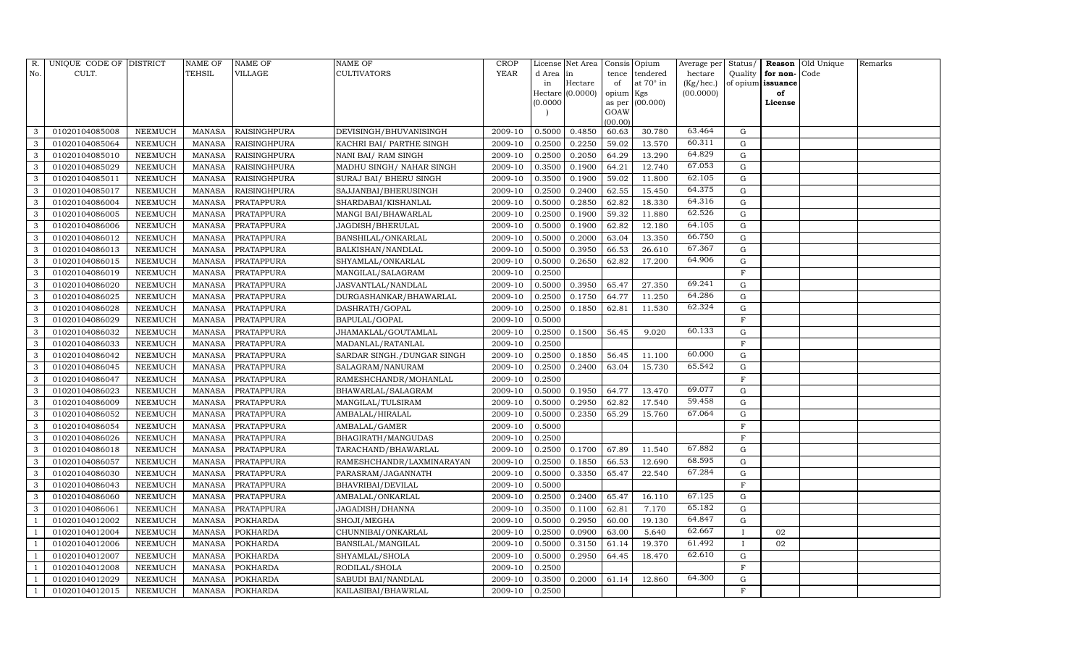| R.             | UNIQUE CODE OF DISTRICT |                | $\operatorname{NAME}$ OF | <b>NAME OF</b>      | <b>NAME OF</b>             | CROP    |           | License Net Area |                | Consis Opium     | Average per | Status/      |                   | <b>Reason</b> Old Unique | Remarks |
|----------------|-------------------------|----------------|--------------------------|---------------------|----------------------------|---------|-----------|------------------|----------------|------------------|-------------|--------------|-------------------|--------------------------|---------|
| No.            | CULT.                   |                | <b>TEHSIL</b>            | VILLAGE             | <b>CULTIVATORS</b>         | YEAR    | d Area in |                  | tence          | tendered         | hectare     | Quality      | for non-          | Code                     |         |
|                |                         |                |                          |                     |                            |         | in        | Hectare          | of             | at $70^\circ$ in | (Kg/hec.)   |              | of opium issuance |                          |         |
|                |                         |                |                          |                     |                            |         |           | Hectare (0.0000) | opium Kgs      |                  | (00.0000)   |              | of                |                          |         |
|                |                         |                |                          |                     |                            |         | (0.0000)  |                  | as per<br>GOAW | (00.000)         |             |              | License           |                          |         |
|                |                         |                |                          |                     |                            |         |           |                  | (00.00)        |                  |             |              |                   |                          |         |
| 3              | 01020104085008          | NEEMUCH        | MANASA                   | <b>RAISINGHPURA</b> | DEVISINGH/BHUVANISINGH     | 2009-10 | 0.5000    | 0.4850           | 60.63          | 30.780           | 63.464      | G            |                   |                          |         |
| 3              | 01020104085064          | NEEMUCH        | MANASA                   | <b>RAISINGHPURA</b> | KACHRI BAI/ PARTHE SINGH   | 2009-10 | 0.2500    | 0.2250           | 59.02          | 13.570           | 60.311      | G            |                   |                          |         |
| 3              | 01020104085010          | <b>NEEMUCH</b> | MANASA                   | <b>RAISINGHPURA</b> | NANI BAI/ RAM SINGH        | 2009-10 | 0.2500    | 0.2050           | 64.29          | 13.290           | 64.829      | G            |                   |                          |         |
| 3              | 01020104085029          | NEEMUCH        | MANASA                   | <b>RAISINGHPURA</b> | MADHU SINGH/ NAHAR SINGH   | 2009-10 | 0.3500    | 0.1900           | 64.21          | 12.740           | 67.053      | ${\rm G}$    |                   |                          |         |
| 3              | 01020104085011          | NEEMUCH        | MANASA                   | <b>RAISINGHPURA</b> | SURAJ BAI/ BHERU SINGH     | 2009-10 | 0.3500    | 0.1900           | 59.02          | 11.800           | 62.105      | $\mathbf G$  |                   |                          |         |
| 3              | 01020104085017          | NEEMUCH        | MANASA                   | <b>RAISINGHPURA</b> | SAJJANBAI/BHERUSINGH       | 2009-10 | 0.2500    | 0.2400           | 62.55          | 15.450           | 64.375      | G            |                   |                          |         |
| 3              | 01020104086004          | NEEMUCH        | MANASA                   | <b>PRATAPPURA</b>   | SHARDABAI/KISHANLAL        | 2009-10 | 0.5000    | 0.2850           | 62.82          | 18.330           | 64.316      | G            |                   |                          |         |
| 3              | 01020104086005          | NEEMUCH        | MANASA                   | <b>PRATAPPURA</b>   | MANGI BAI/BHAWARLAL        | 2009-10 | 0.2500    | 0.1900           | 59.32          | 11.880           | 62.526      | ${\rm G}$    |                   |                          |         |
| 3              | 01020104086006          | <b>NEEMUCH</b> | MANASA                   | <b>PRATAPPURA</b>   | JAGDISH/BHERULAL           | 2009-10 | 0.5000    | 0.1900           | 62.82          | 12.180           | 64.105      | $\mathbf G$  |                   |                          |         |
| 3              | 01020104086012          | NEEMUCH        | MANASA                   | <b>PRATAPPURA</b>   | BANSHILAL/ONKARLAL         | 2009-10 | 0.5000    | 0.2000           | 63.04          | 13.350           | 66.750      | ${\rm G}$    |                   |                          |         |
| 3              | 01020104086013          | <b>NEEMUCH</b> | MANASA                   | <b>PRATAPPURA</b>   | <b>BALKISHAN/NANDLAL</b>   | 2009-10 | 0.5000    | 0.3950           | 66.53          | 26.610           | 67.367      | ${\rm G}$    |                   |                          |         |
| $\mathbf{3}$   | 01020104086015          | <b>NEEMUCH</b> | MANASA                   | <b>PRATAPPURA</b>   | SHYAMLAL/ONKARLAL          | 2009-10 | 0.5000    | 0.2650           | 62.82          | 17.200           | 64.906      | G            |                   |                          |         |
| 3              | 01020104086019          | <b>NEEMUCH</b> | <b>MANASA</b>            | <b>PRATAPPURA</b>   | MANGILAL/SALAGRAM          | 2009-10 | 0.2500    |                  |                |                  |             | F            |                   |                          |         |
| 3              | 01020104086020          | <b>NEEMUCH</b> | MANASA                   | PRATAPPURA          | JASVANTLAL/NANDLAL         | 2009-10 | 0.5000    | 0.3950           | 65.47          | 27.350           | 69.241      | G            |                   |                          |         |
| 3              | 01020104086025          | NEEMUCH        | MANASA                   | PRATAPPURA          | DURGASHANKAR/BHAWARLAL     | 2009-10 | 0.2500    | 0.1750           | 64.77          | 11.250           | 64.286      | G            |                   |                          |         |
| 3              | 01020104086028          | NEEMUCH        | MANASA                   | PRATAPPURA          | DASHRATH/GOPAL             | 2009-10 | 0.2500    | 0.1850           | 62.81          | 11.530           | 62.324      | $\mathbf G$  |                   |                          |         |
| 3              | 01020104086029          | <b>NEEMUCH</b> | MANASA                   | <b>PRATAPPURA</b>   | <b>BAPULAL/GOPAL</b>       | 2009-10 | 0.5000    |                  |                |                  |             | $\mathbf{F}$ |                   |                          |         |
| 3              | 01020104086032          | <b>NEEMUCH</b> | MANASA                   | PRATAPPURA          | JHAMAKLAL/GOUTAMLAL        | 2009-10 | 0.2500    | 0.1500           | 56.45          | 9.020            | 60.133      | G            |                   |                          |         |
| 3              | 01020104086033          | NEEMUCH        | MANASA                   | PRATAPPURA          | MADANLAL/RATANLAL          | 2009-10 | 0.2500    |                  |                |                  |             | F            |                   |                          |         |
| 3              | 01020104086042          | NEEMUCH        | MANASA                   | PRATAPPURA          | SARDAR SINGH./DUNGAR SINGH | 2009-10 | 0.2500    | 0.1850           | 56.45          | 11.100           | 60.000      | G            |                   |                          |         |
| 3              | 01020104086045          | NEEMUCH        | MANASA                   | PRATAPPURA          | SALAGRAM/NANURAM           | 2009-10 | 0.2500    | 0.2400           | 63.04          | 15.730           | 65.542      | G            |                   |                          |         |
| 3              | 01020104086047          | <b>NEEMUCH</b> | <b>MANASA</b>            | PRATAPPURA          | RAMESHCHANDR/MOHANLAL      | 2009-10 | 0.2500    |                  |                |                  |             | $\rm F$      |                   |                          |         |
| 3              | 01020104086023          | NEEMUCH        | MANASA                   | <b>PRATAPPURA</b>   | BHAWARLAL/SALAGRAM         | 2009-10 | 0.5000    | 0.1950           | 64.77          | 13.470           | 69.077      | G            |                   |                          |         |
| 3              | 01020104086009          | <b>NEEMUCH</b> | MANASA                   | <b>PRATAPPURA</b>   | MANGILAL/TULSIRAM          | 2009-10 | 0.5000    | 0.2950           | 62.82          | 17.540           | 59.458      | ${\rm G}$    |                   |                          |         |
| 3              | 01020104086052          | NEEMUCH        | MANASA                   | <b>PRATAPPURA</b>   | AMBALAL/HIRALAL            | 2009-10 | 0.5000    | 0.2350           | 65.29          | 15.760           | 67.064      | ${\rm G}$    |                   |                          |         |
| 3              | 01020104086054          | <b>NEEMUCH</b> | <b>MANASA</b>            | PRATAPPURA          | AMBALAL/GAMER              | 2009-10 | 0.5000    |                  |                |                  |             | $\mathbf F$  |                   |                          |         |
| 3              | 01020104086026          | <b>NEEMUCH</b> | MANASA                   | <b>PRATAPPURA</b>   | BHAGIRATH/MANGUDAS         | 2009-10 | 0.2500    |                  |                |                  |             | $\mathbf F$  |                   |                          |         |
| 3              | 01020104086018          | <b>NEEMUCH</b> | <b>MANASA</b>            | PRATAPPURA          | TARACHAND/BHAWARLAL        | 2009-10 | 0.2500    | 0.1700           | 67.89          | 11.540           | 67.882      | $\mathbf G$  |                   |                          |         |
| 3              | 01020104086057          | NEEMUCH        | MANASA                   | <b>PRATAPPURA</b>   | RAMESHCHANDR/LAXMINARAYAN  | 2009-10 | 0.2500    | 0.1850           | 66.53          | 12.690           | 68.595      | G            |                   |                          |         |
| 3              | 01020104086030          | NEEMUCH        | MANASA                   | <b>PRATAPPURA</b>   | PARASRAM/JAGANNATH         | 2009-10 | 0.5000    | 0.3350           | 65.47          | 22.540           | 67.284      | ${\rm G}$    |                   |                          |         |
| 3              | 01020104086043          | <b>NEEMUCH</b> | MANASA                   | <b>PRATAPPURA</b>   | <b>BHAVRIBAI/DEVILAL</b>   | 2009-10 | 0.5000    |                  |                |                  |             | $\mathbf F$  |                   |                          |         |
| 3              | 01020104086060          | NEEMUCH        | <b>MANASA</b>            | <b>PRATAPPURA</b>   | AMBALAL/ONKARLAL           | 2009-10 | 0.2500    | 0.2400           | 65.47          | 16.110           | 67.125      | $\mathbf G$  |                   |                          |         |
| 3              | 01020104086061          | <b>NEEMUCH</b> | MANASA                   | <b>PRATAPPURA</b>   | JAGADISH/DHANNA            | 2009-10 | 0.3500    | 0.1100           | 62.81          | 7.170            | 65.182      | ${\rm G}$    |                   |                          |         |
|                | 01020104012002          | <b>NEEMUCH</b> | MANASA                   | <b>POKHARDA</b>     | SHOJI/MEGHA                | 2009-10 | 0.5000    | 0.2950           | 60.00          | 19.130           | 64.847      | ${\rm G}$    |                   |                          |         |
| - 1            | 01020104012004          | <b>NEEMUCH</b> | MANASA                   | <b>POKHARDA</b>     | CHUNNIBAI/ONKARLAL         | 2009-10 | 0.2500    | 0.0900           | 63.00          | 5.640            | 62.667      | $\mathbf{I}$ | 02                |                          |         |
|                | 01020104012006          | <b>NEEMUCH</b> | <b>MANASA</b>            | <b>POKHARDA</b>     | BANSILAL/MANGILAL          | 2009-10 | 0.5000    | 0.3150           | 61.14          | 19.370           | 61.492      | $\mathbf{I}$ | 02                |                          |         |
|                | 01020104012007          | <b>NEEMUCH</b> | MANASA                   | <b>POKHARDA</b>     | SHYAMLAL/SHOLA             | 2009-10 | 0.5000    | 0.2950           | 64.45          | 18.470           | 62.610      | G            |                   |                          |         |
|                | 01020104012008          | NEEMUCH        | <b>MANASA</b>            | <b>POKHARDA</b>     | RODILAL/SHOLA              | 2009-10 | 0.2500    |                  |                |                  |             | F            |                   |                          |         |
| $\overline{1}$ | 01020104012029          | <b>NEEMUCH</b> | MANASA                   | <b>POKHARDA</b>     | SABUDI BAI/NANDLAL         | 2009-10 | 0.3500    | 0.2000           | 61.14          | 12.860           | 64.300      | G            |                   |                          |         |
| $\mathbf{1}$   | 01020104012015          | <b>NEEMUCH</b> |                          | MANASA POKHARDA     | KAILASIBAI/BHAWRLAL        | 2009-10 | 0.2500    |                  |                |                  |             | F            |                   |                          |         |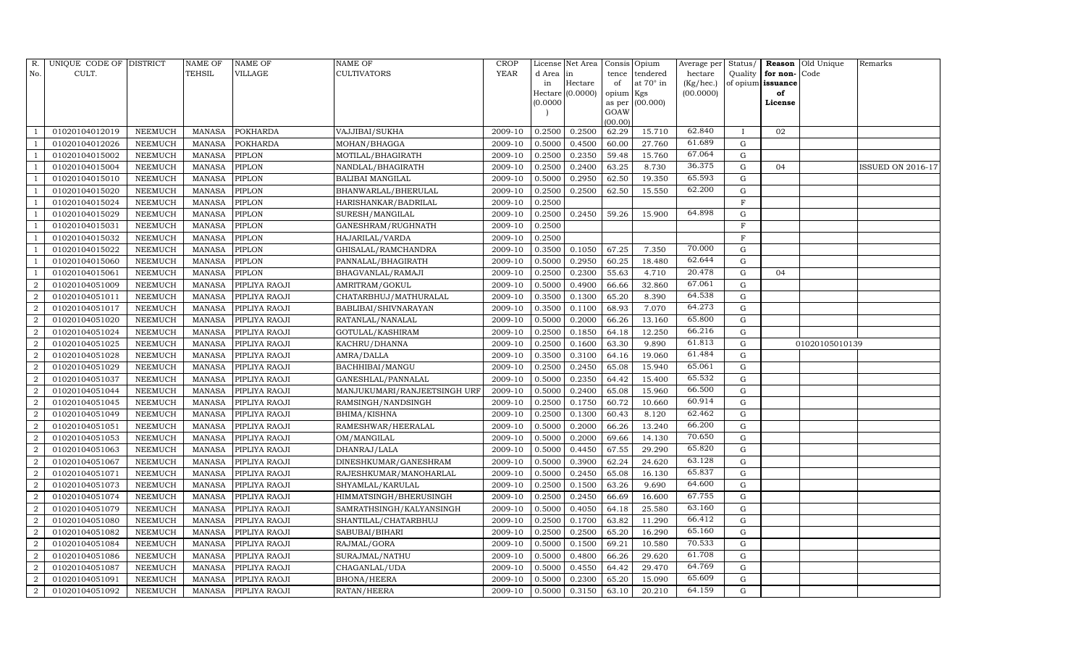| R.                     | UNIQUE CODE OF DISTRICT |                | NAME OF       | NAME OF              | NAME OF                      | CROP        |           | License Net Area |                | Consis Opium | Average per | Status/      | Reason            | Old Unique     | Remarks           |
|------------------------|-------------------------|----------------|---------------|----------------------|------------------------------|-------------|-----------|------------------|----------------|--------------|-------------|--------------|-------------------|----------------|-------------------|
| No.                    | CULT.                   |                | TEHSIL        | VILLAGE              | <b>CULTIVATORS</b>           | <b>YEAR</b> | d Area in |                  | tence          | tendered     | hectare     | Quality      | for non-          | Code           |                   |
|                        |                         |                |               |                      |                              |             | in        | Hectare          | of             | at 70° in    | (Kg/hec.)   |              | of opium issuance |                |                   |
|                        |                         |                |               |                      |                              |             |           | Hectare (0.0000) | opium Kgs      |              | (00.0000)   |              | of                |                |                   |
|                        |                         |                |               |                      |                              |             | (0.0000)  |                  | as per<br>GOAW | (00.000)     |             |              | License           |                |                   |
|                        |                         |                |               |                      |                              |             |           |                  | (00.00)        |              |             |              |                   |                |                   |
|                        | 01020104012019          | NEEMUCH        | MANASA        | <b>POKHARDA</b>      | VAJJIBAI/SUKHA               | 2009-10     | 0.2500    | 0.2500           | 62.29          | 15.710       | 62.840      | $\mathbf{I}$ | 02                |                |                   |
|                        | 01020104012026          | NEEMUCH        | <b>MANASA</b> | POKHARDA             | MOHAN/BHAGGA                 | 2009-10     | 0.5000    | 0.4500           | 60.00          | 27.760       | 61.689      | G            |                   |                |                   |
|                        | 01020104015002          | NEEMUCH        | MANASA        | PIPLON               | MOTILAL/BHAGIRATH            | 2009-10     | 0.2500    | 0.2350           | 59.48          | 15.760       | 67.064      | G            |                   |                |                   |
|                        | 01020104015004          | NEEMUCH        | MANASA        | PIPLON               | NANDLAL/BHAGIRATH            | 2009-10     | 0.2500    | 0.2400           | 63.25          | 8.730        | 36.375      | G            | 04                |                | ISSUED ON 2016-17 |
|                        | 01020104015010          | NEEMUCH        | <b>MANASA</b> | PIPLON               | <b>BALIBAI MANGILAL</b>      | 2009-10     | 0.5000    | 0.2950           | 62.50          | 19.350       | 65.593      | G            |                   |                |                   |
|                        | 01020104015020          | NEEMUCH        | <b>MANASA</b> | PIPLON               | BHANWARLAL/BHERULAL          | 2009-10     | 0.2500    | 0.2500           | 62.50          | 15.550       | 62.200      | G            |                   |                |                   |
|                        | 01020104015024          | NEEMUCH        | <b>MANASA</b> | PIPLON               | HARISHANKAR/BADRILAL         | 2009-10     | 0.2500    |                  |                |              |             | $\mathbf F$  |                   |                |                   |
|                        | 01020104015029          | NEEMUCH        | <b>MANASA</b> | PIPLON               | SURESH/MANGILAL              | 2009-10     | 0.2500    | 0.2450           | 59.26          | 15.900       | 64.898      | G            |                   |                |                   |
|                        | 01020104015031          | NEEMUCH        | <b>MANASA</b> | PIPLON               | GANESHRAM/RUGHNATH           | 2009-10     | 0.2500    |                  |                |              |             | $\mathbf{F}$ |                   |                |                   |
|                        | 01020104015032          | NEEMUCH        | MANASA        | PIPLON               | HAJARILAL/VARDA              | 2009-10     | 0.2500    |                  |                |              |             | $\mathbf{F}$ |                   |                |                   |
|                        | 01020104015022          | NEEMUCH        | <b>MANASA</b> | PIPLON               | GHISALAL/RAMCHANDRA          | 2009-10     | 0.3500    | 0.1050           | 67.25          | 7.350        | 70.000      | G            |                   |                |                   |
|                        | 01020104015060          | NEEMUCH        | MANASA        | PIPLON               | PANNALAL/BHAGIRATH           | 2009-10     | 0.5000    | 0.2950           | 60.25          | 18.480       | 62.644      | G            |                   |                |                   |
|                        | 01020104015061          | NEEMUCH        | <b>MANASA</b> | PIPLON               | BHAGVANLAL/RAMAJI            | 2009-10     | 0.2500    | 0.2300           | 55.63          | 4.710        | 20.478      | G            | 04                |                |                   |
|                        | 01020104051009          | NEEMUCH        | <b>MANASA</b> | PIPLIYA RAOJI        | AMRITRAM/GOKUL               | 2009-10     | 0.5000    | 0.4900           | 66.66          | 32.860       | 67.061      | G            |                   |                |                   |
| $\mathcal{D}$          | 01020104051011          | NEEMUCH        | <b>MANASA</b> | PIPLIYA RAOJI        | CHATARBHUJ/MATHURALAL        | 2009-10     | 0.3500    | 0.1300           | 65.20          | 8.390        | 64.538      | G            |                   |                |                   |
| 2                      | 01020104051017          | NEEMUCH        | MANASA        | PIPLIYA RAOJI        | BABLIBAI/SHIVNARAYAN         | 2009-10     | 0.3500    | 0.1100           | 68.93          | 7.070        | 64.273      | G            |                   |                |                   |
| $\mathcal{D}_{\alpha}$ | 01020104051020          | NEEMUCH        | MANASA        | PIPLIYA RAOJI        | RATANLAL/NANALAL             | 2009-10     | 0.5000    | 0.2000           | 66.26          | 13.160       | 65.800      | G            |                   |                |                   |
|                        | 01020104051024          | NEEMUCH        | MANASA        | PIPLIYA RAOJI        | GOTULAL/KASHIRAM             | 2009-10     | 0.2500    | 0.1850           | 64.18          | 12.250       | 66.216      | G            |                   |                |                   |
| $\overline{2}$         | 01020104051025          | NEEMUCH        | MANASA        | PIPLIYA RAOJI        | KACHRU/DHANNA                | 2009-10     | 0.2500    | 0.1600           | 63.30          | 9.890        | 61.813      | G            |                   | 01020105010139 |                   |
| $\mathcal{D}$          | 01020104051028          | NEEMUCH        | MANASA        | PIPLIYA RAOJI        | AMRA/DALLA                   | 2009-10     | 0.3500    | 0.3100           | 64.16          | 19.060       | 61.484      | G            |                   |                |                   |
|                        | 01020104051029          | NEEMUCH        | MANASA        | PIPLIYA RAOJI        | BACHHIBAI/MANGU              | 2009-10     | 0.2500    | 0.2450           | 65.08          | 15.940       | 65.061      | G            |                   |                |                   |
| 2                      | 01020104051037          | NEEMUCH        | <b>MANASA</b> | PIPLIYA RAOJI        | GANESHLAL/PANNALAL           | 2009-10     | 0.5000    | 0.2350           | 64.42          | 15.400       | 65.532      | G            |                   |                |                   |
| $\overline{2}$         | 01020104051044          | NEEMUCH        | MANASA        | PIPLIYA RAOJI        | MANJUKUMARI/RANJEETSINGH URF | 2009-10     | 0.5000    | 0.2400           | 65.08          | 15.960       | 66.500      | G            |                   |                |                   |
| $\mathcal{D}_{\alpha}$ | 01020104051045          | NEEMUCH        | <b>MANASA</b> | PIPLIYA RAOJI        | RAMSINGH/NANDSINGH           | 2009-10     | 0.2500    | 0.1750           | 60.72          | 10.660       | 60.914      | G            |                   |                |                   |
| $\mathcal{D}$          | 01020104051049          | NEEMUCH        | MANASA        | PIPLIYA RAOJI        | BHIMA/KISHNA                 | 2009-10     | 0.2500    | 0.1300           | 60.43          | 8.120        | 62.462      | G            |                   |                |                   |
| $\overline{2}$         | 01020104051051          | NEEMUCH        | <b>MANASA</b> | PIPLIYA RAOJI        | RAMESHWAR/HEERALAL           | 2009-10     | 0.5000    | 0.2000           | 66.26          | 13.240       | 66.200      | G            |                   |                |                   |
| 2                      | 01020104051053          | NEEMUCH        | MANASA        | PIPLIYA RAOJI        | OM/MANGILAL                  | 2009-10     | 0.5000    | 0.2000           | 69.66          | 14.130       | 70.650      | G            |                   |                |                   |
| $\mathcal{D}$          | 01020104051063          | NEEMUCH        | <b>MANASA</b> | PIPLIYA RAOJI        | DHANRAJ/LALA                 | 2009-10     | 0.5000    | 0.4450           | 67.55          | 29.290       | 65.820      | G            |                   |                |                   |
| $\overline{2}$         | 01020104051067          | NEEMUCH        | MANASA        | PIPLIYA RAOJI        | DINESHKUMAR/GANESHRAM        | 2009-10     | 0.5000    | 0.3900           | 62.24          | 24.620       | 63.128      | G            |                   |                |                   |
| $\overline{2}$         | 01020104051071          | NEEMUCH        | <b>MANASA</b> | PIPLIYA RAOJI        | RAJESHKUMAR/MANOHARLAL       | 2009-10     | 0.5000    | 0.2450           | 65.08          | 16.130       | 65.837      | G            |                   |                |                   |
| 2                      | 01020104051073          | NEEMUCH        | MANASA        | PIPLIYA RAOJI        | SHYAMLAL/KARULAL             | 2009-10     | 0.2500    | 0.1500           | 63.26          | 9.690        | 64.600      | G            |                   |                |                   |
| $\overline{2}$         | 01020104051074          | NEEMUCH        | <b>MANASA</b> | PIPLIYA RAOJI        | HIMMATSINGH/BHERUSINGH       | 2009-10     | 0.2500    | 0.2450           | 66.69          | 16.600       | 67.755      | G            |                   |                |                   |
| $\overline{2}$         | 01020104051079          | NEEMUCH        | <b>MANASA</b> | PIPLIYA RAOJI        | SAMRATHSINGH/KALYANSINGH     | 2009-10     | 0.5000    | 0.4050           | 64.18          | 25.580       | 63.160      | G            |                   |                |                   |
| $\overline{2}$         | 01020104051080          | NEEMUCH        | MANASA        | PIPLIYA RAOJI        | SHANTILAL/CHATARBHUJ         | 2009-10     | 0.2500    | 0.1700           | 63.82          | 11.290       | 66.412      | G            |                   |                |                   |
| 2                      | 01020104051082          | NEEMUCH        | <b>MANASA</b> | PIPLIYA RAOJI        | SABUBAI/BIHARI               | 2009-10     | 0.2500    | 0.2500           | 65.20          | 16.290       | 65.160      | G            |                   |                |                   |
| $\mathcal{D}$          | 01020104051084          | NEEMUCH        | MANASA        | PIPLIYA RAOJI        | RAJMAL/GORA                  | 2009-10     | 0.5000    | 0.1500           | 69.21          | 10.580       | 70.533      | G            |                   |                |                   |
| $\mathcal{D}$          | 01020104051086          | NEEMUCH        | <b>MANASA</b> | PIPLIYA RAOJI        | SURAJMAL/NATHU               | 2009-10     | 0.5000    | 0.4800           | 66.26          | 29.620       | 61.708      | G            |                   |                |                   |
| 2                      | 01020104051087          | NEEMUCH        | <b>MANASA</b> | PIPLIYA RAOJI        | CHAGANLAL/UDA                | 2009-10     | 0.5000    | 0.4550           | 64.42          | 29.470       | 64.769      | G            |                   |                |                   |
| 2                      | 01020104051091          | <b>NEEMUCH</b> | <b>MANASA</b> | PIPLIYA RAOJI        | <b>BHONA/HEERA</b>           | 2009-10     | 0.5000    | 0.2300           | 65.20          | 15.090       | 65.609      | G            |                   |                |                   |
| $\overline{2}$         | 01020104051092          | NEEMUCH        |               | MANASA PIPLIYA RAOJI | RATAN/HEERA                  | 2009-10     | 0.5000    | 0.3150           | 63.10          | 20.210       | 64.159      | G            |                   |                |                   |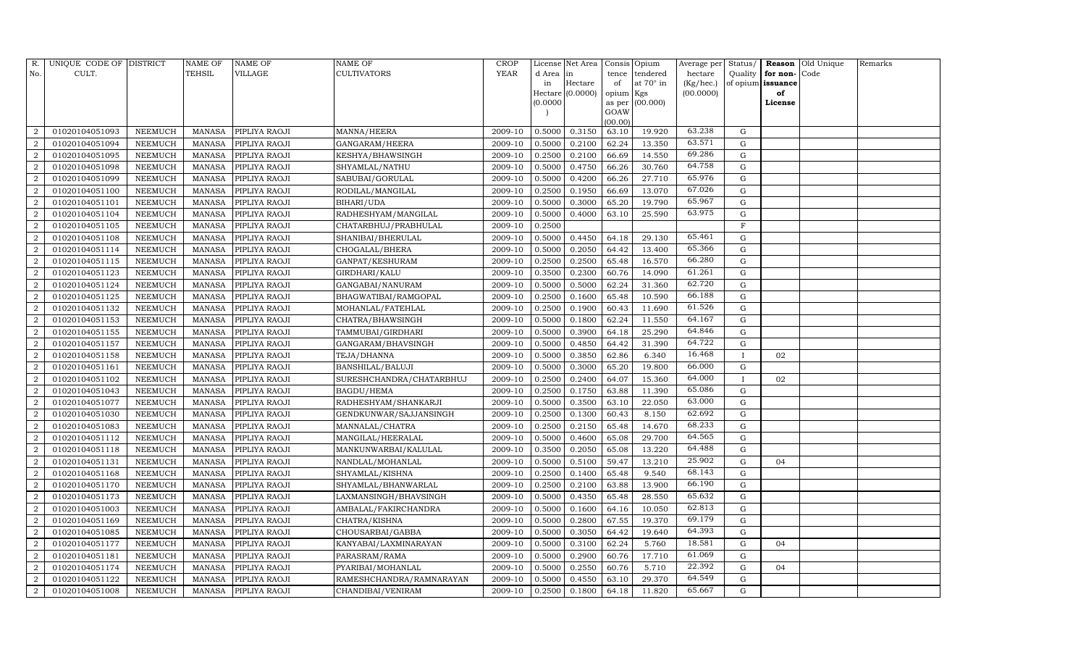| R.             | UNIQUE CODE OF DISTRICT |                | NAME OF       | NAME OF       | NAME OF                  | CROP        |           | License Net Area |                | Consis Opium | Average per | Status/      |          | Reason Old Unique | Remarks |
|----------------|-------------------------|----------------|---------------|---------------|--------------------------|-------------|-----------|------------------|----------------|--------------|-------------|--------------|----------|-------------------|---------|
| No.            | CULT.                   |                | TEHSIL        | VILLAGE       | CULTIVATORS              | <b>YEAR</b> | d Area in |                  | tence          | tendered     | hectare     | Quality      | for non- | Code              |         |
|                |                         |                |               |               |                          |             | in        | Hectare          | of             | at 70° in    | (Kg/hec.)   | of opium     | issuance |                   |         |
|                |                         |                |               |               |                          |             |           | Hectare (0.0000) | opium Kgs      |              | (00.0000)   |              | of       |                   |         |
|                |                         |                |               |               |                          |             | (0.0000)  |                  | as per<br>GOAW | (00.000)     |             |              | License  |                   |         |
|                |                         |                |               |               |                          |             |           |                  | (00.00)        |              |             |              |          |                   |         |
|                | 01020104051093          | NEEMUCH        | MANASA        | PIPLIYA RAOJI | MANNA/HEERA              | 2009-10     | 0.5000    | 0.3150           | 63.10          | 19.920       | 63.238      | G            |          |                   |         |
| $\overline{2}$ | 01020104051094          | NEEMUCH        | <b>MANASA</b> | PIPLIYA RAOJI | GANGARAM/HEERA           | 2009-10     | 0.5000    | 0.2100           | 62.24          | 13.350       | 63.571      | G            |          |                   |         |
| $\overline{2}$ | 01020104051095          | NEEMUCH        | MANASA        | PIPLIYA RAOJI | KESHYA/BHAWSINGH         | 2009-10     | 0.2500    | 0.2100           | 66.69          | 14.550       | 69.286      | G            |          |                   |         |
| $\mathcal{D}$  | 01020104051098          | NEEMUCH        | <b>MANASA</b> | PIPLIYA RAOJI | SHYAMLAL/NATHU           | 2009-10     | 0.5000    | 0.4750           | 66.26          | 30.760       | 64.758      | G            |          |                   |         |
| 2              | 01020104051099          | NEEMUCH        | <b>MANASA</b> | PIPLIYA RAOJI | SABUBAI/GORULAL          | 2009-10     | 0.5000    | 0.4200           | 66.26          | 27.710       | 65.976      | G            |          |                   |         |
|                | 01020104051100          | NEEMUCH        | <b>MANASA</b> | PIPLIYA RAOJI | RODILAL/MANGILAL         | 2009-10     | 0.2500    | 0.1950           | 66.69          | 13.070       | 67.026      | ${\rm G}$    |          |                   |         |
| $\mathcal{D}$  | 01020104051101          | NEEMUCH        | <b>MANASA</b> | PIPLIYA RAOJI | BIHARI/UDA               | 2009-10     | 0.5000    | 0.3000           | 65.20          | 19.790       | 65.967      | G            |          |                   |         |
| 2              | 01020104051104          | NEEMUCH        | <b>MANASA</b> | PIPLIYA RAOJI | RADHESHYAM/MANGILAL      | 2009-10     | 0.5000    | 0.4000           | 63.10          | 25.590       | 63.975      | ${\rm G}$    |          |                   |         |
| 2              | 01020104051105          | NEEMUCH        | <b>MANASA</b> | PIPLIYA RAOJI | CHATARBHUJ/PRABHULAL     | 2009-10     | 0.2500    |                  |                |              |             | $\mathbf F$  |          |                   |         |
|                | 01020104051108          | NEEMUCH        | <b>MANASA</b> | PIPLIYA RAOJI | SHANIBAI/BHERULAL        | 2009-10     | 0.5000    | 0.4450           | 64.18          | 29.130       | 65.461      | ${\rm G}$    |          |                   |         |
| 2              | 01020104051114          | NEEMUCH        | <b>MANASA</b> | PIPLIYA RAOJI | CHOGALAL/BHERA           | 2009-10     | 0.5000    | 0.2050           | 64.42          | 13.400       | 65.366      | ${\rm G}$    |          |                   |         |
| 2              | 01020104051115          | NEEMUCH        | MANASA        | PIPLIYA RAOJI | GANPAT/KESHURAM          | 2009-10     | 0.2500    | 0.2500           | 65.48          | 16.570       | 66.280      | G            |          |                   |         |
| $\overline{2}$ | 01020104051123          | <b>NEEMUCH</b> | <b>MANASA</b> | PIPLIYA RAOJI | GIRDHARI/KALU            | 2009-10     | 0.3500    | 0.2300           | 60.76          | 14.090       | 61.261      | G            |          |                   |         |
| $\overline{2}$ | 01020104051124          | NEEMUCH        | <b>MANASA</b> | PIPLIYA RAOJI | GANGABAI/NANURAM         | 2009-10     | 0.5000    | 0.5000           | 62.24          | 31.360       | 62.720      | ${\rm G}$    |          |                   |         |
| $\overline{2}$ | 01020104051125          | NEEMUCH        | <b>MANASA</b> | PIPLIYA RAOJI | BHAGWATIBAI/RAMGOPAL     | 2009-10     | 0.2500    | 0.1600           | 65.48          | 10.590       | 66.188      | G            |          |                   |         |
| 2              | 01020104051132          | NEEMUCH        | <b>MANASA</b> | PIPLIYA RAOJI | MOHANLAL/FATEHLAL        | 2009-10     | 0.2500    | 0.1900           | 60.43          | 11.690       | 61.526      | ${\rm G}$    |          |                   |         |
| $\overline{2}$ | 01020104051153          | <b>NEEMUCH</b> | <b>MANASA</b> | PIPLIYA RAOJI | CHATRA/BHAWSINGH         | 2009-10     | 0.5000    | 0.1800           | 62.24          | 11.550       | 64.167      | G            |          |                   |         |
| $\overline{2}$ | 01020104051155          | NEEMUCH        | <b>MANASA</b> | PIPLIYA RAOJI | TAMMUBAI/GIRDHARI        | 2009-10     | 0.5000    | 0.3900           | 64.18          | 25.290       | 64.846      | G            |          |                   |         |
| $\overline{2}$ | 01020104051157          | NEEMUCH        | <b>MANASA</b> | PIPLIYA RAOJI | GANGARAM/BHAVSINGH       | 2009-10     | 0.5000    | 0.4850           | 64.42          | 31.390       | 64.722      | ${\rm G}$    |          |                   |         |
| 2              | 01020104051158          | NEEMUCH        | <b>MANASA</b> | PIPLIYA RAOJI | TEJA/DHANNA              | 2009-10     | 0.5000    | 0.3850           | 62.86          | 6.340        | 16.468      | $\mathbf{I}$ | 02       |                   |         |
| $\overline{2}$ | 01020104051161          | NEEMUCH        | <b>MANASA</b> | PIPLIYA RAOJI | BANSHILAL/BALUJI         | 2009-10     | 0.5000    | 0.3000           | 65.20          | 19.800       | 66.000      | ${\rm G}$    |          |                   |         |
| $\overline{2}$ | 01020104051102          | NEEMUCH        | <b>MANASA</b> | PIPLIYA RAOJI | SURESHCHANDRA/CHATARBHUJ | 2009-10     | 0.2500    | 0.2400           | 64.07          | 15.360       | 64.000      | $\mathbf{I}$ | 02       |                   |         |
| $\overline{2}$ | 01020104051043          | NEEMUCH        | <b>MANASA</b> | PIPLIYA RAOJI | <b>BAGDU/HEMA</b>        | 2009-10     | 0.2500    | 0.1750           | 63.88          | 11.390       | 65.086      | G            |          |                   |         |
| 2              | 01020104051077          | <b>NEEMUCH</b> | <b>MANASA</b> | PIPLIYA RAOJI | RADHESHYAM/SHANKARJI     | 2009-10     | 0.5000    | 0.3500           | 63.10          | 22.050       | 63.000      | G            |          |                   |         |
|                | 01020104051030          | NEEMUCH        | <b>MANASA</b> | PIPLIYA RAOJI | GENDKUNWAR/SAJJANSINGH   | 2009-10     | 0.2500    | 0.1300           | 60.43          | 8.150        | 62.692      | ${\rm G}$    |          |                   |         |
| $\overline{2}$ | 01020104051083          | NEEMUCH        | <b>MANASA</b> | PIPLIYA RAOJI | MANNALAL/CHATRA          | 2009-10     | 0.2500    | 0.2150           | 65.48          | 14.670       | 68.233      | G            |          |                   |         |
| $\overline{2}$ | 01020104051112          | NEEMUCH        | <b>MANASA</b> | PIPLIYA RAOJI | MANGILAL/HEERALAL        | 2009-10     | 0.5000    | 0.4600           | 65.08          | 29.700       | 64.565      | ${\rm G}$    |          |                   |         |
| 2              | 01020104051118          | <b>NEEMUCH</b> | <b>MANASA</b> | PIPLIYA RAOJI | MANKUNWARBAI/KALULAL     | 2009-10     | 0.3500    | 0.2050           | 65.08          | 13.220       | 64.488      | G            |          |                   |         |
| $\overline{2}$ | 01020104051131          | NEEMUCH        | <b>MANASA</b> | PIPLIYA RAOJI | NANDLAL/MOHANLAL         | 2009-10     | 0.5000    | 0.5100           | 59.47          | 13.210       | 25.902      | G            | 04       |                   |         |
| $\overline{2}$ | 01020104051168          | NEEMUCH        | <b>MANASA</b> | PIPLIYA RAOJI | SHYAMLAL/KISHNA          | 2009-10     | 0.2500    | 0.1400           | 65.48          | 9.540        | 68.143      | ${\rm G}$    |          |                   |         |
| $\overline{2}$ | 01020104051170          | NEEMUCH        | <b>MANASA</b> | PIPLIYA RAOJI | SHYAMLAL/BHANWARLAL      | 2009-10     | 0.2500    | 0.2100           | 63.88          | 13.900       | 66.190      | G            |          |                   |         |
| 2              | 01020104051173          | NEEMUCH        | <b>MANASA</b> | PIPLIYA RAOJI | LAXMANSINGH/BHAVSINGH    | 2009-10     | 0.5000    | 0.4350           | 65.48          | 28.550       | 65.632      | ${\rm G}$    |          |                   |         |
|                | 01020104051003          | NEEMUCH        | <b>MANASA</b> | PIPLIYA RAOJI | AMBALAL/FAKIRCHANDRA     | 2009-10     | 0.5000    | 0.1600           | 64.16          | 10.050       | 62.813      | ${\rm G}$    |          |                   |         |
| $\overline{2}$ | 01020104051169          | NEEMUCH        | <b>MANASA</b> | PIPLIYA RAOJI | CHATRA/KISHNA            | 2009-10     | 0.5000    | 0.2800           | 67.55          | 19.370       | 69.179      | ${\rm G}$    |          |                   |         |
| 2              | 01020104051085          | NEEMUCH        | <b>MANASA</b> | PIPLIYA RAOJI | CHOUSARBAI/GABBA         | 2009-10     | 0.5000    | 0.3050           | 64.42          | 19.640       | 64.393      | ${\rm G}$    |          |                   |         |
| $\mathcal{D}$  | 01020104051177          | NEEMUCH        | <b>MANASA</b> | PIPLIYA RAOJI | KANYABAI/LAXMINARAYAN    | 2009-10     | 0.5000    | 0.3100           | 62.24          | 5.760        | 18.581      | G            | 04       |                   |         |
| $\overline{2}$ | 01020104051181          | NEEMUCH        | <b>MANASA</b> | PIPLIYA RAOJI | PARASRAM/RAMA            | 2009-10     | 0.5000    | 0.2900           | 60.76          | 17.710       | 61.069      | G            |          |                   |         |
| $\overline{2}$ | 01020104051174          | NEEMUCH        | <b>MANASA</b> | PIPLIYA RAOJI | PYARIBAI/MOHANLAL        | 2009-10     | 0.5000    | 0.2550           | 60.76          | 5.710        | 22.392      | G            | 04       |                   |         |
| 2              | 01020104051122          | NEEMUCH        | <b>MANASA</b> | PIPLIYA RAOJI | RAMESHCHANDRA/RAMNARAYAN | 2009-10     | 0.5000    | 0.4550           | 63.10          | 29.370       | 64.549      | G            |          |                   |         |
| $\,2$          | 01020104051008          | <b>NEEMUCH</b> | MANASA        | PIPLIYA RAOJI | CHANDIBAI/VENIRAM        | 2009-10     | 0.2500    | 0.1800           | 64.18          | 11.820       | 65.667      | G            |          |                   |         |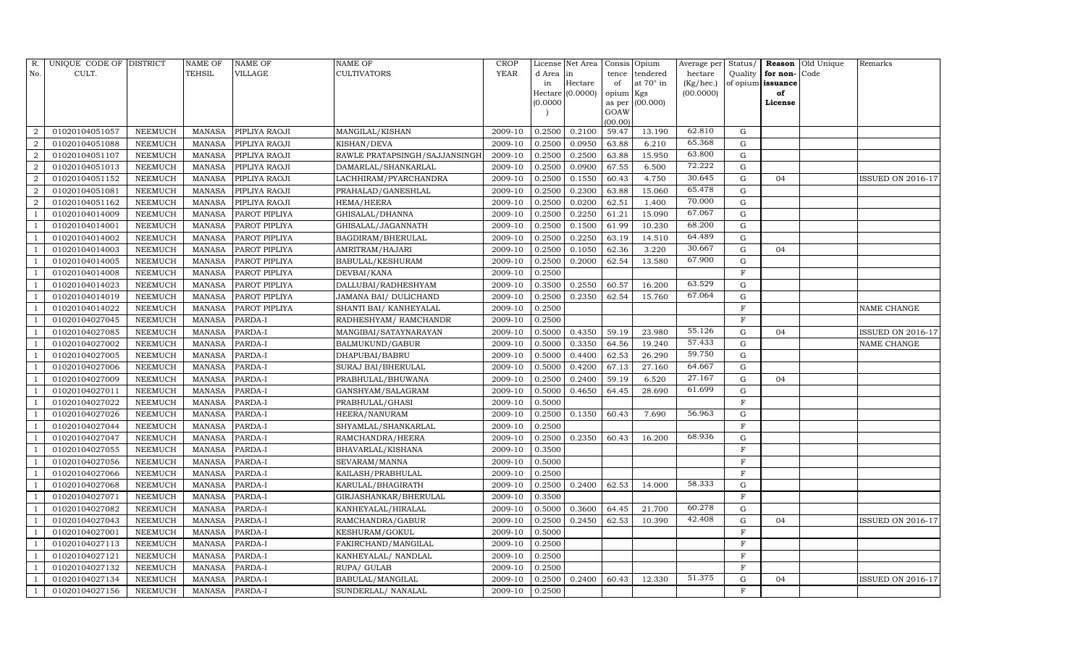| R.                     | UNIQUE CODE OF DISTRICT |                 | <b>NAME OF</b> | NAME OF       | <b>NAME OF</b>                | CROP    |          | License Net Area | Consis Opium        |           | Average per | Status/     |                   | <b>Reason</b> Old Unique | Remarks                  |
|------------------------|-------------------------|-----------------|----------------|---------------|-------------------------------|---------|----------|------------------|---------------------|-----------|-------------|-------------|-------------------|--------------------------|--------------------------|
| No.                    | CULT.                   |                 | TEHSIL         | VILLAGE       | <b>CULTIVATORS</b>            | YEAR    | d Area   | in               | tence               | tendered  | hectare     | Quality     | for non-          | Code                     |                          |
|                        |                         |                 |                |               |                               |         | in       | Hectare          | of                  | at 70° in | (Kg/hec.)   |             | of opium issuance |                          |                          |
|                        |                         |                 |                |               |                               |         | (0.0000) | Hectare (0.0000) | opium Kgs<br>as per | (00.000)  | (00.0000)   |             | of<br>License     |                          |                          |
|                        |                         |                 |                |               |                               |         |          |                  | GOAW                |           |             |             |                   |                          |                          |
|                        |                         |                 |                |               |                               |         |          |                  | (00.00)             |           |             |             |                   |                          |                          |
| $\mathcal{D}$          | 01020104051057          | ${\tt NEEMUCH}$ | MANASA         | PIPLIYA RAOJI | MANGILAL/KISHAN               | 2009-10 | 0.2500   | 0.2100           | 59.47               | 13.190    | 62.810      | ${\rm G}$   |                   |                          |                          |
|                        | 01020104051088          | NEEMUCH         | MANASA         | PIPLIYA RAOJI | KISHAN/DEVA                   | 2009-10 | 0.2500   | 0.0950           | 63.88               | 6.210     | 65.368      | ${\rm G}$   |                   |                          |                          |
| $\mathcal{D}$          | 01020104051107          | NEEMUCH         | <b>MANASA</b>  | PIPLIYA RAOJI | RAWLE PRATAPSINGH/SAJJANSINGH | 2009-10 | 0.2500   | 0.2500           | 63.88               | 15.950    | 63.800      | ${\rm G}$   |                   |                          |                          |
| $\overline{2}$         | 01020104051013          | NEEMUCH         | MANASA         | PIPLIYA RAOJI | DAMARLAL/SHANKARLAL           | 2009-10 | 0.2500   | 0.0900           | 67.55               | 6.500     | 72.222      | ${\rm G}$   |                   |                          |                          |
| $\mathcal{D}_{\alpha}$ | 01020104051152          | NEEMUCH         | <b>MANASA</b>  | PIPLIYA RAOJI | LACHHIRAM/PYARCHANDRA         | 2009-10 | 0.2500   | 0.1550           | 60.43               | 4.750     | 30.645      | $\mathbf G$ | 04                |                          | <b>ISSUED ON 2016-17</b> |
| $\overline{2}$         | 01020104051081          | <b>NEEMUCH</b>  | MANASA         | PIPLIYA RAOJI | PRAHALAD/GANESHLAL            | 2009-10 | 0.2500   | 0.2300           | 63.88               | 15.060    | 65.478      | ${\rm G}$   |                   |                          |                          |
| $\mathcal{D}$          | 01020104051162          | NEEMUCH         | MANASA         | PIPLIYA RAOJI | <b>HEMA/HEERA</b>             | 2009-10 | 0.2500   | 0.0200           | 62.51               | 1.400     | 70.000      | G           |                   |                          |                          |
|                        | 01020104014009          | <b>NEEMUCH</b>  | MANASA         | PAROT PIPLIYA | GHISALAL/DHANNA               | 2009-10 | 0.2500   | 0.2250           | 61.21               | 15.090    | 67.067      | ${\rm G}$   |                   |                          |                          |
|                        | 01020104014001          | NEEMUCH         | <b>MANASA</b>  | PAROT PIPLIYA | GHISALAL/JAGANNATH            | 2009-10 | 0.2500   | 0.1500           | 61.99               | 10.230    | 68.200      | $\mathbf G$ |                   |                          |                          |
|                        | 01020104014002          | NEEMUCH         | MANASA         | PAROT PIPLIYA | BAGDIRAM/BHERULAL             | 2009-10 | 0.2500   | 0.2250           | 63.19               | 14.510    | 64.489      | ${\rm G}$   |                   |                          |                          |
|                        | 01020104014003          | NEEMUCH         | MANASA         | PAROT PIPLIYA | AMRITRAM/HAJARI               | 2009-10 | 0.2500   | 0.1050           | 62.36               | 3.220     | 30.667      | ${\rm G}$   | 04                |                          |                          |
|                        | 01020104014005          | <b>NEEMUCH</b>  | <b>MANASA</b>  | PAROT PIPLIYA | <b>BABULAL/KESHURAM</b>       | 2009-10 | 0.2500   | 0.2000           | 62.54               | 13.580    | 67.900      | $\mathbf G$ |                   |                          |                          |
|                        | 01020104014008          | <b>NEEMUCH</b>  | <b>MANASA</b>  | PAROT PIPLIYA | DEVBAI/KANA                   | 2009-10 | 0.2500   |                  |                     |           |             | $\mathbf F$ |                   |                          |                          |
|                        | 01020104014023          | <b>NEEMUCH</b>  | <b>MANASA</b>  | PAROT PIPLIYA | DALLUBAI/RADHESHYAM           | 2009-10 | 0.3500   | 0.2550           | 60.57               | 16.200    | 63.529      | ${\rm G}$   |                   |                          |                          |
|                        | 01020104014019          | NEEMUCH         | MANASA         | PAROT PIPLIYA | JAMANA BAI/ DULICHAND         | 2009-10 | 0.2500   | 0.2350           | 62.54               | 15.760    | 67.064      | ${\rm G}$   |                   |                          |                          |
|                        | 01020104014022          | <b>NEEMUCH</b>  | <b>MANASA</b>  | PAROT PIPLIYA | SHANTI BAI/ KANHEYALAL        | 2009-10 | 0.2500   |                  |                     |           |             | $\mathbf F$ |                   |                          | NAME CHANGE              |
|                        | 01020104027045          | <b>NEEMUCH</b>  | <b>MANASA</b>  | PARDA-I       | RADHESHYAM / RAMCHANDR        | 2009-10 | 0.2500   |                  |                     |           |             | $\mathbf F$ |                   |                          |                          |
|                        | 01020104027085          | <b>NEEMUCH</b>  | <b>MANASA</b>  | PARDA-I       | MANGIBAI/SATAYNARAYAN         | 2009-10 | 0.5000   | 0.4350           | 59.19               | 23.980    | 55.126      | ${\rm G}$   | 04                |                          | <b>ISSUED ON 2016-17</b> |
|                        | 01020104027002          | <b>NEEMUCH</b>  | <b>MANASA</b>  | PARDA-I       | BALMUKUND/GABUR               | 2009-10 | 0.5000   | 0.3350           | 64.56               | 19.240    | 57.433      | ${\rm G}$   |                   |                          | NAME CHANGE              |
|                        | 01020104027005          | <b>NEEMUCH</b>  | <b>MANASA</b>  | PARDA-I       | DHAPUBAI/BABRU                | 2009-10 | 0.5000   | 0.4400           | 62.53               | 26.290    | 59.750      | $\mathbf G$ |                   |                          |                          |
|                        | 01020104027006          | NEEMUCH         | MANASA         | PARDA-I       | SURAJ BAI/BHERULAL            | 2009-10 | 0.5000   | 0.4200           | 67.13               | 27.160    | 64.667      | ${\rm G}$   |                   |                          |                          |
|                        | 01020104027009          | NEEMUCH         | <b>MANASA</b>  | PARDA-I       | PRABHULAL/BHUWANA             | 2009-10 | 0.2500   | 0.2400           | 59.19               | 6.520     | 27.167      | ${\rm G}$   | 04                |                          |                          |
|                        | 01020104027011          | NEEMUCH         | MANASA         | PARDA-I       | GANSHYAM/SALAGRAM             | 2009-10 | 0.5000   | 0.4650           | 64.45               | 28.690    | 61.699      | $\mathbf G$ |                   |                          |                          |
|                        | 01020104027022          | <b>NEEMUCH</b>  | <b>MANASA</b>  | PARDA-I       | PRABHULAL/GHASI               | 2009-10 | 0.5000   |                  |                     |           |             | $\mathbf F$ |                   |                          |                          |
|                        | 01020104027026          | NEEMUCH         | MANASA         | PARDA-I       | HEERA/NANURAM                 | 2009-10 | 0.2500   | 0.1350           | 60.43               | 7.690     | 56.963      | ${\rm G}$   |                   |                          |                          |
|                        | 01020104027044          | NEEMUCH         | <b>MANASA</b>  | PARDA-I       | SHYAMLAL/SHANKARLAL           | 2009-10 | 0.2500   |                  |                     |           |             | $\mathbf F$ |                   |                          |                          |
|                        | 01020104027047          | NEEMUCH         | MANASA         | PARDA-I       | RAMCHANDRA/HEERA              | 2009-10 | 0.2500   | 0.2350           | 60.43               | 16.200    | 68.936      | $\mathbf G$ |                   |                          |                          |
|                        | 01020104027055          | <b>NEEMUCH</b>  | <b>MANASA</b>  | PARDA-I       | BHAVARLAL/KISHANA             | 2009-10 | 0.3500   |                  |                     |           |             | $\mathbf F$ |                   |                          |                          |
|                        | 01020104027056          | NEEMUCH         | <b>MANASA</b>  | PARDA-I       | SEVARAM/MANNA                 | 2009-10 | 0.5000   |                  |                     |           |             | $\mathbf F$ |                   |                          |                          |
|                        | 01020104027066          | <b>NEEMUCH</b>  | <b>MANASA</b>  | PARDA-I       | KAILASH/PRABHULAL             | 2009-10 | 0.2500   |                  |                     |           |             | $\mathbf F$ |                   |                          |                          |
|                        | 01020104027068          | NEEMUCH         | MANASA         | PARDA-I       | KARULAL/BHAGIRATH             | 2009-10 | 0.2500   | 0.2400           | 62.53               | 14.000    | 58.333      | G           |                   |                          |                          |
|                        | 01020104027071          | <b>NEEMUCH</b>  | <b>MANASA</b>  | PARDA-I       | GIRJASHANKAR/BHERULAL         | 2009-10 | 0.3500   |                  |                     |           |             | F           |                   |                          |                          |
|                        | 01020104027082          | NEEMUCH         | <b>MANASA</b>  | PARDA-I       | KANHEYALAL/HIRALAL            | 2009-10 | 0.5000   | 0.3600           | 64.45               | 21.700    | 60.278      | G           |                   |                          |                          |
|                        | 01020104027043          | NEEMUCH         | MANASA         | PARDA-I       | RAMCHANDRA/GABUR              | 2009-10 | 0.2500   | 0.2450           | 62.53               | 10.390    | 42.408      | G           | 04                |                          | ISSUED ON 2016-17        |
|                        | 01020104027001          | NEEMUCH         | MANASA         | PARDA-I       | KESHURAM/GOKUL                | 2009-10 | 0.5000   |                  |                     |           |             | $\mathbf F$ |                   |                          |                          |
|                        | 01020104027113          | NEEMUCH         | MANASA         | PARDA-I       | FAKIRCHAND/MANGILAL           | 2009-10 | 0.2500   |                  |                     |           |             | $\mathbf F$ |                   |                          |                          |
|                        | 01020104027121          | NEEMUCH         | MANASA         | PARDA-I       | KANHEYALAL/ NANDLAL           | 2009-10 | 0.2500   |                  |                     |           |             | $\mathbf F$ |                   |                          |                          |
|                        | 01020104027132          | NEEMUCH         | MANASA         | PARDA-I       | RUPA/ GULAB                   | 2009-10 | 0.2500   |                  |                     |           |             | F           |                   |                          |                          |
|                        | 01020104027134          | <b>NEEMUCH</b>  | <b>MANASA</b>  | PARDA-I       | BABULAL/MANGILAL              | 2009-10 | 0.2500   | 0.2400           | 60.43               | 12.330    | 51.375      | G           | 04                |                          | <b>ISSUED ON 2016-17</b> |
|                        | 01020104027156          | NEEMUCH         | MANASA         | PARDA-I       | SUNDERLAL/ NANALAL            | 2009-10 | 0.2500   |                  |                     |           |             | F           |                   |                          |                          |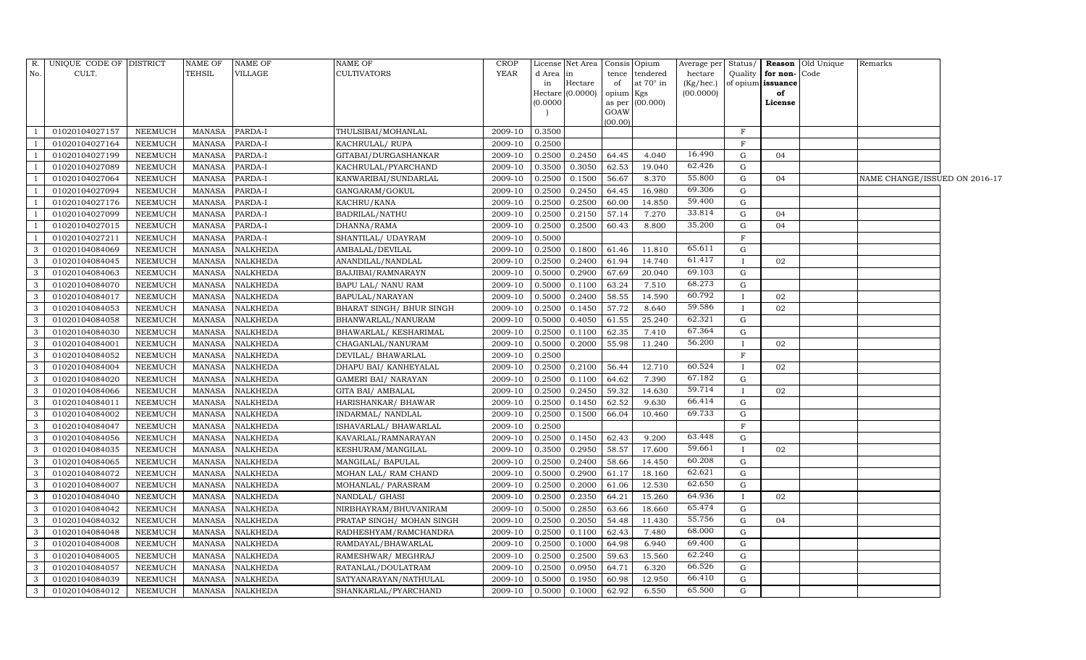| No.<br>CULT.<br>TEHSIL<br>VILLAGE<br><b>CULTIVATORS</b><br>YEAR<br>d Area<br>tendered<br>hectare<br>Quality<br>for non-Code<br>tence<br>in<br>at $70^\circ$ in<br>Hectare<br>(Kg/hec.)<br>of opium issuance<br>in<br>of<br>Hectare (0.0000)<br>(00.0000)<br>opium<br>Kgs<br>of<br>(00.000)<br>(0.0000)<br>as per<br>License<br>GOAW<br>(00.00)<br>01020104027157<br>NEEMUCH<br>PARDA-I<br>THULSIBAI/MOHANLAL<br>F<br><b>MANASA</b><br>2009-10<br>0.3500<br>01020104027164<br>NEEMUCH<br><b>MANASA</b><br>PARDA-I<br>KACHRULAL/ RUPA<br>0.2500<br>F<br>2009-10<br>16.490<br>01020104027199<br>NEEMUCH<br><b>MANASA</b><br>PARDA-I<br>GITABAI/DURGASHANKAR<br>2009-10<br>0.2500<br>0.2450<br>64.45<br>4.040<br>G<br>04<br>62.426<br>01020104027089<br><b>NEEMUCH</b><br><b>MANASA</b><br>2009-10<br>0.3500<br>0.3050<br>62.53<br>19.040<br>G<br>PARDA-I<br>KACHRULAL/PYARCHAND<br>55.800<br>01020104027064<br><b>MANASA</b><br>PARDA-I<br>8.370<br><b>NEEMUCH</b><br>KANWARIBAI/SUNDARLAL<br>2009-10<br>0.2500<br>0.1500<br>56.67<br>G<br>04<br>NAME CHANGE/ISSUED ON 2016-17<br>69.306<br>01020104027094<br><b>NEEMUCH</b><br><b>MANASA</b><br>PARDA-I<br>GANGARAM/GOKUL<br>2009-10<br>0.2500<br>0.2450<br>64.45<br>16.980<br>G<br>59.400<br>01020104027176<br>0.2500<br>0.2500<br>NEEMUCH<br><b>MANASA</b><br>PARDA-I<br>KACHRU/KANA<br>2009-10<br>60.00<br>14.850<br>G<br>33.814<br>01020104027099<br>2009-10<br>0.2150<br>57.14<br>7.270<br><b>NEEMUCH</b><br><b>MANASA</b><br>PARDA-I<br>BADRILAL/NATHU<br>0.2500<br>G<br>04<br>35.200<br>01020104027015<br>0.2500<br>8.800<br>NEEMUCH<br><b>MANASA</b><br>PARDA-I<br>DHANNA/RAMA<br>2009-10<br>0.2500<br>60.43<br>G<br>04<br>0.5000<br>$\mathbf F$<br>01020104027211<br><b>NEEMUCH</b><br><b>MANASA</b><br>PARDA-I<br>SHANTILAL/ UDAYRAM<br>2009-10<br>65.611<br>01020104084069<br><b>NEEMUCH</b><br><b>MANASA</b><br><b>NALKHEDA</b><br>2009-10<br>0.2500<br>0.1800<br>61.46<br>11.810<br>G<br>3<br>AMBALAL/DEVILAL<br>61.417<br>$\mathbf{3}$<br>01020104084045<br><b>NEEMUCH</b><br><b>NALKHEDA</b><br>0.2500<br>0.2400<br>61.94<br>14.740<br>MANASA<br>ANANDILAL/NANDLAL<br>2009-10<br>02<br>$\mathbf{I}$<br>69.103<br>01020104084063<br><b>NEEMUCH</b><br><b>MANASA</b><br><b>NALKHEDA</b><br>0.5000<br>0.2900<br>67.69<br>20.040<br>G<br>3<br>BAJJIBAI/RAMNARAYN<br>2009-10<br>68.273<br>01020104084070<br>3<br>NEEMUCH<br><b>MANASA</b><br><b>NALKHEDA</b><br>BAPU LAL/ NANU RAM<br>2009-10<br>0.5000<br>0.1100<br>63.24<br>7.510<br>G<br>60.792<br>3<br>01020104084017<br><b>NEEMUCH</b><br><b>MANASA</b><br><b>NALKHEDA</b><br>0.5000<br>0.2400<br>58.55<br>14.590<br>BAPULAL/NARAYAN<br>2009-10<br>02<br>L<br>59.586<br>01020104084053<br>2009-10<br>8.640<br>3<br>NEEMUCH<br>MANASA<br><b>NALKHEDA</b><br>BHARAT SINGH / BHUR SINGH<br>0.2500<br>0.1450<br>57.72<br>02<br>62.321<br>3<br>01020104084058<br>25.240<br><b>NEEMUCH</b><br>MANASA<br><b>NALKHEDA</b><br>BHANWARLAL/NANURAM<br>2009-10<br>0.5000<br>0.4050<br>61.55<br>G<br>67.364<br>$\mathbf{G}$<br>0.2500<br>0.1100<br>62.35<br>3<br>01020104084030<br>NEEMUCH<br>MANASA<br><b>NALKHEDA</b><br>BHAWARLAL/ KESHARIMAL<br>2009-10<br>7.410<br>56.200<br>01020104084001<br>NEEMUCH<br>MANASA<br><b>NALKHEDA</b><br>2009-10<br>0.5000<br>0.2000<br>55.98<br>11.240<br>02<br>3<br>CHAGANLAL/NANURAM<br>$\mathbf{I}$<br>3<br>01020104084052<br>NEEMUCH<br><b>NALKHEDA</b><br>2009-10<br>0.2500<br>$\rm F$<br><b>MANASA</b><br>DEVILAL/ BHAWARLAL<br>60.524<br>3<br>01020104084004<br>NEEMUCH<br><b>MANASA</b><br><b>NALKHEDA</b><br>0.2500<br>0.2100<br>56.44<br>12.710<br>DHAPU BAI/ KANHEYALAL<br>2009-10<br>02<br>67.182<br>01020104084020<br>NEEMUCH<br><b>MANASA</b><br><b>NALKHEDA</b><br><b>GAMERI BAI/ NARAYAN</b><br>2009-10<br>0.2500<br>0.1100<br>64.62<br>7.390<br>G<br>3<br>59.714<br>3<br>01020104084066<br>NEEMUCH<br><b>MANASA</b><br>NALKHEDA<br>2009-10<br>0.2500<br>0.2450<br>59.32<br>14.630<br>GITA BAI/ AMBALAL<br>02<br>$\mathbf{I}$<br>66.414<br>3<br>01020104084011<br>NEEMUCH<br><b>MANASA</b><br><b>NALKHEDA</b><br>2009-10<br>0.2500<br>0.1450<br>62.52<br>9.630<br>G<br>HARISHANKAR/ BHAWAR<br>69.733<br>$\mathcal{E}$<br>01020104084002<br><b>NEEMUCH</b><br><b>MANASA</b><br><b>NALKHEDA</b><br>INDARMAL/ NANDLAL<br>2009-10<br>0.2500<br>0.1500<br>66.04<br>10.460<br>G<br>01020104084047<br>NEEMUCH<br><b>MANASA</b><br>NALKHEDA<br>2009-10<br>0.2500<br>F<br>3<br>ISHAVARLAL/ BHAWARLAL<br>63.448<br>01020104084056<br>62.43<br>3<br><b>NEEMUCH</b><br><b>MANASA</b><br><b>NALKHEDA</b><br>KAVARLAL/RAMNARAYAN<br>2009-10<br>0.2500<br>0.1450<br>9.200<br>G<br>59.661<br>01020104084035<br>0.2950<br>58.57<br>3<br><b>NEEMUCH</b><br><b>MANASA</b><br><b>NALKHEDA</b><br>KESHURAM/MANGILAL<br>2009-10<br>0.3500<br>17.600<br>02<br>60.208<br>0.2500<br>3<br>01020104084065<br><b>NEEMUCH</b><br><b>MANASA</b><br><b>NALKHEDA</b><br>0.2400<br>58.66<br>14.450<br>G<br>MANGILAL/ BAPULAL<br>2009-10<br>62.621<br>01020104084072<br>2009-10<br>0.5000<br>0.2900<br>18.160<br>3<br>NEEMUCH<br><b>MANASA</b><br><b>NALKHEDA</b><br>MOHAN LAL/ RAM CHAND<br>61.17<br>G<br>62.650<br>$\mathbf{3}$<br>01020104084007<br>0.2000<br>12.530<br>NEEMUCH<br><b>MANASA</b><br><b>NALKHEDA</b><br>2009-10<br>0.2500<br>61.06<br>G<br>MOHANLAL/ PARASRAM | R. | UNIQUE CODE OF DISTRICT |         | <b>NAME OF</b> | <b>NAME OF</b>  | <b>NAME OF</b> | <b>CROP</b> |        | License Net Area |       | Consis Opium | Average per Status/ |    | <b>Reason</b> Old Unique | Remarks |  |
|---------------------------------------------------------------------------------------------------------------------------------------------------------------------------------------------------------------------------------------------------------------------------------------------------------------------------------------------------------------------------------------------------------------------------------------------------------------------------------------------------------------------------------------------------------------------------------------------------------------------------------------------------------------------------------------------------------------------------------------------------------------------------------------------------------------------------------------------------------------------------------------------------------------------------------------------------------------------------------------------------------------------------------------------------------------------------------------------------------------------------------------------------------------------------------------------------------------------------------------------------------------------------------------------------------------------------------------------------------------------------------------------------------------------------------------------------------------------------------------------------------------------------------------------------------------------------------------------------------------------------------------------------------------------------------------------------------------------------------------------------------------------------------------------------------------------------------------------------------------------------------------------------------------------------------------------------------------------------------------------------------------------------------------------------------------------------------------------------------------------------------------------------------------------------------------------------------------------------------------------------------------------------------------------------------------------------------------------------------------------------------------------------------------------------------------------------------------------------------------------------------------------------------------------------------------------------------------------------------------------------------------------------------------------------------------------------------------------------------------------------------------------------------------------------------------------------------------------------------------------------------------------------------------------------------------------------------------------------------------------------------------------------------------------------------------------------------------------------------------------------------------------------------------------------------------------------------------------------------------------------------------------------------------------------------------------------------------------------------------------------------------------------------------------------------------------------------------------------------------------------------------------------------------------------------------------------------------------------------------------------------------------------------------------------------------------------------------------------------------------------------------------------------------------------------------------------------------------------------------------------------------------------------------------------------------------------------------------------------------------------------------------------------------------------------------------------------------------------------------------------------------------------------------------------------------------------------------------------------------------------------------------------------------------------------------------------------------------------------------------------------------------------------------------------------------------------------------------------------------------------------------------------------------------------------------------------------------------------------------------------------------------------------------------------------------------------------------------------------------------------------------------------------------------------------------------------------------------------------------------------------------------------------------------------------------------------------------------------------------------------------------------------------------------------------------------------------------------------------------------------------------------------------------------------------------------------------------------------------------------------------------------------------------------------|----|-------------------------|---------|----------------|-----------------|----------------|-------------|--------|------------------|-------|--------------|---------------------|----|--------------------------|---------|--|
|                                                                                                                                                                                                                                                                                                                                                                                                                                                                                                                                                                                                                                                                                                                                                                                                                                                                                                                                                                                                                                                                                                                                                                                                                                                                                                                                                                                                                                                                                                                                                                                                                                                                                                                                                                                                                                                                                                                                                                                                                                                                                                                                                                                                                                                                                                                                                                                                                                                                                                                                                                                                                                                                                                                                                                                                                                                                                                                                                                                                                                                                                                                                                                                                                                                                                                                                                                                                                                                                                                                                                                                                                                                                                                                                                                                                                                                                                                                                                                                                                                                                                                                                                                                                                                                                                                                                                                                                                                                                                                                                                                                                                                                                                                                                                                                                                                                                                                                                                                                                                                                                                                                                                                                                                                                                                                   |    |                         |         |                |                 |                |             |        |                  |       |              |                     |    |                          |         |  |
|                                                                                                                                                                                                                                                                                                                                                                                                                                                                                                                                                                                                                                                                                                                                                                                                                                                                                                                                                                                                                                                                                                                                                                                                                                                                                                                                                                                                                                                                                                                                                                                                                                                                                                                                                                                                                                                                                                                                                                                                                                                                                                                                                                                                                                                                                                                                                                                                                                                                                                                                                                                                                                                                                                                                                                                                                                                                                                                                                                                                                                                                                                                                                                                                                                                                                                                                                                                                                                                                                                                                                                                                                                                                                                                                                                                                                                                                                                                                                                                                                                                                                                                                                                                                                                                                                                                                                                                                                                                                                                                                                                                                                                                                                                                                                                                                                                                                                                                                                                                                                                                                                                                                                                                                                                                                                                   |    |                         |         |                |                 |                |             |        |                  |       |              |                     |    |                          |         |  |
|                                                                                                                                                                                                                                                                                                                                                                                                                                                                                                                                                                                                                                                                                                                                                                                                                                                                                                                                                                                                                                                                                                                                                                                                                                                                                                                                                                                                                                                                                                                                                                                                                                                                                                                                                                                                                                                                                                                                                                                                                                                                                                                                                                                                                                                                                                                                                                                                                                                                                                                                                                                                                                                                                                                                                                                                                                                                                                                                                                                                                                                                                                                                                                                                                                                                                                                                                                                                                                                                                                                                                                                                                                                                                                                                                                                                                                                                                                                                                                                                                                                                                                                                                                                                                                                                                                                                                                                                                                                                                                                                                                                                                                                                                                                                                                                                                                                                                                                                                                                                                                                                                                                                                                                                                                                                                                   |    |                         |         |                |                 |                |             |        |                  |       |              |                     |    |                          |         |  |
|                                                                                                                                                                                                                                                                                                                                                                                                                                                                                                                                                                                                                                                                                                                                                                                                                                                                                                                                                                                                                                                                                                                                                                                                                                                                                                                                                                                                                                                                                                                                                                                                                                                                                                                                                                                                                                                                                                                                                                                                                                                                                                                                                                                                                                                                                                                                                                                                                                                                                                                                                                                                                                                                                                                                                                                                                                                                                                                                                                                                                                                                                                                                                                                                                                                                                                                                                                                                                                                                                                                                                                                                                                                                                                                                                                                                                                                                                                                                                                                                                                                                                                                                                                                                                                                                                                                                                                                                                                                                                                                                                                                                                                                                                                                                                                                                                                                                                                                                                                                                                                                                                                                                                                                                                                                                                                   |    |                         |         |                |                 |                |             |        |                  |       |              |                     |    |                          |         |  |
|                                                                                                                                                                                                                                                                                                                                                                                                                                                                                                                                                                                                                                                                                                                                                                                                                                                                                                                                                                                                                                                                                                                                                                                                                                                                                                                                                                                                                                                                                                                                                                                                                                                                                                                                                                                                                                                                                                                                                                                                                                                                                                                                                                                                                                                                                                                                                                                                                                                                                                                                                                                                                                                                                                                                                                                                                                                                                                                                                                                                                                                                                                                                                                                                                                                                                                                                                                                                                                                                                                                                                                                                                                                                                                                                                                                                                                                                                                                                                                                                                                                                                                                                                                                                                                                                                                                                                                                                                                                                                                                                                                                                                                                                                                                                                                                                                                                                                                                                                                                                                                                                                                                                                                                                                                                                                                   |    |                         |         |                |                 |                |             |        |                  |       |              |                     |    |                          |         |  |
|                                                                                                                                                                                                                                                                                                                                                                                                                                                                                                                                                                                                                                                                                                                                                                                                                                                                                                                                                                                                                                                                                                                                                                                                                                                                                                                                                                                                                                                                                                                                                                                                                                                                                                                                                                                                                                                                                                                                                                                                                                                                                                                                                                                                                                                                                                                                                                                                                                                                                                                                                                                                                                                                                                                                                                                                                                                                                                                                                                                                                                                                                                                                                                                                                                                                                                                                                                                                                                                                                                                                                                                                                                                                                                                                                                                                                                                                                                                                                                                                                                                                                                                                                                                                                                                                                                                                                                                                                                                                                                                                                                                                                                                                                                                                                                                                                                                                                                                                                                                                                                                                                                                                                                                                                                                                                                   |    |                         |         |                |                 |                |             |        |                  |       |              |                     |    |                          |         |  |
|                                                                                                                                                                                                                                                                                                                                                                                                                                                                                                                                                                                                                                                                                                                                                                                                                                                                                                                                                                                                                                                                                                                                                                                                                                                                                                                                                                                                                                                                                                                                                                                                                                                                                                                                                                                                                                                                                                                                                                                                                                                                                                                                                                                                                                                                                                                                                                                                                                                                                                                                                                                                                                                                                                                                                                                                                                                                                                                                                                                                                                                                                                                                                                                                                                                                                                                                                                                                                                                                                                                                                                                                                                                                                                                                                                                                                                                                                                                                                                                                                                                                                                                                                                                                                                                                                                                                                                                                                                                                                                                                                                                                                                                                                                                                                                                                                                                                                                                                                                                                                                                                                                                                                                                                                                                                                                   |    |                         |         |                |                 |                |             |        |                  |       |              |                     |    |                          |         |  |
|                                                                                                                                                                                                                                                                                                                                                                                                                                                                                                                                                                                                                                                                                                                                                                                                                                                                                                                                                                                                                                                                                                                                                                                                                                                                                                                                                                                                                                                                                                                                                                                                                                                                                                                                                                                                                                                                                                                                                                                                                                                                                                                                                                                                                                                                                                                                                                                                                                                                                                                                                                                                                                                                                                                                                                                                                                                                                                                                                                                                                                                                                                                                                                                                                                                                                                                                                                                                                                                                                                                                                                                                                                                                                                                                                                                                                                                                                                                                                                                                                                                                                                                                                                                                                                                                                                                                                                                                                                                                                                                                                                                                                                                                                                                                                                                                                                                                                                                                                                                                                                                                                                                                                                                                                                                                                                   |    |                         |         |                |                 |                |             |        |                  |       |              |                     |    |                          |         |  |
|                                                                                                                                                                                                                                                                                                                                                                                                                                                                                                                                                                                                                                                                                                                                                                                                                                                                                                                                                                                                                                                                                                                                                                                                                                                                                                                                                                                                                                                                                                                                                                                                                                                                                                                                                                                                                                                                                                                                                                                                                                                                                                                                                                                                                                                                                                                                                                                                                                                                                                                                                                                                                                                                                                                                                                                                                                                                                                                                                                                                                                                                                                                                                                                                                                                                                                                                                                                                                                                                                                                                                                                                                                                                                                                                                                                                                                                                                                                                                                                                                                                                                                                                                                                                                                                                                                                                                                                                                                                                                                                                                                                                                                                                                                                                                                                                                                                                                                                                                                                                                                                                                                                                                                                                                                                                                                   |    |                         |         |                |                 |                |             |        |                  |       |              |                     |    |                          |         |  |
|                                                                                                                                                                                                                                                                                                                                                                                                                                                                                                                                                                                                                                                                                                                                                                                                                                                                                                                                                                                                                                                                                                                                                                                                                                                                                                                                                                                                                                                                                                                                                                                                                                                                                                                                                                                                                                                                                                                                                                                                                                                                                                                                                                                                                                                                                                                                                                                                                                                                                                                                                                                                                                                                                                                                                                                                                                                                                                                                                                                                                                                                                                                                                                                                                                                                                                                                                                                                                                                                                                                                                                                                                                                                                                                                                                                                                                                                                                                                                                                                                                                                                                                                                                                                                                                                                                                                                                                                                                                                                                                                                                                                                                                                                                                                                                                                                                                                                                                                                                                                                                                                                                                                                                                                                                                                                                   |    |                         |         |                |                 |                |             |        |                  |       |              |                     |    |                          |         |  |
|                                                                                                                                                                                                                                                                                                                                                                                                                                                                                                                                                                                                                                                                                                                                                                                                                                                                                                                                                                                                                                                                                                                                                                                                                                                                                                                                                                                                                                                                                                                                                                                                                                                                                                                                                                                                                                                                                                                                                                                                                                                                                                                                                                                                                                                                                                                                                                                                                                                                                                                                                                                                                                                                                                                                                                                                                                                                                                                                                                                                                                                                                                                                                                                                                                                                                                                                                                                                                                                                                                                                                                                                                                                                                                                                                                                                                                                                                                                                                                                                                                                                                                                                                                                                                                                                                                                                                                                                                                                                                                                                                                                                                                                                                                                                                                                                                                                                                                                                                                                                                                                                                                                                                                                                                                                                                                   |    |                         |         |                |                 |                |             |        |                  |       |              |                     |    |                          |         |  |
|                                                                                                                                                                                                                                                                                                                                                                                                                                                                                                                                                                                                                                                                                                                                                                                                                                                                                                                                                                                                                                                                                                                                                                                                                                                                                                                                                                                                                                                                                                                                                                                                                                                                                                                                                                                                                                                                                                                                                                                                                                                                                                                                                                                                                                                                                                                                                                                                                                                                                                                                                                                                                                                                                                                                                                                                                                                                                                                                                                                                                                                                                                                                                                                                                                                                                                                                                                                                                                                                                                                                                                                                                                                                                                                                                                                                                                                                                                                                                                                                                                                                                                                                                                                                                                                                                                                                                                                                                                                                                                                                                                                                                                                                                                                                                                                                                                                                                                                                                                                                                                                                                                                                                                                                                                                                                                   |    |                         |         |                |                 |                |             |        |                  |       |              |                     |    |                          |         |  |
|                                                                                                                                                                                                                                                                                                                                                                                                                                                                                                                                                                                                                                                                                                                                                                                                                                                                                                                                                                                                                                                                                                                                                                                                                                                                                                                                                                                                                                                                                                                                                                                                                                                                                                                                                                                                                                                                                                                                                                                                                                                                                                                                                                                                                                                                                                                                                                                                                                                                                                                                                                                                                                                                                                                                                                                                                                                                                                                                                                                                                                                                                                                                                                                                                                                                                                                                                                                                                                                                                                                                                                                                                                                                                                                                                                                                                                                                                                                                                                                                                                                                                                                                                                                                                                                                                                                                                                                                                                                                                                                                                                                                                                                                                                                                                                                                                                                                                                                                                                                                                                                                                                                                                                                                                                                                                                   |    |                         |         |                |                 |                |             |        |                  |       |              |                     |    |                          |         |  |
|                                                                                                                                                                                                                                                                                                                                                                                                                                                                                                                                                                                                                                                                                                                                                                                                                                                                                                                                                                                                                                                                                                                                                                                                                                                                                                                                                                                                                                                                                                                                                                                                                                                                                                                                                                                                                                                                                                                                                                                                                                                                                                                                                                                                                                                                                                                                                                                                                                                                                                                                                                                                                                                                                                                                                                                                                                                                                                                                                                                                                                                                                                                                                                                                                                                                                                                                                                                                                                                                                                                                                                                                                                                                                                                                                                                                                                                                                                                                                                                                                                                                                                                                                                                                                                                                                                                                                                                                                                                                                                                                                                                                                                                                                                                                                                                                                                                                                                                                                                                                                                                                                                                                                                                                                                                                                                   |    |                         |         |                |                 |                |             |        |                  |       |              |                     |    |                          |         |  |
|                                                                                                                                                                                                                                                                                                                                                                                                                                                                                                                                                                                                                                                                                                                                                                                                                                                                                                                                                                                                                                                                                                                                                                                                                                                                                                                                                                                                                                                                                                                                                                                                                                                                                                                                                                                                                                                                                                                                                                                                                                                                                                                                                                                                                                                                                                                                                                                                                                                                                                                                                                                                                                                                                                                                                                                                                                                                                                                                                                                                                                                                                                                                                                                                                                                                                                                                                                                                                                                                                                                                                                                                                                                                                                                                                                                                                                                                                                                                                                                                                                                                                                                                                                                                                                                                                                                                                                                                                                                                                                                                                                                                                                                                                                                                                                                                                                                                                                                                                                                                                                                                                                                                                                                                                                                                                                   |    |                         |         |                |                 |                |             |        |                  |       |              |                     |    |                          |         |  |
|                                                                                                                                                                                                                                                                                                                                                                                                                                                                                                                                                                                                                                                                                                                                                                                                                                                                                                                                                                                                                                                                                                                                                                                                                                                                                                                                                                                                                                                                                                                                                                                                                                                                                                                                                                                                                                                                                                                                                                                                                                                                                                                                                                                                                                                                                                                                                                                                                                                                                                                                                                                                                                                                                                                                                                                                                                                                                                                                                                                                                                                                                                                                                                                                                                                                                                                                                                                                                                                                                                                                                                                                                                                                                                                                                                                                                                                                                                                                                                                                                                                                                                                                                                                                                                                                                                                                                                                                                                                                                                                                                                                                                                                                                                                                                                                                                                                                                                                                                                                                                                                                                                                                                                                                                                                                                                   |    |                         |         |                |                 |                |             |        |                  |       |              |                     |    |                          |         |  |
|                                                                                                                                                                                                                                                                                                                                                                                                                                                                                                                                                                                                                                                                                                                                                                                                                                                                                                                                                                                                                                                                                                                                                                                                                                                                                                                                                                                                                                                                                                                                                                                                                                                                                                                                                                                                                                                                                                                                                                                                                                                                                                                                                                                                                                                                                                                                                                                                                                                                                                                                                                                                                                                                                                                                                                                                                                                                                                                                                                                                                                                                                                                                                                                                                                                                                                                                                                                                                                                                                                                                                                                                                                                                                                                                                                                                                                                                                                                                                                                                                                                                                                                                                                                                                                                                                                                                                                                                                                                                                                                                                                                                                                                                                                                                                                                                                                                                                                                                                                                                                                                                                                                                                                                                                                                                                                   |    |                         |         |                |                 |                |             |        |                  |       |              |                     |    |                          |         |  |
|                                                                                                                                                                                                                                                                                                                                                                                                                                                                                                                                                                                                                                                                                                                                                                                                                                                                                                                                                                                                                                                                                                                                                                                                                                                                                                                                                                                                                                                                                                                                                                                                                                                                                                                                                                                                                                                                                                                                                                                                                                                                                                                                                                                                                                                                                                                                                                                                                                                                                                                                                                                                                                                                                                                                                                                                                                                                                                                                                                                                                                                                                                                                                                                                                                                                                                                                                                                                                                                                                                                                                                                                                                                                                                                                                                                                                                                                                                                                                                                                                                                                                                                                                                                                                                                                                                                                                                                                                                                                                                                                                                                                                                                                                                                                                                                                                                                                                                                                                                                                                                                                                                                                                                                                                                                                                                   |    |                         |         |                |                 |                |             |        |                  |       |              |                     |    |                          |         |  |
|                                                                                                                                                                                                                                                                                                                                                                                                                                                                                                                                                                                                                                                                                                                                                                                                                                                                                                                                                                                                                                                                                                                                                                                                                                                                                                                                                                                                                                                                                                                                                                                                                                                                                                                                                                                                                                                                                                                                                                                                                                                                                                                                                                                                                                                                                                                                                                                                                                                                                                                                                                                                                                                                                                                                                                                                                                                                                                                                                                                                                                                                                                                                                                                                                                                                                                                                                                                                                                                                                                                                                                                                                                                                                                                                                                                                                                                                                                                                                                                                                                                                                                                                                                                                                                                                                                                                                                                                                                                                                                                                                                                                                                                                                                                                                                                                                                                                                                                                                                                                                                                                                                                                                                                                                                                                                                   |    |                         |         |                |                 |                |             |        |                  |       |              |                     |    |                          |         |  |
|                                                                                                                                                                                                                                                                                                                                                                                                                                                                                                                                                                                                                                                                                                                                                                                                                                                                                                                                                                                                                                                                                                                                                                                                                                                                                                                                                                                                                                                                                                                                                                                                                                                                                                                                                                                                                                                                                                                                                                                                                                                                                                                                                                                                                                                                                                                                                                                                                                                                                                                                                                                                                                                                                                                                                                                                                                                                                                                                                                                                                                                                                                                                                                                                                                                                                                                                                                                                                                                                                                                                                                                                                                                                                                                                                                                                                                                                                                                                                                                                                                                                                                                                                                                                                                                                                                                                                                                                                                                                                                                                                                                                                                                                                                                                                                                                                                                                                                                                                                                                                                                                                                                                                                                                                                                                                                   |    |                         |         |                |                 |                |             |        |                  |       |              |                     |    |                          |         |  |
|                                                                                                                                                                                                                                                                                                                                                                                                                                                                                                                                                                                                                                                                                                                                                                                                                                                                                                                                                                                                                                                                                                                                                                                                                                                                                                                                                                                                                                                                                                                                                                                                                                                                                                                                                                                                                                                                                                                                                                                                                                                                                                                                                                                                                                                                                                                                                                                                                                                                                                                                                                                                                                                                                                                                                                                                                                                                                                                                                                                                                                                                                                                                                                                                                                                                                                                                                                                                                                                                                                                                                                                                                                                                                                                                                                                                                                                                                                                                                                                                                                                                                                                                                                                                                                                                                                                                                                                                                                                                                                                                                                                                                                                                                                                                                                                                                                                                                                                                                                                                                                                                                                                                                                                                                                                                                                   |    |                         |         |                |                 |                |             |        |                  |       |              |                     |    |                          |         |  |
|                                                                                                                                                                                                                                                                                                                                                                                                                                                                                                                                                                                                                                                                                                                                                                                                                                                                                                                                                                                                                                                                                                                                                                                                                                                                                                                                                                                                                                                                                                                                                                                                                                                                                                                                                                                                                                                                                                                                                                                                                                                                                                                                                                                                                                                                                                                                                                                                                                                                                                                                                                                                                                                                                                                                                                                                                                                                                                                                                                                                                                                                                                                                                                                                                                                                                                                                                                                                                                                                                                                                                                                                                                                                                                                                                                                                                                                                                                                                                                                                                                                                                                                                                                                                                                                                                                                                                                                                                                                                                                                                                                                                                                                                                                                                                                                                                                                                                                                                                                                                                                                                                                                                                                                                                                                                                                   |    |                         |         |                |                 |                |             |        |                  |       |              |                     |    |                          |         |  |
|                                                                                                                                                                                                                                                                                                                                                                                                                                                                                                                                                                                                                                                                                                                                                                                                                                                                                                                                                                                                                                                                                                                                                                                                                                                                                                                                                                                                                                                                                                                                                                                                                                                                                                                                                                                                                                                                                                                                                                                                                                                                                                                                                                                                                                                                                                                                                                                                                                                                                                                                                                                                                                                                                                                                                                                                                                                                                                                                                                                                                                                                                                                                                                                                                                                                                                                                                                                                                                                                                                                                                                                                                                                                                                                                                                                                                                                                                                                                                                                                                                                                                                                                                                                                                                                                                                                                                                                                                                                                                                                                                                                                                                                                                                                                                                                                                                                                                                                                                                                                                                                                                                                                                                                                                                                                                                   |    |                         |         |                |                 |                |             |        |                  |       |              |                     |    |                          |         |  |
|                                                                                                                                                                                                                                                                                                                                                                                                                                                                                                                                                                                                                                                                                                                                                                                                                                                                                                                                                                                                                                                                                                                                                                                                                                                                                                                                                                                                                                                                                                                                                                                                                                                                                                                                                                                                                                                                                                                                                                                                                                                                                                                                                                                                                                                                                                                                                                                                                                                                                                                                                                                                                                                                                                                                                                                                                                                                                                                                                                                                                                                                                                                                                                                                                                                                                                                                                                                                                                                                                                                                                                                                                                                                                                                                                                                                                                                                                                                                                                                                                                                                                                                                                                                                                                                                                                                                                                                                                                                                                                                                                                                                                                                                                                                                                                                                                                                                                                                                                                                                                                                                                                                                                                                                                                                                                                   |    |                         |         |                |                 |                |             |        |                  |       |              |                     |    |                          |         |  |
|                                                                                                                                                                                                                                                                                                                                                                                                                                                                                                                                                                                                                                                                                                                                                                                                                                                                                                                                                                                                                                                                                                                                                                                                                                                                                                                                                                                                                                                                                                                                                                                                                                                                                                                                                                                                                                                                                                                                                                                                                                                                                                                                                                                                                                                                                                                                                                                                                                                                                                                                                                                                                                                                                                                                                                                                                                                                                                                                                                                                                                                                                                                                                                                                                                                                                                                                                                                                                                                                                                                                                                                                                                                                                                                                                                                                                                                                                                                                                                                                                                                                                                                                                                                                                                                                                                                                                                                                                                                                                                                                                                                                                                                                                                                                                                                                                                                                                                                                                                                                                                                                                                                                                                                                                                                                                                   |    |                         |         |                |                 |                |             |        |                  |       |              |                     |    |                          |         |  |
|                                                                                                                                                                                                                                                                                                                                                                                                                                                                                                                                                                                                                                                                                                                                                                                                                                                                                                                                                                                                                                                                                                                                                                                                                                                                                                                                                                                                                                                                                                                                                                                                                                                                                                                                                                                                                                                                                                                                                                                                                                                                                                                                                                                                                                                                                                                                                                                                                                                                                                                                                                                                                                                                                                                                                                                                                                                                                                                                                                                                                                                                                                                                                                                                                                                                                                                                                                                                                                                                                                                                                                                                                                                                                                                                                                                                                                                                                                                                                                                                                                                                                                                                                                                                                                                                                                                                                                                                                                                                                                                                                                                                                                                                                                                                                                                                                                                                                                                                                                                                                                                                                                                                                                                                                                                                                                   |    |                         |         |                |                 |                |             |        |                  |       |              |                     |    |                          |         |  |
|                                                                                                                                                                                                                                                                                                                                                                                                                                                                                                                                                                                                                                                                                                                                                                                                                                                                                                                                                                                                                                                                                                                                                                                                                                                                                                                                                                                                                                                                                                                                                                                                                                                                                                                                                                                                                                                                                                                                                                                                                                                                                                                                                                                                                                                                                                                                                                                                                                                                                                                                                                                                                                                                                                                                                                                                                                                                                                                                                                                                                                                                                                                                                                                                                                                                                                                                                                                                                                                                                                                                                                                                                                                                                                                                                                                                                                                                                                                                                                                                                                                                                                                                                                                                                                                                                                                                                                                                                                                                                                                                                                                                                                                                                                                                                                                                                                                                                                                                                                                                                                                                                                                                                                                                                                                                                                   |    |                         |         |                |                 |                |             |        |                  |       |              |                     |    |                          |         |  |
|                                                                                                                                                                                                                                                                                                                                                                                                                                                                                                                                                                                                                                                                                                                                                                                                                                                                                                                                                                                                                                                                                                                                                                                                                                                                                                                                                                                                                                                                                                                                                                                                                                                                                                                                                                                                                                                                                                                                                                                                                                                                                                                                                                                                                                                                                                                                                                                                                                                                                                                                                                                                                                                                                                                                                                                                                                                                                                                                                                                                                                                                                                                                                                                                                                                                                                                                                                                                                                                                                                                                                                                                                                                                                                                                                                                                                                                                                                                                                                                                                                                                                                                                                                                                                                                                                                                                                                                                                                                                                                                                                                                                                                                                                                                                                                                                                                                                                                                                                                                                                                                                                                                                                                                                                                                                                                   |    |                         |         |                |                 |                |             |        |                  |       |              |                     |    |                          |         |  |
|                                                                                                                                                                                                                                                                                                                                                                                                                                                                                                                                                                                                                                                                                                                                                                                                                                                                                                                                                                                                                                                                                                                                                                                                                                                                                                                                                                                                                                                                                                                                                                                                                                                                                                                                                                                                                                                                                                                                                                                                                                                                                                                                                                                                                                                                                                                                                                                                                                                                                                                                                                                                                                                                                                                                                                                                                                                                                                                                                                                                                                                                                                                                                                                                                                                                                                                                                                                                                                                                                                                                                                                                                                                                                                                                                                                                                                                                                                                                                                                                                                                                                                                                                                                                                                                                                                                                                                                                                                                                                                                                                                                                                                                                                                                                                                                                                                                                                                                                                                                                                                                                                                                                                                                                                                                                                                   |    |                         |         |                |                 |                |             |        |                  |       |              |                     |    |                          |         |  |
|                                                                                                                                                                                                                                                                                                                                                                                                                                                                                                                                                                                                                                                                                                                                                                                                                                                                                                                                                                                                                                                                                                                                                                                                                                                                                                                                                                                                                                                                                                                                                                                                                                                                                                                                                                                                                                                                                                                                                                                                                                                                                                                                                                                                                                                                                                                                                                                                                                                                                                                                                                                                                                                                                                                                                                                                                                                                                                                                                                                                                                                                                                                                                                                                                                                                                                                                                                                                                                                                                                                                                                                                                                                                                                                                                                                                                                                                                                                                                                                                                                                                                                                                                                                                                                                                                                                                                                                                                                                                                                                                                                                                                                                                                                                                                                                                                                                                                                                                                                                                                                                                                                                                                                                                                                                                                                   |    |                         |         |                |                 |                |             |        |                  |       |              |                     |    |                          |         |  |
|                                                                                                                                                                                                                                                                                                                                                                                                                                                                                                                                                                                                                                                                                                                                                                                                                                                                                                                                                                                                                                                                                                                                                                                                                                                                                                                                                                                                                                                                                                                                                                                                                                                                                                                                                                                                                                                                                                                                                                                                                                                                                                                                                                                                                                                                                                                                                                                                                                                                                                                                                                                                                                                                                                                                                                                                                                                                                                                                                                                                                                                                                                                                                                                                                                                                                                                                                                                                                                                                                                                                                                                                                                                                                                                                                                                                                                                                                                                                                                                                                                                                                                                                                                                                                                                                                                                                                                                                                                                                                                                                                                                                                                                                                                                                                                                                                                                                                                                                                                                                                                                                                                                                                                                                                                                                                                   |    |                         |         |                |                 |                |             |        |                  |       |              |                     |    |                          |         |  |
|                                                                                                                                                                                                                                                                                                                                                                                                                                                                                                                                                                                                                                                                                                                                                                                                                                                                                                                                                                                                                                                                                                                                                                                                                                                                                                                                                                                                                                                                                                                                                                                                                                                                                                                                                                                                                                                                                                                                                                                                                                                                                                                                                                                                                                                                                                                                                                                                                                                                                                                                                                                                                                                                                                                                                                                                                                                                                                                                                                                                                                                                                                                                                                                                                                                                                                                                                                                                                                                                                                                                                                                                                                                                                                                                                                                                                                                                                                                                                                                                                                                                                                                                                                                                                                                                                                                                                                                                                                                                                                                                                                                                                                                                                                                                                                                                                                                                                                                                                                                                                                                                                                                                                                                                                                                                                                   |    |                         |         |                |                 |                |             |        |                  |       |              |                     |    |                          |         |  |
|                                                                                                                                                                                                                                                                                                                                                                                                                                                                                                                                                                                                                                                                                                                                                                                                                                                                                                                                                                                                                                                                                                                                                                                                                                                                                                                                                                                                                                                                                                                                                                                                                                                                                                                                                                                                                                                                                                                                                                                                                                                                                                                                                                                                                                                                                                                                                                                                                                                                                                                                                                                                                                                                                                                                                                                                                                                                                                                                                                                                                                                                                                                                                                                                                                                                                                                                                                                                                                                                                                                                                                                                                                                                                                                                                                                                                                                                                                                                                                                                                                                                                                                                                                                                                                                                                                                                                                                                                                                                                                                                                                                                                                                                                                                                                                                                                                                                                                                                                                                                                                                                                                                                                                                                                                                                                                   |    |                         |         |                |                 |                |             |        |                  |       |              |                     |    |                          |         |  |
|                                                                                                                                                                                                                                                                                                                                                                                                                                                                                                                                                                                                                                                                                                                                                                                                                                                                                                                                                                                                                                                                                                                                                                                                                                                                                                                                                                                                                                                                                                                                                                                                                                                                                                                                                                                                                                                                                                                                                                                                                                                                                                                                                                                                                                                                                                                                                                                                                                                                                                                                                                                                                                                                                                                                                                                                                                                                                                                                                                                                                                                                                                                                                                                                                                                                                                                                                                                                                                                                                                                                                                                                                                                                                                                                                                                                                                                                                                                                                                                                                                                                                                                                                                                                                                                                                                                                                                                                                                                                                                                                                                                                                                                                                                                                                                                                                                                                                                                                                                                                                                                                                                                                                                                                                                                                                                   |    |                         |         |                |                 |                |             |        |                  |       |              |                     |    |                          |         |  |
|                                                                                                                                                                                                                                                                                                                                                                                                                                                                                                                                                                                                                                                                                                                                                                                                                                                                                                                                                                                                                                                                                                                                                                                                                                                                                                                                                                                                                                                                                                                                                                                                                                                                                                                                                                                                                                                                                                                                                                                                                                                                                                                                                                                                                                                                                                                                                                                                                                                                                                                                                                                                                                                                                                                                                                                                                                                                                                                                                                                                                                                                                                                                                                                                                                                                                                                                                                                                                                                                                                                                                                                                                                                                                                                                                                                                                                                                                                                                                                                                                                                                                                                                                                                                                                                                                                                                                                                                                                                                                                                                                                                                                                                                                                                                                                                                                                                                                                                                                                                                                                                                                                                                                                                                                                                                                                   |    |                         |         |                |                 |                |             |        |                  |       |              |                     |    |                          |         |  |
|                                                                                                                                                                                                                                                                                                                                                                                                                                                                                                                                                                                                                                                                                                                                                                                                                                                                                                                                                                                                                                                                                                                                                                                                                                                                                                                                                                                                                                                                                                                                                                                                                                                                                                                                                                                                                                                                                                                                                                                                                                                                                                                                                                                                                                                                                                                                                                                                                                                                                                                                                                                                                                                                                                                                                                                                                                                                                                                                                                                                                                                                                                                                                                                                                                                                                                                                                                                                                                                                                                                                                                                                                                                                                                                                                                                                                                                                                                                                                                                                                                                                                                                                                                                                                                                                                                                                                                                                                                                                                                                                                                                                                                                                                                                                                                                                                                                                                                                                                                                                                                                                                                                                                                                                                                                                                                   |    |                         |         |                |                 |                |             |        |                  |       |              |                     |    |                          |         |  |
|                                                                                                                                                                                                                                                                                                                                                                                                                                                                                                                                                                                                                                                                                                                                                                                                                                                                                                                                                                                                                                                                                                                                                                                                                                                                                                                                                                                                                                                                                                                                                                                                                                                                                                                                                                                                                                                                                                                                                                                                                                                                                                                                                                                                                                                                                                                                                                                                                                                                                                                                                                                                                                                                                                                                                                                                                                                                                                                                                                                                                                                                                                                                                                                                                                                                                                                                                                                                                                                                                                                                                                                                                                                                                                                                                                                                                                                                                                                                                                                                                                                                                                                                                                                                                                                                                                                                                                                                                                                                                                                                                                                                                                                                                                                                                                                                                                                                                                                                                                                                                                                                                                                                                                                                                                                                                                   | 3  | 01020104084040          | NEEMUCH | <b>MANASA</b>  | <b>NALKHEDA</b> | NANDLAL/ GHASI | 2009-10     | 0.2500 | 0.2350           | 64.21 | 15.260       | 64.936              | 02 |                          |         |  |
| 65.474<br>3<br>01020104084042<br>G<br><b>NEEMUCH</b><br><b>MANASA</b><br><b>NALKHEDA</b><br>NIRBHAYRAM/BHUVANIRAM<br>2009-10<br>0.5000<br>0.2850<br>63.66<br>18.660                                                                                                                                                                                                                                                                                                                                                                                                                                                                                                                                                                                                                                                                                                                                                                                                                                                                                                                                                                                                                                                                                                                                                                                                                                                                                                                                                                                                                                                                                                                                                                                                                                                                                                                                                                                                                                                                                                                                                                                                                                                                                                                                                                                                                                                                                                                                                                                                                                                                                                                                                                                                                                                                                                                                                                                                                                                                                                                                                                                                                                                                                                                                                                                                                                                                                                                                                                                                                                                                                                                                                                                                                                                                                                                                                                                                                                                                                                                                                                                                                                                                                                                                                                                                                                                                                                                                                                                                                                                                                                                                                                                                                                                                                                                                                                                                                                                                                                                                                                                                                                                                                                                               |    |                         |         |                |                 |                |             |        |                  |       |              |                     |    |                          |         |  |
| 55.756<br>01020104084032<br>0.2500<br>3<br>NEEMUCH<br><b>MANASA</b><br><b>NALKHEDA</b><br>PRATAP SINGH/ MOHAN SINGH<br>2009-10<br>0.2050<br>54.48<br>11.430<br>G<br>04                                                                                                                                                                                                                                                                                                                                                                                                                                                                                                                                                                                                                                                                                                                                                                                                                                                                                                                                                                                                                                                                                                                                                                                                                                                                                                                                                                                                                                                                                                                                                                                                                                                                                                                                                                                                                                                                                                                                                                                                                                                                                                                                                                                                                                                                                                                                                                                                                                                                                                                                                                                                                                                                                                                                                                                                                                                                                                                                                                                                                                                                                                                                                                                                                                                                                                                                                                                                                                                                                                                                                                                                                                                                                                                                                                                                                                                                                                                                                                                                                                                                                                                                                                                                                                                                                                                                                                                                                                                                                                                                                                                                                                                                                                                                                                                                                                                                                                                                                                                                                                                                                                                            |    |                         |         |                |                 |                |             |        |                  |       |              |                     |    |                          |         |  |
| 68.000<br>3<br>01020104084048<br><b>NEEMUCH</b><br>MANASA<br><b>NALKHEDA</b><br>2009-10<br>0.2500<br>0.1100<br>62.43<br>7.480<br>G<br>RADHESHYAM/RAMCHANDRA                                                                                                                                                                                                                                                                                                                                                                                                                                                                                                                                                                                                                                                                                                                                                                                                                                                                                                                                                                                                                                                                                                                                                                                                                                                                                                                                                                                                                                                                                                                                                                                                                                                                                                                                                                                                                                                                                                                                                                                                                                                                                                                                                                                                                                                                                                                                                                                                                                                                                                                                                                                                                                                                                                                                                                                                                                                                                                                                                                                                                                                                                                                                                                                                                                                                                                                                                                                                                                                                                                                                                                                                                                                                                                                                                                                                                                                                                                                                                                                                                                                                                                                                                                                                                                                                                                                                                                                                                                                                                                                                                                                                                                                                                                                                                                                                                                                                                                                                                                                                                                                                                                                                       |    |                         |         |                |                 |                |             |        |                  |       |              |                     |    |                          |         |  |
| 69.400<br>3<br>01020104084008<br><b>NEEMUCH</b><br><b>MANASA</b><br><b>NALKHEDA</b><br>RAMDAYAL/BHAWARLAL<br>0.2500<br>0.1000<br>64.98<br>6.940<br>2009-10<br>G                                                                                                                                                                                                                                                                                                                                                                                                                                                                                                                                                                                                                                                                                                                                                                                                                                                                                                                                                                                                                                                                                                                                                                                                                                                                                                                                                                                                                                                                                                                                                                                                                                                                                                                                                                                                                                                                                                                                                                                                                                                                                                                                                                                                                                                                                                                                                                                                                                                                                                                                                                                                                                                                                                                                                                                                                                                                                                                                                                                                                                                                                                                                                                                                                                                                                                                                                                                                                                                                                                                                                                                                                                                                                                                                                                                                                                                                                                                                                                                                                                                                                                                                                                                                                                                                                                                                                                                                                                                                                                                                                                                                                                                                                                                                                                                                                                                                                                                                                                                                                                                                                                                                   |    |                         |         |                |                 |                |             |        |                  |       |              |                     |    |                          |         |  |
| 62.240<br>0.2500<br>$\mathbf{G}$<br>01020104084005<br>NEEMUCH<br>MANASA<br><b>NALKHEDA</b><br>RAMESHWAR/ MEGHRAJ<br>2009-10<br>0.2500<br>59.63<br>15.560<br>3                                                                                                                                                                                                                                                                                                                                                                                                                                                                                                                                                                                                                                                                                                                                                                                                                                                                                                                                                                                                                                                                                                                                                                                                                                                                                                                                                                                                                                                                                                                                                                                                                                                                                                                                                                                                                                                                                                                                                                                                                                                                                                                                                                                                                                                                                                                                                                                                                                                                                                                                                                                                                                                                                                                                                                                                                                                                                                                                                                                                                                                                                                                                                                                                                                                                                                                                                                                                                                                                                                                                                                                                                                                                                                                                                                                                                                                                                                                                                                                                                                                                                                                                                                                                                                                                                                                                                                                                                                                                                                                                                                                                                                                                                                                                                                                                                                                                                                                                                                                                                                                                                                                                     |    |                         |         |                |                 |                |             |        |                  |       |              |                     |    |                          |         |  |
| 66.526<br>01020104084057<br>NEEMUCH<br>2009-10<br>3<br>MANASA<br><b>NALKHEDA</b><br>RATANLAL/DOULATRAM<br>0.2500<br>0.0950<br>64.71<br>6.320<br>G                                                                                                                                                                                                                                                                                                                                                                                                                                                                                                                                                                                                                                                                                                                                                                                                                                                                                                                                                                                                                                                                                                                                                                                                                                                                                                                                                                                                                                                                                                                                                                                                                                                                                                                                                                                                                                                                                                                                                                                                                                                                                                                                                                                                                                                                                                                                                                                                                                                                                                                                                                                                                                                                                                                                                                                                                                                                                                                                                                                                                                                                                                                                                                                                                                                                                                                                                                                                                                                                                                                                                                                                                                                                                                                                                                                                                                                                                                                                                                                                                                                                                                                                                                                                                                                                                                                                                                                                                                                                                                                                                                                                                                                                                                                                                                                                                                                                                                                                                                                                                                                                                                                                                 |    |                         |         |                |                 |                |             |        |                  |       |              |                     |    |                          |         |  |
| 66.410<br>3<br>60.98<br>01020104084039<br><b>NEEMUCH</b><br>MANASA<br><b>NALKHEDA</b><br>SATYANARAYAN/NATHULAL<br>2009-10<br>0.5000<br>0.1950<br>12.950<br>G                                                                                                                                                                                                                                                                                                                                                                                                                                                                                                                                                                                                                                                                                                                                                                                                                                                                                                                                                                                                                                                                                                                                                                                                                                                                                                                                                                                                                                                                                                                                                                                                                                                                                                                                                                                                                                                                                                                                                                                                                                                                                                                                                                                                                                                                                                                                                                                                                                                                                                                                                                                                                                                                                                                                                                                                                                                                                                                                                                                                                                                                                                                                                                                                                                                                                                                                                                                                                                                                                                                                                                                                                                                                                                                                                                                                                                                                                                                                                                                                                                                                                                                                                                                                                                                                                                                                                                                                                                                                                                                                                                                                                                                                                                                                                                                                                                                                                                                                                                                                                                                                                                                                      |    |                         |         |                |                 |                |             |        |                  |       |              |                     |    |                          |         |  |
| 65.500<br>3<br>01020104084012<br>NEEMUCH<br>MANASA NALKHEDA<br>SHANKARLAL/PYARCHAND<br>2009-10<br>0.5000<br>0.1000<br>62.92<br>6.550<br>G                                                                                                                                                                                                                                                                                                                                                                                                                                                                                                                                                                                                                                                                                                                                                                                                                                                                                                                                                                                                                                                                                                                                                                                                                                                                                                                                                                                                                                                                                                                                                                                                                                                                                                                                                                                                                                                                                                                                                                                                                                                                                                                                                                                                                                                                                                                                                                                                                                                                                                                                                                                                                                                                                                                                                                                                                                                                                                                                                                                                                                                                                                                                                                                                                                                                                                                                                                                                                                                                                                                                                                                                                                                                                                                                                                                                                                                                                                                                                                                                                                                                                                                                                                                                                                                                                                                                                                                                                                                                                                                                                                                                                                                                                                                                                                                                                                                                                                                                                                                                                                                                                                                                                         |    |                         |         |                |                 |                |             |        |                  |       |              |                     |    |                          |         |  |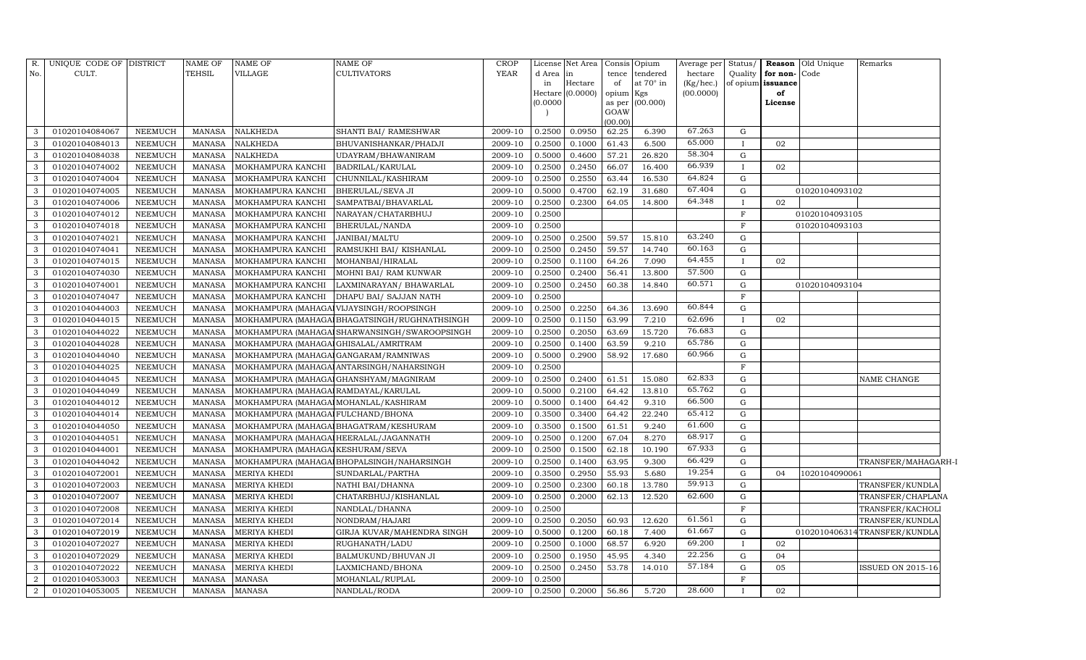| R.             | UNIQUE CODE OF DISTRICT |                | <b>NAME OF</b> | <b>NAME OF</b>                         | NAME OF                                       | <b>CROP</b> |                     | License Net Area |           | Consis Opium    | Average per | Status/      |                   | <b>Reason</b> Old Unique | Remarks                      |
|----------------|-------------------------|----------------|----------------|----------------------------------------|-----------------------------------------------|-------------|---------------------|------------------|-----------|-----------------|-------------|--------------|-------------------|--------------------------|------------------------------|
| No.            | CULT.                   |                | <b>TEHSIL</b>  | VILLAGE                                | <b>CULTIVATORS</b>                            | <b>YEAR</b> | d Area              | in               | tence     | tendered        | hectare     | Quality      | for non-Code      |                          |                              |
|                |                         |                |                |                                        |                                               |             | in                  | Hectare          | of        | at 70° in       | (Kg/hec.)   |              | of opium issuance |                          |                              |
|                |                         |                |                |                                        |                                               |             | Hectare<br>(0.0000) | (0.0000)         | opium Kgs | as per (00.000) | (00.0000)   |              | of                |                          |                              |
|                |                         |                |                |                                        |                                               |             |                     |                  | GOAW      |                 |             |              | License           |                          |                              |
|                |                         |                |                |                                        |                                               |             |                     |                  | (00.00)   |                 |             |              |                   |                          |                              |
| 3              | 01020104084067          | NEEMUCH        | MANASA         | <b>NALKHEDA</b>                        | SHANTI BAI/ RAMESHWAR                         | 2009-10     | 0.2500              | 0.0950           | 62.25     | 6.390           | 67.263      | G            |                   |                          |                              |
| 3              | 01020104084013          | <b>NEEMUCH</b> | <b>MANASA</b>  | <b>NALKHEDA</b>                        | BHUVANISHANKAR/PHADJI                         | 2009-10     | 0.2500              | 0.1000           | 61.43     | 6.500           | 65.000      | $\mathbf{I}$ | 02                |                          |                              |
| 3              | 01020104084038          | <b>NEEMUCH</b> | <b>MANASA</b>  | <b>NALKHEDA</b>                        | UDAYRAM/BHAWANIRAM                            | 2009-10     | 0.5000              | 0.4600           | 57.21     | 26.820          | 58.304      | G            |                   |                          |                              |
| 3              | 01020104074002          | <b>NEEMUCH</b> | <b>MANASA</b>  | MOKHAMPURA KANCHI                      | BADRILAL/KARULAL                              | 2009-10     | 0.2500              | 0.2450           | 66.07     | 16.400          | 66.939      | $\mathbf{I}$ | 02                |                          |                              |
| 3              | 01020104074004          | <b>NEEMUCH</b> | <b>MANASA</b>  | MOKHAMPURA KANCHI                      | CHUNNILAL/KASHIRAM                            | 2009-10     | 0.2500              | 0.2550           | 63.44     | 16.530          | 64.824      | $\mathbf G$  |                   |                          |                              |
| 3              | 01020104074005          | <b>NEEMUCH</b> | <b>MANASA</b>  | MOKHAMPURA KANCHI                      | BHERULAL/SEVA JI                              | 2009-10     | 0.5000              | 0.4700           | 62.19     | 31.680          | 67.404      | G            |                   | 01020104093102           |                              |
| 3              | 01020104074006          | <b>NEEMUCH</b> | <b>MANASA</b>  | MOKHAMPURA KANCHI                      | SAMPATBAI/BHAVARLAL                           | 2009-10     | 0.2500              | 0.2300           | 64.05     | 14.800          | 64.348      | $\mathbf{I}$ | 02                |                          |                              |
| 3              | 01020104074012          | <b>NEEMUCH</b> | <b>MANASA</b>  | MOKHAMPURA KANCHI                      | NARAYAN/CHATARBHUJ                            | 2009-10     | 0.2500              |                  |           |                 |             | $\mathbf F$  |                   | 01020104093105           |                              |
| 3              | 01020104074018          | NEEMUCH        | <b>MANASA</b>  | MOKHAMPURA KANCHI                      | BHERULAL/NANDA                                | 2009-10     | 0.2500              |                  |           |                 |             | $\mathbf{F}$ |                   | 01020104093103           |                              |
| 3              | 01020104074021          | NEEMUCH        | <b>MANASA</b>  | MOKHAMPURA KANCHI                      | JANIBAI/MALTU                                 | 2009-10     | 0.2500              | 0.2500           | 59.57     | 15.810          | 63.240      | G            |                   |                          |                              |
| 3              | 01020104074041          | <b>NEEMUCH</b> | <b>MANASA</b>  | MOKHAMPURA KANCHI                      | RAMSUKHI BAI/ KISHANLAL                       | 2009-10     | 0.2500              | 0.2450           | 59.57     | 14.740          | 60.163      | $\mathbf G$  |                   |                          |                              |
| 3              | 01020104074015          | NEEMUCH        | <b>MANASA</b>  | MOKHAMPURA KANCHI                      | MOHANBAI/HIRALAL                              | 2009-10     | 0.2500              | 0.1100           | 64.26     | 7.090           | 64.455      | $\mathbf{I}$ | 02                |                          |                              |
| 3              | 01020104074030          | <b>NEEMUCH</b> | <b>MANASA</b>  | MOKHAMPURA KANCHI                      | MOHNI BAI/ RAM KUNWAR                         | 2009-10     | 0.2500              | 0.2400           | 56.41     | 13.800          | 57.500      | $\mathbf G$  |                   |                          |                              |
| 3              | 01020104074001          | <b>NEEMUCH</b> | <b>MANASA</b>  | MOKHAMPURA KANCHI                      | LAXMINARAYAN/BHAWARLAL                        | 2009-10     | 0.2500              | 0.2450           | 60.38     | 14.840          | 60.571      | $\mathbf G$  |                   | 01020104093104           |                              |
| 3              | 01020104074047          | <b>NEEMUCH</b> | <b>MANASA</b>  | MOKHAMPURA KANCHI                      | DHAPU BAI/ SAJJAN NATH                        | 2009-10     | 0.2500              |                  |           |                 |             | F            |                   |                          |                              |
| 3              | 01020104044003          | <b>NEEMUCH</b> | <b>MANASA</b>  |                                        | MOKHAMPURA (MAHAGAJ VIJAYSINGH/ROOPSINGH      | 2009-10     | 0.2500              | 0.2250           | 64.36     | 13.690          | 60.844      | G            |                   |                          |                              |
| 3              | 01020104044015          | <b>NEEMUCH</b> | <b>MANASA</b>  |                                        | MOKHAMPURA (MAHAGAI BHAGATSINGH/RUGHNATHSINGH | 2009-10     | 0.2500              | 0.1150           | 63.99     | 7.210           | 62.696      | $\mathbf{I}$ | 02                |                          |                              |
| 3              | 01020104044022          | <b>NEEMUCH</b> | <b>MANASA</b>  |                                        | MOKHAMPURA (MAHAGAI SHARWANSINGH/SWAROOPSINGH | 2009-10     | 0.2500              | 0.2050           | 63.69     | 15.720          | 76.683      | $\mathbf G$  |                   |                          |                              |
| 3              | 01020104044028          | <b>NEEMUCH</b> | <b>MANASA</b>  | MOKHAMPURA (MAHAGAI GHISALAL/AMRITRAM  |                                               | 2009-10     | 0.2500              | 0.1400           | 63.59     | 9.210           | 65.786      | $\mathbf G$  |                   |                          |                              |
| 3              | 01020104044040          | <b>NEEMUCH</b> | <b>MANASA</b>  | MOKHAMPURA (MAHAGAI GANGARAM/RAMNIWAS  |                                               | 2009-10     | 0.5000              | 0.2900           | 58.92     | 17.680          | 60.966      | G            |                   |                          |                              |
| 3              | 01020104044025          | <b>NEEMUCH</b> | <b>MANASA</b>  |                                        | MOKHAMPURA (MAHAGALANTARSINGH/NAHARSINGH      | 2009-10     | 0.2500              |                  |           |                 |             | F            |                   |                          |                              |
| 3              | 01020104044045          | <b>NEEMUCH</b> | <b>MANASA</b>  |                                        | MOKHAMPURA (MAHAGAJ GHANSHYAM/MAGNIRAM        | 2009-10     | 0.2500              | 0.2400           | 61.51     | 15.080          | 62.833      | $\mathbf G$  |                   |                          | NAME CHANGE                  |
| 3              | 01020104044049          | <b>NEEMUCH</b> | <b>MANASA</b>  | MOKHAMPURA (MAHAGAI RAMDAYAL/KARULAL   |                                               | 2009-10     | 0.5000              | 0.2100           | 64.42     | 13.810          | 65.762      | G            |                   |                          |                              |
| 3              | 01020104044012          | <b>NEEMUCH</b> | <b>MANASA</b>  | MOKHAMPURA (MAHAGAI MOHANLAL/KASHIRAM  |                                               | 2009-10     | 0.5000              | 0.1400           | 64.42     | 9.310           | 66.500      | $\mathbf G$  |                   |                          |                              |
| 3              | 01020104044014          | <b>NEEMUCH</b> | <b>MANASA</b>  | MOKHAMPURA (MAHAGAI FULCHAND/BHONA     |                                               | 2009-10     | 0.3500              | 0.3400           | 64.42     | 22.240          | 65.412      | $\mathbf G$  |                   |                          |                              |
| 3              | 01020104044050          | <b>NEEMUCH</b> | <b>MANASA</b>  |                                        | MOKHAMPURA (MAHAGAI BHAGATRAM/KESHURAM        | 2009-10     | 0.3500              | 0.1500           | 61.51     | 9.240           | 61.600      | $\mathbf G$  |                   |                          |                              |
| 3              | 01020104044051          | <b>NEEMUCH</b> | <b>MANASA</b>  | MOKHAMPURA (MAHAGAI HEERALAL/JAGANNATH |                                               | 2009-10     | 0.2500              | 0.1200           | 67.04     | 8.270           | 68.917      | $\mathbf G$  |                   |                          |                              |
| 3              | 01020104044001          | <b>NEEMUCH</b> | <b>MANASA</b>  | MOKHAMPURA (MAHAGAI KESHURAM/SEVA      |                                               | 2009-10     | 0.2500              | 0.1500           | 62.18     | 10.190          | 67.933      | G            |                   |                          |                              |
| 3              | 01020104044042          | <b>NEEMUCH</b> | <b>MANASA</b>  |                                        | MOKHAMPURA (MAHAGAI BHOPALSINGH/NAHARSINGH    | 2009-10     | 0.2500              | 0.1400           | 63.95     | 9.300           | 66.429      | $\mathbf G$  |                   |                          | TRANSFER/MAHAGARH-I          |
| 3              | 01020104072001          | <b>NEEMUCH</b> | <b>MANASA</b>  | MERIYA KHEDI                           | SUNDARLAL/PARTHA                              | 2009-10     | 0.3500              | 0.2950           | 55.93     | 5.680           | 19.254      | G            | 04                | 1020104090061            |                              |
| $\overline{3}$ | 01020104072003          | <b>NEEMUCH</b> | <b>MANASA</b>  | MERIYA KHEDI                           | NATHI BAI/DHANNA                              | 2009-10     | 0.2500              | 0.2300           | 60.18     | 13.780          | 59.913      | $\mathbf G$  |                   |                          | TRANSFER/KUNDLA              |
| 3              | 01020104072007          | <b>NEEMUCH</b> | <b>MANASA</b>  | MERIYA KHEDI                           | CHATARBHUJ/KISHANLAL                          | 2009-10     | 0.2500              | 0.2000           | 62.13     | 12.520          | 62.600      | $\mathbf G$  |                   |                          | TRANSFER/CHAPLANA            |
| 3              | 01020104072008          | <b>NEEMUCH</b> | <b>MANASA</b>  | MERIYA KHEDI                           | NANDLAL/DHANNA                                | 2009-10     | 0.2500              |                  |           |                 |             | $\mathbf F$  |                   |                          | TRANSFER/KACHOLI             |
| 3              | 01020104072014          | <b>NEEMUCH</b> | <b>MANASA</b>  | MERIYA KHEDI                           | NONDRAM/HAJARI                                | 2009-10     | 0.2500              | 0.2050           | 60.93     | 12.620          | 61.561      | G            |                   |                          | TRANSFER/KUNDLA              |
| 3              | 01020104072019          | <b>NEEMUCH</b> | <b>MANASA</b>  | MERIYA KHEDI                           | GIRJA KUVAR/MAHENDRA SINGH                    | 2009-10     | 0.5000              | 0.1200           | 60.18     | 7.400           | 61.667      | $\mathbf G$  |                   |                          | 0102010406314TRANSFER/KUNDLA |
| 3              | 01020104072027          | <b>NEEMUCH</b> | <b>MANASA</b>  | <b>MERIYA KHEDI</b>                    | RUGHANATH/LADU                                | 2009-10     | 0.2500              | 0.1000           | 68.57     | 6.920           | 69.200      | $\mathbf{I}$ | 02                |                          |                              |
| 3              | 01020104072029          | <b>NEEMUCH</b> | <b>MANASA</b>  | MERIYA KHEDI                           | BALMUKUND/BHUVAN JI                           | 2009-10     | 0.2500              | 0.1950           | 45.95     | 4.340           | 22.256      | G            | 04                |                          |                              |
| 3              | 01020104072022          | <b>NEEMUCH</b> | <b>MANASA</b>  | MERIYA KHEDI                           | LAXMICHAND/BHONA                              | 2009-10     | 0.2500              | 0.2450           | 53.78     | 14.010          | 57.184      | G            | 05                |                          | <b>ISSUED ON 2015-16</b>     |
| $\overline{2}$ | 01020104053003          | <b>NEEMUCH</b> | <b>MANASA</b>  | <b>MANASA</b>                          | MOHANLAL/RUPLAL                               | 2009-10     | 0.2500              |                  |           |                 |             | F            |                   |                          |                              |
| $\overline{2}$ | 01020104053005          | NEEMUCH        | <b>MANASA</b>  | <b>MANASA</b>                          | NANDLAL/RODA                                  | 2009-10     | 0.2500              | 0.2000           | 56.86     | 5.720           | 28.600      | $\mathbf{I}$ | 02                |                          |                              |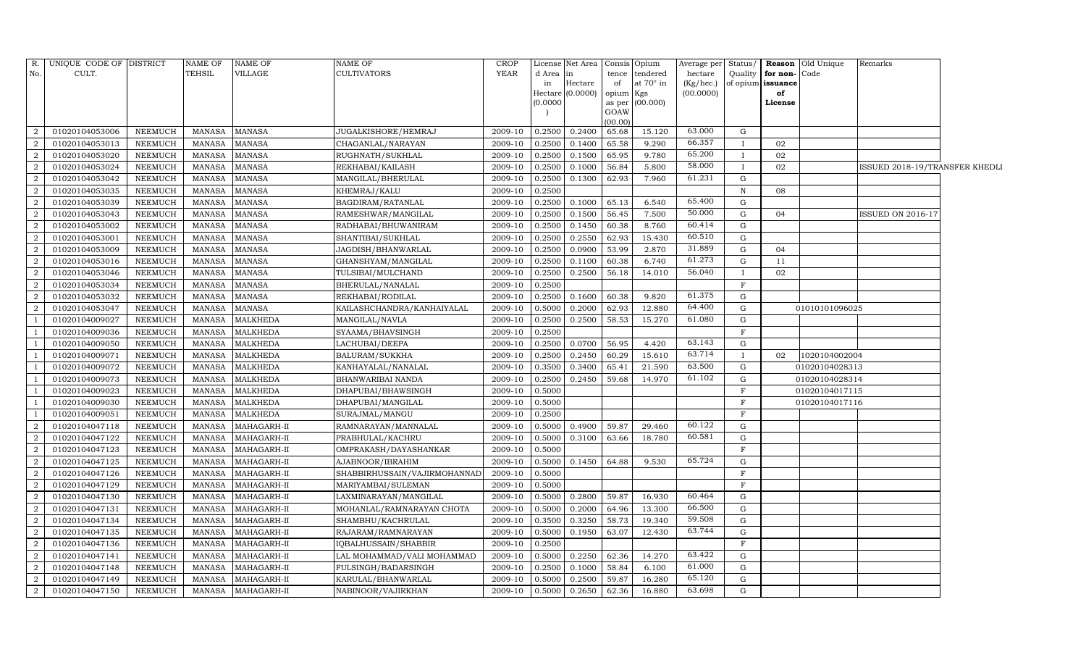|                | R. UNIQUE CODE OF DISTRICT |                | <b>NAME OF</b> | <b>NAME OF</b>     | <b>NAME OF</b>               | <b>CROP</b> |          | License Net Area | Consis         | Opium     | Average per | Status/      |                   | <b>Reason</b> Old Unique | Remarks                        |  |
|----------------|----------------------------|----------------|----------------|--------------------|------------------------------|-------------|----------|------------------|----------------|-----------|-------------|--------------|-------------------|--------------------------|--------------------------------|--|
| No.            | CULT.                      |                | TEHSIL         | VILLAGE            | <b>CULTIVATORS</b>           | YEAR        | d Area   | in               | tence          | tendered  | hectare     | Quality      | for non-          | Code                     |                                |  |
|                |                            |                |                |                    |                              |             | in       | Hectare          | of             | at 70° in | (Kg/hec.)   |              | of opium issuance |                          |                                |  |
|                |                            |                |                |                    |                              |             | Hectare  | (0.0000)         | opium          | Kgs       | (00.0000)   |              | of                |                          |                                |  |
|                |                            |                |                |                    |                              |             | (0.0000) |                  | as per<br>GOAW | (00.000)  |             |              | License           |                          |                                |  |
|                |                            |                |                |                    |                              |             |          |                  | (00.00)        |           |             |              |                   |                          |                                |  |
| $\overline{2}$ | 01020104053006             | NEEMUCH        | MANASA         | <b>MANASA</b>      | JUGALKISHORE/HEMRAJ          | 2009-10     | 0.2500   | 0.2400           | 65.68          | 15.120    | 63.000      | G            |                   |                          |                                |  |
| $\overline{2}$ | 01020104053013             | <b>NEEMUCH</b> | <b>MANASA</b>  | <b>MANASA</b>      | CHAGANLAL/NARAYAN            | 2009-10     | 0.2500   | 0.1400           | 65.58          | 9.290     | 66.357      |              | 02                |                          |                                |  |
| $\overline{2}$ | 01020104053020             | <b>NEEMUCH</b> | <b>MANASA</b>  | <b>MANASA</b>      | RUGHNATH/SUKHLAL             | 2009-10     | 0.2500   | 0.1500           | 65.95          | 9.780     | 65.200      |              | 02                |                          |                                |  |
| $\overline{a}$ | 01020104053024             | <b>NEEMUCH</b> | <b>MANASA</b>  | <b>MANASA</b>      | REKHABAI/KAILASH             | 2009-10     | 0.2500   | 0.1000           | 56.84          | 5.800     | 58.000      | $\mathbf{I}$ | 02                |                          | ISSUED 2018-19/TRANSFER KHEDLI |  |
| $\overline{2}$ | 01020104053042             | NEEMUCH        | <b>MANASA</b>  | <b>MANASA</b>      | MANGILAL/BHERULAL            | 2009-10     | 0.2500   | 0.1300           | 62.93          | 7.960     | 61.231      | G            |                   |                          |                                |  |
| $\overline{2}$ | 01020104053035             | <b>NEEMUCH</b> | <b>MANASA</b>  | <b>MANASA</b>      | KHEMRAJ/KALU                 | 2009-10     | 0.2500   |                  |                |           |             | ${\bf N}$    | 08                |                          |                                |  |
| $\overline{2}$ | 01020104053039             | NEEMUCH        | <b>MANASA</b>  | <b>MANASA</b>      | BAGDIRAM/RATANLAL            | 2009-10     | 0.2500   | 0.1000           | 65.13          | 6.540     | 65.400      | $\mathbf G$  |                   |                          |                                |  |
| $\overline{a}$ | 01020104053043             | <b>NEEMUCH</b> | <b>MANASA</b>  | <b>MANASA</b>      | RAMESHWAR/MANGILAL           | 2009-10     | 0.2500   | 0.1500           | 56.45          | 7.500     | 50.000      | G            | 04                |                          | <b>ISSUED ON 2016-17</b>       |  |
| 2              | 01020104053002             | <b>NEEMUCH</b> | <b>MANASA</b>  | <b>MANASA</b>      | RADHABAI/BHUWANIRAM          | 2009-10     | 0.2500   | 0.1450           | 60.38          | 8.760     | 60.414      | G            |                   |                          |                                |  |
| $\overline{2}$ | 01020104053001             | <b>NEEMUCH</b> | <b>MANASA</b>  | <b>MANASA</b>      | SHANTIBAI/SUKHLAL            | 2009-10     | 0.2500   | 0.2550           | 62.93          | 15.430    | 60.510      | $\mathbf{G}$ |                   |                          |                                |  |
| $\overline{2}$ | 01020104053009             | <b>NEEMUCH</b> | <b>MANASA</b>  | <b>MANASA</b>      | JAGDISH/BHANWARLAL           | 2009-10     | 0.2500   | 0.0900           | 53.99          | 2.870     | 31.889      | G            | 04                |                          |                                |  |
| $\overline{2}$ | 01020104053016             | <b>NEEMUCH</b> | <b>MANASA</b>  | <b>MANASA</b>      | GHANSHYAM/MANGILAL           | 2009-10     | 0.2500   | 0.1100           | 60.38          | 6.740     | 61.273      | G            | 11                |                          |                                |  |
| $\overline{2}$ | 01020104053046             | <b>NEEMUCH</b> | <b>MANASA</b>  | <b>MANASA</b>      | TULSIBAI/MULCHAND            | 2009-10     | 0.2500   | 0.2500           | 56.18          | 14.010    | 56.040      |              | 02                |                          |                                |  |
| $\overline{2}$ | 01020104053034             | NEEMUCH        | <b>MANASA</b>  | <b>MANASA</b>      | BHERULAL/NANALAL             | 2009-10     | 0.2500   |                  |                |           |             | $\mathbf{F}$ |                   |                          |                                |  |
| $\overline{2}$ | 01020104053032             | NEEMUCH        | <b>MANASA</b>  | <b>MANASA</b>      | REKHABAI/RODILAL             | 2009-10     | 0.2500   | 0.1600           | 60.38          | 9.820     | 61.375      | G            |                   |                          |                                |  |
| $\overline{2}$ | 01020104053047             | <b>NEEMUCH</b> | <b>MANASA</b>  | <b>MANASA</b>      | KAILASHCHANDRA/KANHAIYALAL   | 2009-10     | 0.5000   | 0.2000           | 62.93          | 12.880    | 64.400      | G            |                   | 01010101096025           |                                |  |
| <sup>1</sup>   | 01020104009027             | <b>NEEMUCH</b> | <b>MANASA</b>  | <b>MALKHEDA</b>    | MANGILAL/NAVLA               | 2009-10     | 0.2500   | 0.2500           | 58.53          | 15.270    | 61.080      | G            |                   |                          |                                |  |
| -1             | 01020104009036             | <b>NEEMUCH</b> | <b>MANASA</b>  | <b>MALKHEDA</b>    | SYAAMA/BHAVSINGH             | 2009-10     | 0.2500   |                  |                |           |             | F            |                   |                          |                                |  |
| <sup>1</sup>   | 01020104009050             | <b>NEEMUCH</b> | <b>MANASA</b>  | <b>MALKHEDA</b>    | LACHUBAI/DEEPA               | 2009-10     | 0.2500   | 0.0700           | 56.95          | 4.420     | 63.143      | G            |                   |                          |                                |  |
| $\overline{1}$ | 01020104009071             | <b>NEEMUCH</b> | MANASA         | <b>MALKHEDA</b>    | BALURAM/SUKKHA               | 2009-10     | 0.2500   | 0.2450           | 60.29          | 15.610    | 63.714      | $\mathbf{I}$ | 02                | 1020104002004            |                                |  |
|                | 01020104009072             | <b>NEEMUCH</b> | <b>MANASA</b>  | <b>MALKHEDA</b>    | KANHAYALAL/NANALAL           | 2009-10     | 0.3500   | 0.3400           | 65.41          | 21.590    | 63.500      | $\mathbf G$  |                   | 01020104028313           |                                |  |
| - 1            | 01020104009073             | <b>NEEMUCH</b> | <b>MANASA</b>  | <b>MALKHEDA</b>    | BHANWARIBAI NANDA            | 2009-10     | 0.2500   | 0.2450           | 59.68          | 14.970    | 61.102      | G            |                   | 01020104028314           |                                |  |
| -1             | 01020104009023             | <b>NEEMUCH</b> | <b>MANASA</b>  | <b>MALKHEDA</b>    | DHAPUBAI/BHAWSINGH           | 2009-10     | 0.5000   |                  |                |           |             | F            |                   | 01020104017115           |                                |  |
| -1             | 01020104009030             | NEEMUCH        | MANASA         | <b>MALKHEDA</b>    | DHAPUBAI/MANGILAL            | 2009-10     | 0.5000   |                  |                |           |             | $\mathbf{F}$ |                   | 01020104017116           |                                |  |
|                | 01020104009051             | <b>NEEMUCH</b> | <b>MANASA</b>  | MALKHEDA           | SURAJMAL/MANGU               | 2009-10     | 0.2500   |                  |                |           |             | F            |                   |                          |                                |  |
| $\overline{2}$ | 01020104047118             | <b>NEEMUCH</b> | <b>MANASA</b>  | MAHAGARH-II        | RAMNARAYAN/MANNALAL          | 2009-10     | 0.5000   | 0.4900           | 59.87          | 29.460    | 60.122      | G            |                   |                          |                                |  |
| 2              | 01020104047122             | <b>NEEMUCH</b> | <b>MANASA</b>  | MAHAGARH-II        | PRABHULAL/KACHRU             | 2009-10     | 0.5000   | 0.3100           | 63.66          | 18.780    | 60.581      | $\mathbf{G}$ |                   |                          |                                |  |
| $\overline{2}$ | 01020104047123             | <b>NEEMUCH</b> | <b>MANASA</b>  | MAHAGARH-II        | OMPRAKASH/DAYASHANKAR        | 2009-10     | 0.5000   |                  |                |           |             | $\rm F$      |                   |                          |                                |  |
| $\overline{2}$ | 01020104047125             | <b>NEEMUCH</b> | <b>MANASA</b>  | MAHAGARH-II        | AJABNOOR/IBRAHIM             | 2009-10     | 0.5000   | 0.1450           | 64.88          | 9.530     | 65.724      | G            |                   |                          |                                |  |
| $\overline{2}$ | 01020104047126             | <b>NEEMUCH</b> | <b>MANASA</b>  | MAHAGARH-II        | SHABBIRHUSSAIN/VAJIRMOHANNAD | 2009-10     | 0.5000   |                  |                |           |             | $\mathbf{F}$ |                   |                          |                                |  |
| $\overline{a}$ | 01020104047129             | <b>NEEMUCH</b> | <b>MANASA</b>  | MAHAGARH-II        | MARIYAMBAI/SULEMAN           | 2009-10     | 0.5000   |                  |                |           |             | F            |                   |                          |                                |  |
| $\overline{2}$ | 01020104047130             | <b>NEEMUCH</b> | <b>MANASA</b>  | MAHAGARH-II        | LAXMINARAYAN/MANGILAL        | 2009-10     | 0.5000   | 0.2800           | 59.87          | 16.930    | 60.464      | G            |                   |                          |                                |  |
| $\overline{2}$ | 01020104047131             | <b>NEEMUCH</b> | <b>MANASA</b>  | MAHAGARH-II        | MOHANLAL/RAMNARAYAN CHOTA    | 2009-10     | 0.5000   | 0.2000           | 64.96          | 13.300    | 66.500      | G            |                   |                          |                                |  |
| $\overline{2}$ | 01020104047134             | <b>NEEMUCH</b> | <b>MANASA</b>  | MAHAGARH-II        | SHAMBHU/KACHRULAL            | 2009-10     | 0.3500   | 0.3250           | 58.73          | 19.340    | 59.508      | $\mathbf G$  |                   |                          |                                |  |
| $\overline{2}$ | 01020104047135             | <b>NEEMUCH</b> | <b>MANASA</b>  | MAHAGARH-II        | RAJARAM/RAMNARAYAN           | 2009-10     | 0.5000   | 0.1950           | 63.07          | 12.430    | 63.744      | G            |                   |                          |                                |  |
| 2              | 01020104047136             | <b>NEEMUCH</b> | <b>MANASA</b>  | MAHAGARH-II        | IQBALHUSSAIN/SHABBIR         | 2009-10     | 0.2500   |                  |                |           |             | $\mathbf F$  |                   |                          |                                |  |
| $\overline{2}$ | 01020104047141             | <b>NEEMUCH</b> | <b>MANASA</b>  | MAHAGARH-II        | LAL MOHAMMAD/VALI MOHAMMAD   | 2009-10     | 0.5000   | 0.2250           | 62.36          | 14.270    | 63.422      | G            |                   |                          |                                |  |
| $\overline{2}$ | 01020104047148             | <b>NEEMUCH</b> | <b>MANASA</b>  | MAHAGARH-II        | FULSINGH/BADARSINGH          | 2009-10     | 0.2500   | 0.1000           | 58.84          | 6.100     | 61.000      | G            |                   |                          |                                |  |
| 2              | 01020104047149             | <b>NEEMUCH</b> | <b>MANASA</b>  | MAHAGARH-II        | KARULAL/BHANWARLAL           | 2009-10     | 0.5000   | 0.2500           | 59.87          | 16.280    | 65.120      | $\mathbf G$  |                   |                          |                                |  |
| $\overline{a}$ | 01020104047150             | <b>NEEMUCH</b> |                | MANASA MAHAGARH-II | NABINOOR/VAJIRKHAN           | 2009-10     | 0.5000   | 0.2650           | 62.36          | 16.880    | 63.698      | $\mathbf G$  |                   |                          |                                |  |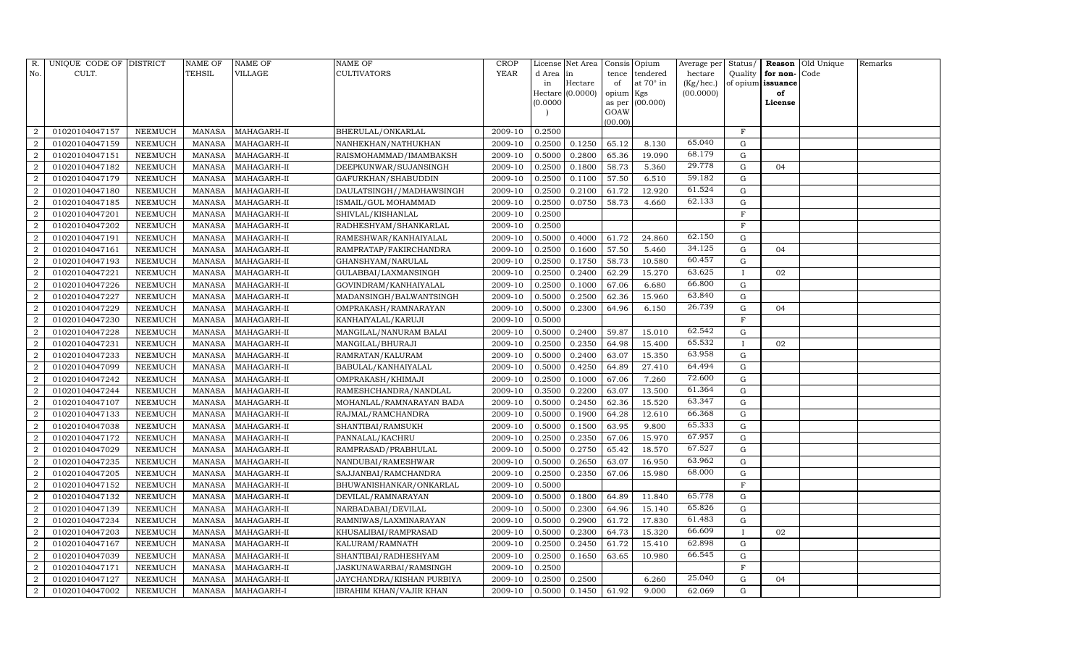| R.             | UNIQUE CODE OF DISTRICT |                | NAME OF       | NAME OF     | <b>NAME OF</b>              | CROP    |           | License Net Area |                 | Consis Opium | Average per | Status/      | Reason            | Old Unique | Remarks |
|----------------|-------------------------|----------------|---------------|-------------|-----------------------------|---------|-----------|------------------|-----------------|--------------|-------------|--------------|-------------------|------------|---------|
| No.            | CULT.                   |                | TEHSIL        | VILLAGE     | <b>CULTIVATORS</b>          | YEAR    | d Area in |                  | tence           | tendered     | hectare     | Quality      | for non-          | Code       |         |
|                |                         |                |               |             |                             |         | in        | Hectare          | of              | at 70° in    | (Kg/hec.)   |              | of opium issuance |            |         |
|                |                         |                |               |             |                             |         |           | Hectare (0.0000) | opium Kgs       |              | (00.0000)   |              | of                |            |         |
|                |                         |                |               |             |                             |         | (0.0000)  |                  | as per          | (00.000)     |             |              | License           |            |         |
|                |                         |                |               |             |                             |         |           |                  | GOAW<br>(00.00) |              |             |              |                   |            |         |
| $\mathcal{D}$  | 01020104047157          | NEEMUCH        | MANASA        | MAHAGARH-II | BHERULAL/ONKARLAL           | 2009-10 | 0.2500    |                  |                 |              |             | $\mathbf F$  |                   |            |         |
|                | 01020104047159          | NEEMUCH        | <b>MANASA</b> | MAHAGARH-II | NANHEKHAN/NATHUKHAN         | 2009-10 | 0.2500    | 0.1250           | 65.12           | 8.130        | 65.040      | G            |                   |            |         |
| 2              | 01020104047151          | NEEMUCH        | <b>MANASA</b> | MAHAGARH-II | RAISMOHAMMAD/IMAMBAKSH      | 2009-10 | 0.5000    | 0.2800           | 65.36           | 19.090       | 68.179      | G            |                   |            |         |
| 2              | 01020104047182          | NEEMUCH        | MANASA        | MAHAGARH-II | DEEPKUNWAR/SUJANSINGH       | 2009-10 | 0.2500    | 0.1800           | 58.73           | 5.360        | 29.778      | $\mathbf G$  | 04                |            |         |
| $\overline{2}$ | 01020104047179          | NEEMUCH        | <b>MANASA</b> | MAHAGARH-II | GAFURKHAN/SHABUDDIN         | 2009-10 | 0.2500    | 0.1100           | 57.50           | 6.510        | 59.182      | $\mathbf G$  |                   |            |         |
| $\overline{2}$ | 01020104047180          | NEEMUCH        | <b>MANASA</b> | MAHAGARH-II | DAULATSINGH / / MADHAWSINGH | 2009-10 | 0.2500    | 0.2100           | 61.72           | 12.920       | 61.524      | G            |                   |            |         |
| $\overline{2}$ | 01020104047185          | NEEMUCH        | MANASA        | MAHAGARH-II | ISMAIL/GUL MOHAMMAD         | 2009-10 | 0.2500    | 0.0750           | 58.73           | 4.660        | 62.133      | ${\rm G}$    |                   |            |         |
| 2              | 01020104047201          | NEEMUCH        | <b>MANASA</b> | MAHAGARH-II | SHIVLAL/KISHANLAL           | 2009-10 | 0.2500    |                  |                 |              |             | $\mathbf F$  |                   |            |         |
| $\overline{2}$ | 01020104047202          | <b>NEEMUCH</b> | <b>MANASA</b> | MAHAGARH-II | RADHESHYAM/SHANKARLAL       | 2009-10 | 0.2500    |                  |                 |              |             | $\mathbf{F}$ |                   |            |         |
|                | 01020104047191          | NEEMUCH        | <b>MANASA</b> | MAHAGARH-II | RAMESHWAR/KANHAIYALAL       | 2009-10 | 0.5000    | 0.4000           | 61.72           | 24.860       | 62.150      | G            |                   |            |         |
| $\overline{2}$ | 01020104047161          | NEEMUCH        | <b>MANASA</b> | MAHAGARH-II | RAMPRATAP/FAKIRCHANDRA      | 2009-10 | 0.2500    | 0.1600           | 57.50           | 5.460        | 34.125      | ${\rm G}$    | 04                |            |         |
| $\overline{2}$ | 01020104047193          | NEEMUCH        | MANASA        | MAHAGARH-II | GHANSHYAM/NARULAL           | 2009-10 | 0.2500    | 0.1750           | 58.73           | 10.580       | 60.457      | G            |                   |            |         |
| $\overline{2}$ | 01020104047221          | <b>NEEMUCH</b> | <b>MANASA</b> | MAHAGARH-II | GULABBAI/LAXMANSINGH        | 2009-10 | 0.2500    | 0.2400           | 62.29           | 15.270       | 63.625      |              | 02                |            |         |
| $\overline{2}$ | 01020104047226          | NEEMUCH        | MANASA        | MAHAGARH-II | GOVINDRAM/KANHAIYALAL       | 2009-10 | 0.2500    | 0.1000           | 67.06           | 6.680        | 66.800      | G            |                   |            |         |
| $\overline{2}$ | 01020104047227          | NEEMUCH        | MANASA        | MAHAGARH-II | MADANSINGH/BALWANTSINGH     | 2009-10 | 0.5000    | 0.2500           | 62.36           | 15.960       | 63.840      | G            |                   |            |         |
| 2              | 01020104047229          | NEEMUCH        | <b>MANASA</b> | MAHAGARH-II | OMPRAKASH/RAMNARAYAN        | 2009-10 | 0.5000    | 0.2300           | 64.96           | 6.150        | 26.739      | $\mathbf G$  | 04                |            |         |
| $\mathcal{D}$  | 01020104047230          | <b>NEEMUCH</b> | <b>MANASA</b> | MAHAGARH-II | KANHAIYALAL/KARUJI          | 2009-10 | 0.5000    |                  |                 |              |             | F            |                   |            |         |
| 2              | 01020104047228          | NEEMUCH        | MANASA        | MAHAGARH-II | MANGILAL/NANURAM BALAI      | 2009-10 | 0.5000    | 0.2400           | 59.87           | 15.010       | 62.542      | G            |                   |            |         |
| $\overline{2}$ | 01020104047231          | NEEMUCH        | <b>MANASA</b> | MAHAGARH-II | MANGILAL/BHURAJI            | 2009-10 | 0.2500    | 0.2350           | 64.98           | 15.400       | 65.532      | $\mathbf{I}$ | 02                |            |         |
| 2              | 01020104047233          | NEEMUCH        | MANASA        | MAHAGARH-II | RAMRATAN/KALURAM            | 2009-10 | 0.5000    | 0.2400           | 63.07           | 15.350       | 63.958      | G            |                   |            |         |
|                | 01020104047099          | NEEMUCH        | <b>MANASA</b> | MAHAGARH-II | BABULAL/KANHAIYALAL         | 2009-10 | 0.5000    | 0.4250           | 64.89           | 27.410       | 64.494      | G            |                   |            |         |
| $\mathcal{D}$  | 01020104047242          | <b>NEEMUCH</b> | <b>MANASA</b> | MAHAGARH-II | OMPRAKASH/KHIMAJI           | 2009-10 | 0.2500    | 0.1000           | 67.06           | 7.260        | 72.600      | G            |                   |            |         |
| $\mathcal{D}$  | 01020104047244          | NEEMUCH        | MANASA        | MAHAGARH-II | RAMESHCHANDRA/NANDLAL       | 2009-10 | 0.3500    | 0.2200           | 63.07           | 13.500       | 61.364      | G            |                   |            |         |
| 2              | 01020104047107          | NEEMUCH        | <b>MANASA</b> | MAHAGARH-II | MOHANLAL/RAMNARAYAN BADA    | 2009-10 | 0.5000    | 0.2450           | 62.36           | 15.520       | 63.347      | G            |                   |            |         |
|                | 01020104047133          | NEEMUCH        | <b>MANASA</b> | MAHAGARH-II | RAJMAL/RAMCHANDRA           | 2009-10 | 0.5000    | 0.1900           | 64.28           | 12.610       | 66.368      | G            |                   |            |         |
| $\overline{2}$ | 01020104047038          | NEEMUCH        | <b>MANASA</b> | MAHAGARH-II | SHANTIBAI/RAMSUKH           | 2009-10 | 0.5000    | 0.1500           | 63.95           | 9.800        | 65.333      | G            |                   |            |         |
| 2              | 01020104047172          | NEEMUCH        | <b>MANASA</b> | MAHAGARH-II | PANNALAL/KACHRU             | 2009-10 | 0.2500    | 0.2350           | 67.06           | 15.970       | 67.957      | G            |                   |            |         |
| $\overline{2}$ | 01020104047029          | NEEMUCH        | <b>MANASA</b> | MAHAGARH-II | RAMPRASAD/PRABHULAL         | 2009-10 | 0.5000    | 0.2750           | 65.42           | 18.570       | 67.527      | $\mathbf G$  |                   |            |         |
| $\overline{2}$ | 01020104047235          | NEEMUCH        | MANASA        | MAHAGARH-II | NANDUBAI/RAMESHWAR          | 2009-10 | 0.5000    | 0.2650           | 63.07           | 16.950       | 63.962      | G            |                   |            |         |
| $\overline{2}$ | 01020104047205          | NEEMUCH        | <b>MANASA</b> | MAHAGARH-II | SAJJANBAI/RAMCHANDRA        | 2009-10 | 0.2500    | 0.2350           | 67.06           | 15.980       | 68.000      | G            |                   |            |         |
| $\overline{2}$ | 01020104047152          | NEEMUCH        | MANASA        | MAHAGARH-II | BHUWANISHANKAR/ONKARLAL     | 2009-10 | 0.5000    |                  |                 |              |             | $\mathbf F$  |                   |            |         |
| $\overline{2}$ | 01020104047132          | NEEMUCH        | <b>MANASA</b> | MAHAGARH-II | DEVILAL/RAMNARAYAN          | 2009-10 | 0.5000    | 0.1800           | 64.89           | 11.840       | 65.778      | $\mathbf G$  |                   |            |         |
|                | 01020104047139          | NEEMUCH        | <b>MANASA</b> | MAHAGARH-II | NARBADABAI/DEVILAL          | 2009-10 | 0.5000    | 0.2300           | 64.96           | 15.140       | 65.826      | G            |                   |            |         |
| $\overline{2}$ | 01020104047234          | NEEMUCH        | <b>MANASA</b> | MAHAGARH-II | RAMNIWAS/LAXMINARAYAN       | 2009-10 | 0.5000    | 0.2900           | 61.72           | 17.830       | 61.483      | ${\rm G}$    |                   |            |         |
| 2              | 01020104047203          | NEEMUCH        | MANASA        | MAHAGARH-II | KHUSALIBAI/RAMPRASAD        | 2009-10 | 0.5000    | 0.2300           | 64.73           | 15.320       | 66.609      | $\mathbf{I}$ | 02                |            |         |
| $\overline{2}$ | 01020104047167          | <b>NEEMUCH</b> | <b>MANASA</b> | MAHAGARH-II | KALURAM/RAMNATH             | 2009-10 | 0.2500    | 0.2450           | 61.72           | 15.410       | 62.898      | $\mathbf G$  |                   |            |         |
| $\overline{2}$ | 01020104047039          | NEEMUCH        | MANASA        | MAHAGARH-II | SHANTIBAI/RADHESHYAM        | 2009-10 | 0.2500    | 0.1650           | 63.65           | 10.980       | 66.545      | G            |                   |            |         |
| $\overline{2}$ | 01020104047171          | NEEMUCH        | <b>MANASA</b> | MAHAGARH-II | JASKUNAWARBAI/RAMSINGH      | 2009-10 | 0.2500    |                  |                 |              |             | F            |                   |            |         |
| 2              | 01020104047127          | NEEMUCH        | <b>MANASA</b> | MAHAGARH-II | JAYCHANDRA/KISHAN PURBIYA   | 2009-10 | 0.2500    | 0.2500           |                 | 6.260        | 25.040      | G            | 04                |            |         |
| 2              | 01020104047002          | <b>NEEMUCH</b> | MANASA        | MAHAGARH-I  | IBRAHIM KHAN/VAJIR KHAN     | 2009-10 | 0.5000    | 0.1450           | 61.92           | 9.000        | 62.069      | G            |                   |            |         |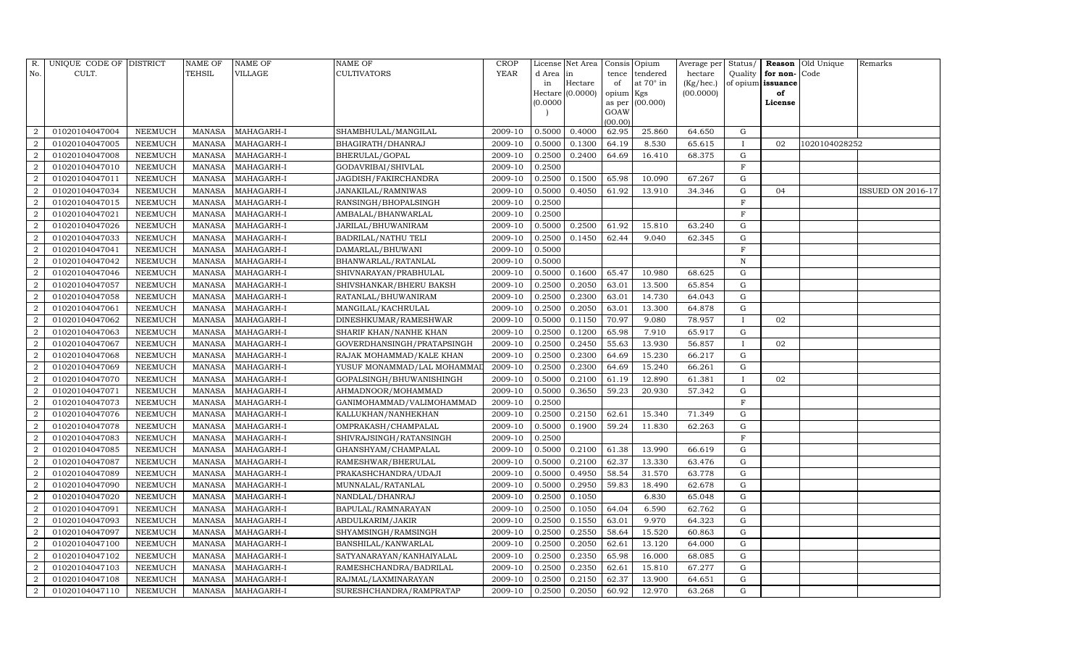| R.             | UNIQUE CODE OF DISTRICT |                | <b>NAME OF</b> | <b>NAME OF</b>    | <b>NAME OF</b>             | CROP        |           | License Net Area |                | Consis Opium     | Average per | Status/      |                   | Reason Old Unique | Remarks           |
|----------------|-------------------------|----------------|----------------|-------------------|----------------------------|-------------|-----------|------------------|----------------|------------------|-------------|--------------|-------------------|-------------------|-------------------|
| No.            | CULT.                   |                | <b>TEHSIL</b>  | VILLAGE           | <b>CULTIVATORS</b>         | <b>YEAR</b> | d Area in |                  | tence          | tendered         | hectare     | Quality      | for non-          | Code              |                   |
|                |                         |                |                |                   |                            |             | in        | Hectare          | of             | at $70^\circ$ in | (Kg/hec.)   |              | of opium issuance |                   |                   |
|                |                         |                |                |                   |                            |             |           | Hectare (0.0000) | opium Kgs      |                  | (00.0000)   |              | of                |                   |                   |
|                |                         |                |                |                   |                            |             | (0.0000)  |                  | as per<br>GOAW | (00.000)         |             |              | License           |                   |                   |
|                |                         |                |                |                   |                            |             |           |                  | (00.00)        |                  |             |              |                   |                   |                   |
| $\overline{2}$ | 01020104047004          | NEEMUCH        | MANASA         | MAHAGARH-I        | SHAMBHULAL/MANGILAL        | 2009-10     | 0.5000    | 0.4000           | 62.95          | 25.860           | 64.650      | G            |                   |                   |                   |
| $\overline{2}$ | 01020104047005          | NEEMUCH        | MANASA         | MAHAGARH-I        | BHAGIRATH/DHANRAJ          | 2009-10     | 0.5000    | 0.1300           | 64.19          | 8.530            | 65.615      | $\mathbf{I}$ | 02                | 1020104028252     |                   |
| $\overline{2}$ | 01020104047008          | NEEMUCH        | MANASA         | MAHAGARH-I        | BHERULAL/GOPAL             | 2009-10     | 0.2500    | 0.2400           | 64.69          | 16.410           | 68.375      | G            |                   |                   |                   |
| $\overline{2}$ | 01020104047010          | <b>NEEMUCH</b> | MANASA         | MAHAGARH-I        | GODAVRIBAI/SHIVLAL         | 2009-10     | 0.2500    |                  |                |                  |             | F            |                   |                   |                   |
| $\overline{2}$ | 01020104047011          | NEEMUCH        | MANASA         | MAHAGARH-I        | JAGDISH/FAKIRCHANDRA       | 2009-10     | 0.2500    | 0.1500           | 65.98          | 10.090           | 67.267      | G            |                   |                   |                   |
| $\overline{2}$ | 01020104047034          | NEEMUCH        | <b>MANASA</b>  | MAHAGARH-I        | JANAKILAL/RAMNIWAS         | 2009-10     | 0.5000    | 0.4050           | 61.92          | 13.910           | 34.346      | ${\rm G}$    | 04                |                   | ISSUED ON 2016-17 |
| $\overline{a}$ | 01020104047015          | <b>NEEMUCH</b> | <b>MANASA</b>  | MAHAGARH-I        | RANSINGH/BHOPALSINGH       | 2009-10     | 0.2500    |                  |                |                  |             | $\rm F$      |                   |                   |                   |
| $\overline{a}$ | 01020104047021          | NEEMUCH        | MANASA         | MAHAGARH-I        | AMBALAL/BHANWARLAL         | 2009-10     | 0.2500    |                  |                |                  |             | $\mathbf F$  |                   |                   |                   |
| $\overline{2}$ | 01020104047026          | NEEMUCH        | MANASA         | MAHAGARH-I        | JARILAL/BHUWANIRAM         | 2009-10     | 0.5000    | 0.2500           | 61.92          | 15.810           | 63.240      | ${\rm G}$    |                   |                   |                   |
| $\overline{2}$ | 01020104047033          | NEEMUCH        | MANASA         | MAHAGARH-I        | <b>BADRILAL/NATHU TELI</b> | 2009-10     | 0.2500    | 0.1450           | 62.44          | 9.040            | 62.345      | G            |                   |                   |                   |
| $\overline{a}$ | 01020104047041          | <b>NEEMUCH</b> | <b>MANASA</b>  | MAHAGARH-I        | DAMARLAL/BHUWANI           | 2009-10     | 0.5000    |                  |                |                  |             | $\rm F$      |                   |                   |                   |
| $\overline{2}$ | 01020104047042          | NEEMUCH        | MANASA         | MAHAGARH-I        | BHANWARLAL/RATANLAL        | 2009-10     | 0.5000    |                  |                |                  |             | N            |                   |                   |                   |
| $\overline{2}$ | 01020104047046          | NEEMUCH        | <b>MANASA</b>  | MAHAGARH-I        | SHIVNARAYAN/PRABHULAL      | 2009-10     | 0.5000    | 0.1600           | 65.47          | 10.980           | 68.625      | $\mathbf G$  |                   |                   |                   |
| $\overline{2}$ | 01020104047057          | <b>NEEMUCH</b> | MANASA         | MAHAGARH-I        | SHIVSHANKAR/BHERU BAKSH    | 2009-10     | 0.2500    | 0.2050           | 63.01          | 13.500           | 65.854      | G            |                   |                   |                   |
| $\overline{2}$ | 01020104047058          | NEEMUCH        | MANASA         | MAHAGARH-I        | RATANLAL/BHUWANIRAM        | 2009-10     | 0.2500    | 0.2300           | 63.01          | 14.730           | 64.043      | G            |                   |                   |                   |
| $\overline{2}$ | 01020104047061          | NEEMUCH        | MANASA         | MAHAGARH-I        | MANGILAL/KACHRULAL         | 2009-10     | 0.2500    | 0.2050           | 63.01          | 13.300           | 64.878      | G            |                   |                   |                   |
| $\overline{2}$ | 01020104047062          | <b>NEEMUCH</b> | <b>MANASA</b>  | MAHAGARH-I        | DINESHKUMAR/RAMESHWAR      | 2009-10     | 0.5000    | 0.1150           | 70.97          | 9.080            | 78.957      | $\bf{I}$     | 02                |                   |                   |
| $\overline{2}$ | 01020104047063          | NEEMUCH        | MANASA         | MAHAGARH-I        | SHARIF KHAN/NANHE KHAN     | 2009-10     | 0.2500    | 0.1200           | 65.98          | 7.910            | 65.917      | G            |                   |                   |                   |
| $\overline{a}$ | 01020104047067          | NEEMUCH        | MANASA         | MAHAGARH-I        | GOVERDHANSINGH/PRATAPSINGH | 2009-10     | 0.2500    | 0.2450           | 55.63          | 13.930           | 56.857      | $\mathbf{I}$ | 02                |                   |                   |
| $\overline{2}$ | 01020104047068          | <b>NEEMUCH</b> | MANASA         | MAHAGARH-I        | RAJAK MOHAMMAD/KALE KHAN   | 2009-10     | 0.2500    | 0.2300           | 64.69          | 15.230           | 66.217      | G            |                   |                   |                   |
| $\overline{2}$ | 01020104047069          | NEEMUCH        | <b>MANASA</b>  | MAHAGARH-I        | YUSUF MONAMMAD/LAL MOHAMMA | 2009-10     | 0.2500    | 0.2300           | 64.69          | 15.240           | 66.261      | ${\rm G}$    |                   |                   |                   |
| $\overline{2}$ | 01020104047070          | <b>NEEMUCH</b> | <b>MANASA</b>  | MAHAGARH-I        | GOPALSINGH/BHUWANISHINGH   | 2009-10     | 0.5000    | 0.2100           | 61.19          | 12.890           | 61.381      | $\mathbf{I}$ | 02                |                   |                   |
| $\overline{2}$ | 01020104047071          | NEEMUCH        | MANASA         | MAHAGARH-I        | AHMADNOOR/MOHAMMAD         | 2009-10     | 0.5000    | 0.3650           | 59.23          | 20.930           | 57.342      | G            |                   |                   |                   |
| $\overline{2}$ | 01020104047073          | <b>NEEMUCH</b> | MANASA         | MAHAGARH-I        | GANIMOHAMMAD/VALIMOHAMMAD  | 2009-10     | 0.2500    |                  |                |                  |             | $\mathbf F$  |                   |                   |                   |
| $\overline{2}$ | 01020104047076          | NEEMUCH        | <b>MANASA</b>  | MAHAGARH-I        | KALLUKHAN/NANHEKHAN        | 2009-10     | 0.2500    | 0.2150           | 62.61          | 15.340           | 71.349      | $\mathbf G$  |                   |                   |                   |
| $\overline{2}$ | 01020104047078          | <b>NEEMUCH</b> | MANASA         | MAHAGARH-I        | OMPRAKASH/CHAMPALAL        | 2009-10     | 0.5000    | 0.1900           | 59.24          | 11.830           | 62.263      | G            |                   |                   |                   |
| $\overline{2}$ | 01020104047083          | <b>NEEMUCH</b> | MANASA         | MAHAGARH-I        | SHIVRAJSINGH/RATANSINGH    | 2009-10     | 0.2500    |                  |                |                  |             | F            |                   |                   |                   |
| $\overline{2}$ | 01020104047085          | <b>NEEMUCH</b> | <b>MANASA</b>  | MAHAGARH-I        | GHANSHYAM/CHAMPALAL        | 2009-10     | 0.5000    | 0.2100           | 61.38          | 13.990           | 66.619      | $\mathbf G$  |                   |                   |                   |
| $\overline{2}$ | 01020104047087          | NEEMUCH        | MANASA         | MAHAGARH-I        | RAMESHWAR/BHERULAL         | 2009-10     | 0.5000    | 0.2100           | 62.37          | 13.330           | 63.476      | ${\rm G}$    |                   |                   |                   |
| $\overline{2}$ | 01020104047089          | <b>NEEMUCH</b> | <b>MANASA</b>  | MAHAGARH-I        | PRAKASHCHANDRA/UDAJI       | 2009-10     | 0.5000    | 0.4950           | 58.54          | 31.570           | 63.778      | ${\rm G}$    |                   |                   |                   |
| $\overline{2}$ | 01020104047090          | <b>NEEMUCH</b> | MANASA         | MAHAGARH-I        | MUNNALAL/RATANLAL          | 2009-10     | 0.5000    | 0.2950           | 59.83          | 18.490           | 62.678      | $\mathbf G$  |                   |                   |                   |
| $\overline{2}$ | 01020104047020          | NEEMUCH        | <b>MANASA</b>  | MAHAGARH-I        | NANDLAL/DHANRAJ            | 2009-10     | 0.2500    | 0.1050           |                | 6.830            | 65.048      | ${\rm G}$    |                   |                   |                   |
| $\overline{2}$ | 01020104047091          | <b>NEEMUCH</b> | MANASA         | MAHAGARH-I        | BAPULAL/RAMNARAYAN         | 2009-10     | 0.2500    | 0.1050           | 64.04          | 6.590            | 62.762      | ${\rm G}$    |                   |                   |                   |
| $\overline{2}$ | 01020104047093          | <b>NEEMUCH</b> | <b>MANASA</b>  | MAHAGARH-I        | ABDULKARIM/JAKIR           | 2009-10     | 0.2500    | 0.1550           | 63.01          | 9.970            | 64.323      | G            |                   |                   |                   |
| 2              | 01020104047097          | NEEMUCH        | MANASA         | MAHAGARH-I        | SHYAMSINGH/RAMSINGH        | 2009-10     | 0.2500    | 0.2550           | 58.64          | 15.520           | 60.863      | ${\rm G}$    |                   |                   |                   |
| $\overline{2}$ | 01020104047100          | <b>NEEMUCH</b> | <b>MANASA</b>  | MAHAGARH-I        | BANSHILAL/KANWARLAL        | 2009-10     | 0.2500    | 0.2050           | 62.61          | 13.120           | 64.000      | G            |                   |                   |                   |
| $\overline{2}$ | 01020104047102          | <b>NEEMUCH</b> | MANASA         | MAHAGARH-I        | SATYANARAYAN/KANHAIYALAL   | 2009-10     | 0.2500    | 0.2350           | 65.98          | 16.000           | 68.085      | G            |                   |                   |                   |
| $\overline{a}$ | 01020104047103          | NEEMUCH        | MANASA         | MAHAGARH-I        | RAMESHCHANDRA/BADRILAL     | 2009-10     | 0.2500    | 0.2350           | 62.61          | 15.810           | 67.277      | G            |                   |                   |                   |
| $\overline{2}$ | 01020104047108          | <b>NEEMUCH</b> | MANASA         | MAHAGARH-I        | RAJMAL/LAXMINARAYAN        | 2009-10     | 0.2500    | 0.2150           | 62.37          | 13.900           | 64.651      | G            |                   |                   |                   |
| $\overline{2}$ | 01020104047110          | <b>NEEMUCH</b> |                | MANASA MAHAGARH-I | SURESHCHANDRA/RAMPRATAP    | 2009-10     | 0.2500    | 0.2050           | 60.92          | 12.970           | 63.268      | G            |                   |                   |                   |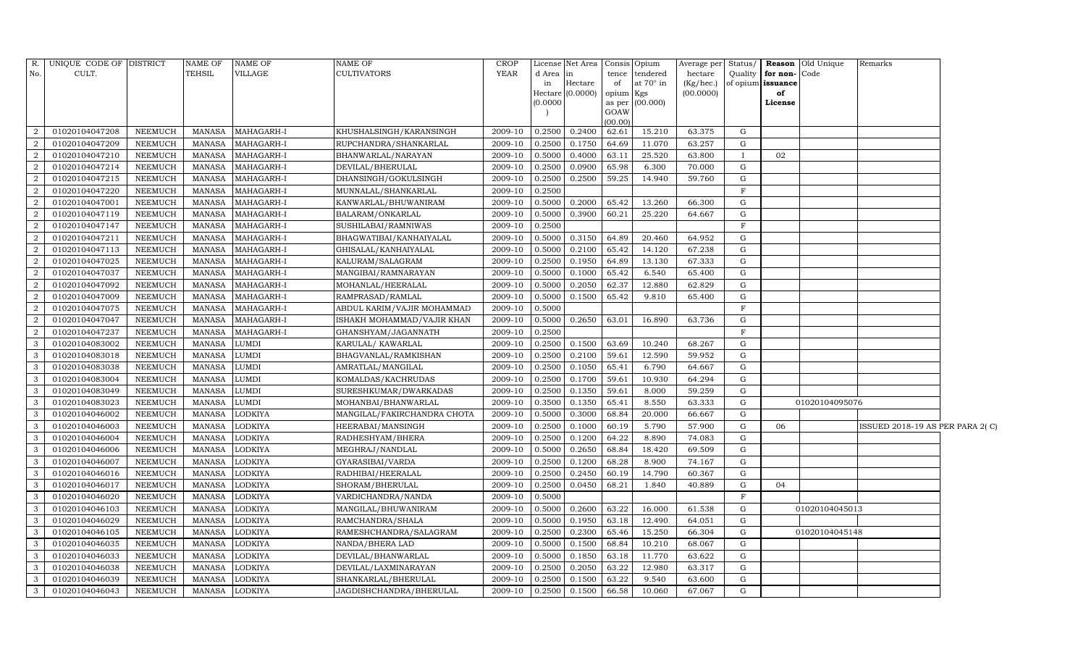|                | R. UNIQUE CODE OF DISTRICT |                | NAME OF       | <b>NAME OF</b> | <b>NAME OF</b>              | CROP                  |          | License Net Area   Consis   Opium |           |                  | Average per Status/ |              |              | <b>Reason</b> Old Unique | Remarks                         |  |
|----------------|----------------------------|----------------|---------------|----------------|-----------------------------|-----------------------|----------|-----------------------------------|-----------|------------------|---------------------|--------------|--------------|--------------------------|---------------------------------|--|
| No.            | CULT.                      |                | TEHSIL        | <b>VILLAGE</b> | <b>CULTIVATORS</b>          | <b>YEAR</b>           | d Area   | in                                | tence     | tendered         | hectare             | Quality      | for non-Code |                          |                                 |  |
|                |                            |                |               |                |                             |                       | in       | Hectare                           | of        | at $70^\circ$ in | (Kg/hec.)           | of opium     | issuance     |                          |                                 |  |
|                |                            |                |               |                |                             |                       |          | Hectare (0.0000)                  | opium Kgs |                  | (00.0000)           |              | of           |                          |                                 |  |
|                |                            |                |               |                |                             |                       | (0.0000) |                                   | GOAW      | as per (00.000)  |                     |              | License      |                          |                                 |  |
|                |                            |                |               |                |                             |                       |          |                                   | (00.00)   |                  |                     |              |              |                          |                                 |  |
| $\overline{2}$ | 01020104047208             | NEEMUCH        | <b>MANASA</b> | MAHAGARH-I     | KHUSHALSINGH/KARANSINGH     | 2009-10               | 0.2500   | 0.2400                            | 62.61     | 15.210           | 63.375              | G            |              |                          |                                 |  |
| $\overline{2}$ | 01020104047209             | NEEMUCH        | MANASA        | MAHAGARH-I     | RUPCHANDRA/SHANKARLAL       | 2009-10               | 0.2500   | 0.1750                            | 64.69     | 11.070           | 63.257              | G            |              |                          |                                 |  |
| $\overline{2}$ | 01020104047210             | NEEMUCH        | <b>MANASA</b> | MAHAGARH-I     | BHANWARLAL/NARAYAN          | 2009-10               | 0.5000   | 0.4000                            | 63.11     | 25.520           | 63.800              | $\mathbf{I}$ | 02           |                          |                                 |  |
| $\overline{2}$ | 01020104047214             | NEEMUCH        | MANASA        | MAHAGARH-I     | DEVILAL/BHERULAL            | 2009-10               | 0.2500   | 0.0900                            | 65.98     | 6.300            | 70.000              | G            |              |                          |                                 |  |
| $\overline{2}$ | 01020104047215             | NEEMUCH        | <b>MANASA</b> | MAHAGARH-I     | DHANSINGH/GOKULSINGH        | 2009-10               | 0.2500   | 0.2500                            | 59.25     | 14.940           | 59.760              | G            |              |                          |                                 |  |
| $\overline{2}$ | 01020104047220             | NEEMUCH        | MANASA        | MAHAGARH-I     | MUNNALAL/SHANKARLAL         | 2009-10               | 0.2500   |                                   |           |                  |                     | $\mathbf F$  |              |                          |                                 |  |
| $\overline{2}$ | 01020104047001             | NEEMUCH        | MANASA        | MAHAGARH-I     | KANWARLAL/BHUWANIRAM        | 2009-10               | 0.5000   | 0.2000                            | 65.42     | 13.260           | 66.300              | G            |              |                          |                                 |  |
| $\overline{2}$ | 01020104047119             | NEEMUCH        | MANASA        | MAHAGARH-I     | BALARAM/ONKARLAL            | 2009-10               | 0.5000   | 0.3900                            | 60.21     | 25.220           | 64.667              | G            |              |                          |                                 |  |
| $\overline{2}$ | 01020104047147             | <b>NEEMUCH</b> | <b>MANASA</b> | MAHAGARH-I     | SUSHILABAI/RAMNIWAS         | 2009-10               | 0.2500   |                                   |           |                  |                     | $\mathbf F$  |              |                          |                                 |  |
| $\overline{2}$ | 01020104047211             | NEEMUCH        | MANASA        | MAHAGARH-I     | BHAGWATIBAI/KANHAIYALAL     | 2009-10               | 0.5000   | 0.3150                            | 64.89     | 20.460           | 64.952              | G            |              |                          |                                 |  |
| $\overline{2}$ | 01020104047113             | NEEMUCH        | <b>MANASA</b> | MAHAGARH-I     | GHISALAL/KANHAIYALAL        | 2009-10               | 0.5000   | 0.2100                            | 65.42     | 14.120           | 67.238              | G            |              |                          |                                 |  |
| $\overline{2}$ | 01020104047025             | <b>NEEMUCH</b> | <b>MANASA</b> | MAHAGARH-I     | KALURAM/SALAGRAM            | 2009-10               | 0.2500   | 0.1950                            | 64.89     | 13.130           | 67.333              | G            |              |                          |                                 |  |
| $\overline{2}$ | 01020104047037             | <b>NEEMUCH</b> | <b>MANASA</b> | MAHAGARH-I     | MANGIBAI/RAMNARAYAN         | 2009-10               | 0.5000   | 0.1000                            | 65.42     | 6.540            | 65.400              | G            |              |                          |                                 |  |
| $\overline{2}$ | 01020104047092             | NEEMUCH        | <b>MANASA</b> | MAHAGARH-I     | MOHANLAL/HEERALAL           | 2009-10               | 0.5000   | 0.2050                            | 62.37     | 12.880           | 62.829              | G            |              |                          |                                 |  |
| $\overline{2}$ | 01020104047009             | NEEMUCH        | <b>MANASA</b> | MAHAGARH-I     | RAMPRASAD/RAMLAL            | 2009-10               | 0.5000   | 0.1500                            | 65.42     | 9.810            | 65.400              | G            |              |                          |                                 |  |
| 2              | 01020104047075             | NEEMUCH        | MANASA        | MAHAGARH-I     | ABDUL KARIM/VAJIR MOHAMMAD  | 2009-10               | 0.5000   |                                   |           |                  |                     | $_{\rm F}$   |              |                          |                                 |  |
| $\overline{2}$ | 01020104047047             | NEEMUCH        | MANASA        | MAHAGARH-I     | ISHAKH MOHAMMAD/VAJIR KHAN  | 2009-10               | 0.5000   | 0.2650                            | 63.01     | 16.890           | 63.736              | G            |              |                          |                                 |  |
| $\overline{2}$ | 01020104047237             | NEEMUCH        | MANASA        | MAHAGARH-I     | GHANSHYAM/JAGANNATH         | 2009-10               | 0.2500   |                                   |           |                  |                     | $\mathbf F$  |              |                          |                                 |  |
| $\mathbf{3}$   | 01020104083002             | NEEMUCH        | <b>MANASA</b> | <b>LUMDI</b>   | KARULAL/KAWARLAL            | 2009-10               | 0.2500   | 0.1500                            | 63.69     | 10.240           | 68.267              | G            |              |                          |                                 |  |
| $\overline{3}$ | 01020104083018             | <b>NEEMUCH</b> | <b>MANASA</b> | <b>LUMDI</b>   | BHAGVANLAL/RAMKISHAN        | 2009-10               | 0.2500   | 0.2100                            | 59.61     | 12.590           | 59.952              | G            |              |                          |                                 |  |
| 3              | 01020104083038             | NEEMUCH        | <b>MANASA</b> | <b>LUMDI</b>   | AMRATLAL/MANGILAL           | 2009-10               | 0.2500   | 0.1050                            | 65.41     | 6.790            | 64.667              | G            |              |                          |                                 |  |
| $\mathbf{3}$   | 01020104083004             | <b>NEEMUCH</b> | <b>MANASA</b> | <b>LUMDI</b>   | KOMALDAS/KACHRUDAS          | 2009-10               | 0.2500   | 0.1700                            | 59.61     | 10.930           | 64.294              | G            |              |                          |                                 |  |
| $\mathbf{3}$   | 01020104083049             | NEEMUCH        | <b>MANASA</b> | LUMDI          | SURESHKUMAR/DWARKADAS       | 2009-10               | 0.2500   | 0.1350                            | 59.61     | 8.000            | 59.259              | G            |              |                          |                                 |  |
| 3              | 01020104083023             | NEEMUCH        | <b>MANASA</b> | <b>LUMDI</b>   | MOHANBAI/BHANWARLAL         | 2009-10               | 0.3500   | 0.1350                            | 65.41     | 8.550            | 63.333              | G            |              | 01020104095076           |                                 |  |
| 3              | 01020104046002             | NEEMUCH        | <b>MANASA</b> | <b>LODKIYA</b> | MANGILAL/FAKIRCHANDRA CHOTA | 2009-10               | 0.5000   | 0.3000                            | 68.84     | 20.000           | 66.667              | G            |              |                          |                                 |  |
| 3              | 01020104046003             | NEEMUCH        | <b>MANASA</b> | <b>LODKIYA</b> | HEERABAI/MANSINGH           | 2009-10               | 0.2500   | 0.1000                            | 60.19     | 5.790            | 57.900              | G            | 06           |                          | ISSUED 2018-19 AS PER PARA 2(C) |  |
| 3              | 01020104046004             | NEEMUCH        | <b>MANASA</b> | <b>LODKIYA</b> | RADHESHYAM/BHERA            | 2009-10               | 0.2500   | 0.1200                            | 64.22     | 8.890            | 74.083              | G            |              |                          |                                 |  |
| 3              | 01020104046006             | <b>NEEMUCH</b> | <b>MANASA</b> | <b>LODKIYA</b> | MEGHRAJ/NANDLAL             | 2009-10               | 0.5000   | 0.2650                            | 68.84     | 18.420           | 69.509              | G            |              |                          |                                 |  |
| 3              | 01020104046007             | NEEMUCH        | MANASA        | <b>LODKIYA</b> | GYARASIBAI/VARDA            | 2009-10               | 0.2500   | 0.1200                            | 68.28     | 8.900            | 74.167              | G            |              |                          |                                 |  |
| 3              | 01020104046016             | <b>NEEMUCH</b> | <b>MANASA</b> | <b>LODKIYA</b> | RADHIBAI/HEERALAL           | 2009-10               | 0.2500   | 0.2450                            | 60.19     | 14.790           | 60.367              | G            |              |                          |                                 |  |
| $\mathbf{3}$   | 01020104046017             | NEEMUCH        | MANASA        | <b>LODKIYA</b> | SHORAM/BHERULAL             | 2009-10               | 0.2500   | 0.0450                            | 68.21     | 1.840            | 40.889              | G            | 04           |                          |                                 |  |
| 3              | 01020104046020             | NEEMUCH        | <b>MANASA</b> | <b>LODKIYA</b> | VARDICHANDRA/NANDA          | 2009-10               | 0.5000   |                                   |           |                  |                     | $\rm F$      |              |                          |                                 |  |
| 3              | 01020104046103             | NEEMUCH        | <b>MANASA</b> | <b>LODKIYA</b> | MANGILAL/BHUWANIRAM         | 2009-10               | 0.5000   | 0.2600                            | 63.22     | 16.000           | 61.538              | G            |              | 01020104045013           |                                 |  |
| 3              | 01020104046029             | NEEMUCH        | <b>MANASA</b> | <b>LODKIYA</b> | RAMCHANDRA/SHALA            | 2009-10               | 0.5000   | 0.1950                            | 63.18     | 12.490           | 64.051              | G            |              |                          |                                 |  |
| 3              | 01020104046105             | NEEMUCH        | <b>MANASA</b> | LODKIYA        | RAMESHCHANDRA/SALAGRAM      | 2009-10               | 0.2500   | 0.2300                            | 65.46     | 15.250           | 66.304              | G            |              | 01020104045148           |                                 |  |
| $\mathbf{3}$   | 01020104046035             | NEEMUCH        | <b>MANASA</b> | <b>LODKIYA</b> | NANDA/BHERA LAD             | 2009-10               | 0.5000   | 0.1500                            | 68.84     | 10.210           | 68.067              | G            |              |                          |                                 |  |
| 3              | 01020104046033             | NEEMUCH        | MANASA        | <b>LODKIYA</b> | DEVILAL/BHANWARLAL          | 2009-10               | 0.5000   | 0.1850                            | 63.18     | 11.770           | 63.622              | G            |              |                          |                                 |  |
| 3              | 01020104046038             | NEEMUCH        | <b>MANASA</b> | <b>LODKIYA</b> | DEVILAL/LAXMINARAYAN        | 2009-10               | 0.2500   | 0.2050                            | 63.22     | 12.980           | 63.317              | G            |              |                          |                                 |  |
| $\mathbf{3}$   | 01020104046039             | NEEMUCH        | <b>MANASA</b> | LODKIYA        | SHANKARLAL/BHERULAL         | 2009-10               | 0.2500   | 0.1500                            | 63.22     | 9.540            | 63.600              | G            |              |                          |                                 |  |
| $\mathbf{3}$   | 01020104046043             | <b>NEEMUCH</b> | <b>MANASA</b> | <b>LODKIYA</b> | JAGDISHCHANDRA/BHERULAL     | 2009-10 0.2500 0.1500 |          |                                   | 66.58     | 10.060           | 67.067              | G            |              |                          |                                 |  |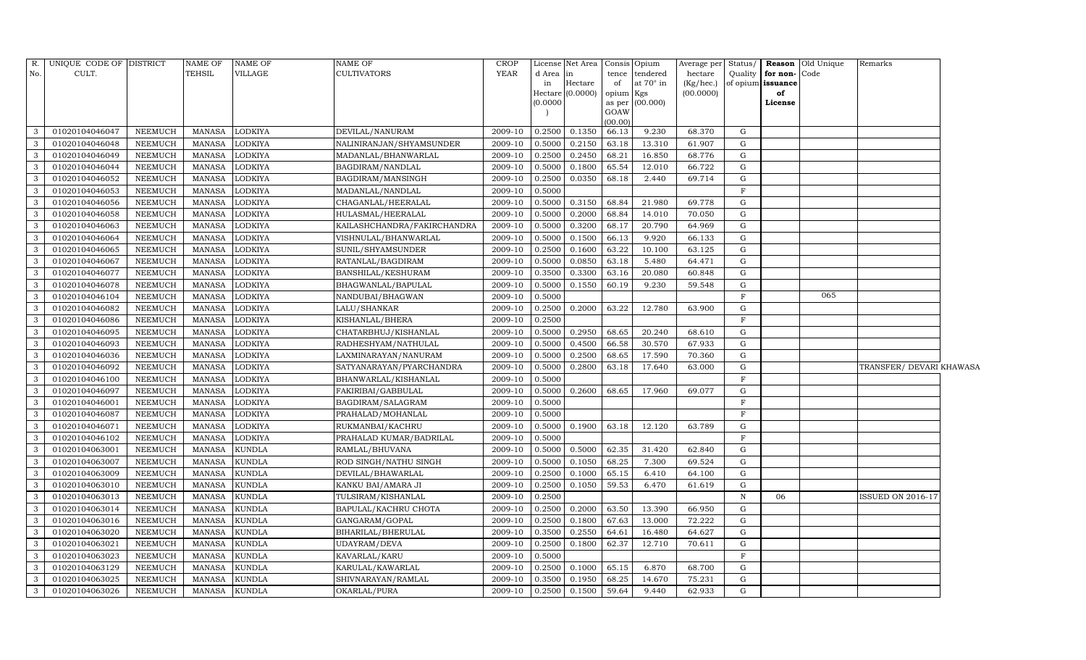| R.           | UNIQUE CODE OF DISTRICT |                | <b>NAME OF</b> | <b>NAME OF</b> | <b>NAME OF</b>              | CROP        |          | License Net Area |           | Consis Opium     | Average per Status/ |             |                          | <b>Reason</b> Old Unique | Remarks                  |  |
|--------------|-------------------------|----------------|----------------|----------------|-----------------------------|-------------|----------|------------------|-----------|------------------|---------------------|-------------|--------------------------|--------------------------|--------------------------|--|
| No.          | CULT.                   |                | <b>TEHSIL</b>  | <b>VILLAGE</b> | CULTIVATORS                 | <b>YEAR</b> | d Area   | in               | tence     | tendered         | hectare             | Quality     | for non-Code             |                          |                          |  |
|              |                         |                |                |                |                             |             | in       | Hectare          | of        | at $70^\circ$ in | (Kg/hec.)           |             | of opium <b>issuance</b> |                          |                          |  |
|              |                         |                |                |                |                             |             | (0.0000) | Hectare (0.0000) | opium Kgs | as per (00.000)  | (00.0000)           |             | of<br>License            |                          |                          |  |
|              |                         |                |                |                |                             |             |          |                  | GOAW      |                  |                     |             |                          |                          |                          |  |
|              |                         |                |                |                |                             |             |          |                  | (00.00)   |                  |                     |             |                          |                          |                          |  |
| 3            | 01020104046047          | NEEMUCH        | <b>MANASA</b>  | <b>LODKIYA</b> | DEVILAL/NANURAM             | 2009-10     | 0.2500   | 0.1350           | 66.13     | 9.230            | 68.370              | G           |                          |                          |                          |  |
| 3            | 01020104046048          | <b>NEEMUCH</b> | <b>MANASA</b>  | LODKIYA        | NALINIRANJAN/SHYAMSUNDER    | 2009-10     | 0.5000   | 0.2150           | 63.18     | 13.310           | 61.907              | G           |                          |                          |                          |  |
| 3            | 01020104046049          | <b>NEEMUCH</b> | <b>MANASA</b>  | <b>LODKIYA</b> | MADANLAL/BHANWARLAL         | 2009-10     | 0.2500   | 0.2450           | 68.21     | 16.850           | 68.776              | G           |                          |                          |                          |  |
| $\mathbf{3}$ | 01020104046044          | NEEMUCH        | MANASA         | <b>LODKIYA</b> | BAGDIRAM/NANDLAL            | 2009-10     | 0.5000   | 0.1800           | 65.54     | 12.010           | 66.722              | G           |                          |                          |                          |  |
| 3            | 01020104046052          | <b>NEEMUCH</b> | <b>MANASA</b>  | LODKIYA        | BAGDIRAM/MANSINGH           | 2009-10     | 0.2500   | 0.0350           | 68.18     | 2.440            | 69.714              | G           |                          |                          |                          |  |
| 3            | 01020104046053          | <b>NEEMUCH</b> | <b>MANASA</b>  | LODKIYA        | MADANLAL/NANDLAL            | 2009-10     | 0.5000   |                  |           |                  |                     | $\mathbf F$ |                          |                          |                          |  |
| 3            | 01020104046056          | <b>NEEMUCH</b> | <b>MANASA</b>  | LODKIYA        | CHAGANLAL/HEERALAL          | 2009-10     | 0.5000   | 0.3150           | 68.84     | 21.980           | 69.778              | G           |                          |                          |                          |  |
| 3            | 01020104046058          | <b>NEEMUCH</b> | <b>MANASA</b>  | LODKIYA        | HULASMAL/HEERALAL           | 2009-10     | 0.5000   | 0.2000           | 68.84     | 14.010           | 70.050              | G           |                          |                          |                          |  |
| 3            | 01020104046063          | <b>NEEMUCH</b> | <b>MANASA</b>  | LODKIYA        | KAILASHCHANDRA/FAKIRCHANDRA | 2009-10     | 0.5000   | 0.3200           | 68.17     | 20.790           | 64.969              | G           |                          |                          |                          |  |
| 3            | 01020104046064          | <b>NEEMUCH</b> | <b>MANASA</b>  | LODKIYA        | VISHNULAL/BHANWARLAL        | 2009-10     | 0.5000   | 0.1500           | 66.13     | 9.920            | 66.133              | G           |                          |                          |                          |  |
| 3            | 01020104046065          | <b>NEEMUCH</b> | <b>MANASA</b>  | LODKIYA        | SUNIL/SHYAMSUNDER           | 2009-10     | 0.2500   | 0.1600           | 63.22     | 10.100           | 63.125              | G           |                          |                          |                          |  |
| $\mathbf{3}$ | 01020104046067          | <b>NEEMUCH</b> | <b>MANASA</b>  | LODKIYA        | RATANLAL/BAGDIRAM           | 2009-10     | 0.5000   | 0.0850           | 63.18     | 5.480            | 64.471              | G           |                          |                          |                          |  |
| 3            | 01020104046077          | <b>NEEMUCH</b> | <b>MANASA</b>  | <b>LODKIYA</b> | BANSHILAL/KESHURAM          | 2009-10     | 0.3500   | 0.3300           | 63.16     | 20.080           | 60.848              | G           |                          |                          |                          |  |
| 3            | 01020104046078          | <b>NEEMUCH</b> | <b>MANASA</b>  | LODKIYA        | BHAGWANLAL/BAPULAL          | 2009-10     | 0.5000   | 0.1550           | 60.19     | 9.230            | 59.548              | G           |                          |                          |                          |  |
| 3            | 01020104046104          | <b>NEEMUCH</b> | <b>MANASA</b>  | LODKIYA        | NANDUBAI/BHAGWAN            | 2009-10     | 0.5000   |                  |           |                  |                     | F           |                          | 065                      |                          |  |
| 3            | 01020104046082          | NEEMUCH        | <b>MANASA</b>  | LODKIYA        | LALU/SHANKAR                | 2009-10     | 0.2500   | 0.2000           | 63.22     | 12.780           | 63.900              | G           |                          |                          |                          |  |
| 3            | 01020104046086          | <b>NEEMUCH</b> | MANASA         | LODKIYA        | KISHANLAL/BHERA             | 2009-10     | 0.2500   |                  |           |                  |                     | $\mathbf F$ |                          |                          |                          |  |
| 3            | 01020104046095          | <b>NEEMUCH</b> | <b>MANASA</b>  | LODKIYA        | CHATARBHUJ/KISHANLAL        | 2009-10     | 0.5000   | 0.2950           | 68.65     | 20.240           | 68.610              | G           |                          |                          |                          |  |
| 3            | 01020104046093          | NEEMUCH        | <b>MANASA</b>  | LODKIYA        | RADHESHYAM/NATHULAL         | 2009-10     | 0.5000   | 0.4500           | 66.58     | 30.570           | 67.933              | G           |                          |                          |                          |  |
| 3            | 01020104046036          | NEEMUCH        | <b>MANASA</b>  | LODKIYA        | LAXMINARAYAN/NANURAM        | 2009-10     | 0.5000   | 0.2500           | 68.65     | 17.590           | 70.360              | G           |                          |                          |                          |  |
| 3            | 01020104046092          | <b>NEEMUCH</b> | <b>MANASA</b>  | LODKIYA        | SATYANARAYAN/PYARCHANDRA    | 2009-10     | 0.5000   | 0.2800           | 63.18     | 17.640           | 63.000              | G           |                          |                          | TRANSFER/ DEVARI KHAWASA |  |
| 3            | 01020104046100          | <b>NEEMUCH</b> | <b>MANASA</b>  | LODKIYA        | BHANWARLAL/KISHANLAL        | 2009-10     | 0.5000   |                  |           |                  |                     | $\mathbf F$ |                          |                          |                          |  |
| 3            | 01020104046097          | <b>NEEMUCH</b> | <b>MANASA</b>  | LODKIYA        | FAKIRIBAI/GABBULAL          | $2009-10$   | 0.5000   | 0.2600           | 68.65     | 17.960           | 69.077              | G           |                          |                          |                          |  |
| 3            | 01020104046001          | <b>NEEMUCH</b> | <b>MANASA</b>  | LODKIYA        | BAGDIRAM/SALAGRAM           | 2009-10     | 0.5000   |                  |           |                  |                     | F           |                          |                          |                          |  |
| 3            | 01020104046087          | <b>NEEMUCH</b> | <b>MANASA</b>  | LODKIYA        | PRAHALAD/MOHANLAL           | 2009-10     | 0.5000   |                  |           |                  |                     | $\mathbf F$ |                          |                          |                          |  |
| 3            | 01020104046071          | <b>NEEMUCH</b> | <b>MANASA</b>  | LODKIYA        | RUKMANBAI/KACHRU            | 2009-10     | 0.5000   | 0.1900           | 63.18     | 12.120           | 63.789              | G           |                          |                          |                          |  |
| 3            | 01020104046102          | <b>NEEMUCH</b> | <b>MANASA</b>  | LODKIYA        | PRAHALAD KUMAR/BADRILAL     | 2009-10     | 0.5000   |                  |           |                  |                     | $\mathbf F$ |                          |                          |                          |  |
| 3            | 01020104063001          | NEEMUCH        | <b>MANASA</b>  | <b>KUNDLA</b>  | RAMLAL/BHUVANA              | 2009-10     | 0.5000   | 0.5000           | 62.35     | 31.420           | 62.840              | G           |                          |                          |                          |  |
| 3            | 01020104063007          | NEEMUCH        | MANASA         | <b>KUNDLA</b>  | ROD SINGH/NATHU SINGH       | 2009-10     | 0.5000   | 0.1050           | 68.25     | 7.300            | 69.524              | G           |                          |                          |                          |  |
| 3            | 01020104063009          | NEEMUCH        | <b>MANASA</b>  | <b>KUNDLA</b>  | DEVILAL/BHAWARLAL           | 2009-10     | 0.2500   | 0.1000           | 65.15     | 6.410            | 64.100              | G           |                          |                          |                          |  |
| 3            | 01020104063010          | <b>NEEMUCH</b> | <b>MANASA</b>  | <b>KUNDLA</b>  | KANKU BAI/AMARA JI          | 2009-10     | 0.2500   | 0.1050           | 59.53     | 6.470            | 61.619              | G           |                          |                          |                          |  |
| 3            | 01020104063013          | NEEMUCH        | <b>MANASA</b>  | <b>KUNDLA</b>  | TULSIRAM/KISHANLAL          | 2009-10     | 0.2500   |                  |           |                  |                     | $\mathbf N$ | 06                       |                          | ISSUED ON 2016-17        |  |
| 3            | 01020104063014          | NEEMUCH        | <b>MANASA</b>  | <b>KUNDLA</b>  | BAPULAL/KACHRU CHOTA        | 2009-10     | 0.2500   | 0.2000           | 63.50     | 13.390           | 66.950              | G           |                          |                          |                          |  |
| 3            | 01020104063016          | <b>NEEMUCH</b> | <b>MANASA</b>  | <b>KUNDLA</b>  | GANGARAM/GOPAL              | 2009-10     | 0.2500   | 0.1800           | 67.63     | 13.000           | 72.222              | G           |                          |                          |                          |  |
| 3            | 01020104063020          | <b>NEEMUCH</b> | <b>MANASA</b>  | <b>KUNDLA</b>  | BIHARILAL/BHERULAL          | 2009-10     | 0.3500   | 0.2550           | 64.61     | 16.480           | 64.627              | G           |                          |                          |                          |  |
| 3            | 01020104063021          | NEEMUCH        | <b>MANASA</b>  | <b>KUNDLA</b>  | UDAYRAM/DEVA                | 2009-10     | 0.2500   | 0.1800           | 62.37     | 12.710           | 70.611              | G           |                          |                          |                          |  |
| 3            | 01020104063023          | <b>NEEMUCH</b> | <b>MANASA</b>  | <b>KUNDLA</b>  | KAVARLAL/KARU               | 2009-10     | 0.5000   |                  |           |                  |                     | $\mathbf F$ |                          |                          |                          |  |
| 3            | 01020104063129          | <b>NEEMUCH</b> | <b>MANASA</b>  | <b>KUNDLA</b>  | KARULAL/KAWARLAL            | 2009-10     | 0.2500   | 0.1000           | 65.15     | 6.870            | 68.700              | G           |                          |                          |                          |  |
| $\mathbf{3}$ | 01020104063025          | <b>NEEMUCH</b> | <b>MANASA</b>  | <b>KUNDLA</b>  | SHIVNARAYAN/RAMLAL          | 2009-10     | 0.3500   | 0.1950           | 68.25     | 14.670           | 75.231              | G           |                          |                          |                          |  |
| $\mathbf{3}$ | 01020104063026          | <b>NEEMUCH</b> | <b>MANASA</b>  | <b>KUNDLA</b>  | OKARLAL/PURA                | 2009-10     | 0.2500   | 0.1500           | 59.64     | 9.440            | 62.933              | G           |                          |                          |                          |  |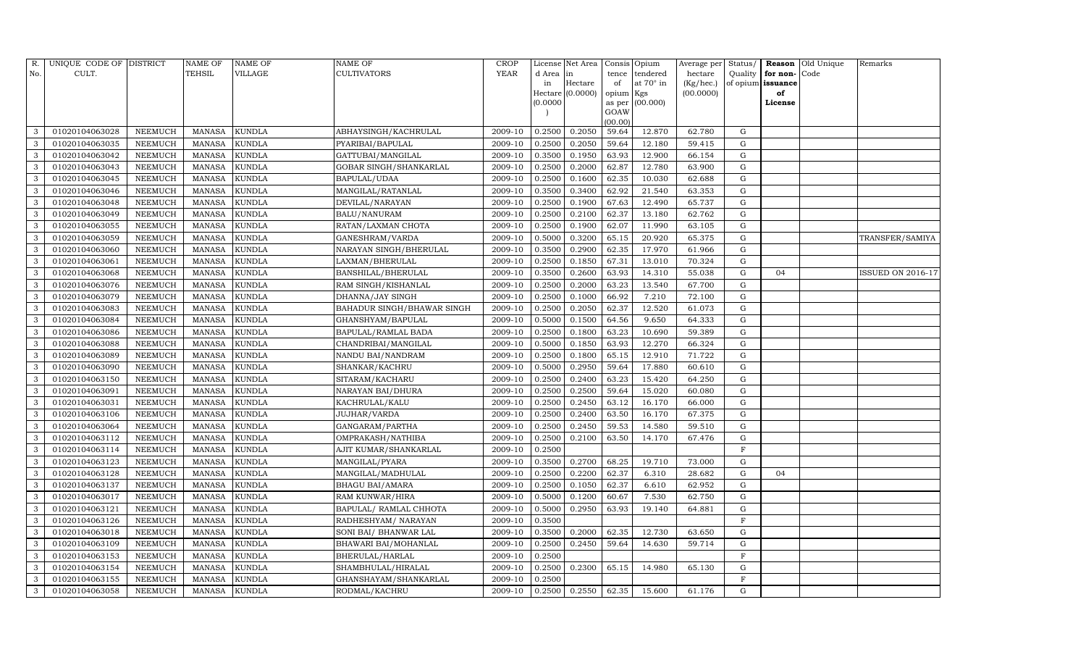| R.  | UNIQUE CODE OF DISTRICT |                | <b>NAME OF</b> | <b>NAME OF</b> | <b>NAME OF</b>             | CROP    |          | License Net Area |                | Consis Opium     | Average per | Status/     | Reason            | Old Unique | Remarks           |
|-----|-------------------------|----------------|----------------|----------------|----------------------------|---------|----------|------------------|----------------|------------------|-------------|-------------|-------------------|------------|-------------------|
| No. | CULT.                   |                | <b>TEHSIL</b>  | VILLAGE        | <b>CULTIVATORS</b>         | YEAR    | d Area   | in               | tence          | tendered         | hectare     | Quality     | for non-          | Code       |                   |
|     |                         |                |                |                |                            |         | in       | Hectare          | of             | at $70^\circ$ in | (Kg/hec.)   |             | of opium issuance |            |                   |
|     |                         |                |                |                |                            |         |          | Hectare (0.0000) | opium Kgs      |                  | (00.0000)   |             | of                |            |                   |
|     |                         |                |                |                |                            |         | (0.0000) |                  | as per<br>GOAW | (00.000)         |             |             | License           |            |                   |
|     |                         |                |                |                |                            |         |          |                  | (00.00)        |                  |             |             |                   |            |                   |
| 3   | 01020104063028          | NEEMUCH        | MANASA         | <b>KUNDLA</b>  | ABHAYSINGH/KACHRULAL       | 2009-10 | 0.2500   | 0.2050           | 59.64          | 12.870           | 62.780      | G           |                   |            |                   |
| 3   | 01020104063035          | NEEMUCH        | <b>MANASA</b>  | <b>KUNDLA</b>  | PYARIBAI/BAPULAL           | 2009-10 | 0.2500   | 0.2050           | 59.64          | 12.180           | 59.415      | G           |                   |            |                   |
| 3   | 01020104063042          | <b>NEEMUCH</b> | <b>MANASA</b>  | <b>KUNDLA</b>  | GATTUBAI/MANGILAL          | 2009-10 | 0.3500   | 0.1950           | 63.93          | 12.900           | 66.154      | G           |                   |            |                   |
| 3   | 01020104063043          | NEEMUCH        | MANASA         | <b>KUNDLA</b>  | GOBAR SINGH/SHANKARLAL     | 2009-10 | 0.2500   | 0.2000           | 62.87          | 12.780           | 63.900      | ${\rm G}$   |                   |            |                   |
| 3   | 01020104063045          | <b>NEEMUCH</b> | <b>MANASA</b>  | <b>KUNDLA</b>  | BAPULAL/UDAA               | 2009-10 | 0.2500   | 0.1600           | 62.35          | 10.030           | 62.688      | $\mathbf G$ |                   |            |                   |
| 3   | 01020104063046          | <b>NEEMUCH</b> | MANASA         | <b>KUNDLA</b>  | MANGILAL/RATANLAL          | 2009-10 | 0.3500   | 0.3400           | 62.92          | 21.540           | 63.353      | ${\rm G}$   |                   |            |                   |
| 3   | 01020104063048          | NEEMUCH        | MANASA         | <b>KUNDLA</b>  | DEVILAL/NARAYAN            | 2009-10 | 0.2500   | 0.1900           | 67.63          | 12.490           | 65.737      | G           |                   |            |                   |
| 3   | 01020104063049          | <b>NEEMUCH</b> | MANASA         | <b>KUNDLA</b>  | <b>BALU/NANURAM</b>        | 2009-10 | 0.2500   | 0.2100           | 62.37          | 13.180           | 62.762      | ${\rm G}$   |                   |            |                   |
| 3   | 01020104063055          | <b>NEEMUCH</b> | <b>MANASA</b>  | <b>KUNDLA</b>  | RATAN/LAXMAN CHOTA         | 2009-10 | 0.2500   | 0.1900           | 62.07          | 11.990           | 63.105      | $\mathbf G$ |                   |            |                   |
| 3   | 01020104063059          | NEEMUCH        | MANASA         | <b>KUNDLA</b>  | GANESHRAM/VARDA            | 2009-10 | 0.5000   | 0.3200           | 65.15          | 20.920           | 65.375      | ${\rm G}$   |                   |            | TRANSFER/SAMIYA   |
| 3   | 01020104063060          | <b>NEEMUCH</b> | MANASA         | <b>KUNDLA</b>  | NARAYAN SINGH/BHERULAL     | 2009-10 | 0.3500   | 0.2900           | 62.35          | 17.970           | 61.966      | ${\rm G}$   |                   |            |                   |
| 3   | 01020104063061          | <b>NEEMUCH</b> | MANASA         | <b>KUNDLA</b>  | LAXMAN/BHERULAL            | 2009-10 | 0.2500   | 0.1850           | 67.31          | 13.010           | 70.324      | G           |                   |            |                   |
| 3   | 01020104063068          | <b>NEEMUCH</b> | <b>MANASA</b>  | <b>KUNDLA</b>  | BANSHILAL/BHERULAL         | 2009-10 | 0.3500   | 0.2600           | 63.93          | 14.310           | 55.038      | $\mathbf G$ | 04                |            | ISSUED ON 2016-17 |
| 3   | 01020104063076          | <b>NEEMUCH</b> | <b>MANASA</b>  | <b>KUNDLA</b>  | RAM SINGH/KISHANLAL        | 2009-10 | 0.2500   | 0.2000           | 63.23          | 13.540           | 67.700      | G           |                   |            |                   |
| 3   | 01020104063079          | NEEMUCH        | MANASA         | <b>KUNDLA</b>  | DHANNA/JAY SINGH           | 2009-10 | 0.2500   | 0.1000           | 66.92          | 7.210            | 72.100      | G           |                   |            |                   |
| 3   | 01020104063083          | <b>NEEMUCH</b> | MANASA         | <b>KUNDLA</b>  | BAHADUR SINGH/BHAWAR SINGH | 2009-10 | 0.2500   | 0.2050           | 62.37          | 12.520           | 61.073      | $\mathbf G$ |                   |            |                   |
| 3   | 01020104063084          | <b>NEEMUCH</b> | <b>MANASA</b>  | <b>KUNDLA</b>  | GHANSHYAM/BAPULAL          | 2009-10 | 0.5000   | 0.1500           | 64.56          | 9.650            | 64.333      | G           |                   |            |                   |
| 3   | 01020104063086          | <b>NEEMUCH</b> | MANASA         | <b>KUNDLA</b>  | BAPULAL/RAMLAL BADA        | 2009-10 | 0.2500   | 0.1800           | 63.23          | 10.690           | 59.389      | G           |                   |            |                   |
| 3   | 01020104063088          | <b>NEEMUCH</b> | <b>MANASA</b>  | <b>KUNDLA</b>  | CHANDRIBAI/MANGILAL        | 2009-10 | 0.5000   | 0.1850           | 63.93          | 12.270           | 66.324      | G           |                   |            |                   |
| 3   | 01020104063089          | <b>NEEMUCH</b> | MANASA         | <b>KUNDLA</b>  | NANDU BAI/NANDRAM          | 2009-10 | 0.2500   | 0.1800           | 65.15          | 12.910           | 71.722      | G           |                   |            |                   |
| 3   | 01020104063090          | NEEMUCH        | MANASA         | <b>KUNDLA</b>  | SHANKAR/KACHRU             | 2009-10 | 0.5000   | 0.2950           | 59.64          | 17.880           | 60.610      | ${\rm G}$   |                   |            |                   |
| 3   | 01020104063150          | <b>NEEMUCH</b> | <b>MANASA</b>  | <b>KUNDLA</b>  | SITARAM/KACHARU            | 2009-10 | 0.2500   | 0.2400           | 63.23          | 15.420           | 64.250      | ${\rm G}$   |                   |            |                   |
| 3   | 01020104063091          | NEEMUCH        | MANASA         | <b>KUNDLA</b>  | NARAYAN BAI/DHURA          | 2009-10 | 0.2500   | 0.2500           | 59.64          | 15.020           | 60.080      | G           |                   |            |                   |
| 3   | 01020104063031          | <b>NEEMUCH</b> | <b>MANASA</b>  | <b>KUNDLA</b>  | KACHRULAL/KALU             | 2009-10 | 0.2500   | 0.2450           | 63.12          | 16.170           | 66.000      | ${\rm G}$   |                   |            |                   |
| 3   | 01020104063106          | <b>NEEMUCH</b> | MANASA         | <b>KUNDLA</b>  | JUJHAR/VARDA               | 2009-10 | 0.2500   | 0.2400           | 63.50          | 16.170           | 67.375      | G           |                   |            |                   |
| 3   | 01020104063064          | <b>NEEMUCH</b> | <b>MANASA</b>  | <b>KUNDLA</b>  | GANGARAM/PARTHA            | 2009-10 | 0.2500   | 0.2450           | 59.53          | 14.580           | 59.510      | G           |                   |            |                   |
| 3   | 01020104063112          | <b>NEEMUCH</b> | <b>MANASA</b>  | <b>KUNDLA</b>  | OMPRAKASH/NATHIBA          | 2009-10 | 0.2500   | 0.2100           | 63.50          | 14.170           | 67.476      | ${\rm G}$   |                   |            |                   |
| 3   | 01020104063114          | <b>NEEMUCH</b> | <b>MANASA</b>  | <b>KUNDLA</b>  | AJIT KUMAR/SHANKARLAL      | 2009-10 | 0.2500   |                  |                |                  |             | $\mathbf F$ |                   |            |                   |
| 3   | 01020104063123          | NEEMUCH        | MANASA         | <b>KUNDLA</b>  | MANGILAL/PYARA             | 2009-10 | 0.3500   | 0.2700           | 68.25          | 19.710           | 73.000      | G           |                   |            |                   |
| 3   | 01020104063128          | NEEMUCH        | MANASA         | <b>KUNDLA</b>  | MANGILAL/MADHULAL          | 2009-10 | 0.2500   | 0.2200           | 62.37          | 6.310            | 28.682      | ${\rm G}$   | 04                |            |                   |
| 3   | 01020104063137          | <b>NEEMUCH</b> | MANASA         | <b>KUNDLA</b>  | <b>BHAGU BAI/AMARA</b>     | 2009-10 | 0.2500   | 0.1050           | 62.37          | 6.610            | 62.952      | $\mathbf G$ |                   |            |                   |
| 3   | 01020104063017          | <b>NEEMUCH</b> | <b>MANASA</b>  | <b>KUNDLA</b>  | RAM KUNWAR/HIRA            | 2009-10 | 0.5000   | 0.1200           | 60.67          | 7.530            | 62.750      | $\mathbf G$ |                   |            |                   |
| 3   | 01020104063121          | <b>NEEMUCH</b> | MANASA         | <b>KUNDLA</b>  | BAPULAL/ RAMLAL CHHOTA     | 2009-10 | 0.5000   | 0.2950           | 63.93          | 19.140           | 64.881      | ${\rm G}$   |                   |            |                   |
| 3   | 01020104063126          | <b>NEEMUCH</b> | MANASA         | <b>KUNDLA</b>  | RADHESHYAM/ NARAYAN        | 2009-10 | 0.3500   |                  |                |                  |             | $\mathbf F$ |                   |            |                   |
| 3   | 01020104063018          | <b>NEEMUCH</b> | MANASA         | <b>KUNDLA</b>  | SONI BAI/ BHANWAR LAL      | 2009-10 | 0.3500   | 0.2000           | 62.35          | 12.730           | 63.650      | $\mathbf G$ |                   |            |                   |
| 3   | 01020104063109          | <b>NEEMUCH</b> | <b>MANASA</b>  | <b>KUNDLA</b>  | BHAWARI BAI/MOHANLAL       | 2009-10 | 0.2500   | 0.2450           | 59.64          | 14.630           | 59.714      | $\mathbf G$ |                   |            |                   |
| 3   | 01020104063153          | <b>NEEMUCH</b> | MANASA         | <b>KUNDLA</b>  | BHERULAL/HARLAL            | 2009-10 | 0.2500   |                  |                |                  |             | $\mathbf F$ |                   |            |                   |
| 3   | 01020104063154          | NEEMUCH        | <b>MANASA</b>  | <b>KUNDLA</b>  | SHAMBHULAL/HIRALAL         | 2009-10 | 0.2500   | 0.2300           | 65.15          | 14.980           | 65.130      | G           |                   |            |                   |
| 3   | 01020104063155          | NEEMUCH        | MANASA         | <b>KUNDLA</b>  | GHANSHAYAM/SHANKARLAL      | 2009-10 | 0.2500   |                  |                |                  |             | F           |                   |            |                   |
| 3   | 01020104063058          | <b>NEEMUCH</b> | MANASA         | <b>KUNDLA</b>  | RODMAL/KACHRU              | 2009-10 | 0.2500   | 0.2550           | 62.35          | 15.600           | 61.176      | G           |                   |            |                   |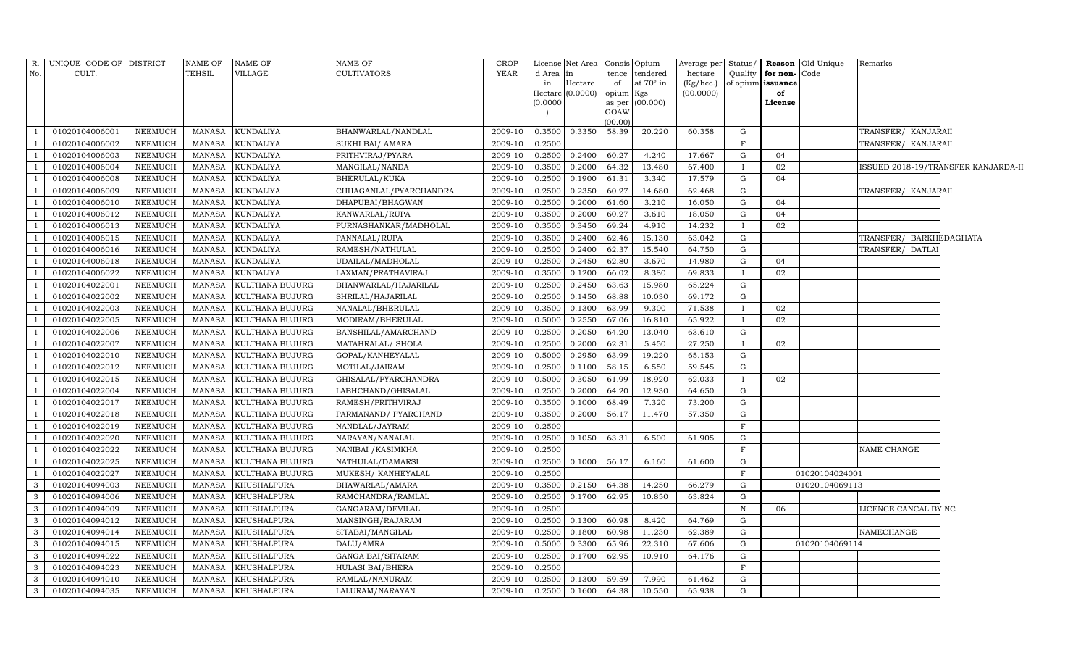| CULT.<br><b>TEHSIL</b><br>VILLAGE<br><b>CULTIVATORS</b><br>YEAR<br>No.<br>d Area<br>tendered<br>Quality<br>for non-Code<br>in<br>tence<br>hectare<br>in<br>Hectare<br>of<br>at $70^\circ$ in<br>of opium issuance<br>(Kg/hec.)<br>(0.0000)<br>(00.0000)<br>opium<br>of<br>Hectare<br>Kgs<br>(0.0000)<br>(00.000)<br>License<br>as per<br>GOAW<br>(00.00)<br>0.3350<br>58.39<br>01020104006001<br>NEEMUCH<br><b>KUNDALIYA</b><br>0.3500<br>20.220<br>60.358<br>G<br>TRANSFER/ KANJARAII<br><b>MANASA</b><br>BHANWARLAL/NANDLAL<br>2009-10<br>$\overline{1}$<br><b>NEEMUCH</b><br>F<br>TRANSFER/ KANJARAII<br>01020104006002<br><b>MANASA</b><br><b>KUNDALIYA</b><br>SUKHI BAI/ AMARA<br>0.2500<br>2009-10<br>0.2400<br>60.27<br>01020104006003<br>NEEMUCH<br><b>MANASA</b><br><b>KUNDALIYA</b><br>PRITHVIRAJ/PYARA<br>2009-10<br>0.2500<br>4.240<br>17.667<br>04<br>G<br>-1<br>01020104006004<br>0.2000<br>$\overline{1}$<br><b>NEEMUCH</b><br><b>MANASA</b><br>KUNDALIYA<br>2009-10<br>0.3500<br>64.32<br>13.480<br>67.400<br>02<br>ISSUED 2018-19/TRANSFER KANJARDA-II<br>MANGILAL/NANDA<br>$\mathbf{I}$<br><b>MANASA</b><br>04<br>01020104006008<br><b>NEEMUCH</b><br><b>KUNDALIYA</b><br>BHERULAL/KUKA<br>2009-10<br>0.2500<br>0.1900<br>61.31<br>3.340<br>17.579<br>$\mathbf G$<br>$\overline{1}$<br>$\overline{1}$<br>01020104006009<br>NEEMUCH<br><b>MANASA</b><br>KUNDALIYA<br>CHHAGANLAL/PYARCHANDRA<br>2009-10<br>0.2500<br>0.2350<br>60.27<br>14.680<br>62.468<br>$\mathbf G$<br>TRANSFER/ KANJARAII<br>0.2000<br>01020104006010<br><b>NEEMUCH</b><br><b>MANASA</b><br>KUNDALIYA<br>DHAPUBAI/BHAGWAN<br>2009-10<br>0.2500<br>61.60<br>3.210<br>16.050<br>G<br>04<br>-1<br>01020104006012<br><b>NEEMUCH</b><br>2009-10<br>0.3500<br>0.2000<br>60.27<br>3.610<br>${\rm G}$<br>04<br><b>MANASA</b><br><b>KUNDALIYA</b><br>KANWARLAL/RUPA<br>18.050<br>-1<br>01020104006013<br><b>NEEMUCH</b><br>PURNASHANKAR/MADHOLAL<br>0.3450<br>69.24<br>4.910<br>02<br>$\overline{1}$<br><b>MANASA</b><br><b>KUNDALIYA</b><br>2009-10<br>0.3500<br>14.232<br>$\mathbf{I}$<br>0.2400<br>$\overline{1}$<br>01020104006015<br>NEEMUCH<br><b>MANASA</b><br><b>KUNDALIYA</b><br>PANNALAL/RUPA<br>2009-10<br>0.3500<br>62.46<br>15.130<br>63.042<br>$\mathbf G$<br>TRANSFER/ BARKHEDAGHATA<br>01020104006016<br><b>NEEMUCH</b><br><b>MANASA</b><br><b>KUNDALIYA</b><br>RAMESH/NATHULAL<br>2009-10<br>0.2500<br>0.2400<br>62.37<br>15.540<br>64.750<br>TRANSFER/ DATLAI<br>$\mathbf G$<br>-1<br>01020104006018<br>0.2450<br>$\overline{1}$<br>NEEMUCH<br><b>MANASA</b><br><b>KUNDALIYA</b><br>UDAILAL/MADHOLAL<br>2009-10<br>0.2500<br>62.80<br>3.670<br>14.980<br>G<br>04<br>0.1200<br>8.380<br>02<br>01020104006022<br><b>NEEMUCH</b><br>MANASA<br><b>KUNDALIYA</b><br>LAXMAN/PRATHAVIRAJ<br>2009-10<br>0.3500<br>66.02<br>69.833<br>0.2450<br>01020104022001<br><b>NEEMUCH</b><br><b>MANASA</b><br>KULTHANA BUJURG<br>BHANWARLAL/HAJARILAL<br>2009-10<br>0.2500<br>63.63<br>15.980<br>65.224<br>G<br>01020104022002<br>0.1450<br>68.88<br>10.030<br>G<br>$\overline{1}$<br>NEEMUCH<br>MANASA<br>KULTHANA BUJURG<br>SHRILAL/HAJARILAL<br>2009-10<br>0.2500<br>69.172<br>01020104022003<br>0.1300<br>63.99<br>NEEMUCH<br><b>MANASA</b><br>KULTHANA BUJURG<br>NANALAL/BHERULAL<br>2009-10<br>0.3500<br>9.300<br>71.538<br>02<br>$\overline{1}$<br>$\mathbf{I}$<br>01020104022005<br><b>NEEMUCH</b><br><b>MANASA</b><br>KULTHANA BUJURG<br>MODIRAM/BHERULAL<br>0.5000<br>0.2550<br>16.810<br>65.922<br>02<br>2009-10<br>67.06<br>0.2050<br>64.20<br>G<br>01020104022006<br>NEEMUCH<br><b>MANASA</b><br>KULTHANA BUJURG<br>2009-10<br>0.2500<br>13.040<br>63.610<br>$\overline{1}$<br>BANSHILAL/AMARCHAND<br>0.2000<br>01020104022007<br>NEEMUCH<br><b>MANASA</b><br>KULTHANA BUJURG<br>2009-10<br>0.2500<br>62.31<br>5.450<br>27.250<br>02<br>MATAHRALAL/ SHOLA<br>$\overline{1}$<br>$\mathbf{I}$<br>01020104022010<br>0.5000<br>0.2950<br>63.99<br>19.220<br>$\overline{1}$<br>NEEMUCH<br><b>MANASA</b><br>KULTHANA BUJURG<br>GOPAL/KANHEYALAL<br>2009-10<br>65.153<br>G<br>01020104022012<br>NEEMUCH<br>0.1100<br>58.15<br>6.550<br>${\rm G}$<br>MANASA<br>KULTHANA BUJURG<br>MOTILAL/JAIRAM<br>2009-10<br>0.2500<br>59.545<br>01020104022015<br>NEEMUCH<br><b>MANASA</b><br>2009-10<br>0.5000<br>0.3050<br>61.99<br>18.920<br>62.033<br>02<br>KULTHANA BUJURG<br>GHISALAL/PYARCHANDRA<br>$\mathbf{I}$<br>$\overline{1}$<br>0.2000<br>01020104022004<br>NEEMUCH<br>2009-10<br>64.20<br>12.930<br>G<br><sup>1</sup><br>MANASA<br>KULTHANA BUJURG<br>LABHCHAND/GHISALAL<br>0.2500<br>64.650<br>G<br>01020104022017<br>NEEMUCH<br><b>MANASA</b><br>KULTHANA BUJURG<br>2009-10<br>0.3500<br>0.1000<br>68.49<br>7.320<br>73.200<br><sup>1</sup><br>RAMESH/PRITHVIRAJ<br>01020104022018<br>NEEMUCH<br>KULTHANA BUJURG<br>0.2000<br>56.17<br>11.470<br>57.350<br>$\mathbf G$<br><b>MANASA</b><br>PARMANAND/ PYARCHAND<br>2009-10<br>0.3500<br>$\mathbf F$<br>01020104022019<br>NEEMUCH<br><b>MANASA</b><br>2009-10<br>0.2500<br>$\overline{1}$<br>KULTHANA BUJURG<br>NANDLAL/JAYRAM<br>01020104022020<br>2009-10<br>63.31<br>NEEMUCH<br><b>MANASA</b><br>KULTHANA BUJURG<br>NARAYAN/NANALAL<br>0.2500<br>0.1050<br>6.500<br>61.905<br>G<br>$\overline{1}$<br>01020104022022<br>NEEMUCH<br><b>MANASA</b><br>KULTHANA BUJURG<br>NANIBAI / KASIMKHA<br>2009-10<br>0.2500<br>F<br>NAME CHANGE<br>$\overline{1}$<br>56.17<br>01020104022025<br>NEEMUCH<br>0.2500<br>0.1000<br>6.160<br>${\rm G}$<br>$\overline{1}$<br><b>MANASA</b><br>KULTHANA BUJURG<br>NATHULAL/DAMARSI<br>2009-10<br>61.600<br>01020104022027<br>2009-10<br>NEEMUCH<br><b>MANASA</b><br>KULTHANA BUJURG<br>MUKESH/ KANHEYALAL<br>0.2500<br>$\mathbf{F}$<br>01020104024001<br>-1<br>$\mathbf{3}$<br>01020104094003<br>0.2150<br>64.38<br>NEEMUCH<br><b>MANASA</b><br>KHUSHALPURA<br>2009-10<br>0.3500<br>14.250<br>66.279<br>G<br>01020104069113<br>BHAWARLAL/AMARA<br>0.1700<br>${\rm G}$<br>$\mathbf{3}$<br>01020104094006<br>NEEMUCH<br><b>MANASA</b><br>KHUSHALPURA<br>RAMCHANDRA/RAMLAL<br>2009-10<br>0.2500<br>62.95<br>10.850<br>63.824 | R.           | UNIQUE CODE OF DISTRICT |         | NAME OF       | NAME OF     | NAME OF          | CROP    |        | License Net Area | Consis Opium | Average per | Status/      |    | <b>Reason Old Unique</b> | Remarks              |  |
|--------------------------------------------------------------------------------------------------------------------------------------------------------------------------------------------------------------------------------------------------------------------------------------------------------------------------------------------------------------------------------------------------------------------------------------------------------------------------------------------------------------------------------------------------------------------------------------------------------------------------------------------------------------------------------------------------------------------------------------------------------------------------------------------------------------------------------------------------------------------------------------------------------------------------------------------------------------------------------------------------------------------------------------------------------------------------------------------------------------------------------------------------------------------------------------------------------------------------------------------------------------------------------------------------------------------------------------------------------------------------------------------------------------------------------------------------------------------------------------------------------------------------------------------------------------------------------------------------------------------------------------------------------------------------------------------------------------------------------------------------------------------------------------------------------------------------------------------------------------------------------------------------------------------------------------------------------------------------------------------------------------------------------------------------------------------------------------------------------------------------------------------------------------------------------------------------------------------------------------------------------------------------------------------------------------------------------------------------------------------------------------------------------------------------------------------------------------------------------------------------------------------------------------------------------------------------------------------------------------------------------------------------------------------------------------------------------------------------------------------------------------------------------------------------------------------------------------------------------------------------------------------------------------------------------------------------------------------------------------------------------------------------------------------------------------------------------------------------------------------------------------------------------------------------------------------------------------------------------------------------------------------------------------------------------------------------------------------------------------------------------------------------------------------------------------------------------------------------------------------------------------------------------------------------------------------------------------------------------------------------------------------------------------------------------------------------------------------------------------------------------------------------------------------------------------------------------------------------------------------------------------------------------------------------------------------------------------------------------------------------------------------------------------------------------------------------------------------------------------------------------------------------------------------------------------------------------------------------------------------------------------------------------------------------------------------------------------------------------------------------------------------------------------------------------------------------------------------------------------------------------------------------------------------------------------------------------------------------------------------------------------------------------------------------------------------------------------------------------------------------------------------------------------------------------------------------------------------------------------------------------------------------------------------------------------------------------------------------------------------------------------------------------------------------------------------------------------------------------------------------------------------------------------------------------------------------------------------------------------------------------------------------------------------------------------------------------------------------------------------------------------------------------------------------------------------------------------------------------------------------------------------------------------------------------------------------------------------------------------------------------------------------------------------------------------------------------------------------------------------------------------------------------------------------------------------------------------------------------------------------------------------------------------------------------------------------------------------------------------------------------------------------------------------------------------------------------------------|--------------|-------------------------|---------|---------------|-------------|------------------|---------|--------|------------------|--------------|-------------|--------------|----|--------------------------|----------------------|--|
|                                                                                                                                                                                                                                                                                                                                                                                                                                                                                                                                                                                                                                                                                                                                                                                                                                                                                                                                                                                                                                                                                                                                                                                                                                                                                                                                                                                                                                                                                                                                                                                                                                                                                                                                                                                                                                                                                                                                                                                                                                                                                                                                                                                                                                                                                                                                                                                                                                                                                                                                                                                                                                                                                                                                                                                                                                                                                                                                                                                                                                                                                                                                                                                                                                                                                                                                                                                                                                                                                                                                                                                                                                                                                                                                                                                                                                                                                                                                                                                                                                                                                                                                                                                                                                                                                                                                                                                                                                                                                                                                                                                                                                                                                                                                                                                                                                                                                                                                                                                                                                                                                                                                                                                                                                                                                                                                                                                                                                                                                                                                                                                                                                                                                                                                                                                                                                                                                                                                                                                                                                                                                            |              |                         |         |               |             |                  |         |        |                  |              |             |              |    |                          |                      |  |
|                                                                                                                                                                                                                                                                                                                                                                                                                                                                                                                                                                                                                                                                                                                                                                                                                                                                                                                                                                                                                                                                                                                                                                                                                                                                                                                                                                                                                                                                                                                                                                                                                                                                                                                                                                                                                                                                                                                                                                                                                                                                                                                                                                                                                                                                                                                                                                                                                                                                                                                                                                                                                                                                                                                                                                                                                                                                                                                                                                                                                                                                                                                                                                                                                                                                                                                                                                                                                                                                                                                                                                                                                                                                                                                                                                                                                                                                                                                                                                                                                                                                                                                                                                                                                                                                                                                                                                                                                                                                                                                                                                                                                                                                                                                                                                                                                                                                                                                                                                                                                                                                                                                                                                                                                                                                                                                                                                                                                                                                                                                                                                                                                                                                                                                                                                                                                                                                                                                                                                                                                                                                                            |              |                         |         |               |             |                  |         |        |                  |              |             |              |    |                          |                      |  |
|                                                                                                                                                                                                                                                                                                                                                                                                                                                                                                                                                                                                                                                                                                                                                                                                                                                                                                                                                                                                                                                                                                                                                                                                                                                                                                                                                                                                                                                                                                                                                                                                                                                                                                                                                                                                                                                                                                                                                                                                                                                                                                                                                                                                                                                                                                                                                                                                                                                                                                                                                                                                                                                                                                                                                                                                                                                                                                                                                                                                                                                                                                                                                                                                                                                                                                                                                                                                                                                                                                                                                                                                                                                                                                                                                                                                                                                                                                                                                                                                                                                                                                                                                                                                                                                                                                                                                                                                                                                                                                                                                                                                                                                                                                                                                                                                                                                                                                                                                                                                                                                                                                                                                                                                                                                                                                                                                                                                                                                                                                                                                                                                                                                                                                                                                                                                                                                                                                                                                                                                                                                                                            |              |                         |         |               |             |                  |         |        |                  |              |             |              |    |                          |                      |  |
|                                                                                                                                                                                                                                                                                                                                                                                                                                                                                                                                                                                                                                                                                                                                                                                                                                                                                                                                                                                                                                                                                                                                                                                                                                                                                                                                                                                                                                                                                                                                                                                                                                                                                                                                                                                                                                                                                                                                                                                                                                                                                                                                                                                                                                                                                                                                                                                                                                                                                                                                                                                                                                                                                                                                                                                                                                                                                                                                                                                                                                                                                                                                                                                                                                                                                                                                                                                                                                                                                                                                                                                                                                                                                                                                                                                                                                                                                                                                                                                                                                                                                                                                                                                                                                                                                                                                                                                                                                                                                                                                                                                                                                                                                                                                                                                                                                                                                                                                                                                                                                                                                                                                                                                                                                                                                                                                                                                                                                                                                                                                                                                                                                                                                                                                                                                                                                                                                                                                                                                                                                                                                            |              |                         |         |               |             |                  |         |        |                  |              |             |              |    |                          |                      |  |
|                                                                                                                                                                                                                                                                                                                                                                                                                                                                                                                                                                                                                                                                                                                                                                                                                                                                                                                                                                                                                                                                                                                                                                                                                                                                                                                                                                                                                                                                                                                                                                                                                                                                                                                                                                                                                                                                                                                                                                                                                                                                                                                                                                                                                                                                                                                                                                                                                                                                                                                                                                                                                                                                                                                                                                                                                                                                                                                                                                                                                                                                                                                                                                                                                                                                                                                                                                                                                                                                                                                                                                                                                                                                                                                                                                                                                                                                                                                                                                                                                                                                                                                                                                                                                                                                                                                                                                                                                                                                                                                                                                                                                                                                                                                                                                                                                                                                                                                                                                                                                                                                                                                                                                                                                                                                                                                                                                                                                                                                                                                                                                                                                                                                                                                                                                                                                                                                                                                                                                                                                                                                                            |              |                         |         |               |             |                  |         |        |                  |              |             |              |    |                          |                      |  |
|                                                                                                                                                                                                                                                                                                                                                                                                                                                                                                                                                                                                                                                                                                                                                                                                                                                                                                                                                                                                                                                                                                                                                                                                                                                                                                                                                                                                                                                                                                                                                                                                                                                                                                                                                                                                                                                                                                                                                                                                                                                                                                                                                                                                                                                                                                                                                                                                                                                                                                                                                                                                                                                                                                                                                                                                                                                                                                                                                                                                                                                                                                                                                                                                                                                                                                                                                                                                                                                                                                                                                                                                                                                                                                                                                                                                                                                                                                                                                                                                                                                                                                                                                                                                                                                                                                                                                                                                                                                                                                                                                                                                                                                                                                                                                                                                                                                                                                                                                                                                                                                                                                                                                                                                                                                                                                                                                                                                                                                                                                                                                                                                                                                                                                                                                                                                                                                                                                                                                                                                                                                                                            |              |                         |         |               |             |                  |         |        |                  |              |             |              |    |                          |                      |  |
|                                                                                                                                                                                                                                                                                                                                                                                                                                                                                                                                                                                                                                                                                                                                                                                                                                                                                                                                                                                                                                                                                                                                                                                                                                                                                                                                                                                                                                                                                                                                                                                                                                                                                                                                                                                                                                                                                                                                                                                                                                                                                                                                                                                                                                                                                                                                                                                                                                                                                                                                                                                                                                                                                                                                                                                                                                                                                                                                                                                                                                                                                                                                                                                                                                                                                                                                                                                                                                                                                                                                                                                                                                                                                                                                                                                                                                                                                                                                                                                                                                                                                                                                                                                                                                                                                                                                                                                                                                                                                                                                                                                                                                                                                                                                                                                                                                                                                                                                                                                                                                                                                                                                                                                                                                                                                                                                                                                                                                                                                                                                                                                                                                                                                                                                                                                                                                                                                                                                                                                                                                                                                            |              |                         |         |               |             |                  |         |        |                  |              |             |              |    |                          |                      |  |
|                                                                                                                                                                                                                                                                                                                                                                                                                                                                                                                                                                                                                                                                                                                                                                                                                                                                                                                                                                                                                                                                                                                                                                                                                                                                                                                                                                                                                                                                                                                                                                                                                                                                                                                                                                                                                                                                                                                                                                                                                                                                                                                                                                                                                                                                                                                                                                                                                                                                                                                                                                                                                                                                                                                                                                                                                                                                                                                                                                                                                                                                                                                                                                                                                                                                                                                                                                                                                                                                                                                                                                                                                                                                                                                                                                                                                                                                                                                                                                                                                                                                                                                                                                                                                                                                                                                                                                                                                                                                                                                                                                                                                                                                                                                                                                                                                                                                                                                                                                                                                                                                                                                                                                                                                                                                                                                                                                                                                                                                                                                                                                                                                                                                                                                                                                                                                                                                                                                                                                                                                                                                                            |              |                         |         |               |             |                  |         |        |                  |              |             |              |    |                          |                      |  |
|                                                                                                                                                                                                                                                                                                                                                                                                                                                                                                                                                                                                                                                                                                                                                                                                                                                                                                                                                                                                                                                                                                                                                                                                                                                                                                                                                                                                                                                                                                                                                                                                                                                                                                                                                                                                                                                                                                                                                                                                                                                                                                                                                                                                                                                                                                                                                                                                                                                                                                                                                                                                                                                                                                                                                                                                                                                                                                                                                                                                                                                                                                                                                                                                                                                                                                                                                                                                                                                                                                                                                                                                                                                                                                                                                                                                                                                                                                                                                                                                                                                                                                                                                                                                                                                                                                                                                                                                                                                                                                                                                                                                                                                                                                                                                                                                                                                                                                                                                                                                                                                                                                                                                                                                                                                                                                                                                                                                                                                                                                                                                                                                                                                                                                                                                                                                                                                                                                                                                                                                                                                                                            |              |                         |         |               |             |                  |         |        |                  |              |             |              |    |                          |                      |  |
|                                                                                                                                                                                                                                                                                                                                                                                                                                                                                                                                                                                                                                                                                                                                                                                                                                                                                                                                                                                                                                                                                                                                                                                                                                                                                                                                                                                                                                                                                                                                                                                                                                                                                                                                                                                                                                                                                                                                                                                                                                                                                                                                                                                                                                                                                                                                                                                                                                                                                                                                                                                                                                                                                                                                                                                                                                                                                                                                                                                                                                                                                                                                                                                                                                                                                                                                                                                                                                                                                                                                                                                                                                                                                                                                                                                                                                                                                                                                                                                                                                                                                                                                                                                                                                                                                                                                                                                                                                                                                                                                                                                                                                                                                                                                                                                                                                                                                                                                                                                                                                                                                                                                                                                                                                                                                                                                                                                                                                                                                                                                                                                                                                                                                                                                                                                                                                                                                                                                                                                                                                                                                            |              |                         |         |               |             |                  |         |        |                  |              |             |              |    |                          |                      |  |
|                                                                                                                                                                                                                                                                                                                                                                                                                                                                                                                                                                                                                                                                                                                                                                                                                                                                                                                                                                                                                                                                                                                                                                                                                                                                                                                                                                                                                                                                                                                                                                                                                                                                                                                                                                                                                                                                                                                                                                                                                                                                                                                                                                                                                                                                                                                                                                                                                                                                                                                                                                                                                                                                                                                                                                                                                                                                                                                                                                                                                                                                                                                                                                                                                                                                                                                                                                                                                                                                                                                                                                                                                                                                                                                                                                                                                                                                                                                                                                                                                                                                                                                                                                                                                                                                                                                                                                                                                                                                                                                                                                                                                                                                                                                                                                                                                                                                                                                                                                                                                                                                                                                                                                                                                                                                                                                                                                                                                                                                                                                                                                                                                                                                                                                                                                                                                                                                                                                                                                                                                                                                                            |              |                         |         |               |             |                  |         |        |                  |              |             |              |    |                          |                      |  |
|                                                                                                                                                                                                                                                                                                                                                                                                                                                                                                                                                                                                                                                                                                                                                                                                                                                                                                                                                                                                                                                                                                                                                                                                                                                                                                                                                                                                                                                                                                                                                                                                                                                                                                                                                                                                                                                                                                                                                                                                                                                                                                                                                                                                                                                                                                                                                                                                                                                                                                                                                                                                                                                                                                                                                                                                                                                                                                                                                                                                                                                                                                                                                                                                                                                                                                                                                                                                                                                                                                                                                                                                                                                                                                                                                                                                                                                                                                                                                                                                                                                                                                                                                                                                                                                                                                                                                                                                                                                                                                                                                                                                                                                                                                                                                                                                                                                                                                                                                                                                                                                                                                                                                                                                                                                                                                                                                                                                                                                                                                                                                                                                                                                                                                                                                                                                                                                                                                                                                                                                                                                                                            |              |                         |         |               |             |                  |         |        |                  |              |             |              |    |                          |                      |  |
|                                                                                                                                                                                                                                                                                                                                                                                                                                                                                                                                                                                                                                                                                                                                                                                                                                                                                                                                                                                                                                                                                                                                                                                                                                                                                                                                                                                                                                                                                                                                                                                                                                                                                                                                                                                                                                                                                                                                                                                                                                                                                                                                                                                                                                                                                                                                                                                                                                                                                                                                                                                                                                                                                                                                                                                                                                                                                                                                                                                                                                                                                                                                                                                                                                                                                                                                                                                                                                                                                                                                                                                                                                                                                                                                                                                                                                                                                                                                                                                                                                                                                                                                                                                                                                                                                                                                                                                                                                                                                                                                                                                                                                                                                                                                                                                                                                                                                                                                                                                                                                                                                                                                                                                                                                                                                                                                                                                                                                                                                                                                                                                                                                                                                                                                                                                                                                                                                                                                                                                                                                                                                            |              |                         |         |               |             |                  |         |        |                  |              |             |              |    |                          |                      |  |
|                                                                                                                                                                                                                                                                                                                                                                                                                                                                                                                                                                                                                                                                                                                                                                                                                                                                                                                                                                                                                                                                                                                                                                                                                                                                                                                                                                                                                                                                                                                                                                                                                                                                                                                                                                                                                                                                                                                                                                                                                                                                                                                                                                                                                                                                                                                                                                                                                                                                                                                                                                                                                                                                                                                                                                                                                                                                                                                                                                                                                                                                                                                                                                                                                                                                                                                                                                                                                                                                                                                                                                                                                                                                                                                                                                                                                                                                                                                                                                                                                                                                                                                                                                                                                                                                                                                                                                                                                                                                                                                                                                                                                                                                                                                                                                                                                                                                                                                                                                                                                                                                                                                                                                                                                                                                                                                                                                                                                                                                                                                                                                                                                                                                                                                                                                                                                                                                                                                                                                                                                                                                                            |              |                         |         |               |             |                  |         |        |                  |              |             |              |    |                          |                      |  |
|                                                                                                                                                                                                                                                                                                                                                                                                                                                                                                                                                                                                                                                                                                                                                                                                                                                                                                                                                                                                                                                                                                                                                                                                                                                                                                                                                                                                                                                                                                                                                                                                                                                                                                                                                                                                                                                                                                                                                                                                                                                                                                                                                                                                                                                                                                                                                                                                                                                                                                                                                                                                                                                                                                                                                                                                                                                                                                                                                                                                                                                                                                                                                                                                                                                                                                                                                                                                                                                                                                                                                                                                                                                                                                                                                                                                                                                                                                                                                                                                                                                                                                                                                                                                                                                                                                                                                                                                                                                                                                                                                                                                                                                                                                                                                                                                                                                                                                                                                                                                                                                                                                                                                                                                                                                                                                                                                                                                                                                                                                                                                                                                                                                                                                                                                                                                                                                                                                                                                                                                                                                                                            |              |                         |         |               |             |                  |         |        |                  |              |             |              |    |                          |                      |  |
|                                                                                                                                                                                                                                                                                                                                                                                                                                                                                                                                                                                                                                                                                                                                                                                                                                                                                                                                                                                                                                                                                                                                                                                                                                                                                                                                                                                                                                                                                                                                                                                                                                                                                                                                                                                                                                                                                                                                                                                                                                                                                                                                                                                                                                                                                                                                                                                                                                                                                                                                                                                                                                                                                                                                                                                                                                                                                                                                                                                                                                                                                                                                                                                                                                                                                                                                                                                                                                                                                                                                                                                                                                                                                                                                                                                                                                                                                                                                                                                                                                                                                                                                                                                                                                                                                                                                                                                                                                                                                                                                                                                                                                                                                                                                                                                                                                                                                                                                                                                                                                                                                                                                                                                                                                                                                                                                                                                                                                                                                                                                                                                                                                                                                                                                                                                                                                                                                                                                                                                                                                                                                            |              |                         |         |               |             |                  |         |        |                  |              |             |              |    |                          |                      |  |
|                                                                                                                                                                                                                                                                                                                                                                                                                                                                                                                                                                                                                                                                                                                                                                                                                                                                                                                                                                                                                                                                                                                                                                                                                                                                                                                                                                                                                                                                                                                                                                                                                                                                                                                                                                                                                                                                                                                                                                                                                                                                                                                                                                                                                                                                                                                                                                                                                                                                                                                                                                                                                                                                                                                                                                                                                                                                                                                                                                                                                                                                                                                                                                                                                                                                                                                                                                                                                                                                                                                                                                                                                                                                                                                                                                                                                                                                                                                                                                                                                                                                                                                                                                                                                                                                                                                                                                                                                                                                                                                                                                                                                                                                                                                                                                                                                                                                                                                                                                                                                                                                                                                                                                                                                                                                                                                                                                                                                                                                                                                                                                                                                                                                                                                                                                                                                                                                                                                                                                                                                                                                                            |              |                         |         |               |             |                  |         |        |                  |              |             |              |    |                          |                      |  |
|                                                                                                                                                                                                                                                                                                                                                                                                                                                                                                                                                                                                                                                                                                                                                                                                                                                                                                                                                                                                                                                                                                                                                                                                                                                                                                                                                                                                                                                                                                                                                                                                                                                                                                                                                                                                                                                                                                                                                                                                                                                                                                                                                                                                                                                                                                                                                                                                                                                                                                                                                                                                                                                                                                                                                                                                                                                                                                                                                                                                                                                                                                                                                                                                                                                                                                                                                                                                                                                                                                                                                                                                                                                                                                                                                                                                                                                                                                                                                                                                                                                                                                                                                                                                                                                                                                                                                                                                                                                                                                                                                                                                                                                                                                                                                                                                                                                                                                                                                                                                                                                                                                                                                                                                                                                                                                                                                                                                                                                                                                                                                                                                                                                                                                                                                                                                                                                                                                                                                                                                                                                                                            |              |                         |         |               |             |                  |         |        |                  |              |             |              |    |                          |                      |  |
|                                                                                                                                                                                                                                                                                                                                                                                                                                                                                                                                                                                                                                                                                                                                                                                                                                                                                                                                                                                                                                                                                                                                                                                                                                                                                                                                                                                                                                                                                                                                                                                                                                                                                                                                                                                                                                                                                                                                                                                                                                                                                                                                                                                                                                                                                                                                                                                                                                                                                                                                                                                                                                                                                                                                                                                                                                                                                                                                                                                                                                                                                                                                                                                                                                                                                                                                                                                                                                                                                                                                                                                                                                                                                                                                                                                                                                                                                                                                                                                                                                                                                                                                                                                                                                                                                                                                                                                                                                                                                                                                                                                                                                                                                                                                                                                                                                                                                                                                                                                                                                                                                                                                                                                                                                                                                                                                                                                                                                                                                                                                                                                                                                                                                                                                                                                                                                                                                                                                                                                                                                                                                            |              |                         |         |               |             |                  |         |        |                  |              |             |              |    |                          |                      |  |
|                                                                                                                                                                                                                                                                                                                                                                                                                                                                                                                                                                                                                                                                                                                                                                                                                                                                                                                                                                                                                                                                                                                                                                                                                                                                                                                                                                                                                                                                                                                                                                                                                                                                                                                                                                                                                                                                                                                                                                                                                                                                                                                                                                                                                                                                                                                                                                                                                                                                                                                                                                                                                                                                                                                                                                                                                                                                                                                                                                                                                                                                                                                                                                                                                                                                                                                                                                                                                                                                                                                                                                                                                                                                                                                                                                                                                                                                                                                                                                                                                                                                                                                                                                                                                                                                                                                                                                                                                                                                                                                                                                                                                                                                                                                                                                                                                                                                                                                                                                                                                                                                                                                                                                                                                                                                                                                                                                                                                                                                                                                                                                                                                                                                                                                                                                                                                                                                                                                                                                                                                                                                                            |              |                         |         |               |             |                  |         |        |                  |              |             |              |    |                          |                      |  |
|                                                                                                                                                                                                                                                                                                                                                                                                                                                                                                                                                                                                                                                                                                                                                                                                                                                                                                                                                                                                                                                                                                                                                                                                                                                                                                                                                                                                                                                                                                                                                                                                                                                                                                                                                                                                                                                                                                                                                                                                                                                                                                                                                                                                                                                                                                                                                                                                                                                                                                                                                                                                                                                                                                                                                                                                                                                                                                                                                                                                                                                                                                                                                                                                                                                                                                                                                                                                                                                                                                                                                                                                                                                                                                                                                                                                                                                                                                                                                                                                                                                                                                                                                                                                                                                                                                                                                                                                                                                                                                                                                                                                                                                                                                                                                                                                                                                                                                                                                                                                                                                                                                                                                                                                                                                                                                                                                                                                                                                                                                                                                                                                                                                                                                                                                                                                                                                                                                                                                                                                                                                                                            |              |                         |         |               |             |                  |         |        |                  |              |             |              |    |                          |                      |  |
|                                                                                                                                                                                                                                                                                                                                                                                                                                                                                                                                                                                                                                                                                                                                                                                                                                                                                                                                                                                                                                                                                                                                                                                                                                                                                                                                                                                                                                                                                                                                                                                                                                                                                                                                                                                                                                                                                                                                                                                                                                                                                                                                                                                                                                                                                                                                                                                                                                                                                                                                                                                                                                                                                                                                                                                                                                                                                                                                                                                                                                                                                                                                                                                                                                                                                                                                                                                                                                                                                                                                                                                                                                                                                                                                                                                                                                                                                                                                                                                                                                                                                                                                                                                                                                                                                                                                                                                                                                                                                                                                                                                                                                                                                                                                                                                                                                                                                                                                                                                                                                                                                                                                                                                                                                                                                                                                                                                                                                                                                                                                                                                                                                                                                                                                                                                                                                                                                                                                                                                                                                                                                            |              |                         |         |               |             |                  |         |        |                  |              |             |              |    |                          |                      |  |
|                                                                                                                                                                                                                                                                                                                                                                                                                                                                                                                                                                                                                                                                                                                                                                                                                                                                                                                                                                                                                                                                                                                                                                                                                                                                                                                                                                                                                                                                                                                                                                                                                                                                                                                                                                                                                                                                                                                                                                                                                                                                                                                                                                                                                                                                                                                                                                                                                                                                                                                                                                                                                                                                                                                                                                                                                                                                                                                                                                                                                                                                                                                                                                                                                                                                                                                                                                                                                                                                                                                                                                                                                                                                                                                                                                                                                                                                                                                                                                                                                                                                                                                                                                                                                                                                                                                                                                                                                                                                                                                                                                                                                                                                                                                                                                                                                                                                                                                                                                                                                                                                                                                                                                                                                                                                                                                                                                                                                                                                                                                                                                                                                                                                                                                                                                                                                                                                                                                                                                                                                                                                                            |              |                         |         |               |             |                  |         |        |                  |              |             |              |    |                          |                      |  |
|                                                                                                                                                                                                                                                                                                                                                                                                                                                                                                                                                                                                                                                                                                                                                                                                                                                                                                                                                                                                                                                                                                                                                                                                                                                                                                                                                                                                                                                                                                                                                                                                                                                                                                                                                                                                                                                                                                                                                                                                                                                                                                                                                                                                                                                                                                                                                                                                                                                                                                                                                                                                                                                                                                                                                                                                                                                                                                                                                                                                                                                                                                                                                                                                                                                                                                                                                                                                                                                                                                                                                                                                                                                                                                                                                                                                                                                                                                                                                                                                                                                                                                                                                                                                                                                                                                                                                                                                                                                                                                                                                                                                                                                                                                                                                                                                                                                                                                                                                                                                                                                                                                                                                                                                                                                                                                                                                                                                                                                                                                                                                                                                                                                                                                                                                                                                                                                                                                                                                                                                                                                                                            |              |                         |         |               |             |                  |         |        |                  |              |             |              |    |                          |                      |  |
|                                                                                                                                                                                                                                                                                                                                                                                                                                                                                                                                                                                                                                                                                                                                                                                                                                                                                                                                                                                                                                                                                                                                                                                                                                                                                                                                                                                                                                                                                                                                                                                                                                                                                                                                                                                                                                                                                                                                                                                                                                                                                                                                                                                                                                                                                                                                                                                                                                                                                                                                                                                                                                                                                                                                                                                                                                                                                                                                                                                                                                                                                                                                                                                                                                                                                                                                                                                                                                                                                                                                                                                                                                                                                                                                                                                                                                                                                                                                                                                                                                                                                                                                                                                                                                                                                                                                                                                                                                                                                                                                                                                                                                                                                                                                                                                                                                                                                                                                                                                                                                                                                                                                                                                                                                                                                                                                                                                                                                                                                                                                                                                                                                                                                                                                                                                                                                                                                                                                                                                                                                                                                            |              |                         |         |               |             |                  |         |        |                  |              |             |              |    |                          |                      |  |
|                                                                                                                                                                                                                                                                                                                                                                                                                                                                                                                                                                                                                                                                                                                                                                                                                                                                                                                                                                                                                                                                                                                                                                                                                                                                                                                                                                                                                                                                                                                                                                                                                                                                                                                                                                                                                                                                                                                                                                                                                                                                                                                                                                                                                                                                                                                                                                                                                                                                                                                                                                                                                                                                                                                                                                                                                                                                                                                                                                                                                                                                                                                                                                                                                                                                                                                                                                                                                                                                                                                                                                                                                                                                                                                                                                                                                                                                                                                                                                                                                                                                                                                                                                                                                                                                                                                                                                                                                                                                                                                                                                                                                                                                                                                                                                                                                                                                                                                                                                                                                                                                                                                                                                                                                                                                                                                                                                                                                                                                                                                                                                                                                                                                                                                                                                                                                                                                                                                                                                                                                                                                                            |              |                         |         |               |             |                  |         |        |                  |              |             |              |    |                          |                      |  |
|                                                                                                                                                                                                                                                                                                                                                                                                                                                                                                                                                                                                                                                                                                                                                                                                                                                                                                                                                                                                                                                                                                                                                                                                                                                                                                                                                                                                                                                                                                                                                                                                                                                                                                                                                                                                                                                                                                                                                                                                                                                                                                                                                                                                                                                                                                                                                                                                                                                                                                                                                                                                                                                                                                                                                                                                                                                                                                                                                                                                                                                                                                                                                                                                                                                                                                                                                                                                                                                                                                                                                                                                                                                                                                                                                                                                                                                                                                                                                                                                                                                                                                                                                                                                                                                                                                                                                                                                                                                                                                                                                                                                                                                                                                                                                                                                                                                                                                                                                                                                                                                                                                                                                                                                                                                                                                                                                                                                                                                                                                                                                                                                                                                                                                                                                                                                                                                                                                                                                                                                                                                                                            |              |                         |         |               |             |                  |         |        |                  |              |             |              |    |                          |                      |  |
|                                                                                                                                                                                                                                                                                                                                                                                                                                                                                                                                                                                                                                                                                                                                                                                                                                                                                                                                                                                                                                                                                                                                                                                                                                                                                                                                                                                                                                                                                                                                                                                                                                                                                                                                                                                                                                                                                                                                                                                                                                                                                                                                                                                                                                                                                                                                                                                                                                                                                                                                                                                                                                                                                                                                                                                                                                                                                                                                                                                                                                                                                                                                                                                                                                                                                                                                                                                                                                                                                                                                                                                                                                                                                                                                                                                                                                                                                                                                                                                                                                                                                                                                                                                                                                                                                                                                                                                                                                                                                                                                                                                                                                                                                                                                                                                                                                                                                                                                                                                                                                                                                                                                                                                                                                                                                                                                                                                                                                                                                                                                                                                                                                                                                                                                                                                                                                                                                                                                                                                                                                                                                            |              |                         |         |               |             |                  |         |        |                  |              |             |              |    |                          |                      |  |
|                                                                                                                                                                                                                                                                                                                                                                                                                                                                                                                                                                                                                                                                                                                                                                                                                                                                                                                                                                                                                                                                                                                                                                                                                                                                                                                                                                                                                                                                                                                                                                                                                                                                                                                                                                                                                                                                                                                                                                                                                                                                                                                                                                                                                                                                                                                                                                                                                                                                                                                                                                                                                                                                                                                                                                                                                                                                                                                                                                                                                                                                                                                                                                                                                                                                                                                                                                                                                                                                                                                                                                                                                                                                                                                                                                                                                                                                                                                                                                                                                                                                                                                                                                                                                                                                                                                                                                                                                                                                                                                                                                                                                                                                                                                                                                                                                                                                                                                                                                                                                                                                                                                                                                                                                                                                                                                                                                                                                                                                                                                                                                                                                                                                                                                                                                                                                                                                                                                                                                                                                                                                                            |              |                         |         |               |             |                  |         |        |                  |              |             |              |    |                          |                      |  |
|                                                                                                                                                                                                                                                                                                                                                                                                                                                                                                                                                                                                                                                                                                                                                                                                                                                                                                                                                                                                                                                                                                                                                                                                                                                                                                                                                                                                                                                                                                                                                                                                                                                                                                                                                                                                                                                                                                                                                                                                                                                                                                                                                                                                                                                                                                                                                                                                                                                                                                                                                                                                                                                                                                                                                                                                                                                                                                                                                                                                                                                                                                                                                                                                                                                                                                                                                                                                                                                                                                                                                                                                                                                                                                                                                                                                                                                                                                                                                                                                                                                                                                                                                                                                                                                                                                                                                                                                                                                                                                                                                                                                                                                                                                                                                                                                                                                                                                                                                                                                                                                                                                                                                                                                                                                                                                                                                                                                                                                                                                                                                                                                                                                                                                                                                                                                                                                                                                                                                                                                                                                                                            |              |                         |         |               |             |                  |         |        |                  |              |             |              |    |                          |                      |  |
|                                                                                                                                                                                                                                                                                                                                                                                                                                                                                                                                                                                                                                                                                                                                                                                                                                                                                                                                                                                                                                                                                                                                                                                                                                                                                                                                                                                                                                                                                                                                                                                                                                                                                                                                                                                                                                                                                                                                                                                                                                                                                                                                                                                                                                                                                                                                                                                                                                                                                                                                                                                                                                                                                                                                                                                                                                                                                                                                                                                                                                                                                                                                                                                                                                                                                                                                                                                                                                                                                                                                                                                                                                                                                                                                                                                                                                                                                                                                                                                                                                                                                                                                                                                                                                                                                                                                                                                                                                                                                                                                                                                                                                                                                                                                                                                                                                                                                                                                                                                                                                                                                                                                                                                                                                                                                                                                                                                                                                                                                                                                                                                                                                                                                                                                                                                                                                                                                                                                                                                                                                                                                            |              |                         |         |               |             |                  |         |        |                  |              |             |              |    |                          |                      |  |
|                                                                                                                                                                                                                                                                                                                                                                                                                                                                                                                                                                                                                                                                                                                                                                                                                                                                                                                                                                                                                                                                                                                                                                                                                                                                                                                                                                                                                                                                                                                                                                                                                                                                                                                                                                                                                                                                                                                                                                                                                                                                                                                                                                                                                                                                                                                                                                                                                                                                                                                                                                                                                                                                                                                                                                                                                                                                                                                                                                                                                                                                                                                                                                                                                                                                                                                                                                                                                                                                                                                                                                                                                                                                                                                                                                                                                                                                                                                                                                                                                                                                                                                                                                                                                                                                                                                                                                                                                                                                                                                                                                                                                                                                                                                                                                                                                                                                                                                                                                                                                                                                                                                                                                                                                                                                                                                                                                                                                                                                                                                                                                                                                                                                                                                                                                                                                                                                                                                                                                                                                                                                                            |              |                         |         |               |             |                  |         |        |                  |              |             |              |    |                          |                      |  |
|                                                                                                                                                                                                                                                                                                                                                                                                                                                                                                                                                                                                                                                                                                                                                                                                                                                                                                                                                                                                                                                                                                                                                                                                                                                                                                                                                                                                                                                                                                                                                                                                                                                                                                                                                                                                                                                                                                                                                                                                                                                                                                                                                                                                                                                                                                                                                                                                                                                                                                                                                                                                                                                                                                                                                                                                                                                                                                                                                                                                                                                                                                                                                                                                                                                                                                                                                                                                                                                                                                                                                                                                                                                                                                                                                                                                                                                                                                                                                                                                                                                                                                                                                                                                                                                                                                                                                                                                                                                                                                                                                                                                                                                                                                                                                                                                                                                                                                                                                                                                                                                                                                                                                                                                                                                                                                                                                                                                                                                                                                                                                                                                                                                                                                                                                                                                                                                                                                                                                                                                                                                                                            |              |                         |         |               |             |                  |         |        |                  |              |             |              |    |                          |                      |  |
|                                                                                                                                                                                                                                                                                                                                                                                                                                                                                                                                                                                                                                                                                                                                                                                                                                                                                                                                                                                                                                                                                                                                                                                                                                                                                                                                                                                                                                                                                                                                                                                                                                                                                                                                                                                                                                                                                                                                                                                                                                                                                                                                                                                                                                                                                                                                                                                                                                                                                                                                                                                                                                                                                                                                                                                                                                                                                                                                                                                                                                                                                                                                                                                                                                                                                                                                                                                                                                                                                                                                                                                                                                                                                                                                                                                                                                                                                                                                                                                                                                                                                                                                                                                                                                                                                                                                                                                                                                                                                                                                                                                                                                                                                                                                                                                                                                                                                                                                                                                                                                                                                                                                                                                                                                                                                                                                                                                                                                                                                                                                                                                                                                                                                                                                                                                                                                                                                                                                                                                                                                                                                            |              |                         |         |               |             |                  |         |        |                  |              |             |              |    |                          |                      |  |
|                                                                                                                                                                                                                                                                                                                                                                                                                                                                                                                                                                                                                                                                                                                                                                                                                                                                                                                                                                                                                                                                                                                                                                                                                                                                                                                                                                                                                                                                                                                                                                                                                                                                                                                                                                                                                                                                                                                                                                                                                                                                                                                                                                                                                                                                                                                                                                                                                                                                                                                                                                                                                                                                                                                                                                                                                                                                                                                                                                                                                                                                                                                                                                                                                                                                                                                                                                                                                                                                                                                                                                                                                                                                                                                                                                                                                                                                                                                                                                                                                                                                                                                                                                                                                                                                                                                                                                                                                                                                                                                                                                                                                                                                                                                                                                                                                                                                                                                                                                                                                                                                                                                                                                                                                                                                                                                                                                                                                                                                                                                                                                                                                                                                                                                                                                                                                                                                                                                                                                                                                                                                                            |              |                         |         |               |             |                  |         |        |                  |              |             |              |    |                          |                      |  |
|                                                                                                                                                                                                                                                                                                                                                                                                                                                                                                                                                                                                                                                                                                                                                                                                                                                                                                                                                                                                                                                                                                                                                                                                                                                                                                                                                                                                                                                                                                                                                                                                                                                                                                                                                                                                                                                                                                                                                                                                                                                                                                                                                                                                                                                                                                                                                                                                                                                                                                                                                                                                                                                                                                                                                                                                                                                                                                                                                                                                                                                                                                                                                                                                                                                                                                                                                                                                                                                                                                                                                                                                                                                                                                                                                                                                                                                                                                                                                                                                                                                                                                                                                                                                                                                                                                                                                                                                                                                                                                                                                                                                                                                                                                                                                                                                                                                                                                                                                                                                                                                                                                                                                                                                                                                                                                                                                                                                                                                                                                                                                                                                                                                                                                                                                                                                                                                                                                                                                                                                                                                                                            |              |                         |         |               |             |                  |         |        |                  |              |             |              |    |                          |                      |  |
|                                                                                                                                                                                                                                                                                                                                                                                                                                                                                                                                                                                                                                                                                                                                                                                                                                                                                                                                                                                                                                                                                                                                                                                                                                                                                                                                                                                                                                                                                                                                                                                                                                                                                                                                                                                                                                                                                                                                                                                                                                                                                                                                                                                                                                                                                                                                                                                                                                                                                                                                                                                                                                                                                                                                                                                                                                                                                                                                                                                                                                                                                                                                                                                                                                                                                                                                                                                                                                                                                                                                                                                                                                                                                                                                                                                                                                                                                                                                                                                                                                                                                                                                                                                                                                                                                                                                                                                                                                                                                                                                                                                                                                                                                                                                                                                                                                                                                                                                                                                                                                                                                                                                                                                                                                                                                                                                                                                                                                                                                                                                                                                                                                                                                                                                                                                                                                                                                                                                                                                                                                                                                            |              |                         |         |               |             |                  |         |        |                  |              |             |              |    |                          |                      |  |
|                                                                                                                                                                                                                                                                                                                                                                                                                                                                                                                                                                                                                                                                                                                                                                                                                                                                                                                                                                                                                                                                                                                                                                                                                                                                                                                                                                                                                                                                                                                                                                                                                                                                                                                                                                                                                                                                                                                                                                                                                                                                                                                                                                                                                                                                                                                                                                                                                                                                                                                                                                                                                                                                                                                                                                                                                                                                                                                                                                                                                                                                                                                                                                                                                                                                                                                                                                                                                                                                                                                                                                                                                                                                                                                                                                                                                                                                                                                                                                                                                                                                                                                                                                                                                                                                                                                                                                                                                                                                                                                                                                                                                                                                                                                                                                                                                                                                                                                                                                                                                                                                                                                                                                                                                                                                                                                                                                                                                                                                                                                                                                                                                                                                                                                                                                                                                                                                                                                                                                                                                                                                                            | $\mathbf{3}$ | 01020104094009          | NEEMUCH | <b>MANASA</b> | KHUSHALPURA | GANGARAM/DEVILAL | 2009-10 | 0.2500 |                  |              |             | $\, {\rm N}$ | 06 |                          | LICENCE CANCAL BY NC |  |
| 0.1300<br>60.98<br>$\overline{\mathbf{3}}$<br>01020104094012<br><b>NEEMUCH</b><br><b>MANASA</b><br>KHUSHALPURA<br>MANSINGH/RAJARAM<br>2009-10<br>0.2500<br>8.420<br>64.769<br>G                                                                                                                                                                                                                                                                                                                                                                                                                                                                                                                                                                                                                                                                                                                                                                                                                                                                                                                                                                                                                                                                                                                                                                                                                                                                                                                                                                                                                                                                                                                                                                                                                                                                                                                                                                                                                                                                                                                                                                                                                                                                                                                                                                                                                                                                                                                                                                                                                                                                                                                                                                                                                                                                                                                                                                                                                                                                                                                                                                                                                                                                                                                                                                                                                                                                                                                                                                                                                                                                                                                                                                                                                                                                                                                                                                                                                                                                                                                                                                                                                                                                                                                                                                                                                                                                                                                                                                                                                                                                                                                                                                                                                                                                                                                                                                                                                                                                                                                                                                                                                                                                                                                                                                                                                                                                                                                                                                                                                                                                                                                                                                                                                                                                                                                                                                                                                                                                                                            |              |                         |         |               |             |                  |         |        |                  |              |             |              |    |                          |                      |  |
| $\overline{3}$<br>01020104094014<br>0.1800<br>G<br>NEEMUCH<br><b>MANASA</b><br>KHUSHALPURA<br>SITABAI/MANGILAL<br>2009-10<br>0.2500<br>60.98<br>11.230<br>62.389<br>NAMECHANGE                                                                                                                                                                                                                                                                                                                                                                                                                                                                                                                                                                                                                                                                                                                                                                                                                                                                                                                                                                                                                                                                                                                                                                                                                                                                                                                                                                                                                                                                                                                                                                                                                                                                                                                                                                                                                                                                                                                                                                                                                                                                                                                                                                                                                                                                                                                                                                                                                                                                                                                                                                                                                                                                                                                                                                                                                                                                                                                                                                                                                                                                                                                                                                                                                                                                                                                                                                                                                                                                                                                                                                                                                                                                                                                                                                                                                                                                                                                                                                                                                                                                                                                                                                                                                                                                                                                                                                                                                                                                                                                                                                                                                                                                                                                                                                                                                                                                                                                                                                                                                                                                                                                                                                                                                                                                                                                                                                                                                                                                                                                                                                                                                                                                                                                                                                                                                                                                                                             |              |                         |         |               |             |                  |         |        |                  |              |             |              |    |                          |                      |  |
| $\overline{3}$<br>01020104094015<br><b>NEEMUCH</b><br><b>MANASA</b><br>KHUSHALPURA<br>DALU/AMRA<br>0.5000<br>0.3300<br>65.96<br>22.310<br>67.606<br>$\mathbf G$<br>01020104069114<br>2009-10                                                                                                                                                                                                                                                                                                                                                                                                                                                                                                                                                                                                                                                                                                                                                                                                                                                                                                                                                                                                                                                                                                                                                                                                                                                                                                                                                                                                                                                                                                                                                                                                                                                                                                                                                                                                                                                                                                                                                                                                                                                                                                                                                                                                                                                                                                                                                                                                                                                                                                                                                                                                                                                                                                                                                                                                                                                                                                                                                                                                                                                                                                                                                                                                                                                                                                                                                                                                                                                                                                                                                                                                                                                                                                                                                                                                                                                                                                                                                                                                                                                                                                                                                                                                                                                                                                                                                                                                                                                                                                                                                                                                                                                                                                                                                                                                                                                                                                                                                                                                                                                                                                                                                                                                                                                                                                                                                                                                                                                                                                                                                                                                                                                                                                                                                                                                                                                                                               |              |                         |         |               |             |                  |         |        |                  |              |             |              |    |                          |                      |  |
| 0.1700<br>$\mathbf{3}$<br>01020104094022<br>NEEMUCH<br><b>MANASA</b><br>KHUSHALPURA<br>GANGA BAI/SITARAM<br>2009-10<br>0.2500<br>62.95<br>10.910<br>64.176<br>G                                                                                                                                                                                                                                                                                                                                                                                                                                                                                                                                                                                                                                                                                                                                                                                                                                                                                                                                                                                                                                                                                                                                                                                                                                                                                                                                                                                                                                                                                                                                                                                                                                                                                                                                                                                                                                                                                                                                                                                                                                                                                                                                                                                                                                                                                                                                                                                                                                                                                                                                                                                                                                                                                                                                                                                                                                                                                                                                                                                                                                                                                                                                                                                                                                                                                                                                                                                                                                                                                                                                                                                                                                                                                                                                                                                                                                                                                                                                                                                                                                                                                                                                                                                                                                                                                                                                                                                                                                                                                                                                                                                                                                                                                                                                                                                                                                                                                                                                                                                                                                                                                                                                                                                                                                                                                                                                                                                                                                                                                                                                                                                                                                                                                                                                                                                                                                                                                                                            |              |                         |         |               |             |                  |         |        |                  |              |             |              |    |                          |                      |  |
| 01020104094023<br>NEEMUCH<br>HULASI BAI/BHERA<br>2009-10<br>F<br>$\mathbf{3}$<br><b>MANASA</b><br>KHUSHALPURA<br>0.2500                                                                                                                                                                                                                                                                                                                                                                                                                                                                                                                                                                                                                                                                                                                                                                                                                                                                                                                                                                                                                                                                                                                                                                                                                                                                                                                                                                                                                                                                                                                                                                                                                                                                                                                                                                                                                                                                                                                                                                                                                                                                                                                                                                                                                                                                                                                                                                                                                                                                                                                                                                                                                                                                                                                                                                                                                                                                                                                                                                                                                                                                                                                                                                                                                                                                                                                                                                                                                                                                                                                                                                                                                                                                                                                                                                                                                                                                                                                                                                                                                                                                                                                                                                                                                                                                                                                                                                                                                                                                                                                                                                                                                                                                                                                                                                                                                                                                                                                                                                                                                                                                                                                                                                                                                                                                                                                                                                                                                                                                                                                                                                                                                                                                                                                                                                                                                                                                                                                                                                    |              |                         |         |               |             |                  |         |        |                  |              |             |              |    |                          |                      |  |
| $\mathbf{3}$<br>0.1300<br>59.59<br>7.990<br>$\mathbf G$<br>01020104094010<br>NEEMUCH<br><b>MANASA</b><br>KHUSHALPURA<br>RAMLAL/NANURAM<br>2009-10<br>0.2500<br>61.462                                                                                                                                                                                                                                                                                                                                                                                                                                                                                                                                                                                                                                                                                                                                                                                                                                                                                                                                                                                                                                                                                                                                                                                                                                                                                                                                                                                                                                                                                                                                                                                                                                                                                                                                                                                                                                                                                                                                                                                                                                                                                                                                                                                                                                                                                                                                                                                                                                                                                                                                                                                                                                                                                                                                                                                                                                                                                                                                                                                                                                                                                                                                                                                                                                                                                                                                                                                                                                                                                                                                                                                                                                                                                                                                                                                                                                                                                                                                                                                                                                                                                                                                                                                                                                                                                                                                                                                                                                                                                                                                                                                                                                                                                                                                                                                                                                                                                                                                                                                                                                                                                                                                                                                                                                                                                                                                                                                                                                                                                                                                                                                                                                                                                                                                                                                                                                                                                                                      |              |                         |         |               |             |                  |         |        |                  |              |             |              |    |                          |                      |  |
| 01020104094035<br>NEEMUCH<br>MANASA<br>KHUSHALPURA<br>2009-10<br>0.2500<br>0.1600<br>64.38<br>10.550<br>65.938<br>G<br>$\mathbf{3}$<br>LALURAM/NARAYAN                                                                                                                                                                                                                                                                                                                                                                                                                                                                                                                                                                                                                                                                                                                                                                                                                                                                                                                                                                                                                                                                                                                                                                                                                                                                                                                                                                                                                                                                                                                                                                                                                                                                                                                                                                                                                                                                                                                                                                                                                                                                                                                                                                                                                                                                                                                                                                                                                                                                                                                                                                                                                                                                                                                                                                                                                                                                                                                                                                                                                                                                                                                                                                                                                                                                                                                                                                                                                                                                                                                                                                                                                                                                                                                                                                                                                                                                                                                                                                                                                                                                                                                                                                                                                                                                                                                                                                                                                                                                                                                                                                                                                                                                                                                                                                                                                                                                                                                                                                                                                                                                                                                                                                                                                                                                                                                                                                                                                                                                                                                                                                                                                                                                                                                                                                                                                                                                                                                                     |              |                         |         |               |             |                  |         |        |                  |              |             |              |    |                          |                      |  |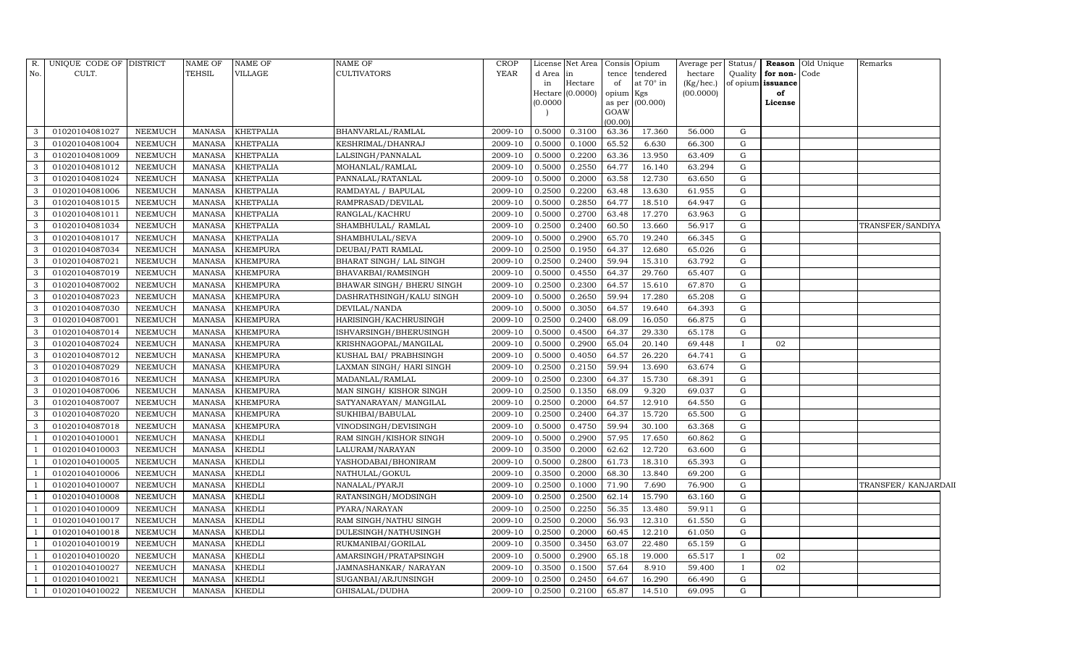| No.<br>CULT.<br>TEHSIL<br><b>VILLAGE</b><br><b>CULTIVATORS</b><br><b>YEAR</b><br>d Area<br>tendered<br>Quality<br>for non-<br>Code<br>in<br>tence<br>hectare<br>at 70° in<br>Hectare<br>in<br>of<br>(Kg/hec.)<br>of opium<br>issuance<br>Hectare (0.0000)<br>opium Kgs<br>(00.0000)<br>of<br>(0.0000)<br>as per (00.000)<br>License<br>GOAW<br>(00.00)<br>01020104081027<br>0.5000<br>0.3100<br>63.36<br>3<br><b>NEEMUCH</b><br><b>MANASA</b><br><b>KHETPALIA</b><br>BHANVARLAL/RAMLAL<br>2009-10<br>17.360<br>56.000<br>G<br>65.52<br>3<br>01020104081004<br><b>NEEMUCH</b><br><b>KHETPALIA</b><br>KESHRIMAL/DHANRAJ<br>0.5000<br>0.1000<br>6.630<br>66.300<br>G<br><b>MANASA</b><br>2009-10<br>3<br>01020104081009<br><b>KHETPALIA</b><br>LALSINGH/PANNALAL<br>2009-10<br>0.5000<br>0.2200<br>63.36<br>13.950<br>63.409<br><b>NEEMUCH</b><br><b>MANASA</b><br>G<br>3<br>0.5000<br>0.2550<br>64.77<br>01020104081012<br><b>NEEMUCH</b><br><b>MANASA</b><br><b>KHETPALIA</b><br>2009-10<br>16.140<br>63.294<br>G<br>MOHANLAL/RAMLAL<br>3<br>01020104081024<br><b>NEEMUCH</b><br><b>MANASA</b><br><b>KHETPALIA</b><br>PANNALAL/RATANLAL<br>2009-10<br>0.5000<br>0.2000<br>63.58<br>12.730<br>63.650<br>G<br>3<br>01020104081006<br><b>NEEMUCH</b><br><b>MANASA</b><br><b>KHETPALIA</b><br>RAMDAYAL / BAPULAL<br>2009-10<br>0.2500<br>0.2200<br>63.48<br>13.630<br>G<br>61.955<br>0.5000<br>0.2850<br>3<br>01020104081015<br><b>NEEMUCH</b><br><b>MANASA</b><br><b>KHETPALIA</b><br>RAMPRASAD/DEVILAL<br>2009-10<br>64.77<br>18.510<br>64.947<br>G<br>3<br>0.5000<br>0.2700<br>$\mathbf G$<br>01020104081011<br><b>NEEMUCH</b><br><b>MANASA</b><br><b>KHETPALIA</b><br>RANGLAL/KACHRU<br>2009-10<br>63.48<br>17.270<br>63.963<br>3<br>01020104081034<br><b>NEEMUCH</b><br><b>MANASA</b><br><b>KHETPALIA</b><br>SHAMBHULAL/ RAMLAL<br>2009-10<br>0.2500<br>0.2400<br>60.50<br>13.660<br>56.917<br>G<br>TRANSFER/SANDIYA<br>3<br>0.5000<br>0.2900<br>65.70<br>$\mathbf G$<br>01020104081017<br><b>NEEMUCH</b><br><b>MANASA</b><br><b>KHETPALIA</b><br>SHAMBHULAL/SEVA<br>19.240<br>66.345<br>2009-10<br>3<br>01020104087034<br>2009-10<br>0.1950<br><b>NEEMUCH</b><br><b>MANASA</b><br><b>KHEMPURA</b><br>DEUBAI/PATI RAMLAL<br>0.2500<br>64.37<br>12.680<br>65.026<br>G<br>$\mathbf{3}$<br>0.2500<br>0.2400<br>59.94<br>01020104087021<br><b>NEEMUCH</b><br><b>MANASA</b><br><b>KHEMPURA</b><br>BHARAT SINGH / LAL SINGH<br>2009-10<br>15.310<br>63.792<br>G<br>3<br><b>NEEMUCH</b><br><b>MANASA</b><br><b>KHEMPURA</b><br>0.5000<br>0.4550<br>29.760<br>G<br>01020104087019<br>BHAVARBAI/RAMSINGH<br>2009-10<br>64.37<br>65.407<br>3<br>01020104087002<br><b>NEEMUCH</b><br><b>MANASA</b><br><b>KHEMPURA</b><br>BHAWAR SINGH/ BHERU SINGH<br>2009-10<br>0.2500<br>0.2300<br>64.57<br>15.610<br>67.870<br>G<br>3<br>01020104087023<br>NEEMUCH<br>0.5000<br>0.2650<br>59.94<br>G<br>MANASA<br><b>KHEMPURA</b><br>DASHRATHSINGH/KALU SINGH<br>2009-10<br>17.280<br>65.208<br>3<br>01020104087030<br>0.5000<br>0.3050<br>64.57<br>19.640<br>G<br>NEEMUCH<br><b>MANASA</b><br><b>KHEMPURA</b><br>DEVILAL/NANDA<br>2009-10<br>64.393<br>3<br>01020104087001<br><b>KHEMPURA</b><br>HARISINGH/KACHRUSINGH<br>2009-10<br>0.2500<br>66.875<br>G<br>NEEMUCH<br><b>MANASA</b><br>0.2400<br>68.09<br>16.050<br>0.5000<br>G<br>3<br>01020104087014<br>NEEMUCH<br><b>MANASA</b><br><b>KHEMPURA</b><br>ISHVARSINGH/BHERUSINGH<br>2009-10<br>0.4500<br>64.37<br>29.330<br>65.178<br>3<br>01020104087024<br>NEEMUCH<br><b>MANASA</b><br><b>KHEMPURA</b><br>KRISHNAGOPAL/MANGILAL<br>2009-10<br>0.5000<br>0.2900<br>65.04<br>20.140<br>69.448<br>02<br>3<br>01020104087012<br>0.5000<br>0.4050<br><b>NEEMUCH</b><br><b>MANASA</b><br><b>KHEMPURA</b><br>KUSHAL BAI/ PRABHSINGH<br>2009-10<br>64.57<br>26.220<br>64.741<br>G<br>3<br>01020104087029<br><b>NEEMUCH</b><br><b>MANASA</b><br><b>KHEMPURA</b><br>LAXMAN SINGH/ HARI SINGH<br>0.2500<br>0.2150<br>59.94<br>13.690<br>G<br>2009-10<br>63.674<br>3<br>01020104087016<br><b>NEEMUCH</b><br><b>MANASA</b><br><b>KHEMPURA</b><br>MADANLAL/RAMLAL<br>2009-10<br>0.2500<br>0.2300<br>64.37<br>15.730<br>68.391<br>G<br>3<br>01020104087006<br>NEEMUCH<br><b>MANASA</b><br>2009-10<br>0.2500<br>0.1350<br>68.09<br>9.320<br>69.037<br>G<br><b>KHEMPURA</b><br>MAN SINGH/KISHOR SINGH<br>3<br>01020104087007<br><b>NEEMUCH</b><br><b>MANASA</b><br><b>KHEMPURA</b><br>SATYANARAYAN/ MANGILAL<br>2009-10<br>0.2500<br>0.2000<br>64.57<br>12.910<br>64.550<br>G<br>3<br>01020104087020<br>NEEMUCH<br><b>MANASA</b><br><b>KHEMPURA</b><br>SUKHIBAI/BABULAL<br>2009-10<br>0.2500<br>0.2400<br>15.720<br>65.500<br>G<br>64.37<br>01020104087018<br><b>NEEMUCH</b><br><b>MANASA</b><br><b>KHEMPURA</b><br>2009-10<br>0.5000<br>0.4750<br>59.94<br>30.100<br>G<br>3<br>VINODSINGH/DEVISINGH<br>63.368<br>01020104010001<br>NEEMUCH<br><b>MANASA</b><br><b>KHEDLI</b><br>RAM SINGH/KISHOR SINGH<br>2009-10<br>0.5000<br>0.2900<br>57.95<br>17.650<br>60.862<br>G<br>0.2000<br>01020104010003<br><b>NEEMUCH</b><br><b>MANASA</b><br><b>KHEDLI</b><br>LALURAM/NARAYAN<br>2009-10<br>0.3500<br>62.62<br>12.720<br>63.600<br>G<br>0.5000<br>01020104010005<br><b>NEEMUCH</b><br><b>MANASA</b><br><b>KHEDLI</b><br>2009-10<br>0.2800<br>61.73<br>18.310<br>65.393<br>G<br>YASHODABAI/BHONIRAM<br>01020104010006<br><b>KHEDLI</b><br>2009-10<br>0.2000<br>68.30<br><b>NEEMUCH</b><br><b>MANASA</b><br>NATHULAL/GOKUL<br>0.3500<br>13.840<br>69.200<br>G<br>0.2500<br>0.1000<br>71.90<br>01020104010007<br><b>NEEMUCH</b><br><b>MANASA</b><br><b>KHEDLI</b><br>NANALAL/PYARJI<br>2009-10<br>7.690<br>76.900<br>G<br>01020104010008<br><b>MANASA</b><br><b>KHEDLI</b><br>RATANSINGH/MODSINGH<br>0.2500<br>0.2500<br>62.14<br>15.790<br><b>NEEMUCH</b><br>2009-10<br>63.160<br>G<br>0.2500<br>01020104010009<br><b>NEEMUCH</b><br><b>MANASA</b><br><b>KHEDLI</b><br>PYARA/NARAYAN<br>2009-10<br>0.2250<br>56.35<br>13.480<br>59.911<br>G<br>0.2500<br>0.2000<br>56.93<br>01020104010017<br><b>NEEMUCH</b><br><b>MANASA</b><br><b>KHEDLI</b><br>RAM SINGH/NATHU SINGH<br>2009-10<br>12.310<br>61.550<br>G<br>01020104010018<br><b>KHEDLI</b><br>0.2000<br>12.210<br>$\mathbf G$<br><b>NEEMUCH</b><br><b>MANASA</b><br>DULESINGH/NATHUSINGH<br>2009-10<br>0.2500<br>60.45<br>61.050<br>01020104010019<br><b>NEEMUCH</b><br><b>KHEDLI</b><br>2009-10<br>0.3500<br>0.3450<br>63.07<br>22.480<br>65.159<br>G<br><b>MANASA</b><br>RUKMANIBAI/GORILAL<br>0.2900<br>01020104010020<br><b>NEEMUCH</b><br><b>MANASA</b><br><b>KHEDLI</b><br>2009-10<br>0.5000<br>65.18<br>19.000<br>65.517<br>02<br>AMARSINGH/PRATAPSINGH<br>T<br>01020104010027<br><b>KHEDLI</b><br>2009-10<br>57.64<br>02<br><b>NEEMUCH</b><br><b>MANASA</b><br>JAMNASHANKAR/NARAYAN<br>0.3500<br>0.1500<br>8.910<br>59.400<br>$\mathbf{I}$<br>01020104010021<br><b>NEEMUCH</b><br><b>MANASA</b><br><b>KHEDLI</b><br>SUGANBAI/ARJUNSINGH<br>2009-10<br>0.2500<br>0.2450<br>64.67<br>16.290<br>66.490<br>G<br>- 1<br>2009-10<br>69.095<br>G<br>-1 | R. | UNIQUE CODE OF DISTRICT |         | NAME OF | <b>NAME OF</b> | <b>NAME OF</b> | <b>CROP</b> | License | Net Area |       | Consis Opium | Average per | Status/ | <b>Reason</b> Old Unique | Remarks |
|---------------------------------------------------------------------------------------------------------------------------------------------------------------------------------------------------------------------------------------------------------------------------------------------------------------------------------------------------------------------------------------------------------------------------------------------------------------------------------------------------------------------------------------------------------------------------------------------------------------------------------------------------------------------------------------------------------------------------------------------------------------------------------------------------------------------------------------------------------------------------------------------------------------------------------------------------------------------------------------------------------------------------------------------------------------------------------------------------------------------------------------------------------------------------------------------------------------------------------------------------------------------------------------------------------------------------------------------------------------------------------------------------------------------------------------------------------------------------------------------------------------------------------------------------------------------------------------------------------------------------------------------------------------------------------------------------------------------------------------------------------------------------------------------------------------------------------------------------------------------------------------------------------------------------------------------------------------------------------------------------------------------------------------------------------------------------------------------------------------------------------------------------------------------------------------------------------------------------------------------------------------------------------------------------------------------------------------------------------------------------------------------------------------------------------------------------------------------------------------------------------------------------------------------------------------------------------------------------------------------------------------------------------------------------------------------------------------------------------------------------------------------------------------------------------------------------------------------------------------------------------------------------------------------------------------------------------------------------------------------------------------------------------------------------------------------------------------------------------------------------------------------------------------------------------------------------------------------------------------------------------------------------------------------------------------------------------------------------------------------------------------------------------------------------------------------------------------------------------------------------------------------------------------------------------------------------------------------------------------------------------------------------------------------------------------------------------------------------------------------------------------------------------------------------------------------------------------------------------------------------------------------------------------------------------------------------------------------------------------------------------------------------------------------------------------------------------------------------------------------------------------------------------------------------------------------------------------------------------------------------------------------------------------------------------------------------------------------------------------------------------------------------------------------------------------------------------------------------------------------------------------------------------------------------------------------------------------------------------------------------------------------------------------------------------------------------------------------------------------------------------------------------------------------------------------------------------------------------------------------------------------------------------------------------------------------------------------------------------------------------------------------------------------------------------------------------------------------------------------------------------------------------------------------------------------------------------------------------------------------------------------------------------------------------------------------------------------------------------------------------------------------------------------------------------------------------------------------------------------------------------------------------------------------------------------------------------------------------------------------------------------------------------------------------------------------------------------------------------------------------------------------------------------------------------------------------------------------------------------------------------------------------------------------------------------------------------------------------------------------------------------------------------------------------------------------------------------------------------------------------------------------------------------------------------------------------------------------------------------------------------------------------------------------------------------------------------------------------------------------------------------------------------------------------------------------------------------------------------------------------------------------------------------------------------------------------------------------------------------------------------------------------------------------------------------------------------------------------------------------------------------------------------------------------------------------------------------------------------------------------------------------------------------------------------------------------------------------------------------------------------------------|----|-------------------------|---------|---------|----------------|----------------|-------------|---------|----------|-------|--------------|-------------|---------|--------------------------|---------|
|                                                                                                                                                                                                                                                                                                                                                                                                                                                                                                                                                                                                                                                                                                                                                                                                                                                                                                                                                                                                                                                                                                                                                                                                                                                                                                                                                                                                                                                                                                                                                                                                                                                                                                                                                                                                                                                                                                                                                                                                                                                                                                                                                                                                                                                                                                                                                                                                                                                                                                                                                                                                                                                                                                                                                                                                                                                                                                                                                                                                                                                                                                                                                                                                                                                                                                                                                                                                                                                                                                                                                                                                                                                                                                                                                                                                                                                                                                                                                                                                                                                                                                                                                                                                                                                                                                                                                                                                                                                                                                                                                                                                                                                                                                                                                                                                                                                                                                                                                                                                                                                                                                                                                                                                                                                                                                                                                                                                                                                                                                                                                                                                                                                                                                                                                                                                                                                                                                                                                                                                                                                                                                                                                                                                                                                                                                                                                                                                                                                                                                                                                                                                                                                                                                                                                                                                                                                                                                                                                                                                                     |    |                         |         |         |                |                |             |         |          |       |              |             |         |                          |         |
|                                                                                                                                                                                                                                                                                                                                                                                                                                                                                                                                                                                                                                                                                                                                                                                                                                                                                                                                                                                                                                                                                                                                                                                                                                                                                                                                                                                                                                                                                                                                                                                                                                                                                                                                                                                                                                                                                                                                                                                                                                                                                                                                                                                                                                                                                                                                                                                                                                                                                                                                                                                                                                                                                                                                                                                                                                                                                                                                                                                                                                                                                                                                                                                                                                                                                                                                                                                                                                                                                                                                                                                                                                                                                                                                                                                                                                                                                                                                                                                                                                                                                                                                                                                                                                                                                                                                                                                                                                                                                                                                                                                                                                                                                                                                                                                                                                                                                                                                                                                                                                                                                                                                                                                                                                                                                                                                                                                                                                                                                                                                                                                                                                                                                                                                                                                                                                                                                                                                                                                                                                                                                                                                                                                                                                                                                                                                                                                                                                                                                                                                                                                                                                                                                                                                                                                                                                                                                                                                                                                                                     |    |                         |         |         |                |                |             |         |          |       |              |             |         |                          |         |
|                                                                                                                                                                                                                                                                                                                                                                                                                                                                                                                                                                                                                                                                                                                                                                                                                                                                                                                                                                                                                                                                                                                                                                                                                                                                                                                                                                                                                                                                                                                                                                                                                                                                                                                                                                                                                                                                                                                                                                                                                                                                                                                                                                                                                                                                                                                                                                                                                                                                                                                                                                                                                                                                                                                                                                                                                                                                                                                                                                                                                                                                                                                                                                                                                                                                                                                                                                                                                                                                                                                                                                                                                                                                                                                                                                                                                                                                                                                                                                                                                                                                                                                                                                                                                                                                                                                                                                                                                                                                                                                                                                                                                                                                                                                                                                                                                                                                                                                                                                                                                                                                                                                                                                                                                                                                                                                                                                                                                                                                                                                                                                                                                                                                                                                                                                                                                                                                                                                                                                                                                                                                                                                                                                                                                                                                                                                                                                                                                                                                                                                                                                                                                                                                                                                                                                                                                                                                                                                                                                                                                     |    |                         |         |         |                |                |             |         |          |       |              |             |         |                          |         |
|                                                                                                                                                                                                                                                                                                                                                                                                                                                                                                                                                                                                                                                                                                                                                                                                                                                                                                                                                                                                                                                                                                                                                                                                                                                                                                                                                                                                                                                                                                                                                                                                                                                                                                                                                                                                                                                                                                                                                                                                                                                                                                                                                                                                                                                                                                                                                                                                                                                                                                                                                                                                                                                                                                                                                                                                                                                                                                                                                                                                                                                                                                                                                                                                                                                                                                                                                                                                                                                                                                                                                                                                                                                                                                                                                                                                                                                                                                                                                                                                                                                                                                                                                                                                                                                                                                                                                                                                                                                                                                                                                                                                                                                                                                                                                                                                                                                                                                                                                                                                                                                                                                                                                                                                                                                                                                                                                                                                                                                                                                                                                                                                                                                                                                                                                                                                                                                                                                                                                                                                                                                                                                                                                                                                                                                                                                                                                                                                                                                                                                                                                                                                                                                                                                                                                                                                                                                                                                                                                                                                                     |    |                         |         |         |                |                |             |         |          |       |              |             |         |                          |         |
|                                                                                                                                                                                                                                                                                                                                                                                                                                                                                                                                                                                                                                                                                                                                                                                                                                                                                                                                                                                                                                                                                                                                                                                                                                                                                                                                                                                                                                                                                                                                                                                                                                                                                                                                                                                                                                                                                                                                                                                                                                                                                                                                                                                                                                                                                                                                                                                                                                                                                                                                                                                                                                                                                                                                                                                                                                                                                                                                                                                                                                                                                                                                                                                                                                                                                                                                                                                                                                                                                                                                                                                                                                                                                                                                                                                                                                                                                                                                                                                                                                                                                                                                                                                                                                                                                                                                                                                                                                                                                                                                                                                                                                                                                                                                                                                                                                                                                                                                                                                                                                                                                                                                                                                                                                                                                                                                                                                                                                                                                                                                                                                                                                                                                                                                                                                                                                                                                                                                                                                                                                                                                                                                                                                                                                                                                                                                                                                                                                                                                                                                                                                                                                                                                                                                                                                                                                                                                                                                                                                                                     |    |                         |         |         |                |                |             |         |          |       |              |             |         |                          |         |
|                                                                                                                                                                                                                                                                                                                                                                                                                                                                                                                                                                                                                                                                                                                                                                                                                                                                                                                                                                                                                                                                                                                                                                                                                                                                                                                                                                                                                                                                                                                                                                                                                                                                                                                                                                                                                                                                                                                                                                                                                                                                                                                                                                                                                                                                                                                                                                                                                                                                                                                                                                                                                                                                                                                                                                                                                                                                                                                                                                                                                                                                                                                                                                                                                                                                                                                                                                                                                                                                                                                                                                                                                                                                                                                                                                                                                                                                                                                                                                                                                                                                                                                                                                                                                                                                                                                                                                                                                                                                                                                                                                                                                                                                                                                                                                                                                                                                                                                                                                                                                                                                                                                                                                                                                                                                                                                                                                                                                                                                                                                                                                                                                                                                                                                                                                                                                                                                                                                                                                                                                                                                                                                                                                                                                                                                                                                                                                                                                                                                                                                                                                                                                                                                                                                                                                                                                                                                                                                                                                                                                     |    |                         |         |         |                |                |             |         |          |       |              |             |         |                          |         |
|                                                                                                                                                                                                                                                                                                                                                                                                                                                                                                                                                                                                                                                                                                                                                                                                                                                                                                                                                                                                                                                                                                                                                                                                                                                                                                                                                                                                                                                                                                                                                                                                                                                                                                                                                                                                                                                                                                                                                                                                                                                                                                                                                                                                                                                                                                                                                                                                                                                                                                                                                                                                                                                                                                                                                                                                                                                                                                                                                                                                                                                                                                                                                                                                                                                                                                                                                                                                                                                                                                                                                                                                                                                                                                                                                                                                                                                                                                                                                                                                                                                                                                                                                                                                                                                                                                                                                                                                                                                                                                                                                                                                                                                                                                                                                                                                                                                                                                                                                                                                                                                                                                                                                                                                                                                                                                                                                                                                                                                                                                                                                                                                                                                                                                                                                                                                                                                                                                                                                                                                                                                                                                                                                                                                                                                                                                                                                                                                                                                                                                                                                                                                                                                                                                                                                                                                                                                                                                                                                                                                                     |    |                         |         |         |                |                |             |         |          |       |              |             |         |                          |         |
|                                                                                                                                                                                                                                                                                                                                                                                                                                                                                                                                                                                                                                                                                                                                                                                                                                                                                                                                                                                                                                                                                                                                                                                                                                                                                                                                                                                                                                                                                                                                                                                                                                                                                                                                                                                                                                                                                                                                                                                                                                                                                                                                                                                                                                                                                                                                                                                                                                                                                                                                                                                                                                                                                                                                                                                                                                                                                                                                                                                                                                                                                                                                                                                                                                                                                                                                                                                                                                                                                                                                                                                                                                                                                                                                                                                                                                                                                                                                                                                                                                                                                                                                                                                                                                                                                                                                                                                                                                                                                                                                                                                                                                                                                                                                                                                                                                                                                                                                                                                                                                                                                                                                                                                                                                                                                                                                                                                                                                                                                                                                                                                                                                                                                                                                                                                                                                                                                                                                                                                                                                                                                                                                                                                                                                                                                                                                                                                                                                                                                                                                                                                                                                                                                                                                                                                                                                                                                                                                                                                                                     |    |                         |         |         |                |                |             |         |          |       |              |             |         |                          |         |
|                                                                                                                                                                                                                                                                                                                                                                                                                                                                                                                                                                                                                                                                                                                                                                                                                                                                                                                                                                                                                                                                                                                                                                                                                                                                                                                                                                                                                                                                                                                                                                                                                                                                                                                                                                                                                                                                                                                                                                                                                                                                                                                                                                                                                                                                                                                                                                                                                                                                                                                                                                                                                                                                                                                                                                                                                                                                                                                                                                                                                                                                                                                                                                                                                                                                                                                                                                                                                                                                                                                                                                                                                                                                                                                                                                                                                                                                                                                                                                                                                                                                                                                                                                                                                                                                                                                                                                                                                                                                                                                                                                                                                                                                                                                                                                                                                                                                                                                                                                                                                                                                                                                                                                                                                                                                                                                                                                                                                                                                                                                                                                                                                                                                                                                                                                                                                                                                                                                                                                                                                                                                                                                                                                                                                                                                                                                                                                                                                                                                                                                                                                                                                                                                                                                                                                                                                                                                                                                                                                                                                     |    |                         |         |         |                |                |             |         |          |       |              |             |         |                          |         |
|                                                                                                                                                                                                                                                                                                                                                                                                                                                                                                                                                                                                                                                                                                                                                                                                                                                                                                                                                                                                                                                                                                                                                                                                                                                                                                                                                                                                                                                                                                                                                                                                                                                                                                                                                                                                                                                                                                                                                                                                                                                                                                                                                                                                                                                                                                                                                                                                                                                                                                                                                                                                                                                                                                                                                                                                                                                                                                                                                                                                                                                                                                                                                                                                                                                                                                                                                                                                                                                                                                                                                                                                                                                                                                                                                                                                                                                                                                                                                                                                                                                                                                                                                                                                                                                                                                                                                                                                                                                                                                                                                                                                                                                                                                                                                                                                                                                                                                                                                                                                                                                                                                                                                                                                                                                                                                                                                                                                                                                                                                                                                                                                                                                                                                                                                                                                                                                                                                                                                                                                                                                                                                                                                                                                                                                                                                                                                                                                                                                                                                                                                                                                                                                                                                                                                                                                                                                                                                                                                                                                                     |    |                         |         |         |                |                |             |         |          |       |              |             |         |                          |         |
|                                                                                                                                                                                                                                                                                                                                                                                                                                                                                                                                                                                                                                                                                                                                                                                                                                                                                                                                                                                                                                                                                                                                                                                                                                                                                                                                                                                                                                                                                                                                                                                                                                                                                                                                                                                                                                                                                                                                                                                                                                                                                                                                                                                                                                                                                                                                                                                                                                                                                                                                                                                                                                                                                                                                                                                                                                                                                                                                                                                                                                                                                                                                                                                                                                                                                                                                                                                                                                                                                                                                                                                                                                                                                                                                                                                                                                                                                                                                                                                                                                                                                                                                                                                                                                                                                                                                                                                                                                                                                                                                                                                                                                                                                                                                                                                                                                                                                                                                                                                                                                                                                                                                                                                                                                                                                                                                                                                                                                                                                                                                                                                                                                                                                                                                                                                                                                                                                                                                                                                                                                                                                                                                                                                                                                                                                                                                                                                                                                                                                                                                                                                                                                                                                                                                                                                                                                                                                                                                                                                                                     |    |                         |         |         |                |                |             |         |          |       |              |             |         |                          |         |
|                                                                                                                                                                                                                                                                                                                                                                                                                                                                                                                                                                                                                                                                                                                                                                                                                                                                                                                                                                                                                                                                                                                                                                                                                                                                                                                                                                                                                                                                                                                                                                                                                                                                                                                                                                                                                                                                                                                                                                                                                                                                                                                                                                                                                                                                                                                                                                                                                                                                                                                                                                                                                                                                                                                                                                                                                                                                                                                                                                                                                                                                                                                                                                                                                                                                                                                                                                                                                                                                                                                                                                                                                                                                                                                                                                                                                                                                                                                                                                                                                                                                                                                                                                                                                                                                                                                                                                                                                                                                                                                                                                                                                                                                                                                                                                                                                                                                                                                                                                                                                                                                                                                                                                                                                                                                                                                                                                                                                                                                                                                                                                                                                                                                                                                                                                                                                                                                                                                                                                                                                                                                                                                                                                                                                                                                                                                                                                                                                                                                                                                                                                                                                                                                                                                                                                                                                                                                                                                                                                                                                     |    |                         |         |         |                |                |             |         |          |       |              |             |         |                          |         |
|                                                                                                                                                                                                                                                                                                                                                                                                                                                                                                                                                                                                                                                                                                                                                                                                                                                                                                                                                                                                                                                                                                                                                                                                                                                                                                                                                                                                                                                                                                                                                                                                                                                                                                                                                                                                                                                                                                                                                                                                                                                                                                                                                                                                                                                                                                                                                                                                                                                                                                                                                                                                                                                                                                                                                                                                                                                                                                                                                                                                                                                                                                                                                                                                                                                                                                                                                                                                                                                                                                                                                                                                                                                                                                                                                                                                                                                                                                                                                                                                                                                                                                                                                                                                                                                                                                                                                                                                                                                                                                                                                                                                                                                                                                                                                                                                                                                                                                                                                                                                                                                                                                                                                                                                                                                                                                                                                                                                                                                                                                                                                                                                                                                                                                                                                                                                                                                                                                                                                                                                                                                                                                                                                                                                                                                                                                                                                                                                                                                                                                                                                                                                                                                                                                                                                                                                                                                                                                                                                                                                                     |    |                         |         |         |                |                |             |         |          |       |              |             |         |                          |         |
|                                                                                                                                                                                                                                                                                                                                                                                                                                                                                                                                                                                                                                                                                                                                                                                                                                                                                                                                                                                                                                                                                                                                                                                                                                                                                                                                                                                                                                                                                                                                                                                                                                                                                                                                                                                                                                                                                                                                                                                                                                                                                                                                                                                                                                                                                                                                                                                                                                                                                                                                                                                                                                                                                                                                                                                                                                                                                                                                                                                                                                                                                                                                                                                                                                                                                                                                                                                                                                                                                                                                                                                                                                                                                                                                                                                                                                                                                                                                                                                                                                                                                                                                                                                                                                                                                                                                                                                                                                                                                                                                                                                                                                                                                                                                                                                                                                                                                                                                                                                                                                                                                                                                                                                                                                                                                                                                                                                                                                                                                                                                                                                                                                                                                                                                                                                                                                                                                                                                                                                                                                                                                                                                                                                                                                                                                                                                                                                                                                                                                                                                                                                                                                                                                                                                                                                                                                                                                                                                                                                                                     |    |                         |         |         |                |                |             |         |          |       |              |             |         |                          |         |
| TRANSFER/KANJARDAII                                                                                                                                                                                                                                                                                                                                                                                                                                                                                                                                                                                                                                                                                                                                                                                                                                                                                                                                                                                                                                                                                                                                                                                                                                                                                                                                                                                                                                                                                                                                                                                                                                                                                                                                                                                                                                                                                                                                                                                                                                                                                                                                                                                                                                                                                                                                                                                                                                                                                                                                                                                                                                                                                                                                                                                                                                                                                                                                                                                                                                                                                                                                                                                                                                                                                                                                                                                                                                                                                                                                                                                                                                                                                                                                                                                                                                                                                                                                                                                                                                                                                                                                                                                                                                                                                                                                                                                                                                                                                                                                                                                                                                                                                                                                                                                                                                                                                                                                                                                                                                                                                                                                                                                                                                                                                                                                                                                                                                                                                                                                                                                                                                                                                                                                                                                                                                                                                                                                                                                                                                                                                                                                                                                                                                                                                                                                                                                                                                                                                                                                                                                                                                                                                                                                                                                                                                                                                                                                                                                                 |    |                         |         |         |                |                |             |         |          |       |              |             |         |                          |         |
|                                                                                                                                                                                                                                                                                                                                                                                                                                                                                                                                                                                                                                                                                                                                                                                                                                                                                                                                                                                                                                                                                                                                                                                                                                                                                                                                                                                                                                                                                                                                                                                                                                                                                                                                                                                                                                                                                                                                                                                                                                                                                                                                                                                                                                                                                                                                                                                                                                                                                                                                                                                                                                                                                                                                                                                                                                                                                                                                                                                                                                                                                                                                                                                                                                                                                                                                                                                                                                                                                                                                                                                                                                                                                                                                                                                                                                                                                                                                                                                                                                                                                                                                                                                                                                                                                                                                                                                                                                                                                                                                                                                                                                                                                                                                                                                                                                                                                                                                                                                                                                                                                                                                                                                                                                                                                                                                                                                                                                                                                                                                                                                                                                                                                                                                                                                                                                                                                                                                                                                                                                                                                                                                                                                                                                                                                                                                                                                                                                                                                                                                                                                                                                                                                                                                                                                                                                                                                                                                                                                                                     |    |                         |         |         |                |                |             |         |          |       |              |             |         |                          |         |
|                                                                                                                                                                                                                                                                                                                                                                                                                                                                                                                                                                                                                                                                                                                                                                                                                                                                                                                                                                                                                                                                                                                                                                                                                                                                                                                                                                                                                                                                                                                                                                                                                                                                                                                                                                                                                                                                                                                                                                                                                                                                                                                                                                                                                                                                                                                                                                                                                                                                                                                                                                                                                                                                                                                                                                                                                                                                                                                                                                                                                                                                                                                                                                                                                                                                                                                                                                                                                                                                                                                                                                                                                                                                                                                                                                                                                                                                                                                                                                                                                                                                                                                                                                                                                                                                                                                                                                                                                                                                                                                                                                                                                                                                                                                                                                                                                                                                                                                                                                                                                                                                                                                                                                                                                                                                                                                                                                                                                                                                                                                                                                                                                                                                                                                                                                                                                                                                                                                                                                                                                                                                                                                                                                                                                                                                                                                                                                                                                                                                                                                                                                                                                                                                                                                                                                                                                                                                                                                                                                                                                     |    |                         |         |         |                |                |             |         |          |       |              |             |         |                          |         |
|                                                                                                                                                                                                                                                                                                                                                                                                                                                                                                                                                                                                                                                                                                                                                                                                                                                                                                                                                                                                                                                                                                                                                                                                                                                                                                                                                                                                                                                                                                                                                                                                                                                                                                                                                                                                                                                                                                                                                                                                                                                                                                                                                                                                                                                                                                                                                                                                                                                                                                                                                                                                                                                                                                                                                                                                                                                                                                                                                                                                                                                                                                                                                                                                                                                                                                                                                                                                                                                                                                                                                                                                                                                                                                                                                                                                                                                                                                                                                                                                                                                                                                                                                                                                                                                                                                                                                                                                                                                                                                                                                                                                                                                                                                                                                                                                                                                                                                                                                                                                                                                                                                                                                                                                                                                                                                                                                                                                                                                                                                                                                                                                                                                                                                                                                                                                                                                                                                                                                                                                                                                                                                                                                                                                                                                                                                                                                                                                                                                                                                                                                                                                                                                                                                                                                                                                                                                                                                                                                                                                                     |    |                         |         |         |                |                |             |         |          |       |              |             |         |                          |         |
|                                                                                                                                                                                                                                                                                                                                                                                                                                                                                                                                                                                                                                                                                                                                                                                                                                                                                                                                                                                                                                                                                                                                                                                                                                                                                                                                                                                                                                                                                                                                                                                                                                                                                                                                                                                                                                                                                                                                                                                                                                                                                                                                                                                                                                                                                                                                                                                                                                                                                                                                                                                                                                                                                                                                                                                                                                                                                                                                                                                                                                                                                                                                                                                                                                                                                                                                                                                                                                                                                                                                                                                                                                                                                                                                                                                                                                                                                                                                                                                                                                                                                                                                                                                                                                                                                                                                                                                                                                                                                                                                                                                                                                                                                                                                                                                                                                                                                                                                                                                                                                                                                                                                                                                                                                                                                                                                                                                                                                                                                                                                                                                                                                                                                                                                                                                                                                                                                                                                                                                                                                                                                                                                                                                                                                                                                                                                                                                                                                                                                                                                                                                                                                                                                                                                                                                                                                                                                                                                                                                                                     |    |                         |         |         |                |                |             |         |          |       |              |             |         |                          |         |
|                                                                                                                                                                                                                                                                                                                                                                                                                                                                                                                                                                                                                                                                                                                                                                                                                                                                                                                                                                                                                                                                                                                                                                                                                                                                                                                                                                                                                                                                                                                                                                                                                                                                                                                                                                                                                                                                                                                                                                                                                                                                                                                                                                                                                                                                                                                                                                                                                                                                                                                                                                                                                                                                                                                                                                                                                                                                                                                                                                                                                                                                                                                                                                                                                                                                                                                                                                                                                                                                                                                                                                                                                                                                                                                                                                                                                                                                                                                                                                                                                                                                                                                                                                                                                                                                                                                                                                                                                                                                                                                                                                                                                                                                                                                                                                                                                                                                                                                                                                                                                                                                                                                                                                                                                                                                                                                                                                                                                                                                                                                                                                                                                                                                                                                                                                                                                                                                                                                                                                                                                                                                                                                                                                                                                                                                                                                                                                                                                                                                                                                                                                                                                                                                                                                                                                                                                                                                                                                                                                                                                     |    |                         |         |         |                |                |             |         |          |       |              |             |         |                          |         |
|                                                                                                                                                                                                                                                                                                                                                                                                                                                                                                                                                                                                                                                                                                                                                                                                                                                                                                                                                                                                                                                                                                                                                                                                                                                                                                                                                                                                                                                                                                                                                                                                                                                                                                                                                                                                                                                                                                                                                                                                                                                                                                                                                                                                                                                                                                                                                                                                                                                                                                                                                                                                                                                                                                                                                                                                                                                                                                                                                                                                                                                                                                                                                                                                                                                                                                                                                                                                                                                                                                                                                                                                                                                                                                                                                                                                                                                                                                                                                                                                                                                                                                                                                                                                                                                                                                                                                                                                                                                                                                                                                                                                                                                                                                                                                                                                                                                                                                                                                                                                                                                                                                                                                                                                                                                                                                                                                                                                                                                                                                                                                                                                                                                                                                                                                                                                                                                                                                                                                                                                                                                                                                                                                                                                                                                                                                                                                                                                                                                                                                                                                                                                                                                                                                                                                                                                                                                                                                                                                                                                                     |    |                         |         |         |                |                |             |         |          |       |              |             |         |                          |         |
|                                                                                                                                                                                                                                                                                                                                                                                                                                                                                                                                                                                                                                                                                                                                                                                                                                                                                                                                                                                                                                                                                                                                                                                                                                                                                                                                                                                                                                                                                                                                                                                                                                                                                                                                                                                                                                                                                                                                                                                                                                                                                                                                                                                                                                                                                                                                                                                                                                                                                                                                                                                                                                                                                                                                                                                                                                                                                                                                                                                                                                                                                                                                                                                                                                                                                                                                                                                                                                                                                                                                                                                                                                                                                                                                                                                                                                                                                                                                                                                                                                                                                                                                                                                                                                                                                                                                                                                                                                                                                                                                                                                                                                                                                                                                                                                                                                                                                                                                                                                                                                                                                                                                                                                                                                                                                                                                                                                                                                                                                                                                                                                                                                                                                                                                                                                                                                                                                                                                                                                                                                                                                                                                                                                                                                                                                                                                                                                                                                                                                                                                                                                                                                                                                                                                                                                                                                                                                                                                                                                                                     |    |                         |         |         |                |                |             |         |          |       |              |             |         |                          |         |
|                                                                                                                                                                                                                                                                                                                                                                                                                                                                                                                                                                                                                                                                                                                                                                                                                                                                                                                                                                                                                                                                                                                                                                                                                                                                                                                                                                                                                                                                                                                                                                                                                                                                                                                                                                                                                                                                                                                                                                                                                                                                                                                                                                                                                                                                                                                                                                                                                                                                                                                                                                                                                                                                                                                                                                                                                                                                                                                                                                                                                                                                                                                                                                                                                                                                                                                                                                                                                                                                                                                                                                                                                                                                                                                                                                                                                                                                                                                                                                                                                                                                                                                                                                                                                                                                                                                                                                                                                                                                                                                                                                                                                                                                                                                                                                                                                                                                                                                                                                                                                                                                                                                                                                                                                                                                                                                                                                                                                                                                                                                                                                                                                                                                                                                                                                                                                                                                                                                                                                                                                                                                                                                                                                                                                                                                                                                                                                                                                                                                                                                                                                                                                                                                                                                                                                                                                                                                                                                                                                                                                     |    |                         |         |         |                |                |             |         |          |       |              |             |         |                          |         |
|                                                                                                                                                                                                                                                                                                                                                                                                                                                                                                                                                                                                                                                                                                                                                                                                                                                                                                                                                                                                                                                                                                                                                                                                                                                                                                                                                                                                                                                                                                                                                                                                                                                                                                                                                                                                                                                                                                                                                                                                                                                                                                                                                                                                                                                                                                                                                                                                                                                                                                                                                                                                                                                                                                                                                                                                                                                                                                                                                                                                                                                                                                                                                                                                                                                                                                                                                                                                                                                                                                                                                                                                                                                                                                                                                                                                                                                                                                                                                                                                                                                                                                                                                                                                                                                                                                                                                                                                                                                                                                                                                                                                                                                                                                                                                                                                                                                                                                                                                                                                                                                                                                                                                                                                                                                                                                                                                                                                                                                                                                                                                                                                                                                                                                                                                                                                                                                                                                                                                                                                                                                                                                                                                                                                                                                                                                                                                                                                                                                                                                                                                                                                                                                                                                                                                                                                                                                                                                                                                                                                                     |    |                         |         |         |                |                |             |         |          |       |              |             |         |                          |         |
|                                                                                                                                                                                                                                                                                                                                                                                                                                                                                                                                                                                                                                                                                                                                                                                                                                                                                                                                                                                                                                                                                                                                                                                                                                                                                                                                                                                                                                                                                                                                                                                                                                                                                                                                                                                                                                                                                                                                                                                                                                                                                                                                                                                                                                                                                                                                                                                                                                                                                                                                                                                                                                                                                                                                                                                                                                                                                                                                                                                                                                                                                                                                                                                                                                                                                                                                                                                                                                                                                                                                                                                                                                                                                                                                                                                                                                                                                                                                                                                                                                                                                                                                                                                                                                                                                                                                                                                                                                                                                                                                                                                                                                                                                                                                                                                                                                                                                                                                                                                                                                                                                                                                                                                                                                                                                                                                                                                                                                                                                                                                                                                                                                                                                                                                                                                                                                                                                                                                                                                                                                                                                                                                                                                                                                                                                                                                                                                                                                                                                                                                                                                                                                                                                                                                                                                                                                                                                                                                                                                                                     |    |                         |         |         |                |                |             |         |          |       |              |             |         |                          |         |
|                                                                                                                                                                                                                                                                                                                                                                                                                                                                                                                                                                                                                                                                                                                                                                                                                                                                                                                                                                                                                                                                                                                                                                                                                                                                                                                                                                                                                                                                                                                                                                                                                                                                                                                                                                                                                                                                                                                                                                                                                                                                                                                                                                                                                                                                                                                                                                                                                                                                                                                                                                                                                                                                                                                                                                                                                                                                                                                                                                                                                                                                                                                                                                                                                                                                                                                                                                                                                                                                                                                                                                                                                                                                                                                                                                                                                                                                                                                                                                                                                                                                                                                                                                                                                                                                                                                                                                                                                                                                                                                                                                                                                                                                                                                                                                                                                                                                                                                                                                                                                                                                                                                                                                                                                                                                                                                                                                                                                                                                                                                                                                                                                                                                                                                                                                                                                                                                                                                                                                                                                                                                                                                                                                                                                                                                                                                                                                                                                                                                                                                                                                                                                                                                                                                                                                                                                                                                                                                                                                                                                     |    |                         |         |         |                |                |             |         |          |       |              |             |         |                          |         |
|                                                                                                                                                                                                                                                                                                                                                                                                                                                                                                                                                                                                                                                                                                                                                                                                                                                                                                                                                                                                                                                                                                                                                                                                                                                                                                                                                                                                                                                                                                                                                                                                                                                                                                                                                                                                                                                                                                                                                                                                                                                                                                                                                                                                                                                                                                                                                                                                                                                                                                                                                                                                                                                                                                                                                                                                                                                                                                                                                                                                                                                                                                                                                                                                                                                                                                                                                                                                                                                                                                                                                                                                                                                                                                                                                                                                                                                                                                                                                                                                                                                                                                                                                                                                                                                                                                                                                                                                                                                                                                                                                                                                                                                                                                                                                                                                                                                                                                                                                                                                                                                                                                                                                                                                                                                                                                                                                                                                                                                                                                                                                                                                                                                                                                                                                                                                                                                                                                                                                                                                                                                                                                                                                                                                                                                                                                                                                                                                                                                                                                                                                                                                                                                                                                                                                                                                                                                                                                                                                                                                                     |    |                         |         |         |                |                |             |         |          |       |              |             |         |                          |         |
|                                                                                                                                                                                                                                                                                                                                                                                                                                                                                                                                                                                                                                                                                                                                                                                                                                                                                                                                                                                                                                                                                                                                                                                                                                                                                                                                                                                                                                                                                                                                                                                                                                                                                                                                                                                                                                                                                                                                                                                                                                                                                                                                                                                                                                                                                                                                                                                                                                                                                                                                                                                                                                                                                                                                                                                                                                                                                                                                                                                                                                                                                                                                                                                                                                                                                                                                                                                                                                                                                                                                                                                                                                                                                                                                                                                                                                                                                                                                                                                                                                                                                                                                                                                                                                                                                                                                                                                                                                                                                                                                                                                                                                                                                                                                                                                                                                                                                                                                                                                                                                                                                                                                                                                                                                                                                                                                                                                                                                                                                                                                                                                                                                                                                                                                                                                                                                                                                                                                                                                                                                                                                                                                                                                                                                                                                                                                                                                                                                                                                                                                                                                                                                                                                                                                                                                                                                                                                                                                                                                                                     |    |                         |         |         |                |                |             |         |          |       |              |             |         |                          |         |
|                                                                                                                                                                                                                                                                                                                                                                                                                                                                                                                                                                                                                                                                                                                                                                                                                                                                                                                                                                                                                                                                                                                                                                                                                                                                                                                                                                                                                                                                                                                                                                                                                                                                                                                                                                                                                                                                                                                                                                                                                                                                                                                                                                                                                                                                                                                                                                                                                                                                                                                                                                                                                                                                                                                                                                                                                                                                                                                                                                                                                                                                                                                                                                                                                                                                                                                                                                                                                                                                                                                                                                                                                                                                                                                                                                                                                                                                                                                                                                                                                                                                                                                                                                                                                                                                                                                                                                                                                                                                                                                                                                                                                                                                                                                                                                                                                                                                                                                                                                                                                                                                                                                                                                                                                                                                                                                                                                                                                                                                                                                                                                                                                                                                                                                                                                                                                                                                                                                                                                                                                                                                                                                                                                                                                                                                                                                                                                                                                                                                                                                                                                                                                                                                                                                                                                                                                                                                                                                                                                                                                     |    |                         |         |         |                |                |             |         |          |       |              |             |         |                          |         |
|                                                                                                                                                                                                                                                                                                                                                                                                                                                                                                                                                                                                                                                                                                                                                                                                                                                                                                                                                                                                                                                                                                                                                                                                                                                                                                                                                                                                                                                                                                                                                                                                                                                                                                                                                                                                                                                                                                                                                                                                                                                                                                                                                                                                                                                                                                                                                                                                                                                                                                                                                                                                                                                                                                                                                                                                                                                                                                                                                                                                                                                                                                                                                                                                                                                                                                                                                                                                                                                                                                                                                                                                                                                                                                                                                                                                                                                                                                                                                                                                                                                                                                                                                                                                                                                                                                                                                                                                                                                                                                                                                                                                                                                                                                                                                                                                                                                                                                                                                                                                                                                                                                                                                                                                                                                                                                                                                                                                                                                                                                                                                                                                                                                                                                                                                                                                                                                                                                                                                                                                                                                                                                                                                                                                                                                                                                                                                                                                                                                                                                                                                                                                                                                                                                                                                                                                                                                                                                                                                                                                                     |    |                         |         |         |                |                |             |         |          |       |              |             |         |                          |         |
|                                                                                                                                                                                                                                                                                                                                                                                                                                                                                                                                                                                                                                                                                                                                                                                                                                                                                                                                                                                                                                                                                                                                                                                                                                                                                                                                                                                                                                                                                                                                                                                                                                                                                                                                                                                                                                                                                                                                                                                                                                                                                                                                                                                                                                                                                                                                                                                                                                                                                                                                                                                                                                                                                                                                                                                                                                                                                                                                                                                                                                                                                                                                                                                                                                                                                                                                                                                                                                                                                                                                                                                                                                                                                                                                                                                                                                                                                                                                                                                                                                                                                                                                                                                                                                                                                                                                                                                                                                                                                                                                                                                                                                                                                                                                                                                                                                                                                                                                                                                                                                                                                                                                                                                                                                                                                                                                                                                                                                                                                                                                                                                                                                                                                                                                                                                                                                                                                                                                                                                                                                                                                                                                                                                                                                                                                                                                                                                                                                                                                                                                                                                                                                                                                                                                                                                                                                                                                                                                                                                                                     |    |                         |         |         |                |                |             |         |          |       |              |             |         |                          |         |
|                                                                                                                                                                                                                                                                                                                                                                                                                                                                                                                                                                                                                                                                                                                                                                                                                                                                                                                                                                                                                                                                                                                                                                                                                                                                                                                                                                                                                                                                                                                                                                                                                                                                                                                                                                                                                                                                                                                                                                                                                                                                                                                                                                                                                                                                                                                                                                                                                                                                                                                                                                                                                                                                                                                                                                                                                                                                                                                                                                                                                                                                                                                                                                                                                                                                                                                                                                                                                                                                                                                                                                                                                                                                                                                                                                                                                                                                                                                                                                                                                                                                                                                                                                                                                                                                                                                                                                                                                                                                                                                                                                                                                                                                                                                                                                                                                                                                                                                                                                                                                                                                                                                                                                                                                                                                                                                                                                                                                                                                                                                                                                                                                                                                                                                                                                                                                                                                                                                                                                                                                                                                                                                                                                                                                                                                                                                                                                                                                                                                                                                                                                                                                                                                                                                                                                                                                                                                                                                                                                                                                     |    |                         |         |         |                |                |             |         |          |       |              |             |         |                          |         |
|                                                                                                                                                                                                                                                                                                                                                                                                                                                                                                                                                                                                                                                                                                                                                                                                                                                                                                                                                                                                                                                                                                                                                                                                                                                                                                                                                                                                                                                                                                                                                                                                                                                                                                                                                                                                                                                                                                                                                                                                                                                                                                                                                                                                                                                                                                                                                                                                                                                                                                                                                                                                                                                                                                                                                                                                                                                                                                                                                                                                                                                                                                                                                                                                                                                                                                                                                                                                                                                                                                                                                                                                                                                                                                                                                                                                                                                                                                                                                                                                                                                                                                                                                                                                                                                                                                                                                                                                                                                                                                                                                                                                                                                                                                                                                                                                                                                                                                                                                                                                                                                                                                                                                                                                                                                                                                                                                                                                                                                                                                                                                                                                                                                                                                                                                                                                                                                                                                                                                                                                                                                                                                                                                                                                                                                                                                                                                                                                                                                                                                                                                                                                                                                                                                                                                                                                                                                                                                                                                                                                                     |    |                         |         |         |                |                |             |         |          |       |              |             |         |                          |         |
|                                                                                                                                                                                                                                                                                                                                                                                                                                                                                                                                                                                                                                                                                                                                                                                                                                                                                                                                                                                                                                                                                                                                                                                                                                                                                                                                                                                                                                                                                                                                                                                                                                                                                                                                                                                                                                                                                                                                                                                                                                                                                                                                                                                                                                                                                                                                                                                                                                                                                                                                                                                                                                                                                                                                                                                                                                                                                                                                                                                                                                                                                                                                                                                                                                                                                                                                                                                                                                                                                                                                                                                                                                                                                                                                                                                                                                                                                                                                                                                                                                                                                                                                                                                                                                                                                                                                                                                                                                                                                                                                                                                                                                                                                                                                                                                                                                                                                                                                                                                                                                                                                                                                                                                                                                                                                                                                                                                                                                                                                                                                                                                                                                                                                                                                                                                                                                                                                                                                                                                                                                                                                                                                                                                                                                                                                                                                                                                                                                                                                                                                                                                                                                                                                                                                                                                                                                                                                                                                                                                                                     |    |                         |         |         |                |                |             |         |          |       |              |             |         |                          |         |
|                                                                                                                                                                                                                                                                                                                                                                                                                                                                                                                                                                                                                                                                                                                                                                                                                                                                                                                                                                                                                                                                                                                                                                                                                                                                                                                                                                                                                                                                                                                                                                                                                                                                                                                                                                                                                                                                                                                                                                                                                                                                                                                                                                                                                                                                                                                                                                                                                                                                                                                                                                                                                                                                                                                                                                                                                                                                                                                                                                                                                                                                                                                                                                                                                                                                                                                                                                                                                                                                                                                                                                                                                                                                                                                                                                                                                                                                                                                                                                                                                                                                                                                                                                                                                                                                                                                                                                                                                                                                                                                                                                                                                                                                                                                                                                                                                                                                                                                                                                                                                                                                                                                                                                                                                                                                                                                                                                                                                                                                                                                                                                                                                                                                                                                                                                                                                                                                                                                                                                                                                                                                                                                                                                                                                                                                                                                                                                                                                                                                                                                                                                                                                                                                                                                                                                                                                                                                                                                                                                                                                     |    |                         |         |         |                |                |             |         |          |       |              |             |         |                          |         |
|                                                                                                                                                                                                                                                                                                                                                                                                                                                                                                                                                                                                                                                                                                                                                                                                                                                                                                                                                                                                                                                                                                                                                                                                                                                                                                                                                                                                                                                                                                                                                                                                                                                                                                                                                                                                                                                                                                                                                                                                                                                                                                                                                                                                                                                                                                                                                                                                                                                                                                                                                                                                                                                                                                                                                                                                                                                                                                                                                                                                                                                                                                                                                                                                                                                                                                                                                                                                                                                                                                                                                                                                                                                                                                                                                                                                                                                                                                                                                                                                                                                                                                                                                                                                                                                                                                                                                                                                                                                                                                                                                                                                                                                                                                                                                                                                                                                                                                                                                                                                                                                                                                                                                                                                                                                                                                                                                                                                                                                                                                                                                                                                                                                                                                                                                                                                                                                                                                                                                                                                                                                                                                                                                                                                                                                                                                                                                                                                                                                                                                                                                                                                                                                                                                                                                                                                                                                                                                                                                                                                                     |    |                         |         |         |                |                |             |         |          |       |              |             |         |                          |         |
|                                                                                                                                                                                                                                                                                                                                                                                                                                                                                                                                                                                                                                                                                                                                                                                                                                                                                                                                                                                                                                                                                                                                                                                                                                                                                                                                                                                                                                                                                                                                                                                                                                                                                                                                                                                                                                                                                                                                                                                                                                                                                                                                                                                                                                                                                                                                                                                                                                                                                                                                                                                                                                                                                                                                                                                                                                                                                                                                                                                                                                                                                                                                                                                                                                                                                                                                                                                                                                                                                                                                                                                                                                                                                                                                                                                                                                                                                                                                                                                                                                                                                                                                                                                                                                                                                                                                                                                                                                                                                                                                                                                                                                                                                                                                                                                                                                                                                                                                                                                                                                                                                                                                                                                                                                                                                                                                                                                                                                                                                                                                                                                                                                                                                                                                                                                                                                                                                                                                                                                                                                                                                                                                                                                                                                                                                                                                                                                                                                                                                                                                                                                                                                                                                                                                                                                                                                                                                                                                                                                                                     |    |                         |         |         |                |                |             |         |          |       |              |             |         |                          |         |
|                                                                                                                                                                                                                                                                                                                                                                                                                                                                                                                                                                                                                                                                                                                                                                                                                                                                                                                                                                                                                                                                                                                                                                                                                                                                                                                                                                                                                                                                                                                                                                                                                                                                                                                                                                                                                                                                                                                                                                                                                                                                                                                                                                                                                                                                                                                                                                                                                                                                                                                                                                                                                                                                                                                                                                                                                                                                                                                                                                                                                                                                                                                                                                                                                                                                                                                                                                                                                                                                                                                                                                                                                                                                                                                                                                                                                                                                                                                                                                                                                                                                                                                                                                                                                                                                                                                                                                                                                                                                                                                                                                                                                                                                                                                                                                                                                                                                                                                                                                                                                                                                                                                                                                                                                                                                                                                                                                                                                                                                                                                                                                                                                                                                                                                                                                                                                                                                                                                                                                                                                                                                                                                                                                                                                                                                                                                                                                                                                                                                                                                                                                                                                                                                                                                                                                                                                                                                                                                                                                                                                     |    |                         |         |         |                |                |             |         |          |       |              |             |         |                          |         |
|                                                                                                                                                                                                                                                                                                                                                                                                                                                                                                                                                                                                                                                                                                                                                                                                                                                                                                                                                                                                                                                                                                                                                                                                                                                                                                                                                                                                                                                                                                                                                                                                                                                                                                                                                                                                                                                                                                                                                                                                                                                                                                                                                                                                                                                                                                                                                                                                                                                                                                                                                                                                                                                                                                                                                                                                                                                                                                                                                                                                                                                                                                                                                                                                                                                                                                                                                                                                                                                                                                                                                                                                                                                                                                                                                                                                                                                                                                                                                                                                                                                                                                                                                                                                                                                                                                                                                                                                                                                                                                                                                                                                                                                                                                                                                                                                                                                                                                                                                                                                                                                                                                                                                                                                                                                                                                                                                                                                                                                                                                                                                                                                                                                                                                                                                                                                                                                                                                                                                                                                                                                                                                                                                                                                                                                                                                                                                                                                                                                                                                                                                                                                                                                                                                                                                                                                                                                                                                                                                                                                                     |    |                         |         |         |                |                |             |         |          |       |              |             |         |                          |         |
|                                                                                                                                                                                                                                                                                                                                                                                                                                                                                                                                                                                                                                                                                                                                                                                                                                                                                                                                                                                                                                                                                                                                                                                                                                                                                                                                                                                                                                                                                                                                                                                                                                                                                                                                                                                                                                                                                                                                                                                                                                                                                                                                                                                                                                                                                                                                                                                                                                                                                                                                                                                                                                                                                                                                                                                                                                                                                                                                                                                                                                                                                                                                                                                                                                                                                                                                                                                                                                                                                                                                                                                                                                                                                                                                                                                                                                                                                                                                                                                                                                                                                                                                                                                                                                                                                                                                                                                                                                                                                                                                                                                                                                                                                                                                                                                                                                                                                                                                                                                                                                                                                                                                                                                                                                                                                                                                                                                                                                                                                                                                                                                                                                                                                                                                                                                                                                                                                                                                                                                                                                                                                                                                                                                                                                                                                                                                                                                                                                                                                                                                                                                                                                                                                                                                                                                                                                                                                                                                                                                                                     |    |                         |         |         |                |                |             |         |          |       |              |             |         |                          |         |
|                                                                                                                                                                                                                                                                                                                                                                                                                                                                                                                                                                                                                                                                                                                                                                                                                                                                                                                                                                                                                                                                                                                                                                                                                                                                                                                                                                                                                                                                                                                                                                                                                                                                                                                                                                                                                                                                                                                                                                                                                                                                                                                                                                                                                                                                                                                                                                                                                                                                                                                                                                                                                                                                                                                                                                                                                                                                                                                                                                                                                                                                                                                                                                                                                                                                                                                                                                                                                                                                                                                                                                                                                                                                                                                                                                                                                                                                                                                                                                                                                                                                                                                                                                                                                                                                                                                                                                                                                                                                                                                                                                                                                                                                                                                                                                                                                                                                                                                                                                                                                                                                                                                                                                                                                                                                                                                                                                                                                                                                                                                                                                                                                                                                                                                                                                                                                                                                                                                                                                                                                                                                                                                                                                                                                                                                                                                                                                                                                                                                                                                                                                                                                                                                                                                                                                                                                                                                                                                                                                                                                     |    |                         |         |         |                |                |             |         |          |       |              |             |         |                          |         |
|                                                                                                                                                                                                                                                                                                                                                                                                                                                                                                                                                                                                                                                                                                                                                                                                                                                                                                                                                                                                                                                                                                                                                                                                                                                                                                                                                                                                                                                                                                                                                                                                                                                                                                                                                                                                                                                                                                                                                                                                                                                                                                                                                                                                                                                                                                                                                                                                                                                                                                                                                                                                                                                                                                                                                                                                                                                                                                                                                                                                                                                                                                                                                                                                                                                                                                                                                                                                                                                                                                                                                                                                                                                                                                                                                                                                                                                                                                                                                                                                                                                                                                                                                                                                                                                                                                                                                                                                                                                                                                                                                                                                                                                                                                                                                                                                                                                                                                                                                                                                                                                                                                                                                                                                                                                                                                                                                                                                                                                                                                                                                                                                                                                                                                                                                                                                                                                                                                                                                                                                                                                                                                                                                                                                                                                                                                                                                                                                                                                                                                                                                                                                                                                                                                                                                                                                                                                                                                                                                                                                                     |    |                         |         |         |                |                |             |         |          |       |              |             |         |                          |         |
|                                                                                                                                                                                                                                                                                                                                                                                                                                                                                                                                                                                                                                                                                                                                                                                                                                                                                                                                                                                                                                                                                                                                                                                                                                                                                                                                                                                                                                                                                                                                                                                                                                                                                                                                                                                                                                                                                                                                                                                                                                                                                                                                                                                                                                                                                                                                                                                                                                                                                                                                                                                                                                                                                                                                                                                                                                                                                                                                                                                                                                                                                                                                                                                                                                                                                                                                                                                                                                                                                                                                                                                                                                                                                                                                                                                                                                                                                                                                                                                                                                                                                                                                                                                                                                                                                                                                                                                                                                                                                                                                                                                                                                                                                                                                                                                                                                                                                                                                                                                                                                                                                                                                                                                                                                                                                                                                                                                                                                                                                                                                                                                                                                                                                                                                                                                                                                                                                                                                                                                                                                                                                                                                                                                                                                                                                                                                                                                                                                                                                                                                                                                                                                                                                                                                                                                                                                                                                                                                                                                                                     |    |                         |         |         |                |                |             |         |          |       |              |             |         |                          |         |
|                                                                                                                                                                                                                                                                                                                                                                                                                                                                                                                                                                                                                                                                                                                                                                                                                                                                                                                                                                                                                                                                                                                                                                                                                                                                                                                                                                                                                                                                                                                                                                                                                                                                                                                                                                                                                                                                                                                                                                                                                                                                                                                                                                                                                                                                                                                                                                                                                                                                                                                                                                                                                                                                                                                                                                                                                                                                                                                                                                                                                                                                                                                                                                                                                                                                                                                                                                                                                                                                                                                                                                                                                                                                                                                                                                                                                                                                                                                                                                                                                                                                                                                                                                                                                                                                                                                                                                                                                                                                                                                                                                                                                                                                                                                                                                                                                                                                                                                                                                                                                                                                                                                                                                                                                                                                                                                                                                                                                                                                                                                                                                                                                                                                                                                                                                                                                                                                                                                                                                                                                                                                                                                                                                                                                                                                                                                                                                                                                                                                                                                                                                                                                                                                                                                                                                                                                                                                                                                                                                                                                     |    |                         |         |         |                |                |             |         |          |       |              |             |         |                          |         |
|                                                                                                                                                                                                                                                                                                                                                                                                                                                                                                                                                                                                                                                                                                                                                                                                                                                                                                                                                                                                                                                                                                                                                                                                                                                                                                                                                                                                                                                                                                                                                                                                                                                                                                                                                                                                                                                                                                                                                                                                                                                                                                                                                                                                                                                                                                                                                                                                                                                                                                                                                                                                                                                                                                                                                                                                                                                                                                                                                                                                                                                                                                                                                                                                                                                                                                                                                                                                                                                                                                                                                                                                                                                                                                                                                                                                                                                                                                                                                                                                                                                                                                                                                                                                                                                                                                                                                                                                                                                                                                                                                                                                                                                                                                                                                                                                                                                                                                                                                                                                                                                                                                                                                                                                                                                                                                                                                                                                                                                                                                                                                                                                                                                                                                                                                                                                                                                                                                                                                                                                                                                                                                                                                                                                                                                                                                                                                                                                                                                                                                                                                                                                                                                                                                                                                                                                                                                                                                                                                                                                                     |    | 01020104010022          | NEEMUCH | MANASA  | <b>KHEDLI</b>  | GHISALAL/DUDHA |             | 0.2500  | 0.2100   | 65.87 | 14.510       |             |         |                          |         |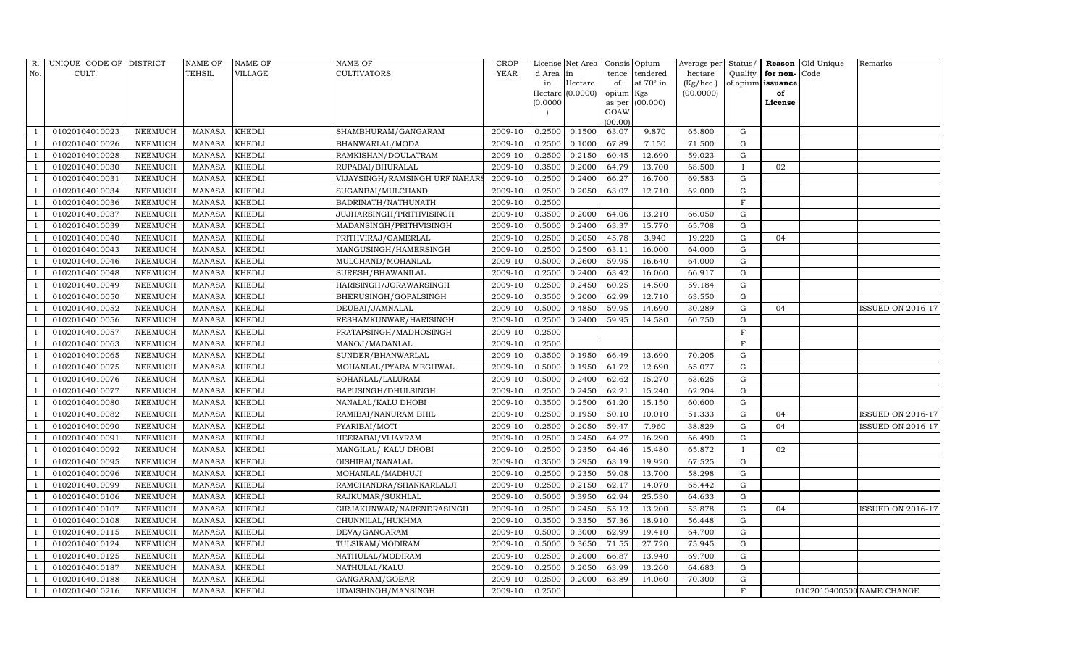| R.             | UNIQUE CODE OF DISTRICT |                | <b>NAME OF</b> | <b>NAME OF</b> | <b>NAME OF</b>                 | <b>CROP</b> |           | License Net Area |                     | Consis Opium     | Average per | Status/      | Reason            | Old Unique | Remarks                   |
|----------------|-------------------------|----------------|----------------|----------------|--------------------------------|-------------|-----------|------------------|---------------------|------------------|-------------|--------------|-------------------|------------|---------------------------|
| No.            | CULT.                   |                | <b>TEHSIL</b>  | VILLAGE        | <b>CULTIVATORS</b>             | YEAR        | d Area in |                  | tence               | tendered         | hectare     | Quality      | for non-          | Code       |                           |
|                |                         |                |                |                |                                |             | in        | Hectare          | of                  | at $70^\circ$ in | (Kg/hec.)   |              | of opium issuance |            |                           |
|                |                         |                |                |                |                                |             | (0.0000)  | Hectare (0.0000) | opium Kgs<br>as per | (00.000)         | (00.0000)   |              | of<br>License     |            |                           |
|                |                         |                |                |                |                                |             |           |                  | GOAW                |                  |             |              |                   |            |                           |
|                |                         |                |                |                |                                |             |           |                  | (00.00)             |                  |             |              |                   |            |                           |
|                | 01020104010023          | NEEMUCH        | MANASA         | <b>KHEDLI</b>  | SHAMBHURAM/GANGARAM            | 2009-10     | 0.2500    | 0.1500           | 63.07               | 9.870            | 65.800      | G            |                   |            |                           |
|                | 01020104010026          | NEEMUCH        | <b>MANASA</b>  | <b>KHEDLI</b>  | BHANWARLAL/MODA                | 2009-10     | 0.2500    | 0.1000           | 67.89               | 7.150            | 71.500      | G            |                   |            |                           |
|                | 01020104010028          | <b>NEEMUCH</b> | <b>MANASA</b>  | <b>KHEDLI</b>  | RAMKISHAN/DOULATRAM            | 2009-10     | 0.2500    | 0.2150           | 60.45               | 12.690           | 59.023      | ${\rm G}$    |                   |            |                           |
|                | 01020104010030          | NEEMUCH        | MANASA         | <b>KHEDLI</b>  | RUPABAI/BHURALAL               | 2009-10     | 0.3500    | 0.2000           | 64.79               | 13.700           | 68.500      | $\mathbf{I}$ | 02                |            |                           |
|                | 01020104010031          | <b>NEEMUCH</b> | <b>MANASA</b>  | <b>KHEDLI</b>  | VIJAYSINGH/RAMSINGH URF NAHARS | 2009-10     | 0.2500    | 0.2400           | 66.27               | 16.700           | 69.583      | G            |                   |            |                           |
|                | 01020104010034          | <b>NEEMUCH</b> | MANASA         | <b>KHEDLI</b>  | SUGANBAI/MULCHAND              | 2009-10     | 0.2500    | 0.2050           | 63.07               | 12.710           | 62.000      | G            |                   |            |                           |
|                | 01020104010036          | NEEMUCH        | MANASA         | <b>KHEDLI</b>  | BADRINATH/NATHUNATH            | 2009-10     | 0.2500    |                  |                     |                  |             | $\mathbf F$  |                   |            |                           |
|                | 01020104010037          | <b>NEEMUCH</b> | MANASA         | <b>KHEDLI</b>  | JUJHARSINGH/PRITHVISINGH       | 2009-10     | 0.3500    | 0.2000           | 64.06               | 13.210           | 66.050      | ${\rm G}$    |                   |            |                           |
|                | 01020104010039          | <b>NEEMUCH</b> | <b>MANASA</b>  | <b>KHEDLI</b>  | MADANSINGH/PRITHVISINGH        | 2009-10     | 0.5000    | 0.2400           | 63.37               | 15.770           | 65.708      | $\mathbf G$  |                   |            |                           |
|                | 01020104010040          | NEEMUCH        | MANASA         | <b>KHEDLI</b>  | PRITHVIRAJ/GAMERLAL            | 2009-10     | 0.2500    | 0.2050           | 45.78               | 3.940            | 19.220      | ${\rm G}$    | 04                |            |                           |
|                | 01020104010043          | <b>NEEMUCH</b> | <b>MANASA</b>  | <b>KHEDLI</b>  | MANGUSINGH/HAMERSINGH          | 2009-10     | 0.2500    | 0.2500           | 63.11               | 16.000           | 64.000      | ${\rm G}$    |                   |            |                           |
|                | 01020104010046          | <b>NEEMUCH</b> | MANASA         | <b>KHEDLI</b>  | MULCHAND/MOHANLAL              | 2009-10     | 0.5000    | 0.2600           | 59.95               | 16.640           | 64.000      | G            |                   |            |                           |
|                | 01020104010048          | <b>NEEMUCH</b> | <b>MANASA</b>  | <b>KHEDLI</b>  | SURESH/BHAWANILAL              | 2009-10     | 0.2500    | 0.2400           | 63.42               | 16.060           | 66.917      | ${\rm G}$    |                   |            |                           |
|                | 01020104010049          | <b>NEEMUCH</b> | <b>MANASA</b>  | <b>KHEDLI</b>  | HARISINGH/JORAWARSINGH         | 2009-10     | 0.2500    | 0.2450           | 60.25               | 14.500           | 59.184      | G            |                   |            |                           |
|                | 01020104010050          | NEEMUCH        | MANASA         | KHEDLI         | BHERUSINGH/GOPALSINGH          | 2009-10     | 0.3500    | 0.2000           | 62.99               | 12.710           | 63.550      | G            |                   |            |                           |
|                | 01020104010052          | <b>NEEMUCH</b> | MANASA         | <b>KHEDLI</b>  | DEUBAI/JAMNALAL                | 2009-10     | 0.5000    | 0.4850           | 59.95               | 14.690           | 30.289      | $\mathbf G$  | 04                |            | ISSUED ON 2016-17         |
|                | 01020104010056          | <b>NEEMUCH</b> | <b>MANASA</b>  | <b>KHEDLI</b>  | RESHAMKUNWAR/HARISINGH         | 2009-10     | 0.2500    | 0.2400           | 59.95               | 14.580           | 60.750      | G            |                   |            |                           |
|                | 01020104010057          | <b>NEEMUCH</b> | MANASA         | <b>KHEDLI</b>  | PRATAPSINGH/MADHOSINGH         | 2009-10     | 0.2500    |                  |                     |                  |             | $\mathbf{F}$ |                   |            |                           |
|                | 01020104010063          | NEEMUCH        | <b>MANASA</b>  | <b>KHEDLI</b>  | MANOJ/MADANLAL                 | 2009-10     | 0.2500    |                  |                     |                  |             | F            |                   |            |                           |
|                | 01020104010065          | NEEMUCH        | MANASA         | <b>KHEDLI</b>  | SUNDER/BHANWARLAL              | 2009-10     | 0.3500    | 0.1950           | 66.49               | 13.690           | 70.205      | G            |                   |            |                           |
|                | 01020104010075          | NEEMUCH        | MANASA         | <b>KHEDLI</b>  | MOHANLAL/PYARA MEGHWAL         | 2009-10     | 0.5000    | 0.1950           | 61.72               | 12.690           | 65.077      | G            |                   |            |                           |
|                | 01020104010076          | <b>NEEMUCH</b> | <b>MANASA</b>  | <b>KHEDLI</b>  | SOHANLAL/LALURAM               | 2009-10     | 0.5000    | 0.2400           | 62.62               | 15.270           | 63.625      | ${\rm G}$    |                   |            |                           |
|                | 01020104010077          | NEEMUCH        | MANASA         | <b>KHEDLI</b>  | BAPUSINGH/DHULSINGH            | 2009-10     | 0.2500    | 0.2450           | 62.21               | 15.240           | 62.204      | G            |                   |            |                           |
|                | 01020104010080          | <b>NEEMUCH</b> | <b>MANASA</b>  | <b>KHEDLI</b>  | NANALAL/KALU DHOBI             | 2009-10     | 0.3500    | 0.2500           | 61.20               | 15.150           | 60.600      | G            |                   |            |                           |
|                | 01020104010082          | NEEMUCH        | <b>MANASA</b>  | <b>KHEDLI</b>  | RAMIBAI/NANURAM BHIL           | 2009-10     | 0.2500    | 0.1950           | 50.10               | 10.010           | 51.333      | ${\rm G}$    | 04                |            | <b>ISSUED ON 2016-17</b>  |
|                | 01020104010090          | <b>NEEMUCH</b> | <b>MANASA</b>  | <b>KHEDLI</b>  | PYARIBAI/MOTI                  | 2009-10     | 0.2500    | 0.2050           | 59.47               | 7.960            | 38.829      | G            | 04                |            | ISSUED ON 2016-17         |
|                | 01020104010091          | <b>NEEMUCH</b> | <b>MANASA</b>  | <b>KHEDLI</b>  | HEERABAI/VIJAYRAM              | 2009-10     | 0.2500    | 0.2450           | 64.27               | 16.290           | 66.490      | ${\rm G}$    |                   |            |                           |
|                | 01020104010092          | <b>NEEMUCH</b> | <b>MANASA</b>  | <b>KHEDLI</b>  | MANGILAL/ KALU DHOBI           | 2009-10     | 0.2500    | 0.2350           | 64.46               | 15.480           | 65.872      | $\mathbf{I}$ | 02                |            |                           |
|                | 01020104010095          | NEEMUCH        | MANASA         | <b>KHEDLI</b>  | GISHIBAI/NANALAL               | 2009-10     | 0.3500    | 0.2950           | 63.19               | 19.920           | 67.525      | G            |                   |            |                           |
|                | 01020104010096          | <b>NEEMUCH</b> | MANASA         | <b>KHEDLI</b>  | MOHANLAL/MADHUJI               | 2009-10     | 0.2500    | 0.2350           | 59.08               | 13.700           | 58.298      | ${\rm G}$    |                   |            |                           |
|                | 01020104010099          | <b>NEEMUCH</b> | MANASA         | <b>KHEDLI</b>  | RAMCHANDRA/SHANKARLALJI        | 2009-10     | 0.2500    | 0.2150           | 62.17               | 14.070           | 65.442      | $\mathbf G$  |                   |            |                           |
|                | 01020104010106          | <b>NEEMUCH</b> | <b>MANASA</b>  | <b>KHEDLI</b>  | RAJKUMAR/SUKHLAL               | 2009-10     | 0.5000    | 0.3950           | 62.94               | 25.530           | 64.633      | $\mathbf G$  |                   |            |                           |
|                | 01020104010107          | <b>NEEMUCH</b> | MANASA         | <b>KHEDLI</b>  | GIRJAKUNWAR/NARENDRASINGH      | 2009-10     | 0.2500    | 0.2450           | 55.12               | 13.200           | 53.878      | ${\rm G}$    | 04                |            | <b>ISSUED ON 2016-17</b>  |
|                | 01020104010108          | <b>NEEMUCH</b> | MANASA         | <b>KHEDLI</b>  | CHUNNILAL/HUKHMA               | 2009-10     | 0.3500    | 0.3350           | 57.36               | 18.910           | 56.448      | G            |                   |            |                           |
| - 1            | 01020104010115          | <b>NEEMUCH</b> | MANASA         | <b>KHEDLI</b>  | DEVA/GANGARAM                  | 2009-10     | 0.5000    | 0.3000           | 62.99               | 19.410           | 64.700      | ${\rm G}$    |                   |            |                           |
|                | 01020104010124          | <b>NEEMUCH</b> | <b>MANASA</b>  | <b>KHEDLI</b>  | TULSIRAM/MODIRAM               | 2009-10     | 0.5000    | 0.3650           | 71.55               | 27.720           | 75.945      | $\mathbf G$  |                   |            |                           |
|                | 01020104010125          | <b>NEEMUCH</b> | MANASA         | <b>KHEDLI</b>  | NATHULAL/MODIRAM               | 2009-10     | 0.2500    | 0.2000           | 66.87               | 13.940           | 69.700      | G            |                   |            |                           |
|                | 01020104010187          | NEEMUCH        | <b>MANASA</b>  | KHEDLI         | NATHULAL/KALU                  | 2009-10     | 0.2500    | 0.2050           | 63.99               | 13.260           | 64.683      | G            |                   |            |                           |
| $\overline{1}$ | 01020104010188          | NEEMUCH        | MANASA         | <b>KHEDLI</b>  | GANGARAM/GOBAR                 | 2009-10     | 0.2500    | 0.2000           | 63.89               | 14.060           | 70.300      | G            |                   |            |                           |
| 1              | 01020104010216          | <b>NEEMUCH</b> | MANASA KHEDLI  |                | <b>UDAISHINGH/MANSINGH</b>     | 2009-10     | 0.2500    |                  |                     |                  |             | F            |                   |            | 0102010400500 NAME CHANGE |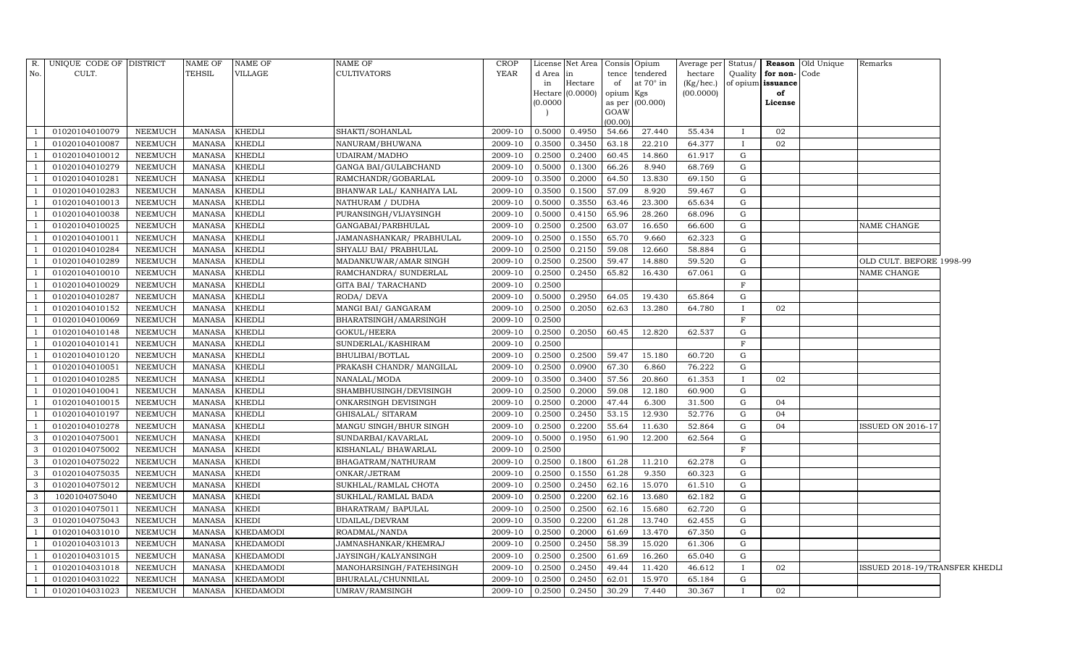| R.            | UNIQUE CODE OF DISTRICT |                | <b>NAME OF</b> | <b>NAME OF</b>   | <b>NAME OF</b>            | <b>CROP</b> |          | License Net Area Consis Opium |                |           | Average per | Status/      |                   | <b>Reason</b> Old Unique | Remarks                        |  |
|---------------|-------------------------|----------------|----------------|------------------|---------------------------|-------------|----------|-------------------------------|----------------|-----------|-------------|--------------|-------------------|--------------------------|--------------------------------|--|
| No.           | CULT.                   |                | TEHSIL         | <b>VILLAGE</b>   | <b>CULTIVATORS</b>        | <b>YEAR</b> | d Area   | in                            | tence          | tendered  | hectare     | Quality      | for non-Code      |                          |                                |  |
|               |                         |                |                |                  |                           |             | in       | Hectare                       | of             | at 70° in | (Kg/hec.)   |              | of opium issuance |                          |                                |  |
|               |                         |                |                |                  |                           |             |          | Hectare (0.0000)              | opium Kgs      | (00.000)  | (00.0000)   |              | of                |                          |                                |  |
|               |                         |                |                |                  |                           |             | (0.0000) |                               | as per<br>GOAW |           |             |              | License           |                          |                                |  |
|               |                         |                |                |                  |                           |             |          |                               | (00.00)        |           |             |              |                   |                          |                                |  |
|               | 01020104010079          | <b>NEEMUCH</b> | <b>MANASA</b>  | <b>KHEDLI</b>    | SHAKTI/SOHANLAL           | 2009-10     | 0.5000   | 0.4950                        | 54.66          | 27.440    | 55.434      |              | 02                |                          |                                |  |
|               | 01020104010087          | NEEMUCH        | <b>MANASA</b>  | <b>KHEDLI</b>    | NANURAM/BHUWANA           | 2009-10     | 0.3500   | 0.3450                        | 63.18          | 22.210    | 64.377      |              | 02                |                          |                                |  |
|               | 01020104010012          | <b>NEEMUCH</b> | <b>MANASA</b>  | <b>KHEDLI</b>    | <b>UDAIRAM/MADHO</b>      | 2009-10     | 0.2500   | 0.2400                        | 60.45          | 14.860    | 61.917      | G            |                   |                          |                                |  |
|               | 01020104010279          | <b>NEEMUCH</b> | <b>MANASA</b>  | <b>KHEDLI</b>    | GANGA BAI/GULABCHAND      | 2009-10     | 0.5000   | 0.1300                        | 66.26          | 8.940     | 68.769      | G            |                   |                          |                                |  |
|               | 01020104010281          | <b>NEEMUCH</b> | <b>MANASA</b>  | <b>KHEDLI</b>    | RAMCHANDR/GOBARLAL        | 2009-10     | 0.3500   | 0.2000                        | 64.50          | 13.830    | 69.150      | $\mathbf G$  |                   |                          |                                |  |
|               | 01020104010283          | <b>NEEMUCH</b> | <b>MANASA</b>  | <b>KHEDLI</b>    | BHANWAR LAL/ KANHAIYA LAL | 2009-10     | 0.3500   | 0.1500                        | 57.09          | 8.920     | 59.467      | G            |                   |                          |                                |  |
|               | 01020104010013          | NEEMUCH        | <b>MANASA</b>  | <b>KHEDLI</b>    | NATHURAM / DUDHA          | 2009-10     | 0.5000   | 0.3550                        | 63.46          | 23.300    | 65.634      | $\mathbf G$  |                   |                          |                                |  |
|               | 01020104010038          | NEEMUCH        | <b>MANASA</b>  | <b>KHEDLI</b>    | PURANSINGH/VIJAYSINGH     | 2009-10     | 0.5000   | 0.4150                        | 65.96          | 28.260    | 68.096      | G            |                   |                          |                                |  |
|               | 01020104010025          | <b>NEEMUCH</b> | <b>MANASA</b>  | <b>KHEDLI</b>    | GANGABAI/PARBHULAL        | 2009-10     | 0.2500   | 0.2500                        | 63.07          | 16.650    | 66.600      | G            |                   |                          | NAME CHANGE                    |  |
|               | 01020104010011          | <b>NEEMUCH</b> | <b>MANASA</b>  | <b>KHEDLI</b>    | JAMANASHANKAR/ PRABHULAL  | 2009-10     | 0.2500   | 0.1550                        | 65.70          | 9.660     | 62.323      | G            |                   |                          |                                |  |
|               | 01020104010284          | NEEMUCH        | <b>MANASA</b>  | <b>KHEDLI</b>    | SHYALU BAI/ PRABHULAL     | 2009-10     | 0.2500   | 0.2150                        | 59.08          | 12.660    | 58.884      | $\mathbf G$  |                   |                          |                                |  |
|               | 01020104010289          | <b>NEEMUCH</b> | <b>MANASA</b>  | <b>KHEDLI</b>    | MADANKUWAR/AMAR SINGH     | 2009-10     | 0.2500   | 0.2500                        | 59.47          | 14.880    | 59.520      | G            |                   |                          | OLD CULT. BEFORE 1998-99       |  |
|               | 01020104010010          | NEEMUCH        | <b>MANASA</b>  | <b>KHEDLI</b>    | RAMCHANDRA/ SUNDERLAL     | 2009-10     | 0.2500   | 0.2450                        | 65.82          | 16.430    | 67.061      | G            |                   |                          | NAME CHANGE                    |  |
|               | 01020104010029          | <b>NEEMUCH</b> | <b>MANASA</b>  | <b>KHEDLI</b>    | GITA BAI/ TARACHAND       | 2009-10     | 0.2500   |                               |                |           |             | F            |                   |                          |                                |  |
|               | 01020104010287          | <b>NEEMUCH</b> | <b>MANASA</b>  | <b>KHEDLI</b>    | RODA/ DEVA                | 2009-10     | 0.5000   | 0.2950                        | 64.05          | 19.430    | 65.864      | G            |                   |                          |                                |  |
|               | 01020104010152          | <b>NEEMUCH</b> | <b>MANASA</b>  | <b>KHEDLI</b>    | MANGI BAI/ GANGARAM       | 2009-10     | 0.2500   | 0.2050                        | 62.63          | 13.280    | 64.780      | $\mathbf{I}$ | 02                |                          |                                |  |
|               | 01020104010069          | <b>NEEMUCH</b> | <b>MANASA</b>  | <b>KHEDLI</b>    | BHARATSINGH/AMARSINGH     | 2009-10     | 0.2500   |                               |                |           |             | F            |                   |                          |                                |  |
|               | 01020104010148          | <b>NEEMUCH</b> | <b>MANASA</b>  | <b>KHEDLI</b>    | GOKUL/HEERA               | 2009-10     | 0.2500   | 0.2050                        | 60.45          | 12.820    | 62.537      | G            |                   |                          |                                |  |
|               | 01020104010141          | NEEMUCH        | <b>MANASA</b>  | KHEDLI           | SUNDERLAL/KASHIRAM        | 2009-10     | 0.2500   |                               |                |           |             | F            |                   |                          |                                |  |
|               | 01020104010120          | <b>NEEMUCH</b> | <b>MANASA</b>  | <b>KHEDLI</b>    | BHULIBAI/BOTLAL           | 2009-10     | 0.2500   | 0.2500                        | 59.47          | 15.180    | 60.720      | G            |                   |                          |                                |  |
|               | 01020104010051          | NEEMUCH        | <b>MANASA</b>  | <b>KHEDLI</b>    | PRAKASH CHANDR/ MANGILAL  | 2009-10     | 0.2500   | 0.0900                        | 67.30          | 6.860     | 76.222      | G            |                   |                          |                                |  |
|               | 01020104010285          | <b>NEEMUCH</b> | <b>MANASA</b>  | <b>KHEDLI</b>    | NANALAL/MODA              | 2009-10     | 0.3500   | 0.3400                        | 57.56          | 20.860    | 61.353      | $\mathbf I$  | 02                |                          |                                |  |
|               | 01020104010041          | NEEMUCH        | <b>MANASA</b>  | <b>KHEDLI</b>    | SHAMBHUSINGH/DEVISINGH    | 2009-10     | 0.2500   | 0.2000                        | 59.08          | 12.180    | 60.900      | G            |                   |                          |                                |  |
|               | 01020104010015          | <b>NEEMUCH</b> | <b>MANASA</b>  | <b>KHEDLI</b>    | ONKARSINGH DEVISINGH      | 2009-10     | 0.2500   | 0.2000                        | 47.44          | 6.300     | 31.500      | G            | 04                |                          |                                |  |
|               | 01020104010197          | NEEMUCH        | <b>MANASA</b>  | <b>KHEDLI</b>    | GHISALAL/ SITARAM         | 2009-10     | 0.2500   | 0.2450                        | 53.15          | 12.930    | 52.776      | G            | 04                |                          |                                |  |
|               | 01020104010278          | NEEMUCH        | <b>MANASA</b>  | <b>KHEDLI</b>    | MANGU SINGH/BHUR SINGH    | 2009-10     | 0.2500   | 0.2200                        | 55.64          | 11.630    | 52.864      | G            | 04                |                          | <b>ISSUED ON 2016-17</b>       |  |
| 3             | 01020104075001          | NEEMUCH        | <b>MANASA</b>  | <b>KHEDI</b>     | SUNDARBAI/KAVARLAL        | 2009-10     | 0.5000   | 0.1950                        | 61.90          | 12.200    | 62.564      | G            |                   |                          |                                |  |
| $\mathcal{E}$ | 01020104075002          | <b>NEEMUCH</b> | <b>MANASA</b>  | <b>KHEDI</b>     | KISHANLAL/ BHAWARLAL      | 2009-10     | 0.2500   |                               |                |           |             | F            |                   |                          |                                |  |
| 3             | 01020104075022          | <b>NEEMUCH</b> | <b>MANASA</b>  | <b>KHEDI</b>     | BHAGATRAM/NATHURAM        | 2009-10     | 0.2500   | 0.1800                        | 61.28          | 11.210    | 62.278      | G            |                   |                          |                                |  |
| 3             | 01020104075035          | <b>NEEMUCH</b> | <b>MANASA</b>  | <b>KHEDI</b>     | ONKAR/JETRAM              | 2009-10     | 0.2500   | 0.1550                        | 61.28          | 9.350     | 60.323      | G            |                   |                          |                                |  |
| 3             | 01020104075012          | <b>NEEMUCH</b> | <b>MANASA</b>  | <b>KHEDI</b>     | SUKHLAL/RAMLAL CHOTA      | 2009-10     | 0.2500   | 0.2450                        | 62.16          | 15.070    | 61.510      | G            |                   |                          |                                |  |
| 3             | 1020104075040           | NEEMUCH        | <b>MANASA</b>  | <b>KHEDI</b>     | SUKHLAL/RAMLAL BADA       | 2009-10     | 0.2500   | 0.2200                        | 62.16          | 13.680    | 62.182      | G            |                   |                          |                                |  |
| 3             | 01020104075011          | <b>NEEMUCH</b> | <b>MANASA</b>  | <b>KHEDI</b>     | BHARATRAM / BAPULAL       | 2009-10     | 0.2500   | 0.2500                        | 62.16          | 15.680    | 62.720      | G            |                   |                          |                                |  |
| 3             | 01020104075043          | NEEMUCH        | <b>MANASA</b>  | <b>KHEDI</b>     | UDAILAL/DEVRAM            | 2009-10     | 0.3500   | 0.2200                        | 61.28          | 13.740    | 62.455      | G            |                   |                          |                                |  |
|               | 01020104031010          | NEEMUCH        | <b>MANASA</b>  | <b>KHEDAMODI</b> | ROADMAL/NANDA             | 2009-10     | 0.2500   | 0.2000                        | 61.69          | 13.470    | 67.350      | G            |                   |                          |                                |  |
|               | 01020104031013          | <b>NEEMUCH</b> | <b>MANASA</b>  | <b>KHEDAMODI</b> | JAMNASHANKAR/KHEMRAJ      | 2009-10     | 0.2500   | 0.2450                        | 58.39          | 15.020    | 61.306      | G            |                   |                          |                                |  |
|               | 01020104031015          | <b>NEEMUCH</b> | MANASA         | <b>KHEDAMODI</b> | JAYSINGH/KALYANSINGH      | 2009-10     | 0.2500   | 0.2500                        | 61.69          | 16.260    | 65.040      | G            |                   |                          |                                |  |
|               | 01020104031018          | <b>NEEMUCH</b> | <b>MANASA</b>  | <b>KHEDAMODI</b> | MANOHARSINGH/FATEHSINGH   | 2009-10     | 0.2500   | 0.2450                        | 49.44          | 11.420    | 46.612      | $\mathbf{I}$ | 02                |                          | ISSUED 2018-19/TRANSFER KHEDLI |  |
|               | 01020104031022          | <b>NEEMUCH</b> | <b>MANASA</b>  | <b>KHEDAMODI</b> | BHURALAL/CHUNNILAL        | 2009-10     | 0.2500   | 0.2450                        | 62.01          | 15.970    | 65.184      | G            |                   |                          |                                |  |
|               | 01020104031023          | <b>NEEMUCH</b> |                | MANASA KHEDAMODI | <b>UMRAV/RAMSINGH</b>     | 2009-10     | 0.2500   | 0.2450                        | 30.29          | 7.440     | 30.367      | $\mathbf{I}$ | 02                |                          |                                |  |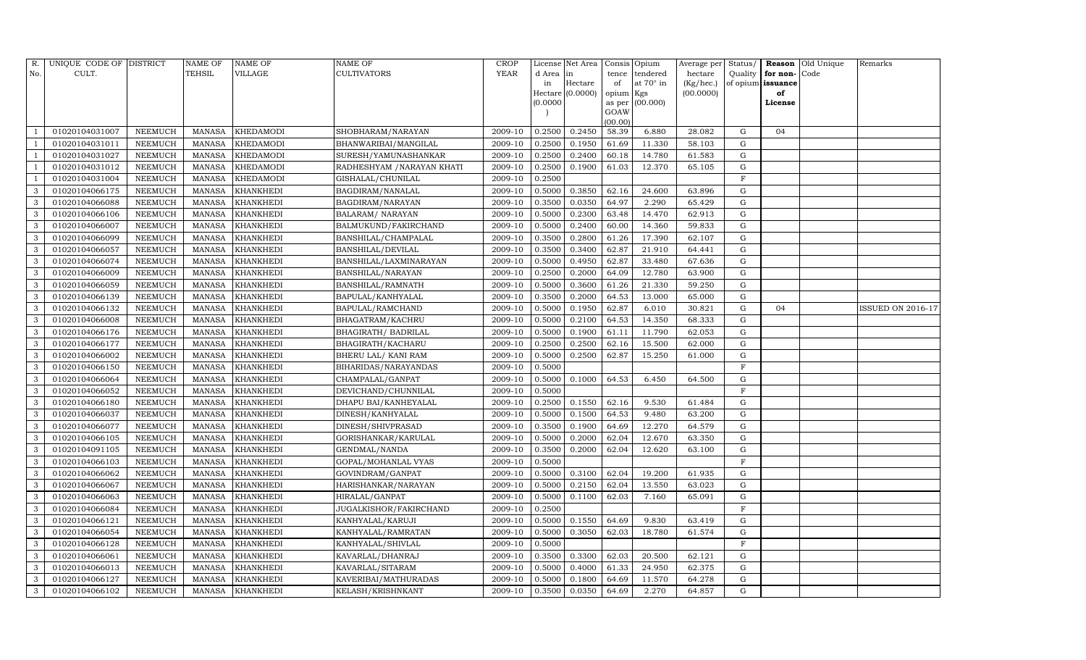| R.  | UNIQUE CODE OF DISTRICT |                | <b>NAME OF</b> | <b>NAME OF</b>   | <b>NAME OF</b>             | <b>CROP</b> |           | License Net Area |                | Consis Opium     | Average per | Status/     |                   | <b>Reason Old Unique</b> | Remarks           |
|-----|-------------------------|----------------|----------------|------------------|----------------------------|-------------|-----------|------------------|----------------|------------------|-------------|-------------|-------------------|--------------------------|-------------------|
| No. | CULT.                   |                | <b>TEHSIL</b>  | VILLAGE          | <b>CULTIVATORS</b>         | YEAR        | d Area in |                  | tence          | tendered         | hectare     | Quality     | for non-          | Code                     |                   |
|     |                         |                |                |                  |                            |             | in        | Hectare          | of             | at $70^\circ$ in | (Kg/hec.)   |             | of opium issuance |                          |                   |
|     |                         |                |                |                  |                            |             |           | Hectare (0.0000) | opium Kgs      |                  | (00.0000)   |             | of                |                          |                   |
|     |                         |                |                |                  |                            |             | (0.0000)  |                  | as per<br>GOAW | (00.000)         |             |             | License           |                          |                   |
|     |                         |                |                |                  |                            |             |           |                  | (00.00)        |                  |             |             |                   |                          |                   |
|     | 01020104031007          | NEEMUCH        | MANASA         | <b>KHEDAMODI</b> | SHOBHARAM/NARAYAN          | 2009-10     | 0.2500    | 0.2450           | 58.39          | 6.880            | 28.082      | G           | 04                |                          |                   |
|     | 01020104031011          | NEEMUCH        | MANASA         | <b>KHEDAMODI</b> | BHANWARIBAI/MANGILAL       | 2009-10     | 0.2500    | 0.1950           | 61.69          | 11.330           | 58.103      | G           |                   |                          |                   |
|     | 01020104031027          | <b>NEEMUCH</b> | <b>MANASA</b>  | <b>KHEDAMODI</b> | SURESH/YAMUNASHANKAR       | 2009-10     | 0.2500    | 0.2400           | 60.18          | 14.780           | 61.583      | G           |                   |                          |                   |
|     | 01020104031012          | NEEMUCH        | MANASA         | <b>KHEDAMODI</b> | RADHESHYAM / NARAYAN KHATI | 2009-10     | 0.2500    | 0.1900           | 61.03          | 12.370           | 65.105      | ${\rm G}$   |                   |                          |                   |
|     | 01020104031004          | <b>NEEMUCH</b> | <b>MANASA</b>  | <b>KHEDAMODI</b> | GISHALAL/CHUNILAL          | 2009-10     | 0.2500    |                  |                |                  |             | $\mathbf F$ |                   |                          |                   |
| 3   | 01020104066175          | <b>NEEMUCH</b> | MANASA         | <b>KHANKHEDI</b> | BAGDIRAM/NANALAL           | 2009-10     | 0.5000    | 0.3850           | 62.16          | 24.600           | 63.896      | G           |                   |                          |                   |
| 3   | 01020104066088          | NEEMUCH        | MANASA         | <b>KHANKHEDI</b> | BAGDIRAM/NARAYAN           | 2009-10     | 0.3500    | 0.0350           | 64.97          | 2.290            | 65.429      | G           |                   |                          |                   |
| 3   | 01020104066106          | <b>NEEMUCH</b> | MANASA         | <b>KHANKHEDI</b> | <b>BALARAM/ NARAYAN</b>    | 2009-10     | 0.5000    | 0.2300           | 63.48          | 14.470           | 62.913      | ${\rm G}$   |                   |                          |                   |
| 3   | 01020104066007          | <b>NEEMUCH</b> | <b>MANASA</b>  | <b>KHANKHEDI</b> | BALMUKUND/FAKIRCHAND       | 2009-10     | 0.5000    | 0.2400           | 60.00          | 14.360           | 59.833      | $\mathbf G$ |                   |                          |                   |
| 3   | 01020104066099          | NEEMUCH        | MANASA         | <b>KHANKHEDI</b> | BANSHILAL/CHAMPALAL        | 2009-10     | 0.3500    | 0.2800           | 61.26          | 17.390           | 62.107      | ${\rm G}$   |                   |                          |                   |
| 3   | 01020104066057          | <b>NEEMUCH</b> | <b>MANASA</b>  | <b>KHANKHEDI</b> | <b>BANSHILAL/DEVILAL</b>   | 2009-10     | 0.3500    | 0.3400           | 62.87          | 21.910           | 64.441      | ${\rm G}$   |                   |                          |                   |
| 3   | 01020104066074          | <b>NEEMUCH</b> | MANASA         | <b>KHANKHEDI</b> | BANSHILAL/LAXMINARAYAN     | 2009-10     | 0.5000    | 0.4950           | 62.87          | 33.480           | 67.636      | G           |                   |                          |                   |
| 3   | 01020104066009          | <b>NEEMUCH</b> | <b>MANASA</b>  | <b>KHANKHEDI</b> | BANSHILAL/NARAYAN          | 2009-10     | 0.2500    | 0.2000           | 64.09          | 12.780           | 63.900      | ${\rm G}$   |                   |                          |                   |
| 3   | 01020104066059          | <b>NEEMUCH</b> | MANASA         | <b>KHANKHEDI</b> | <b>BANSHILAL/RAMNATH</b>   | 2009-10     | 0.5000    | 0.3600           | 61.26          | 21.330           | 59.250      | G           |                   |                          |                   |
| 3   | 01020104066139          | NEEMUCH        | MANASA         | <b>KHANKHEDI</b> | BAPULAL/KANHYALAL          | 2009-10     | 0.3500    | 0.2000           | 64.53          | 13.000           | 65.000      | G           |                   |                          |                   |
| 3   | 01020104066132          | NEEMUCH        | MANASA         | <b>KHANKHEDI</b> | <b>BAPULAL/RAMCHAND</b>    | 2009-10     | 0.5000    | 0.1950           | 62.87          | 6.010            | 30.821      | $\mathbf G$ | 04                |                          | ISSUED ON 2016-17 |
| 3   | 01020104066008          | <b>NEEMUCH</b> | <b>MANASA</b>  | <b>KHANKHEDI</b> | BHAGATRAM/KACHRU           | 2009-10     | 0.5000    | 0.2100           | 64.53          | 14.350           | 68.333      | G           |                   |                          |                   |
| 3   | 01020104066176          | <b>NEEMUCH</b> | MANASA         | <b>KHANKHEDI</b> | BHAGIRATH / BADRILAL       | 2009-10     | 0.5000    | 0.1900           | 61.11          | 11.790           | 62.053      | G           |                   |                          |                   |
| 3   | 01020104066177          | NEEMUCH        | <b>MANASA</b>  | <b>KHANKHEDI</b> | <b>BHAGIRATH/KACHARU</b>   | 2009-10     | 0.2500    | 0.2500           | 62.16          | 15.500           | 62.000      | G           |                   |                          |                   |
| 3   | 01020104066002          | NEEMUCH        | MANASA         | <b>KHANKHEDI</b> | <b>BHERU LAL/ KANI RAM</b> | 2009-10     | 0.5000    | 0.2500           | 62.87          | 15.250           | 61.000      | G           |                   |                          |                   |
| 3   | 01020104066150          | NEEMUCH        | MANASA         | <b>KHANKHEDI</b> | BIHARIDAS/NARAYANDAS       | 2009-10     | 0.5000    |                  |                |                  |             | F           |                   |                          |                   |
| 3   | 01020104066064          | <b>NEEMUCH</b> | <b>MANASA</b>  | <b>KHANKHEDI</b> | CHAMPALAL/GANPAT           | 2009-10     | 0.5000    | 0.1000           | 64.53          | 6.450            | 64.500      | ${\rm G}$   |                   |                          |                   |
| 3   | 01020104066052          | NEEMUCH        | MANASA         | <b>KHANKHEDI</b> | DEVICHAND/CHUNNILAL        | 2009-10     | 0.5000    |                  |                |                  |             | $\mathbf F$ |                   |                          |                   |
| 3   | 01020104066180          | <b>NEEMUCH</b> | MANASA         | <b>KHANKHEDI</b> | DHAPU BAI/KANHEYALAL       | 2009-10     | 0.2500    | 0.1550           | 62.16          | 9.530            | 61.484      | ${\rm G}$   |                   |                          |                   |
| 3   | 01020104066037          | NEEMUCH        | MANASA         | <b>KHANKHEDI</b> | DINESH/KANHYALAL           | 2009-10     | 0.5000    | 0.1500           | 64.53          | 9.480            | 63.200      | G           |                   |                          |                   |
| 3   | 01020104066077          | <b>NEEMUCH</b> | <b>MANASA</b>  | <b>KHANKHEDI</b> | DINESH/SHIVPRASAD          | 2009-10     | 0.3500    | 0.1900           | 64.69          | 12.270           | 64.579      | G           |                   |                          |                   |
| 3   | 01020104066105          | <b>NEEMUCH</b> | <b>MANASA</b>  | <b>KHANKHEDI</b> | GORISHANKAR/KARULAL        | 2009-10     | 0.5000    | 0.2000           | 62.04          | 12.670           | 63.350      | ${\rm G}$   |                   |                          |                   |
| 3   | 01020104091105          | <b>NEEMUCH</b> | <b>MANASA</b>  | KHANKHEDI        | GENDMAL/NANDA              | 2009-10     | 0.3500    | 0.2000           | 62.04          | 12.620           | 63.100      | $\mathbf G$ |                   |                          |                   |
| 3   | 01020104066103          | NEEMUCH        | MANASA         | <b>KHANKHEDI</b> | GOPAL/MOHANLAL VYAS        | 2009-10     | 0.5000    |                  |                |                  |             | $\mathbf F$ |                   |                          |                   |
| 3   | 01020104066062          | <b>NEEMUCH</b> | MANASA         | KHANKHEDI        | GOVINDRAM/GANPAT           | 2009-10     | 0.5000    | 0.3100           | 62.04          | 19.200           | 61.935      | G           |                   |                          |                   |
| 3   | 01020104066067          | <b>NEEMUCH</b> | MANASA         | <b>KHANKHEDI</b> | HARISHANKAR/NARAYAN        | 2009-10     | 0.5000    | 0.2150           | 62.04          | 13.550           | 63.023      | ${\rm G}$   |                   |                          |                   |
| 3   | 01020104066063          | <b>NEEMUCH</b> | <b>MANASA</b>  | <b>KHANKHEDI</b> | HIRALAL/GANPAT             | 2009-10     | 0.5000    | 0.1100           | 62.03          | 7.160            | 65.091      | $\mathbf G$ |                   |                          |                   |
| 3   | 01020104066084          | NEEMUCH        | MANASA         | <b>KHANKHEDI</b> | JUGALKISHOR/FAKIRCHAND     | 2009-10     | 0.2500    |                  |                |                  |             | $\mathbf F$ |                   |                          |                   |
| 3   | 01020104066121          | <b>NEEMUCH</b> | <b>MANASA</b>  | <b>KHANKHEDI</b> | KANHYALAL/KARUJI           | 2009-10     | 0.5000    | 0.1550           | 64.69          | 9.830            | 63.419      | G           |                   |                          |                   |
| 3   | 01020104066054          | <b>NEEMUCH</b> | MANASA         | <b>KHANKHEDI</b> | KANHYALAL/RAMRATAN         | 2009-10     | 0.5000    | 0.3050           | 62.03          | 18.780           | 61.574      | ${\rm G}$   |                   |                          |                   |
| 3   | 01020104066128          | <b>NEEMUCH</b> | <b>MANASA</b>  | <b>KHANKHEDI</b> | KANHYALAL/SHIVLAL          | 2009-10     | 0.5000    |                  |                |                  |             | $\mathbf F$ |                   |                          |                   |
| 3   | 01020104066061          | <b>NEEMUCH</b> | MANASA         | <b>KHANKHEDI</b> | KAVARLAL/DHANRAJ           | 2009-10     | 0.3500    | 0.3300           | 62.03          | 20.500           | 62.121      | G           |                   |                          |                   |
| 3   | 01020104066013          | NEEMUCH        | <b>MANASA</b>  | <b>KHANKHEDI</b> | KAVARLAL/SITARAM           | 2009-10     | 0.5000    | 0.4000           | 61.33          | 24.950           | 62.375      | G           |                   |                          |                   |
| 3   | 01020104066127          | <b>NEEMUCH</b> | MANASA         | <b>KHANKHEDI</b> | KAVERIBAI/MATHURADAS       | 2009-10     | 0.5000    | 0.1800           | 64.69          | 11.570           | 64.278      | G           |                   |                          |                   |
| 3   | 01020104066102          | <b>NEEMUCH</b> |                | MANASA KHANKHEDI | KELASH/KRISHNKANT          | 2009-10     | 0.3500    | 0.0350           | 64.69          | 2.270            | 64.857      | G           |                   |                          |                   |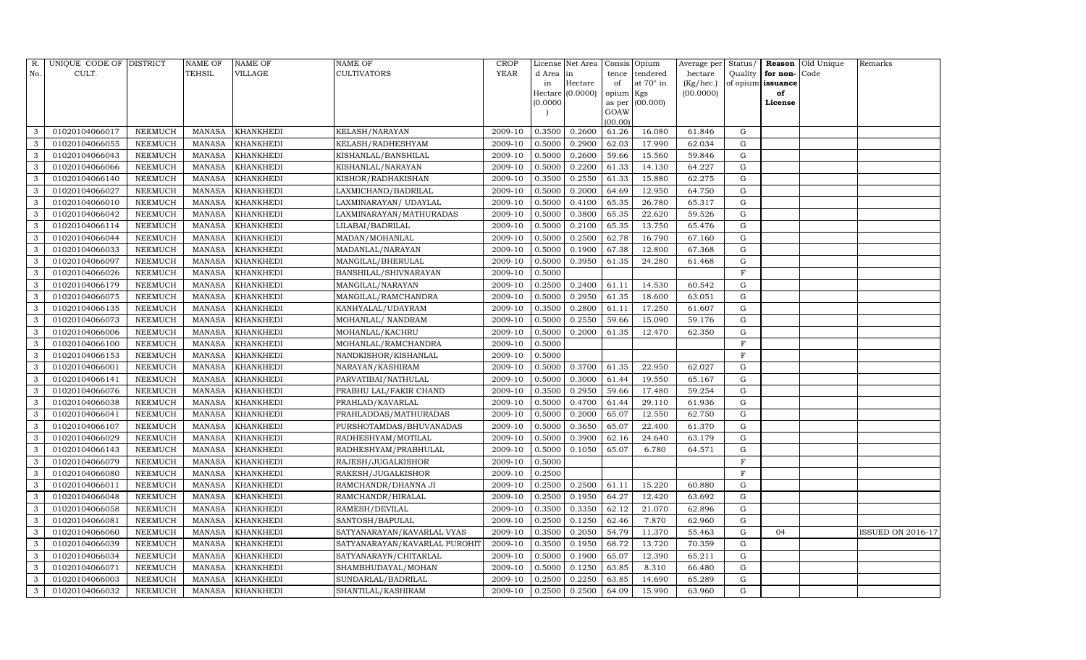| R.  | UNIQUE CODE OF DISTRICT |                 | <b>NAME OF</b> | NAME OF          | NAME OF                       | <b>CROP</b> |           | License Net Area |                | Consis Opium | Average per | Status/     |          | Reason Old Unique | Remarks                  |
|-----|-------------------------|-----------------|----------------|------------------|-------------------------------|-------------|-----------|------------------|----------------|--------------|-------------|-------------|----------|-------------------|--------------------------|
| No. | CULT.                   |                 | TEHSIL         | VILLAGE          | CULTIVATORS                   | <b>YEAR</b> | d Area in |                  | tence          | tendered     | hectare     | Quality     | for non- | Code              |                          |
|     |                         |                 |                |                  |                               |             | in        | Hectare          | of             | at 70° in    | (Kg/hec.)   | of opium    | issuance |                   |                          |
|     |                         |                 |                |                  |                               |             |           | Hectare (0.0000) | opium Kgs      |              | (00.0000)   |             | of       |                   |                          |
|     |                         |                 |                |                  |                               |             | (0.0000)  |                  | as per<br>GOAW | (00.000)     |             |             | License  |                   |                          |
|     |                         |                 |                |                  |                               |             |           |                  | (00.00)        |              |             |             |          |                   |                          |
| 3   | 01020104066017          | NEEMUCH         | MANASA         | <b>KHANKHEDI</b> | KELASH/NARAYAN                | 2009-10     | 0.3500    | 0.2600           | 61.26          | 16.080       | 61.846      | G           |          |                   |                          |
| 3   | 01020104066055          | NEEMUCH         | <b>MANASA</b>  | KHANKHEDI        | KELASH/RADHESHYAM             | 2009-10     | 0.5000    | 0.2900           | 62.03          | 17.990       | 62.034      | G           |          |                   |                          |
| 3   | 01020104066043          | NEEMUCH         | <b>MANASA</b>  | <b>KHANKHEDI</b> | KISHANLAL/BANSHILAL           | 2009-10     | 0.5000    | 0.2600           | 59.66          | 15.560       | 59.846      | G           |          |                   |                          |
| 3   | 01020104066066          | NEEMUCH         | <b>MANASA</b>  | KHANKHEDI        | KISHANLAL/NARAYAN             | 2009-10     | 0.5000    | 0.2200           | 61.33          | 14.130       | 64.227      | G           |          |                   |                          |
| 3   | 01020104066140          | NEEMUCH         | <b>MANASA</b>  | KHANKHEDI        | KISHOR/RADHAKISHAN            | 2009-10     | 0.3500    | 0.2550           | 61.33          | 15.880       | 62.275      | G           |          |                   |                          |
| 3   | 01020104066027          | NEEMUCH         | <b>MANASA</b>  | KHANKHEDI        | LAXMICHAND/BADRILAL           | 2009-10     | 0.5000    | 0.2000           | 64.69          | 12.950       | 64.750      | ${\rm G}$   |          |                   |                          |
| 3   | 01020104066010          | NEEMUCH         | <b>MANASA</b>  | <b>KHANKHEDI</b> | LAXMINARAYAN/UDAYLAL          | 2009-10     | 0.5000    | 0.4100           | 65.35          | 26.780       | 65.317      | G           |          |                   |                          |
| 3   | 01020104066042          | NEEMUCH         | <b>MANASA</b>  | KHANKHEDI        | LAXMINARAYAN/MATHURADAS       | 2009-10     | 0.5000    | 0.3800           | 65.35          | 22.620       | 59.526      | ${\rm G}$   |          |                   |                          |
| 3   | 01020104066114          | <b>NEEMUCH</b>  | <b>MANASA</b>  | KHANKHEDI        | LILABAI/BADRILAL              | 2009-10     | 0.5000    | 0.2100           | 65.35          | 13.750       | 65.476      | G           |          |                   |                          |
| 3   | 01020104066044          | NEEMUCH         | <b>MANASA</b>  | KHANKHEDI        | MADAN/MOHANLAL                | 2009-10     | 0.5000    | 0.2500           | 62.78          | 16.790       | 67.160      | ${\rm G}$   |          |                   |                          |
| 3   | 01020104066033          | NEEMUCH         | <b>MANASA</b>  | KHANKHEDI        | MADANLAL/NARAYAN              | 2009-10     | 0.5000    | 0.1900           | 67.38          | 12.800       | 67.368      | ${\rm G}$   |          |                   |                          |
| 3   | 01020104066097          | NEEMUCH         | <b>MANASA</b>  | KHANKHEDI        | MANGILAL/BHERULAL             | 2009-10     | 0.5000    | 0.3950           | 61.35          | 24.280       | 61.468      | G           |          |                   |                          |
| 3   | 01020104066026          | <b>NEEMUCH</b>  | <b>MANASA</b>  | KHANKHEDI        | BANSHILAL/SHIVNARAYAN         | 2009-10     | 0.5000    |                  |                |              |             | F           |          |                   |                          |
| 3   | 01020104066179          | NEEMUCH         | <b>MANASA</b>  | KHANKHEDI        | MANGILAL/NARAYAN              | 2009-10     | 0.2500    | 0.2400           | 61.11          | 14.530       | 60.542      | G           |          |                   |                          |
| 3   | 01020104066075          | NEEMUCH         | <b>MANASA</b>  | KHANKHEDI        | MANGILAL/RAMCHANDRA           | 2009-10     | 0.5000    | 0.2950           | 61.35          | 18.600       | 63.051      | G           |          |                   |                          |
| 3   | 01020104066135          | NEEMUCH         | <b>MANASA</b>  | KHANKHEDI        | KANHYALAL/UDAYRAM             | 2009-10     | 0.3500    | 0.2800           | 61.11          | 17.250       | 61.607      | G           |          |                   |                          |
| 3   | 01020104066073          | <b>NEEMUCH</b>  | <b>MANASA</b>  | KHANKHEDI        | MOHANLAL/ NANDRAM             | 2009-10     | 0.5000    | 0.2550           | 59.66          | 15.090       | 59.176      | G           |          |                   |                          |
| 3   | 01020104066006          | NEEMUCH         | MANASA         | KHANKHEDI        | MOHANLAL/KACHRU               | 2009-10     | 0.5000    | 0.2000           | 61.35          | 12.470       | 62.350      | G           |          |                   |                          |
| 3   | 01020104066100          | NEEMUCH         | <b>MANASA</b>  | KHANKHEDI        | MOHANLAL/RAMCHANDRA           | 2009-10     | 0.5000    |                  |                |              |             | F           |          |                   |                          |
| 3   | 01020104066153          | ${\tt NEEMUCH}$ | <b>MANASA</b>  | KHANKHEDI        | NANDKISHOR/KISHANLAL          | 2009-10     | 0.5000    |                  |                |              |             | F           |          |                   |                          |
| 3   | 01020104066001          | NEEMUCH         | <b>MANASA</b>  | KHANKHEDI        | NARAYAN/KASHIRAM              | 2009-10     | 0.5000    | 0.3700           | 61.35          | 22.950       | 62.027      | ${\rm G}$   |          |                   |                          |
| 3   | 01020104066141          | <b>NEEMUCH</b>  | <b>MANASA</b>  | KHANKHEDI        | PARVATIBAI/NATHULAL           | 2009-10     | 0.5000    | 0.3000           | 61.44          | 19.550       | 65.167      | ${\rm G}$   |          |                   |                          |
| 3   | 01020104066076          | NEEMUCH         | <b>MANASA</b>  | KHANKHEDI        | PRABHU LAL/FAKIR CHAND        | 2009-10     | 0.3500    | 0.2950           | 59.66          | 17.480       | 59.254      | G           |          |                   |                          |
| 3   | 01020104066038          | NEEMUCH         | <b>MANASA</b>  | KHANKHEDI        | PRAHLAD/KAVARLAL              | 2009-10     | 0.5000    | 0.4700           | 61.44          | 29.110       | 61.936      | ${\rm G}$   |          |                   |                          |
|     | 01020104066041          | NEEMUCH         | <b>MANASA</b>  | KHANKHEDI        | PRAHLADDAS/MATHURADAS         | 2009-10     | 0.5000    | 0.2000           | 65.07          | 12.550       | 62.750      | ${\rm G}$   |          |                   |                          |
| 3   | 01020104066107          | NEEMUCH         | <b>MANASA</b>  | KHANKHEDI        | PURSHOTAMDAS/BHUVANADAS       | 2009-10     | 0.5000    | 0.3650           | 65.07          | 22.400       | 61.370      | G           |          |                   |                          |
| 3   | 01020104066029          | NEEMUCH         | <b>MANASA</b>  | KHANKHEDI        | RADHESHYAM/MOTILAL            | 2009-10     | 0.5000    | 0.3900           | 62.16          | 24.640       | 63.179      | G           |          |                   |                          |
| 3   | 01020104066143          | NEEMUCH         | <b>MANASA</b>  | KHANKHEDI        | RADHESHYAM/PRABHULAL          | 2009-10     | 0.5000    | 0.1050           | 65.07          | 6.780        | 64.571      | G           |          |                   |                          |
| 3   | 01020104066079          | NEEMUCH         | <b>MANASA</b>  | KHANKHEDI        | RAJESH/JUGALKISHOR            | 2009-10     | 0.5000    |                  |                |              |             | $\mathbf F$ |          |                   |                          |
| 3   | 01020104066080          | NEEMUCH         | <b>MANASA</b>  | <b>KHANKHEDI</b> | RAKESH/JUGALKISHOR            | 2009-10     | 0.2500    |                  |                |              |             | $\rm F$     |          |                   |                          |
| 3   | 01020104066011          | NEEMUCH         | <b>MANASA</b>  | KHANKHEDI        | RAMCHANDR/DHANNA JI           | 2009-10     | 0.2500    | 0.2500           | 61.11          | 15.220       | 60.880      | G           |          |                   |                          |
| 3   | 01020104066048          | <b>NEEMUCH</b>  | <b>MANASA</b>  | KHANKHEDI        | RAMCHANDR/HIRALAL             | 2009-10     | 0.2500    | 0.1950           | 64.27          | 12.420       | 63.692      | G           |          |                   |                          |
| 3   | 01020104066058          | NEEMUCH         | <b>MANASA</b>  | KHANKHEDI        | RAMESH/DEVILAL                | 2009-10     | 0.3500    | 0.3350           | 62.12          | 21.070       | 62.896      | ${\rm G}$   |          |                   |                          |
| 3   | 01020104066081          | NEEMUCH         | <b>MANASA</b>  | KHANKHEDI        | SANTOSH/BAPULAL               | 2009-10     | 0.2500    | 0.1250           | 62.46          | 7.870        | 62.960      | G           |          |                   |                          |
| 3   | 01020104066060          | NEEMUCH         | <b>MANASA</b>  | KHANKHEDI        | SATYANARAYAN/KAVARLAL VYAS    | 2009-10     | 0.3500    | 0.2050           | 54.79          | 11.370       | 55.463      | G           | 04       |                   | <b>ISSUED ON 2016-17</b> |
| 3   | 01020104066039          | <b>NEEMUCH</b>  | <b>MANASA</b>  | KHANKHEDI        | SATYANARAYAN/KAVARLAL PUROHI' | 2009-10     | 0.3500    | 0.1950           | 68.72          | 13.720       | 70.359      | ${\rm G}$   |          |                   |                          |
| 3   | 01020104066034          | NEEMUCH         | <b>MANASA</b>  | KHANKHEDI        | SATYANARAYN/CHITARLAL         | 2009-10     | 0.5000    | 0.1900           | 65.07          | 12.390       | 65.211      | G           |          |                   |                          |
| 3   | 01020104066071          | NEEMUCH         | <b>MANASA</b>  | KHANKHEDI        | SHAMBHUDAYAL/MOHAN            | 2009-10     | 0.5000    | 0.1250           | 63.85          | 8.310        | 66.480      | G           |          |                   |                          |
| 3   | 01020104066003          | NEEMUCH         | <b>MANASA</b>  | KHANKHEDI        | SUNDARLAL/BADRILAL            | 2009-10     | 0.2500    | 0.2250           | 63.85          | 14.690       | 65.289      | G           |          |                   |                          |
| 3   | 01020104066032          | <b>NEEMUCH</b>  | MANASA         | KHANKHEDI        | SHANTILAL/KASHIRAM            | 2009-10     | 0.2500    | 0.2500           | 64.09          | 15.990       | 63.960      | G           |          |                   |                          |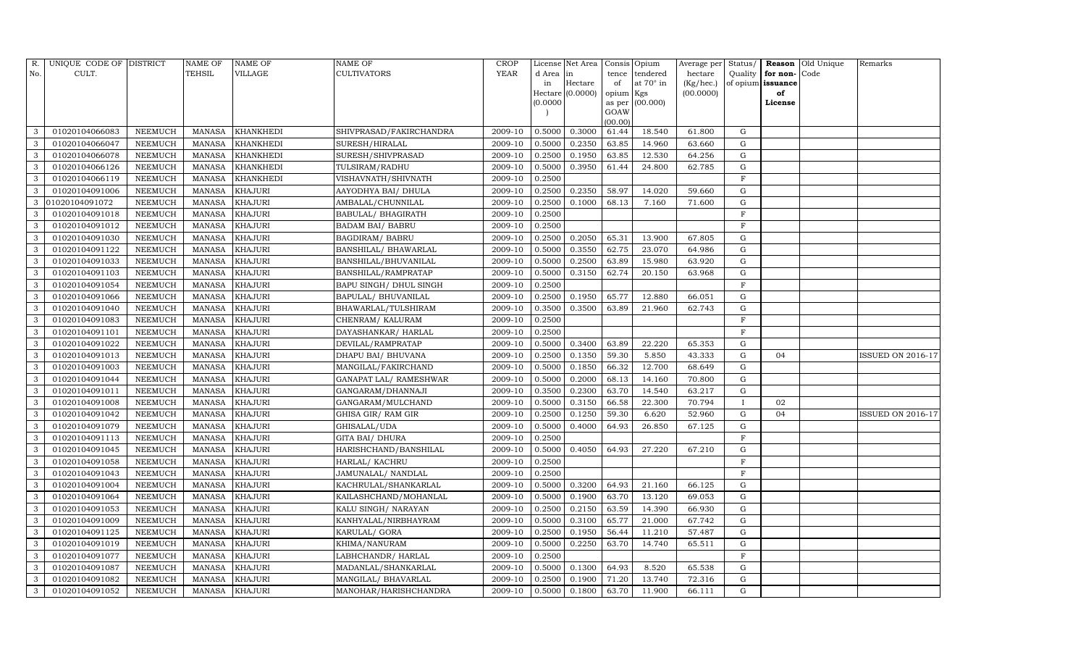| R.  | UNIQUE CODE OF DISTRICT |                | NAME OF       | NAME OF          | NAME OF                 | <b>CROP</b> |           | License Net Area |                | Consis Opium | Average per | Status/      |          | Reason Old Unique | Remarks                  |
|-----|-------------------------|----------------|---------------|------------------|-------------------------|-------------|-----------|------------------|----------------|--------------|-------------|--------------|----------|-------------------|--------------------------|
| No. | CULT.                   |                | TEHSIL        | VILLAGE          | CULTIVATORS             | <b>YEAR</b> | d Area in |                  | tence          | tendered     | hectare     | Quality      | for non- | Code              |                          |
|     |                         |                |               |                  |                         |             | in        | Hectare          | of             | at 70° in    | (Kg/hec.)   | of opium     | issuance |                   |                          |
|     |                         |                |               |                  |                         |             |           | Hectare (0.0000) | opium Kgs      |              | (00.0000)   |              | of       |                   |                          |
|     |                         |                |               |                  |                         |             | (0.0000)  |                  | as per<br>GOAW | (00.000)     |             |              | License  |                   |                          |
|     |                         |                |               |                  |                         |             |           |                  | (00.00)        |              |             |              |          |                   |                          |
| 3   | 01020104066083          | NEEMUCH        | <b>MANASA</b> | <b>KHANKHEDI</b> | SHIVPRASAD/FAKIRCHANDRA | 2009-10     | 0.5000    | 0.3000           | 61.44          | 18.540       | 61.800      | G            |          |                   |                          |
| 3   | 01020104066047          | NEEMUCH        | <b>MANASA</b> | KHANKHEDI        | SURESH/HIRALAL          | 2009-10     | 0.5000    | 0.2350           | 63.85          | 14.960       | 63.660      | G            |          |                   |                          |
| 3   | 01020104066078          | NEEMUCH        | <b>MANASA</b> | <b>KHANKHEDI</b> | SURESH/SHIVPRASAD       | 2009-10     | 0.2500    | 0.1950           | 63.85          | 12.530       | 64.256      | G            |          |                   |                          |
| 3   | 01020104066126          | NEEMUCH        | <b>MANASA</b> | KHANKHEDI        | TULSIRAM/RADHU          | 2009-10     | 0.5000    | 0.3950           | 61.44          | 24.800       | 62.785      | ${\rm G}$    |          |                   |                          |
| 3   | 01020104066119          | <b>NEEMUCH</b> | <b>MANASA</b> | KHANKHEDI        | VISHAVNATH/SHIVNATH     | 2009-10     | 0.2500    |                  |                |              |             | $\rm F$      |          |                   |                          |
| 3   | 01020104091006          | NEEMUCH        | <b>MANASA</b> | KHAJURI          | AAYODHYA BAI/ DHULA     | 2009-10     | 0.2500    | 0.2350           | 58.97          | 14.020       | 59.660      | ${\rm G}$    |          |                   |                          |
| 3   | 01020104091072          | NEEMUCH        | <b>MANASA</b> | <b>KHAJURI</b>   | AMBALAL/CHUNNILAL       | 2009-10     | 0.2500    | 0.1000           | 68.13          | 7.160        | 71.600      | G            |          |                   |                          |
| 3   | 01020104091018          | NEEMUCH        | <b>MANASA</b> | KHAJURI          | BABULAL/ BHAGIRATH      | 2009-10     | 0.2500    |                  |                |              |             | $\rm F$      |          |                   |                          |
| 3   | 01020104091012          | <b>NEEMUCH</b> | <b>MANASA</b> | KHAJURI          | <b>BADAM BAI/ BABRU</b> | 2009-10     | 0.2500    |                  |                |              |             | $\mathbf F$  |          |                   |                          |
| 3   | 01020104091030          | NEEMUCH        | <b>MANASA</b> | KHAJURI          | <b>BAGDIRAM/ BABRU</b>  | 2009-10     | 0.2500    | 0.2050           | 65.31          | 13.900       | 67.805      | ${\rm G}$    |          |                   |                          |
| 3   | 01020104091122          | NEEMUCH        | <b>MANASA</b> | <b>KHAJURI</b>   | BANSHILAL/ BHAWARLAL    | 2009-10     | 0.5000    | 0.3550           | 62.75          | 23.070       | 64.986      | ${\rm G}$    |          |                   |                          |
| 3   | 01020104091033          | NEEMUCH        | <b>MANASA</b> | KHAJURI          | BANSHILAL/BHUVANILAL    | 2009-10     | 0.5000    | 0.2500           | 63.89          | 15.980       | 63.920      | G            |          |                   |                          |
| 3   | 01020104091103          | <b>NEEMUCH</b> | <b>MANASA</b> | KHAJURI          | BANSHILAL/RAMPRATAP     | 2009-10     | 0.5000    | 0.3150           | 62.74          | 20.150       | 63.968      | ${\rm G}$    |          |                   |                          |
| 3   | 01020104091054          | NEEMUCH        | <b>MANASA</b> | <b>KHAJURI</b>   | BAPU SINGH / DHUL SINGH | 2009-10     | 0.2500    |                  |                |              |             | $\mathbf F$  |          |                   |                          |
| 3   | 01020104091066          | NEEMUCH        | <b>MANASA</b> | KHAJURI          | BAPULAL/ BHUVANILAL     | 2009-10     | 0.2500    | 0.1950           | 65.77          | 12.880       | 66.051      | G            |          |                   |                          |
| 3   | 01020104091040          | NEEMUCH        | <b>MANASA</b> | KHAJURI          | BHAWARLAL/TULSHIRAM     | 2009-10     | 0.3500    | 0.3500           | 63.89          | 21.960       | 62.743      | G            |          |                   |                          |
| 3   | 01020104091083          | <b>NEEMUCH</b> | <b>MANASA</b> | KHAJURI          | CHENRAM/KALURAM         | 2009-10     | 0.2500    |                  |                |              |             | $\mathbf{F}$ |          |                   |                          |
| 3   | 01020104091101          | NEEMUCH        | MANASA        | KHAJURI          | DAYASHANKAR/ HARLAL     | 2009-10     | 0.2500    |                  |                |              |             | $\mathbf F$  |          |                   |                          |
| 3   | 01020104091022          | NEEMUCH        | <b>MANASA</b> | KHAJURI          | DEVILAL/RAMPRATAP       | 2009-10     | 0.5000    | 0.3400           | 63.89          | 22.220       | 65.353      | ${\rm G}$    |          |                   |                          |
| 3   | 01020104091013          | NEEMUCH        | <b>MANASA</b> | KHAJURI          | DHAPU BAI/ BHUVANA      | 2009-10     | 0.2500    | 0.1350           | 59.30          | 5.850        | 43.333      | G            | 04       |                   | <b>ISSUED ON 2016-17</b> |
| 3   | 01020104091003          | NEEMUCH        | <b>MANASA</b> | KHAJURI          | MANGILAL/FAKIRCHAND     | 2009-10     | 0.5000    | 0.1850           | 66.32          | 12.700       | 68.649      | ${\rm G}$    |          |                   |                          |
| 3   | 01020104091044          | NEEMUCH        | <b>MANASA</b> | KHAJURI          | GANAPAT LAL/ RAMESHWAR  | 2009-10     | 0.5000    | 0.2000           | 68.13          | 14.160       | 70.800      | ${\rm G}$    |          |                   |                          |
| 3   | 01020104091011          | NEEMUCH        | <b>MANASA</b> | KHAJURI          | GANGARAM/DHANNAJI       | 2009-10     | 0.3500    | 0.2300           | 63.70          | 14.540       | 63.217      | G            |          |                   |                          |
| 3   | 01020104091008          | NEEMUCH        | <b>MANASA</b> | KHAJURI          | GANGARAM/MULCHAND       | 2009-10     | 0.5000    | 0.3150           | 66.58          | 22.300       | 70.794      | $\mathbf{I}$ | 02       |                   |                          |
|     | 01020104091042          | NEEMUCH        | <b>MANASA</b> | KHAJURI          | GHISA GIR/RAM GIR       | 2009-10     | 0.2500    | 0.1250           | 59.30          | 6.620        | 52.960      | ${\rm G}$    | 04       |                   | <b>ISSUED ON 2016-17</b> |
| 3   | 01020104091079          | NEEMUCH        | <b>MANASA</b> | KHAJURI          | GHISALAL/UDA            | 2009-10     | 0.5000    | 0.4000           | 64.93          | 26.850       | 67.125      | G            |          |                   |                          |
| 3   | 01020104091113          | NEEMUCH        | <b>MANASA</b> | KHAJURI          | GITA BAI/ DHURA         | 2009-10     | 0.2500    |                  |                |              |             | $\mathbf F$  |          |                   |                          |
| 3   | 01020104091045          | NEEMUCH        | <b>MANASA</b> | KHAJURI          | HARISHCHAND/BANSHILAL   | 2009-10     | 0.5000    | 0.4050           | 64.93          | 27.220       | 67.210      | $\mathbf G$  |          |                   |                          |
| 3   | 01020104091058          | NEEMUCH        | <b>MANASA</b> | KHAJURI          | HARLAL/ KACHRU          | 2009-10     | 0.2500    |                  |                |              |             | $\mathbf F$  |          |                   |                          |
| 3   | 01020104091043          | NEEMUCH        | <b>MANASA</b> | <b>KHAJURI</b>   | JAMUNALAL/ NANDLAL      | 2009-10     | 0.2500    |                  |                |              |             | $\rm F$      |          |                   |                          |
| 3   | 01020104091004          | NEEMUCH        | <b>MANASA</b> | KHAJURI          | KACHRULAL/SHANKARLAL    | 2009-10     | 0.5000    | 0.3200           | 64.93          | 21.160       | 66.125      | G            |          |                   |                          |
| 3   | 01020104091064          | <b>NEEMUCH</b> | <b>MANASA</b> | KHAJURI          | KAILASHCHAND/MOHANLAL   | 2009-10     | 0.5000    | 0.1900           | 63.70          | 13.120       | 69.053      | G            |          |                   |                          |
| 3   | 01020104091053          | NEEMUCH        | <b>MANASA</b> | KHAJURI          | KALU SINGH/NARAYAN      | 2009-10     | 0.2500    | 0.2150           | 63.59          | 14.390       | 66.930      | ${\rm G}$    |          |                   |                          |
| 3   | 01020104091009          | NEEMUCH        | <b>MANASA</b> | KHAJURI          | KANHYALAL/NIRBHAYRAM    | 2009-10     | 0.5000    | 0.3100           | 65.77          | 21.000       | 67.742      | G            |          |                   |                          |
| 3   | 01020104091125          | NEEMUCH        | <b>MANASA</b> | KHAJURI          | KARULAL/ GORA           | 2009-10     | 0.2500    | 0.1950           | 56.44          | 11.210       | 57.487      | ${\rm G}$    |          |                   |                          |
| 3   | 01020104091019          | <b>NEEMUCH</b> | <b>MANASA</b> | KHAJURI          | KHIMA/NANURAM           | 2009-10     | 0.5000    | 0.2250           | 63.70          | 14.740       | 65.511      | ${\rm G}$    |          |                   |                          |
| 3   | 01020104091077          | NEEMUCH        | <b>MANASA</b> | KHAJURI          | LABHCHANDR/HARLAL       | 2009-10     | 0.2500    |                  |                |              |             | $\mathbf F$  |          |                   |                          |
| 3   | 01020104091087          | NEEMUCH        | <b>MANASA</b> | KHAJURI          | MADANLAL/SHANKARLAL     | 2009-10     | 0.5000    | 0.1300           | 64.93          | 8.520        | 65.538      | G            |          |                   |                          |
| 3   | 01020104091082          | NEEMUCH        | <b>MANASA</b> | KHAJURI          | MANGILAL/ BHAVARLAL     | 2009-10     | 0.2500    | 0.1900           | 71.20          | 13.740       | 72.316      | G            |          |                   |                          |
| 3   | 01020104091052          | <b>NEEMUCH</b> | MANASA        | <b>KHAJURI</b>   | MANOHAR/HARISHCHANDRA   | 2009-10     | 0.5000    | 0.1800           | 63.70          | 11.900       | 66.111      | G            |          |                   |                          |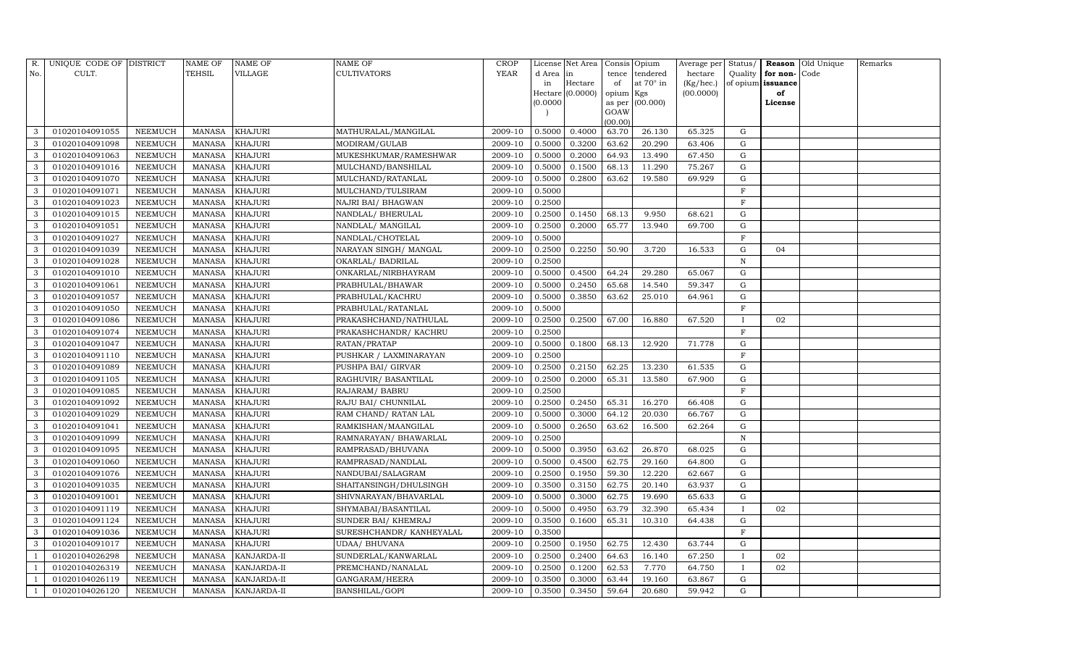| R.  | UNIQUE CODE OF DISTRICT |                | <b>NAME OF</b> | NAME OF        | NAME OF                 | <b>CROP</b> |           | License Net Area |                 | Consis Opium | Average per | Status/      |          | Reason Old Unique | Remarks |
|-----|-------------------------|----------------|----------------|----------------|-------------------------|-------------|-----------|------------------|-----------------|--------------|-------------|--------------|----------|-------------------|---------|
| No. | CULT.                   |                | TEHSIL         | VILLAGE        | CULTIVATORS             | <b>YEAR</b> | d Area in |                  | tence           | tendered     | hectare     | Quality      | for non- | Code              |         |
|     |                         |                |                |                |                         |             | in        | Hectare          | of              | at 70° in    | (Kg/hec.)   | of opium     | issuance |                   |         |
|     |                         |                |                |                |                         |             |           | Hectare (0.0000) | opium Kgs       |              | (00.0000)   |              | of       |                   |         |
|     |                         |                |                |                |                         |             | (0.0000)  |                  | as per          | (00.000)     |             |              | License  |                   |         |
|     |                         |                |                |                |                         |             |           |                  | GOAW<br>(00.00) |              |             |              |          |                   |         |
| 3   | 01020104091055          | NEEMUCH        | MANASA         | <b>KHAJURI</b> | MATHURALAL/MANGILAL     | 2009-10     | 0.5000    | 0.4000           | 63.70           | 26.130       | 65.325      | G            |          |                   |         |
| 3   | 01020104091098          | NEEMUCH        | <b>MANASA</b>  | KHAJURI        | MODIRAM/GULAB           | 2009-10     | 0.5000    | 0.3200           | 63.62           | 20.290       | 63.406      | G            |          |                   |         |
| 3   | 01020104091063          | NEEMUCH        | <b>MANASA</b>  | <b>KHAJURI</b> | MUKESHKUMAR/RAMESHWAR   | 2009-10     | 0.5000    | 0.2000           | 64.93           | 13.490       | 67.450      | G            |          |                   |         |
| 3   | 01020104091016          | NEEMUCH        | <b>MANASA</b>  | KHAJURI        | MULCHAND/BANSHILAL      | 2009-10     | 0.5000    | 0.1500           | 68.13           | 11.290       | 75.267      | G            |          |                   |         |
| 3   | 01020104091070          | NEEMUCH        | <b>MANASA</b>  | KHAJURI        | MULCHAND/RATANLAL       | 2009-10     | 0.5000    | 0.2800           | 63.62           | 19.580       | 69.929      | G            |          |                   |         |
| 3   | 01020104091071          | NEEMUCH        | <b>MANASA</b>  | <b>KHAJURI</b> | MULCHAND/TULSIRAM       | 2009-10     | 0.5000    |                  |                 |              |             | $\mathbf F$  |          |                   |         |
| 3   | 01020104091023          | NEEMUCH        | <b>MANASA</b>  | <b>KHAJURI</b> | NAJRI BAI/ BHAGWAN      | 2009-10     | 0.2500    |                  |                 |              |             | $\mathbf F$  |          |                   |         |
| 3   | 01020104091015          | NEEMUCH        | <b>MANASA</b>  | KHAJURI        | NANDLAL/BHERULAL        | 2009-10     | 0.2500    | 0.1450           | 68.13           | 9.950        | 68.621      | G            |          |                   |         |
| 3   | 01020104091051          | <b>NEEMUCH</b> | <b>MANASA</b>  | KHAJURI        | NANDLAL/MANGILAL        | 2009-10     | 0.2500    | 0.2000           | 65.77           | 13.940       | 69.700      | G            |          |                   |         |
| 3   | 01020104091027          | NEEMUCH        | <b>MANASA</b>  | <b>KHAJURI</b> | NANDLAL/CHOTELAL        | 2009-10     | 0.5000    |                  |                 |              |             | $\mathbf F$  |          |                   |         |
| 3   | 01020104091039          | NEEMUCH        | <b>MANASA</b>  | <b>KHAJURI</b> | NARAYAN SINGH/MANGAL    | 2009-10     | 0.2500    | 0.2250           | 50.90           | 3.720        | 16.533      | ${\rm G}$    | 04       |                   |         |
| 3   | 01020104091028          | NEEMUCH        | <b>MANASA</b>  | KHAJURI        | OKARLAL/BADRILAL        | 2009-10     | 0.2500    |                  |                 |              |             | $\mathbf N$  |          |                   |         |
| 3   | 01020104091010          | <b>NEEMUCH</b> | <b>MANASA</b>  | KHAJURI        | ONKARLAL/NIRBHAYRAM     | 2009-10     | 0.5000    | 0.4500           | 64.24           | 29.280       | 65.067      | ${\rm G}$    |          |                   |         |
| 3   | 01020104091061          | NEEMUCH        | <b>MANASA</b>  | <b>KHAJURI</b> | PRABHULAL/BHAWAR        | 2009-10     | 0.5000    | 0.2450           | 65.68           | 14.540       | 59.347      | G            |          |                   |         |
| 3   | 01020104091057          | NEEMUCH        | MANASA         | KHAJURI        | PRABHULAL/KACHRU        | 2009-10     | 0.5000    | 0.3850           | 63.62           | 25.010       | 64.961      | G            |          |                   |         |
| 3   | 01020104091050          | NEEMUCH        | <b>MANASA</b>  | KHAJURI        | PRABHULAL/RATANLAL      | 2009-10     | 0.5000    |                  |                 |              |             | F            |          |                   |         |
| 3   | 01020104091086          | NEEMUCH        | <b>MANASA</b>  | KHAJURI        | PRAKASHCHAND/NATHULAL   | 2009-10     | 0.2500    | 0.2500           | 67.00           | 16.880       | 67.520      |              | 02       |                   |         |
| 3   | 01020104091074          | NEEMUCH        | MANASA         | <b>KHAJURI</b> | PRAKASHCHANDR/ KACHRU   | 2009-10     | 0.2500    |                  |                 |              |             | $_{\rm F}$   |          |                   |         |
| 3   | 01020104091047          | NEEMUCH        | <b>MANASA</b>  | <b>KHAJURI</b> | RATAN/PRATAP            | 2009-10     | 0.5000    | 0.1800           | 68.13           | 12.920       | 71.778      | G            |          |                   |         |
| 3   | 01020104091110          | NEEMUCH        | <b>MANASA</b>  | KHAJURI        | PUSHKAR / LAXMINARAYAN  | 2009-10     | 0.2500    |                  |                 |              |             | F            |          |                   |         |
| 3   | 01020104091089          | NEEMUCH        | <b>MANASA</b>  | KHAJURI        | PUSHPA BAI/ GIRVAR      | 2009-10     | 0.2500    | 0.2150           | 62.25           | 13.230       | 61.535      | ${\rm G}$    |          |                   |         |
| 3   | 01020104091105          | <b>NEEMUCH</b> | <b>MANASA</b>  | <b>KHAJURI</b> | RAGHUVIR/ BASANTILAL    | 2009-10     | 0.2500    | 0.2000           | 65.31           | 13.580       | 67.900      | ${\rm G}$    |          |                   |         |
| 3   | 01020104091085          | NEEMUCH        | <b>MANASA</b>  | KHAJURI        | RAJARAM/ BABRU          | 2009-10     | 0.2500    |                  |                 |              |             | F            |          |                   |         |
| 3   | 01020104091092          | NEEMUCH        | <b>MANASA</b>  | KHAJURI        | RAJU BAI/ CHUNNILAL     | 2009-10     | 0.2500    | 0.2450           | 65.31           | 16.270       | 66.408      | G            |          |                   |         |
|     | 01020104091029          | NEEMUCH        | <b>MANASA</b>  | KHAJURI        | RAM CHAND/ RATAN LAL    | 2009-10     | 0.5000    | 0.3000           | 64.12           | 20.030       | 66.767      | ${\rm G}$    |          |                   |         |
| 3   | 01020104091041          | NEEMUCH        | <b>MANASA</b>  | KHAJURI        | RAMKISHAN/MAANGILAL     | 2009-10     | 0.5000    | 0.2650           | 63.62           | 16.500       | 62.264      | G            |          |                   |         |
| 3   | 01020104091099          | NEEMUCH        | <b>MANASA</b>  | KHAJURI        | RAMNARAYAN / BHAWARLAL  | 2009-10     | 0.2500    |                  |                 |              |             | $\, {\rm N}$ |          |                   |         |
| 3   | 01020104091095          | NEEMUCH        | <b>MANASA</b>  | KHAJURI        | RAMPRASAD/BHUVANA       | 2009-10     | 0.5000    | 0.3950           | 63.62           | 26.870       | 68.025      | G            |          |                   |         |
| 3   | 01020104091060          | NEEMUCH        | <b>MANASA</b>  | KHAJURI        | RAMPRASAD/NANDLAL       | 2009-10     | 0.5000    | 0.4500           | 62.75           | 29.160       | 64.800      | G            |          |                   |         |
| 3   | 01020104091076          | NEEMUCH        | <b>MANASA</b>  | <b>KHAJURI</b> | NANDUBAI/SALAGRAM       | 2009-10     | 0.2500    | 0.1950           | 59.30           | 12.220       | 62.667      | ${\rm G}$    |          |                   |         |
| 3   | 01020104091035          | NEEMUCH        | <b>MANASA</b>  | KHAJURI        | SHAITANSINGH/DHULSINGH  | 2009-10     | 0.3500    | 0.3150           | 62.75           | 20.140       | 63.937      | G            |          |                   |         |
| 3   | 01020104091001          | NEEMUCH        | <b>MANASA</b>  | KHAJURI        | SHIVNARAYAN/BHAVARLAL   | 2009-10     | 0.5000    | 0.3000           | 62.75           | 19.690       | 65.633      | G            |          |                   |         |
| 3   | 01020104091119          | NEEMUCH        | <b>MANASA</b>  | KHAJURI        | SHYMABAI/BASANTILAL     | 2009-10     | 0.5000    | 0.4950           | 63.79           | 32.390       | 65.434      |              | 02       |                   |         |
| 3   | 01020104091124          | NEEMUCH        | <b>MANASA</b>  | KHAJURI        | SUNDER BAI/ KHEMRAJ     | 2009-10     | 0.3500    | 0.1600           | 65.31           | 10.310       | 64.438      | G            |          |                   |         |
| 3   | 01020104091036          | NEEMUCH        | <b>MANASA</b>  | KHAJURI        | SURESHCHANDR/KANHEYALAL | 2009-10     | 0.3500    |                  |                 |              |             | $\mathbf F$  |          |                   |         |
| 3   | 01020104091017          | <b>NEEMUCH</b> | <b>MANASA</b>  | KHAJURI        | UDAA/BHUVANA            | 2009-10     | 0.2500    | 0.1950           | 62.75           | 12.430       | 63.744      | ${\rm G}$    |          |                   |         |
|     | 01020104026298          | NEEMUCH        | MANASA         | KANJARDA-II    | SUNDERLAL/KANWARLAL     | 2009-10     | 0.2500    | 0.2400           | 64.63           | 16.140       | 67.250      | $\mathbf{I}$ | 02       |                   |         |
|     | 01020104026319          | NEEMUCH        | MANASA         | KANJARDA-II    | PREMCHAND/NANALAL       | 2009-10     | 0.2500    | 0.1200           | 62.53           | 7.770        | 64.750      | $\mathbf{I}$ | 02       |                   |         |
|     | 01020104026119          | NEEMUCH        | <b>MANASA</b>  | KANJARDA-II    | GANGARAM/HEERA          | 2009-10     | 0.3500    | 0.3000           | 63.44           | 19.160       | 63.867      | G            |          |                   |         |
|     | 01020104026120          | <b>NEEMUCH</b> | MANASA         | KANJARDA-II    | BANSHILAL/GOPI          | 2009-10     | 0.3500    | 0.3450           | 59.64           | 20.680       | 59.942      | G            |          |                   |         |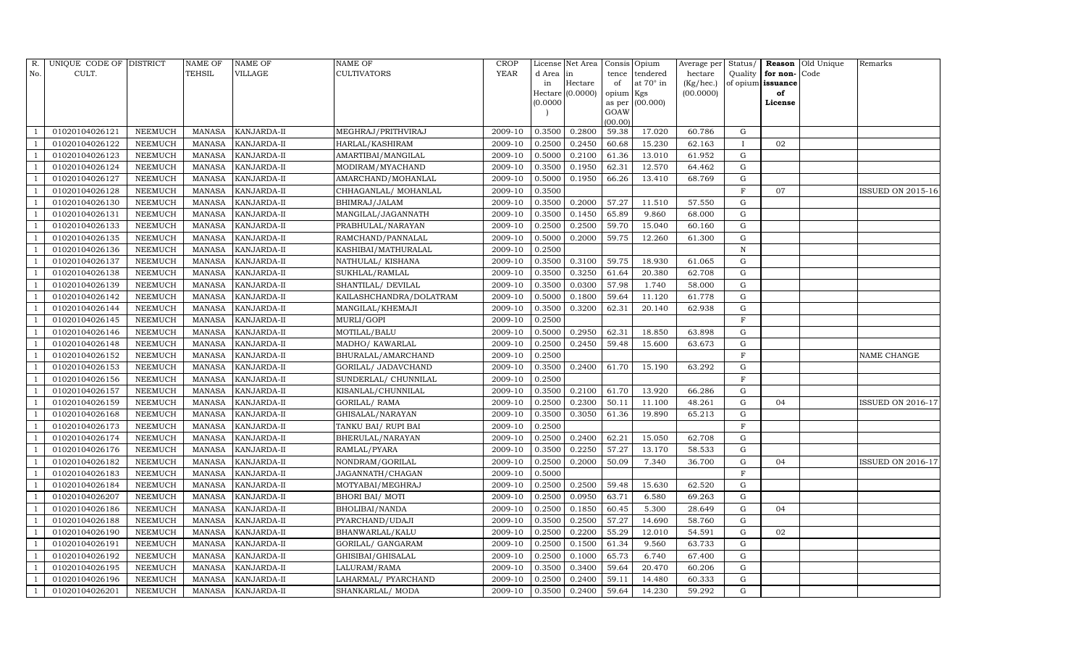| R.             | UNIQUE CODE OF DISTRICT |                | <b>NAME OF</b> | <b>NAME OF</b>     | <b>NAME OF</b>          | CROP    |           | License Net Area |                | Consis Opium     | Average per | Status/      |                   | <b>Reason</b> Old Unique | Remarks                  |
|----------------|-------------------------|----------------|----------------|--------------------|-------------------------|---------|-----------|------------------|----------------|------------------|-------------|--------------|-------------------|--------------------------|--------------------------|
| No.            | CULT.                   |                | <b>TEHSIL</b>  | VILLAGE            | <b>CULTIVATORS</b>      | YEAR    | d Area in |                  | tence          | tendered         | hectare     | Quality      | for non-          | Code                     |                          |
|                |                         |                |                |                    |                         |         | in        | Hectare          | of             | at $70^\circ$ in | (Kg/hec.)   |              | of opium issuance |                          |                          |
|                |                         |                |                |                    |                         |         |           | Hectare (0.0000) | opium Kgs      |                  | (00.0000)   |              | of                |                          |                          |
|                |                         |                |                |                    |                         |         | (0.0000)  |                  | as per<br>GOAW | (00.000)         |             |              | License           |                          |                          |
|                |                         |                |                |                    |                         |         |           |                  | (00.00)        |                  |             |              |                   |                          |                          |
|                | 01020104026121          | NEEMUCH        | MANASA         | KANJARDA-II        | MEGHRAJ/PRITHVIRAJ      | 2009-10 | 0.3500    | 0.2800           | 59.38          | 17.020           | 60.786      | G            |                   |                          |                          |
|                | 01020104026122          | NEEMUCH        | MANASA         | KANJARDA-II        | HARLAL/KASHIRAM         | 2009-10 | 0.2500    | 0.2450           | 60.68          | 15.230           | 62.163      | $\mathbf{I}$ | 02                |                          |                          |
|                | 01020104026123          | <b>NEEMUCH</b> | MANASA         | KANJARDA-II        | AMARTIBAI/MANGILAL      | 2009-10 | 0.5000    | 0.2100           | 61.36          | 13.010           | 61.952      | G            |                   |                          |                          |
|                | 01020104026124          | NEEMUCH        | MANASA         | KANJARDA-II        | MODIRAM/MYACHAND        | 2009-10 | 0.3500    | 0.1950           | 62.31          | 12.570           | 64.462      | ${\rm G}$    |                   |                          |                          |
|                | 01020104026127          | NEEMUCH        | MANASA         | KANJARDA-II        | AMARCHAND/MOHANLAL      | 2009-10 | 0.5000    | 0.1950           | 66.26          | 13.410           | 68.769      | $\mathbf G$  |                   |                          |                          |
|                | 01020104026128          | NEEMUCH        | MANASA         | KANJARDA-II        | CHHAGANLAL/ MOHANLAL    | 2009-10 | 0.3500    |                  |                |                  |             | $\mathbf F$  | 07                |                          | ISSUED ON 2015-16        |
|                | 01020104026130          | NEEMUCH        | MANASA         | KANJARDA-II        | BHIMRAJ/JALAM           | 2009-10 | 0.3500    | 0.2000           | 57.27          | 11.510           | 57.550      | G            |                   |                          |                          |
| - 1            | 01020104026131          | NEEMUCH        | MANASA         | KANJARDA-II        | MANGILAL/JAGANNATH      | 2009-10 | 0.3500    | 0.1450           | 65.89          | 9.860            | 68.000      | ${\rm G}$    |                   |                          |                          |
|                | 01020104026133          | <b>NEEMUCH</b> | MANASA         | KANJARDA-II        | PRABHULAL/NARAYAN       | 2009-10 | 0.2500    | 0.2500           | 59.70          | 15.040           | 60.160      | $\mathbf G$  |                   |                          |                          |
|                | 01020104026135          | NEEMUCH        | MANASA         | KANJARDA-II        | RAMCHAND/PANNALAL       | 2009-10 | 0.5000    | 0.2000           | 59.75          | 12.260           | 61.300      | ${\rm G}$    |                   |                          |                          |
|                | 01020104026136          | <b>NEEMUCH</b> | MANASA         | KANJARDA-II        | KASHIBAI/MATHURALAL     | 2009-10 | 0.2500    |                  |                |                  |             | $\mathbf N$  |                   |                          |                          |
|                | 01020104026137          | <b>NEEMUCH</b> | MANASA         | KANJARDA-II        | NATHULAL/KISHANA        | 2009-10 | 0.3500    | 0.3100           | 59.75          | 18.930           | 61.065      | G            |                   |                          |                          |
|                | 01020104026138          | <b>NEEMUCH</b> | <b>MANASA</b>  | KANJARDA-II        | SUKHLAL/RAMLAL          | 2009-10 | 0.3500    | 0.3250           | 61.64          | 20.380           | 62.708      | ${\rm G}$    |                   |                          |                          |
|                | 01020104026139          | <b>NEEMUCH</b> | MANASA         | KANJARDA-II        | SHANTILAL/ DEVILAL      | 2009-10 | 0.3500    | 0.0300           | 57.98          | 1.740            | 58.000      | G            |                   |                          |                          |
|                | 01020104026142          | NEEMUCH        | MANASA         | KANJARDA-II        | KAILASHCHANDRA/DOLATRAM | 2009-10 | 0.5000    | 0.1800           | 59.64          | 11.120           | 61.778      | G            |                   |                          |                          |
|                | 01020104026144          | <b>NEEMUCH</b> | MANASA         | KANJARDA-II        | MANGILAL/KHEMAJI        | 2009-10 | 0.3500    | 0.3200           | 62.31          | 20.140           | 62.938      | $\mathbf G$  |                   |                          |                          |
|                | 01020104026145          | <b>NEEMUCH</b> | <b>MANASA</b>  | KANJARDA-II        | MURLI/GOPI              | 2009-10 | 0.2500    |                  |                |                  |             | $\mathbf{F}$ |                   |                          |                          |
|                | 01020104026146          | <b>NEEMUCH</b> | MANASA         | KANJARDA-II        | MOTILAL/BALU            | 2009-10 | 0.5000    | 0.2950           | 62.31          | 18.850           | 63.898      | G            |                   |                          |                          |
|                | 01020104026148          | NEEMUCH        | MANASA         | KANJARDA-II        | MADHO/ KAWARLAL         | 2009-10 | 0.2500    | 0.2450           | 59.48          | 15.600           | 63.673      | G            |                   |                          |                          |
|                | 01020104026152          | NEEMUCH        | MANASA         | KANJARDA-II        | BHURALAL/AMARCHAND      | 2009-10 | 0.2500    |                  |                |                  |             | $\rm F$      |                   |                          | NAME CHANGE              |
|                | 01020104026153          | NEEMUCH        | MANASA         | KANJARDA-II        | GORILAL/ JADAVCHAND     | 2009-10 | 0.3500    | 0.2400           | 61.70          | 15.190           | 63.292      | G            |                   |                          |                          |
|                | 01020104026156          | <b>NEEMUCH</b> | <b>MANASA</b>  | KANJARDA-II        | SUNDERLAL/ CHUNNILAL    | 2009-10 | 0.2500    |                  |                |                  |             | $\rm F$      |                   |                          |                          |
|                | 01020104026157          | NEEMUCH        | MANASA         | KANJARDA-II        | KISANLAL/CHUNNILAL      | 2009-10 | 0.3500    | 0.2100           | 61.70          | 13.920           | 66.286      | ${\rm G}$    |                   |                          |                          |
|                | 01020104026159          | <b>NEEMUCH</b> | MANASA         | KANJARDA-II        | <b>GORILAL/ RAMA</b>    | 2009-10 | 0.2500    | 0.2300           | 50.11          | 11.100           | 48.261      | G            | 04                |                          | ISSUED ON 2016-17        |
|                | 01020104026168          | NEEMUCH        | MANASA         | KANJARDA-II        | GHISALAL/NARAYAN        | 2009-10 | 0.3500    | 0.3050           | 61.36          | 19.890           | 65.213      | ${\rm G}$    |                   |                          |                          |
|                | 01020104026173          | <b>NEEMUCH</b> | <b>MANASA</b>  | KANJARDA-II        | TANKU BAI/ RUPI BAI     | 2009-10 | 0.2500    |                  |                |                  |             | $\mathbf F$  |                   |                          |                          |
|                | 01020104026174          | <b>NEEMUCH</b> | MANASA         | KANJARDA-II        | BHERULAL/NARAYAN        | 2009-10 | 0.2500    | 0.2400           | 62.21          | 15.050           | 62.708      | G            |                   |                          |                          |
|                | 01020104026176          | <b>NEEMUCH</b> | <b>MANASA</b>  | KANJARDA-II        | RAMLAL/PYARA            | 2009-10 | 0.3500    | 0.2250           | 57.27          | 13.170           | 58.533      | $\mathbf G$  |                   |                          |                          |
|                | 01020104026182          | NEEMUCH        | MANASA         | KANJARDA-II        | NONDRAM/GORILAL         | 2009-10 | 0.2500    | 0.2000           | 50.09          | 7.340            | 36.700      | G            | 04                |                          | <b>ISSUED ON 2016-17</b> |
|                | 01020104026183          | NEEMUCH        | MANASA         | KANJARDA-II        | JAGANNATH/CHAGAN        | 2009-10 | 0.5000    |                  |                |                  |             | $\mathbf F$  |                   |                          |                          |
|                | 01020104026184          | <b>NEEMUCH</b> | MANASA         | KANJARDA-II        | MOTYABAI/MEGHRAJ        | 2009-10 | 0.2500    | 0.2500           | 59.48          | 15.630           | 62.520      | $\mathbf G$  |                   |                          |                          |
|                | 01020104026207          | NEEMUCH        | MANASA         | KANJARDA-II        | <b>BHORI BAI/ MOTI</b>  | 2009-10 | 0.2500    | 0.0950           | 63.71          | 6.580            | 69.263      | $\mathbf G$  |                   |                          |                          |
|                | 01020104026186          | <b>NEEMUCH</b> | MANASA         | KANJARDA-II        | BHOLIBAI/NANDA          | 2009-10 | 0.2500    | 0.1850           | 60.45          | 5.300            | 28.649      | G            | 04                |                          |                          |
|                | 01020104026188          | <b>NEEMUCH</b> | MANASA         | KANJARDA-II        | PYARCHAND/UDAJI         | 2009-10 | 0.3500    | 0.2500           | 57.27          | 14.690           | 58.760      | G            |                   |                          |                          |
| - 1            | 01020104026190          | <b>NEEMUCH</b> | MANASA         | KANJARDA-II        | BHANWARLAL/KALU         | 2009-10 | 0.2500    | 0.2200           | 55.29          | 12.010           | 54.591      | ${\rm G}$    | 02                |                          |                          |
|                | 01020104026191          | <b>NEEMUCH</b> | MANASA         | KANJARDA-II        | GORILAL/ GANGARAM       | 2009-10 | 0.2500    | 0.1500           | 61.34          | 9.560            | 63.733      | $\mathbf G$  |                   |                          |                          |
|                | 01020104026192          | <b>NEEMUCH</b> | MANASA         | KANJARDA-II        | GHISIBAI/GHISALAL       | 2009-10 | 0.2500    | 0.1000           | 65.73          | 6.740            | 67.400      | G            |                   |                          |                          |
|                | 01020104026195          | NEEMUCH        | MANASA         | KANJARDA-II        | LALURAM/RAMA            | 2009-10 | 0.3500    | 0.3400           | 59.64          | 20.470           | 60.206      | G            |                   |                          |                          |
| $\overline{1}$ | 01020104026196          | <b>NEEMUCH</b> | MANASA         | KANJARDA-II        | LAHARMAL/ PYARCHAND     | 2009-10 | 0.2500    | 0.2400           | 59.11          | 14.480           | 60.333      | G            |                   |                          |                          |
| $\mathbf{1}$   | 01020104026201          | <b>NEEMUCH</b> |                | MANASA KANJARDA-II | SHANKARLAL/ MODA        | 2009-10 | 0.3500    | 0.2400           | 59.64          | 14.230           | 59.292      | G            |                   |                          |                          |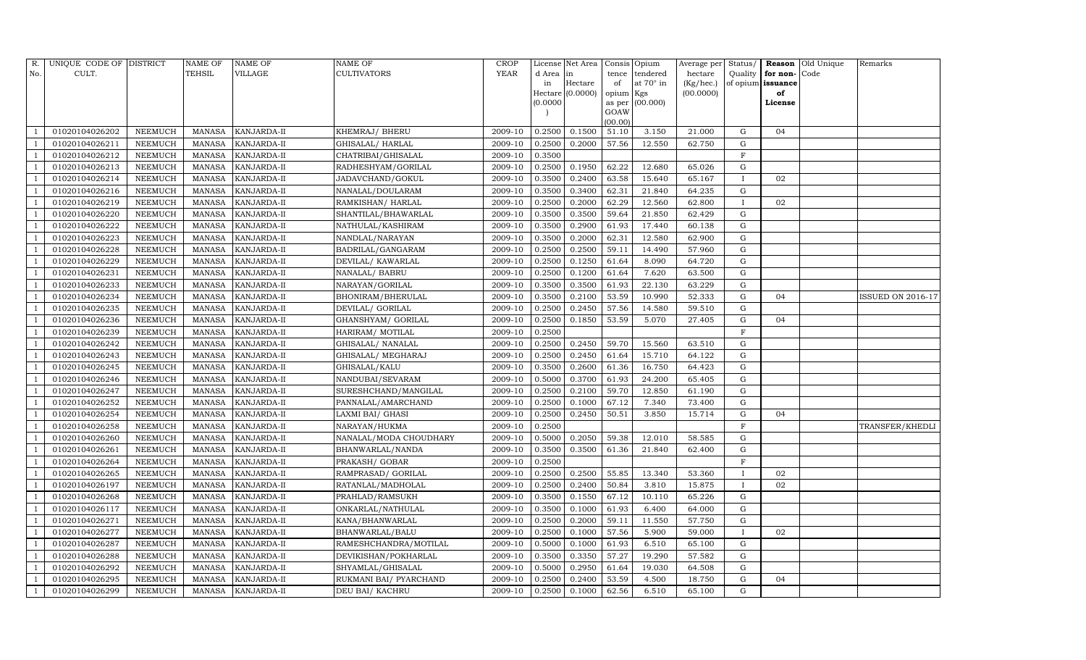| R.             | UNIQUE CODE OF DISTRICT |                | <b>NAME OF</b> | <b>NAME OF</b> | NAME OF                | CROP    |           | License Net Area |                | Consis Opium     | Average per |              |                      | Status/ <b>Reason</b> Old Unique | Remarks           |
|----------------|-------------------------|----------------|----------------|----------------|------------------------|---------|-----------|------------------|----------------|------------------|-------------|--------------|----------------------|----------------------------------|-------------------|
| No.            | CULT.                   |                | TEHSIL         | VILLAGE        | <b>CULTIVATORS</b>     | YEAR    | d Area in |                  | tence          | tendered         | hectare     |              | Quality for non-Code |                                  |                   |
|                |                         |                |                |                |                        |         | in        | Hectare          | of             | at $70^\circ$ in | (Kg/hec.)   |              | of opium issuance    |                                  |                   |
|                |                         |                |                |                |                        |         |           | Hectare (0.0000) | opium Kgs      |                  | (00.0000)   |              | of                   |                                  |                   |
|                |                         |                |                |                |                        |         | (0.0000)  |                  | as per<br>GOAW | (00.000)         |             |              | License              |                                  |                   |
|                |                         |                |                |                |                        |         |           |                  | (00.00)        |                  |             |              |                      |                                  |                   |
|                | 01020104026202          | NEEMUCH        | MANASA         | KANJARDA-II    | KHEMRAJ/ BHERU         | 2009-10 | 0.2500    | 0.1500           | 51.10          | 3.150            | 21.000      | G            | 04                   |                                  |                   |
|                | 01020104026211          | NEEMUCH        | <b>MANASA</b>  | KANJARDA-II    | GHISALAL/HARLAL        | 2009-10 | 0.2500    | 0.2000           | 57.56          | 12.550           | 62.750      | G            |                      |                                  |                   |
|                | 01020104026212          | NEEMUCH        | <b>MANASA</b>  | KANJARDA-II    | CHATRIBAI/GHISALAL     | 2009-10 | 0.3500    |                  |                |                  |             | $\mathbf F$  |                      |                                  |                   |
|                | 01020104026213          | <b>NEEMUCH</b> | <b>MANASA</b>  | KANJARDA-II    | RADHESHYAM/GORILAL     | 2009-10 | 0.2500    | 0.1950           | 62.22          | 12.680           | 65.026      | G            |                      |                                  |                   |
|                | 01020104026214          | NEEMUCH        | <b>MANASA</b>  | KANJARDA-II    | JADAVCHAND/GOKUL       | 2009-10 | 0.3500    | 0.2400           | 63.58          | 15.640           | 65.167      | $\mathbf{I}$ | 02                   |                                  |                   |
|                | 01020104026216          | <b>NEEMUCH</b> | <b>MANASA</b>  | KANJARDA-II    | NANALAL/DOULARAM       | 2009-10 | 0.3500    | 0.3400           | 62.31          | 21.840           | 64.235      | ${\rm G}$    |                      |                                  |                   |
|                | 01020104026219          | NEEMUCH        | <b>MANASA</b>  | KANJARDA-II    | RAMKISHAN/HARLAL       | 2009-10 | 0.2500    | 0.2000           | 62.29          | 12.560           | 62.800      | $\mathbf{I}$ | 02                   |                                  |                   |
|                | 01020104026220          | <b>NEEMUCH</b> | <b>MANASA</b>  | KANJARDA-II    | SHANTILAL/BHAWARLAL    | 2009-10 | 0.3500    | 0.3500           | 59.64          | 21.850           | 62.429      | G            |                      |                                  |                   |
|                | 01020104026222          | <b>NEEMUCH</b> | <b>MANASA</b>  | KANJARDA-II    | NATHULAL/KASHIRAM      | 2009-10 | 0.3500    | 0.2900           | 61.93          | 17.440           | 60.138      | G            |                      |                                  |                   |
|                | 01020104026223          | <b>NEEMUCH</b> | <b>MANASA</b>  | KANJARDA-II    | NANDLAL/NARAYAN        | 2009-10 | 0.3500    | 0.2000           | 62.31          | 12.580           | 62.900      | G            |                      |                                  |                   |
|                | 01020104026228          | <b>NEEMUCH</b> | <b>MANASA</b>  | KANJARDA-II    | BADRILAL/GANGARAM      | 2009-10 | 0.2500    | 0.2500           | 59.11          | 14.490           | 57.960      | G            |                      |                                  |                   |
|                | 01020104026229          | <b>NEEMUCH</b> | <b>MANASA</b>  | KANJARDA-II    | DEVILAL/KAWARLAL       | 2009-10 | 0.2500    | 0.1250           | 61.64          | 8.090            | 64.720      | $\mathbf G$  |                      |                                  |                   |
|                | 01020104026231          | <b>NEEMUCH</b> | <b>MANASA</b>  | KANJARDA-II    | NANALAL/ BABRU         | 2009-10 | 0.2500    | 0.1200           | 61.64          | 7.620            | 63.500      | G            |                      |                                  |                   |
|                | 01020104026233          | <b>NEEMUCH</b> | <b>MANASA</b>  | KANJARDA-II    | NARAYAN/GORILAL        | 2009-10 | 0.3500    | 0.3500           | 61.93          | 22.130           | 63.229      | G            |                      |                                  |                   |
|                | 01020104026234          | <b>NEEMUCH</b> | <b>MANASA</b>  | KANJARDA-II    | BHONIRAM/BHERULAL      | 2009-10 | 0.3500    | 0.2100           | 53.59          | 10.990           | 52.333      | G            | 04                   |                                  | ISSUED ON 2016-17 |
|                | 01020104026235          | NEEMUCH        | <b>MANASA</b>  | KANJARDA-II    | DEVILAL/ GORILAL       | 2009-10 | 0.2500    | 0.2450           | 57.56          | 14.580           | 59.510      | G            |                      |                                  |                   |
|                | 01020104026236          | <b>NEEMUCH</b> | <b>MANASA</b>  | KANJARDA-II    | GHANSHYAM/ GORILAL     | 2009-10 | 0.2500    | 0.1850           | 53.59          | 5.070            | 27.405      | $\mathbf G$  | 04                   |                                  |                   |
|                | 01020104026239          | NEEMUCH        | <b>MANASA</b>  | KANJARDA-II    | HARIRAM/ MOTILAL       | 2009-10 | 0.2500    |                  |                |                  |             | $\mathbf F$  |                      |                                  |                   |
|                | 01020104026242          | NEEMUCH        | <b>MANASA</b>  | KANJARDA-II    | GHISALAL/ NANALAL      | 2009-10 | 0.2500    | 0.2450           | 59.70          | 15.560           | 63.510      | G            |                      |                                  |                   |
|                | 01020104026243          | <b>NEEMUCH</b> | <b>MANASA</b>  | KANJARDA-II    | GHISALAL/ MEGHARAJ     | 2009-10 | 0.2500    | 0.2450           | 61.64          | 15.710           | 64.122      | G            |                      |                                  |                   |
|                | 01020104026245          | NEEMUCH        | <b>MANASA</b>  | KANJARDA-II    | GHISALAL/KALU          | 2009-10 | 0.3500    | 0.2600           | 61.36          | 16.750           | 64.423      | G            |                      |                                  |                   |
|                | 01020104026246          | <b>NEEMUCH</b> | <b>MANASA</b>  | KANJARDA-II    | NANDUBAI/SEVARAM       | 2009-10 | 0.5000    | 0.3700           | 61.93          | 24.200           | 65.405      | G            |                      |                                  |                   |
|                | 01020104026247          | <b>NEEMUCH</b> | <b>MANASA</b>  | KANJARDA-II    | SURESHCHAND/MANGILAL   | 2009-10 | 0.2500    | 0.2100           | 59.70          | 12.850           | 61.190      | G            |                      |                                  |                   |
|                | 01020104026252          | NEEMUCH        | <b>MANASA</b>  | KANJARDA-II    | PANNALAL/AMARCHAND     | 2009-10 | 0.2500    | 0.1000           | 67.12          | 7.340            | 73.400      | G            |                      |                                  |                   |
|                | 01020104026254          | <b>NEEMUCH</b> | <b>MANASA</b>  | KANJARDA-II    | LAXMI BAI/ GHASI       | 2009-10 | 0.2500    | 0.2450           | 50.51          | 3.850            | 15.714      | ${\rm G}$    | 04                   |                                  |                   |
|                | 01020104026258          | <b>NEEMUCH</b> | <b>MANASA</b>  | KANJARDA-II    | NARAYAN/HUKMA          | 2009-10 | 0.2500    |                  |                |                  |             | $\mathbf F$  |                      |                                  | TRANSFER/KHEDLI   |
|                | 01020104026260          | NEEMUCH        | <b>MANASA</b>  | KANJARDA-II    | NANALAL/MODA CHOUDHARY | 2009-10 | 0.5000    | 0.2050           | 59.38          | 12.010           | 58.585      | G            |                      |                                  |                   |
|                | 01020104026261          | <b>NEEMUCH</b> | <b>MANASA</b>  | KANJARDA-II    | BHANWARLAL/NANDA       | 2009-10 | 0.3500    | 0.3500           | 61.36          | 21.840           | 62.400      | $\mathbf G$  |                      |                                  |                   |
|                | 01020104026264          | NEEMUCH        | <b>MANASA</b>  | KANJARDA-II    | PRAKASH/ GOBAR         | 2009-10 | 0.2500    |                  |                |                  |             | $\mathbf F$  |                      |                                  |                   |
|                | 01020104026265          | NEEMUCH        | <b>MANASA</b>  | KANJARDA-II    | RAMPRASAD/ GORILAL     | 2009-10 | 0.2500    | 0.2500           | 55.85          | 13.340           | 53.360      | $\mathbf{I}$ | 02                   |                                  |                   |
|                | 01020104026197          | <b>NEEMUCH</b> | <b>MANASA</b>  | KANJARDA-II    | RATANLAL/MADHOLAL      | 2009-10 | 0.2500    | 0.2400           | 50.84          | 3.810            | 15.875      | $\mathbf{I}$ | 02                   |                                  |                   |
|                | 01020104026268          | NEEMUCH        | <b>MANASA</b>  | KANJARDA-II    | PRAHLAD/RAMSUKH        | 2009-10 | 0.3500    | 0.1550           | 67.12          | 10.110           | 65.226      | G            |                      |                                  |                   |
|                | 01020104026117          | <b>NEEMUCH</b> | <b>MANASA</b>  | KANJARDA-II    | ONKARLAL/NATHULAL      | 2009-10 | 0.3500    | 0.1000           | 61.93          | 6.400            | 64.000      | G            |                      |                                  |                   |
|                | 01020104026271          | <b>NEEMUCH</b> | <b>MANASA</b>  | KANJARDA-II    | KANA/BHANWARLAL        | 2009-10 | 0.2500    | 0.2000           | 59.11          | 11.550           | 57.750      | G            |                      |                                  |                   |
|                | 01020104026277          | NEEMUCH        | <b>MANASA</b>  | KANJARDA-II    | BHANWARLAL/BALU        | 2009-10 | 0.2500    | 0.1000           | 57.56          | 5.900            | 59.000      | $\mathbf{I}$ | 02                   |                                  |                   |
|                | 01020104026287          | NEEMUCH        | <b>MANASA</b>  | KANJARDA-II    | RAMESHCHANDRA/MOTILAL  | 2009-10 | 0.5000    | 0.1000           | 61.93          | 6.510            | 65.100      | $\mathbf G$  |                      |                                  |                   |
|                | 01020104026288          | NEEMUCH        | <b>MANASA</b>  | KANJARDA-II    | DEVIKISHAN/POKHARLAL   | 2009-10 | 0.3500    | 0.3350           | 57.27          | 19.290           | 57.582      | G            |                      |                                  |                   |
|                | 01020104026292          | <b>NEEMUCH</b> | <b>MANASA</b>  | KANJARDA-II    | SHYAMLAL/GHISALAL      | 2009-10 | 0.5000    | 0.2950           | 61.64          | 19.030           | 64.508      | $\mathbf G$  |                      |                                  |                   |
|                | 01020104026295          | <b>NEEMUCH</b> | <b>MANASA</b>  | KANJARDA-II    | RUKMANI BAI/ PYARCHAND | 2009-10 | 0.2500    | 0.2400           | 53.59          | 4.500            | 18.750      | G            | 04                   |                                  |                   |
| $\overline{1}$ | 01020104026299          | <b>NEEMUCH</b> | MANASA         | KANJARDA-II    | DEU BAI/ KACHRU        | 2009-10 | 0.2500    | 0.1000           | 62.56          | 6.510            | 65.100      | G            |                      |                                  |                   |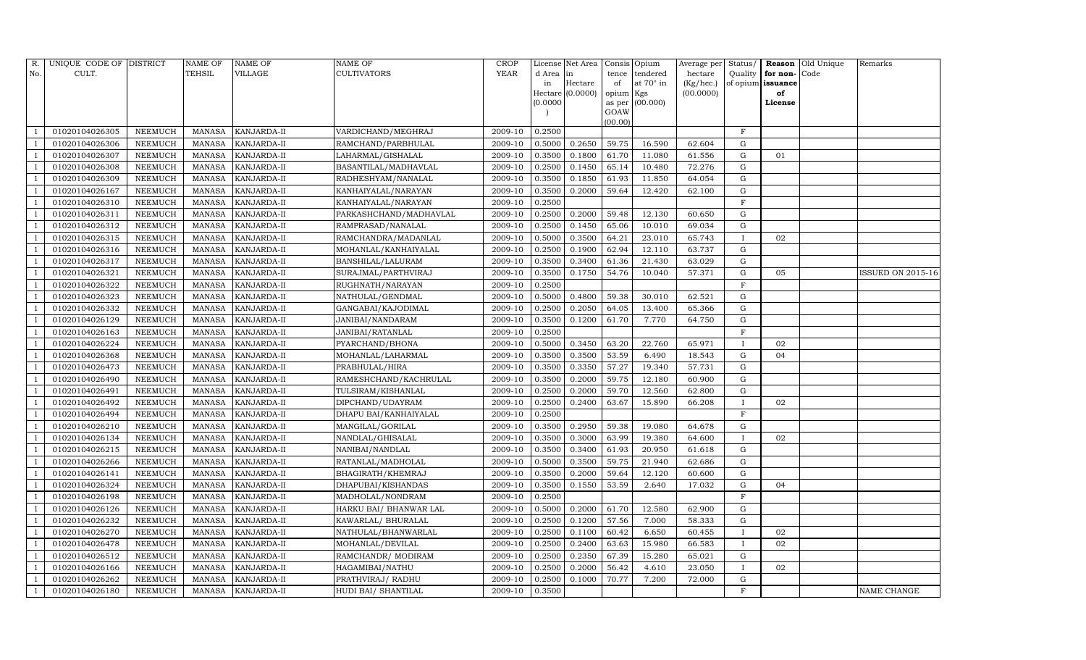| R.                       | UNIQUE CODE OF DISTRICT |                | <b>NAME OF</b> | <b>NAME OF</b>     | <b>NAME OF</b>         | <b>CROP</b> |          | License Net Area   Consis   Opium |           |                 | Average per Status/ |              |                   | <b>Reason</b> Old Unique | Remarks                  |
|--------------------------|-------------------------|----------------|----------------|--------------------|------------------------|-------------|----------|-----------------------------------|-----------|-----------------|---------------------|--------------|-------------------|--------------------------|--------------------------|
| No.                      | CULT.                   |                | <b>TEHSIL</b>  | VILLAGE            | CULTIVATORS            | <b>YEAR</b> | d Area   | in                                | tence     | tendered        | hectare             | Quality      | for non-Code      |                          |                          |
|                          |                         |                |                |                    |                        |             | in       | Hectare                           | of        | at 70° in       | (Kg/hec.)           |              | of opium issuance |                          |                          |
|                          |                         |                |                |                    |                        |             |          | Hectare $(0.0000)$                | opium Kgs |                 | (00.0000)           |              | of                |                          |                          |
|                          |                         |                |                |                    |                        |             | (0.0000) |                                   | GOAW      | as per (00.000) |                     |              | License           |                          |                          |
|                          |                         |                |                |                    |                        |             |          |                                   | (00.00)   |                 |                     |              |                   |                          |                          |
|                          | 01020104026305          | <b>NEEMUCH</b> | <b>MANASA</b>  | KANJARDA-II        | VARDICHAND/MEGHRAJ     | 2009-10     | 0.2500   |                                   |           |                 |                     | $\mathbf F$  |                   |                          |                          |
|                          | 01020104026306          | NEEMUCH        | <b>MANASA</b>  | KANJARDA-II        | RAMCHAND/PARBHULAL     | 2009-10     | 0.5000   | 0.2650                            | 59.75     | 16.590          | 62.604              | ${\rm G}$    |                   |                          |                          |
|                          | 01020104026307          | <b>NEEMUCH</b> | <b>MANASA</b>  | KANJARDA-II        | LAHARMAL/GISHALAL      | 2009-10     | 0.3500   | 0.1800                            | 61.70     | 11.080          | 61.556              | ${\rm G}$    | 01                |                          |                          |
|                          | 01020104026308          | <b>NEEMUCH</b> | <b>MANASA</b>  | KANJARDA-II        | BASANTILAL/MADHAVLAL   | 2009-10     | 0.2500   | 0.1450                            | 65.14     | 10.480          | 72.276              | $\mathbf G$  |                   |                          |                          |
|                          | 01020104026309          | <b>NEEMUCH</b> | <b>MANASA</b>  | KANJARDA-II        | RADHESHYAM/NANALAL     | 2009-10     | 0.3500   | 0.1850                            | 61.93     | 11.850          | 64.054              | $\mathbf G$  |                   |                          |                          |
|                          | 01020104026167          | <b>NEEMUCH</b> | <b>MANASA</b>  | KANJARDA-II        | KANHAIYALAL/NARAYAN    | 2009-10     | 0.3500   | 0.2000                            | 59.64     | 12.420          | 62.100              | ${\rm G}$    |                   |                          |                          |
|                          | 01020104026310          | <b>NEEMUCH</b> | <b>MANASA</b>  | KANJARDA-II        | KANHAIYALAL/NARAYAN    | 2009-10     | 0.2500   |                                   |           |                 |                     | $\mathbf F$  |                   |                          |                          |
|                          | 01020104026311          | NEEMUCH        | <b>MANASA</b>  | KANJARDA-II        | PARKASHCHAND/MADHAVLAL | 2009-10     | 0.2500   | 0.2000                            | 59.48     | 12.130          | 60.650              | $\mathbf G$  |                   |                          |                          |
|                          | 01020104026312          | <b>NEEMUCH</b> | <b>MANASA</b>  | KANJARDA-II        | RAMPRASAD/NANALAL      | 2009-10     | 0.2500   | 0.1450                            | 65.06     | 10.010          | 69.034              | G            |                   |                          |                          |
|                          | 01020104026315          | <b>NEEMUCH</b> | <b>MANASA</b>  | KANJARDA-II        | RAMCHANDRA/MADANLAL    | 2009-10     | 0.5000   | 0.3500                            | 64.21     | 23.010          | 65.743              | $\mathbf I$  | 02                |                          |                          |
|                          | 01020104026316          | NEEMUCH        | <b>MANASA</b>  | KANJARDA-II        | MOHANLAL/KANHAIYALAL   | 2009-10     | 0.2500   | 0.1900                            | 62.94     | 12.110          | 63.737              | G            |                   |                          |                          |
|                          | 01020104026317          | <b>NEEMUCH</b> | <b>MANASA</b>  | KANJARDA-II        | BANSHILAL/LALURAM      | 2009-10     | 0.3500   | 0.3400                            | 61.36     | 21.430          | 63.029              | $\mathbf G$  |                   |                          |                          |
|                          | 01020104026321          | <b>NEEMUCH</b> | <b>MANASA</b>  | KANJARDA-II        | SURAJMAL/PARTHVIRAJ    | 2009-10     | 0.3500   | 0.1750                            | 54.76     | 10.040          | 57.371              | $\mathbf G$  | 05                |                          | <b>ISSUED ON 2015-16</b> |
|                          | 01020104026322          | <b>NEEMUCH</b> | <b>MANASA</b>  | KANJARDA-II        | RUGHNATH/NARAYAN       | 2009-10     | 0.2500   |                                   |           |                 |                     | $\mathbf F$  |                   |                          |                          |
|                          | 01020104026323          | NEEMUCH        | <b>MANASA</b>  | KANJARDA-II        | NATHULAL/GENDMAL       | 2009-10     | 0.5000   | 0.4800                            | 59.38     | 30.010          | 62.521              | ${\rm G}$    |                   |                          |                          |
|                          | 01020104026332          | NEEMUCH        | <b>MANASA</b>  | KANJARDA-II        | GANGABAI/KAJODIMAL     | 2009-10     | 0.2500   | 0.2050                            | 64.05     | 13.400          | 65.366              | $\mathbf G$  |                   |                          |                          |
|                          | 01020104026129          | <b>NEEMUCH</b> | <b>MANASA</b>  | KANJARDA-II        | JANIBAI/NANDARAM       | 2009-10     | 0.3500   | 0.1200                            | 61.70     | 7.770           | 64.750              | $\mathbf G$  |                   |                          |                          |
|                          | 01020104026163          | <b>NEEMUCH</b> | <b>MANASA</b>  | KANJARDA-II        | JANIBAI/RATANLAL       | 2009-10     | 0.2500   |                                   |           |                 |                     | $\mathbf F$  |                   |                          |                          |
|                          | 01020104026224          | NEEMUCH        | <b>MANASA</b>  | KANJARDA-II        | PYARCHAND/BHONA        | 2009-10     | 0.5000   | 0.3450                            | 63.20     | 22.760          | 65.971              | $\mathbf{I}$ | 02                |                          |                          |
|                          | 01020104026368          | <b>NEEMUCH</b> | <b>MANASA</b>  | KANJARDA-II        | MOHANLAL/LAHARMAL      | 2009-10     | 0.3500   | 0.3500                            | 53.59     | 6.490           | 18.543              | $\mathbf G$  | 04                |                          |                          |
|                          | 01020104026473          | <b>NEEMUCH</b> | <b>MANASA</b>  | KANJARDA-II        | PRABHULAL/HIRA         | 2009-10     | 0.3500   | 0.3350                            | 57.27     | 19.340          | 57.731              | $\mathbf G$  |                   |                          |                          |
|                          | 01020104026490          | <b>NEEMUCH</b> | <b>MANASA</b>  | KANJARDA-II        | RAMESHCHAND/KACHRULAL  | 2009-10     | 0.3500   | 0.2000                            | 59.75     | 12.180          | 60.900              | G            |                   |                          |                          |
|                          | 01020104026491          | <b>NEEMUCH</b> | <b>MANASA</b>  | KANJARDA-II        | TULSIRAM/KISHANLAL     | 2009-10     | 0.2500   | 0.2000                            | 59.70     | 12.560          | 62.800              | ${\rm G}$    |                   |                          |                          |
|                          | 01020104026492          | NEEMUCH        | <b>MANASA</b>  | KANJARDA-II        | DIPCHAND/UDAYRAM       | 2009-10     | 0.2500   | 0.2400                            | 63.67     | 15.890          | 66.208              | $\mathbf{I}$ | 02                |                          |                          |
|                          | 01020104026494          | <b>NEEMUCH</b> | <b>MANASA</b>  | KANJARDA-II        | DHAPU BAI/KANHAIYALAL  | 2009-10     | 0.2500   |                                   |           |                 |                     | $\mathbf F$  |                   |                          |                          |
|                          | 01020104026210          | <b>NEEMUCH</b> | <b>MANASA</b>  | KANJARDA-II        | MANGILAL/GORILAL       | 2009-10     | 0.3500   | 0.2950                            | 59.38     | 19.080          | 64.678              | G            |                   |                          |                          |
|                          | 01020104026134          | NEEMUCH        | <b>MANASA</b>  | KANJARDA-II        | NANDLAL/GHISALAL       | 2009-10     | 0.3500   | 0.3000                            | 63.99     | 19.380          | 64.600              |              | 02                |                          |                          |
|                          | 01020104026215          | NEEMUCH        | <b>MANASA</b>  | KANJARDA-II        | NANIBAI/NANDLAL        | 2009-10     | 0.3500   | 0.3400                            | 61.93     | 20.950          | 61.618              | G            |                   |                          |                          |
|                          | 01020104026266          | <b>NEEMUCH</b> | <b>MANASA</b>  | KANJARDA-II        | RATANLAL/MADHOLAL      | 2009-10     | 0.5000   | 0.3500                            | 59.75     | 21.940          | 62.686              | ${\rm G}$    |                   |                          |                          |
|                          | 01020104026141          | <b>NEEMUCH</b> | <b>MANASA</b>  | KANJARDA-II        | BHAGIRATH/KHEMRAJ      | 2009-10     | 0.3500   | 0.2000                            | 59.64     | 12.120          | 60.600              | ${\rm G}$    |                   |                          |                          |
|                          | 01020104026324          | <b>NEEMUCH</b> | <b>MANASA</b>  | KANJARDA-II        | DHAPUBAI/KISHANDAS     | 2009-10     | 0.3500   | 0.1550                            | 53.59     | 2.640           | 17.032              | $\mathbf G$  | 04                |                          |                          |
|                          | 01020104026198          | <b>NEEMUCH</b> | <b>MANASA</b>  | KANJARDA-II        | MADHOLAL/NONDRAM       | 2009-10     | 0.2500   |                                   |           |                 |                     | $\mathbf F$  |                   |                          |                          |
|                          | 01020104026126          | <b>NEEMUCH</b> | <b>MANASA</b>  | KANJARDA-II        | HARKU BAI/ BHANWAR LAL | 2009-10     | 0.5000   | 0.2000                            | 61.70     | 12.580          | 62.900              | $\mathbf G$  |                   |                          |                          |
|                          | 01020104026232          | NEEMUCH        | <b>MANASA</b>  | KANJARDA-II        | KAWARLAL/ BHURALAL     | 2009-10     | 0.2500   | 0.1200                            | 57.56     | 7.000           | 58.333              | G            |                   |                          |                          |
|                          | 01020104026270          | <b>NEEMUCH</b> | <b>MANASA</b>  | KANJARDA-II        | NATHULAL/BHANWARLAL    | 2009-10     | 0.2500   | 0.1100                            | 60.42     | 6.650           | 60.455              |              | 02                |                          |                          |
|                          | 01020104026478          | <b>NEEMUCH</b> | <b>MANASA</b>  | KANJARDA-II        | MOHANLAL/DEVILAL       | 2009-10     | 0.2500   | 0.2400                            | 63.63     | 15.980          | 66.583              | $\mathbf{I}$ | 02                |                          |                          |
|                          | 01020104026512          | NEEMUCH        | <b>MANASA</b>  | KANJARDA-II        | RAMCHANDR/ MODIRAM     | 2009-10     | 0.2500   | 0.2350                            | 67.39     | 15.280          | 65.021              | ${\bf G}$    |                   |                          |                          |
|                          | 01020104026166          | <b>NEEMUCH</b> | <b>MANASA</b>  | KANJARDA-II        | HAGAMIBAI/NATHU        | 2009-10     | 0.2500   | 0.2000                            | 56.42     | 4.610           | 23.050              | $\mathbf{I}$ | 02                |                          |                          |
| $\overline{\phantom{0}}$ | 01020104026262          | <b>NEEMUCH</b> | <b>MANASA</b>  | KANJARDA-II        | PRATHVIRAJ / RADHU     | 2009-10     | 0.2500   | 0.1000                            | 70.77     | 7.200           | 72.000              | $\mathbf G$  |                   |                          |                          |
|                          | 01020104026180          | <b>NEEMUCH</b> | MANASA         | <b>KANJARDA-II</b> | HUDI BAI/ SHANTILAL    | 2009-10     | 0.3500   |                                   |           |                 |                     | $\mathbf F$  |                   |                          | <b>NAME CHANGE</b>       |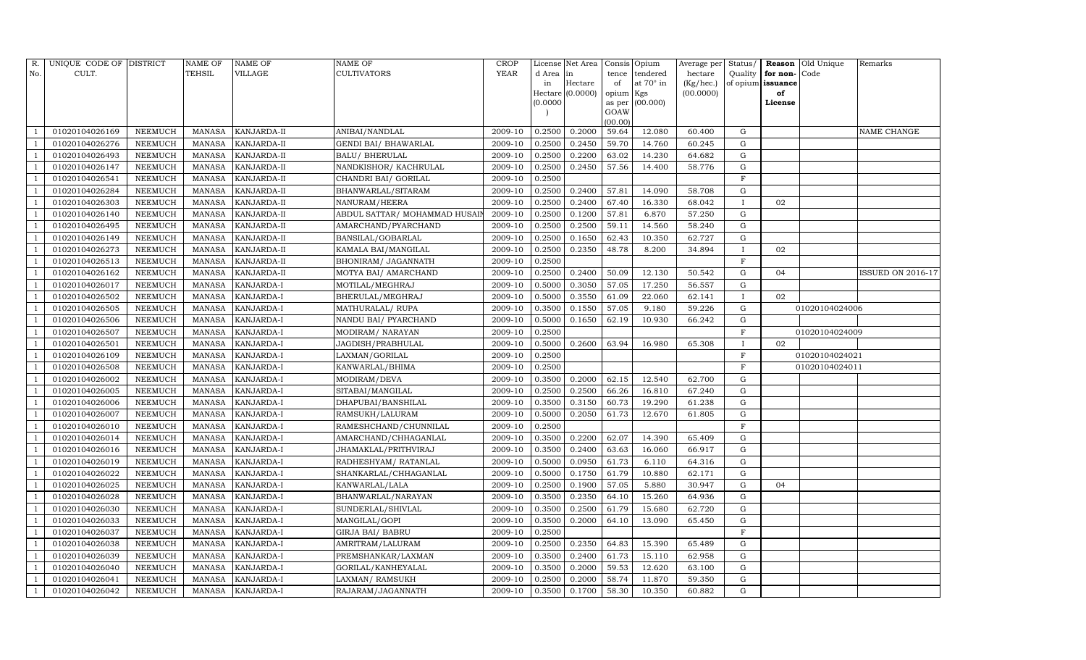| R.             | UNIQUE CODE OF DISTRICT |                | <b>NAME OF</b> | <b>NAME OF</b>     | <b>NAME OF</b>                | CROP    |           | License Net Area   | Consis Opium   |                  | Average per |              |                      | Status/ <b>Reason</b> Old Unique | Remarks           |
|----------------|-------------------------|----------------|----------------|--------------------|-------------------------------|---------|-----------|--------------------|----------------|------------------|-------------|--------------|----------------------|----------------------------------|-------------------|
| No.            | CULT.                   |                | TEHSIL         | <b>VILLAGE</b>     | <b>CULTIVATORS</b>            | YEAR    | d Area in |                    | tence          | tendered         | hectare     |              | Quality $ $ for non- | Code                             |                   |
|                |                         |                |                |                    |                               |         | in        | Hectare            | of             | at $70^\circ$ in | (Kg/hec.)   |              | of opium issuance    |                                  |                   |
|                |                         |                |                |                    |                               |         |           | Hectare $(0.0000)$ | opium Kgs      |                  | (00.0000)   |              | of                   |                                  |                   |
|                |                         |                |                |                    |                               |         | (0.0000)  |                    | as per<br>GOAW | (00.000)         |             |              | License              |                                  |                   |
|                |                         |                |                |                    |                               |         |           |                    | (00.00)        |                  |             |              |                      |                                  |                   |
|                | 01020104026169          | <b>NEEMUCH</b> | <b>MANASA</b>  | KANJARDA-II        | ANIBAI/NANDLAL                | 2009-10 | 0.2500    | 0.2000             | 59.64          | 12.080           | 60.400      | G            |                      |                                  | NAME CHANGE       |
|                | 01020104026276          | NEEMUCH        | <b>MANASA</b>  | KANJARDA-II        | GENDI BAI/ BHAWARLAL          | 2009-10 | 0.2500    | 0.2450             | 59.70          | 14.760           | 60.245      | G            |                      |                                  |                   |
|                | 01020104026493          | <b>NEEMUCH</b> | <b>MANASA</b>  | KANJARDA-II        | <b>BALU/ BHERULAL</b>         | 2009-10 | 0.2500    | 0.2200             | 63.02          | 14.230           | 64.682      | G            |                      |                                  |                   |
|                | 01020104026147          | <b>NEEMUCH</b> | <b>MANASA</b>  | KANJARDA-II        | NANDKISHOR/KACHRULAL          | 2009-10 | 0.2500    | 0.2450             | 57.56          | 14.400           | 58.776      | ${\rm G}$    |                      |                                  |                   |
|                | 01020104026541          | <b>NEEMUCH</b> | <b>MANASA</b>  | KANJARDA-II        | CHANDRI BAI/ GORILAL          | 2009-10 | 0.2500    |                    |                |                  |             | $\mathbf F$  |                      |                                  |                   |
|                | 01020104026284          | <b>NEEMUCH</b> | <b>MANASA</b>  | KANJARDA-II        | BHANWARLAL/SITARAM            | 2009-10 | 0.2500    | 0.2400             | 57.81          | 14.090           | 58.708      | ${\rm G}$    |                      |                                  |                   |
|                | 01020104026303          | <b>NEEMUCH</b> | <b>MANASA</b>  | KANJARDA-II        | NANURAM/HEERA                 | 2009-10 | 0.2500    | 0.2400             | 67.40          | 16.330           | 68.042      | $\mathbf{I}$ | 02                   |                                  |                   |
|                | 01020104026140          | NEEMUCH        | <b>MANASA</b>  | KANJARDA-II        | ABDUL SATTAR/ MOHAMMAD HUSAIN | 2009-10 | 0.2500    | 0.1200             | 57.81          | 6.870            | 57.250      | ${\rm G}$    |                      |                                  |                   |
|                | 01020104026495          | <b>NEEMUCH</b> | <b>MANASA</b>  | KANJARDA-II        | AMARCHAND/PYARCHAND           | 2009-10 | 0.2500    | 0.2500             | 59.11          | 14.560           | 58.240      | $\mathbf G$  |                      |                                  |                   |
|                | 01020104026149          | NEEMUCH        | <b>MANASA</b>  | KANJARDA-II        | BANSILAL/GOBARLAL             | 2009-10 | 0.2500    | 0.1650             | 62.43          | 10.350           | 62.727      | ${\rm G}$    |                      |                                  |                   |
|                | 01020104026273          | <b>NEEMUCH</b> | <b>MANASA</b>  | KANJARDA-II        | KAMALA BAI/MANGILAL           | 2009-10 | 0.2500    | 0.2350             | 48.78          | 8.200            | 34.894      | $\mathbf{I}$ | 02                   |                                  |                   |
|                | 01020104026513          | <b>NEEMUCH</b> | <b>MANASA</b>  | KANJARDA-II        | BHONIRAM/ JAGANNATH           | 2009-10 | 0.2500    |                    |                |                  |             | F            |                      |                                  |                   |
|                | 01020104026162          | <b>NEEMUCH</b> | <b>MANASA</b>  | <b>KANJARDA-II</b> | MOTYA BAI/ AMARCHAND          | 2009-10 | 0.2500    | 0.2400             | 50.09          | 12.130           | 50.542      | ${\rm G}$    | 04                   |                                  | ISSUED ON 2016-17 |
|                | 01020104026017          | <b>NEEMUCH</b> | <b>MANASA</b>  | KANJARDA-I         | MOTILAL/MEGHRAJ               | 2009-10 | 0.5000    | 0.3050             | 57.05          | 17.250           | 56.557      | G            |                      |                                  |                   |
|                | 01020104026502          | NEEMUCH        | MANASA         | KANJARDA-I         | BHERULAL/MEGHRAJ              | 2009-10 | 0.5000    | 0.3550             | 61.09          | 22.060           | 62.141      | $\mathbf{I}$ | 02                   |                                  |                   |
|                | 01020104026505          | NEEMUCH        | <b>MANASA</b>  | KANJARDA-I         | MATHURALAL/ RUPA              | 2009-10 | 0.3500    | 0.1550             | 57.05          | 9.180            | 59.226      | $\mathbf G$  |                      | 01020104024006                   |                   |
|                | 01020104026506          | <b>NEEMUCH</b> | <b>MANASA</b>  | KANJARDA-I         | NANDU BAI/ PYARCHAND          | 2009-10 | 0.5000    | 0.1650             | 62.19          | 10.930           | 66.242      | $\mathbf G$  |                      |                                  |                   |
|                | 01020104026507          | <b>NEEMUCH</b> | <b>MANASA</b>  | KANJARDA-I         | MODIRAM/ NARAYAN              | 2009-10 | 0.2500    |                    |                |                  |             | $\mathbf F$  |                      | 01020104024009                   |                   |
|                | 01020104026501          | NEEMUCH        | <b>MANASA</b>  | KANJARDA-I         | JAGDISH/PRABHULAL             | 2009-10 | 0.5000    | 0.2600             | 63.94          | 16.980           | 65.308      | $\mathbf{I}$ | 02                   |                                  |                   |
|                | 01020104026109          | NEEMUCH        | <b>MANASA</b>  | KANJARDA-I         | LAXMAN/GORILAL                | 2009-10 | 0.2500    |                    |                |                  |             | F            |                      | 01020104024021                   |                   |
|                | 01020104026508          | NEEMUCH        | <b>MANASA</b>  | KANJARDA-I         | KANWARLAL/BHIMA               | 2009-10 | 0.2500    |                    |                |                  |             | F            |                      | 01020104024011                   |                   |
|                | 01020104026002          | <b>NEEMUCH</b> | <b>MANASA</b>  | KANJARDA-I         | MODIRAM/DEVA                  | 2009-10 | 0.3500    | 0.2000             | 62.15          | 12.540           | 62.700      | G            |                      |                                  |                   |
|                | 01020104026005          | <b>NEEMUCH</b> | <b>MANASA</b>  | KANJARDA-I         | SITABAI/MANGILAL              | 2009-10 | 0.2500    | 0.2500             | 66.26          | 16.810           | 67.240      | G            |                      |                                  |                   |
|                | 01020104026006          | NEEMUCH        | <b>MANASA</b>  | KANJARDA-I         | DHAPUBAI/BANSHILAL            | 2009-10 | 0.3500    | 0.3150             | 60.73          | 19.290           | 61.238      | ${\rm G}$    |                      |                                  |                   |
|                | 01020104026007          | NEEMUCH        | <b>MANASA</b>  | KANJARDA-I         | RAMSUKH/LALURAM               | 2009-10 | 0.5000    | 0.2050             | 61.73          | 12.670           | 61.805      | G            |                      |                                  |                   |
|                | 01020104026010          | <b>NEEMUCH</b> | <b>MANASA</b>  | KANJARDA-I         | RAMESHCHAND/CHUNNILAL         | 2009-10 | 0.2500    |                    |                |                  |             | $\mathbf F$  |                      |                                  |                   |
|                | 01020104026014          | NEEMUCH        | <b>MANASA</b>  | KANJARDA-I         | AMARCHAND/CHHAGANLAL          | 2009-10 | 0.3500    | 0.2200             | 62.07          | 14.390           | 65.409      | ${\rm G}$    |                      |                                  |                   |
|                | 01020104026016          | <b>NEEMUCH</b> | <b>MANASA</b>  | KANJARDA-I         | JHAMAKLAL/PRITHVIRAJ          | 2009-10 | 0.3500    | 0.2400             | 63.63          | 16.060           | 66.917      | ${\rm G}$    |                      |                                  |                   |
|                | 01020104026019          | NEEMUCH        | <b>MANASA</b>  | KANJARDA-I         | RADHESHYAM/ RATANLAL          | 2009-10 | 0.5000    | 0.0950             | 61.73          | 6.110            | 64.316      | G            |                      |                                  |                   |
|                | 01020104026022          | NEEMUCH        | <b>MANASA</b>  | KANJARDA-I         | SHANKARLAL/CHHAGANLAL         | 2009-10 | 0.5000    | 0.1750             | 61.79          | 10.880           | 62.171      | ${\rm G}$    |                      |                                  |                   |
|                | 01020104026025          | <b>NEEMUCH</b> | <b>MANASA</b>  | KANJARDA-I         | KANWARLAL/LALA                | 2009-10 | 0.2500    | 0.1900             | 57.05          | 5.880            | 30.947      | G            | 04                   |                                  |                   |
|                | 01020104026028          | <b>NEEMUCH</b> | <b>MANASA</b>  | KANJARDA-I         | BHANWARLAL/NARAYAN            | 2009-10 | 0.3500    | 0.2350             | 64.10          | 15.260           | 64.936      | $\mathbf G$  |                      |                                  |                   |
|                | 01020104026030          | NEEMUCH        | <b>MANASA</b>  | KANJARDA-I         | SUNDERLAL/SHIVLAL             | 2009-10 | 0.3500    | 0.2500             | 61.79          | 15.680           | 62.720      | ${\rm G}$    |                      |                                  |                   |
|                | 01020104026033          | <b>NEEMUCH</b> | <b>MANASA</b>  | KANJARDA-I         | MANGILAL/GOPI                 | 2009-10 | 0.3500    | 0.2000             | 64.10          | 13.090           | 65.450      | G            |                      |                                  |                   |
|                | 01020104026037          | NEEMUCH        | <b>MANASA</b>  | KANJARDA-I         | <b>GIRJA BAI/ BABRU</b>       | 2009-10 | 0.2500    |                    |                |                  |             | $\mathbf F$  |                      |                                  |                   |
|                | 01020104026038          | <b>NEEMUCH</b> | <b>MANASA</b>  | <b>KANJARDA-I</b>  | AMRITRAM/LALURAM              | 2009-10 | 0.2500    | 0.2350             | 64.83          | 15.390           | 65.489      | ${\rm G}$    |                      |                                  |                   |
|                | 01020104026039          | <b>NEEMUCH</b> | <b>MANASA</b>  | KANJARDA-I         | PREMSHANKAR/LAXMAN            | 2009-10 | 0.3500    | 0.2400             | 61.73          | 15.110           | 62.958      | G            |                      |                                  |                   |
|                | 01020104026040          | <b>NEEMUCH</b> | <b>MANASA</b>  | KANJARDA-I         | GORILAL/KANHEYALAL            | 2009-10 | 0.3500    | 0.2000             | 59.53          | 12.620           | 63.100      | G            |                      |                                  |                   |
|                | 01020104026041          | <b>NEEMUCH</b> | <b>MANASA</b>  | KANJARDA-I         | LAXMAN/ RAMSUKH               | 2009-10 | 0.2500    | 0.2000             | 58.74          | 11.870           | 59.350      | G            |                      |                                  |                   |
| $\overline{1}$ | 01020104026042          | <b>NEEMUCH</b> | MANASA         | KANJARDA-I         | RAJARAM/JAGANNATH             | 2009-10 | 0.3500    | 0.1700             | 58.30          | 10.350           | 60.882      | G            |                      |                                  |                   |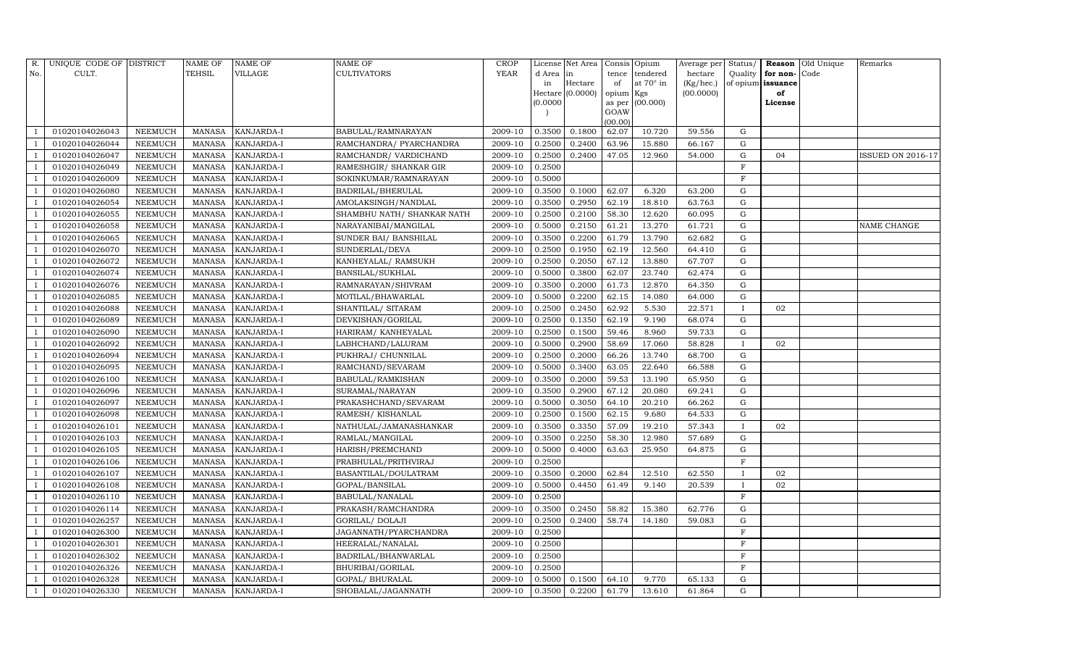| R.             | UNIQUE CODE OF DISTRICT |                | <b>NAME OF</b> | <b>NAME OF</b> | <b>NAME OF</b>              | CROP    |           | License Net Area   |           | Consis Opium     | Average per |              |                   | Status/ <b>Reason</b> Old Unique | Remarks                  |
|----------------|-------------------------|----------------|----------------|----------------|-----------------------------|---------|-----------|--------------------|-----------|------------------|-------------|--------------|-------------------|----------------------------------|--------------------------|
| No.            | CULT.                   |                | <b>TEHSIL</b>  | <b>VILLAGE</b> | <b>CULTIVATORS</b>          | YEAR    | d Area in |                    | tence     | tendered         | hectare     | Quality      | for non-          | Code                             |                          |
|                |                         |                |                |                |                             |         | in        | Hectare            | of        | at $70^\circ$ in | (Kg/hec.)   |              | of opium issuance |                                  |                          |
|                |                         |                |                |                |                             |         |           | Hectare $(0.0000)$ | opium Kgs |                  | (00.0000)   |              | of                |                                  |                          |
|                |                         |                |                |                |                             |         | (0.0000)  |                    | GOAW      | as per (00.000)  |             |              | License           |                                  |                          |
|                |                         |                |                |                |                             |         |           |                    | (00.00)   |                  |             |              |                   |                                  |                          |
|                | 01020104026043          | <b>NEEMUCH</b> | <b>MANASA</b>  | KANJARDA-I     | BABULAL/RAMNARAYAN          | 2009-10 | 0.3500    | 0.1800             | 62.07     | 10.720           | 59.556      | G            |                   |                                  |                          |
|                | 01020104026044          | NEEMUCH        | <b>MANASA</b>  | KANJARDA-I     | RAMCHANDRA/ PYARCHANDRA     | 2009-10 | 0.2500    | 0.2400             | 63.96     | 15.880           | 66.167      | G            |                   |                                  |                          |
|                | 01020104026047          | NEEMUCH        | <b>MANASA</b>  | KANJARDA-I     | RAMCHANDR/ VARDICHAND       | 2009-10 | 0.2500    | 0.2400             | 47.05     | 12.960           | 54.000      | G            | 04                |                                  | <b>ISSUED ON 2016-17</b> |
|                | 01020104026049          | NEEMUCH        | <b>MANASA</b>  | KANJARDA-I     | RAMESHGIR/ SHANKAR GIR      | 2009-10 | 0.2500    |                    |           |                  |             | F            |                   |                                  |                          |
|                | 01020104026009          | <b>NEEMUCH</b> | <b>MANASA</b>  | KANJARDA-I     | SOKINKUMAR/RAMNARAYAN       | 2009-10 | 0.5000    |                    |           |                  |             | $\mathbf F$  |                   |                                  |                          |
|                | 01020104026080          | <b>NEEMUCH</b> | <b>MANASA</b>  | KANJARDA-I     | BADRILAL/BHERULAL           | 2009-10 | 0.3500    | 0.1000             | 62.07     | 6.320            | 63.200      | G            |                   |                                  |                          |
|                | 01020104026054          | NEEMUCH        | <b>MANASA</b>  | KANJARDA-I     | AMOLAKSINGH/NANDLAL         | 2009-10 | 0.3500    | 0.2950             | 62.19     | 18.810           | 63.763      | G            |                   |                                  |                          |
|                | 01020104026055          | NEEMUCH        | <b>MANASA</b>  | KANJARDA-I     | SHAMBHU NATH / SHANKAR NATH | 2009-10 | 0.2500    | 0.2100             | 58.30     | 12.620           | 60.095      | G            |                   |                                  |                          |
|                | 01020104026058          | <b>NEEMUCH</b> | <b>MANASA</b>  | KANJARDA-I     | NARAYANIBAI/MANGILAL        | 2009-10 | 0.5000    | 0.2150             | 61.21     | 13.270           | 61.721      | G            |                   |                                  | NAME CHANGE              |
|                | 01020104026065          | <b>NEEMUCH</b> | <b>MANASA</b>  | KANJARDA-I     | SUNDER BAI/ BANSHILAL       | 2009-10 | 0.3500    | 0.2200             | 61.79     | 13.790           | 62.682      | G            |                   |                                  |                          |
|                | 01020104026070          | NEEMUCH        | <b>MANASA</b>  | KANJARDA-I     | SUNDERLAL/DEVA              | 2009-10 | 0.2500    | 0.1950             | 62.19     | 12.560           | 64.410      | G            |                   |                                  |                          |
|                | 01020104026072          | <b>NEEMUCH</b> | <b>MANASA</b>  | KANJARDA-I     | KANHEYALAL/ RAMSUKH         | 2009-10 | 0.2500    | 0.2050             | 67.12     | 13.880           | 67.707      | G            |                   |                                  |                          |
|                | 01020104026074          | <b>NEEMUCH</b> | <b>MANASA</b>  | KANJARDA-I     | BANSILAL/SUKHLAL            | 2009-10 | 0.5000    | 0.3800             | 62.07     | 23.740           | 62.474      | G            |                   |                                  |                          |
|                | 01020104026076          | NEEMUCH        | <b>MANASA</b>  | KANJARDA-I     | RAMNARAYAN/SHIVRAM          | 2009-10 | 0.3500    | 0.2000             | 61.73     | 12.870           | 64.350      | G            |                   |                                  |                          |
|                | 01020104026085          | <b>NEEMUCH</b> | <b>MANASA</b>  | KANJARDA-I     | MOTILAL/BHAWARLAL           | 2009-10 | 0.5000    | 0.2200             | 62.15     | 14.080           | 64.000      | ${\rm G}$    |                   |                                  |                          |
|                | 01020104026088          | NEEMUCH        | <b>MANASA</b>  | KANJARDA-I     | SHANTILAL/ SITARAM          | 2009-10 | 0.2500    | 0.2450             | 62.92     | 5.530            | 22.571      | $\mathbf{I}$ | 02                |                                  |                          |
|                | 01020104026089          | NEEMUCH        | <b>MANASA</b>  | KANJARDA-I     | DEVKISHAN/GORILAL           | 2009-10 | 0.2500    | 0.1350             | 62.19     | 9.190            | 68.074      | ${\rm G}$    |                   |                                  |                          |
|                | 01020104026090          | NEEMUCH        | <b>MANASA</b>  | KANJARDA-I     | HARIRAM/KANHEYALAL          | 2009-10 | 0.2500    | 0.1500             | 59.46     | 8.960            | 59.733      | G            |                   |                                  |                          |
|                | 01020104026092          | NEEMUCH        | <b>MANASA</b>  | KANJARDA-I     | LABHCHAND/LALURAM           | 2009-10 | 0.5000    | 0.2900             | 58.69     | 17.060           | 58.828      | $\mathbf{I}$ | 02                |                                  |                          |
|                | 01020104026094          | <b>NEEMUCH</b> | <b>MANASA</b>  | KANJARDA-I     | PUKHRAJ/ CHUNNILAL          | 2009-10 | 0.2500    | 0.2000             | 66.26     | 13.740           | 68.700      | $\mathbf G$  |                   |                                  |                          |
|                | 01020104026095          | <b>NEEMUCH</b> | <b>MANASA</b>  | KANJARDA-I     | RAMCHAND/SEVARAM            | 2009-10 | 0.5000    | 0.3400             | 63.05     | 22.640           | 66.588      | G            |                   |                                  |                          |
|                | 01020104026100          | NEEMUCH        | <b>MANASA</b>  | KANJARDA-I     | BABULAL/RAMKISHAN           | 2009-10 | 0.3500    | 0.2000             | 59.53     | 13.190           | 65.950      | G            |                   |                                  |                          |
|                | 01020104026096          | <b>NEEMUCH</b> | <b>MANASA</b>  | KANJARDA-I     | SURAMAL/NARAYAN             | 2009-10 | 0.3500    | 0.2900             | 67.12     | 20.080           | 69.241      | G            |                   |                                  |                          |
|                | 01020104026097          | <b>NEEMUCH</b> | <b>MANASA</b>  | KANJARDA-I     | PRAKASHCHAND/SEVARAM        | 2009-10 | 0.5000    | 0.3050             | 64.10     | 20.210           | 66.262      | $\mathbf G$  |                   |                                  |                          |
|                | 01020104026098          | <b>NEEMUCH</b> | <b>MANASA</b>  | KANJARDA-I     | RAMESH / KISHANLAL          | 2009-10 | 0.2500    | 0.1500             | 62.15     | 9.680            | 64.533      | G            |                   |                                  |                          |
|                | 01020104026101          | <b>NEEMUCH</b> | <b>MANASA</b>  | KANJARDA-I     | NATHULAL/JAMANASHANKAR      | 2009-10 | 0.3500    | 0.3350             | 57.09     | 19.210           | 57.343      | $\mathbf{I}$ | 02                |                                  |                          |
|                | 01020104026103          | NEEMUCH        | <b>MANASA</b>  | KANJARDA-I     | RAMLAL/MANGILAL             | 2009-10 | 0.3500    | 0.2250             | 58.30     | 12.980           | 57.689      | G            |                   |                                  |                          |
|                | 01020104026105          | <b>NEEMUCH</b> | <b>MANASA</b>  | KANJARDA-I     | HARISH/PREMCHAND            | 2009-10 | 0.5000    | 0.4000             | 63.63     | 25.950           | 64.875      | ${\rm G}$    |                   |                                  |                          |
|                | 01020104026106          | NEEMUCH        | <b>MANASA</b>  | KANJARDA-I     | PRABHULAL/PRITHVIRAJ        | 2009-10 | 0.2500    |                    |           |                  |             | $\mathbf F$  |                   |                                  |                          |
|                | 01020104026107          | NEEMUCH        | <b>MANASA</b>  | KANJARDA-I     | BASANTILAL/DOULATRAM        | 2009-10 | 0.3500    | 0.2000             | 62.84     | 12.510           | 62.550      | $\mathbf{I}$ | 02                |                                  |                          |
|                | 01020104026108          | <b>NEEMUCH</b> | <b>MANASA</b>  | KANJARDA-I     | GOPAL/BANSILAL              | 2009-10 | 0.5000    | 0.4450             | 61.49     | 9.140            | 20.539      | $\mathbf{I}$ | 02                |                                  |                          |
|                | 01020104026110          | <b>NEEMUCH</b> | <b>MANASA</b>  | KANJARDA-I     | BABULAL/NANALAL             | 2009-10 | 0.2500    |                    |           |                  |             | $\mathbf F$  |                   |                                  |                          |
|                | 01020104026114          | <b>NEEMUCH</b> | <b>MANASA</b>  | KANJARDA-I     | PRAKASH/RAMCHANDRA          | 2009-10 | 0.3500    | 0.2450             | 58.82     | 15.380           | 62.776      | G            |                   |                                  |                          |
|                | 01020104026257          | NEEMUCH        | <b>MANASA</b>  | KANJARDA-I     | GORILAL/ DOLAJI             | 2009-10 | 0.2500    | 0.2400             | 58.74     | 14.180           | 59.083      | ${\rm G}$    |                   |                                  |                          |
|                | 01020104026300          | NEEMUCH        | <b>MANASA</b>  | KANJARDA-I     | JAGANNATH/PYARCHANDRA       | 2009-10 | 0.2500    |                    |           |                  |             | $\mathbf F$  |                   |                                  |                          |
|                | 01020104026301          | <b>NEEMUCH</b> | <b>MANASA</b>  | KANJARDA-I     | HEERALAL/NANALAL            | 2009-10 | 0.2500    |                    |           |                  |             | $\mathbf F$  |                   |                                  |                          |
|                | 01020104026302          | <b>NEEMUCH</b> | <b>MANASA</b>  | KANJARDA-I     | BADRILAL/BHANWARLAL         | 2009-10 | 0.2500    |                    |           |                  |             | F            |                   |                                  |                          |
|                | 01020104026326          | NEEMUCH        | <b>MANASA</b>  | KANJARDA-I     | BHURIBAI/GORILAL            | 2009-10 | 0.2500    |                    |           |                  |             | F            |                   |                                  |                          |
|                | 01020104026328          | <b>NEEMUCH</b> | <b>MANASA</b>  | KANJARDA-I     | GOPAL/ BHURALAL             | 2009-10 | 0.5000    | 0.1500             | 64.10     | 9.770            | 65.133      | $\mathbf G$  |                   |                                  |                          |
| $\overline{1}$ | 01020104026330          | NEEMUCH        | MANASA         | KANJARDA-I     | SHOBALAL/JAGANNATH          | 2009-10 | 0.3500    | 0.2200             | 61.79     | 13.610           | 61.864      | G            |                   |                                  |                          |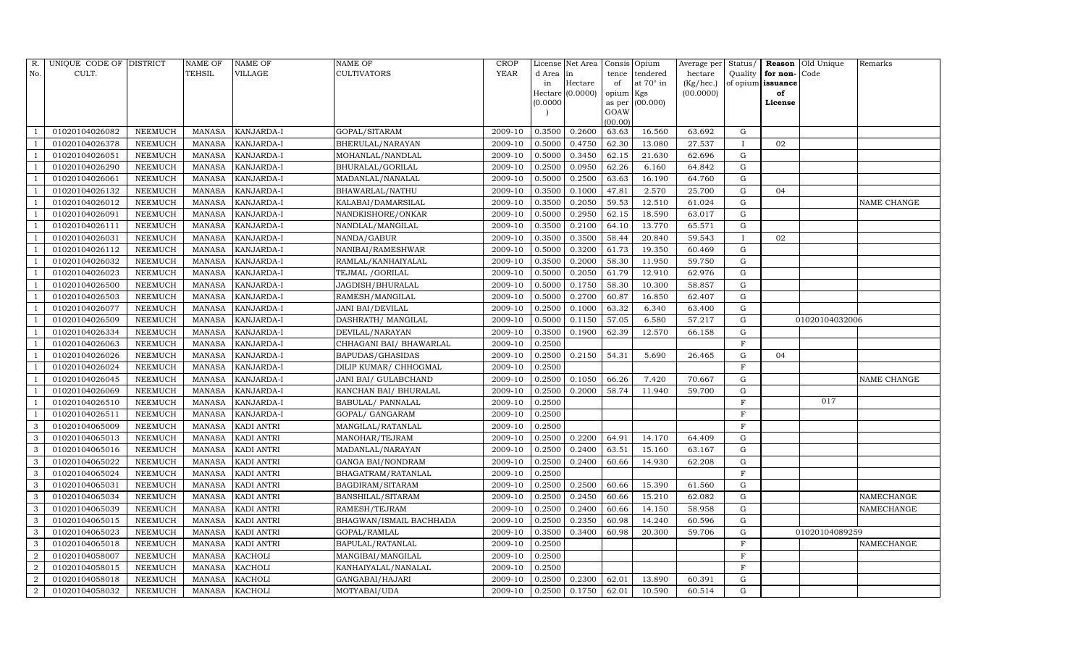| R.             | UNIQUE CODE OF DISTRICT |                | NAME OF       | NAME OF           | NAME OF                  | <b>CROP</b>          |          | License Net Area |           | Consis Opium    | Average per        | $\operatorname*{Status}/% \operatorname*{Status}/% \operatorname*{Status}/% \operatorname*{Status}/% \operatorname*{Status}/% \operatorname*{Status}/% \operatorname*{Status}/% \operatorname*{、}/% \operatorname*{、}/% \operatorname*{、}/% \operatorname*{、}/% \operatorname*{draw}/% \operatorname*{draw}/% \operatorname*{draw}/% \operatorname*{draw}/% \operatorname*{draw}/% \operatorname*{draw}/% \operatorname*{draw}/% \operatorname*{draw}/% \operatorname*{draw}/% \operatorname*{draw}/% \operatorname*{draw}/% \operatorname*{draw}/% \operatorname*{draw}/% \operatorname*{draw}/% \operatorname*{draw}/% \operatorname*{draw}/% \operatorname*$ |              | Reason Old Unique | Remarks            |
|----------------|-------------------------|----------------|---------------|-------------------|--------------------------|----------------------|----------|------------------|-----------|-----------------|--------------------|-----------------------------------------------------------------------------------------------------------------------------------------------------------------------------------------------------------------------------------------------------------------------------------------------------------------------------------------------------------------------------------------------------------------------------------------------------------------------------------------------------------------------------------------------------------------------------------------------------------------------------------------------------------------|--------------|-------------------|--------------------|
| No.            | CULT.                   |                | TEHSIL        | VILLAGE           | <b>CULTIVATORS</b>       | <b>YEAR</b>          | d Area   | in               | tence     | tendered        | hectare            | Quality                                                                                                                                                                                                                                                                                                                                                                                                                                                                                                                                                                                                                                                         | for non-Code |                   |                    |
|                |                         |                |               |                   |                          |                      | in       | Hectare          | of        | at 70° in       | $(Kg/ {\rm hec.})$ | of opium                                                                                                                                                                                                                                                                                                                                                                                                                                                                                                                                                                                                                                                        | issuance     |                   |                    |
|                |                         |                |               |                   |                          |                      |          | Hectare (0.0000) | opium Kgs |                 | (00.0000)          |                                                                                                                                                                                                                                                                                                                                                                                                                                                                                                                                                                                                                                                                 | of           |                   |                    |
|                |                         |                |               |                   |                          |                      | (0.0000) |                  | GOAW      | as per (00.000) |                    |                                                                                                                                                                                                                                                                                                                                                                                                                                                                                                                                                                                                                                                                 | License      |                   |                    |
|                |                         |                |               |                   |                          |                      |          |                  | (00.00)   |                 |                    |                                                                                                                                                                                                                                                                                                                                                                                                                                                                                                                                                                                                                                                                 |              |                   |                    |
|                | 01020104026082          | NEEMUCH        | <b>MANASA</b> | KANJARDA-I        | GOPAL/SITARAM            | 2009-10              | 0.3500   | 0.2600           | 63.63     | 16.560          | 63.692             | G                                                                                                                                                                                                                                                                                                                                                                                                                                                                                                                                                                                                                                                               |              |                   |                    |
|                | 01020104026378          | NEEMUCH        | <b>MANASA</b> | KANJARDA-I        | BHERULAL/NARAYAN         | 2009-10              | 0.5000   | 0.4750           | 62.30     | 13.080          | 27.537             |                                                                                                                                                                                                                                                                                                                                                                                                                                                                                                                                                                                                                                                                 | 02           |                   |                    |
|                | 01020104026051          | NEEMUCH        | <b>MANASA</b> | KANJARDA-I        | MOHANLAL/NANDLAL         | 2009-10              | 0.5000   | 0.3450           | 62.15     | 21.630          | 62.696             | G                                                                                                                                                                                                                                                                                                                                                                                                                                                                                                                                                                                                                                                               |              |                   |                    |
|                | 01020104026290          | NEEMUCH        | <b>MANASA</b> | KANJARDA-I        | BHURALAL/GORILAL         | 2009-10              | 0.2500   | 0.0950           | 62.26     | 6.160           | 64.842             | G                                                                                                                                                                                                                                                                                                                                                                                                                                                                                                                                                                                                                                                               |              |                   |                    |
|                | 01020104026061          | <b>NEEMUCH</b> | <b>MANASA</b> | KANJARDA-I        | MADANLAL/NANALAL         | 2009-10              | 0.5000   | 0.2500           | 63.63     | 16.190          | 64.760             | G                                                                                                                                                                                                                                                                                                                                                                                                                                                                                                                                                                                                                                                               |              |                   |                    |
|                | 01020104026132          | NEEMUCH        | <b>MANASA</b> | KANJARDA-I        | BHAWARLAL/NATHU          | 2009-10              | 0.3500   | 0.1000           | 47.81     | 2.570           | 25.700             | G                                                                                                                                                                                                                                                                                                                                                                                                                                                                                                                                                                                                                                                               | 04           |                   |                    |
|                | 01020104026012          | NEEMUCH        | <b>MANASA</b> | KANJARDA-I        | KALABAI/DAMARSILAL       | $\overline{2009-10}$ | 0.3500   | 0.2050           | 59.53     | 12.510          | 61.024             | $\mathbf G$                                                                                                                                                                                                                                                                                                                                                                                                                                                                                                                                                                                                                                                     |              |                   | <b>NAME CHANGE</b> |
|                | 01020104026091          | <b>NEEMUCH</b> | <b>MANASA</b> | KANJARDA-I        | NANDKISHORE/ONKAR        | 2009-10              | 0.5000   | 0.2950           | 62.15     | 18.590          | 63.017             | G                                                                                                                                                                                                                                                                                                                                                                                                                                                                                                                                                                                                                                                               |              |                   |                    |
|                | 01020104026111          | <b>NEEMUCH</b> | <b>MANASA</b> | KANJARDA-I        | NANDLAL/MANGILAL         | 2009-10              | 0.3500   | 0.2100           | 64.10     | 13.770          | 65.571             | G                                                                                                                                                                                                                                                                                                                                                                                                                                                                                                                                                                                                                                                               |              |                   |                    |
|                | 01020104026031          | NEEMUCH        | <b>MANASA</b> | KANJARDA-I        | NANDA/GABUR              | 2009-10              | 0.3500   | 0.3500           | 58.44     | 20.840          | 59.543             |                                                                                                                                                                                                                                                                                                                                                                                                                                                                                                                                                                                                                                                                 | 02           |                   |                    |
|                | 01020104026112          | NEEMUCH        | <b>MANASA</b> | KANJARDA-I        | NANIBAI/RAMESHWAR        | 2009-10              | 0.5000   | 0.3200           | 61.73     | 19.350          | 60.469             | $\mathbf G$                                                                                                                                                                                                                                                                                                                                                                                                                                                                                                                                                                                                                                                     |              |                   |                    |
|                | 01020104026032          | NEEMUCH        | <b>MANASA</b> | KANJARDA-I        | RAMLAL/KANHAIYALAL       | 2009-10              | 0.3500   | 0.2000           | 58.30     | 11.950          | 59.750             | G                                                                                                                                                                                                                                                                                                                                                                                                                                                                                                                                                                                                                                                               |              |                   |                    |
|                | 01020104026023          | NEEMUCH        | <b>MANASA</b> | KANJARDA-I        | TEJMAL / GORILAL         | 2009-10              | 0.5000   | 0.2050           | 61.79     | 12.910          | 62.976             | $\mathbf G$                                                                                                                                                                                                                                                                                                                                                                                                                                                                                                                                                                                                                                                     |              |                   |                    |
|                | 01020104026500          | NEEMUCH        | <b>MANASA</b> | KANJARDA-I        | JAGDISH/BHURALAL         | 2009-10              | 0.5000   | 0.1750           | 58.30     | 10.300          | 58.857             | G                                                                                                                                                                                                                                                                                                                                                                                                                                                                                                                                                                                                                                                               |              |                   |                    |
|                | 01020104026503          | NEEMUCH        | <b>MANASA</b> | KANJARDA-I        | RAMESH/MANGILAL          | 2009-10              | 0.5000   | 0.2700           | 60.87     | 16.850          | 62.407             | $\mathbf G$                                                                                                                                                                                                                                                                                                                                                                                                                                                                                                                                                                                                                                                     |              |                   |                    |
|                | 01020104026077          | <b>NEEMUCH</b> | <b>MANASA</b> | KANJARDA-I        | <b>JANI BAI/DEVILAL</b>  | 2009-10              | 0.2500   | 0.1000           | 63.32     | 6.340           | 63.400             | G                                                                                                                                                                                                                                                                                                                                                                                                                                                                                                                                                                                                                                                               |              |                   |                    |
|                | 01020104026509          | NEEMUCH        | <b>MANASA</b> | KANJARDA-I        | DASHRATH / MANGILAL      | 2009-10              | 0.5000   | 0.1150           | 57.05     | 6.580           | 57.217             | G                                                                                                                                                                                                                                                                                                                                                                                                                                                                                                                                                                                                                                                               |              | 01020104032006    |                    |
|                | 01020104026334          | NEEMUCH        | <b>MANASA</b> | KANJARDA-I        | DEVILAL/NARAYAN          | 2009-10              | 0.3500   | 0.1900           | 62.39     | 12.570          | 66.158             | G                                                                                                                                                                                                                                                                                                                                                                                                                                                                                                                                                                                                                                                               |              |                   |                    |
|                | 01020104026063          | <b>NEEMUCH</b> | <b>MANASA</b> | KANJARDA-I        | CHHAGANI BAI/ BHAWARLAL  | 2009-10              | 0.2500   |                  |           |                 |                    | $\mathbf F$                                                                                                                                                                                                                                                                                                                                                                                                                                                                                                                                                                                                                                                     |              |                   |                    |
|                | 01020104026026          | <b>NEEMUCH</b> | <b>MANASA</b> | KANJARDA-I        | BAPUDAS/GHASIDAS         | 2009-10              | 0.2500   | 0.2150           | 54.31     | 5.690           | 26.465             | G                                                                                                                                                                                                                                                                                                                                                                                                                                                                                                                                                                                                                                                               | 04           |                   |                    |
|                | 01020104026024          | NEEMUCH        | <b>MANASA</b> | KANJARDA-I        | DILIP KUMAR/ CHHOGMAL    | 2009-10              | 0.2500   |                  |           |                 |                    | $\mathbf F$                                                                                                                                                                                                                                                                                                                                                                                                                                                                                                                                                                                                                                                     |              |                   |                    |
|                | 01020104026045          | <b>NEEMUCH</b> | <b>MANASA</b> | KANJARDA-I        | JANI BAI/ GULABCHAND     | 2009-10              | 0.2500   | 0.1050           | 66.26     | 7.420           | 70.667             | $\mathbf G$                                                                                                                                                                                                                                                                                                                                                                                                                                                                                                                                                                                                                                                     |              |                   | <b>NAME CHANGE</b> |
|                | 01020104026069          | NEEMUCH        | <b>MANASA</b> | KANJARDA-I        | KANCHAN BAI/ BHURALAL    | 2009-10              | 0.2500   | 0.2000           | 58.74     | 11.940          | 59.700             | ${\rm G}$                                                                                                                                                                                                                                                                                                                                                                                                                                                                                                                                                                                                                                                       |              |                   |                    |
|                | 01020104026510          | NEEMUCH        | <b>MANASA</b> | KANJARDA-I        | <b>BABULAL/ PANNALAL</b> | 2009-10              | 0.2500   |                  |           |                 |                    | $\rm F$                                                                                                                                                                                                                                                                                                                                                                                                                                                                                                                                                                                                                                                         |              | 017               |                    |
|                | 01020104026511          | <b>NEEMUCH</b> | <b>MANASA</b> | KANJARDA-I        | GOPAL/ GANGARAM          | 2009-10              | 0.2500   |                  |           |                 |                    | $\mathbf F$                                                                                                                                                                                                                                                                                                                                                                                                                                                                                                                                                                                                                                                     |              |                   |                    |
| 3              | 01020104065009          | NEEMUCH        | <b>MANASA</b> | KADI ANTRI        | MANGILAL/RATANLAL        | 2009-10              | 0.2500   |                  |           |                 |                    | $\mathbf{F}$                                                                                                                                                                                                                                                                                                                                                                                                                                                                                                                                                                                                                                                    |              |                   |                    |
| 3              | 01020104065013          | <b>NEEMUCH</b> | <b>MANASA</b> | KADI ANTRI        | MANOHAR/TEJRAM           | 2009-10              | 0.2500   | 0.2200           | 64.91     | 14.170          | 64.409             | ${\rm G}$                                                                                                                                                                                                                                                                                                                                                                                                                                                                                                                                                                                                                                                       |              |                   |                    |
| 3              | 01020104065016          | <b>NEEMUCH</b> | <b>MANASA</b> | <b>KADI ANTRI</b> | MADANLAL/NARAYAN         | 2009-10              | 0.2500   | 0.2400           | 63.51     | 15.160          | 63.167             | G                                                                                                                                                                                                                                                                                                                                                                                                                                                                                                                                                                                                                                                               |              |                   |                    |
| 3              | 01020104065022          | NEEMUCH        | <b>MANASA</b> | KADI ANTRI        | GANGA BAI/NONDRAM        | 2009-10              | 0.2500   | 0.2400           | 60.66     | 14.930          | 62.208             | $\mathbf G$                                                                                                                                                                                                                                                                                                                                                                                                                                                                                                                                                                                                                                                     |              |                   |                    |
| 3              | 01020104065024          | <b>NEEMUCH</b> | <b>MANASA</b> | <b>KADI ANTRI</b> | BHAGATRAM/RATANLAL       | 2009-10              | 0.2500   |                  |           |                 |                    | $\mathbf F$                                                                                                                                                                                                                                                                                                                                                                                                                                                                                                                                                                                                                                                     |              |                   |                    |
| 3              | 01020104065031          | NEEMUCH        | <b>MANASA</b> | KADI ANTRI        | BAGDIRAM/SITARAM         | 2009-10              | 0.2500   | 0.2500           | 60.66     | 15.390          | 61.560             | G                                                                                                                                                                                                                                                                                                                                                                                                                                                                                                                                                                                                                                                               |              |                   |                    |
| 3              | 01020104065034          | <b>NEEMUCH</b> | <b>MANASA</b> | <b>KADI ANTRI</b> | BANSHILAL/SITARAM        | 2009-10              | 0.2500   | 0.2450           | 60.66     | 15.210          | 62.082             | $\mathbf G$                                                                                                                                                                                                                                                                                                                                                                                                                                                                                                                                                                                                                                                     |              |                   | <b>NAMECHANGE</b>  |
| 3              | 01020104065039          | <b>NEEMUCH</b> | <b>MANASA</b> | <b>KADI ANTRI</b> | RAMESH/TEJRAM            | 2009-10              | 0.2500   | 0.2400           | 60.66     | 14.150          | 58.958             | $\mathbf G$                                                                                                                                                                                                                                                                                                                                                                                                                                                                                                                                                                                                                                                     |              |                   | NAMECHANGE         |
| 3              | 01020104065015          | NEEMUCH        | <b>MANASA</b> | KADI ANTRI        | BHAGWAN/ISMAIL BACHHADA  | 2009-10              | 0.2500   | 0.2350           | 60.98     | 14.240          | 60.596             | G                                                                                                                                                                                                                                                                                                                                                                                                                                                                                                                                                                                                                                                               |              |                   |                    |
| 3              | 01020104065023          | NEEMUCH        | <b>MANASA</b> | KADI ANTRI        | GOPAL/RAMLAL             | 2009-10              | 0.3500   | 0.3400           | 60.98     | 20.300          | 59.706             | G                                                                                                                                                                                                                                                                                                                                                                                                                                                                                                                                                                                                                                                               |              | 01020104089259    |                    |
| 3              | 01020104065018          | NEEMUCH        | <b>MANASA</b> | KADI ANTRI        | BAPULAL/RATANLAL         | 2009-10              | 0.2500   |                  |           |                 |                    | $\mathbf{F}$                                                                                                                                                                                                                                                                                                                                                                                                                                                                                                                                                                                                                                                    |              |                   | NAMECHANGE         |
| $\mathcal{D}$  | 01020104058007          | NEEMUCH        | <b>MANASA</b> | KACHOLI           | MANGIBAI/MANGILAL        | 2009-10              | 0.2500   |                  |           |                 |                    | $\mathbf{F}$                                                                                                                                                                                                                                                                                                                                                                                                                                                                                                                                                                                                                                                    |              |                   |                    |
| 2              | 01020104058015          | NEEMUCH        | <b>MANASA</b> | KACHOLI           | KANHAIYALAL/NANALAL      | 2009-10              | 0.2500   |                  |           |                 |                    | F                                                                                                                                                                                                                                                                                                                                                                                                                                                                                                                                                                                                                                                               |              |                   |                    |
| 2              | 01020104058018          | <b>NEEMUCH</b> | <b>MANASA</b> | <b>KACHOLI</b>    | GANGABAI/HAJARI          | 2009-10              | 0.2500   | 0.2300           | 62.01     | 13.890          | 60.391             | G                                                                                                                                                                                                                                                                                                                                                                                                                                                                                                                                                                                                                                                               |              |                   |                    |
| $\overline{2}$ | 01020104058032          | NEEMUCH        | MANASA        | <b>KACHOLI</b>    | MOTYABAI/UDA             | 2009-10              | 0.2500   | 0.1750           | 62.01     | 10.590          | 60.514             | G                                                                                                                                                                                                                                                                                                                                                                                                                                                                                                                                                                                                                                                               |              |                   |                    |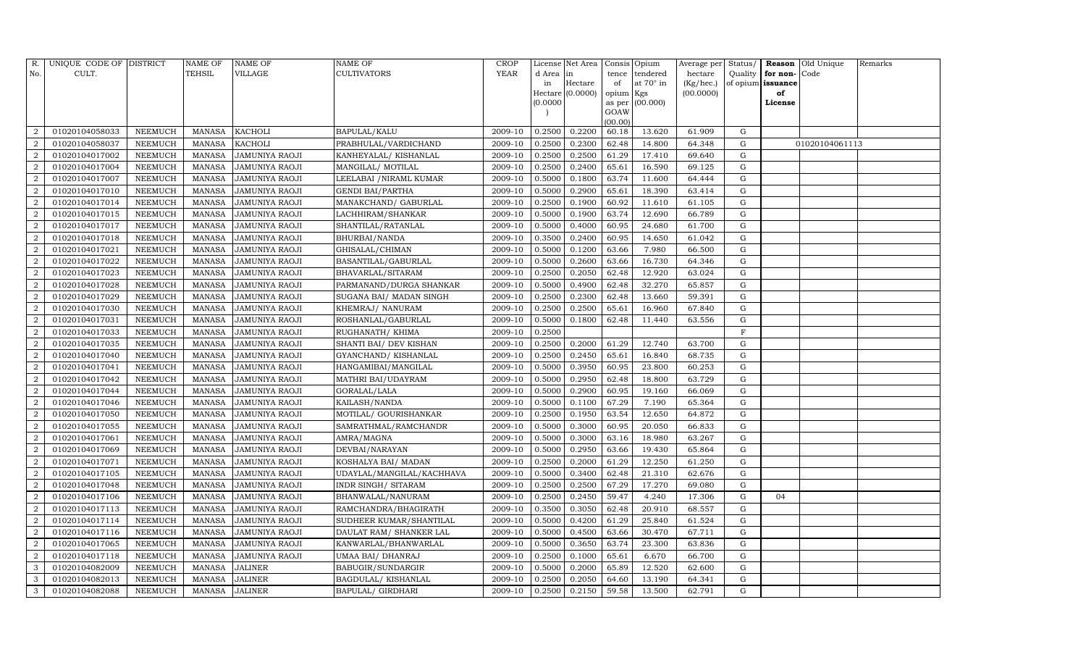| R.             | UNIQUE CODE OF DISTRICT |                | $\operatorname{NAME}$ OF | <b>NAME OF</b>        | <b>NAME OF</b>             | <b>CROP</b> |           | License Net Area |           | Consis Opium      | Average per | Status/     |                   | <b>Reason</b> Old Unique | Remarks |
|----------------|-------------------------|----------------|--------------------------|-----------------------|----------------------------|-------------|-----------|------------------|-----------|-------------------|-------------|-------------|-------------------|--------------------------|---------|
| No.            | CULT.                   |                | <b>TEHSIL</b>            | VILLAGE               | <b>CULTIVATORS</b>         | YEAR        | d Area in |                  | tence     | tendered          | hectare     | Quality     | for non-          | Code                     |         |
|                |                         |                |                          |                       |                            |             | in        | Hectare          | of        | at $70^\circ$ in  | (Kg/hec.)   |             | of opium issuance |                          |         |
|                |                         |                |                          |                       |                            |             |           | Hectare (0.0000) | opium Kgs |                   | (00.0000)   |             | of                |                          |         |
|                |                         |                |                          |                       |                            |             | (0.0000)  |                  | GOAW      | as per $(00.000)$ |             |             | License           |                          |         |
|                |                         |                |                          |                       |                            |             |           |                  | (00.00)   |                   |             |             |                   |                          |         |
| $\overline{2}$ | 01020104058033          | NEEMUCH        | MANASA                   | <b>KACHOLI</b>        | BAPULAL/KALU               | 2009-10     | 0.2500    | 0.2200           | 60.18     | 13.620            | 61.909      | G           |                   |                          |         |
| $\overline{2}$ | 01020104058037          | NEEMUCH        | MANASA                   | <b>KACHOLI</b>        | PRABHULAL/VARDICHAND       | 2009-10     | 0.2500    | 0.2300           | 62.48     | 14.800            | 64.348      | G           |                   | 01020104061113           |         |
| $\overline{2}$ | 01020104017002          | <b>NEEMUCH</b> | <b>MANASA</b>            | <b>JAMUNIYA RAOJI</b> | KANHEYALAL/ KISHANLAL      | 2009-10     | 0.2500    | 0.2500           | 61.29     | 17.410            | 69.640      | G           |                   |                          |         |
| $\overline{2}$ | 01020104017004          | NEEMUCH        | MANASA                   | <b>JAMUNIYA RAOJI</b> | MANGILAL/ MOTILAL          | 2009-10     | 0.2500    | 0.2400           | 65.61     | 16.590            | 69.125      | G           |                   |                          |         |
| $\overline{2}$ | 01020104017007          | NEEMUCH        | MANASA                   | <b>JAMUNIYA RAOJI</b> | LEELABAI / NIRAML KUMAR    | 2009-10     | 0.5000    | 0.1800           | 63.74     | 11.600            | 64.444      | $\mathbf G$ |                   |                          |         |
| $\overline{2}$ | 01020104017010          | NEEMUCH        | MANASA                   | <b>JAMUNIYA RAOJI</b> | <b>GENDI BAI/PARTHA</b>    | 2009-10     | 0.5000    | 0.2900           | 65.61     | 18.390            | 63.414      | G           |                   |                          |         |
| $\overline{2}$ | 01020104017014          | NEEMUCH        | MANASA                   | JAMUNIYA RAOJI        | MANAKCHAND/ GABURLAL       | 2009-10     | 0.2500    | 0.1900           | 60.92     | 11.610            | 61.105      | G           |                   |                          |         |
| $\overline{2}$ | 01020104017015          | NEEMUCH        | MANASA                   | <b>JAMUNIYA RAOJI</b> | LACHHIRAM/SHANKAR          | 2009-10     | 0.5000    | 0.1900           | 63.74     | 12.690            | 66.789      | ${\rm G}$   |                   |                          |         |
| $\overline{2}$ | 01020104017017          | <b>NEEMUCH</b> | MANASA                   | <b>JAMUNIYA RAOJI</b> | SHANTILAL/RATANLAL         | 2009-10     | 0.5000    | 0.4000           | 60.95     | 24.680            | 61.700      | $\mathbf G$ |                   |                          |         |
| $\overline{2}$ | 01020104017018          | NEEMUCH        | MANASA                   | <b>JAMUNIYA RAOJI</b> | BHURBAI/NANDA              | 2009-10     | 0.3500    | 0.2400           | 60.95     | 14.650            | 61.042      | ${\rm G}$   |                   |                          |         |
| 2              | 01020104017021          | <b>NEEMUCH</b> | MANASA                   | <b>JAMUNIYA RAOJI</b> | GHISALAL/CHIMAN            | 2009-10     | 0.5000    | 0.1200           | 63.66     | 7.980             | 66.500      | ${\rm G}$   |                   |                          |         |
| $\overline{2}$ | 01020104017022          | <b>NEEMUCH</b> | MANASA                   | <b>JAMUNIYA RAOJI</b> | <b>BASANTILAL/GABURLAL</b> | 2009-10     | 0.5000    | 0.2600           | 63.66     | 16.730            | 64.346      | G           |                   |                          |         |
| $\overline{2}$ | 01020104017023          | <b>NEEMUCH</b> | <b>MANASA</b>            | <b>JAMUNIYA RAOJI</b> | BHAVARLAL/SITARAM          | 2009-10     | 0.2500    | 0.2050           | 62.48     | 12.920            | 63.024      | ${\rm G}$   |                   |                          |         |
| $\overline{2}$ | 01020104017028          | <b>NEEMUCH</b> | MANASA                   | <b>JAMUNIYA RAOJI</b> | PARMANAND/DURGA SHANKAR    | 2009-10     | 0.5000    | 0.4900           | 62.48     | 32.270            | 65.857      | G           |                   |                          |         |
| $\overline{2}$ | 01020104017029          | NEEMUCH        | MANASA                   | <b>JAMUNIYA RAOJI</b> | SUGANA BAI/ MADAN SINGH    | 2009-10     | 0.2500    | 0.2300           | 62.48     | 13.660            | 59.391      | G           |                   |                          |         |
| 2              | 01020104017030          | <b>NEEMUCH</b> | MANASA                   | <b>JAMUNIYA RAOJI</b> | KHEMRAJ/ NANURAM           | 2009-10     | 0.2500    | 0.2500           | 65.61     | 16.960            | 67.840      | $\mathbf G$ |                   |                          |         |
| $\overline{2}$ | 01020104017031          | <b>NEEMUCH</b> | <b>MANASA</b>            | <b>JAMUNIYA RAOJI</b> | ROSHANLAL/GABURLAL         | 2009-10     | 0.5000    | 0.1800           | 62.48     | 11.440            | 63.556      | G           |                   |                          |         |
| $\overline{2}$ | 01020104017033          | <b>NEEMUCH</b> | MANASA                   | JAMUNIYA RAOJI        | RUGHANATH / KHIMA          | 2009-10     | 0.2500    |                  |           |                   |             | $\rm F$     |                   |                          |         |
| $\overline{a}$ | 01020104017035          | NEEMUCH        | MANASA                   | <b>JAMUNIYA RAOJI</b> | SHANTI BAI/ DEV KISHAN     | 2009-10     | 0.2500    | 0.2000           | 61.29     | 12.740            | 63.700      | G           |                   |                          |         |
| $\overline{2}$ | 01020104017040          | <b>NEEMUCH</b> | MANASA                   | <b>JAMUNIYA RAOJI</b> | GYANCHAND/KISHANLAL        | 2009-10     | 0.2500    | 0.2450           | 65.61     | 16.840            | 68.735      | G           |                   |                          |         |
| $\overline{2}$ | 01020104017041          | NEEMUCH        | MANASA                   | JAMUNIYA RAOJI        | HANGAMIBAI/MANGILAL        | 2009-10     | 0.5000    | 0.3950           | 60.95     | 23.800            | 60.253      | G           |                   |                          |         |
| $\overline{2}$ | 01020104017042          | <b>NEEMUCH</b> | <b>MANASA</b>            | JAMUNIYA RAOJI        | MATHRI BAI/UDAYRAM         | 2009-10     | 0.5000    | 0.2950           | 62.48     | 18.800            | 63.729      | G           |                   |                          |         |
| $\overline{2}$ | 01020104017044          | NEEMUCH        | MANASA                   | JAMUNIYA RAOJI        | GORALAL/LALA               | 2009-10     | 0.5000    | 0.2900           | 60.95     | 19.160            | 66.069      | G           |                   |                          |         |
| $\overline{2}$ | 01020104017046          | <b>NEEMUCH</b> | MANASA                   | <b>JAMUNIYA RAOJI</b> | KAILASH/NANDA              | 2009-10     | 0.5000    | 0.1100           | 67.29     | 7.190             | 65.364      | G           |                   |                          |         |
| $\overline{2}$ | 01020104017050          | <b>NEEMUCH</b> | <b>MANASA</b>            | JAMUNIYA RAOJI        | MOTILAL/ GOURISHANKAR      | 2009-10     | 0.2500    | 0.1950           | 63.54     | 12.650            | 64.872      | G           |                   |                          |         |
| $\overline{2}$ | 01020104017055          | <b>NEEMUCH</b> | <b>MANASA</b>            | JAMUNIYA RAOJI        | SAMRATHMAL/RAMCHANDR       | 2009-10     | 0.5000    | 0.3000           | 60.95     | 20.050            | 66.833      | G           |                   |                          |         |
| $\overline{2}$ | 01020104017061          | <b>NEEMUCH</b> | MANASA                   | <b>JAMUNIYA RAOJI</b> | AMRA/MAGNA                 | 2009-10     | 0.5000    | 0.3000           | 63.16     | 18.980            | 63.267      | G           |                   |                          |         |
| 2              | 01020104017069          | <b>NEEMUCH</b> | <b>MANASA</b>            | <b>JAMUNIYA RAOJI</b> | DEVBAI/NARAYAN             | 2009-10     | 0.5000    | 0.2950           | 63.66     | 19.430            | 65.864      | $\mathbf G$ |                   |                          |         |
| $\overline{2}$ | 01020104017071          | NEEMUCH        | MANASA                   | <b>JAMUNIYA RAOJI</b> | KOSHALYA BAI/ MADAN        | 2009-10     | 0.2500    | 0.2000           | 61.29     | 12.250            | 61.250      | G           |                   |                          |         |
| $\overline{2}$ | 01020104017105          | NEEMUCH        | MANASA                   | <b>JAMUNIYA RAOJI</b> | UDAYLAL/MANGILAL/KACHHAVA  | 2009-10     | 0.5000    | 0.3400           | 62.48     | 21.310            | 62.676      | G           |                   |                          |         |
| $\overline{2}$ | 01020104017048          | <b>NEEMUCH</b> | MANASA                   | <b>JAMUNIYA RAOJI</b> | INDR SINGH/ SITARAM        | 2009-10     | 0.2500    | 0.2500           | 67.29     | 17.270            | 69.080      | $\mathbf G$ |                   |                          |         |
| $\overline{2}$ | 01020104017106          | NEEMUCH        | MANASA                   | <b>JAMUNIYA RAOJI</b> | BHANWALAL/NANURAM          | 2009-10     | 0.2500    | 0.2450           | 59.47     | 4.240             | 17.306      | $\mathbf G$ | 04                |                          |         |
| $\overline{2}$ | 01020104017113          | <b>NEEMUCH</b> | MANASA                   | <b>JAMUNIYA RAOJI</b> | RAMCHANDRA/BHAGIRATH       | 2009-10     | 0.3500    | 0.3050           | 62.48     | 20.910            | 68.557      | G           |                   |                          |         |
| $\overline{2}$ | 01020104017114          | <b>NEEMUCH</b> | MANASA                   | <b>JAMUNIYA RAOJI</b> | SUDHEER KUMAR/SHANTILAL    | 2009-10     | 0.5000    | 0.4200           | 61.29     | 25.840            | 61.524      | G           |                   |                          |         |
| 2              | 01020104017116          | <b>NEEMUCH</b> | MANASA                   | <b>JAMUNIYA RAOJI</b> | DAULAT RAM/ SHANKER LAL    | 2009-10     | 0.5000    | 0.4500           | 63.66     | 30.470            | 67.711      | ${\rm G}$   |                   |                          |         |
| $\overline{2}$ | 01020104017065          | <b>NEEMUCH</b> | <b>MANASA</b>            | <b>JAMUNIYA RAOJI</b> | KANWARLAL/BHANWARLAL       | 2009-10     | 0.5000    | 0.3650           | 63.74     | 23.300            | 63.836      | ${\rm G}$   |                   |                          |         |
| $\overline{2}$ | 01020104017118          | <b>NEEMUCH</b> | MANASA                   | <b>JAMUNIYA RAOJI</b> | UMAA BAI/ DHANRAJ          | 2009-10     | 0.2500    | 0.1000           | 65.61     | 6.670             | 66.700      | G           |                   |                          |         |
| 3              | 01020104082009          | NEEMUCH        | MANASA                   | <b>JALINER</b>        | <b>BABUGIR/SUNDARGIR</b>   | 2009-10     | 0.5000    | 0.2000           | 65.89     | 12.520            | 62.600      | G           |                   |                          |         |
| $\mathbf{3}$   | 01020104082013          | NEEMUCH        | MANASA                   | <b>JALINER</b>        | <b>BAGDULAL/ KISHANLAL</b> | 2009-10     | 0.2500    | 0.2050           | 64.60     | 13.190            | 64.341      | G           |                   |                          |         |
| 3              | 01020104082088          | <b>NEEMUCH</b> | MANASA JALINER           |                       | BAPULAL/ GIRDHARI          | 2009-10     | 0.2500    | 0.2150           | 59.58     | 13.500            | 62.791      | G           |                   |                          |         |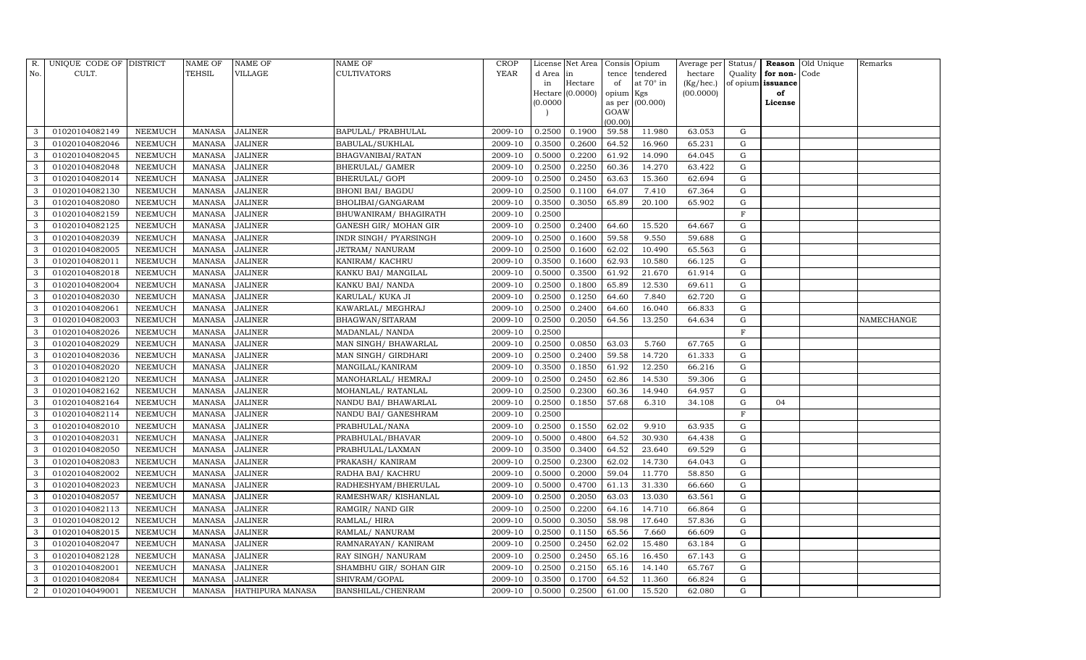| R.             | UNIQUE CODE OF DISTRICT |                | <b>NAME OF</b> | NAME OF                 | NAME OF                | CROP        |          | License Net Area |           | Consis Opium    | Average per | Status/      |                   | Reason Old Unique | Remarks    |
|----------------|-------------------------|----------------|----------------|-------------------------|------------------------|-------------|----------|------------------|-----------|-----------------|-------------|--------------|-------------------|-------------------|------------|
| No.            | CULT.                   |                | <b>TEHSIL</b>  | VILLAGE                 | CULTIVATORS            | <b>YEAR</b> | d Area   | in               | tence     | tendered        | hectare     | Quality      | for non-Code      |                   |            |
|                |                         |                |                |                         |                        |             | in       | Hectare          | of        | at 70° in       | (Kg/hec.)   |              | of opium issuance |                   |            |
|                |                         |                |                |                         |                        |             |          | Hectare (0.0000) | opium Kgs |                 | (00.0000)   |              | of                |                   |            |
|                |                         |                |                |                         |                        |             | (0.0000) |                  | GOAW      | as per (00.000) |             |              | License           |                   |            |
|                |                         |                |                |                         |                        |             |          |                  | (00.00)   |                 |             |              |                   |                   |            |
| 3              | 01020104082149          | NEEMUCH        | MANASA         | <b>JALINER</b>          | BAPULAL/ PRABHULAL     | 2009-10     | 0.2500   | 0.1900           | 59.58     | 11.980          | 63.053      | G            |                   |                   |            |
| 3              | 01020104082046          | NEEMUCH        | MANASA         | <b>JALINER</b>          | BABULAL/SUKHLAL        | 2009-10     | 0.3500   | 0.2600           | 64.52     | 16.960          | 65.231      | G            |                   |                   |            |
| 3              | 01020104082045          | NEEMUCH        | <b>MANASA</b>  | <b>JALINER</b>          | BHAGVANIBAI/RATAN      | 2009-10     | 0.5000   | 0.2200           | 61.92     | 14.090          | 64.045      | G            |                   |                   |            |
| 3              | 01020104082048          | NEEMUCH        | MANASA         | <b>JALINER</b>          | BHERULAL/ GAMER        | 2009-10     | 0.2500   | 0.2250           | 60.36     | 14.270          | 63.422      | G            |                   |                   |            |
| 3              | 01020104082014          | <b>NEEMUCH</b> | <b>MANASA</b>  | <b>JALINER</b>          | BHERULAL/ GOPI         | 2009-10     | 0.2500   | 0.2450           | 63.63     | 15.360          | 62.694      | G            |                   |                   |            |
| 3              | 01020104082130          | NEEMUCH        | MANASA         | <b>JALINER</b>          | BHONI BAI/ BAGDU       | 2009-10     | 0.2500   | 0.1100           | 64.07     | 7.410           | 67.364      | G            |                   |                   |            |
| 3              | 01020104082080          | NEEMUCH        | <b>MANASA</b>  | <b>JALINER</b>          | BHOLIBAI/GANGARAM      | 2009-10     | 0.3500   | 0.3050           | 65.89     | 20.100          | 65.902      | G            |                   |                   |            |
| 3              | 01020104082159          | NEEMUCH        | MANASA         | <b>JALINER</b>          | BHUWANIRAM / BHAGIRATH | 2009-10     | 0.2500   |                  |           |                 |             | F            |                   |                   |            |
| 3              | 01020104082125          | NEEMUCH        | <b>MANASA</b>  | <b>JALINER</b>          | GANESH GIR/ MOHAN GIR  | 2009-10     | 0.2500   | 0.2400           | 64.60     | 15.520          | 64.667      | G            |                   |                   |            |
| 3              | 01020104082039          | NEEMUCH        | MANASA         | JALINER                 | INDR SINGH/ PYARSINGH  | 2009-10     | 0.2500   | 0.1600           | 59.58     | 9.550           | 59.688      | G            |                   |                   |            |
| 3              | 01020104082005          | NEEMUCH        | <b>MANASA</b>  | <b>JALINER</b>          | JETRAM/ NANURAM        | 2009-10     | 0.2500   | 0.1600           | 62.02     | 10.490          | 65.563      | G            |                   |                   |            |
| 3              | 01020104082011          | NEEMUCH        | <b>MANASA</b>  | <b>JALINER</b>          | KANIRAM/KACHRU         | 2009-10     | 0.3500   | 0.1600           | 62.93     | 10.580          | 66.125      | G            |                   |                   |            |
| 3              | 01020104082018          | NEEMUCH        | <b>MANASA</b>  | <b>JALINER</b>          | KANKU BAI/ MANGILAL    | 2009-10     | 0.5000   | 0.3500           | 61.92     | 21.670          | 61.914      | G            |                   |                   |            |
| 3              | 01020104082004          | NEEMUCH        | <b>MANASA</b>  | <b>JALINER</b>          | KANKU BAI/ NANDA       | 2009-10     | 0.2500   | 0.1800           | 65.89     | 12.530          | 69.611      | G            |                   |                   |            |
| 3              | 01020104082030          | NEEMUCH        | MANASA         | <b>JALINER</b>          | KARULAL/ KUKA JI       | 2009-10     | 0.2500   | 0.1250           | 64.60     | 7.840           | 62.720      | G            |                   |                   |            |
| 3              | 01020104082061          | <b>NEEMUCH</b> | <b>MANASA</b>  | <b>JALINER</b>          | KAWARLAL/ MEGHRAJ      | 2009-10     | 0.2500   | 0.2400           | 64.60     | 16.040          | 66.833      | G            |                   |                   |            |
| 3              | 01020104082003          | NEEMUCH        | <b>MANASA</b>  | <b>JALINER</b>          | BHAGWAN/SITARAM        | 2009-10     | 0.2500   | 0.2050           | 64.56     | 13.250          | 64.634      | G            |                   |                   | NAMECHANGE |
| 3              | 01020104082026          | NEEMUCH        | <b>MANASA</b>  | <b>JALINER</b>          | MADANLAL/ NANDA        | 2009-10     | 0.2500   |                  |           |                 |             | F            |                   |                   |            |
| 3              | 01020104082029          | NEEMUCH        | MANASA         | <b>JALINER</b>          | MAN SINGH/ BHAWARLAL   | 2009-10     | 0.2500   | 0.0850           | 63.03     | 5.760           | 67.765      | G            |                   |                   |            |
| 3              | 01020104082036          | NEEMUCH        | <b>MANASA</b>  | <b>JALINER</b>          | MAN SINGH/ GIRDHARI    | 2009-10     | 0.2500   | 0.2400           | 59.58     | 14.720          | 61.333      | G            |                   |                   |            |
| 3              | 01020104082020          | <b>NEEMUCH</b> | MANASA         | <b>JALINER</b>          | MANGILAL/KANIRAM       | 2009-10     | 0.3500   | 0.1850           | 61.92     | 12.250          | 66.216      | G            |                   |                   |            |
| 3              | 01020104082120          | NEEMUCH        | <b>MANASA</b>  | <b>JALINER</b>          | MANOHARLAL/ HEMRAJ     | 2009-10     | 0.2500   | 0.2450           | 62.86     | 14.530          | 59.306      | G            |                   |                   |            |
| 3              | 01020104082162          | NEEMUCH        | MANASA         | <b>JALINER</b>          | MOHANLAL/RATANLAL      | 2009-10     | 0.2500   | 0.2300           | 60.36     | 14.940          | 64.957      | G            |                   |                   |            |
| 3              | 01020104082164          | <b>NEEMUCH</b> | <b>MANASA</b>  | <b>JALINER</b>          | NANDU BAI/ BHAWARLAL   | 2009-10     | 0.2500   | 0.1850           | 57.68     | 6.310           | 34.108      | G            | 04                |                   |            |
| 3              | 01020104082114          | NEEMUCH        | MANASA         | <b>JALINER</b>          | NANDU BAI/ GANESHRAM   | 2009-10     | 0.2500   |                  |           |                 |             | $\, {\rm F}$ |                   |                   |            |
| 3              | 01020104082010          | NEEMUCH        | <b>MANASA</b>  | <b>JALINER</b>          | PRABHULAL/NANA         | 2009-10     | 0.2500   | 0.1550           | 62.02     | 9.910           | 63.935      | G            |                   |                   |            |
| 3              | 01020104082031          | NEEMUCH        | MANASA         | <b>JALINER</b>          | PRABHULAL/BHAVAR       | 2009-10     | 0.5000   | 0.4800           | 64.52     | 30.930          | 64.438      | G            |                   |                   |            |
| 3              | 01020104082050          | NEEMUCH        | MANASA         | <b>JALINER</b>          | PRABHULAL/LAXMAN       | 2009-10     | 0.3500   | 0.3400           | 64.52     | 23.640          | 69.529      | G            |                   |                   |            |
| 3              | 01020104082083          | <b>NEEMUCH</b> | <b>MANASA</b>  | <b>JALINER</b>          | PRAKASH/KANIRAM        | 2009-10     | 0.2500   | 0.2300           | 62.02     | 14.730          | 64.043      | G            |                   |                   |            |
| 3              | 01020104082002          | <b>NEEMUCH</b> | <b>MANASA</b>  | <b>JALINER</b>          | RADHA BAI/ KACHRU      | 2009-10     | 0.5000   | 0.2000           | 59.04     | 11.770          | 58.850      | G            |                   |                   |            |
| 3              | 01020104082023          | NEEMUCH        | <b>MANASA</b>  | JALINER                 | RADHESHYAM/BHERULAL    | 2009-10     | 0.5000   | 0.4700           | 61.13     | 31.330          | 66.660      | G            |                   |                   |            |
| 3              | 01020104082057          | NEEMUCH        | <b>MANASA</b>  | <b>JALINER</b>          | RAMESHWAR/KISHANLAL    | 2009-10     | 0.2500   | 0.2050           | 63.03     | 13.030          | 63.561      | G            |                   |                   |            |
| 3              | 01020104082113          | <b>NEEMUCH</b> | <b>MANASA</b>  | <b>JALINER</b>          | RAMGIR/ NAND GIR       | 2009-10     | 0.2500   | 0.2200           | 64.16     | 14.710          | 66.864      | G            |                   |                   |            |
| 3              | 01020104082012          | NEEMUCH        | MANASA         | <b>JALINER</b>          | RAMLAL/HIRA            | 2009-10     | 0.5000   | 0.3050           | 58.98     | 17.640          | 57.836      | G            |                   |                   |            |
| 3              | 01020104082015          | NEEMUCH        | <b>MANASA</b>  | <b>JALINER</b>          | RAMLAL/ NANURAM        | 2009-10     | 0.2500   | 0.1150           | 65.56     | 7.660           | 66.609      | G            |                   |                   |            |
| 3              | 01020104082047          | <b>NEEMUCH</b> | <b>MANASA</b>  | <b>JALINER</b>          | RAMNARAYAN/KANIRAM     | 2009-10     | 0.2500   | 0.2450           | 62.02     | 15.480          | 63.184      | G            |                   |                   |            |
| 3              | 01020104082128          | NEEMUCH        | <b>MANASA</b>  | <b>JALINER</b>          | RAY SINGH/ NANURAM     | 2009-10     | 0.2500   | 0.2450           | 65.16     | 16.450          | 67.143      | G            |                   |                   |            |
| 3              | 01020104082001          | <b>NEEMUCH</b> | MANASA         | <b>JALINER</b>          | SHAMBHU GIR/ SOHAN GIR | 2009-10     | 0.2500   | 0.2150           | 65.16     | 14.140          | 65.767      | G            |                   |                   |            |
| 3              | 01020104082084          | NEEMUCH        | <b>MANASA</b>  | <b>JALINER</b>          | SHIVRAM/GOPAL          | 2009-10     | 0.3500   | 0.1700           | 64.52     | 11.360          | 66.824      | G            |                   |                   |            |
| $\overline{2}$ | 01020104049001          | NEEMUCH        |                | MANASA HATHIPURA MANASA | BANSHILAL/CHENRAM      | 2009-10     | 0.5000   | 0.2500           | 61.00     | 15.520          | 62.080      | G            |                   |                   |            |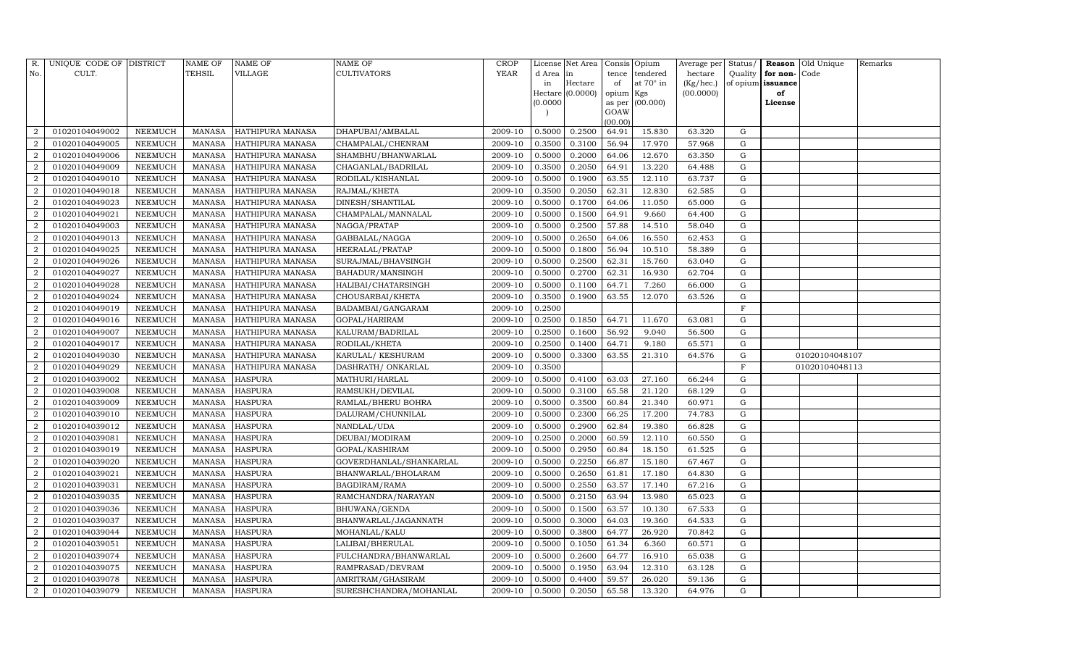| R.                          | UNIQUE CODE OF DISTRICT |         | NAME OF       | NAME OF                 | NAME OF                 | CROP        |           | License Net Area |                | Consis Opium | Average per | Status/      |          | Reason Old Unique | Remarks |
|-----------------------------|-------------------------|---------|---------------|-------------------------|-------------------------|-------------|-----------|------------------|----------------|--------------|-------------|--------------|----------|-------------------|---------|
| No.                         | CULT.                   |         | TEHSIL        | VILLAGE                 | CULTIVATORS             | <b>YEAR</b> | d Area in |                  | tence          | tendered     | hectare     | Quality      | for non- | Code              |         |
|                             |                         |         |               |                         |                         |             | in        | Hectare          | of             | at 70° in    | (Kg/hec.)   | of opium     | issuance |                   |         |
|                             |                         |         |               |                         |                         |             |           | Hectare (0.0000) | opium Kgs      |              | (00.0000)   |              | of       |                   |         |
|                             |                         |         |               |                         |                         |             | (0.0000)  |                  | as per<br>GOAW | (00.000)     |             |              | License  |                   |         |
|                             |                         |         |               |                         |                         |             |           |                  | (00.00)        |              |             |              |          |                   |         |
| 2                           | 01020104049002          | NEEMUCH | MANASA        | <b>HATHIPURA MANASA</b> | DHAPUBAI/AMBALAL        | 2009-10     | 0.5000    | 0.2500           | 64.91          | 15.830       | 63.320      | G            |          |                   |         |
| $\overline{2}$              | 01020104049005          | NEEMUCH | MANASA        | HATHIPURA MANASA        | CHAMPALAL/CHENRAM       | 2009-10     | 0.3500    | 0.3100           | 56.94          | 17.970       | 57.968      | G            |          |                   |         |
| $\overline{2}$              | 01020104049006          | NEEMUCH | MANASA        | HATHIPURA MANASA        | SHAMBHU/BHANWARLAL      | 2009-10     | 0.5000    | 0.2000           | 64.06          | 12.670       | 63.350      | G            |          |                   |         |
| $\overline{2}$              | 01020104049009          | NEEMUCH | MANASA        | HATHIPURA MANASA        | CHAGANLAL/BADRILAL      | 2009-10     | 0.3500    | 0.2050           | 64.91          | 13.220       | 64.488      | G            |          |                   |         |
| 2                           | 01020104049010          | NEEMUCH | <b>MANASA</b> | HATHIPURA MANASA        | RODILAL/KISHANLAL       | 2009-10     | 0.5000    | 0.1900           | 63.55          | 12.110       | 63.737      | G            |          |                   |         |
|                             | 01020104049018          | NEEMUCH | <b>MANASA</b> | HATHIPURA MANASA        | RAJMAL/KHETA            | 2009-10     | 0.3500    | 0.2050           | 62.31          | 12.830       | 62.585      | G            |          |                   |         |
| $\overline{2}$              | 01020104049023          | NEEMUCH | <b>MANASA</b> | HATHIPURA MANASA        | DINESH/SHANTILAL        | 2009-10     | 0.5000    | 0.1700           | 64.06          | 11.050       | 65.000      | G            |          |                   |         |
| 2                           | 01020104049021          | NEEMUCH | <b>MANASA</b> | HATHIPURA MANASA        | CHAMPALAL/MANNALAL      | 2009-10     | 0.5000    | 0.1500           | 64.91          | 9.660        | 64.400      | G            |          |                   |         |
| 2                           | 01020104049003          | NEEMUCH | <b>MANASA</b> | HATHIPURA MANASA        | NAGGA/PRATAP            | 2009-10     | 0.5000    | 0.2500           | 57.88          | 14.510       | 58.040      | G            |          |                   |         |
|                             | 01020104049013          | NEEMUCH | <b>MANASA</b> | HATHIPURA MANASA        | GABBALAL/NAGGA          | 2009-10     | 0.5000    | 0.2650           | 64.06          | 16.550       | 62.453      | G            |          |                   |         |
| $\overline{2}$              | 01020104049025          | NEEMUCH | <b>MANASA</b> | HATHIPURA MANASA        | HEERALAL/PRATAP         | 2009-10     | 0.5000    | 0.1800           | 56.94          | 10.510       | 58.389      | G            |          |                   |         |
| $\overline{2}$              | 01020104049026          | NEEMUCH | MANASA        | HATHIPURA MANASA        | SURAJMAL/BHAVSINGH      | 2009-10     | 0.5000    | 0.2500           | 62.31          | 15.760       | 63.040      | G            |          |                   |         |
| $\overline{2}$              | 01020104049027          | NEEMUCH | <b>MANASA</b> | HATHIPURA MANASA        | BAHADUR/MANSINGH        | 2009-10     | 0.5000    | 0.2700           | 62.31          | 16.930       | 62.704      | ${\rm G}$    |          |                   |         |
| $\overline{2}$              | 01020104049028          | NEEMUCH | <b>MANASA</b> | HATHIPURA MANASA        | HALIBAI/CHATARSINGH     | 2009-10     | 0.5000    | 0.1100           | 64.71          | 7.260        | 66.000      | G            |          |                   |         |
| $\overline{2}$              | 01020104049024          | NEEMUCH | <b>MANASA</b> | HATHIPURA MANASA        | CHOUSARBAI/KHETA        | 2009-10     | 0.3500    | 0.1900           | 63.55          | 12.070       | 63.526      | G            |          |                   |         |
| $\overline{2}$              | 01020104049019          | NEEMUCH | <b>MANASA</b> | HATHIPURA MANASA        | BADAMBAI/GANGARAM       | 2009-10     | 0.2500    |                  |                |              |             | $\mathbf{F}$ |          |                   |         |
| $\overline{2}$              | 01020104049016          | NEEMUCH | <b>MANASA</b> | HATHIPURA MANASA        | GOPAL/HARIRAM           | 2009-10     | 0.2500    | 0.1850           | 64.71          | 11.670       | 63.081      | G            |          |                   |         |
| $\overline{2}$              | 01020104049007          | NEEMUCH | <b>MANASA</b> | HATHIPURA MANASA        | KALURAM/BADRILAL        | 2009-10     | 0.2500    | 0.1600           | 56.92          | 9.040        | 56.500      | G            |          |                   |         |
| $\overline{2}$              | 01020104049017          | NEEMUCH | MANASA        | HATHIPURA MANASA        | RODILAL/KHETA           | 2009-10     | 0.2500    | 0.1400           | 64.71          | 9.180        | 65.571      | G            |          |                   |         |
| $\mathcal{D}$               | 01020104049030          | NEEMUCH | <b>MANASA</b> | HATHIPURA MANASA        | KARULAL/KESHURAM        | 2009-10     | 0.5000    | 0.3300           | 63.55          | 21.310       | 64.576      | G            |          | 01020104048107    |         |
|                             | 01020104049029          | NEEMUCH | <b>MANASA</b> | HATHIPURA MANASA        | DASHRATH/ONKARLAL       | 2009-10     | 0.3500    |                  |                |              |             | $\mathbf F$  |          | 01020104048113    |         |
| $\overline{2}$              | 01020104039002          | NEEMUCH | <b>MANASA</b> | <b>HASPURA</b>          | MATHURI/HARLAL          | 2009-10     | 0.5000    | 0.4100           | 63.03          | 27.160       | 66.244      | G            |          |                   |         |
| $\overline{2}$              | 01020104039008          | NEEMUCH | <b>MANASA</b> | <b>HASPURA</b>          | RAMSUKH/DEVILAL         | 2009-10     | 0.5000    | 0.3100           | 65.58          | 21.120       | 68.129      | ${\rm G}$    |          |                   |         |
| $\mathcal{D}_{\alpha}$      | 01020104039009          | NEEMUCH | <b>MANASA</b> | <b>HASPURA</b>          | RAMLAL/BHERU BOHRA      | 2009-10     | 0.5000    | 0.3500           | 60.84          | 21.340       | 60.971      | ${\rm G}$    |          |                   |         |
| $\mathcal{D}$               | 01020104039010          | NEEMUCH | MANASA        | <b>HASPURA</b>          | DALURAM/CHUNNILAL       | 2009-10     | 0.5000    | 0.2300           | 66.25          | 17.200       | 74.783      | ${\rm G}$    |          |                   |         |
| $\overline{2}$              | 01020104039012          | NEEMUCH | <b>MANASA</b> | <b>HASPURA</b>          | NANDLAL/UDA             | 2009-10     | 0.5000    | 0.2900           | 62.84          | 19.380       | 66.828      | G            |          |                   |         |
| $\overline{2}$              | 01020104039081          | NEEMUCH | <b>MANASA</b> | <b>HASPURA</b>          | DEUBAI/MODIRAM          | 2009-10     | 0.2500    | 0.2000           | 60.59          | 12.110       | 60.550      | G            |          |                   |         |
| $\mathcal{D}$               | 01020104039019          | NEEMUCH | <b>MANASA</b> | <b>HASPURA</b>          | GOPAL/KASHIRAM          | 2009-10     | 0.5000    | 0.2950           | 60.84          | 18.150       | 61.525      | G            |          |                   |         |
| $\overline{2}$              | 01020104039020          | NEEMUCH | <b>MANASA</b> | <b>HASPURA</b>          | GOVERDHANLAL/SHANKARLAL | 2009-10     | 0.5000    | 0.2250           | 66.87          | 15.180       | 67.467      | G            |          |                   |         |
| $\overline{2}$              | 01020104039021          | NEEMUCH | <b>MANASA</b> | <b>HASPURA</b>          | BHANWARLAL/BHOLARAM     | 2009-10     | 0.5000    | 0.2650           | 61.81          | 17.180       | 64.830      | ${\rm G}$    |          |                   |         |
| $\overline{2}$              | 01020104039031          | NEEMUCH | MANASA        | <b>HASPURA</b>          | BAGDIRAM/RAMA           | 2009-10     | 0.5000    | 0.2550           | 63.57          | 17.140       | 67.216      | G            |          |                   |         |
| $\overline{2}$              | 01020104039035          | NEEMUCH | <b>MANASA</b> | <b>HASPURA</b>          | RAMCHANDRA/NARAYAN      | 2009-10     | 0.5000    | 0.2150           | 63.94          | 13.980       | 65.023      | ${\rm G}$    |          |                   |         |
| $\overline{2}$              | 01020104039036          | NEEMUCH | <b>MANASA</b> | <b>HASPURA</b>          | BHUWANA/GENDA           | 2009-10     | 0.5000    | 0.1500           | 63.57          | 10.130       | 67.533      | ${\rm G}$    |          |                   |         |
| $\overline{2}$              | 01020104039037          | NEEMUCH | <b>MANASA</b> | <b>HASPURA</b>          | BHANWARLAL/JAGANNATH    | 2009-10     | 0.5000    | 0.3000           | 64.03          | 19.360       | 64.533      | ${\rm G}$    |          |                   |         |
| 2                           | 01020104039044          | NEEMUCH | <b>MANASA</b> | <b>HASPURA</b>          | MOHANLAL/KALU           | 2009-10     | 0.5000    | 0.3800           | 64.77          | 26.920       | 70.842      | ${\rm G}$    |          |                   |         |
| $\mathcal{D}$               | 01020104039051          | NEEMUCH | MANASA        | <b>HASPURA</b>          | LALIBAI/BHERULAL        | 2009-10     | 0.5000    | 0.1050           | 61.34          | 6.360        | 60.571      | ${\rm G}$    |          |                   |         |
| $\mathcal{D}_{\mathcal{L}}$ | 01020104039074          | NEEMUCH | <b>MANASA</b> | <b>HASPURA</b>          | FULCHANDRA/BHANWARLAL   | 2009-10     | 0.5000    | 0.2600           | 64.77          | 16.910       | 65.038      | G            |          |                   |         |
| 2                           | 01020104039075          | NEEMUCH | <b>MANASA</b> | HASPURA                 | RAMPRASAD/DEVRAM        | 2009-10     | 0.5000    | 0.1950           | 63.94          | 12.310       | 63.128      | ${\rm G}$    |          |                   |         |
| 2                           | 01020104039078          | NEEMUCH | <b>MANASA</b> | <b>HASPURA</b>          | AMRITRAM/GHASIRAM       | 2009-10     | 0.5000    | 0.4400           | 59.57          | 26.020       | 59.136      | G            |          |                   |         |
| $\overline{a}$              | 01020104039079          | NEEMUCH | MANASA        | <b>HASPURA</b>          | SURESHCHANDRA/MOHANLAL  | 2009-10     | 0.5000    | 0.2050           | 65.58          | 13.320       | 64.976      | G            |          |                   |         |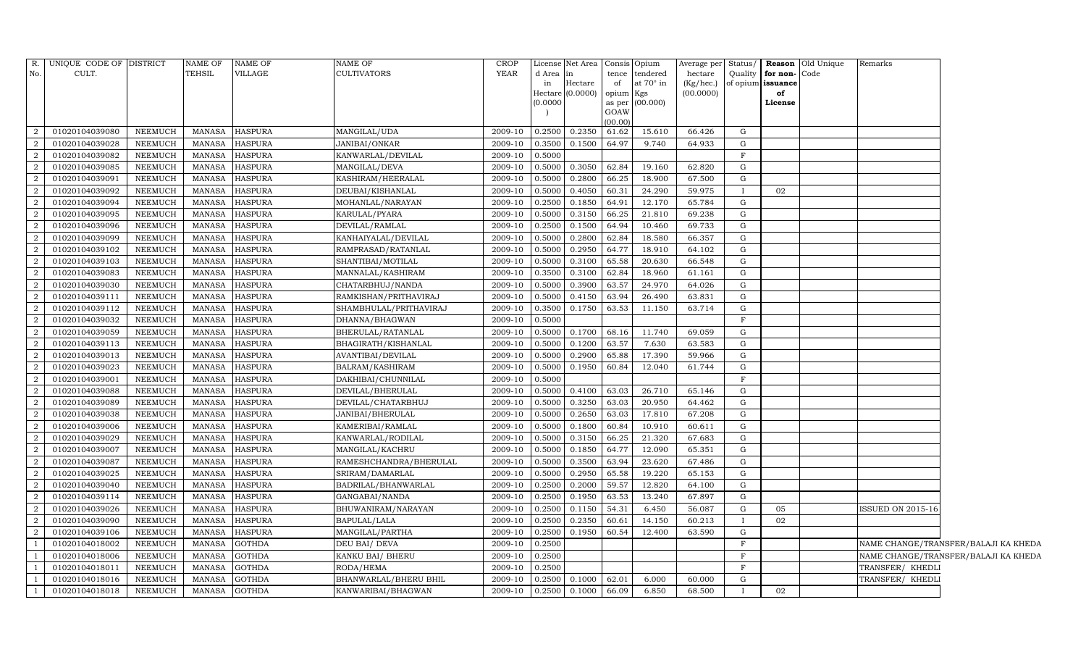| R.             | UNIQUE CODE OF DISTRICT |                | <b>NAME OF</b> | NAME OF        | <b>NAME OF</b>               | CROP        |           | License Net Area | Consis Opium |                 | Average per | Status/      |                   | <b>Reason</b> Old Unique | Remarks                  |                                      |
|----------------|-------------------------|----------------|----------------|----------------|------------------------------|-------------|-----------|------------------|--------------|-----------------|-------------|--------------|-------------------|--------------------------|--------------------------|--------------------------------------|
| No.            | CULT.                   |                | <b>TEHSIL</b>  | VILLAGE        | <b>CULTIVATORS</b>           | <b>YEAR</b> | d Area in |                  | tence        | tendered        | hectare     | Quality      | for non-          | Code                     |                          |                                      |
|                |                         |                |                |                |                              |             | in        | Hectare          | of           | at 70° in       | (Kg/hec.)   |              | of opium issuance |                          |                          |                                      |
|                |                         |                |                |                |                              |             | (0.0000)  | Hectare (0.0000) | opium Kgs    | as per (00.000) | (00.0000)   |              | of<br>License     |                          |                          |                                      |
|                |                         |                |                |                |                              |             |           |                  | GOAW         |                 |             |              |                   |                          |                          |                                      |
|                |                         |                |                |                |                              |             |           |                  | (00.00)      |                 |             |              |                   |                          |                          |                                      |
| 2              | 01020104039080          | <b>NEEMUCH</b> | MANASA         | <b>HASPURA</b> | MANGILAL/UDA                 | 2009-10     |           | 0.2500 0.2350    | 61.62        | 15.610          | 66.426      | G            |                   |                          |                          |                                      |
| 2              | 01020104039028          | <b>NEEMUCH</b> | MANASA         | <b>HASPURA</b> | JANIBAI/ONKAR                | 2009-10     |           | $0.3500$ 0.1500  | 64.97        | 9.740           | 64.933      | G            |                   |                          |                          |                                      |
| 2              | 01020104039082          | NEEMUCH        | <b>MANASA</b>  | <b>HASPURA</b> | KANWARLAL/DEVILAL            | 2009-10     | 0.5000    |                  |              |                 |             | F            |                   |                          |                          |                                      |
| $\overline{2}$ | 01020104039085          | NEEMUCH        | <b>MANASA</b>  | <b>HASPURA</b> | MANGILAL/DEVA                | 2009-10     | 0.5000    | 0.3050           | 62.84        | 19.160          | 62.820      | G            |                   |                          |                          |                                      |
| 2              | 01020104039091          | NEEMUCH        | <b>MANASA</b>  | <b>HASPURA</b> | KASHIRAM/HEERALAL            | 2009-10     | 0.5000    | 0.2800           | 66.25        | 18.900          | 67.500      | G            |                   |                          |                          |                                      |
| 2              | 01020104039092          | <b>NEEMUCH</b> | MANASA         | <b>HASPURA</b> | DEUBAI/KISHANLAL             | 2009-10     | 0.5000    | 0.4050           | 60.31        | 24.290          | 59.975      |              | 02                |                          |                          |                                      |
| 2              | 01020104039094          | NEEMUCH        | <b>MANASA</b>  | <b>HASPURA</b> | MOHANLAL/NARAYAN             | 2009-10     | 0.2500    | 0.1850           | 64.91        | 12.170          | 65.784      | G            |                   |                          |                          |                                      |
|                | 01020104039095          | NEEMUCH        | <b>MANASA</b>  | <b>HASPURA</b> | KARULAL/PYARA                | 2009-10     | 0.5000    | 0.3150           | 66.25        | 21.810          | 69.238      | G            |                   |                          |                          |                                      |
| 2              | 01020104039096          | NEEMUCH        | <b>MANASA</b>  | <b>HASPURA</b> | DEVILAL/RAMLAL               | 2009-10     | 0.2500    | 0.1500           | 64.94        | 10.460          | 69.733      | G            |                   |                          |                          |                                      |
| 2              | 01020104039099          | <b>NEEMUCH</b> | MANASA         | <b>HASPURA</b> | KANHAIYALAL/DEVILAL          | 2009-10     | 0.5000    | 0.2800           | 62.84        | 18.580          | 66.357      | G            |                   |                          |                          |                                      |
| 2              | 01020104039102          | NEEMUCH        | <b>MANASA</b>  | <b>HASPURA</b> | RAMPRASAD/RATANLAL           | 2009-10     | 0.5000    | 0.2950           | 64.77        | 18.910          | 64.102      | G            |                   |                          |                          |                                      |
|                | 01020104039103          | NEEMUCH        | <b>MANASA</b>  | <b>HASPURA</b> | SHANTIBAI/MOTILAL            | 2009-10     | 0.5000    | 0.3100           | 65.58        | 20.630          | 66.548      | G            |                   |                          |                          |                                      |
| $\overline{2}$ | 01020104039083          | NEEMUCH        | <b>MANASA</b>  | <b>HASPURA</b> | MANNALAL/KASHIRAM            | 2009-10     | 0.3500    | 0.3100           | 62.84        | 18.960          | 61.161      | G            |                   |                          |                          |                                      |
| 2              | 01020104039030          | NEEMUCH        | <b>MANASA</b>  | <b>HASPURA</b> | CHATARBHUJ/NANDA             | 2009-10     | 0.5000    | 0.3900           | 63.57        | 24.970          | 64.026      | G            |                   |                          |                          |                                      |
| 2              | 01020104039111          | NEEMUCH        | <b>MANASA</b>  | <b>HASPURA</b> | RAMKISHAN/PRITHAVIRAJ        | 2009-10     | 0.5000    | 0.4150           | 63.94        | 26.490          | 63.831      | G            |                   |                          |                          |                                      |
|                | 01020104039112          | NEEMUCH        | <b>MANASA</b>  | <b>HASPURA</b> | SHAMBHULAL/PRITHAVIRAJ       | 2009-10     | 0.3500    | 0.1750           | 63.53        | 11.150          | 63.714      | G            |                   |                          |                          |                                      |
| $\overline{2}$ | 01020104039032          | NEEMUCH        | <b>MANASA</b>  | <b>HASPURA</b> | DHANNA/BHAGWAN               | 2009-10     | 0.5000    |                  |              |                 |             | F            |                   |                          |                          |                                      |
| $\overline{2}$ | 01020104039059          | NEEMUCH        | MANASA         | <b>HASPURA</b> | BHERULAL/RATANLAL            | 2009-10     |           | 0.5000 0.1700    | 68.16        | 11.740          | 69.059      | G            |                   |                          |                          |                                      |
| 2              | 01020104039113          | NEEMUCH        | <b>MANASA</b>  | <b>HASPURA</b> | BHAGIRATH/KISHANLAL          | 2009-10     | 0.5000    | 0.1200           | 63.57        | 7.630           | 63.583      | G            |                   |                          |                          |                                      |
|                | 01020104039013          | NEEMUCH        | <b>MANASA</b>  | HASPURA        | AVANTIBAI/DEVILAL            | 2009-10     | 0.5000    | 0.2900           | 65.88        | 17.390          | 59.966      | G            |                   |                          |                          |                                      |
| $\overline{2}$ | 01020104039023          | NEEMUCH        | <b>MANASA</b>  | <b>HASPURA</b> | BALRAM/KASHIRAM              | 2009-10     | 0.5000    | 0.1950           | 60.84        | 12.040          | 61.744      | G            |                   |                          |                          |                                      |
| 2              | 01020104039001          | <b>NEEMUCH</b> | MANASA         | <b>HASPURA</b> | DAKHIBAI/CHUNNILAL           | 2009-10     | 0.5000    |                  |              |                 |             | F            |                   |                          |                          |                                      |
| 2              | 01020104039088          | NEEMUCH        | MANASA         | <b>HASPURA</b> | DEVILAL/BHERULAL             | 2009-10     | 0.5000    | 0.4100           | 63.03        | 26.710          | 65.146      | G            |                   |                          |                          |                                      |
| $\overline{2}$ | 01020104039089          | NEEMUCH        | <b>MANASA</b>  | <b>HASPURA</b> | DEVILAL/CHATARBHUJ           | 2009-10     | 0.5000    | 0.3250           | 63.03        | 20.950          | 64.462      | G            |                   |                          |                          |                                      |
| $\overline{2}$ | 01020104039038          | NEEMUCH        | <b>MANASA</b>  | <b>HASPURA</b> | JANIBAI/BHERULAL             | 2009-10     | 0.5000    | 0.2650           | 63.03        | 17.810          | 67.208      | G            |                   |                          |                          |                                      |
| $\overline{2}$ | 01020104039006          | NEEMUCH        | MANASA         | <b>HASPURA</b> | KAMERIBAI/RAMLAL             | 2009-10     | 0.5000    | 0.1800           | 60.84        | 10.910          | 60.611      | G            |                   |                          |                          |                                      |
| 2              | 01020104039029          | <b>NEEMUCH</b> | <b>MANASA</b>  | <b>HASPURA</b> | KANWARLAL/RODILAL            | 2009-10     | 0.5000    | 0.3150           | 66.25        | 21.320          | 67.683      | G            |                   |                          |                          |                                      |
|                | 01020104039007          | <b>NEEMUCH</b> | <b>MANASA</b>  | HASPURA        | MANGILAL/KACHRU              | 2009-10     | 0.5000    | 0.1850           | 64.77        | 12.090          | 65.351      | G            |                   |                          |                          |                                      |
| $\overline{2}$ | 01020104039087          | NEEMUCH        | MANASA         | <b>HASPURA</b> | RAMESHCHANDRA/BHERULAL       | 2009-10     | 0.5000    | 0.3500           | 63.94        | 23.620          | 67.486      | G            |                   |                          |                          |                                      |
| $\overline{2}$ | 01020104039025          | <b>NEEMUCH</b> | <b>MANASA</b>  | <b>HASPURA</b> | SRIRAM/DAMARLAL              | 2009-10     | 0.5000    | 0.2950           | 65.58        | 19.220          | 65.153      | G            |                   |                          |                          |                                      |
| $\overline{2}$ | 01020104039040          | NEEMUCH        | <b>MANASA</b>  | HASPURA        | BADRILAL/BHANWARLAL          | 2009-10     | 0.2500    | 0.2000           | 59.57        | 12.820          | 64.100      | G            |                   |                          |                          |                                      |
|                | 01020104039114          | NEEMUCH        | <b>MANASA</b>  | HASPURA        | GANGABAI/NANDA               | 2009-10     | 0.2500    | 0.1950           | 63.53        | 13.240          | 67.897      | G            |                   |                          |                          |                                      |
| $\overline{2}$ | 01020104039026          | NEEMUCH        | <b>MANASA</b>  | <b>HASPURA</b> | BHUWANIRAM/NARAYAN           | 2009-10     | 0.2500    | 0.1150           | 54.31        | 6.450           | 56.087      | G            | 05                |                          | <b>ISSUED ON 2015-16</b> |                                      |
| 2              | 01020104039090          | NEEMUCH        | MANASA         | <b>HASPURA</b> | <b>BAPULAL/LALA</b>          | 2009-10     | 0.2500    | 0.2350           | 60.61        | 14.150          | 60.213      | $\mathbf{I}$ | 02                |                          |                          |                                      |
| 2              | 01020104039106          | NEEMUCH        | <b>MANASA</b>  | <b>HASPURA</b> | MANGILAL/PARTHA              | 2009-10     | 0.2500    | 0.1950           | 60.54        | 12.400          | 63.590      | G            |                   |                          |                          |                                      |
|                | 01020104018002          | NEEMUCH        | <b>MANASA</b>  | <b>GOTHDA</b>  | DEU BAI/ DEVA                | 2009-10     | 0.2500    |                  |              |                 |             | F            |                   |                          |                          | NAME CHANGE/TRANSFER/BALAJI KA KHEDA |
|                | 01020104018006          | NEEMUCH        | MANASA         | <b>GOTHDA</b>  | KANKU BAI/ BHERU             | 2009-10     | 0.2500    |                  |              |                 |             | $\mathbf F$  |                   |                          |                          | NAME CHANGE/TRANSFER/BALAJI KA KHEDA |
|                | 01020104018011          | NEEMUCH        | <b>MANASA</b>  | <b>GOTHDA</b>  | RODA/HEMA                    | 2009-10     | 0.2500    |                  |              |                 |             | F            |                   |                          | TRANSFER/ KHEDLI         |                                      |
|                | 01020104018016          | NEEMUCH        | <b>MANASA</b>  | GOTHDA         | <b>BHANWARLAL/BHERU BHIL</b> | 2009-10     |           | $0.2500$ 0.1000  | 62.01        | 6.000           | 60.000      | G            |                   |                          | TRANSFER/ KHEDLI         |                                      |
|                | 01020104018018          | <b>NEEMUCH</b> | MANASA         | <b>GOTHDA</b>  | KANWARIBAI/BHAGWAN           | 2009-10     |           | $0.2500$ 0.1000  | 66.09        | 6.850           | 68.500      | $\mathbf{I}$ | 02                |                          |                          |                                      |
|                |                         |                |                |                |                              |             |           |                  |              |                 |             |              |                   |                          |                          |                                      |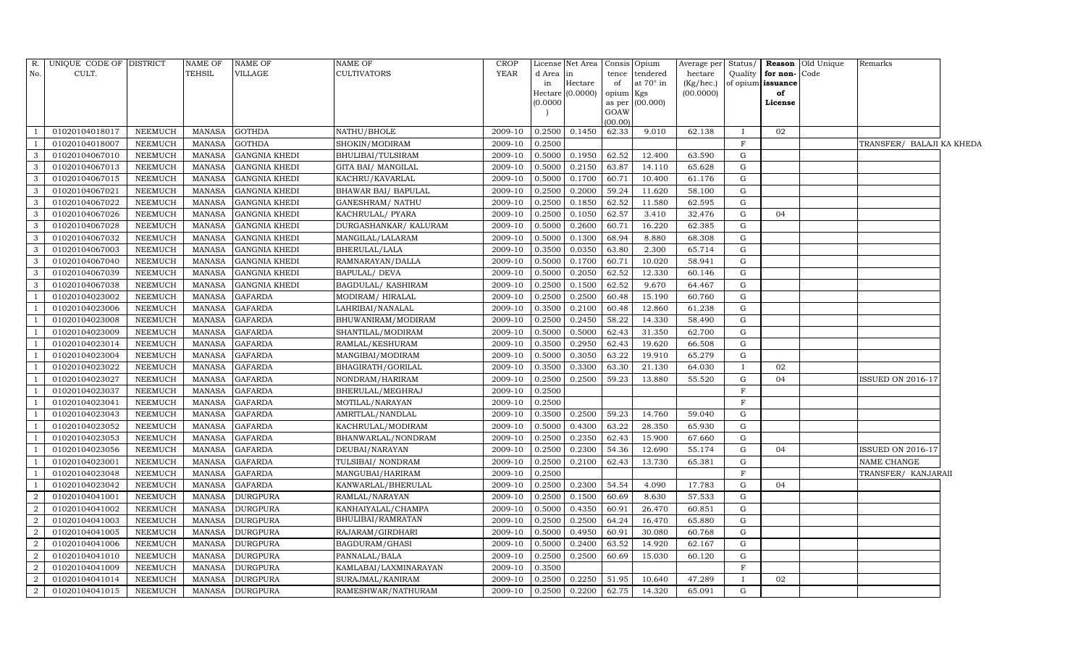| R.             | UNIQUE CODE OF DISTRICT |                | NAME OF       | <b>NAME OF</b>       | NAME OF                   | <b>CROP</b> |          | License Net Area   |                | Consis Opium | Average per Status/ |              |                   | Reason Old Unique | Remarks                   |  |
|----------------|-------------------------|----------------|---------------|----------------------|---------------------------|-------------|----------|--------------------|----------------|--------------|---------------------|--------------|-------------------|-------------------|---------------------------|--|
| No.            | CULT.                   |                | TEHSIL        | <b>VILLAGE</b>       | <b>CULTIVATORS</b>        | <b>YEAR</b> | d Area   | in                 | tence          | tendered     | hectare             | Quality      | for non-Code      |                   |                           |  |
|                |                         |                |               |                      |                           |             | in       | Hectare            | of             | at 70° in    | (Kg/hec.)           |              | of opium issuance |                   |                           |  |
|                |                         |                |               |                      |                           |             |          | Hectare $(0.0000)$ | opium          | Kgs          | (00.0000)           |              | of                |                   |                           |  |
|                |                         |                |               |                      |                           |             | (0.0000) |                    | as per<br>GOAW | (00.000)     |                     |              | License           |                   |                           |  |
|                |                         |                |               |                      |                           |             |          |                    | (00.00)        |              |                     |              |                   |                   |                           |  |
|                | 01020104018017          | <b>NEEMUCH</b> | MANASA        | <b>GOTHDA</b>        | NATHU/BHOLE               | 2009-10     | 0.2500   | 0.1450             | 62.33          | 9.010        | 62.138              | $\mathbf{I}$ | 02                |                   |                           |  |
|                | 01020104018007          | NEEMUCH        | <b>MANASA</b> | <b>GOTHDA</b>        | SHOKIN/MODIRAM            | 2009-10     | 0.2500   |                    |                |              |                     | F            |                   |                   | TRANSFER/ BALAJI KA KHEDA |  |
| 3              | 01020104067010          | <b>NEEMUCH</b> | <b>MANASA</b> | <b>GANGNIA KHEDI</b> | BHULIBAI/TULSIRAM         | 2009-10     | 0.5000   | 0.1950             | 62.52          | 12.400       | 63.590              | G            |                   |                   |                           |  |
| $\overline{3}$ | 01020104067013          | <b>NEEMUCH</b> | MANASA        | <b>GANGNIA KHEDI</b> | GITA BAI/ MANGILAL        | 2009-10     | 0.5000   | 0.2150             | 63.87          | 14.110       | 65.628              | G            |                   |                   |                           |  |
| 3              | 01020104067015          | <b>NEEMUCH</b> | <b>MANASA</b> | <b>GANGNIA KHEDI</b> | KACHRU/KAVARLAL           | 2009-10     | 0.5000   | 0.1700             | 60.71          | 10.400       | 61.176              | G            |                   |                   |                           |  |
| 3              | 01020104067021          | <b>NEEMUCH</b> | <b>MANASA</b> | <b>GANGNIA KHEDI</b> | BHAWAR BAI/ BAPULAL       | 2009-10     | 0.2500   | 0.2000             | 59.24          | 11.620       | 58.100              | G            |                   |                   |                           |  |
| 3              | 01020104067022          | <b>NEEMUCH</b> | MANASA        | <b>GANGNIA KHEDI</b> | <b>GANESHRAM/ NATHU</b>   | 2009-10     | 0.2500   | 0.1850             | 62.52          | 11.580       | 62.595              | $\mathbf G$  |                   |                   |                           |  |
| $\overline{3}$ | 01020104067026          | <b>NEEMUCH</b> | MANASA        | <b>GANGNIA KHEDI</b> | KACHRULAL/ PYARA          | 2009-10     | 0.2500   | 0.1050             | 62.57          | 3.410        | 32.476              | G            | 04                |                   |                           |  |
| $\overline{3}$ | 01020104067028          | <b>NEEMUCH</b> | <b>MANASA</b> | <b>GANGNIA KHEDI</b> | DURGASHANKAR/ KALURAM     | 2009-10     | 0.5000   | 0.2600             | 60.71          | 16.220       | 62.385              | G            |                   |                   |                           |  |
| 3              | 01020104067032          | <b>NEEMUCH</b> | MANASA        | <b>GANGNIA KHEDI</b> | MANGILAL/LALARAM          | 2009-10     | 0.5000   | 0.1300             | 68.94          | 8.880        | 68.308              | $\mathbf G$  |                   |                   |                           |  |
| 3              | 01020104067003          | <b>NEEMUCH</b> | <b>MANASA</b> | <b>GANGNIA KHEDI</b> | BHERULAL/LALA             | 2009-10     | 0.3500   | 0.0350             | 63.80          | 2.300        | 65.714              | $\mathbf G$  |                   |                   |                           |  |
| $\mathbf{3}$   | 01020104067040          | <b>NEEMUCH</b> | MANASA        | <b>GANGNIA KHEDI</b> | RAMNARAYAN/DALLA          | 2009-10     | 0.5000   | 0.1700             | 60.71          | 10.020       | 58.941              | G            |                   |                   |                           |  |
| 3              | 01020104067039          | <b>NEEMUCH</b> | <b>MANASA</b> | <b>GANGNIA KHEDI</b> | <b>BAPULAL/ DEVA</b>      | 2009-10     | 0.5000   | 0.2050             | 62.52          | 12.330       | 60.146              | $\mathbf G$  |                   |                   |                           |  |
| 3              | 01020104067038          | NEEMUCH        | <b>MANASA</b> | <b>GANGNIA KHEDI</b> | <b>BAGDULAL/ KASHIRAM</b> | 2009-10     | 0.2500   | 0.1500             | 62.52          | 9.670        | 64.467              | $\mathbf G$  |                   |                   |                           |  |
|                | 01020104023002          | <b>NEEMUCH</b> | MANASA        | <b>GAFARDA</b>       | MODIRAM/HIRALAL           | 2009-10     | 0.2500   | 0.2500             | 60.48          | 15.190       | 60.760              | G            |                   |                   |                           |  |
|                | 01020104023006          | <b>NEEMUCH</b> | MANASA        | <b>GAFARDA</b>       | LAHRIBAI/NANALAL          | 2009-10     | 0.3500   | 0.2100             | 60.48          | 12.860       | 61.238              | G            |                   |                   |                           |  |
|                | 01020104023008          | <b>NEEMUCH</b> | <b>MANASA</b> | <b>GAFARDA</b>       | BHUWANIRAM/MODIRAM        | 2009-10     | 0.2500   | 0.2450             | 58.22          | 14.330       | 58.490              | G            |                   |                   |                           |  |
|                | 01020104023009          | <b>NEEMUCH</b> | MANASA        | <b>GAFARDA</b>       | SHANTILAL/MODIRAM         | 2009-10     | 0.5000   | 0.5000             | 62.43          | 31.350       | 62.700              | G            |                   |                   |                           |  |
|                | 01020104023014          | NEEMUCH        | MANASA        | <b>GAFARDA</b>       | RAMLAL/KESHURAM           | 2009-10     | 0.3500   | 0.2950             | 62.43          | 19.620       | 66.508              | G            |                   |                   |                           |  |
|                | 01020104023004          | <b>NEEMUCH</b> | <b>MANASA</b> | <b>GAFARDA</b>       | MANGIBAI/MODIRAM          | 2009-10     | 0.5000   | 0.3050             | 63.22          | 19.910       | 65.279              | G            |                   |                   |                           |  |
|                | 01020104023022          | NEEMUCH        | <b>MANASA</b> | <b>GAFARDA</b>       | BHAGIRATH/GORILAL         | 2009-10     | 0.3500   | 0.3300             | 63.30          | 21.130       | 64.030              | $\mathbf{I}$ | 02                |                   |                           |  |
|                | 01020104023027          | <b>NEEMUCH</b> | <b>MANASA</b> | <b>GAFARDA</b>       | NONDRAM/HARIRAM           | 2009-10     | 0.2500   | 0.2500             | 59.23          | 13.880       | 55.520              | G            | 04                |                   | <b>ISSUED ON 2016-17</b>  |  |
|                | 01020104023037          | <b>NEEMUCH</b> | MANASA        | <b>GAFARDA</b>       | BHERULAL/MEGHRAJ          | 2009-10     | 0.2500   |                    |                |              |                     | F            |                   |                   |                           |  |
|                | 01020104023041          | <b>NEEMUCH</b> | <b>MANASA</b> | <b>GAFARDA</b>       | MOTILAL/NARAYAN           | 2009-10     | 0.2500   |                    |                |              |                     | F            |                   |                   |                           |  |
|                | 01020104023043          | NEEMUCH        | <b>MANASA</b> | <b>GAFARDA</b>       | AMRITLAL/NANDLAL          | 2009-10     | 0.3500   | 0.2500             | 59.23          | 14.760       | 59.040              | G            |                   |                   |                           |  |
|                | 01020104023052          | <b>NEEMUCH</b> | <b>MANASA</b> | <b>GAFARDA</b>       | KACHRULAL/MODIRAM         | 2009-10     | 0.5000   | 0.4300             | 63.22          | 28.350       | 65.930              | G            |                   |                   |                           |  |
|                | 01020104023053          | <b>NEEMUCH</b> | MANASA        | <b>GAFARDA</b>       | BHANWARLAL/NONDRAM        | 2009-10     | 0.2500   | 0.2350             | 62.43          | 15.900       | 67.660              | G            |                   |                   |                           |  |
|                | 01020104023056          | <b>NEEMUCH</b> | <b>MANASA</b> | <b>GAFARDA</b>       | DEUBAI/NARAYAN            | 2009-10     | 0.2500   | 0.2300             | 54.36          | 12.690       | 55.174              | G            | 04                |                   | ISSUED ON 2016-17         |  |
|                | 01020104023001          | NEEMUCH        | MANASA        | <b>GAFARDA</b>       | TULSIBAI/NONDRAM          | 2009-10     | 0.2500   | 0.2100             | 62.43          | 13.730       | 65.381              | G            |                   |                   | NAME CHANGE               |  |
|                | 01020104023048          | <b>NEEMUCH</b> | <b>MANASA</b> | <b>GAFARDA</b>       | MANGUBAI/HARIRAM          | 2009-10     | 0.2500   |                    |                |              |                     | F            |                   |                   | TRANSFER/ KANJARAII       |  |
|                | 01020104023042          | <b>NEEMUCH</b> | MANASA        | <b>GAFARDA</b>       | KANWARLAL/BHERULAL        | 2009-10     | 0.2500   | 0.2300             | 54.54          | 4.090        | 17.783              | G            | 04                |                   |                           |  |
| $\overline{2}$ | 01020104041001          | <b>NEEMUCH</b> | <b>MANASA</b> | <b>DURGPURA</b>      | RAMLAL/NARAYAN            | 2009-10     | 0.2500   | 0.1500             | 60.69          | 8.630        | 57.533              | G            |                   |                   |                           |  |
| $\overline{2}$ | 01020104041002          | <b>NEEMUCH</b> | <b>MANASA</b> | <b>DURGPURA</b>      | KANHAIYALAL/CHAMPA        | 2009-10     | 0.5000   | 0.4350             | 60.91          | 26.470       | 60.851              | $\mathbf G$  |                   |                   |                           |  |
| 2              | 01020104041003          | <b>NEEMUCH</b> | MANASA        | <b>DURGPURA</b>      | BHULIBAI/RAMRATAN         | 2009-10     | 0.2500   | 0.2500             | 64.24          | 16.470       | 65.880              | G            |                   |                   |                           |  |
| $\overline{2}$ | 01020104041005          | <b>NEEMUCH</b> | MANASA        | <b>DURGPURA</b>      | RAJARAM/GIRDHARI          | 2009-10     | 0.5000   | 0.4950             | 60.91          | 30.080       | 60.768              | $\mathbf G$  |                   |                   |                           |  |
| $\overline{2}$ | 01020104041006          | <b>NEEMUCH</b> | <b>MANASA</b> | <b>DURGPURA</b>      | BAGDURAM/GHASI            | 2009-10     | 0.5000   | 0.2400             | 63.52          | 14.920       | 62.167              | G            |                   |                   |                           |  |
| $\overline{2}$ | 01020104041010          | <b>NEEMUCH</b> | MANASA        | <b>DURGPURA</b>      | PANNALAL/BALA             | 2009-10     | 0.2500   | 0.2500             | 60.69          | 15.030       | 60.120              | $\mathbf G$  |                   |                   |                           |  |
| 2              | 01020104041009          | <b>NEEMUCH</b> | MANASA        | <b>DURGPURA</b>      | KAMLABAI/LAXMINARAYAN     | 2009-10     | 0.3500   |                    |                |              |                     | F            |                   |                   |                           |  |
| 2              | 01020104041014          | <b>NEEMUCH</b> | MANASA        | <b>DURGPURA</b>      | SURAJMAL/KANIRAM          | 2009-10     | 0.2500   | 0.2250             | 51.95          | 10.640       | 47.289              | $\mathbf{I}$ | 02                |                   |                           |  |
| 2              | 01020104041015          | <b>NEEMUCH</b> | MANASA        | <b>DURGPURA</b>      | RAMESHWAR/NATHURAM        | 2009-10     | 0.2500   | 0.2200             | 62.75          | 14.320       | 65.091              | G            |                   |                   |                           |  |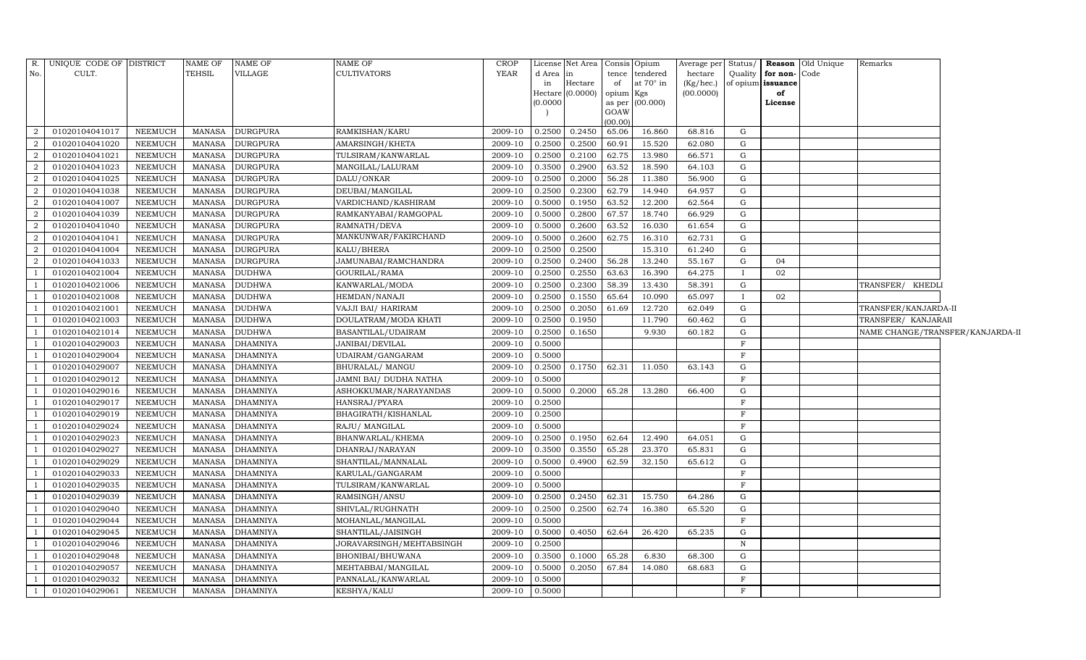| R.             | UNIQUE CODE OF DISTRICT |                | $\operatorname{NAME}$ OF | NAME OF         | NAME OF                  | <b>CROP</b> |                     | License Net Area   Consis   Opium |           |                  | Average per Status/ |              |                   | <b>Reason</b> Old Unique | Remarks                          |  |
|----------------|-------------------------|----------------|--------------------------|-----------------|--------------------------|-------------|---------------------|-----------------------------------|-----------|------------------|---------------------|--------------|-------------------|--------------------------|----------------------------------|--|
| No.            | CULT.                   |                | <b>TEHSIL</b>            | VILLAGE         | CULTIVATORS              | <b>YEAR</b> | d Area              | in                                | tence     | tendered         | hectare             | Quality      | for non-Code      |                          |                                  |  |
|                |                         |                |                          |                 |                          |             | in                  | Hectare                           | of        | at $70^\circ$ in | $(Kg/$ hec. $)$     |              | of opium issuance |                          |                                  |  |
|                |                         |                |                          |                 |                          |             | Hectare<br>(0.0000) | (0.0000)                          | opium Kgs | as per (00.000)  | (00.0000)           |              | of<br>License     |                          |                                  |  |
|                |                         |                |                          |                 |                          |             |                     |                                   | GOAW      |                  |                     |              |                   |                          |                                  |  |
|                |                         |                |                          |                 |                          |             |                     |                                   | (00.00)   |                  |                     |              |                   |                          |                                  |  |
| 2              | 01020104041017          | NEEMUCH        | MANASA                   | <b>DURGPURA</b> | RAMKISHAN/KARU           | 2009-10     | 0.2500              | 0.2450                            | 65.06     | 16.860           | 68.816              | G            |                   |                          |                                  |  |
| $\overline{2}$ | 01020104041020          | NEEMUCH        | <b>MANASA</b>            | <b>DURGPURA</b> | AMARSINGH/KHETA          | 2009-10     | 0.2500              | 0.2500                            | 60.91     | 15.520           | 62.080              | G            |                   |                          |                                  |  |
| 2              | 01020104041021          | NEEMUCH        | <b>MANASA</b>            | <b>DURGPURA</b> | TULSIRAM/KANWARLAL       | 2009-10     | 0.2500              | 0.2100                            | 62.75     | 13.980           | 66.571              | G            |                   |                          |                                  |  |
| 2              | 01020104041023          | <b>NEEMUCH</b> | <b>MANASA</b>            | <b>DURGPURA</b> | MANGILAL/LALURAM         | 2009-10     | 0.3500              | 0.2900                            | 63.52     | 18.590           | 64.103              | ${\rm G}$    |                   |                          |                                  |  |
| 2              | 01020104041025          | <b>NEEMUCH</b> | <b>MANASA</b>            | <b>DURGPURA</b> | DALU/ONKAR               | 2009-10     | 0.2500              | 0.2000                            | 56.28     | 11.380           | 56.900              | G            |                   |                          |                                  |  |
| 2              | 01020104041038          | <b>NEEMUCH</b> | <b>MANASA</b>            | <b>DURGPURA</b> | DEUBAI/MANGILAL          | 2009-10     | 0.2500              | 0.2300                            | 62.79     | 14.940           | 64.957              | G            |                   |                          |                                  |  |
| 2              | 01020104041007          | <b>NEEMUCH</b> | <b>MANASA</b>            | <b>DURGPURA</b> | VARDICHAND/KASHIRAM      | 2009-10     | 0.5000              | 0.1950                            | 63.52     | 12.200           | 62.564              | G            |                   |                          |                                  |  |
| 2              | 01020104041039          | NEEMUCH        | <b>MANASA</b>            | <b>DURGPURA</b> | RAMKANYABAI/RAMGOPAL     | 2009-10     | 0.5000              | 0.2800                            | 67.57     | 18.740           | 66.929              | ${\rm G}$    |                   |                          |                                  |  |
| 2              | 01020104041040          | NEEMUCH        | <b>MANASA</b>            | <b>DURGPURA</b> | RAMNATH/DEVA             | 2009-10     | 0.5000              | 0.2600                            | 63.52     | 16.030           | 61.654              | G            |                   |                          |                                  |  |
| 2              | 01020104041041          | <b>NEEMUCH</b> | <b>MANASA</b>            | <b>DURGPURA</b> | MANKUNWAR/FAKIRCHAND     | 2009-10     | 0.5000              | 0.2600                            | 62.75     | 16.310           | 62.731              | G            |                   |                          |                                  |  |
| 2              | 01020104041004          | NEEMUCH        | <b>MANASA</b>            | <b>DURGPURA</b> | KALU/BHERA               | 2009-10     | 0.2500              | 0.2500                            |           | 15.310           | 61.240              | G            |                   |                          |                                  |  |
| 2              | 01020104041033          | <b>NEEMUCH</b> | <b>MANASA</b>            | <b>DURGPURA</b> | JAMUNABAI/RAMCHANDRA     | 2009-10     | 0.2500              | 0.2400                            | 56.28     | 13.240           | 55.167              | G            | 04                |                          |                                  |  |
| $\overline{1}$ | 01020104021004          | <b>NEEMUCH</b> | <b>MANASA</b>            | <b>DUDHWA</b>   | GOURILAL/RAMA            | 2009-10     | 0.2500              | 0.2550                            | 63.63     | 16.390           | 64.275              | $\mathbf{I}$ | 02                |                          |                                  |  |
|                | 01020104021006          | <b>NEEMUCH</b> | <b>MANASA</b>            | <b>DUDHWA</b>   | KANWARLAL/MODA           | 2009-10     | 0.2500              | 0.2300                            | 58.39     | 13.430           | 58.391              | G            |                   |                          | TRANSFER/ KHEDLI                 |  |
| -1             | 01020104021008          | NEEMUCH        | <b>MANASA</b>            | <b>DUDHWA</b>   | HEMDAN/NANAJI            | 2009-10     | 0.2500              | 0.1550                            | 65.64     | 10.090           | 65.097              | L            | 02                |                          |                                  |  |
| $\overline{1}$ | 01020104021001          | <b>NEEMUCH</b> | <b>MANASA</b>            | <b>DUDHWA</b>   | VAJJI BAI/ HARIRAM       | 2009-10     | 0.2500              | 0.2050                            | 61.69     | 12.720           | 62.049              | G            |                   |                          | TRANSFER/KANJARDA-II             |  |
| <sup>1</sup>   | 01020104021003          | NEEMUCH        | <b>MANASA</b>            | <b>DUDHWA</b>   | DOULATRAM/MODA KHATI     | 2009-10     | 0.2500              | 0.1950                            |           | 11.790           | 60.462              | G            |                   |                          | TRANSFER/ KANJARAII              |  |
|                | 01020104021014          | <b>NEEMUCH</b> | <b>MANASA</b>            | <b>DUDHWA</b>   | BASANTILAL/UDAIRAM       | 2009-10     | 0.2500              | 0.1650                            |           | 9.930            | 60.182              | G            |                   |                          | NAME CHANGE/TRANSFER/KANJARDA-II |  |
| 1              | 01020104029003          | NEEMUCH        | <b>MANASA</b>            | <b>DHAMNIYA</b> | JANIBAI/DEVILAL          | 2009-10     | 0.5000              |                                   |           |                  |                     | $_{\rm F}$   |                   |                          |                                  |  |
| $\overline{1}$ | 01020104029004          | <b>NEEMUCH</b> | <b>MANASA</b>            | <b>DHAMNIYA</b> | UDAIRAM/GANGARAM         | 2009-10     | 0.5000              |                                   |           |                  |                     | F            |                   |                          |                                  |  |
| $\overline{1}$ | 01020104029007          | <b>NEEMUCH</b> | <b>MANASA</b>            | <b>DHAMNIYA</b> | BHURALAL/ MANGU          | 2009-10     | 0.2500              | 0.1750                            | 62.31     | 11.050           | 63.143              | G            |                   |                          |                                  |  |
|                | 01020104029012          | NEEMUCH        | <b>MANASA</b>            | <b>DHAMNIYA</b> | JAMNI BAI/ DUDHA NATHA   | 2009-10     | 0.5000              |                                   |           |                  |                     | $\mathbf{F}$ |                   |                          |                                  |  |
| 1              | 01020104029016          | NEEMUCH        | <b>MANASA</b>            | <b>DHAMNIYA</b> | ASHOKKUMAR/NARAYANDAS    | 2009-10     | 0.5000              | 0.2000                            | 65.28     | 13.280           | 66.400              | G            |                   |                          |                                  |  |
| -1             | 01020104029017          | <b>NEEMUCH</b> | <b>MANASA</b>            | <b>DHAMNIYA</b> | HANSRAJ/PYARA            | 2009-10     | 0.2500              |                                   |           |                  |                     | F            |                   |                          |                                  |  |
| $\overline{1}$ | 01020104029019          | NEEMUCH        | <b>MANASA</b>            | <b>DHAMNIYA</b> | BHAGIRATH/KISHANLAL      | 2009-10     | 0.2500              |                                   |           |                  |                     | $_{\rm F}$   |                   |                          |                                  |  |
|                | 01020104029024          | <b>NEEMUCH</b> | <b>MANASA</b>            | <b>DHAMNIYA</b> | RAJU/ MANGILAL           | 2009-10     | 0.5000              |                                   |           |                  |                     | F            |                   |                          |                                  |  |
| $\overline{1}$ | 01020104029023          | NEEMUCH        | <b>MANASA</b>            | <b>DHAMNIYA</b> | BHANWARLAL/KHEMA         | 2009-10     | 0.2500              | 0.1950                            | 62.64     | 12.490           | 64.051              | G            |                   |                          |                                  |  |
| $\overline{1}$ | 01020104029027          | <b>NEEMUCH</b> | <b>MANASA</b>            | <b>DHAMNIYA</b> | DHANRAJ/NARAYAN          | 2009-10     | 0.3500              | 0.3550                            | 65.28     | 23.370           | 65.831              | G            |                   |                          |                                  |  |
| $\overline{1}$ | 01020104029029          | NEEMUCH        | <b>MANASA</b>            | <b>DHAMNIYA</b> | SHANTILAL/MANNALAL       | 2009-10     | 0.5000              | 0.4900                            | 62.59     | 32.150           | 65.612              | ${\rm G}$    |                   |                          |                                  |  |
|                | 01020104029033          | <b>NEEMUCH</b> | <b>MANASA</b>            | <b>DHAMNIYA</b> | KARULAL/GANGARAM         | 2009-10     | 0.5000              |                                   |           |                  |                     | F            |                   |                          |                                  |  |
| -1             | 01020104029035          | <b>NEEMUCH</b> | <b>MANASA</b>            | <b>DHAMNIYA</b> | TULSIRAM/KANWARLAL       | 2009-10     | 0.5000              |                                   |           |                  |                     | F            |                   |                          |                                  |  |
| $\overline{1}$ | 01020104029039          | NEEMUCH        | <b>MANASA</b>            | <b>DHAMNIYA</b> | RAMSINGH/ANSU            | 2009-10     | 0.2500              | 0.2450                            | 62.31     | 15.750           | 64.286              | G            |                   |                          |                                  |  |
| $\overline{1}$ | 01020104029040          | NEEMUCH        | <b>MANASA</b>            | <b>DHAMNIYA</b> | SHIVLAL/RUGHNATH         | 2009-10     | 0.2500              | 0.2500                            | 62.74     | 16.380           | 65.520              | G            |                   |                          |                                  |  |
|                | 01020104029044          | <b>NEEMUCH</b> | <b>MANASA</b>            | <b>DHAMNIYA</b> | MOHANLAL/MANGILAL        | 2009-10     | 0.5000              |                                   |           |                  |                     | F            |                   |                          |                                  |  |
| $\overline{1}$ | 01020104029045          | NEEMUCH        | <b>MANASA</b>            | <b>DHAMNIYA</b> | SHANTILAL/JAISINGH       | 2009-10     | 0.5000              | 0.4050                            | 62.64     | 26.420           | 65.235              | G            |                   |                          |                                  |  |
| $\overline{1}$ | 01020104029046          | NEEMUCH        | <b>MANASA</b>            | <b>DHAMNIYA</b> | JORAVARSINGH/MEHTABSINGH | 2009-10     | 0.2500              |                                   |           |                  |                     | $\mathbf N$  |                   |                          |                                  |  |
| $\overline{1}$ | 01020104029048          | NEEMUCH        | <b>MANASA</b>            | <b>DHAMNIYA</b> | BHONIBAI/BHUWANA         | 2009-10     | 0.3500              | 0.1000                            | 65.28     | 6.830            | 68.300              | ${\rm G}$    |                   |                          |                                  |  |
|                | 01020104029057          | NEEMUCH        | <b>MANASA</b>            | <b>DHAMNIYA</b> | MEHTABBAI/MANGILAL       | 2009-10     | 0.5000              | 0.2050                            | 67.84     | 14.080           | 68.683              | G            |                   |                          |                                  |  |
| 1              | 01020104029032          | <b>NEEMUCH</b> | <b>MANASA</b>            | <b>DHAMNIYA</b> | PANNALAL/KANWARLAL       | 2009-10     | 0.5000              |                                   |           |                  |                     | F            |                   |                          |                                  |  |
| $\mathbf{1}$   | 01020104029061          | <b>NEEMUCH</b> | <b>MANASA</b>            | <b>DHAMNIYA</b> | KESHYA/KALU              | 2009-10     | 0.5000              |                                   |           |                  |                     | F            |                   |                          |                                  |  |
|                |                         |                |                          |                 |                          |             |                     |                                   |           |                  |                     |              |                   |                          |                                  |  |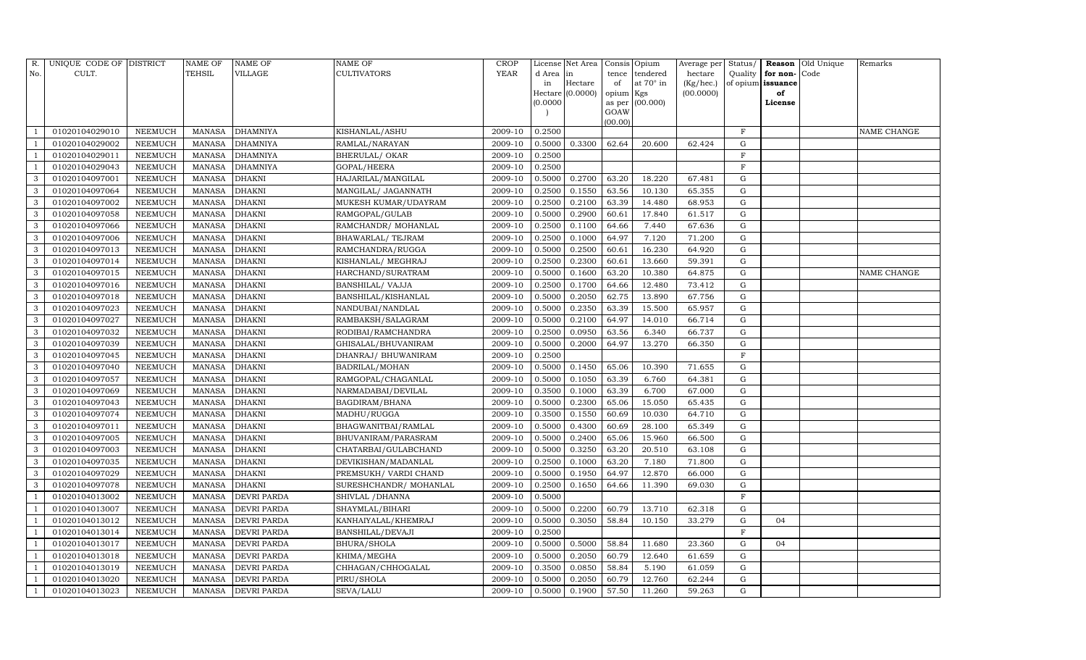| R.             | UNIQUE CODE OF DISTRICT |                | <b>NAME OF</b> | <b>NAME OF</b>     | <b>NAME OF</b>             | CROP                 |           | License Net Area |           | Consis Opium     | Average per | Status/      |                   | Reason Old Unique | Remarks     |
|----------------|-------------------------|----------------|----------------|--------------------|----------------------------|----------------------|-----------|------------------|-----------|------------------|-------------|--------------|-------------------|-------------------|-------------|
| No.            | CULT.                   |                | <b>TEHSIL</b>  | VILLAGE            | <b>CULTIVATORS</b>         | YEAR                 | d Area in |                  | tence     | tendered         | hectare     | Quality      | for non-          | Code              |             |
|                |                         |                |                |                    |                            |                      | in        | Hectare          | of        | at $70^\circ$ in | (Kg/hec.)   |              | of opium issuance |                   |             |
|                |                         |                |                |                    |                            |                      | (0.0000)  | Hectare (0.0000) | opium Kgs | as per (00.000)  | (00.0000)   |              | of<br>License     |                   |             |
|                |                         |                |                |                    |                            |                      |           |                  | GOAW      |                  |             |              |                   |                   |             |
|                |                         |                |                |                    |                            |                      |           |                  | (00.00)   |                  |             |              |                   |                   |             |
|                | 01020104029010          | NEEMUCH        | MANASA         | <b>DHAMNIYA</b>    | KISHANLAL/ASHU             | 2009-10              | 0.2500    |                  |           |                  |             | $\mathbf{F}$ |                   |                   | NAME CHANGE |
|                | 01020104029002          | NEEMUCH        | MANASA         | <b>DHAMNIYA</b>    | RAMLAL/NARAYAN             | 2009-10              | 0.5000    | 0.3300           | 62.64     | 20.600           | 62.424      | G            |                   |                   |             |
|                | 01020104029011          | NEEMUCH        | MANASA         | <b>DHAMNIYA</b>    | <b>BHERULAL/ OKAR</b>      | 2009-10              | 0.2500    |                  |           |                  |             | $\mathbf{F}$ |                   |                   |             |
|                | 01020104029043          | <b>NEEMUCH</b> | MANASA         | <b>DHAMNIYA</b>    | GOPAL/HEERA                | 2009-10              | 0.2500    |                  |           |                  |             | F            |                   |                   |             |
| 3              | 01020104097001          | NEEMUCH        | MANASA         | <b>DHAKNI</b>      | HAJARILAL/MANGILAL         | 2009-10              | 0.5000    | 0.2700           | 63.20     | 18.220           | 67.481      | G            |                   |                   |             |
| 3              | 01020104097064          | NEEMUCH        | <b>MANASA</b>  | <b>DHAKNI</b>      | MANGILAL/ JAGANNATH        | 2009-10              | 0.2500    | 0.1550           | 63.56     | 10.130           | 65.355      | G            |                   |                   |             |
| 3              | 01020104097002          | <b>NEEMUCH</b> | <b>MANASA</b>  | <b>DHAKNI</b>      | MUKESH KUMAR/UDAYRAM       | 2009-10              | 0.2500    | 0.2100           | 63.39     | 14.480           | 68.953      | G            |                   |                   |             |
| 3              | 01020104097058          | NEEMUCH        | MANASA         | <b>DHAKNI</b>      | RAMGOPAL/GULAB             | 2009-10              | 0.5000    | 0.2900           | 60.61     | 17.840           | 61.517      | G            |                   |                   |             |
| 3              | 01020104097066          | NEEMUCH        | <b>MANASA</b>  | <b>DHAKNI</b>      | RAMCHANDR/ MOHANLAL        | 2009-10              | 0.2500    | 0.1100           | 64.66     | 7.440            | 67.636      | G            |                   |                   |             |
| 3              | 01020104097006          | NEEMUCH        | MANASA         | <b>DHAKNI</b>      | BHAWARLAL/ TEJRAM          | 2009-10              | 0.2500    | 0.1000           | 64.97     | 7.120            | 71.200      | G            |                   |                   |             |
| 3              | 01020104097013          | <b>NEEMUCH</b> | <b>MANASA</b>  | <b>DHAKNI</b>      | RAMCHANDRA/RUGGA           | 2009-10              | 0.5000    | 0.2500           | 60.61     | 16.230           | 64.920      | G            |                   |                   |             |
| 3              | 01020104097014          | NEEMUCH        | MANASA         | <b>DHAKNI</b>      | KISHANLAL/ MEGHRAJ         | 2009-10              | 0.2500    | 0.2300           | 60.61     | 13.660           | 59.391      | $\mathbf G$  |                   |                   |             |
| 3              | 01020104097015          | NEEMUCH        | <b>MANASA</b>  | <b>DHAKNI</b>      | HARCHAND/SURATRAM          | 2009-10              | 0.5000    | 0.1600           | 63.20     | 10.380           | 64.875      | $\mathbf G$  |                   |                   | NAME CHANGE |
| 3              | 01020104097016          | NEEMUCH        | MANASA         | <b>DHAKNI</b>      | <b>BANSHILAL/ VAJJA</b>    | 2009-10              | 0.2500    | 0.1700           | 64.66     | 12.480           | 73.412      | G            |                   |                   |             |
| 3              | 01020104097018          | NEEMUCH        | MANASA         | <b>DHAKNI</b>      | BANSHILAL/KISHANLAL        | $\overline{2009-10}$ | 0.5000    | 0.2050           | 62.75     | 13.890           | 67.756      | G            |                   |                   |             |
| 3              | 01020104097023          | NEEMUCH        | MANASA         | <b>DHAKNI</b>      | NANDUBAI/NANDLAL           | 2009-10              | 0.5000    | 0.2350           | 63.39     | 15.500           | 65.957      | G            |                   |                   |             |
| 3              | 01020104097027          | <b>NEEMUCH</b> | <b>MANASA</b>  | <b>DHAKNI</b>      | RAMBAKSH/SALAGRAM          | 2009-10              | 0.5000    | 0.2100           | 64.97     | 14.010           | 66.714      | $\mathbf G$  |                   |                   |             |
| 3              | 01020104097032          | NEEMUCH        | MANASA         | <b>DHAKNI</b>      | RODIBAI/RAMCHANDRA         | 2009-10              | 0.2500    | 0.0950           | 63.56     | 6.340            | 66.737      | G            |                   |                   |             |
| 3              | 01020104097039          | NEEMUCH        | MANASA         | <b>DHAKNI</b>      | GHISALAL/BHUVANIRAM        | 2009-10              | 0.5000    | 0.2000           | 64.97     | 13.270           | 66.350      | G            |                   |                   |             |
| 3              | 01020104097045          | <b>NEEMUCH</b> | MANASA         | <b>DHAKNI</b>      | DHANRAJ/ BHUWANIRAM        | 2009-10              | 0.2500    |                  |           |                  |             | $\mathbf{F}$ |                   |                   |             |
| 3              | 01020104097040          | NEEMUCH        | <b>MANASA</b>  | <b>DHAKNI</b>      | BADRILAL/MOHAN             | 2009-10              | 0.5000    | 0.1450           | 65.06     | 10.390           | 71.655      | G            |                   |                   |             |
| 3              | 01020104097057          | <b>NEEMUCH</b> | <b>MANASA</b>  | <b>DHAKNI</b>      | RAMGOPAL/CHAGANLAL         | 2009-10              | 0.5000    | 0.1050           | 63.39     | 6.760            | 64.381      | G            |                   |                   |             |
| 3              | 01020104097069          | NEEMUCH        | MANASA         | <b>DHAKNI</b>      | NARMADABAI/DEVILAL         | 2009-10              | 0.3500    | 0.1000           | 63.39     | 6.700            | 67.000      | G            |                   |                   |             |
| 3              | 01020104097043          | <b>NEEMUCH</b> | MANASA         | <b>DHAKNI</b>      | BAGDIRAM/BHANA             | 2009-10              | 0.5000    | 0.2300           | 65.06     | 15.050           | 65.435      | G            |                   |                   |             |
| 3              | 01020104097074          | NEEMUCH        | <b>MANASA</b>  | <b>DHAKNI</b>      | MADHU/RUGGA                | 2009-10              | 0.3500    | 0.1550           | 60.69     | 10.030           | 64.710      | G            |                   |                   |             |
| 3              | 01020104097011          | <b>NEEMUCH</b> | MANASA         | <b>DHAKNI</b>      | BHAGWANITBAI/RAMLAL        | 2009-10              | 0.5000    | 0.4300           | 60.69     | 28.100           | 65.349      | G            |                   |                   |             |
| 3              | 01020104097005          | <b>NEEMUCH</b> | MANASA         | <b>DHAKNI</b>      | <b>BHUVANIRAM/PARASRAM</b> | 2009-10              | 0.5000    | 0.2400           | 65.06     | 15.960           | 66.500      | ${\rm G}$    |                   |                   |             |
| 3              | 01020104097003          | <b>NEEMUCH</b> | <b>MANASA</b>  | <b>DHAKNI</b>      | CHATARBAI/GULABCHAND       | 2009-10              | 0.5000    | 0.3250           | 63.20     | 20.510           | 63.108      | $\mathbf G$  |                   |                   |             |
| 3              | 01020104097035          | NEEMUCH        | MANASA         | <b>DHAKNI</b>      | DEVIKISHAN/MADANLAL        | 2009-10              | 0.2500    | 0.1000           | 63.20     | 7.180            | 71.800      | ${\rm G}$    |                   |                   |             |
| 3              | 01020104097029          | <b>NEEMUCH</b> | <b>MANASA</b>  | <b>DHAKNI</b>      | PREMSUKH/ VARDI CHAND      | 2009-10              | 0.5000    | 0.1950           | 64.97     | 12.870           | 66.000      | ${\rm G}$    |                   |                   |             |
| 3              | 01020104097078          | <b>NEEMUCH</b> | MANASA         | <b>DHAKNI</b>      | SURESHCHANDR/ MOHANLAL     | 2009-10              | 0.2500    | 0.1650           | 64.66     | 11.390           | 69.030      | $\mathbf G$  |                   |                   |             |
|                | 01020104013002          | NEEMUCH        | <b>MANASA</b>  | <b>DEVRI PARDA</b> | SHIVLAL / DHANNA           | 2009-10              | 0.5000    |                  |           |                  |             | $\mathbf F$  |                   |                   |             |
|                | 01020104013007          | <b>NEEMUCH</b> | MANASA         | <b>DEVRI PARDA</b> | SHAYMLAL/BIHARI            | 2009-10              | 0.5000    | 0.2200           | 60.79     | 13.710           | 62.318      | ${\rm G}$    |                   |                   |             |
|                | 01020104013012          | <b>NEEMUCH</b> | <b>MANASA</b>  | <b>DEVRI PARDA</b> | KANHAIYALAL/KHEMRAJ        | 2009-10              | 0.5000    | 0.3050           | 58.84     | 10.150           | 33.279      | ${\rm G}$    | 04                |                   |             |
| - 1            | 01020104013014          | NEEMUCH        | MANASA         | <b>DEVRI PARDA</b> | BANSHILAL/DEVAJI           | 2009-10              | 0.2500    |                  |           |                  |             | $\mathbf F$  |                   |                   |             |
|                | 01020104013017          | <b>NEEMUCH</b> | MANASA         | <b>DEVRI PARDA</b> | <b>BHURA/SHOLA</b>         | 2009-10              | 0.5000    | 0.5000           | 58.84     | 11.680           | 23.360      | $\mathbf G$  | 04                |                   |             |
|                | 01020104013018          | <b>NEEMUCH</b> | MANASA         | <b>DEVRI PARDA</b> | KHIMA/MEGHA                | 2009-10              | 0.5000    | 0.2050           | 60.79     | 12.640           | 61.659      | G            |                   |                   |             |
|                | 01020104013019          | NEEMUCH        | MANASA         | <b>DEVRI PARDA</b> | CHHAGAN/CHHOGALAL          | 2009-10              | 0.3500    | 0.0850           | 58.84     | 5.190            | 61.059      | G            |                   |                   |             |
| $\overline{1}$ | 01020104013020          | NEEMUCH        | MANASA         | <b>DEVRI PARDA</b> | PIRU/SHOLA                 | 2009-10              | 0.5000    | 0.2050           | 60.79     | 12.760           | 62.244      | G            |                   |                   |             |
| 1              | 01020104013023          | <b>NEEMUCH</b> |                | MANASA DEVRI PARDA | SEVA/LALU                  | 2009-10              | 0.5000    | 0.1900           | 57.50     | 11.260           | 59.263      | G            |                   |                   |             |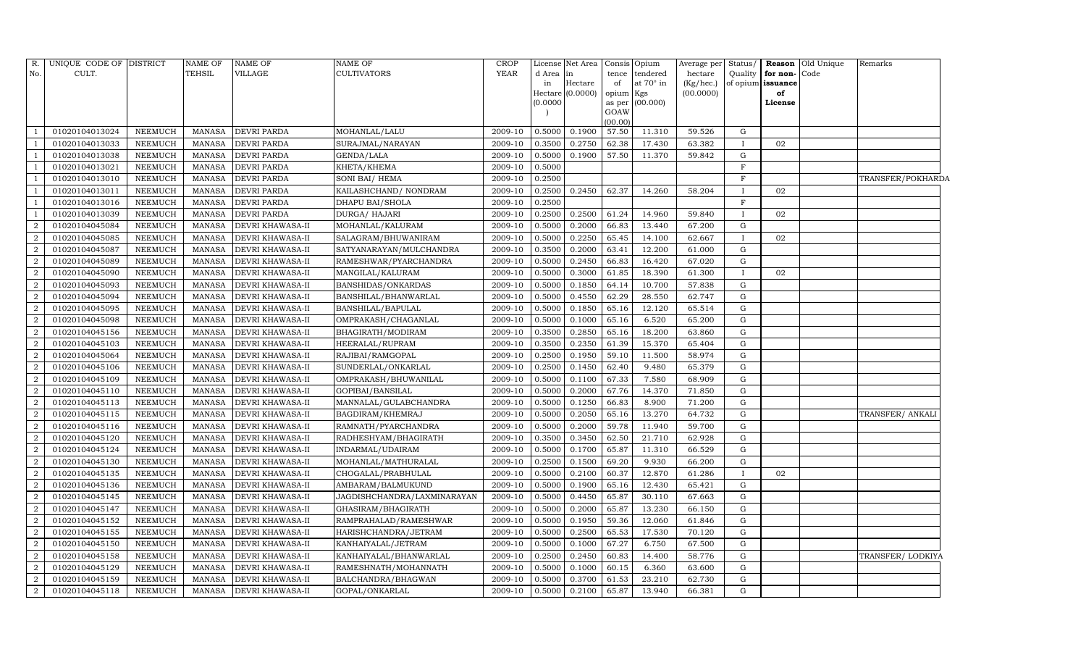| R.               | UNIQUE CODE OF DISTRICT |                | <b>NAME OF</b> | <b>NAME OF</b>          | <b>NAME OF</b>              | <b>CROP</b> |          | License Net Area |           | Consis Opium    | Average per | Status/      |                   | <b>Reason</b> Old Unique | Remarks           |
|------------------|-------------------------|----------------|----------------|-------------------------|-----------------------------|-------------|----------|------------------|-----------|-----------------|-------------|--------------|-------------------|--------------------------|-------------------|
| No.              | CULT.                   |                | <b>TEHSIL</b>  | VILLAGE                 | <b>CULTIVATORS</b>          | YEAR        | d Area   | in               | tence     | tendered        | hectare     | Quality      | for non-Code      |                          |                   |
|                  |                         |                |                |                         |                             |             | in       | Hectare          | of        | at 70° in       | (Kg/hec.)   |              | of opium issuance |                          |                   |
|                  |                         |                |                |                         |                             |             |          | Hectare (0.0000) | opium Kgs |                 | (00.0000)   |              | of                |                          |                   |
|                  |                         |                |                |                         |                             |             | (0.0000) |                  | GOAW      | as per (00.000) |             |              | License           |                          |                   |
|                  |                         |                |                |                         |                             |             |          |                  | (00.00)   |                 |             |              |                   |                          |                   |
|                  | 01020104013024          | NEEMUCH        | MANASA         | <b>DEVRI PARDA</b>      | MOHANLAL/LALU               | 2009-10     | 0.5000   | 0.1900           | 57.50     | 11.310          | 59.526      | G            |                   |                          |                   |
|                  | 01020104013033          | <b>NEEMUCH</b> | <b>MANASA</b>  | <b>DEVRI PARDA</b>      | SURAJMAL/NARAYAN            | 2009-10     | 0.3500   | 0.2750           | 62.38     | 17.430          | 63.382      | $\mathbf{I}$ | 02                |                          |                   |
|                  | 01020104013038          | NEEMUCH        | <b>MANASA</b>  | <b>DEVRI PARDA</b>      | GENDA/LALA                  | 2009-10     | 0.5000   | 0.1900           | 57.50     | 11.370          | 59.842      | G            |                   |                          |                   |
|                  | 01020104013021          | NEEMUCH        | <b>MANASA</b>  | <b>DEVRI PARDA</b>      | KHETA/KHEMA                 | 2009-10     | 0.5000   |                  |           |                 |             | F            |                   |                          |                   |
|                  | 01020104013010          | <b>NEEMUCH</b> | <b>MANASA</b>  | <b>DEVRI PARDA</b>      | SONI BAI/ HEMA              | 2009-10     | 0.2500   |                  |           |                 |             | $\mathbf F$  |                   |                          | TRANSFER/POKHARDA |
|                  | 01020104013011          | NEEMUCH        | <b>MANASA</b>  | <b>DEVRI PARDA</b>      | KAILASHCHAND/NONDRAM        | 2009-10     | 0.2500   | 0.2450           | 62.37     | 14.260          | 58.204      | $\mathbf{I}$ | 02                |                          |                   |
|                  | 01020104013016          | NEEMUCH        | <b>MANASA</b>  | <b>DEVRI PARDA</b>      | DHAPU BAI/SHOLA             | 2009-10     | 0.2500   |                  |           |                 |             | $\mathbf F$  |                   |                          |                   |
|                  | 01020104013039          | NEEMUCH        | <b>MANASA</b>  | <b>DEVRI PARDA</b>      | DURGA/ HAJARI               | 2009-10     | 0.2500   | 0.2500           | 61.24     | 14.960          | 59.840      | $\mathbf I$  | 02                |                          |                   |
| $\overline{2}$   | 01020104045084          | NEEMUCH        | <b>MANASA</b>  | <b>DEVRI KHAWASA-II</b> | MOHANLAL/KALURAM            | 2009-10     | 0.5000   | 0.2000           | 66.83     | 13.440          | 67.200      | G            |                   |                          |                   |
| $\overline{2}$   | 01020104045085          | NEEMUCH        | <b>MANASA</b>  | <b>DEVRI KHAWASA-II</b> | SALAGRAM/BHUWANIRAM         | 2009-10     | 0.5000   | 0.2250           | 65.45     | 14.100          | 62.667      | $\mathbf{I}$ | 02                |                          |                   |
| $\overline{2}$   | 01020104045087          | <b>NEEMUCH</b> | <b>MANASA</b>  | <b>DEVRI KHAWASA-II</b> | SATYANARAYAN/MULCHANDRA     | 2009-10     | 0.3500   | 0.2000           | 63.41     | 12.200          | 61.000      | G            |                   |                          |                   |
| $\overline{2}$   | 01020104045089          | NEEMUCH        | <b>MANASA</b>  | DEVRI KHAWASA-II        | RAMESHWAR/PYARCHANDRA       | 2009-10     | 0.5000   | 0.2450           | 66.83     | 16.420          | 67.020      | G            |                   |                          |                   |
| $\overline{2}$   | 01020104045090          | <b>NEEMUCH</b> | <b>MANASA</b>  | <b>DEVRI KHAWASA-II</b> | MANGILAL/KALURAM            | 2009-10     | 0.5000   | 0.3000           | 61.85     | 18.390          | 61.300      | $\mathbf{I}$ | 02                |                          |                   |
| 2                | 01020104045093          | NEEMUCH        | <b>MANASA</b>  | <b>DEVRI KHAWASA-II</b> | <b>BANSHIDAS/ONKARDAS</b>   | 2009-10     | 0.5000   | 0.1850           | 64.14     | 10.700          | 57.838      | G            |                   |                          |                   |
| $\overline{2}$   | 01020104045094          | <b>NEEMUCH</b> | <b>MANASA</b>  | <b>DEVRI KHAWASA-II</b> | BANSHILAL/BHANWARLAL        | 2009-10     | 0.5000   | 0.4550           | 62.29     | 28.550          | 62.747      | G            |                   |                          |                   |
| $\overline{2}$   | 01020104045095          | NEEMUCH        | <b>MANASA</b>  | <b>DEVRI KHAWASA-II</b> | BANSHILAL/BAPULAL           | 2009-10     | 0.5000   | 0.1850           | 65.16     | 12.120          | 65.514      | G            |                   |                          |                   |
| 2                | 01020104045098          | NEEMUCH        | <b>MANASA</b>  | DEVRI KHAWASA-II        | OMPRAKASH/CHAGANLAL         | 2009-10     | 0.5000   | 0.1000           | 65.16     | 6.520           | 65.200      | G            |                   |                          |                   |
| 2                | 01020104045156          | NEEMUCH        | <b>MANASA</b>  | DEVRI KHAWASA-II        | BHAGIRATH/MODIRAM           | 2009-10     | 0.3500   | 0.2850           | 65.16     | 18.200          | 63.860      | G            |                   |                          |                   |
| $\boldsymbol{2}$ | 01020104045103          | NEEMUCH        | <b>MANASA</b>  | <b>DEVRI KHAWASA-II</b> | HEERALAL/RUPRAM             | 2009-10     | 0.3500   | 0.2350           | 61.39     | 15.370          | 65.404      | G            |                   |                          |                   |
| $\overline{2}$   | 01020104045064          | NEEMUCH        | <b>MANASA</b>  | <b>DEVRI KHAWASA-II</b> | RAJIBAI/RAMGOPAL            | 2009-10     | 0.2500   | 0.1950           | 59.10     | 11.500          | 58.974      | G            |                   |                          |                   |
| $\sqrt{2}$       | 01020104045106          | NEEMUCH        | <b>MANASA</b>  | <b>DEVRI KHAWASA-II</b> | SUNDERLAL/ONKARLAL          | 2009-10     | 0.2500   | 0.1450           | 62.40     | 9.480           | 65.379      | ${\rm G}$    |                   |                          |                   |
| $\overline{2}$   | 01020104045109          | NEEMUCH        | <b>MANASA</b>  | <b>DEVRI KHAWASA-II</b> | OMPRAKASH/BHUWANILAL        | 2009-10     | 0.5000   | 0.1100           | 67.33     | 7.580           | 68.909      | G            |                   |                          |                   |
| $\overline{2}$   | 01020104045110          | NEEMUCH        | <b>MANASA</b>  | <b>DEVRI KHAWASA-II</b> | GOPIBAI/BANSILAL            | 2009-10     | 0.5000   | 0.2000           | 67.76     | 14.370          | 71.850      | G            |                   |                          |                   |
| $\overline{2}$   | 01020104045113          | <b>NEEMUCH</b> | <b>MANASA</b>  | <b>DEVRI KHAWASA-II</b> | MANNALAL/GULABCHANDRA       | 2009-10     | 0.5000   | 0.1250           | 66.83     | 8.900           | 71.200      | G            |                   |                          |                   |
| $\overline{2}$   | 01020104045115          | NEEMUCH        | <b>MANASA</b>  | <b>DEVRI KHAWASA-II</b> | BAGDIRAM/KHEMRAJ            | 2009-10     | 0.5000   | 0.2050           | 65.16     | 13.270          | 64.732      | G            |                   |                          | TRANSFER/ANKALI   |
| $\overline{2}$   | 01020104045116          | <b>NEEMUCH</b> | <b>MANASA</b>  | <b>DEVRI KHAWASA-II</b> | RAMNATH/PYARCHANDRA         | 2009-10     | 0.5000   | 0.2000           | 59.78     | 11.940          | 59.700      | G            |                   |                          |                   |
| $\boldsymbol{2}$ | 01020104045120          | NEEMUCH        | <b>MANASA</b>  | <b>DEVRI KHAWASA-II</b> | RADHESHYAM/BHAGIRATH        | 2009-10     | 0.3500   | 0.3450           | 62.50     | 21.710          | 62.928      | G            |                   |                          |                   |
| $\overline{2}$   | 01020104045124          | <b>NEEMUCH</b> | <b>MANASA</b>  | DEVRI KHAWASA-II        | INDARMAL/UDAIRAM            | 2009-10     | 0.5000   | 0.1700           | 65.87     | 11.310          | 66.529      | G            |                   |                          |                   |
| $\overline{2}$   | 01020104045130          | <b>NEEMUCH</b> | <b>MANASA</b>  | DEVRI KHAWASA-II        | MOHANLAL/MATHURALAL         | 2009-10     | 0.2500   | 0.1500           | 69.20     | 9.930           | 66.200      | G            |                   |                          |                   |
| $\boldsymbol{2}$ | 01020104045135          | NEEMUCH        | <b>MANASA</b>  | <b>DEVRI KHAWASA-II</b> | CHOGALAL/PRABHULAL          | 2009-10     | 0.5000   | 0.2100           | 60.37     | 12.870          | 61.286      | $\mathbf{I}$ | 02                |                          |                   |
| $\overline{2}$   | 01020104045136          | NEEMUCH        | <b>MANASA</b>  | DEVRI KHAWASA-II        | AMBARAM/BALMUKUND           | 2009-10     | 0.5000   | 0.1900           | 65.16     | 12.430          | 65.421      | G            |                   |                          |                   |
| $\overline{2}$   | 01020104045145          | <b>NEEMUCH</b> | <b>MANASA</b>  | <b>DEVRI KHAWASA-II</b> | JAGDISHCHANDRA/LAXMINARAYAN | 2009-10     | 0.5000   | 0.4450           | 65.87     | 30.110          | 67.663      | G            |                   |                          |                   |
| 2                | 01020104045147          | <b>NEEMUCH</b> | <b>MANASA</b>  | <b>DEVRI KHAWASA-II</b> | GHASIRAM/BHAGIRATH          | 2009-10     | 0.5000   | 0.2000           | 65.87     | 13.230          | 66.150      | G            |                   |                          |                   |
| $\overline{2}$   | 01020104045152          | <b>NEEMUCH</b> | <b>MANASA</b>  | <b>DEVRI KHAWASA-II</b> | RAMPRAHALAD/RAMESHWAR       | 2009-10     | 0.5000   | 0.1950           | 59.36     | 12.060          | 61.846      | G            |                   |                          |                   |
| $\overline{2}$   | 01020104045155          | NEEMUCH        | <b>MANASA</b>  | <b>DEVRI KHAWASA-II</b> | HARISHCHANDRA/JETRAM        | 2009-10     | 0.5000   | 0.2500           | 65.53     | 17.530          | 70.120      | G            |                   |                          |                   |
| $\overline{2}$   | 01020104045150          | NEEMUCH        | <b>MANASA</b>  | DEVRI KHAWASA-II        | KANHAIYALAL/JETRAM          | 2009-10     | 0.5000   | 0.1000           | 67.27     | 6.750           | 67.500      | G            |                   |                          |                   |
| $\overline{2}$   | 01020104045158          | <b>NEEMUCH</b> | <b>MANASA</b>  | <b>DEVRI KHAWASA-II</b> | KANHAIYALAL/BHANWARLAL      | 2009-10     | 0.2500   | 0.2450           | 60.83     | 14.400          | 58.776      | G            |                   |                          | TRANSFER/ LODKIYA |
| $\overline{2}$   | 01020104045129          | <b>NEEMUCH</b> | <b>MANASA</b>  | <b>DEVRI KHAWASA-II</b> | RAMESHNATH/MOHANNATH        | 2009-10     | 0.5000   | 0.1000           | 60.15     | 6.360           | 63.600      | G            |                   |                          |                   |
| $\overline{2}$   | 01020104045159          | <b>NEEMUCH</b> | <b>MANASA</b>  | <b>DEVRI KHAWASA-II</b> | BALCHANDRA/BHAGWAN          | 2009-10     | 0.5000   | 0.3700           | 61.53     | 23.210          | 62.730      | G            |                   |                          |                   |
| $\overline{2}$   | 01020104045118          | NEEMUCH        | <b>MANASA</b>  | <b>DEVRI KHAWASA-II</b> | GOPAL/ONKARLAL              | 2009-10     | 0.5000   | 0.2100           | 65.87     | 13.940          | 66.381      | $\mathbf G$  |                   |                          |                   |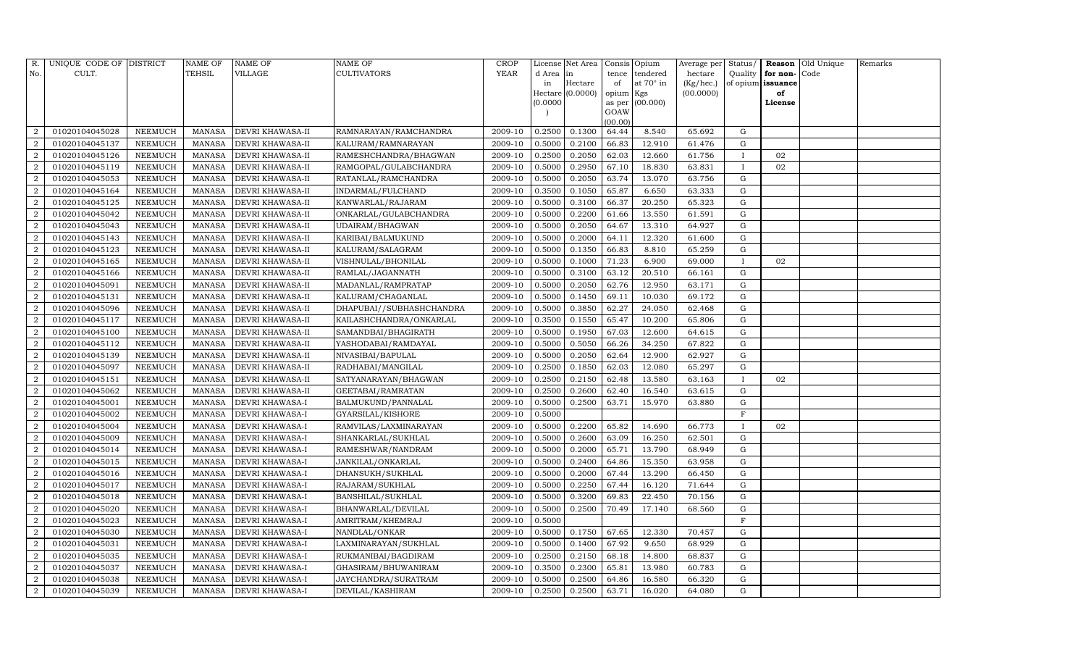| R.                          | UNIQUE CODE OF DISTRICT |                | <b>NAME OF</b> | NAME OF                | NAME OF                  | <b>CROP</b> |           | License Net Area |                 | Consis Opium | Average per | Status/      |          | Reason Old Unique | Remarks |
|-----------------------------|-------------------------|----------------|----------------|------------------------|--------------------------|-------------|-----------|------------------|-----------------|--------------|-------------|--------------|----------|-------------------|---------|
| No.                         | CULT.                   |                | TEHSIL         | VILLAGE                | CULTIVATORS              | YEAR        | d Area in |                  | tence           | tendered     | hectare     | Quality      | for non- | Code              |         |
|                             |                         |                |                |                        |                          |             | in        | Hectare          | of              | at 70° in    | (Kg/hec.)   | of opium     | issuance |                   |         |
|                             |                         |                |                |                        |                          |             |           | Hectare (0.0000) | opium Kgs       |              | (00.0000)   |              | of       |                   |         |
|                             |                         |                |                |                        |                          |             | (0.0000)  |                  | as per          | (00.000)     |             |              | License  |                   |         |
|                             |                         |                |                |                        |                          |             |           |                  | GOAW<br>(00.00) |              |             |              |          |                   |         |
| $\mathcal{D}_{\mathcal{L}}$ | 01020104045028          | NEEMUCH        | MANASA         | DEVRI KHAWASA-II       | RAMNARAYAN/RAMCHANDRA    | 2009-10     | 0.2500    | 0.1300           | 64.44           | 8.540        | 65.692      | G            |          |                   |         |
| $\overline{2}$              | 01020104045137          | NEEMUCH        | <b>MANASA</b>  | DEVRI KHAWASA-II       | KALURAM/RAMNARAYAN       | 2009-10     | 0.5000    | 0.2100           | 66.83           | 12.910       | 61.476      | G            |          |                   |         |
| 2                           | 01020104045126          | NEEMUCH        | <b>MANASA</b>  | DEVRI KHAWASA-II       | RAMESHCHANDRA/BHAGWAN    | 2009-10     | 0.2500    | 0.2050           | 62.03           | 12.660       | 61.756      | $\mathbf I$  | 02       |                   |         |
| 2                           | 01020104045119          | NEEMUCH        | <b>MANASA</b>  | DEVRI KHAWASA-II       | RAMGOPAL/GULABCHANDRA    | 2009-10     | 0.5000    | 0.2950           | 67.10           | 18.830       | 63.831      | $\mathbf{I}$ | 02       |                   |         |
| $\overline{2}$              | 01020104045053          | NEEMUCH        | <b>MANASA</b>  | DEVRI KHAWASA-II       | RATANLAL/RAMCHANDRA      | 2009-10     | 0.5000    | 0.2050           | 63.74           | 13.070       | 63.756      | G            |          |                   |         |
| $\overline{2}$              | 01020104045164          | NEEMUCH        | <b>MANASA</b>  | DEVRI KHAWASA-II       | INDARMAL/FULCHAND        | 2009-10     | 0.3500    | 0.1050           | 65.87           | 6.650        | 63.333      | $\mathbf G$  |          |                   |         |
| $\overline{2}$              | 01020104045125          | NEEMUCH        | <b>MANASA</b>  | DEVRI KHAWASA-II       | KANWARLAL/RAJARAM        | 2009-10     | 0.5000    | 0.3100           | 66.37           | 20.250       | 65.323      | G            |          |                   |         |
| 2                           | 01020104045042          | NEEMUCH        | <b>MANASA</b>  | DEVRI KHAWASA-II       | ONKARLAL/GULABCHANDRA    | 2009-10     | 0.5000    | 0.2200           | 61.66           | 13.550       | 61.591      | $\mathbf G$  |          |                   |         |
| $\overline{2}$              | 01020104045043          | <b>NEEMUCH</b> | <b>MANASA</b>  | DEVRI KHAWASA-II       | UDAIRAM/BHAGWAN          | 2009-10     | 0.5000    | 0.2050           | 64.67           | 13.310       | 64.927      | G            |          |                   |         |
| $\overline{2}$              | 01020104045143          | NEEMUCH        | <b>MANASA</b>  | DEVRI KHAWASA-II       | KARIBAI/BALMUKUND        | 2009-10     | 0.5000    | 0.2000           | 64.11           | 12.320       | 61.600      | ${\rm G}$    |          |                   |         |
| $\overline{2}$              | 01020104045123          | NEEMUCH        | <b>MANASA</b>  | DEVRI KHAWASA-II       | KALURAM/SALAGRAM         | 2009-10     | 0.5000    | 0.1350           | 66.83           | 8.810        | 65.259      | ${\rm G}$    |          |                   |         |
| $\overline{2}$              | 01020104045165          | NEEMUCH        | <b>MANASA</b>  | DEVRI KHAWASA-II       | VISHNULAL/BHONILAL       | 2009-10     | 0.5000    | 0.1000           | 71.23           | 6.900        | 69.000      | П            | 02       |                   |         |
| $\overline{2}$              | 01020104045166          | <b>NEEMUCH</b> | <b>MANASA</b>  | DEVRI KHAWASA-II       | RAMLAL/JAGANNATH         | 2009-10     | 0.5000    | 0.3100           | 63.12           | 20.510       | 66.161      | ${\rm G}$    |          |                   |         |
| 2                           | 01020104045091          | NEEMUCH        | MANASA         | DEVRI KHAWASA-II       | MADANLAL/RAMPRATAP       | 2009-10     | 0.5000    | 0.2050           | 62.76           | 12.950       | 63.171      | G            |          |                   |         |
| $\overline{2}$              | 01020104045131          | NEEMUCH        | MANASA         | DEVRI KHAWASA-II       | KALURAM/CHAGANLAL        | 2009-10     | 0.5000    | 0.1450           | 69.11           | 10.030       | 69.172      | G            |          |                   |         |
| 2                           | 01020104045096          | NEEMUCH        | <b>MANASA</b>  | DEVRI KHAWASA-II       | DHAPUBAI//SUBHASHCHANDRA | 2009-10     | 0.5000    | 0.3850           | 62.27           | 24.050       | 62.468      | G            |          |                   |         |
| $\mathcal{D}$               | 01020104045117          | <b>NEEMUCH</b> | <b>MANASA</b>  | DEVRI KHAWASA-II       | KAILASHCHANDRA/ONKARLAL  | 2009-10     | 0.3500    | 0.1550           | 65.47           | 10.200       | 65.806      | G            |          |                   |         |
| 2                           | 01020104045100          | NEEMUCH        | MANASA         | DEVRI KHAWASA-II       | SAMANDBAI/BHAGIRATH      | 2009-10     | 0.5000    | 0.1950           | 67.03           | 12.600       | 64.615      | G            |          |                   |         |
| $\overline{2}$              | 01020104045112          | NEEMUCH        | <b>MANASA</b>  | DEVRI KHAWASA-II       | YASHODABAI/RAMDAYAL      | 2009-10     | 0.5000    | 0.5050           | 66.26           | 34.250       | 67.822      | $\mathbf G$  |          |                   |         |
| 2                           | 01020104045139          | NEEMUCH        | <b>MANASA</b>  | DEVRI KHAWASA-II       | NIVASIBAI/BAPULAL        | 2009-10     | 0.5000    | 0.2050           | 62.64           | 12.900       | 62.927      | G            |          |                   |         |
| $\overline{2}$              | 01020104045097          | NEEMUCH        | <b>MANASA</b>  | DEVRI KHAWASA-II       | RADHABAI/MANGILAL        | 2009-10     | 0.2500    | 0.1850           | 62.03           | 12.080       | 65.297      | $\mathbf G$  |          |                   |         |
| $\mathcal{D}$               | 01020104045151          | <b>NEEMUCH</b> | <b>MANASA</b>  | DEVRI KHAWASA-II       | SATYANARAYAN/BHAGWAN     | 2009-10     | 0.2500    | 0.2150           | 62.48           | 13.580       | 63.163      |              | 02       |                   |         |
| $\mathcal{D}$               | 01020104045062          | NEEMUCH        | <b>MANASA</b>  | DEVRI KHAWASA-II       | GEETABAI/RAMRATAN        | 2009-10     | 0.2500    | 0.2600           | 62.40           | 16.540       | 63.615      | G            |          |                   |         |
| 2                           | 01020104045001          | NEEMUCH        | <b>MANASA</b>  | DEVRI KHAWASA-I        | BALMUKUND/PANNALAL       | 2009-10     | 0.5000    | 0.2500           | 63.71           | 15.970       | 63.880      | $\mathbf G$  |          |                   |         |
| $\overline{2}$              | 01020104045002          | NEEMUCH        | <b>MANASA</b>  | DEVRI KHAWASA-I        | GYARSILAL/KISHORE        | 2009-10     | 0.5000    |                  |                 |              |             | $\mathbf{F}$ |          |                   |         |
| $\overline{2}$              | 01020104045004          | NEEMUCH        | <b>MANASA</b>  | DEVRI KHAWASA-I        | RAMVILAS/LAXMINARAYAN    | 2009-10     | 0.5000    | 0.2200           | 65.82           | 14.690       | 66.773      |              | 02       |                   |         |
| 2                           | 01020104045009          | NEEMUCH        | <b>MANASA</b>  | DEVRI KHAWASA-I        | SHANKARLAL/SUKHLAL       | 2009-10     | 0.5000    | 0.2600           | 63.09           | 16.250       | 62.501      | G            |          |                   |         |
| $\overline{2}$              | 01020104045014          | NEEMUCH        | <b>MANASA</b>  | DEVRI KHAWASA-I        | RAMESHWAR/NANDRAM        | 2009-10     | 0.5000    | 0.2000           | 65.71           | 13.790       | 68.949      | G            |          |                   |         |
| $\overline{2}$              | 01020104045015          | NEEMUCH        | <b>MANASA</b>  | DEVRI KHAWASA-I        | JANKILAL/ONKARLAL        | 2009-10     | 0.5000    | 0.2400           | 64.86           | 15.350       | 63.958      | G            |          |                   |         |
| $\overline{2}$              | 01020104045016          | NEEMUCH        | <b>MANASA</b>  | DEVRI KHAWASA-I        | DHANSUKH/SUKHLAL         | 2009-10     | 0.5000    | 0.2000           | 67.44           | 13.290       | 66.450      | ${\rm G}$    |          |                   |         |
| $\overline{2}$              | 01020104045017          | NEEMUCH        | <b>MANASA</b>  | DEVRI KHAWASA-I        | RAJARAM/SUKHLAL          | 2009-10     | 0.5000    | 0.2250           | 67.44           | 16.120       | 71.644      | G            |          |                   |         |
| $\overline{2}$              | 01020104045018          | NEEMUCH        | <b>MANASA</b>  | DEVRI KHAWASA-I        | BANSHILAL/SUKHLAL        | 2009-10     | 0.5000    | 0.3200           | 69.83           | 22.450       | 70.156      | G            |          |                   |         |
| $\overline{2}$              | 01020104045020          | NEEMUCH        | <b>MANASA</b>  | DEVRI KHAWASA-I        | BHANWARLAL/DEVILAL       | 2009-10     | 0.5000    | 0.2500           | 70.49           | 17.140       | 68.560      | $\mathbf G$  |          |                   |         |
| $\overline{2}$              | 01020104045023          | NEEMUCH        | <b>MANASA</b>  | DEVRI KHAWASA-I        | AMRITRAM/KHEMRAJ         | 2009-10     | 0.5000    |                  |                 |              |             | $\rm F$      |          |                   |         |
| 2                           | 01020104045030          | NEEMUCH        | MANASA         | DEVRI KHAWASA-I        | NANDLAL/ONKAR            | 2009-10     | 0.5000    | 0.1750           | 67.65           | 12.330       | 70.457      | G            |          |                   |         |
| $\overline{2}$              | 01020104045031          | <b>NEEMUCH</b> | <b>MANASA</b>  | DEVRI KHAWASA-I        | LAXMINARAYAN/SUKHLAL     | 2009-10     | 0.5000    | 0.1400           | 67.92           | 9.650        | 68.929      | ${\rm G}$    |          |                   |         |
| $\overline{2}$              | 01020104045035          | NEEMUCH        | MANASA         | DEVRI KHAWASA-I        | RUKMANIBAI/BAGDIRAM      | 2009-10     | 0.2500    | 0.2150           | 68.18           | 14.800       | 68.837      | G            |          |                   |         |
| 2                           | 01020104045037          | NEEMUCH        | MANASA         | DEVRI KHAWASA-I        | GHASIRAM/BHUWANIRAM      | 2009-10     | 0.3500    | 0.2300           | 65.81           | 13.980       | 60.783      | G            |          |                   |         |
| 2                           | 01020104045038          | NEEMUCH        | <b>MANASA</b>  | DEVRI KHAWASA-I        | JAYCHANDRA/SURATRAM      | 2009-10     | 0.5000    | 0.2500           | 64.86           | 16.580       | 66.320      | G            |          |                   |         |
| 2                           | 01020104045039          | <b>NEEMUCH</b> | MANASA         | <b>DEVRI KHAWASA-I</b> | DEVILAL/KASHIRAM         | 2009-10     | 0.2500    | 0.2500           | 63.71           | 16.020       | 64.080      | G            |          |                   |         |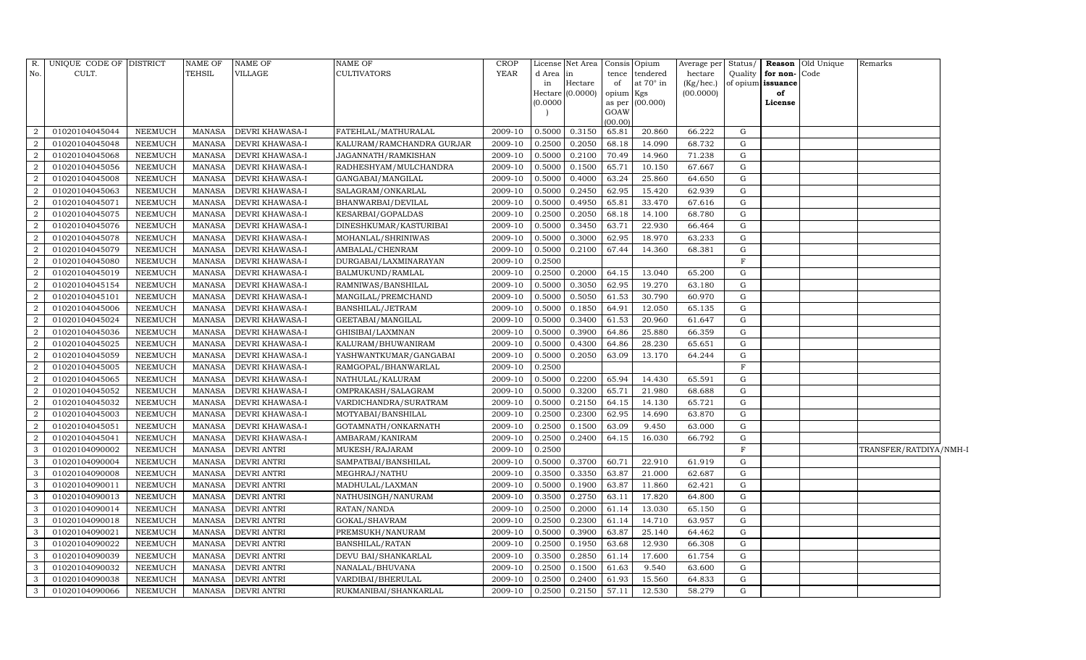| R.             | UNIQUE CODE OF DISTRICT |                | <b>NAME OF</b> | <b>NAME OF</b>         | <b>NAME OF</b>            | <b>CROP</b> |          | License Net Area | Consis Opium   |                  | Average per | Status/     |              | Reason Old Unique | Remarks                |  |
|----------------|-------------------------|----------------|----------------|------------------------|---------------------------|-------------|----------|------------------|----------------|------------------|-------------|-------------|--------------|-------------------|------------------------|--|
| No.            | CULT.                   |                | <b>TEHSIL</b>  | VILLAGE                | <b>CULTIVATORS</b>        | <b>YEAR</b> | d Area   | in               | tence          | tendered         | hectare     | Quality     | for non-Code |                   |                        |  |
|                |                         |                |                |                        |                           |             | in       | Hectare          | of             | at $70^\circ$ in | (Kg/hec.)   | of opium    | issuance     |                   |                        |  |
|                |                         |                |                |                        |                           |             |          | Hectare (0.0000) | opium Kgs      |                  | (00.0000)   |             | of           |                   |                        |  |
|                |                         |                |                |                        |                           |             | (0.0000) |                  | as per<br>GOAW | (00.000)         |             |             | License      |                   |                        |  |
|                |                         |                |                |                        |                           |             |          |                  | (00.00)        |                  |             |             |              |                   |                        |  |
| $\overline{2}$ | 01020104045044          | NEEMUCH        | MANASA         | <b>DEVRI KHAWASA-I</b> | FATEHLAL/MATHURALAL       | 2009-10     | 0.5000   | 0.3150           | 65.81          | 20.860           | 66.222      | G           |              |                   |                        |  |
| $\overline{2}$ | 01020104045048          | NEEMUCH        | <b>MANASA</b>  | <b>DEVRI KHAWASA-I</b> | KALURAM/RAMCHANDRA GURJAR | 2009-10     | 0.2500   | 0.2050           | 68.18          | 14.090           | 68.732      | G           |              |                   |                        |  |
| $\overline{2}$ | 01020104045068          | <b>NEEMUCH</b> | <b>MANASA</b>  | <b>DEVRI KHAWASA-I</b> | JAGANNATH/RAMKISHAN       | 2009-10     | 0.5000   | 0.2100           | 70.49          | 14.960           | 71.238      | G           |              |                   |                        |  |
| $\overline{2}$ | 01020104045056          | <b>NEEMUCH</b> | MANASA         | <b>DEVRI KHAWASA-I</b> | RADHESHYAM/MULCHANDRA     | 2009-10     | 0.5000   | 0.1500           | 65.71          | 10.150           | 67.667      | ${\rm G}$   |              |                   |                        |  |
| 2              | 01020104045008          | <b>NEEMUCH</b> | <b>MANASA</b>  | <b>DEVRI KHAWASA-I</b> | GANGABAI/MANGILAL         | 2009-10     | 0.5000   | 0.4000           | 63.24          | 25.860           | 64.650      | ${\rm G}$   |              |                   |                        |  |
| $\overline{2}$ | 01020104045063          | <b>NEEMUCH</b> | <b>MANASA</b>  | <b>DEVRI KHAWASA-I</b> | SALAGRAM/ONKARLAL         | 2009-10     | 0.5000   | 0.2450           | 62.95          | 15.420           | 62.939      | G           |              |                   |                        |  |
| 2              | 01020104045071          | <b>NEEMUCH</b> | <b>MANASA</b>  | DEVRI KHAWASA-I        | BHANWARBAI/DEVILAL        | 2009-10     | 0.5000   | 0.4950           | 65.81          | 33.470           | 67.616      | G           |              |                   |                        |  |
| 2              | 01020104045075          | <b>NEEMUCH</b> | MANASA         | <b>DEVRI KHAWASA-I</b> | KESARBAI/GOPALDAS         | 2009-10     | 0.2500   | 0.2050           | 68.18          | 14.100           | 68.780      | ${\rm G}$   |              |                   |                        |  |
| $\overline{2}$ | 01020104045076          | <b>NEEMUCH</b> | <b>MANASA</b>  | DEVRI KHAWASA-I        | DINESHKUMAR/KASTURIBAI    | 2009-10     | 0.5000   | 0.3450           | 63.71          | 22.930           | 66.464      | G           |              |                   |                        |  |
| $\overline{2}$ | 01020104045078          | NEEMUCH        | MANASA         | DEVRI KHAWASA-I        | MOHANLAL/SHRINIWAS        | 2009-10     | 0.5000   | 0.3000           | 62.95          | 18.970           | 63.233      | G           |              |                   |                        |  |
| 2              | 01020104045079          | <b>NEEMUCH</b> | <b>MANASA</b>  | DEVRI KHAWASA-I        | AMBALAL/CHENRAM           | 2009-10     | 0.5000   | 0.2100           | 67.44          | 14.360           | 68.381      | G           |              |                   |                        |  |
| $\overline{a}$ | 01020104045080          | <b>NEEMUCH</b> | <b>MANASA</b>  | DEVRI KHAWASA-I        | DURGABAI/LAXMINARAYAN     | 2009-10     | 0.2500   |                  |                |                  |             | $\rm F$     |              |                   |                        |  |
| $\overline{a}$ | 01020104045019          | NEEMUCH        | <b>MANASA</b>  | <b>DEVRI KHAWASA-I</b> | BALMUKUND/RAMLAL          | 2009-10     | 0.2500   | 0.2000           | 64.15          | 13.040           | 65.200      | G           |              |                   |                        |  |
| $\overline{2}$ | 01020104045154          | <b>NEEMUCH</b> | <b>MANASA</b>  | DEVRI KHAWASA-I        | RAMNIWAS/BANSHILAL        | 2009-10     | 0.5000   | 0.3050           | 62.95          | 19.270           | 63.180      | G           |              |                   |                        |  |
| 2              | 01020104045101          | <b>NEEMUCH</b> | MANASA         | DEVRI KHAWASA-I        | MANGILAL/PREMCHAND        | $2009-10$   | 0.5000   | 0.5050           | 61.53          | 30.790           | 60.970      | G           |              |                   |                        |  |
| 2              | 01020104045006          | <b>NEEMUCH</b> | MANASA         | <b>DEVRI KHAWASA-I</b> | BANSHILAL/JETRAM          | 2009-10     | 0.5000   | 0.1850           | 64.91          | 12.050           | 65.135      | G           |              |                   |                        |  |
| $\overline{2}$ | 01020104045024          | <b>NEEMUCH</b> | <b>MANASA</b>  | <b>DEVRI KHAWASA-I</b> | GEETABAI/MANGILAL         | 2009-10     | 0.5000   | 0.3400           | 61.53          | 20.960           | 61.647      | G           |              |                   |                        |  |
| $\overline{2}$ | 01020104045036          | NEEMUCH        | MANASA         | DEVRI KHAWASA-I        | GHISIBAI/LAXMNAN          | 2009-10     | 0.5000   | 0.3900           | 64.86          | 25.880           | 66.359      | G           |              |                   |                        |  |
| $\overline{a}$ | 01020104045025          | <b>NEEMUCH</b> | <b>MANASA</b>  | DEVRI KHAWASA-I        | KALURAM/BHUWANIRAM        | 2009-10     | 0.5000   | 0.4300           | 64.86          | 28.230           | 65.651      | G           |              |                   |                        |  |
| 2              | 01020104045059          | <b>NEEMUCH</b> | <b>MANASA</b>  | <b>DEVRI KHAWASA-I</b> | YASHWANTKUMAR/GANGABAI    | 2009-10     | 0.5000   | 0.2050           | 63.09          | 13.170           | 64.244      | G           |              |                   |                        |  |
| $\overline{2}$ | 01020104045005          | NEEMUCH        | <b>MANASA</b>  | <b>DEVRI KHAWASA-I</b> | RAMGOPAL/BHANWARLAL       | 2009-10     | 0.2500   |                  |                |                  |             | $\mathbf F$ |              |                   |                        |  |
| $\overline{2}$ | 01020104045065          | <b>NEEMUCH</b> | <b>MANASA</b>  | DEVRI KHAWASA-I        | NATHULAL/KALURAM          | 2009-10     | 0.5000   | 0.2200           | 65.94          | 14.430           | 65.591      | G           |              |                   |                        |  |
| 2              | 01020104045052          | <b>NEEMUCH</b> | MANASA         | DEVRI KHAWASA-I        | OMPRAKASH/SALAGRAM        | 2009-10     | 0.5000   | 0.3200           | 65.71          | 21.980           | 68.688      | ${\rm G}$   |              |                   |                        |  |
| 2              | 01020104045032          | <b>NEEMUCH</b> | MANASA         | <b>DEVRI KHAWASA-I</b> | VARDICHANDRA/SURATRAM     | 2009-10     | 0.5000   | 0.2150           | 64.15          | 14.130           | 65.721      | G           |              |                   |                        |  |
| $\overline{2}$ | 01020104045003          | <b>NEEMUCH</b> | <b>MANASA</b>  | <b>DEVRI KHAWASA-I</b> | MOTYABAI/BANSHILAL        | 2009-10     | 0.2500   | 0.2300           | 62.95          | 14.690           | 63.870      | G           |              |                   |                        |  |
| $\overline{2}$ | 01020104045051          | <b>NEEMUCH</b> | MANASA         | DEVRI KHAWASA-I        | GOTAMNATH/ONKARNATH       | 2009-10     | 0.2500   | 0.1500           | 63.09          | 9.450            | 63.000      | G           |              |                   |                        |  |
| 2              | 01020104045041          | NEEMUCH        | MANASA         | DEVRI KHAWASA-I        | AMBARAM/KANIRAM           | 2009-10     | 0.2500   | 0.2400           | 64.15          | 16.030           | 66.792      | G           |              |                   |                        |  |
| 3              | 01020104090002          | <b>NEEMUCH</b> | <b>MANASA</b>  | <b>DEVRI ANTRI</b>     | MUKESH/RAJARAM            | 2009-10     | 0.2500   |                  |                |                  |             | $\rm F$     |              |                   | TRANSFER/RATDIYA/NMH-I |  |
| 3              | 01020104090004          | NEEMUCH        | <b>MANASA</b>  | <b>DEVRI ANTRI</b>     | SAMPATBAI/BANSHILAL       | 2009-10     | 0.5000   | 0.3700           | 60.71          | 22.910           | 61.919      | G           |              |                   |                        |  |
| 3              | 01020104090008          | NEEMUCH        | <b>MANASA</b>  | DEVRI ANTRI            | MEGHRAJ/NATHU             | 2009-10     | 0.3500   | 0.3350           | 63.87          | 21.000           | 62.687      | G           |              |                   |                        |  |
| 3              | 01020104090011          | NEEMUCH        | MANASA         | DEVRI ANTRI            | MADHULAL/LAXMAN           | 2009-10     | 0.5000   | 0.1900           | 63.87          | 11.860           | 62.421      | G           |              |                   |                        |  |
| 3              | 01020104090013          | <b>NEEMUCH</b> | <b>MANASA</b>  | <b>DEVRI ANTRI</b>     | NATHUSINGH/NANURAM        | 2009-10     | 0.3500   | 0.2750           | 63.11          | 17.820           | 64.800      | ${\rm G}$   |              |                   |                        |  |
| 3              | 01020104090014          | <b>NEEMUCH</b> | <b>MANASA</b>  | <b>DEVRI ANTRI</b>     | RATAN/NANDA               | 2009-10     | 0.2500   | 0.2000           | 61.14          | 13.030           | 65.150      | G           |              |                   |                        |  |
| 3              | 01020104090018          | <b>NEEMUCH</b> | <b>MANASA</b>  | <b>DEVRI ANTRI</b>     | GOKAL/SHAVRAM             | 2009-10     | 0.2500   | 0.2300           | 61.14          | 14.710           | 63.957      | G           |              |                   |                        |  |
| 3              | 01020104090021          | <b>NEEMUCH</b> | MANASA         | DEVRI ANTRI            | PREMSUKH/NANURAM          | 2009-10     | 0.5000   | 0.3900           | 63.87          | 25.140           | 64.462      | G           |              |                   |                        |  |
| 3              | 01020104090022          | <b>NEEMUCH</b> | <b>MANASA</b>  | <b>DEVRI ANTRI</b>     | <b>BANSHILAL/RATAN</b>    | 2009-10     | 0.2500   | 0.1950           | 63.68          | 12.930           | 66.308      | G           |              |                   |                        |  |
| 3              | 01020104090039          | NEEMUCH        | MANASA         | <b>DEVRI ANTRI</b>     | DEVU BAI/SHANKARLAL       | 2009-10     | 0.3500   | 0.2850           | 61.14          | 17.600           | 61.754      | ${\rm G}$   |              |                   |                        |  |
| 3              | 01020104090032          | NEEMUCH        | <b>MANASA</b>  | DEVRI ANTRI            | NANALAL/BHUVANA           | 2009-10     | 0.2500   | 0.1500           | 61.63          | 9.540            | 63.600      | G           |              |                   |                        |  |
| $\mathbf{3}$   | 01020104090038          | <b>NEEMUCH</b> | MANASA         | <b>DEVRI ANTRI</b>     | VARDIBAI/BHERULAL         | 2009-10     | 0.2500   | 0.2400           | 61.93          | 15.560           | 64.833      | G           |              |                   |                        |  |
| $\mathbf{3}$   | 01020104090066          | <b>NEEMUCH</b> | MANASA         | <b>DEVRI ANTRI</b>     | RUKMANIBAI/SHANKARLAL     | 2009-10     | 0.2500   | 0.2150           | 57.11          | 12.530           | 58.279      | $\mathbf G$ |              |                   |                        |  |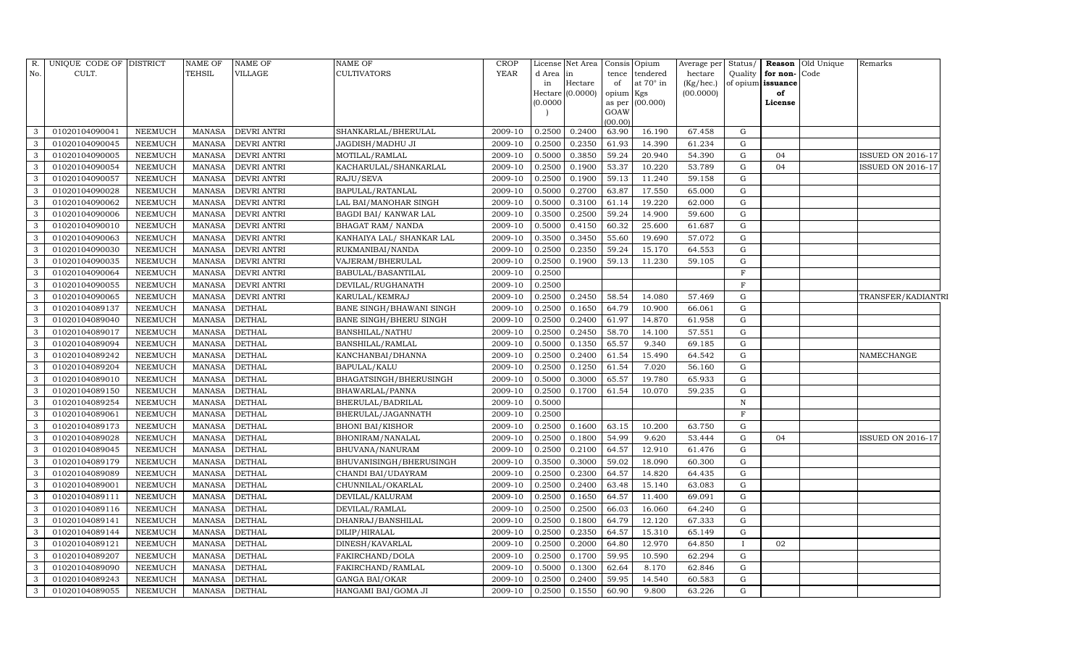| R.             | UNIQUE CODE OF DISTRICT |                | <b>NAME OF</b> | <b>NAME OF</b>     | NAME OF                   | <b>CROP</b> |        | License Net Area | Consis         | Opium     | Average per | Status/      |                   | <b>Reason</b> Old Unique | Remarks                  |
|----------------|-------------------------|----------------|----------------|--------------------|---------------------------|-------------|--------|------------------|----------------|-----------|-------------|--------------|-------------------|--------------------------|--------------------------|
| No.            | CULT.                   |                | TEHSIL         | VILLAGE            | CULTIVATORS               | <b>YEAR</b> | d Area | in               | tence          | tendered  | hectare     | Quality      | for non-Code      |                          |                          |
|                |                         |                |                |                    |                           |             | in     | Hectare          | of             | at 70° in | (Kg/hec.)   |              | of opium issuance |                          |                          |
|                |                         |                |                |                    |                           |             | 0.0000 | Hectare (0.0000) | opium          | Kgs       | (00.0000)   |              | of                |                          |                          |
|                |                         |                |                |                    |                           |             |        |                  | as per<br>GOAW | (00.000)  |             |              | License           |                          |                          |
|                |                         |                |                |                    |                           |             |        |                  | (00.00)        |           |             |              |                   |                          |                          |
| 3              | 01020104090041          | <b>NEEMUCH</b> | <b>MANASA</b>  | <b>DEVRI ANTRI</b> | SHANKARLAL/BHERULAL       | 2009-10     | 0.2500 | 0.2400           | 63.90          | 16.190    | 67.458      | G            |                   |                          |                          |
| 3              | 01020104090045          | <b>NEEMUCH</b> | <b>MANASA</b>  | <b>DEVRI ANTRI</b> | JAGDISH/MADHU JI          | 2009-10     | 0.2500 | 0.2350           | 61.93          | 14.390    | 61.234      | G            |                   |                          |                          |
| 3              | 01020104090005          | <b>NEEMUCH</b> | <b>MANASA</b>  | DEVRI ANTRI        | MOTILAL/RAMLAL            | 2009-10     | 0.5000 | 0.3850           | 59.24          | 20.940    | 54.390      | G            | 04                |                          | <b>ISSUED ON 2016-17</b> |
| $\mathbf{3}$   | 01020104090054          | <b>NEEMUCH</b> | <b>MANASA</b>  | <b>DEVRI ANTRI</b> | KACHARULAL/SHANKARLAL     | 2009-10     | 0.2500 | 0.1900           | 53.37          | 10.220    | 53.789      | G            | 04                |                          | <b>ISSUED ON 2016-17</b> |
| 3              | 01020104090057          | <b>NEEMUCH</b> | <b>MANASA</b>  | <b>DEVRI ANTRI</b> | RAJU/SEVA                 | 2009-10     | 0.2500 | 0.1900           | 59.13          | 11.240    | 59.158      | G            |                   |                          |                          |
| 3              | 01020104090028          | <b>NEEMUCH</b> | <b>MANASA</b>  | <b>DEVRI ANTRI</b> | BAPULAL/RATANLAL          | 2009-10     | 0.5000 | 0.2700           | 63.87          | 17.550    | 65.000      | G            |                   |                          |                          |
| 3              | 01020104090062          | <b>NEEMUCH</b> | <b>MANASA</b>  | <b>DEVRI ANTRI</b> | LAL BAI/MANOHAR SINGH     | 2009-10     | 0.5000 | 0.3100           | 61.14          | 19.220    | 62.000      | G            |                   |                          |                          |
| $\mathbf{3}$   | 01020104090006          | <b>NEEMUCH</b> | <b>MANASA</b>  | <b>DEVRI ANTRI</b> | BAGDI BAI/ KANWAR LAL     | 2009-10     | 0.3500 | 0.2500           | 59.24          | 14.900    | 59.600      | G            |                   |                          |                          |
| 3              | 01020104090010          | <b>NEEMUCH</b> | <b>MANASA</b>  | <b>DEVRI ANTRI</b> | BHAGAT RAM/ NANDA         | 2009-10     | 0.5000 | 0.4150           | 60.32          | 25.600    | 61.687      | G            |                   |                          |                          |
| 3              | 01020104090063          | <b>NEEMUCH</b> | <b>MANASA</b>  | <b>DEVRI ANTRI</b> | KANHAIYA LAL/ SHANKAR LAL | 2009-10     | 0.3500 | 0.3450           | 55.60          | 19.690    | 57.072      | G            |                   |                          |                          |
| 3              | 01020104090030          | <b>NEEMUCH</b> | <b>MANASA</b>  | <b>DEVRI ANTRI</b> | RUKMANIBAI/NANDA          | 2009-10     | 0.2500 | 0.2350           | 59.24          | 15.170    | 64.553      | G            |                   |                          |                          |
| 3              | 01020104090035          | <b>NEEMUCH</b> | <b>MANASA</b>  | <b>DEVRI ANTRI</b> | VAJERAM/BHERULAL          | 2009-10     | 0.2500 | 0.1900           | 59.13          | 11.230    | 59.105      | G            |                   |                          |                          |
| 3              | 01020104090064          | <b>NEEMUCH</b> | <b>MANASA</b>  | <b>DEVRI ANTRI</b> | BABULAL/BASANTILAL        | 2009-10     | 0.2500 |                  |                |           |             | F            |                   |                          |                          |
| 3              | 01020104090055          | <b>NEEMUCH</b> | <b>MANASA</b>  | <b>DEVRI ANTRI</b> | DEVILAL/RUGHANATH         | 2009-10     | 0.2500 |                  |                |           |             | F            |                   |                          |                          |
| 3              | 01020104090065          | <b>NEEMUCH</b> | <b>MANASA</b>  | DEVRI ANTRI        | KARULAL/KEMRAJ            | 2009-10     | 0.2500 | 0.2450           | 58.54          | 14.080    | 57.469      | G            |                   |                          | TRANSFER/KADIANTRI       |
| 3              | 01020104089137          | NEEMUCH        | <b>MANASA</b>  | <b>DETHAL</b>      | BANE SINGH/BHAWANI SINGH  | 2009-10     | 0.2500 | 0.1650           | 64.79          | 10.900    | 66.061      | G            |                   |                          |                          |
| 3              | 01020104089040          | NEEMUCH        | MANASA         | <b>DETHAL</b>      | BANE SINGH/BHERU SINGH    | 2009-10     | 0.2500 | 0.2400           | 61.97          | 14.870    | 61.958      | G            |                   |                          |                          |
| 3              | 01020104089017          | NEEMUCH        | <b>MANASA</b>  | <b>DETHAL</b>      | BANSHILAL/NATHU           | 2009-10     | 0.2500 | 0.2450           | 58.70          | 14.100    | 57.551      | G            |                   |                          |                          |
| 3              | 01020104089094          | NEEMUCH        | <b>MANASA</b>  | <b>DETHAL</b>      | BANSHILAL/RAMLAL          | 2009-10     | 0.5000 | 0.1350           | 65.57          | 9.340     | 69.185      | G            |                   |                          |                          |
| 3              | 01020104089242          | NEEMUCH        | MANASA         | <b>DETHAL</b>      | KANCHANBAI/DHANNA         | 2009-10     | 0.2500 | 0.2400           | 61.54          | 15.490    | 64.542      | G            |                   |                          | NAMECHANGE               |
| 3              | 01020104089204          | NEEMUCH        | MANASA         | <b>DETHAL</b>      | BAPULAL/KALU              | 2009-10     | 0.2500 | 0.1250           | 61.54          | 7.020     | 56.160      | G            |                   |                          |                          |
| 3              | 01020104089010          | <b>NEEMUCH</b> | <b>MANASA</b>  | <b>DETHAL</b>      | BHAGATSINGH/BHERUSINGH    | 2009-10     | 0.5000 | 0.3000           | 65.57          | 19.780    | 65.933      | G            |                   |                          |                          |
| 3              | 01020104089150          | NEEMUCH        | MANASA         | <b>DETHAL</b>      | BHAWARLAL/PANNA           | 2009-10     | 0.2500 | 0.1700           | 61.54          | 10.070    | 59.235      | G            |                   |                          |                          |
| 3              | 01020104089254          | <b>NEEMUCH</b> | <b>MANASA</b>  | <b>DETHAL</b>      | BHERULAL/BADRILAL         | 2009-10     | 0.5000 |                  |                |           |             | $\mathbf N$  |                   |                          |                          |
| 3              | 01020104089061          | <b>NEEMUCH</b> | <b>MANASA</b>  | <b>DETHAL</b>      | BHERULAL/JAGANNATH        | 2009-10     | 0.2500 |                  |                |           |             | F            |                   |                          |                          |
| 3              | 01020104089173          | <b>NEEMUCH</b> | <b>MANASA</b>  | <b>DETHAL</b>      | BHONI BAI/KISHOR          | 2009-10     | 0.2500 | 0.1600           | 63.15          | 10.200    | 63.750      | G            |                   |                          |                          |
| 3              | 01020104089028          | NEEMUCH        | <b>MANASA</b>  | <b>DETHAL</b>      | BHONIRAM/NANALAL          | 2009-10     | 0.2500 | 0.1800           | 54.99          | 9.620     | 53.444      | G            | 04                |                          | <b>ISSUED ON 2016-17</b> |
| 3              | 01020104089045          | <b>NEEMUCH</b> | <b>MANASA</b>  | <b>DETHAL</b>      | BHUVANA/NANURAM           | 2009-10     | 0.2500 | 0.2100           | 64.57          | 12.910    | 61.476      | G            |                   |                          |                          |
| 3              | 01020104089179          | <b>NEEMUCH</b> | <b>MANASA</b>  | <b>DETHAL</b>      | BHUVANISINGH/BHERUSINGH   | 2009-10     | 0.3500 | 0.3000           | 59.02          | 18.090    | 60.300      | G            |                   |                          |                          |
| 3              | 01020104089089          | <b>NEEMUCH</b> | <b>MANASA</b>  | <b>DETHAL</b>      | CHANDI BAI/UDAYRAM        | 2009-10     | 0.2500 | 0.2300           | 64.57          | 14.820    | 64.435      | G            |                   |                          |                          |
| $\mathbf{3}$   | 01020104089001          | <b>NEEMUCH</b> | <b>MANASA</b>  | <b>DETHAL</b>      | CHUNNILAL/OKARLAL         | 2009-10     | 0.2500 | 0.2400           | 63.48          | 15.140    | 63.083      | G            |                   |                          |                          |
| 3              | 01020104089111          | <b>NEEMUCH</b> | <b>MANASA</b>  | <b>DETHAL</b>      | DEVILAL/KALURAM           | 2009-10     | 0.2500 | 0.1650           | 64.57          | 11.400    | 69.091      | G            |                   |                          |                          |
| 3              | 01020104089116          | <b>NEEMUCH</b> | <b>MANASA</b>  | <b>DETHAL</b>      | DEVILAL/RAMLAL            | 2009-10     | 0.2500 | 0.2500           | 66.03          | 16.060    | 64.240      | ${\rm G}$    |                   |                          |                          |
| 3              | 01020104089141          | <b>NEEMUCH</b> | <b>MANASA</b>  | <b>DETHAL</b>      | DHANRAJ/BANSHILAL         | 2009-10     | 0.2500 | 0.1800           | 64.79          | 12.120    | 67.333      | G            |                   |                          |                          |
| $\mathbf{3}$   | 01020104089144          | <b>NEEMUCH</b> | <b>MANASA</b>  | <b>DETHAL</b>      | DILIP/HIRALAL             | 2009-10     | 0.2500 | 0.2350           | 64.57          | 15.310    | 65.149      | G            |                   |                          |                          |
| $\overline{3}$ | 01020104089121          | NEEMUCH        | <b>MANASA</b>  | <b>DETHAL</b>      | DINESH/KAVARLAL           | 2009-10     | 0.2500 | 0.2000           | 64.80          | 12.970    | 64.850      | $\mathbf{I}$ | 02                |                          |                          |
| 3              | 01020104089207          | <b>NEEMUCH</b> | <b>MANASA</b>  | <b>DETHAL</b>      | FAKIRCHAND/DOLA           | 2009-10     | 0.2500 | 0.1700           | 59.95          | 10.590    | 62.294      | G            |                   |                          |                          |
| 3              | 01020104089090          | NEEMUCH        | MANASA         | <b>DETHAL</b>      | FAKIRCHAND/RAMLAL         | 2009-10     | 0.5000 | 0.1300           | 62.64          | 8.170     | 62.846      | G            |                   |                          |                          |
| $\mathbf{3}$   | 01020104089243          | NEEMUCH        | <b>MANASA</b>  | <b>DETHAL</b>      | GANGA BAI/OKAR            | 2009-10     | 0.2500 | 0.2400           | 59.95          | 14.540    | 60.583      | G            |                   |                          |                          |
| $\sqrt{3}$     | 01020104089055          | <b>NEEMUCH</b> | MANASA DETHAL  |                    | HANGAMI BAI/GOMA JI       | 2009-10     | 0.2500 | 0.1550           | 60.90          | 9.800     | 63.226      | G            |                   |                          |                          |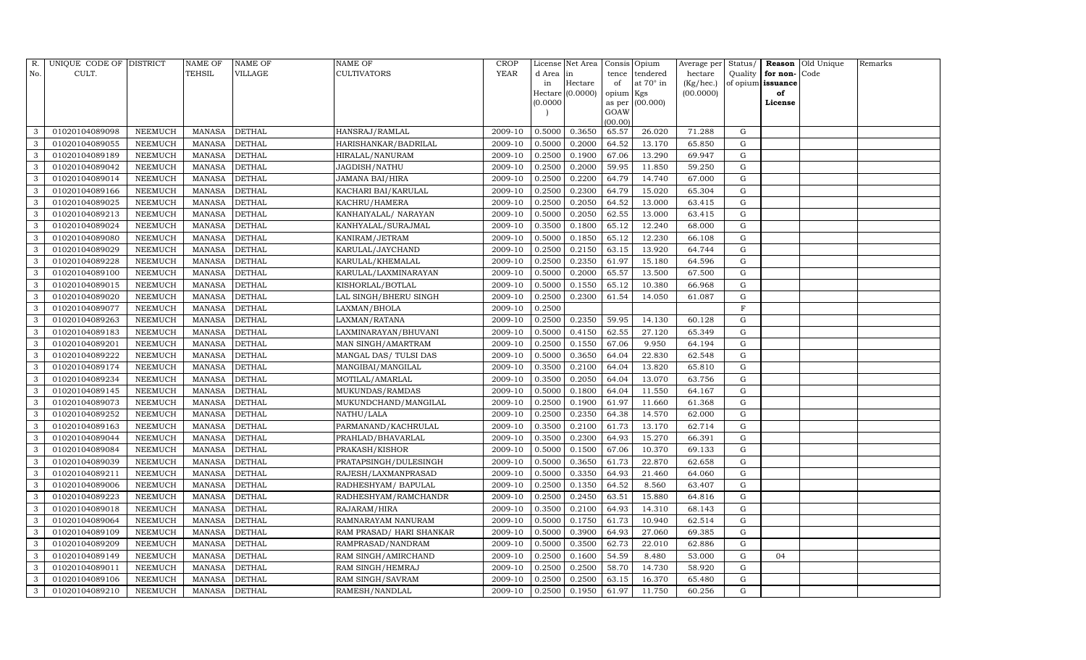| R.  | UNIQUE CODE OF DISTRICT |                | NAME OF       | <b>NAME OF</b> | <b>NAME OF</b>           | CROP    |           | License Net Area |                | Consis Opium     | Average per | Status/     |                   | <b>Reason</b> Old Unique | Remarks |
|-----|-------------------------|----------------|---------------|----------------|--------------------------|---------|-----------|------------------|----------------|------------------|-------------|-------------|-------------------|--------------------------|---------|
| No. | CULT.                   |                | <b>TEHSIL</b> | VILLAGE        | <b>CULTIVATORS</b>       | YEAR    | d Area in |                  | tence          | tendered         | hectare     | Quality     | for non-          | Code                     |         |
|     |                         |                |               |                |                          |         | in        | Hectare          | of             | at $70^\circ$ in | (Kg/hec.)   |             | of opium issuance |                          |         |
|     |                         |                |               |                |                          |         |           | Hectare (0.0000) | opium Kgs      |                  | (00.0000)   |             | of                |                          |         |
|     |                         |                |               |                |                          |         | (0.0000)  |                  | as per<br>GOAW | (00.000)         |             |             | License           |                          |         |
|     |                         |                |               |                |                          |         |           |                  | (00.00)        |                  |             |             |                   |                          |         |
| 3   | 01020104089098          | NEEMUCH        | MANASA        | <b>DETHAL</b>  | HANSRAJ/RAMLAL           | 2009-10 | 0.5000    | 0.3650           | 65.57          | 26.020           | 71.288      | G           |                   |                          |         |
| 3   | 01020104089055          | NEEMUCH        | <b>MANASA</b> | <b>DETHAL</b>  | HARISHANKAR/BADRILAL     | 2009-10 | 0.5000    | 0.2000           | 64.52          | 13.170           | 65.850      | G           |                   |                          |         |
| 3   | 01020104089189          | <b>NEEMUCH</b> | <b>MANASA</b> | <b>DETHAL</b>  | HIRALAL/NANURAM          | 2009-10 | 0.2500    | 0.1900           | 67.06          | 13.290           | 69.947      | G           |                   |                          |         |
| 3   | 01020104089042          | NEEMUCH        | MANASA        | <b>DETHAL</b>  | JAGDISH/NATHU            | 2009-10 | 0.2500    | 0.2000           | 59.95          | 11.850           | 59.250      | ${\rm G}$   |                   |                          |         |
| 3   | 01020104089014          | NEEMUCH        | <b>MANASA</b> | <b>DETHAL</b>  | <b>JAMANA BAI/HIRA</b>   | 2009-10 | 0.2500    | 0.2200           | 64.79          | 14.740           | 67.000      | $\mathbf G$ |                   |                          |         |
| 3   | 01020104089166          | NEEMUCH        | MANASA        | <b>DETHAL</b>  | KACHARI BAI/KARULAL      | 2009-10 | 0.2500    | 0.2300           | 64.79          | 15.020           | 65.304      | G           |                   |                          |         |
| 3   | 01020104089025          | NEEMUCH        | MANASA        | <b>DETHAL</b>  | KACHRU/HAMERA            | 2009-10 | 0.2500    | 0.2050           | 64.52          | 13.000           | 63.415      | G           |                   |                          |         |
| 3   | 01020104089213          | <b>NEEMUCH</b> | MANASA        | <b>DETHAL</b>  | KANHAIYALAL/ NARAYAN     | 2009-10 | 0.5000    | 0.2050           | 62.55          | 13.000           | 63.415      | ${\rm G}$   |                   |                          |         |
| 3   | 01020104089024          | <b>NEEMUCH</b> | <b>MANASA</b> | <b>DETHAL</b>  | KANHYALAL/SURAJMAL       | 2009-10 | 0.3500    | 0.1800           | 65.12          | 12.240           | 68.000      | $\mathbf G$ |                   |                          |         |
| 3   | 01020104089080          | NEEMUCH        | MANASA        | <b>DETHAL</b>  | KANIRAM/JETRAM           | 2009-10 | 0.5000    | 0.1850           | 65.12          | 12.230           | 66.108      | ${\rm G}$   |                   |                          |         |
| 3   | 01020104089029          | <b>NEEMUCH</b> | <b>MANASA</b> | <b>DETHAL</b>  | KARULAL/JAYCHAND         | 2009-10 | 0.2500    | 0.2150           | 63.15          | 13.920           | 64.744      | ${\rm G}$   |                   |                          |         |
| 3   | 01020104089228          | <b>NEEMUCH</b> | MANASA        | <b>DETHAL</b>  | KARULAL/KHEMALAL         | 2009-10 | 0.2500    | 0.2350           | 61.97          | 15.180           | 64.596      | G           |                   |                          |         |
| 3   | 01020104089100          | <b>NEEMUCH</b> | <b>MANASA</b> | <b>DETHAL</b>  | KARULAL/LAXMINARAYAN     | 2009-10 | 0.5000    | 0.2000           | 65.57          | 13.500           | 67.500      | ${\rm G}$   |                   |                          |         |
| 3   | 01020104089015          | <b>NEEMUCH</b> | <b>MANASA</b> | <b>DETHAL</b>  | KISHORLAL/BOTLAL         | 2009-10 | 0.5000    | 0.1550           | 65.12          | 10.380           | 66.968      | G           |                   |                          |         |
| 3   | 01020104089020          | NEEMUCH        | MANASA        | <b>DETHAL</b>  | LAL SINGH/BHERU SINGH    | 2009-10 | 0.2500    | 0.2300           | 61.54          | 14.050           | 61.087      | G           |                   |                          |         |
| 3   | 01020104089077          | <b>NEEMUCH</b> | MANASA        | <b>DETHAL</b>  | LAXMAN/BHOLA             | 2009-10 | 0.2500    |                  |                |                  |             | F           |                   |                          |         |
| 3   | 01020104089263          | <b>NEEMUCH</b> | <b>MANASA</b> | <b>DETHAL</b>  | LAXMAN/RATANA            | 2009-10 | 0.2500    | 0.2350           | 59.95          | 14.130           | 60.128      | G           |                   |                          |         |
| 3   | 01020104089183          | <b>NEEMUCH</b> | MANASA        | <b>DETHAL</b>  | LAXMINARAYAN/BHUVANI     | 2009-10 | 0.5000    | 0.4150           | 62.55          | 27.120           | 65.349      | G           |                   |                          |         |
| 3   | 01020104089201          | <b>NEEMUCH</b> | MANASA        | <b>DETHAL</b>  | MAN SINGH/AMARTRAM       | 2009-10 | 0.2500    | 0.1550           | 67.06          | 9.950            | 64.194      | G           |                   |                          |         |
| 3   | 01020104089222          | <b>NEEMUCH</b> | MANASA        | <b>DETHAL</b>  | MANGAL DAS/ TULSI DAS    | 2009-10 | 0.5000    | 0.3650           | 64.04          | 22.830           | 62.548      | G           |                   |                          |         |
| 3   | 01020104089174          | NEEMUCH        | MANASA        | <b>DETHAL</b>  | MANGIBAI/MANGILAL        | 2009-10 | 0.3500    | 0.2100           | 64.04          | 13.820           | 65.810      | G           |                   |                          |         |
| 3   | 01020104089234          | <b>NEEMUCH</b> | <b>MANASA</b> | <b>DETHAL</b>  | MOTILAL/AMARLAL          | 2009-10 | 0.3500    | 0.2050           | 64.04          | 13.070           | 63.756      | G           |                   |                          |         |
| 3   | 01020104089145          | NEEMUCH        | MANASA        | <b>DETHAL</b>  | MUKUNDAS/RAMDAS          | 2009-10 | 0.5000    | 0.1800           | 64.04          | 11.550           | 64.167      | G           |                   |                          |         |
| 3   | 01020104089073          | <b>NEEMUCH</b> | MANASA        | <b>DETHAL</b>  | MUKUNDCHAND/MANGILAL     | 2009-10 | 0.2500    | 0.1900           | 61.97          | 11.660           | 61.368      | G           |                   |                          |         |
| 3   | 01020104089252          | <b>NEEMUCH</b> | <b>MANASA</b> | <b>DETHAL</b>  | NATHU/LALA               | 2009-10 | 0.2500    | 0.2350           | 64.38          | 14.570           | 62.000      | G           |                   |                          |         |
| 3   | 01020104089163          | <b>NEEMUCH</b> | <b>MANASA</b> | <b>DETHAL</b>  | PARMANAND/KACHRULAL      | 2009-10 | 0.3500    | 0.2100           | 61.73          | 13.170           | 62.714      | G           |                   |                          |         |
| 3   | 01020104089044          | <b>NEEMUCH</b> | MANASA        | <b>DETHAL</b>  | PRAHLAD/BHAVARLAL        | 2009-10 | 0.3500    | 0.2300           | 64.93          | 15.270           | 66.391      | ${\rm G}$   |                   |                          |         |
| 3   | 01020104089084          | <b>NEEMUCH</b> | <b>MANASA</b> | <b>DETHAL</b>  | PRAKASH/KISHOR           | 2009-10 | 0.5000    | 0.1500           | 67.06          | 10.370           | 69.133      | $\mathbf G$ |                   |                          |         |
| 3   | 01020104089039          | NEEMUCH        | MANASA        | <b>DETHAL</b>  | PRATAPSINGH/DULESINGH    | 2009-10 | 0.5000    | 0.3650           | 61.73          | 22.870           | 62.658      | G           |                   |                          |         |
| 3   | 01020104089211          | NEEMUCH        | MANASA        | <b>DETHAL</b>  | RAJESH/LAXMANPRASAD      | 2009-10 | 0.5000    | 0.3350           | 64.93          | 21.460           | 64.060      | G           |                   |                          |         |
| 3   | 01020104089006          | <b>NEEMUCH</b> | MANASA        | <b>DETHAL</b>  | RADHESHYAM/ BAPULAL      | 2009-10 | 0.2500    | 0.1350           | 64.52          | 8.560            | 63.407      | $\mathbf G$ |                   |                          |         |
| 3   | 01020104089223          | NEEMUCH        | <b>MANASA</b> | <b>DETHAL</b>  | RADHESHYAM/RAMCHANDR     | 2009-10 | 0.2500    | 0.2450           | 63.51          | 15.880           | 64.816      | $\mathbf G$ |                   |                          |         |
| 3   | 01020104089018          | <b>NEEMUCH</b> | MANASA        | <b>DETHAL</b>  | RAJARAM/HIRA             | 2009-10 | 0.3500    | 0.2100           | 64.93          | 14.310           | 68.143      | G           |                   |                          |         |
| 3   | 01020104089064          | <b>NEEMUCH</b> | <b>MANASA</b> | <b>DETHAL</b>  | RAMNARAYAM NANURAM       | 2009-10 | 0.5000    | 0.1750           | 61.73          | 10.940           | 62.514      | G           |                   |                          |         |
| 3   | 01020104089109          | <b>NEEMUCH</b> | MANASA        | <b>DETHAL</b>  | RAM PRASAD/ HARI SHANKAR | 2009-10 | 0.5000    | 0.3900           | 64.93          | 27.060           | 69.385      | ${\rm G}$   |                   |                          |         |
| 3   | 01020104089209          | <b>NEEMUCH</b> | <b>MANASA</b> | <b>DETHAL</b>  | RAMPRASAD/NANDRAM        | 2009-10 | 0.5000    | 0.3500           | 62.73          | 22.010           | 62.886      | $\mathbf G$ |                   |                          |         |
| 3   | 01020104089149          | <b>NEEMUCH</b> | MANASA        | <b>DETHAL</b>  | RAM SINGH/AMIRCHAND      | 2009-10 | 0.2500    | 0.1600           | 54.59          | 8.480            | 53.000      | G           | 04                |                          |         |
| 3   | 01020104089011          | NEEMUCH        | MANASA        | <b>DETHAL</b>  | RAM SINGH/HEMRAJ         | 2009-10 | 0.2500    | 0.2500           | 58.70          | 14.730           | 58.920      | G           |                   |                          |         |
| 3   | 01020104089106          | NEEMUCH        | MANASA        | <b>DETHAL</b>  | RAM SINGH/SAVRAM         | 2009-10 | 0.2500    | 0.2500           | 63.15          | 16.370           | 65.480      | G           |                   |                          |         |
| 3   | 01020104089210          | <b>NEEMUCH</b> | MANASA DETHAL |                | RAMESH/NANDLAL           | 2009-10 | 0.2500    | 0.1950           | 61.97          | 11.750           | 60.256      | G           |                   |                          |         |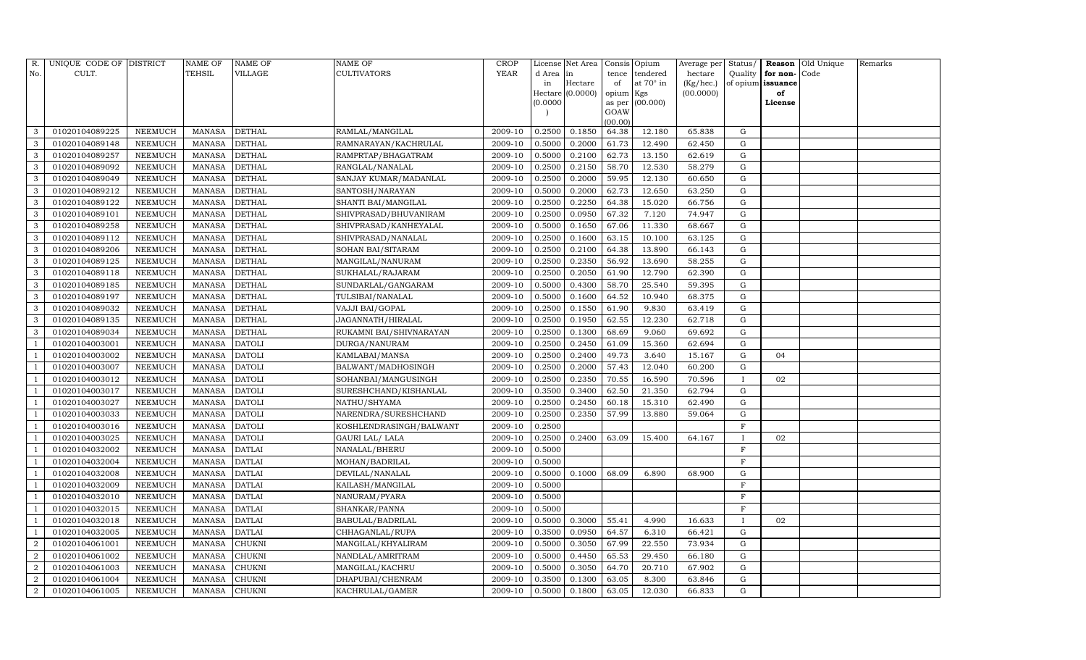| R.             | UNIQUE CODE OF DISTRICT |                | <b>NAME OF</b> | NAME OF       | NAME OF                 | CROP        |          | License Net Area |                 | Consis Opium     | Average per | Status/      |                   | Reason Old Unique | Remarks |
|----------------|-------------------------|----------------|----------------|---------------|-------------------------|-------------|----------|------------------|-----------------|------------------|-------------|--------------|-------------------|-------------------|---------|
| No.            | CULT.                   |                | TEHSIL         | VILLAGE       | CULTIVATORS             | <b>YEAR</b> | d Area   | in               | tence           | tendered         | hectare     | Quality      | for non-Code      |                   |         |
|                |                         |                |                |               |                         |             | in       | Hectare          | of              | at $70^\circ$ in | (Kg/hec.)   |              | of opium issuance |                   |         |
|                |                         |                |                |               |                         |             |          | Hectare (0.0000) | opium Kgs       |                  | (00.0000)   |              | of                |                   |         |
|                |                         |                |                |               |                         |             | (0.0000) |                  |                 | as per (00.000)  |             |              | License           |                   |         |
|                |                         |                |                |               |                         |             |          |                  | GOAW<br>(00.00) |                  |             |              |                   |                   |         |
| 3              | 01020104089225          | NEEMUCH        | <b>MANASA</b>  | <b>DETHAL</b> | RAMLAL/MANGILAL         | 2009-10     | 0.2500   | 0.1850           | 64.38           | 12.180           | 65.838      | G            |                   |                   |         |
| 3              | 01020104089148          | NEEMUCH        | <b>MANASA</b>  | <b>DETHAL</b> | RAMNARAYAN/KACHRULAL    | 2009-10     | 0.5000   | 0.2000           | 61.73           | 12.490           | 62.450      | G            |                   |                   |         |
| 3              | 01020104089257          | <b>NEEMUCH</b> | <b>MANASA</b>  | <b>DETHAL</b> | RAMPRTAP/BHAGATRAM      | 2009-10     | 0.5000   | 0.2100           | 62.73           | 13.150           | 62.619      | G            |                   |                   |         |
| 3              | 01020104089092          | <b>NEEMUCH</b> | <b>MANASA</b>  | <b>DETHAL</b> | RANGLAL/NANALAL         | 2009-10     | 0.2500   | 0.2150           | 58.70           | 12.530           | 58.279      | G            |                   |                   |         |
| 3              | 01020104089049          | <b>NEEMUCH</b> | <b>MANASA</b>  | <b>DETHAL</b> | SANJAY KUMAR/MADANLAL   | 2009-10     | 0.2500   | 0.2000           | 59.95           | 12.130           | 60.650      | G            |                   |                   |         |
| 3              | 01020104089212          | <b>NEEMUCH</b> | <b>MANASA</b>  | <b>DETHAL</b> | SANTOSH/NARAYAN         | 2009-10     | 0.5000   | 0.2000           | 62.73           | 12.650           | 63.250      | G            |                   |                   |         |
| 3              | 01020104089122          | <b>NEEMUCH</b> | <b>MANASA</b>  | <b>DETHAL</b> | SHANTI BAI/MANGILAL     | 2009-10     | 0.2500   | 0.2250           | 64.38           | 15.020           | 66.756      | G            |                   |                   |         |
| 3              | 01020104089101          | NEEMUCH        | <b>MANASA</b>  | <b>DETHAL</b> | SHIVPRASAD/BHUVANIRAM   | 2009-10     | 0.2500   | 0.0950           | 67.32           | 7.120            | 74.947      | G            |                   |                   |         |
| 3              | 01020104089258          | <b>NEEMUCH</b> | <b>MANASA</b>  | <b>DETHAL</b> | SHIVPRASAD/KANHEYALAL   | 2009-10     | 0.5000   | 0.1650           | 67.06           | 11.330           | 68.667      | G            |                   |                   |         |
| 3              | 01020104089112          | NEEMUCH        | <b>MANASA</b>  | <b>DETHAL</b> | SHIVPRASAD/NANALAL      | 2009-10     | 0.2500   | 0.1600           | 63.15           | 10.100           | 63.125      | G            |                   |                   |         |
| 3              | 01020104089206          | <b>NEEMUCH</b> | <b>MANASA</b>  | <b>DETHAL</b> | SOHAN BAI/SITARAM       | 2009-10     | 0.2500   | 0.2100           | 64.38           | 13.890           | 66.143      | G            |                   |                   |         |
| 3              | 01020104089125          | NEEMUCH        | MANASA         | DETHAL        | MANGILAL/NANURAM        | 2009-10     | 0.2500   | 0.2350           | 56.92           | 13.690           | 58.255      | G            |                   |                   |         |
| 3              | 01020104089118          | <b>NEEMUCH</b> | <b>MANASA</b>  | <b>DETHAL</b> | SUKHALAL/RAJARAM        | 2009-10     | 0.2500   | 0.2050           | 61.90           | 12.790           | 62.390      | G            |                   |                   |         |
| 3              | 01020104089185          | NEEMUCH        | <b>MANASA</b>  | DETHAL        | SUNDARLAL/GANGARAM      | 2009-10     | 0.5000   | 0.4300           | 58.70           | 25.540           | 59.395      | G            |                   |                   |         |
| 3              | 01020104089197          | NEEMUCH        | MANASA         | <b>DETHAL</b> | TULSIBAI/NANALAL        | 2009-10     | 0.5000   | 0.1600           | 64.52           | 10.940           | 68.375      | G            |                   |                   |         |
| 3              | 01020104089032          | NEEMUCH        | MANASA         | <b>DETHAL</b> | VAJJI BAI/GOPAL         | 2009-10     | 0.2500   | 0.1550           | 61.90           | 9.830            | 63.419      | G            |                   |                   |         |
| 3              | 01020104089135          | NEEMUCH        | MANASA         | DETHAL        | JAGANNATH/HIRALAL       | 2009-10     | 0.2500   | 0.1950           | 62.55           | 12.230           | 62.718      | G            |                   |                   |         |
| 3              | 01020104089034          | NEEMUCH        | <b>MANASA</b>  | DETHAL        | RUKAMNI BAI/SHIVNARAYAN | 2009-10     | 0.2500   | 0.1300           | 68.69           | 9.060            | 69.692      | G            |                   |                   |         |
|                | 01020104003001          | NEEMUCH        | <b>MANASA</b>  | <b>DATOLI</b> | DURGA/NANURAM           | 2009-10     | 0.2500   | 0.2450           | 61.09           | 15.360           | 62.694      | G            |                   |                   |         |
|                | 01020104003002          | NEEMUCH        | <b>MANASA</b>  | <b>DATOLI</b> | KAMLABAI/MANSA          | 2009-10     | 0.2500   | 0.2400           | 49.73           | 3.640            | 15.167      | G            | 04                |                   |         |
|                | 01020104003007          | NEEMUCH        | <b>MANASA</b>  | <b>DATOLI</b> | BALWANT/MADHOSINGH      | 2009-10     | 0.2500   | 0.2000           | 57.43           | 12.040           | 60.200      | G            |                   |                   |         |
|                | 01020104003012          | <b>NEEMUCH</b> | <b>MANASA</b>  | <b>DATOLI</b> | SOHANBAI/MANGUSINGH     | 2009-10     | 0.2500   | 0.2350           | 70.55           | 16.590           | 70.596      | $\mathbf{I}$ | 02                |                   |         |
|                | 01020104003017          | NEEMUCH        | MANASA         | <b>DATOLI</b> | SURESHCHAND/KISHANLAL   | 2009-10     | 0.3500   | 0.3400           | 62.50           | 21.350           | 62.794      | G            |                   |                   |         |
|                | 01020104003027          | <b>NEEMUCH</b> | <b>MANASA</b>  | <b>DATOLI</b> | NATHU/SHYAMA            | 2009-10     | 0.2500   | 0.2450           | 60.18           | 15.310           | 62.490      | G            |                   |                   |         |
|                | 01020104003033          | <b>NEEMUCH</b> | <b>MANASA</b>  | <b>DATOLI</b> | NARENDRA/SURESHCHAND    | 2009-10     | 0.2500   | 0.2350           | 57.99           | 13.880           | 59.064      | G            |                   |                   |         |
|                | 01020104003016          | <b>NEEMUCH</b> | <b>MANASA</b>  | <b>DATOLI</b> | KOSHLENDRASINGH/BALWANT | 2009-10     | 0.2500   |                  |                 |                  |             | F            |                   |                   |         |
|                | 01020104003025          | <b>NEEMUCH</b> | <b>MANASA</b>  | <b>DATOLI</b> | GAURI LAL/ LALA         | 2009-10     | 0.2500   | 0.2400           | 63.09           | 15.400           | 64.167      | $\mathbf{I}$ | 02                |                   |         |
|                | 01020104032002          | <b>NEEMUCH</b> | <b>MANASA</b>  | <b>DATLAI</b> | NANALAL/BHERU           | 2009-10     | 0.5000   |                  |                 |                  |             | F            |                   |                   |         |
|                | 01020104032004          | <b>NEEMUCH</b> | <b>MANASA</b>  | <b>DATLAI</b> | MOHAN/BADRILAL          | 2009-10     | 0.5000   |                  |                 |                  |             | $\mathbf F$  |                   |                   |         |
|                | 01020104032008          | NEEMUCH        | <b>MANASA</b>  | <b>DATLAI</b> | DEVILAL/NANALAL         | 2009-10     | 0.5000   | 0.1000           | 68.09           | 6.890            | 68.900      | G            |                   |                   |         |
|                | 01020104032009          | <b>NEEMUCH</b> | <b>MANASA</b>  | <b>DATLAI</b> | KAILASH/MANGILAL        | 2009-10     | 0.5000   |                  |                 |                  |             | F            |                   |                   |         |
|                | 01020104032010          | <b>NEEMUCH</b> | <b>MANASA</b>  | <b>DATLAI</b> | NANURAM/PYARA           | 2009-10     | 0.5000   |                  |                 |                  |             | $\mathbf F$  |                   |                   |         |
|                | 01020104032015          | <b>NEEMUCH</b> | <b>MANASA</b>  | <b>DATLAI</b> | SHANKAR/PANNA           | 2009-10     | 0.5000   |                  |                 |                  |             | $\mathbf F$  |                   |                   |         |
|                | 01020104032018          | NEEMUCH        | <b>MANASA</b>  | <b>DATLAI</b> | BABULAL/BADRILAL        | 2009-10     | 0.5000   | 0.3000           | 55.41           | 4.990            | 16.633      |              | 02                |                   |         |
|                | 01020104032005          | <b>NEEMUCH</b> | <b>MANASA</b>  | <b>DATLAI</b> | CHHAGANLAL/RUPA         | 2009-10     | 0.3500   | 0.0950           | 64.57           | 6.310            | 66.421      | G            |                   |                   |         |
| $\overline{2}$ | 01020104061001          | <b>NEEMUCH</b> | <b>MANASA</b>  | <b>CHUKNI</b> | MANGILAL/KHYALIRAM      | 2009-10     | 0.5000   | 0.3050           | 67.99           | 22.550           | 73.934      | G            |                   |                   |         |
| $\overline{2}$ | 01020104061002          | NEEMUCH        | <b>MANASA</b>  | CHUKNI        | NANDLAL/AMRITRAM        | 2009-10     | 0.5000   | 0.4450           | 65.53           | 29.450           | 66.180      | G            |                   |                   |         |
| $\overline{2}$ | 01020104061003          | NEEMUCH        | <b>MANASA</b>  | CHUKNI        | MANGILAL/KACHRU         | 2009-10     | 0.5000   | 0.3050           | 64.70           | 20.710           | 67.902      | G            |                   |                   |         |
| 2              | 01020104061004          | NEEMUCH        | MANASA         | CHUKNI        | DHAPUBAI/CHENRAM        | 2009-10     | 0.3500   | 0.1300           | 63.05           | 8.300            | 63.846      | G            |                   |                   |         |
| $\overline{2}$ | 01020104061005          | <b>NEEMUCH</b> | MANASA         | <b>CHUKNI</b> | KACHRULAL/GAMER         | 2009-10     | 0.5000   | 0.1800           | 63.05           | 12.030           | 66.833      | G            |                   |                   |         |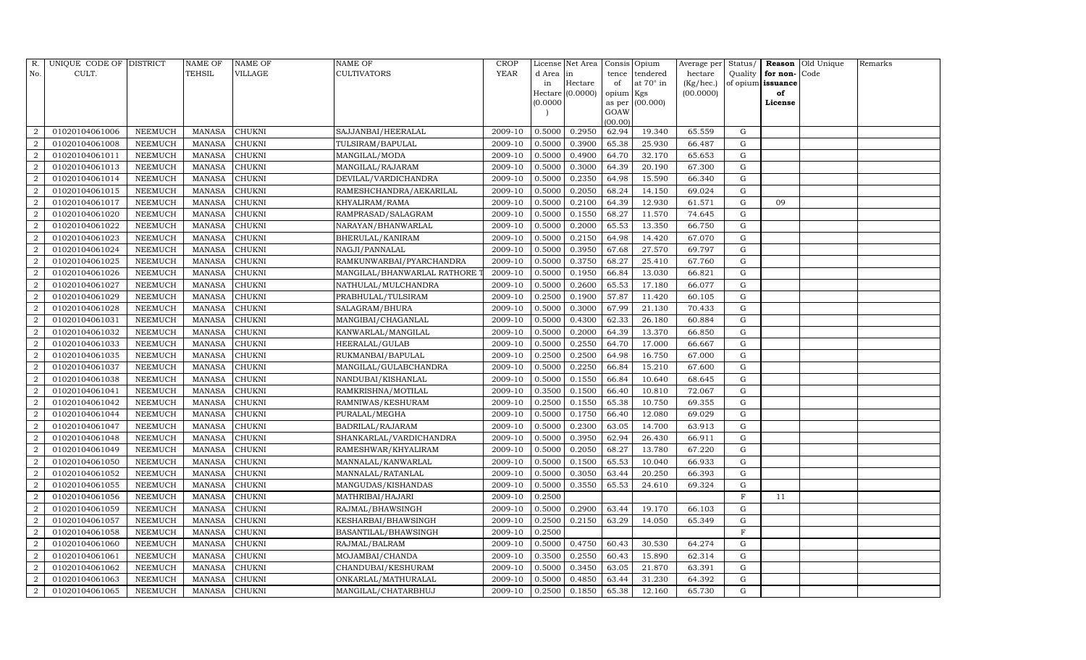| R.             | UNIQUE CODE OF DISTRICT |                | <b>NAME OF</b> | <b>NAME OF</b> | <b>NAME OF</b>              | CROP    |           | License Net Area |                | Consis Opium     | Average per | Status/      | Reason            | Old Unique | Remarks |
|----------------|-------------------------|----------------|----------------|----------------|-----------------------------|---------|-----------|------------------|----------------|------------------|-------------|--------------|-------------------|------------|---------|
| No.            | CULT.                   |                | <b>TEHSIL</b>  | VILLAGE        | <b>CULTIVATORS</b>          | YEAR    | d Area in |                  | tence          | tendered         | hectare     | Quality      | for non-          | Code       |         |
|                |                         |                |                |                |                             |         | in        | Hectare          | of             | at $70^\circ$ in | (Kg/hec.)   |              | of opium issuance |            |         |
|                |                         |                |                |                |                             |         |           | Hectare (0.0000) | opium Kgs      |                  | (00.0000)   |              | of                |            |         |
|                |                         |                |                |                |                             |         | (0.0000)  |                  | as per<br>GOAW | (00.000)         |             |              | License           |            |         |
|                |                         |                |                |                |                             |         |           |                  | (00.00)        |                  |             |              |                   |            |         |
| $\overline{2}$ | 01020104061006          | NEEMUCH        | MANASA         | <b>CHUKNI</b>  | SAJJANBAI/HEERALAL          | 2009-10 | 0.5000    | 0.2950           | 62.94          | 19.340           | 65.559      | G            |                   |            |         |
| $\overline{2}$ | 01020104061008          | NEEMUCH        | <b>MANASA</b>  | <b>CHUKNI</b>  | TULSIRAM/BAPULAL            | 2009-10 | 0.5000    | 0.3900           | 65.38          | 25.930           | 66.487      | G            |                   |            |         |
| $\overline{2}$ | 01020104061011          | <b>NEEMUCH</b> | <b>MANASA</b>  | <b>CHUKNI</b>  | MANGILAL/MODA               | 2009-10 | 0.5000    | 0.4900           | 64.70          | 32.170           | 65.653      | G            |                   |            |         |
| $\overline{2}$ | 01020104061013          | NEEMUCH        | MANASA         | <b>CHUKNI</b>  | MANGILAL/RAJARAM            | 2009-10 | 0.5000    | 0.3000           | 64.39          | 20.190           | 67.300      | ${\rm G}$    |                   |            |         |
| $\overline{2}$ | 01020104061014          | NEEMUCH        | <b>MANASA</b>  | <b>CHUKNI</b>  | DEVILAL/VARDICHANDRA        | 2009-10 | 0.5000    | 0.2350           | 64.98          | 15.590           | 66.340      | $\mathbf G$  |                   |            |         |
| $\overline{2}$ | 01020104061015          | NEEMUCH        | MANASA         | <b>CHUKNI</b>  | RAMESHCHANDRA/AEKARILAL     | 2009-10 | 0.5000    | 0.2050           | 68.24          | 14.150           | 69.024      | G            |                   |            |         |
| $\overline{2}$ | 01020104061017          | NEEMUCH        | MANASA         | <b>CHUKNI</b>  | KHYALIRAM/RAMA              | 2009-10 | 0.5000    | 0.2100           | 64.39          | 12.930           | 61.571      | G            | 09                |            |         |
| $\overline{2}$ | 01020104061020          | <b>NEEMUCH</b> | <b>MANASA</b>  | <b>CHUKNI</b>  | RAMPRASAD/SALAGRAM          | 2009-10 | 0.5000    | 0.1550           | 68.27          | 11.570           | 74.645      | ${\rm G}$    |                   |            |         |
| $\overline{2}$ | 01020104061022          | <b>NEEMUCH</b> | <b>MANASA</b>  | <b>CHUKNI</b>  | NARAYAN/BHANWARLAL          | 2009-10 | 0.5000    | 0.2000           | 65.53          | 13.350           | 66.750      | $\mathbf G$  |                   |            |         |
| $\overline{2}$ | 01020104061023          | NEEMUCH        | MANASA         | <b>CHUKNI</b>  | BHERULAL/KANIRAM            | 2009-10 | 0.5000    | 0.2150           | 64.98          | 14.420           | 67.070      | ${\rm G}$    |                   |            |         |
| $\overline{2}$ | 01020104061024          | <b>NEEMUCH</b> | <b>MANASA</b>  | <b>CHUKNI</b>  | NAGJI/PANNALAL              | 2009-10 | 0.5000    | 0.3950           | 67.68          | 27.570           | 69.797      | ${\rm G}$    |                   |            |         |
| $\overline{2}$ | 01020104061025          | <b>NEEMUCH</b> | <b>MANASA</b>  | <b>CHUKNI</b>  | RAMKUNWARBAI/PYARCHANDRA    | 2009-10 | 0.5000    | 0.3750           | 68.27          | 25.410           | 67.760      | G            |                   |            |         |
| $\overline{2}$ | 01020104061026          | <b>NEEMUCH</b> | <b>MANASA</b>  | <b>CHUKNI</b>  | MANGILAL/BHANWARLAL RATHORE | 2009-10 | 0.5000    | 0.1950           | 66.84          | 13.030           | 66.821      | ${\rm G}$    |                   |            |         |
| $\overline{2}$ | 01020104061027          | <b>NEEMUCH</b> | <b>MANASA</b>  | <b>CHUKNI</b>  | NATHULAL/MULCHANDRA         | 2009-10 | 0.5000    | 0.2600           | 65.53          | 17.180           | 66.077      | G            |                   |            |         |
| $\overline{2}$ | 01020104061029          | NEEMUCH        | MANASA         | <b>CHUKNI</b>  | PRABHULAL/TULSIRAM          | 2009-10 | 0.2500    | 0.1900           | 57.87          | 11.420           | 60.105      | G            |                   |            |         |
| 2              | 01020104061028          | NEEMUCH        | <b>MANASA</b>  | <b>CHUKNI</b>  | SALAGRAM/BHURA              | 2009-10 | 0.5000    | 0.3000           | 67.99          | 21.130           | 70.433      | $\mathbf G$  |                   |            |         |
| $\overline{2}$ | 01020104061031          | <b>NEEMUCH</b> | <b>MANASA</b>  | <b>CHUKNI</b>  | MANGIBAI/CHAGANLAL          | 2009-10 | 0.5000    | 0.4300           | 62.33          | 26.180           | 60.884      | $\mathbf G$  |                   |            |         |
| $\overline{2}$ | 01020104061032          | <b>NEEMUCH</b> | MANASA         | <b>CHUKNI</b>  | KANWARLAL/MANGILAL          | 2009-10 | 0.5000    | 0.2000           | 64.39          | 13.370           | 66.850      | G            |                   |            |         |
| $\overline{2}$ | 01020104061033          | NEEMUCH        | <b>MANASA</b>  | <b>CHUKNI</b>  | HEERALAL/GULAB              | 2009-10 | 0.5000    | 0.2550           | 64.70          | 17.000           | 66.667      | G            |                   |            |         |
| $\overline{2}$ | 01020104061035          | NEEMUCH        | MANASA         | <b>CHUKNI</b>  | RUKMANBAI/BAPULAL           | 2009-10 | 0.2500    | 0.2500           | 64.98          | 16.750           | 67.000      | G            |                   |            |         |
| $\overline{2}$ | 01020104061037          | NEEMUCH        | MANASA         | <b>CHUKNI</b>  | MANGILAL/GULABCHANDRA       | 2009-10 | 0.5000    | 0.2250           | 66.84          | 15.210           | 67.600      | G            |                   |            |         |
| $\overline{2}$ | 01020104061038          | <b>NEEMUCH</b> | <b>MANASA</b>  | <b>CHUKNI</b>  | NANDUBAI/KISHANLAL          | 2009-10 | 0.5000    | 0.1550           | 66.84          | 10.640           | 68.645      | G            |                   |            |         |
| $\overline{2}$ | 01020104061041          | NEEMUCH        | MANASA         | CHUKNI         | RAMKRISHNA/MOTILAL          | 2009-10 | 0.3500    | 0.1500           | 66.40          | 10.810           | 72.067      | G            |                   |            |         |
| $\overline{2}$ | 01020104061042          | <b>NEEMUCH</b> | <b>MANASA</b>  | <b>CHUKNI</b>  | RAMNIWAS/KESHURAM           | 2009-10 | 0.2500    | 0.1550           | 65.38          | 10.750           | 69.355      | G            |                   |            |         |
| $\overline{2}$ | 01020104061044          | NEEMUCH        | <b>MANASA</b>  | CHUKNI         | PURALAL/MEGHA               | 2009-10 | 0.5000    | 0.1750           | 66.40          | 12.080           | 69.029      | G            |                   |            |         |
| $\overline{2}$ | 01020104061047          | <b>NEEMUCH</b> | <b>MANASA</b>  | <b>CHUKNI</b>  | BADRILAL/RAJARAM            | 2009-10 | 0.5000    | 0.2300           | 63.05          | 14.700           | 63.913      | G            |                   |            |         |
| $\overline{2}$ | 01020104061048          | <b>NEEMUCH</b> | <b>MANASA</b>  | <b>CHUKNI</b>  | SHANKARLAL/VARDICHANDRA     | 2009-10 | 0.5000    | 0.3950           | 62.94          | 26.430           | 66.911      | G            |                   |            |         |
| $\overline{2}$ | 01020104061049          | <b>NEEMUCH</b> | <b>MANASA</b>  | <b>CHUKNI</b>  | RAMESHWAR/KHYALIRAM         | 2009-10 | 0.5000    | 0.2050           | 68.27          | 13.780           | 67.220      | $\mathbf G$  |                   |            |         |
| $\overline{2}$ | 01020104061050          | NEEMUCH        | MANASA         | <b>CHUKNI</b>  | MANNALAL/KANWARLAL          | 2009-10 | 0.5000    | 0.1500           | 65.53          | 10.040           | 66.933      | G            |                   |            |         |
| $\overline{2}$ | 01020104061052          | <b>NEEMUCH</b> | <b>MANASA</b>  | <b>CHUKNI</b>  | MANNALAL/RATANLAL           | 2009-10 | 0.5000    | 0.3050           | 63.44          | 20.250           | 66.393      | G            |                   |            |         |
| $\overline{2}$ | 01020104061055          | <b>NEEMUCH</b> | MANASA         | <b>CHUKNI</b>  | MANGUDAS/KISHANDAS          | 2009-10 | 0.5000    | 0.3550           | 65.53          | 24.610           | 69.324      | ${\rm G}$    |                   |            |         |
| $\overline{2}$ | 01020104061056          | <b>NEEMUCH</b> | <b>MANASA</b>  | <b>CHUKNI</b>  | MATHRIBAI/HAJARI            | 2009-10 | 0.2500    |                  |                |                  |             | $\mathbf{F}$ | 11                |            |         |
| $\overline{2}$ | 01020104061059          | NEEMUCH        | <b>MANASA</b>  | <b>CHUKNI</b>  | RAJMAL/BHAWSINGH            | 2009-10 | 0.5000    | 0.2900           | 63.44          | 19.170           | 66.103      | $\mathbf G$  |                   |            |         |
| $\overline{2}$ | 01020104061057          | <b>NEEMUCH</b> | <b>MANASA</b>  | <b>CHUKNI</b>  | KESHARBAI/BHAWSINGH         | 2009-10 | 0.2500    | 0.2150           | 63.29          | 14.050           | 65.349      | ${\rm G}$    |                   |            |         |
| $\overline{2}$ | 01020104061058          | <b>NEEMUCH</b> | <b>MANASA</b>  | <b>CHUKNI</b>  | BASANTILAL/BHAWSINGH        | 2009-10 | 0.2500    |                  |                |                  |             | $\mathbf F$  |                   |            |         |
| $\overline{2}$ | 01020104061060          | <b>NEEMUCH</b> | <b>MANASA</b>  | <b>CHUKNI</b>  | RAJMAL/BALRAM               | 2009-10 | 0.5000    | 0.4750           | 60.43          | 30.530           | 64.274      | $\mathbf G$  |                   |            |         |
| 2              | 01020104061061          | <b>NEEMUCH</b> | <b>MANASA</b>  | <b>CHUKNI</b>  | MOJAMBAI/CHANDA             | 2009-10 | 0.3500    | 0.2550           | 60.43          | 15.890           | 62.314      | G            |                   |            |         |
| $\overline{2}$ | 01020104061062          | NEEMUCH        | <b>MANASA</b>  | <b>CHUKNI</b>  | CHANDUBAI/KESHURAM          | 2009-10 | 0.5000    | 0.3450           | 63.05          | 21.870           | 63.391      | G            |                   |            |         |
| $\overline{2}$ | 01020104061063          | <b>NEEMUCH</b> | <b>MANASA</b>  | <b>CHUKNI</b>  | ONKARLAL/MATHURALAL         | 2009-10 | 0.5000    | 0.4850           | 63.44          | 31.230           | 64.392      | G            |                   |            |         |
| $\overline{2}$ | 01020104061065          | <b>NEEMUCH</b> | MANASA         | <b>CHUKNI</b>  | MANGILAL/CHATARBHUJ         | 2009-10 | 0.2500    | 0.1850           | 65.38          | 12.160           | 65.730      | G            |                   |            |         |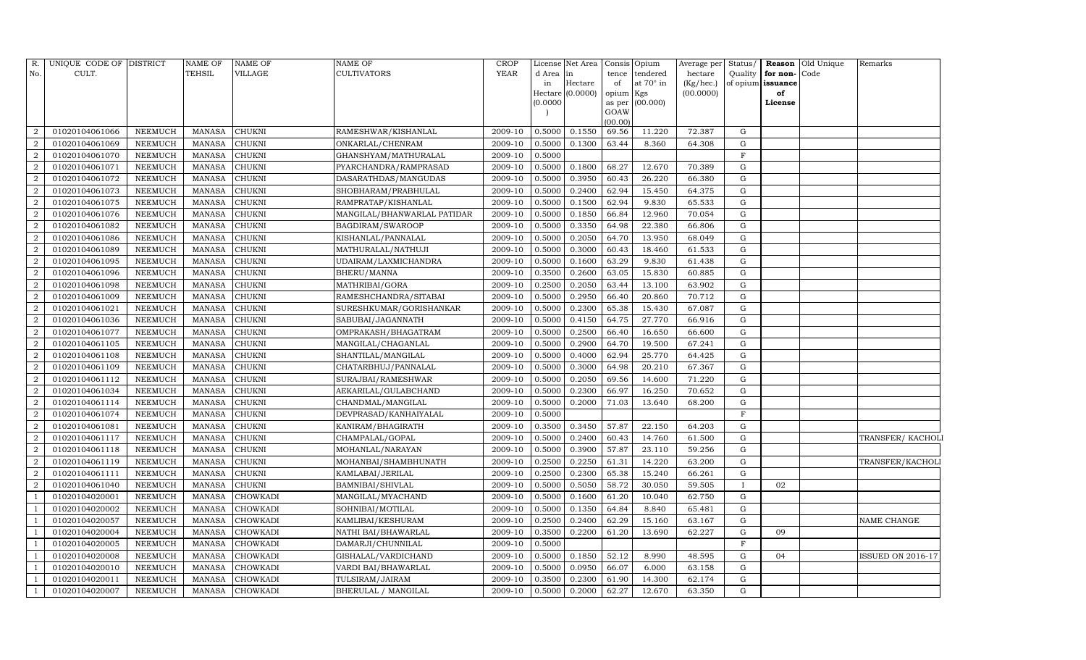| R.             | UNIQUE CODE OF DISTRICT |                | NAME OF       | <b>NAME OF</b>  | NAME OF                     | <b>CROP</b> |           | License Net Area | Consis Opium   |           | Average per Status/ |             |                   | <b>Reason Old Unique</b> | Remarks            |
|----------------|-------------------------|----------------|---------------|-----------------|-----------------------------|-------------|-----------|------------------|----------------|-----------|---------------------|-------------|-------------------|--------------------------|--------------------|
| No.            | CULT.                   |                | TEHSIL        | VILLAGE         | <b>CULTIVATORS</b>          | <b>YEAR</b> | d Area in |                  | tence          | tendered  | hectare             | Quality     | for non-          | Code                     |                    |
|                |                         |                |               |                 |                             |             | in        | Hectare          | of             | at 70° in | (Kg/hec.)           |             | of opium issuance |                          |                    |
|                |                         |                |               |                 |                             |             |           | Hectare (0.0000) | opium          | Kgs       | (00.0000)           |             | of                |                          |                    |
|                |                         |                |               |                 |                             |             | (0.0000)  |                  | as per<br>GOAW | (00.000)  |                     |             | License           |                          |                    |
|                |                         |                |               |                 |                             |             |           |                  | (00.00)        |           |                     |             |                   |                          |                    |
| $\mathcal{D}$  | 01020104061066          | <b>NEEMUCH</b> | <b>MANASA</b> | <b>CHUKNI</b>   | RAMESHWAR/KISHANLAL         | 2009-10     | 0.5000    | 0.1550           | 69.56          | 11.220    | 72.387              | G           |                   |                          |                    |
| $\overline{2}$ | 01020104061069          | NEEMUCH        | <b>MANASA</b> | CHUKNI          | ONKARLAL/CHENRAM            | 2009-10     | 0.5000    | 0.1300           | 63.44          | 8.360     | 64.308              | G           |                   |                          |                    |
| $\overline{2}$ | 01020104061070          | <b>NEEMUCH</b> | <b>MANASA</b> | CHUKNI          | GHANSHYAM/MATHURALAL        | 2009-10     | 0.5000    |                  |                |           |                     | $\mathbf F$ |                   |                          |                    |
| $\overline{2}$ | 01020104061071          | NEEMUCH        | <b>MANASA</b> | CHUKNI          | PYARCHANDRA/RAMPRASAD       | 2009-10     | 0.5000    | 0.1800           | 68.27          | 12.670    | 70.389              | G           |                   |                          |                    |
| $\overline{2}$ | 01020104061072          | NEEMUCH        | <b>MANASA</b> | CHUKNI          | DASARATHDAS/MANGUDAS        | 2009-10     | 0.5000    | 0.3950           | 60.43          | 26.220    | 66.380              | $\mathbf G$ |                   |                          |                    |
| $\overline{2}$ | 01020104061073          | <b>NEEMUCH</b> | <b>MANASA</b> | CHUKNI          | SHOBHARAM/PRABHULAL         | 2009-10     | 0.5000    | 0.2400           | 62.94          | 15.450    | 64.375              | ${\rm G}$   |                   |                          |                    |
| $\overline{2}$ | 01020104061075          | NEEMUCH        | <b>MANASA</b> | CHUKNI          | RAMPRATAP/KISHANLAL         | 2009-10     | 0.5000    | 0.1500           | 62.94          | 9.830     | 65.533              | G           |                   |                          |                    |
| $\overline{2}$ | 01020104061076          | <b>NEEMUCH</b> | <b>MANASA</b> | CHUKNI          | MANGILAL/BHANWARLAL PATIDAR | 2009-10     | 0.5000    | 0.1850           | 66.84          | 12.960    | 70.054              | G           |                   |                          |                    |
| $\overline{2}$ | 01020104061082          | <b>NEEMUCH</b> | <b>MANASA</b> | CHUKNI          | BAGDIRAM/SWAROOP            | 2009-10     | 0.5000    | 0.3350           | 64.98          | 22.380    | 66.806              | $\mathbf G$ |                   |                          |                    |
| $\overline{2}$ | 01020104061086          | NEEMUCH        | <b>MANASA</b> | CHUKNI          | KISHANLAL/PANNALAL          | 2009-10     | 0.5000    | 0.2050           | 64.70          | 13.950    | 68.049              | G           |                   |                          |                    |
| $\overline{2}$ | 01020104061089          | <b>NEEMUCH</b> | <b>MANASA</b> | CHUKNI          | MATHURALAL/NATHUJI          | 2009-10     | 0.5000    | 0.3000           | 60.43          | 18.460    | 61.533              | $\mathbf G$ |                   |                          |                    |
| $\overline{2}$ | 01020104061095          | <b>NEEMUCH</b> | <b>MANASA</b> | CHUKNI          | UDAIRAM/LAXMICHANDRA        | 2009-10     | 0.5000    | 0.1600           | 63.29          | 9.830     | 61.438              | G           |                   |                          |                    |
| $\overline{2}$ | 01020104061096          | <b>NEEMUCH</b> | <b>MANASA</b> | CHUKNI          | BHERU/MANNA                 | 2009-10     | 0.3500    | 0.2600           | 63.05          | 15.830    | 60.885              | G           |                   |                          |                    |
| $\overline{2}$ | 01020104061098          | NEEMUCH        | <b>MANASA</b> | CHUKNI          | MATHRIBAI/GORA              | 2009-10     | 0.2500    | 0.2050           | 63.44          | 13.100    | 63.902              | G           |                   |                          |                    |
| $\overline{2}$ | 01020104061009          | NEEMUCH        | <b>MANASA</b> | CHUKNI          | RAMESHCHANDRA/SITABAI       | 2009-10     | 0.5000    | 0.2950           | 66.40          | 20.860    | 70.712              | G           |                   |                          |                    |
| $\overline{2}$ | 01020104061021          | NEEMUCH        | <b>MANASA</b> | CHUKNI          | SURESHKUMAR/GORISHANKAR     | 2009-10     | 0.5000    | 0.2300           | 65.38          | 15.430    | 67.087              | G           |                   |                          |                    |
| $\overline{2}$ | 01020104061036          | <b>NEEMUCH</b> | <b>MANASA</b> | CHUKNI          | SABUBAI/JAGANNATH           | 2009-10     | 0.5000    | 0.4150           | 64.75          | 27.770    | 66.916              | G           |                   |                          |                    |
| 2              | 01020104061077          | <b>NEEMUCH</b> | <b>MANASA</b> | CHUKNI          | OMPRAKASH/BHAGATRAM         | 2009-10     | 0.5000    | 0.2500           | 66.40          | 16.650    | 66.600              | G           |                   |                          |                    |
| $\overline{2}$ | 01020104061105          | NEEMUCH        | <b>MANASA</b> | CHUKNI          | MANGILAL/CHAGANLAL          | 2009-10     | 0.5000    | 0.2900           | 64.70          | 19.500    | 67.241              | G           |                   |                          |                    |
| $\overline{2}$ | 01020104061108          | NEEMUCH        | <b>MANASA</b> | CHUKNI          | SHANTILAL/MANGILAL          | 2009-10     | 0.5000    | 0.4000           | 62.94          | 25.770    | 64.425              | G           |                   |                          |                    |
| $\overline{2}$ | 01020104061109          | NEEMUCH        | <b>MANASA</b> | CHUKNI          | CHATARBHUJ/PANNALAL         | 2009-10     | 0.5000    | 0.3000           | 64.98          | 20.210    | 67.367              | G           |                   |                          |                    |
| $\overline{2}$ | 01020104061112          | <b>NEEMUCH</b> | <b>MANASA</b> | CHUKNI          | SURAJBAI/RAMESHWAR          | 2009-10     | 0.5000    | 0.2050           | 69.56          | 14.600    | 71.220              | G           |                   |                          |                    |
| $\overline{2}$ | 01020104061034          | NEEMUCH        | <b>MANASA</b> | CHUKNI          | AEKARILAL/GULABCHAND        | 2009-10     | 0.5000    | 0.2300           | 66.97          | 16.250    | 70.652              | G           |                   |                          |                    |
| $\overline{2}$ | 01020104061114          | <b>NEEMUCH</b> | <b>MANASA</b> | CHUKNI          | CHANDMAL/MANGILAL           | 2009-10     | 0.5000    | 0.2000           | 71.03          | 13.640    | 68.200              | G           |                   |                          |                    |
| $\overline{2}$ | 01020104061074          | <b>NEEMUCH</b> | <b>MANASA</b> | CHUKNI          | DEVPRASAD/KANHAIYALAL       | 2009-10     | 0.5000    |                  |                |           |                     | $\mathbf F$ |                   |                          |                    |
| $\overline{2}$ | 01020104061081          | <b>NEEMUCH</b> | <b>MANASA</b> | CHUKNI          | KANIRAM/BHAGIRATH           | 2009-10     | 0.3500    | 0.3450           | 57.87          | 22.150    | 64.203              | G           |                   |                          |                    |
| $\overline{2}$ | 01020104061117          | <b>NEEMUCH</b> | <b>MANASA</b> | CHUKNI          | CHAMPALAL/GOPAL             | 2009-10     | 0.5000    | 0.2400           | 60.43          | 14.760    | 61.500              | $\mathbf G$ |                   |                          | TRANSFER/KACHOLI   |
| $\overline{2}$ | 01020104061118          | <b>NEEMUCH</b> | <b>MANASA</b> | CHUKNI          | MOHANLAL/NARAYAN            | 2009-10     | 0.5000    | 0.3900           | 57.87          | 23.110    | 59.256              | $\mathbf G$ |                   |                          |                    |
| $\overline{2}$ | 01020104061119          | <b>NEEMUCH</b> | <b>MANASA</b> | CHUKNI          | MOHANBAI/SHAMBHUNATH        | 2009-10     | 0.2500    | 0.2250           | 61.31          | 14.220    | 63.200              | G           |                   |                          | TRANSFER/KACHOL    |
| $\overline{2}$ | 01020104061111          | <b>NEEMUCH</b> | <b>MANASA</b> | CHUKNI          | KAMLABAI/JERILAL            | 2009-10     | 0.2500    | 0.2300           | 65.38          | 15.240    | 66.261              | G           |                   |                          |                    |
| $\overline{2}$ | 01020104061040          | <b>NEEMUCH</b> | <b>MANASA</b> | CHUKNI          | BAMNIBAI/SHIVLAL            | 2009-10     | 0.5000    | 0.5050           | 58.72          | 30.050    | 59.505              | $\bf{I}$    | 02                |                          |                    |
|                | 01020104020001          | NEEMUCH        | <b>MANASA</b> | CHOWKADI        | MANGILAL/MYACHAND           | 2009-10     | 0.5000    | 0.1600           | 61.20          | 10.040    | 62.750              | G           |                   |                          |                    |
|                | 01020104020002          | <b>NEEMUCH</b> | <b>MANASA</b> | CHOWKADI        | SOHNIBAI/MOTILAL            | 2009-10     | 0.5000    | 0.1350           | 64.84          | 8.840     | 65.481              | $\mathbf G$ |                   |                          |                    |
|                | 01020104020057          | NEEMUCH        | <b>MANASA</b> | CHOWKADI        | KAMLIBAI/KESHURAM           | 2009-10     | 0.2500    | 0.2400           | 62.29          | 15.160    | 63.167              | G           |                   |                          | <b>NAME CHANGE</b> |
| - 1            | 01020104020004          | <b>NEEMUCH</b> | <b>MANASA</b> | CHOWKADI        | NATHI BAI/BHAWARLAL         | 2009-10     | 0.3500    | 0.2200           | 61.20          | 13.690    | 62.227              | $\mathbf G$ | 09                |                          |                    |
|                | 01020104020005          | <b>NEEMUCH</b> | <b>MANASA</b> | <b>CHOWKADI</b> | DAMARJI/CHUNNILAL           | 2009-10     | 0.5000    |                  |                |           |                     | $\mathbf F$ |                   |                          |                    |
|                | 01020104020008          | NEEMUCH        | <b>MANASA</b> | CHOWKADI        | GISHALAL/VARDICHAND         | 2009-10     | 0.5000    | 0.1850           | 52.12          | 8.990     | 48.595              | G           | 04                |                          | ISSUED ON 2016-17  |
|                | 01020104020010          | <b>NEEMUCH</b> | <b>MANASA</b> | CHOWKADI        | VARDI BAI/BHAWARLAL         | 2009-10     | 0.5000    | 0.0950           | 66.07          | 6.000     | 63.158              | G           |                   |                          |                    |
| $\overline{1}$ | 01020104020011          | <b>NEEMUCH</b> | <b>MANASA</b> | CHOWKADI        | TULSIRAM/JAIRAM             | 2009-10     | 0.3500    | 0.2300           | 61.90          | 14.300    | 62.174              | G           |                   |                          |                    |
| $\overline{1}$ | 01020104020007          | <b>NEEMUCH</b> | MANASA        | <b>CHOWKADI</b> | BHERULAL / MANGILAL         | 2009-10     | 0.5000    | 0.2000           | 62.27          | 12.670    | 63.350              | G           |                   |                          |                    |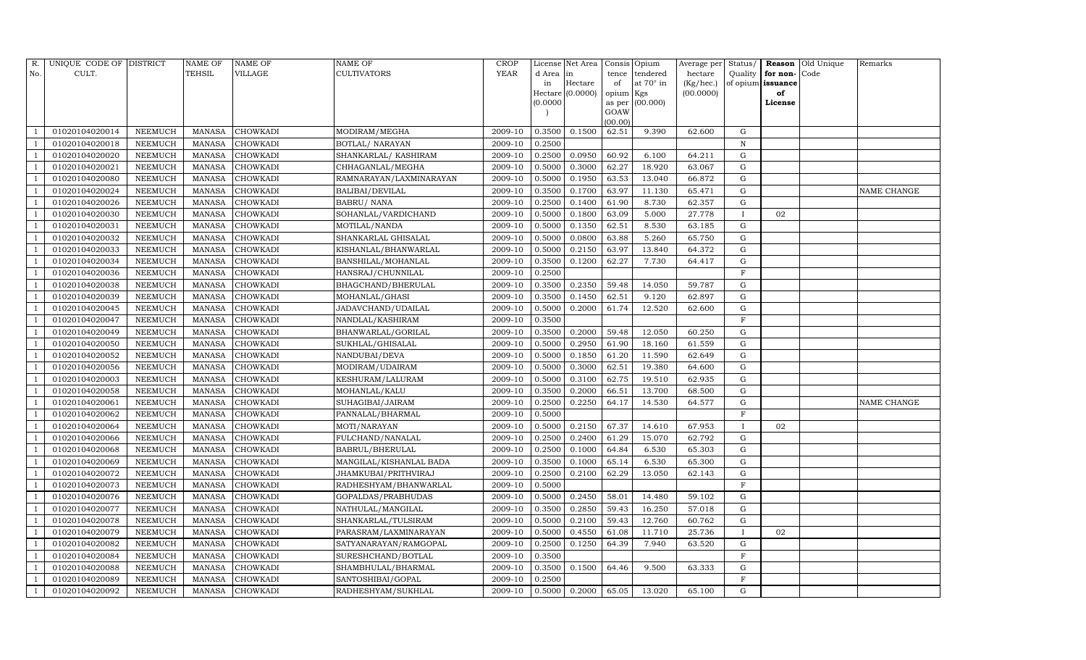| R.  | UNIQUE CODE OF DISTRICT |                 | <b>NAME OF</b> | NAME OF         | <b>NAME OF</b>          | <b>CROP</b> |           | License Net Area |                | Consis Opium | Average per | Status/      |                   | Reason Old Unique | Remarks     |
|-----|-------------------------|-----------------|----------------|-----------------|-------------------------|-------------|-----------|------------------|----------------|--------------|-------------|--------------|-------------------|-------------------|-------------|
| No. | CULT.                   |                 | TEHSIL         | VILLAGE         | <b>CULTIVATORS</b>      | <b>YEAR</b> | d Area in |                  | tence          | tendered     | hectare     | Quality      | for non-          | Code              |             |
|     |                         |                 |                |                 |                         |             | in        | Hectare          | of             | at 70° in    | (Kg/hec.)   |              | of opium issuance |                   |             |
|     |                         |                 |                |                 |                         |             |           | Hectare (0.0000) | opium Kgs      |              | (00.0000)   |              | of                |                   |             |
|     |                         |                 |                |                 |                         |             | (0.0000)  |                  | as per<br>GOAW | (00.000)     |             |              | License           |                   |             |
|     |                         |                 |                |                 |                         |             |           |                  | (00.00)        |              |             |              |                   |                   |             |
|     | 01020104020014          | NEEMUCH         | <b>MANASA</b>  | CHOWKADI        | MODIRAM/MEGHA           | 2009-10     | 0.3500    | 0.1500           | 62.51          | 9.390        | 62.600      | G            |                   |                   |             |
|     | 01020104020018          | NEEMUCH         | <b>MANASA</b>  | CHOWKADI        | BOTLAL/ NARAYAN         | 2009-10     | 0.2500    |                  |                |              |             | $\mathbf N$  |                   |                   |             |
|     | 01020104020020          | NEEMUCH         | <b>MANASA</b>  | CHOWKADI        | SHANKARLAL/KASHIRAM     | 2009-10     | 0.2500    | 0.0950           | 60.92          | 6.100        | 64.211      | G            |                   |                   |             |
|     | 01020104020021          | ${\tt NEEMUCH}$ | MANASA         | <b>CHOWKADI</b> | CHHAGANLAL/MEGHA        | 2009-10     | 0.5000    | 0.3000           | 62.27          | 18.920       | 63.067      | ${\rm G}$    |                   |                   |             |
|     | 01020104020080          | NEEMUCH         | <b>MANASA</b>  | CHOWKADI        | RAMNARAYAN/LAXMINARAYAN | 2009-10     | 0.5000    | 0.1950           | 63.53          | 13.040       | 66.872      | G            |                   |                   |             |
|     | 01020104020024          | NEEMUCH         | <b>MANASA</b>  | CHOWKADI        | BALIBAI/DEVILAL         | 2009-10     | 0.3500    | 0.1700           | 63.97          | 11.130       | 65.471      | G            |                   |                   | NAME CHANGE |
|     | 01020104020026          | NEEMUCH         | MANASA         | CHOWKADI        | <b>BABRU/ NANA</b>      | 2009-10     | 0.2500    | 0.1400           | 61.90          | 8.730        | 62.357      | G            |                   |                   |             |
|     | 01020104020030          | NEEMUCH         | <b>MANASA</b>  | CHOWKADI        | SOHANLAL/VARDICHAND     | 2009-10     | 0.5000    | 0.1800           | 63.09          | 5.000        | 27.778      | $\mathbf{I}$ | 02                |                   |             |
|     | 01020104020031          | <b>NEEMUCH</b>  | <b>MANASA</b>  | CHOWKADI        | MOTILAL/NANDA           | 2009-10     | 0.5000    | 0.1350           | 62.51          | 8.530        | 63.185      | $\mathbf G$  |                   |                   |             |
|     | 01020104020032          | NEEMUCH         | <b>MANASA</b>  | <b>CHOWKADI</b> | SHANKARLAL GHISALAL     | 2009-10     | 0.5000    | 0.0800           | 63.88          | 5.260        | 65.750      | ${\rm G}$    |                   |                   |             |
|     | 01020104020033          | NEEMUCH         | <b>MANASA</b>  | CHOWKADI        | KISHANLAL/BHANWARLAL    | 2009-10     | 0.5000    | 0.2150           | 63.97          | 13.840       | 64.372      | ${\rm G}$    |                   |                   |             |
|     | 01020104020034          | NEEMUCH         | MANASA         | CHOWKADI        | BANSHILAL/MOHANLAL      | 2009-10     | 0.3500    | 0.1200           | 62.27          | 7.730        | 64.417      | G            |                   |                   |             |
|     | 01020104020036          | <b>NEEMUCH</b>  | <b>MANASA</b>  | <b>CHOWKADI</b> | HANSRAJ/CHUNNILAL       | 2009-10     | 0.2500    |                  |                |              |             | $\mathbf F$  |                   |                   |             |
|     | 01020104020038          | NEEMUCH         | <b>MANASA</b>  | <b>CHOWKADI</b> | BHAGCHAND/BHERULAL      | 2009-10     | 0.3500    | 0.2350           | 59.48          | 14.050       | 59.787      | G            |                   |                   |             |
|     | 01020104020039          | NEEMUCH         | MANASA         | CHOWKADI        | MOHANLAL/GHASI          | 2009-10     | 0.3500    | 0.1450           | 62.51          | 9.120        | 62.897      | G            |                   |                   |             |
|     | 01020104020045          | NEEMUCH         | <b>MANASA</b>  | CHOWKADI        | JADAVCHAND/UDAILAL      | 2009-10     | 0.5000    | 0.2000           | 61.74          | 12.520       | 62.600      | G            |                   |                   |             |
|     | 01020104020047          | NEEMUCH         | <b>MANASA</b>  | CHOWKADI        | NANDLAL/KASHIRAM        | 2009-10     | 0.3500    |                  |                |              |             | $\mathbf{F}$ |                   |                   |             |
|     | 01020104020049          | NEEMUCH         | MANASA         | CHOWKADI        | BHANWARLAL/GORILAL      | 2009-10     | 0.3500    | 0.2000           | 59.48          | 12.050       | 60.250      | G            |                   |                   |             |
|     | 01020104020050          | NEEMUCH         | <b>MANASA</b>  | CHOWKADI        | SUKHLAL/GHISALAL        | 2009-10     | 0.5000    | 0.2950           | 61.90          | 18.160       | 61.559      | G            |                   |                   |             |
|     | 01020104020052          | NEEMUCH         | MANASA         | CHOWKADI        | NANDUBAI/DEVA           | 2009-10     | 0.5000    | 0.1850           | 61.20          | 11.590       | 62.649      | G            |                   |                   |             |
|     | 01020104020056          | NEEMUCH         | <b>MANASA</b>  | CHOWKADI        | MODIRAM/UDAIRAM         | 2009-10     | 0.5000    | 0.3000           | 62.51          | 19.380       | 64.600      | G            |                   |                   |             |
|     | 01020104020003          | NEEMUCH         | <b>MANASA</b>  | CHOWKADI        | KESHURAM/LALURAM        | 2009-10     | 0.5000    | 0.3100           | 62.75          | 19.510       | 62.935      | G            |                   |                   |             |
|     | 01020104020058          | NEEMUCH         | <b>MANASA</b>  | CHOWKADI        | MOHANLAL/KALU           | 2009-10     | 0.3500    | 0.2000           | 66.51          | 13.700       | 68.500      | G            |                   |                   |             |
|     | 01020104020061          | NEEMUCH         | <b>MANASA</b>  | CHOWKADI        | SUHAGIBAI/JAIRAM        | 2009-10     | 0.2500    | 0.2250           | 64.17          | 14.530       | 64.577      | G            |                   |                   | NAME CHANGE |
|     | 01020104020062          | NEEMUCH         | <b>MANASA</b>  | CHOWKADI        | PANNALAL/BHARMAL        | 2009-10     | 0.5000    |                  |                |              |             | $\mathbf F$  |                   |                   |             |
|     | 01020104020064          | NEEMUCH         | <b>MANASA</b>  | CHOWKADI        | MOTI/NARAYAN            | 2009-10     | 0.5000    | 0.2150           | 67.37          | 14.610       | 67.953      | I            | 02                |                   |             |
|     | 01020104020066          | NEEMUCH         | <b>MANASA</b>  | CHOWKADI        | FULCHAND/NANALAL        | 2009-10     | 0.2500    | 0.2400           | 61.29          | 15.070       | 62.792      | G            |                   |                   |             |
|     | 01020104020068          | NEEMUCH         | <b>MANASA</b>  | CHOWKADI        | <b>BABRUL/BHERULAL</b>  | 2009-10     | 0.2500    | 0.1000           | 64.84          | 6.530        | 65.303      | $\mathbf G$  |                   |                   |             |
|     | 01020104020069          | NEEMUCH         | <b>MANASA</b>  | CHOWKADI        | MANGILAL/KISHANLAL BADA | 2009-10     | 0.3500    | 0.1000           | 65.14          | 6.530        | 65.300      | G            |                   |                   |             |
|     | 01020104020072          | NEEMUCH         | <b>MANASA</b>  | <b>CHOWKADI</b> | JHAMKUBAI/PRITHVIRAJ    | 2009-10     | 0.2500    | 0.2100           | 62.29          | 13.050       | 62.143      | ${\rm G}$    |                   |                   |             |
|     | 01020104020073          | NEEMUCH         | <b>MANASA</b>  | CHOWKADI        | RADHESHYAM/BHANWARLAL   | 2009-10     | 0.5000    |                  |                |              |             | $\mathbf F$  |                   |                   |             |
|     | 01020104020076          | NEEMUCH         | <b>MANASA</b>  | CHOWKADI        | GOPALDAS/PRABHUDAS      | 2009-10     | 0.5000    | 0.2450           | 58.01          | 14.480       | 59.102      | $\mathbf G$  |                   |                   |             |
|     | 01020104020077          | NEEMUCH         | <b>MANASA</b>  | CHOWKADI        | NATHULAL/MANGILAL       | 2009-10     | 0.3500    | 0.2850           | 59.43          | 16.250       | 57.018      | G            |                   |                   |             |
|     | 01020104020078          | NEEMUCH         | <b>MANASA</b>  | CHOWKADI        | SHANKARLAL/TULSIRAM     | 2009-10     | 0.5000    | 0.2100           | 59.43          | 12.760       | 60.762      | ${\rm G}$    |                   |                   |             |
|     | 01020104020079          | NEEMUCH         | <b>MANASA</b>  | CHOWKADI        | PARASRAM/LAXMINARAYAN   | 2009-10     | 0.5000    | 0.4550           | 61.08          | 11.710       | 25.736      | $\mathbf{I}$ | 02                |                   |             |
|     | 01020104020082          | <b>NEEMUCH</b>  | <b>MANASA</b>  | CHOWKADI        | SATYANARAYAN/RAMGOPAL   | 2009-10     | 0.2500    | 0.1250           | 64.39          | 7.940        | 63.520      | ${\rm G}$    |                   |                   |             |
|     | 01020104020084          | NEEMUCH         | <b>MANASA</b>  | CHOWKADI        | SURESHCHAND/BOTLAL      | 2009-10     | 0.3500    |                  |                |              |             | $\mathbf F$  |                   |                   |             |
|     | 01020104020088          | NEEMUCH         | <b>MANASA</b>  | CHOWKADI        | SHAMBHULAL/BHARMAL      | 2009-10     | 0.3500    | 0.1500           | 64.46          | 9.500        | 63.333      | G            |                   |                   |             |
|     | 01020104020089          | NEEMUCH         | <b>MANASA</b>  | CHOWKADI        | SANTOSHIBAI/GOPAL       | 2009-10     | 0.2500    |                  |                |              |             | F            |                   |                   |             |
|     | 01020104020092          | <b>NEEMUCH</b>  | MANASA         | CHOWKADI        | RADHESHYAM/SUKHLAL      | 2009-10     | 0.5000    | 0.2000           | 65.05          | 13.020       | 65.100      | G            |                   |                   |             |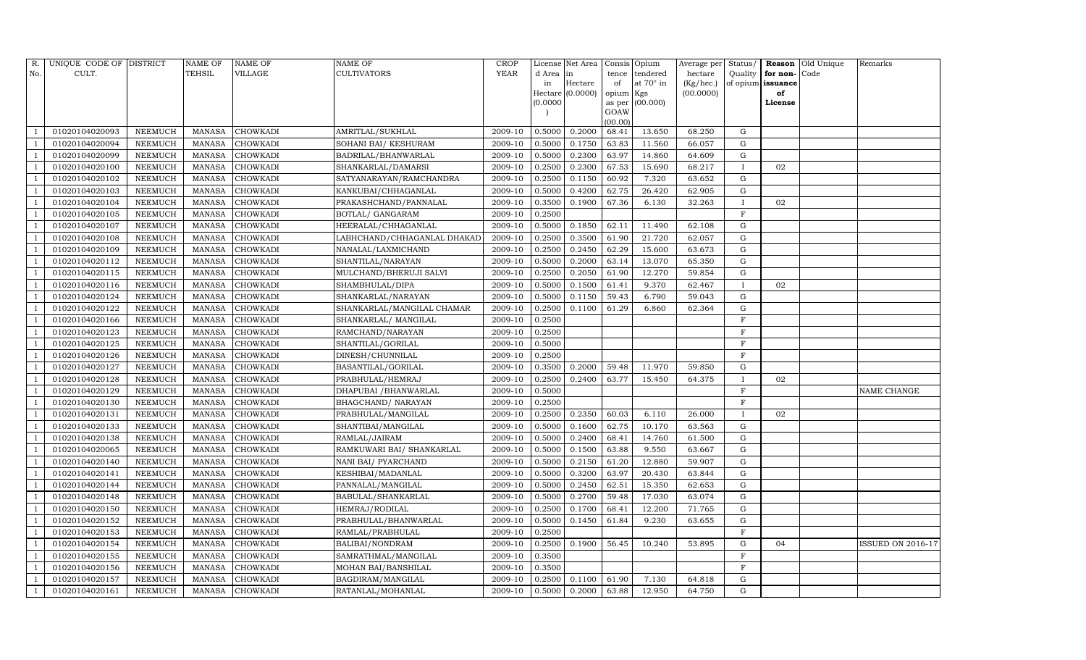| R.             | UNIQUE CODE OF DISTRICT |                | NAME OF       | <b>NAME OF</b>  | <b>NAME OF</b>              | CROP        |           | License Net Area |                | Consis Opium     | Average per | Status/      |                   | Reason Old Unique | Remarks                  |
|----------------|-------------------------|----------------|---------------|-----------------|-----------------------------|-------------|-----------|------------------|----------------|------------------|-------------|--------------|-------------------|-------------------|--------------------------|
| No.            | CULT.                   |                | <b>TEHSIL</b> | VILLAGE         | <b>CULTIVATORS</b>          | <b>YEAR</b> | d Area in |                  | tence          | tendered         | hectare     | Quality      | for non-          | Code              |                          |
|                |                         |                |               |                 |                             |             | in        | Hectare          | of             | at $70^\circ$ in | (Kg/hec.)   |              | of opium issuance |                   |                          |
|                |                         |                |               |                 |                             |             |           | Hectare (0.0000) | opium Kgs      |                  | (00.0000)   |              | of                |                   |                          |
|                |                         |                |               |                 |                             |             | (0.0000)  |                  | as per<br>GOAW | (00.000)         |             |              | License           |                   |                          |
|                |                         |                |               |                 |                             |             |           |                  | (00.00)        |                  |             |              |                   |                   |                          |
|                | 01020104020093          | NEEMUCH        | MANASA        | <b>CHOWKADI</b> | AMRITLAL/SUKHLAL            | 2009-10     | 0.5000    | 0.2000           | 68.41          | 13.650           | 68.250      | G            |                   |                   |                          |
|                | 01020104020094          | NEEMUCH        | MANASA        | <b>CHOWKADI</b> | SOHANI BAI/ KESHURAM        | 2009-10     | 0.5000    | 0.1750           | 63.83          | 11.560           | 66.057      | G            |                   |                   |                          |
|                | 01020104020099          | <b>NEEMUCH</b> | <b>MANASA</b> | <b>CHOWKADI</b> | BADRILAL/BHANWARLAL         | 2009-10     | 0.5000    | 0.2300           | 63.97          | 14.860           | 64.609      | G            |                   |                   |                          |
|                | 01020104020100          | NEEMUCH        | MANASA        | <b>CHOWKADI</b> | SHANKARLAL/DAMARSI          | 2009-10     | 0.2500    | 0.2300           | 67.53          | 15.690           | 68.217      | $\mathbf{I}$ | 02                |                   |                          |
|                | 01020104020102          | NEEMUCH        | <b>MANASA</b> | <b>CHOWKADI</b> | SATYANARAYAN/RAMCHANDRA     | 2009-10     | 0.2500    | 0.1150           | 60.92          | 7.320            | 63.652      | G            |                   |                   |                          |
|                | 01020104020103          | NEEMUCH        | <b>MANASA</b> | <b>CHOWKADI</b> | KANKUBAI/CHHAGANLAL         | 2009-10     | 0.5000    | 0.4200           | 62.75          | 26.420           | 62.905      | G            |                   |                   |                          |
|                | 01020104020104          | NEEMUCH        | MANASA        | <b>CHOWKADI</b> | PRAKASHCHAND/PANNALAL       | 2009-10     | 0.3500    | 0.1900           | 67.36          | 6.130            | 32.263      | $\mathbf{I}$ | 02                |                   |                          |
|                | 01020104020105          | NEEMUCH        | MANASA        | <b>CHOWKADI</b> | BOTLAL/ GANGARAM            | 2009-10     | 0.2500    |                  |                |                  |             | $\mathbf F$  |                   |                   |                          |
|                | 01020104020107          | <b>NEEMUCH</b> | <b>MANASA</b> | <b>CHOWKADI</b> | HEERALAL/CHHAGANLAL         | 2009-10     | 0.5000    | 0.1850           | 62.11          | 11.490           | 62.108      | $\mathbf G$  |                   |                   |                          |
|                | 01020104020108          | NEEMUCH        | MANASA        | <b>CHOWKADI</b> | LABHCHAND/CHHAGANLAL DHAKAD | 2009-10     | 0.2500    | 0.3500           | 61.90          | 21.720           | 62.057      | G            |                   |                   |                          |
|                | 01020104020109          | NEEMUCH        | MANASA        | <b>CHOWKADI</b> | NANALAL/LAXMICHAND          | 2009-10     | 0.2500    | 0.2450           | 62.29          | 15.600           | 63.673      | G            |                   |                   |                          |
|                | 01020104020112          | <b>NEEMUCH</b> | MANASA        | CHOWKADI        | SHANTILAL/NARAYAN           | 2009-10     | 0.5000    | 0.2000           | 63.14          | 13.070           | 65.350      | $\mathbf G$  |                   |                   |                          |
|                | 01020104020115          | <b>NEEMUCH</b> | <b>MANASA</b> | <b>CHOWKADI</b> | MULCHAND/BHERUJI SALVI      | 2009-10     | 0.2500    | 0.2050           | 61.90          | 12.270           | 59.854      | ${\rm G}$    |                   |                   |                          |
|                | 01020104020116          | <b>NEEMUCH</b> | <b>MANASA</b> | <b>CHOWKADI</b> | SHAMBHULAL/DIPA             | 2009-10     | 0.5000    | 0.1500           | 61.41          | 9.370            | 62.467      | $\mathbf{I}$ | 02                |                   |                          |
|                | 01020104020124          | <b>NEEMUCH</b> | <b>MANASA</b> | <b>CHOWKADI</b> | SHANKARLAL/NARAYAN          | 2009-10     | 0.5000    | 0.1150           | 59.43          | 6.790            | 59.043      | G            |                   |                   |                          |
|                | 01020104020122          | <b>NEEMUCH</b> | <b>MANASA</b> | <b>CHOWKADI</b> | SHANKARLAL/MANGILAL CHAMAR  | 2009-10     | 0.2500    | 0.1100           | 61.29          | 6.860            | 62.364      | G            |                   |                   |                          |
|                | 01020104020166          | NEEMUCH        | <b>MANASA</b> | CHOWKADI        | SHANKARLAL/ MANGILAL        | 2009-10     | 0.2500    |                  |                |                  |             | $\mathbf F$  |                   |                   |                          |
|                | 01020104020123          | <b>NEEMUCH</b> | <b>MANASA</b> | <b>CHOWKADI</b> | RAMCHAND/NARAYAN            | 2009-10     | 0.2500    |                  |                |                  |             | $\mathbf F$  |                   |                   |                          |
|                | 01020104020125          | <b>NEEMUCH</b> | <b>MANASA</b> | <b>CHOWKADI</b> | SHANTILAL/GORILAL           | 2009-10     | 0.5000    |                  |                |                  |             | F            |                   |                   |                          |
|                | 01020104020126          | <b>NEEMUCH</b> | <b>MANASA</b> | <b>CHOWKADI</b> | DINESH/CHUNNILAL            | 2009-10     | 0.2500    |                  |                |                  |             | $\mathbf{F}$ |                   |                   |                          |
|                | 01020104020127          | NEEMUCH        | MANASA        | <b>CHOWKADI</b> | BASANTILAL/GORILAL          | 2009-10     | 0.3500    | 0.2000           | 59.48          | 11.970           | 59.850      | ${\rm G}$    |                   |                   |                          |
|                | 01020104020128          | NEEMUCH        | <b>MANASA</b> | <b>CHOWKADI</b> | PRABHULAL/HEMRAJ            | 2009-10     | 0.2500    | 0.2400           | 63.77          | 15.450           | 64.375      | $\mathbf{I}$ | 02                |                   |                          |
|                | 01020104020129          | <b>NEEMUCH</b> | MANASA        | <b>CHOWKADI</b> | DHAPUBAI / BHANWARLAL       | 2009-10     | 0.5000    |                  |                |                  |             | F            |                   |                   | NAME CHANGE              |
|                | 01020104020130          | NEEMUCH        | <b>MANASA</b> | <b>CHOWKADI</b> | <b>BHAGCHAND/ NARAYAN</b>   | 2009-10     | 0.2500    |                  |                |                  |             | $\mathbf F$  |                   |                   |                          |
|                | 01020104020131          | <b>NEEMUCH</b> | MANASA        | <b>CHOWKADI</b> | PRABHULAL/MANGILAL          | 2009-10     | 0.2500    | 0.2350           | 60.03          | 6.110            | 26.000      | $\bf{I}$     | 02                |                   |                          |
|                | 01020104020133          | <b>NEEMUCH</b> | MANASA        | <b>CHOWKADI</b> | SHANTIBAI/MANGILAL          | 2009-10     | 0.5000    | 0.1600           | 62.75          | 10.170           | 63.563      | G            |                   |                   |                          |
|                | 01020104020138          | NEEMUCH        | MANASA        | <b>CHOWKADI</b> | RAMLAL/JAIRAM               | 2009-10     | 0.5000    | 0.2400           | 68.41          | 14.760           | 61.500      | $\mathbf G$  |                   |                   |                          |
|                | 01020104020065          | <b>NEEMUCH</b> | <b>MANASA</b> | <b>CHOWKADI</b> | RAMKUWARI BAI/ SHANKARLAL   | 2009-10     | 0.5000    | 0.1500           | 63.88          | 9.550            | 63.667      | $\mathbf G$  |                   |                   |                          |
|                | 01020104020140          | NEEMUCH        | MANASA        | <b>CHOWKADI</b> | NANI BAI/ PYARCHAND         | 2009-10     | 0.5000    | 0.2150           | 61.20          | 12.880           | 59.907      | G            |                   |                   |                          |
|                | 01020104020141          | NEEMUCH        | <b>MANASA</b> | <b>CHOWKADI</b> | KESHIBAI/MADANLAL           | 2009-10     | 0.5000    | 0.3200           | 63.97          | 20.430           | 63.844      | ${\rm G}$    |                   |                   |                          |
|                | 01020104020144          | <b>NEEMUCH</b> | MANASA        | <b>CHOWKADI</b> | PANNALAL/MANGILAL           | 2009-10     | 0.5000    | 0.2450           | 62.51          | 15.350           | 62.653      | G            |                   |                   |                          |
|                | 01020104020148          | <b>NEEMUCH</b> | <b>MANASA</b> | <b>CHOWKADI</b> | BABULAL/SHANKARLAL          | 2009-10     | 0.5000    | 0.2700           | 59.48          | 17.030           | 63.074      | G            |                   |                   |                          |
|                | 01020104020150          | <b>NEEMUCH</b> | <b>MANASA</b> | <b>CHOWKADI</b> | HEMRAJ/RODILAL              | 2009-10     | 0.2500    | 0.1700           | 68.41          | 12.200           | 71.765      | G            |                   |                   |                          |
|                | 01020104020152          | NEEMUCH        | MANASA        | <b>CHOWKADI</b> | PRABHULAL/BHANWARLAL        | 2009-10     | 0.5000    | 0.1450           | 61.84          | 9.230            | 63.655      | G            |                   |                   |                          |
|                | 01020104020153          | <b>NEEMUCH</b> | MANASA        | <b>CHOWKADI</b> | RAMLAL/PRABHULAL            | 2009-10     | 0.2500    |                  |                |                  |             | $\mathbf F$  |                   |                   |                          |
|                | 01020104020154          | NEEMUCH        | MANASA        | <b>CHOWKADI</b> | BALIBAI/NONDRAM             | 2009-10     | 0.2500    | 0.1900           | 56.45          | 10.240           | 53.895      | ${\rm G}$    | 04                |                   | <b>ISSUED ON 2016-17</b> |
|                | 01020104020155          | NEEMUCH        | <b>MANASA</b> | <b>CHOWKADI</b> | SAMRATHMAL/MANGILAL         | 2009-10     | 0.3500    |                  |                |                  |             | F            |                   |                   |                          |
|                | 01020104020156          | NEEMUCH        | <b>MANASA</b> | CHOWKADI        | MOHAN BAI/BANSHILAL         | 2009-10     | 0.3500    |                  |                |                  |             | F            |                   |                   |                          |
|                | 01020104020157          | <b>NEEMUCH</b> | <b>MANASA</b> | <b>CHOWKADI</b> | BAGDIRAM/MANGILAL           | 2009-10     | 0.2500    | 0.1100           | 61.90          | 7.130            | 64.818      | G            |                   |                   |                          |
| $\overline{1}$ | 01020104020161          | NEEMUCH        | MANASA        | <b>CHOWKADI</b> | RATANLAL/MOHANLAL           | 2009-10     | 0.5000    | 0.2000           | 63.88          | 12.950           | 64.750      | G            |                   |                   |                          |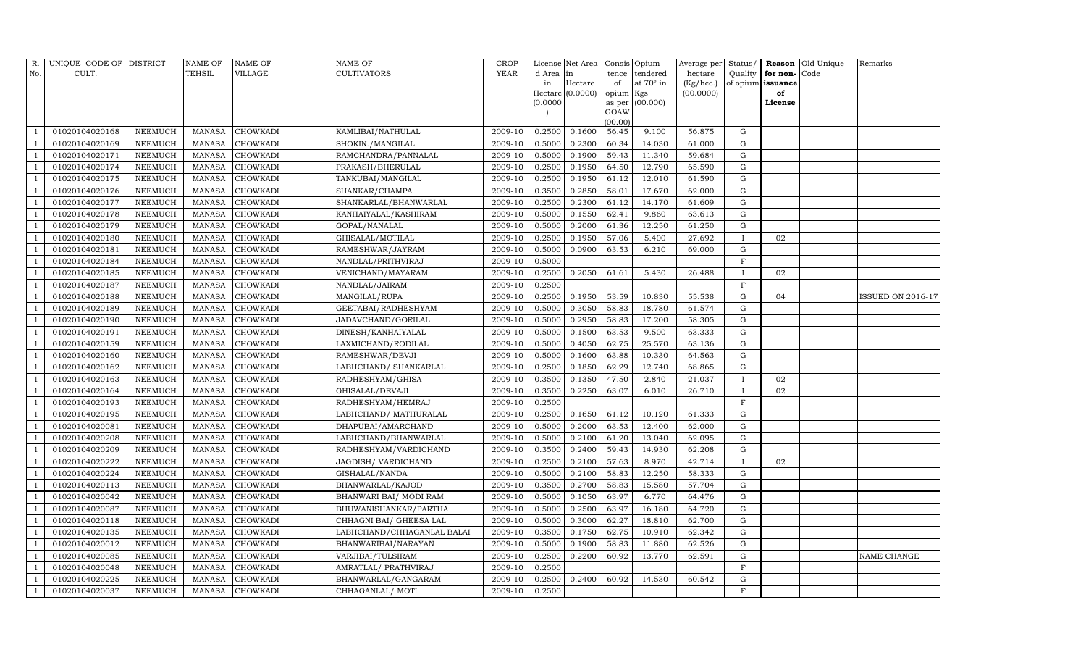| R.             | UNIQUE CODE OF DISTRICT |                | <b>NAME OF</b> | <b>NAME OF</b>  | <b>NAME OF</b>             | CROP    |           | License Net Area |                | Consis Opium     | Average per | Status/      |                   | <b>Reason</b> Old Unique | Remarks           |
|----------------|-------------------------|----------------|----------------|-----------------|----------------------------|---------|-----------|------------------|----------------|------------------|-------------|--------------|-------------------|--------------------------|-------------------|
| No.            | CULT.                   |                | <b>TEHSIL</b>  | VILLAGE         | <b>CULTIVATORS</b>         | YEAR    | d Area in |                  | tence          | tendered         | hectare     | Quality      | for non-          | Code                     |                   |
|                |                         |                |                |                 |                            |         | in        | Hectare          | of             | at $70^\circ$ in | (Kg/hec.)   |              | of opium issuance |                          |                   |
|                |                         |                |                |                 |                            |         | (0.0000)  | Hectare (0.0000) | opium Kgs      | (00.000)         | (00.0000)   |              | of<br>License     |                          |                   |
|                |                         |                |                |                 |                            |         |           |                  | as per<br>GOAW |                  |             |              |                   |                          |                   |
|                |                         |                |                |                 |                            |         |           |                  | (00.00)        |                  |             |              |                   |                          |                   |
|                | 01020104020168          | NEEMUCH        | MANASA         | <b>CHOWKADI</b> | KAMLIBAI/NATHULAL          | 2009-10 | 0.2500    | 0.1600           | 56.45          | 9.100            | 56.875      | G            |                   |                          |                   |
|                | 01020104020169          | NEEMUCH        | MANASA         | <b>CHOWKADI</b> | SHOKIN./MANGILAL           | 2009-10 | 0.5000    | 0.2300           | 60.34          | 14.030           | 61.000      | G            |                   |                          |                   |
|                | 01020104020171          | <b>NEEMUCH</b> | <b>MANASA</b>  | <b>CHOWKADI</b> | RAMCHANDRA/PANNALAL        | 2009-10 | 0.5000    | 0.1900           | 59.43          | 11.340           | 59.684      | G            |                   |                          |                   |
|                | 01020104020174          | NEEMUCH        | MANASA         | <b>CHOWKADI</b> | PRAKASH/BHERULAL           | 2009-10 | 0.2500    | 0.1950           | 64.50          | 12.790           | 65.590      | ${\rm G}$    |                   |                          |                   |
|                | 01020104020175          | NEEMUCH        | <b>MANASA</b>  | <b>CHOWKADI</b> | TANKUBAI/MANGILAL          | 2009-10 | 0.2500    | 0.1950           | 61.12          | 12.010           | 61.590      | G            |                   |                          |                   |
|                | 01020104020176          | NEEMUCH        | MANASA         | <b>CHOWKADI</b> | SHANKAR/CHAMPA             | 2009-10 | 0.3500    | 0.2850           | 58.01          | 17.670           | 62.000      | G            |                   |                          |                   |
|                | 01020104020177          | NEEMUCH        | MANASA         | <b>CHOWKADI</b> | SHANKARLAL/BHANWARLAL      | 2009-10 | 0.2500    | 0.2300           | 61.12          | 14.170           | 61.609      | G            |                   |                          |                   |
|                | 01020104020178          | NEEMUCH        | MANASA         | <b>CHOWKADI</b> | KANHAIYALAL/KASHIRAM       | 2009-10 | 0.5000    | 0.1550           | 62.41          | 9.860            | 63.613      | ${\rm G}$    |                   |                          |                   |
|                | 01020104020179          | <b>NEEMUCH</b> | <b>MANASA</b>  | <b>CHOWKADI</b> | GOPAL/NANALAL              | 2009-10 | 0.5000    | 0.2000           | 61.36          | 12.250           | 61.250      | $\mathbf G$  |                   |                          |                   |
|                | 01020104020180          | NEEMUCH        | MANASA         | <b>CHOWKADI</b> | GHISALAL/MOTILAL           | 2009-10 | 0.2500    | 0.1950           | 57.06          | 5.400            | 27.692      | $\bf{I}$     | 02                |                          |                   |
|                | 01020104020181          | <b>NEEMUCH</b> | <b>MANASA</b>  | <b>CHOWKADI</b> | RAMESHWAR/JAYRAM           | 2009-10 | 0.5000    | 0.0900           | 63.53          | 6.210            | 69.000      | ${\rm G}$    |                   |                          |                   |
|                | 01020104020184          | <b>NEEMUCH</b> | MANASA         | <b>CHOWKADI</b> | NANDLAL/PRITHVIRAJ         | 2009-10 | 0.5000    |                  |                |                  |             | F            |                   |                          |                   |
|                | 01020104020185          | <b>NEEMUCH</b> | <b>MANASA</b>  | <b>CHOWKADI</b> | VENICHAND/MAYARAM          | 2009-10 | 0.2500    | 0.2050           | 61.61          | 5.430            | 26.488      |              | 02                |                          |                   |
|                | 01020104020187          | <b>NEEMUCH</b> | <b>MANASA</b>  | <b>CHOWKADI</b> | NANDLAL/JAIRAM             | 2009-10 | 0.2500    |                  |                |                  |             | $\mathbf F$  |                   |                          |                   |
|                | 01020104020188          | NEEMUCH        | MANASA         | <b>CHOWKADI</b> | MANGILAL/RUPA              | 2009-10 | 0.2500    | 0.1950           | 53.59          | 10.830           | 55.538      | G            | 04                |                          | ISSUED ON 2016-17 |
|                | 01020104020189          | NEEMUCH        | MANASA         | <b>CHOWKADI</b> | GEETABAI/RADHESHYAM        | 2009-10 | 0.5000    | 0.3050           | 58.83          | 18.780           | 61.574      | $\mathbf G$  |                   |                          |                   |
|                | 01020104020190          | <b>NEEMUCH</b> | <b>MANASA</b>  | <b>CHOWKADI</b> | JADAVCHAND/GORILAL         | 2009-10 | 0.5000    | 0.2950           | 58.83          | 17.200           | 58.305      | G            |                   |                          |                   |
|                | 01020104020191          | <b>NEEMUCH</b> | MANASA         | <b>CHOWKADI</b> | DINESH/KANHAIYALAL         | 2009-10 | 0.5000    | 0.1500           | 63.53          | 9.500            | 63.333      | G            |                   |                          |                   |
|                | 01020104020159          | NEEMUCH        | <b>MANASA</b>  | <b>CHOWKADI</b> | LAXMICHAND/RODILAL         | 2009-10 | 0.5000    | 0.4050           | 62.75          | 25.570           | 63.136      | G            |                   |                          |                   |
|                | 01020104020160          | NEEMUCH        | MANASA         | <b>CHOWKADI</b> | RAMESHWAR/DEVJI            | 2009-10 | 0.5000    | 0.1600           | 63.88          | 10.330           | 64.563      | G            |                   |                          |                   |
|                | 01020104020162          | NEEMUCH        | MANASA         | <b>CHOWKADI</b> | LABHCHAND/ SHANKARLAL      | 2009-10 | 0.2500    | 0.1850           | 62.29          | 12.740           | 68.865      | G            |                   |                          |                   |
|                | 01020104020163          | <b>NEEMUCH</b> | <b>MANASA</b>  | <b>CHOWKADI</b> | RADHESHYAM/GHISA           | 2009-10 | 0.3500    | 0.1350           | 47.50          | 2.840            | 21.037      | $\mathbf{I}$ | 02                |                          |                   |
|                | 01020104020164          | NEEMUCH        | MANASA         | <b>CHOWKADI</b> | GHISALAL/DEVAJI            | 2009-10 | 0.3500    | 0.2250           | 63.07          | 6.010            | 26.710      | $\mathbf{I}$ | 02                |                          |                   |
|                | 01020104020193          | <b>NEEMUCH</b> | <b>MANASA</b>  | <b>CHOWKADI</b> | RADHESHYAM/HEMRAJ          | 2009-10 | 0.2500    |                  |                |                  |             | $\mathbf F$  |                   |                          |                   |
|                | 01020104020195          | <b>NEEMUCH</b> | <b>MANASA</b>  | CHOWKADI        | LABHCHAND/ MATHURALAL      | 2009-10 | 0.2500    | 0.1650           | 61.12          | 10.120           | 61.333      | ${\rm G}$    |                   |                          |                   |
|                | 01020104020081          | <b>NEEMUCH</b> | <b>MANASA</b>  | <b>CHOWKADI</b> | DHAPUBAI/AMARCHAND         | 2009-10 | 0.5000    | 0.2000           | 63.53          | 12.400           | 62.000      | G            |                   |                          |                   |
|                | 01020104020208          | <b>NEEMUCH</b> | <b>MANASA</b>  | CHOWKADI        | LABHCHAND/BHANWARLAL       | 2009-10 | 0.5000    | 0.2100           | 61.20          | 13.040           | 62.095      | ${\rm G}$    |                   |                          |                   |
|                | 01020104020209          | <b>NEEMUCH</b> | <b>MANASA</b>  | <b>CHOWKADI</b> | RADHESHYAM/VARDICHAND      | 2009-10 | 0.3500    | 0.2400           | 59.43          | 14.930           | 62.208      | $\mathbf G$  |                   |                          |                   |
|                | 01020104020222          | NEEMUCH        | MANASA         | <b>CHOWKADI</b> | JAGDISH / VARDICHAND       | 2009-10 | 0.2500    | 0.2100           | 57.63          | 8.970            | 42.714      | $\bf{I}$     | 02                |                          |                   |
|                | 01020104020224          | NEEMUCH        | MANASA         | <b>CHOWKADI</b> | GISHALAL/NANDA             | 2009-10 | 0.5000    | 0.2100           | 58.83          | 12.250           | 58.333      | G            |                   |                          |                   |
|                | 01020104020113          | <b>NEEMUCH</b> | MANASA         | <b>CHOWKADI</b> | BHANWARLAL/KAJOD           | 2009-10 | 0.3500    | 0.2700           | 58.83          | 15.580           | 57.704      | $\mathbf G$  |                   |                          |                   |
|                | 01020104020042          | NEEMUCH        | <b>MANASA</b>  | <b>CHOWKADI</b> | BHANWARI BAI / MODI RAM    | 2009-10 | 0.5000    | 0.1050           | 63.97          | 6.770            | 64.476      | $\mathbf G$  |                   |                          |                   |
|                | 01020104020087          | <b>NEEMUCH</b> | MANASA         | <b>CHOWKADI</b> | BHUWANISHANKAR/PARTHA      | 2009-10 | 0.5000    | 0.2500           | 63.97          | 16.180           | 64.720      | ${\rm G}$    |                   |                          |                   |
|                | 01020104020118          | <b>NEEMUCH</b> | <b>MANASA</b>  | <b>CHOWKADI</b> | CHHAGNI BAI/ GHEESA LAL    | 2009-10 | 0.5000    | 0.3000           | 62.27          | 18.810           | 62.700      | G            |                   |                          |                   |
|                | 01020104020135          | NEEMUCH        | MANASA         | <b>CHOWKADI</b> | LABHCHAND/CHHAGANLAL BALAI | 2009-10 | 0.3500    | 0.1750           | 62.75          | 10.910           | 62.342      | ${\rm G}$    |                   |                          |                   |
|                | 01020104020012          | <b>NEEMUCH</b> | <b>MANASA</b>  | <b>CHOWKADI</b> | BHANWARIBAI/NARAYAN        | 2009-10 | 0.5000    | 0.1900           | 58.83          | 11.880           | 62.526      | ${\rm G}$    |                   |                          |                   |
|                | 01020104020085          | <b>NEEMUCH</b> | MANASA         | <b>CHOWKADI</b> | VARJIBAI/TULSIRAM          | 2009-10 | 0.2500    | 0.2200           | 60.92          | 13.770           | 62.591      | G            |                   |                          | NAME CHANGE       |
|                | 01020104020048          | NEEMUCH        | <b>MANASA</b>  | <b>CHOWKADI</b> | AMRATLAL/ PRATHVIRAJ       | 2009-10 | 0.2500    |                  |                |                  |             | F            |                   |                          |                   |
| $\overline{1}$ | 01020104020225          | NEEMUCH        | MANASA         | <b>CHOWKADI</b> | BHANWARLAL/GANGARAM        | 2009-10 | 0.2500    | 0.2400           | 60.92          | 14.530           | 60.542      | G            |                   |                          |                   |
| $\overline{1}$ | 01020104020037          | <b>NEEMUCH</b> |                | MANASA CHOWKADI | CHHAGANLAL/ MOTI           | 2009-10 | 0.2500    |                  |                |                  |             | F            |                   |                          |                   |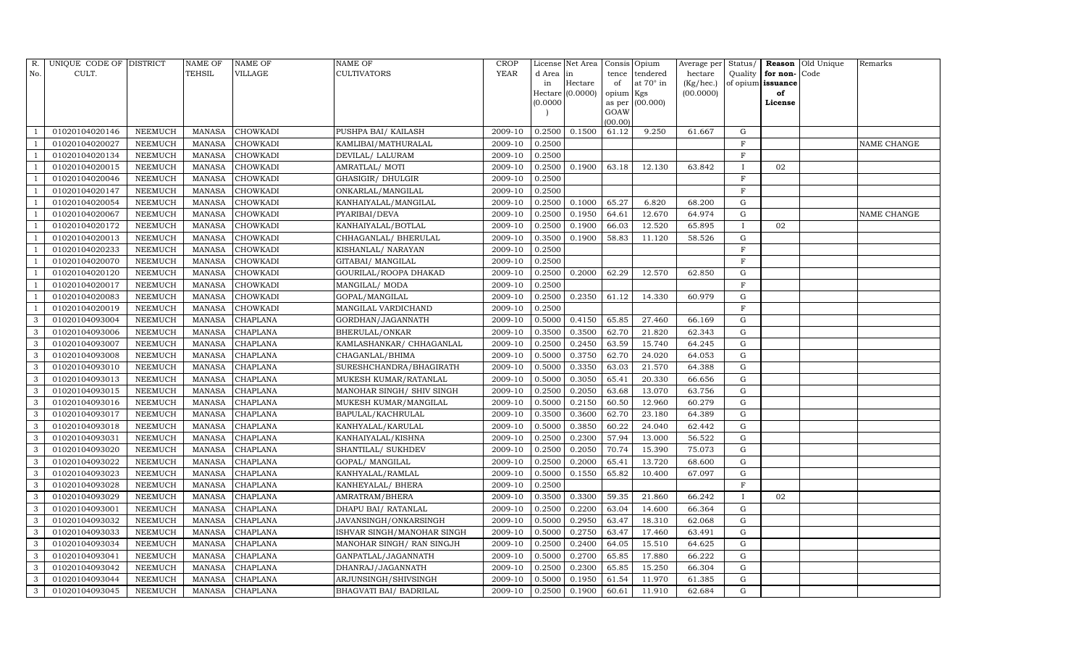| R.           | UNIQUE CODE OF DISTRICT |                | <b>NAME OF</b> | <b>NAME OF</b>  | <b>NAME OF</b>             | CROP        |           | License Net Area |                | Consis Opium     | Average per | Status/      |                      | Reason Old Unique | Remarks     |
|--------------|-------------------------|----------------|----------------|-----------------|----------------------------|-------------|-----------|------------------|----------------|------------------|-------------|--------------|----------------------|-------------------|-------------|
| No.          | CULT.                   |                | TEHSIL         | VILLAGE         | CULTIVATORS                | <b>YEAR</b> | d Area in |                  | tence          | tendered         | hectare     |              | Quality $ $ for non- | Code              |             |
|              |                         |                |                |                 |                            |             | in        | Hectare          | of             | at $70^\circ$ in | (Kg/hec.)   |              | of opium issuance    |                   |             |
|              |                         |                |                |                 |                            |             | (0.0000)  | Hectare (0.0000) | opium Kgs      |                  | (00.0000)   |              | of                   |                   |             |
|              |                         |                |                |                 |                            |             |           |                  | as per<br>GOAW | (00.000)         |             |              | License              |                   |             |
|              |                         |                |                |                 |                            |             |           |                  | (00.00)        |                  |             |              |                      |                   |             |
|              | 01020104020146          | NEEMUCH        | <b>MANASA</b>  | <b>CHOWKADI</b> | PUSHPA BAI/ KAILASH        | 2009-10     | 0.2500    | 0.1500           | 61.12          | 9.250            | 61.667      | G            |                      |                   |             |
|              | 01020104020027          | NEEMUCH        | <b>MANASA</b>  | <b>CHOWKADI</b> | KAMLIBAI/MATHURALAL        | 2009-10     | 0.2500    |                  |                |                  |             | $\mathbf F$  |                      |                   | NAME CHANGE |
|              | 01020104020134          | NEEMUCH        | <b>MANASA</b>  | <b>CHOWKADI</b> | DEVILAL/ LALURAM           | 2009-10     | 0.2500    |                  |                |                  |             | $\mathbf F$  |                      |                   |             |
|              | 01020104020015          | <b>NEEMUCH</b> | <b>MANASA</b>  | CHOWKADI        | AMRATLAL/MOTI              | 2009-10     | 0.2500    | 0.1900           | 63.18          | 12.130           | 63.842      | $\mathbf{I}$ | 02                   |                   |             |
|              | 01020104020046          | NEEMUCH        | <b>MANASA</b>  | <b>CHOWKADI</b> | GHASIGIR/ DHULGIR          | 2009-10     | 0.2500    |                  |                |                  |             | F            |                      |                   |             |
|              | 01020104020147          | <b>NEEMUCH</b> | <b>MANASA</b>  | CHOWKADI        | ONKARLAL/MANGILAL          | 2009-10     | 0.2500    |                  |                |                  |             | $\mathbf F$  |                      |                   |             |
|              | 01020104020054          | NEEMUCH        | <b>MANASA</b>  | <b>CHOWKADI</b> | KANHAIYALAL/MANGILAL       | 2009-10     | 0.2500    | 0.1000           | 65.27          | 6.820            | 68.200      | G            |                      |                   |             |
|              | 01020104020067          | <b>NEEMUCH</b> | <b>MANASA</b>  | <b>CHOWKADI</b> | PYARIBAI/DEVA              | 2009-10     | 0.2500    | 0.1950           | 64.61          | 12.670           | 64.974      | ${\rm G}$    |                      |                   | NAME CHANGE |
|              | 01020104020172          | <b>NEEMUCH</b> | <b>MANASA</b>  | <b>CHOWKADI</b> | KANHAIYALAL/BOTLAL         | 2009-10     | 0.2500    | 0.1900           | 66.03          | 12.520           | 65.895      | $\mathbf{I}$ | 02                   |                   |             |
|              | 01020104020013          | <b>NEEMUCH</b> | <b>MANASA</b>  | <b>CHOWKADI</b> | CHHAGANLAL/ BHERULAL       | 2009-10     | 0.3500    | 0.1900           | 58.83          | 11.120           | 58.526      | G            |                      |                   |             |
|              | 01020104020233          | <b>NEEMUCH</b> | <b>MANASA</b>  | <b>CHOWKADI</b> | KISHANLAL/ NARAYAN         | 2009-10     | 0.2500    |                  |                |                  |             | $\rm F$      |                      |                   |             |
|              | 01020104020070          | <b>NEEMUCH</b> | <b>MANASA</b>  | CHOWKADI        | GITABAI/ MANGILAL          | 2009-10     | 0.2500    |                  |                |                  |             | $\mathbf F$  |                      |                   |             |
|              | 01020104020120          | <b>NEEMUCH</b> | <b>MANASA</b>  | <b>CHOWKADI</b> | GOURILAL/ROOPA DHAKAD      | 2009-10     | 0.2500    | 0.2000           | 62.29          | 12.570           | 62.850      | $\mathbf G$  |                      |                   |             |
|              | 01020104020017          | <b>NEEMUCH</b> | <b>MANASA</b>  | <b>CHOWKADI</b> | MANGILAL/ MODA             | 2009-10     | 0.2500    |                  |                |                  |             | $\mathbf F$  |                      |                   |             |
|              | 01020104020083          | <b>NEEMUCH</b> | <b>MANASA</b>  | <b>CHOWKADI</b> | GOPAL/MANGILAL             | 2009-10     | 0.2500    | 0.2350           | 61.12          | 14.330           | 60.979      | G            |                      |                   |             |
|              | 01020104020019          | NEEMUCH        | <b>MANASA</b>  | <b>CHOWKADI</b> | MANGILAL VARDICHAND        | 2009-10     | 0.2500    |                  |                |                  |             | $\mathbf F$  |                      |                   |             |
| 3            | 01020104093004          | <b>NEEMUCH</b> | <b>MANASA</b>  | <b>CHAPLANA</b> | GORDHAN/JAGANNATH          | 2009-10     | 0.5000    | 0.4150           | 65.85          | 27.460           | 66.169      | $\mathbf G$  |                      |                   |             |
| 3            | 01020104093006          | NEEMUCH        | <b>MANASA</b>  | CHAPLANA        | BHERULAL/ONKAR             | 2009-10     | 0.3500    | 0.3500           | 62.70          | 21.820           | 62.343      | G            |                      |                   |             |
| 3            | 01020104093007          | NEEMUCH        | <b>MANASA</b>  | <b>CHAPLANA</b> | KAMLASHANKAR/ CHHAGANLAL   | 2009-10     | 0.2500    | 0.2450           | 63.59          | 15.740           | 64.245      | G            |                      |                   |             |
| 3            | 01020104093008          | <b>NEEMUCH</b> | <b>MANASA</b>  | <b>CHAPLANA</b> | CHAGANLAL/BHIMA            | 2009-10     | 0.5000    | 0.3750           | 62.70          | 24.020           | 64.053      | G            |                      |                   |             |
| 3            | 01020104093010          | <b>NEEMUCH</b> | <b>MANASA</b>  | CHAPLANA        | SURESHCHANDRA/BHAGIRATH    | 2009-10     | 0.5000    | 0.3350           | 63.03          | 21.570           | 64.388      | G            |                      |                   |             |
| 3            | 01020104093013          | <b>NEEMUCH</b> | <b>MANASA</b>  | <b>CHAPLANA</b> | MUKESH KUMAR/RATANLAL      | 2009-10     | 0.5000    | 0.3050           | 65.41          | 20.330           | 66.656      | G            |                      |                   |             |
| 3            | 01020104093015          | NEEMUCH        | <b>MANASA</b>  | CHAPLANA        | MANOHAR SINGH/ SHIV SINGH  | 2009-10     | 0.2500    | 0.2050           | 63.68          | 13.070           | 63.756      | G            |                      |                   |             |
| 3            | 01020104093016          | NEEMUCH        | <b>MANASA</b>  | <b>CHAPLANA</b> | MUKESH KUMAR/MANGILAL      | 2009-10     | 0.5000    | 0.2150           | 60.50          | 12.960           | 60.279      | G            |                      |                   |             |
| 3            | 01020104093017          | <b>NEEMUCH</b> | <b>MANASA</b>  | CHAPLANA        | BAPULAL/KACHRULAL          | 2009-10     | 0.3500    | 0.3600           | 62.70          | 23.180           | 64.389      | G            |                      |                   |             |
| 3            | 01020104093018          | <b>NEEMUCH</b> | <b>MANASA</b>  | CHAPLANA        | KANHYALAL/KARULAL          | 2009-10     | 0.5000    | 0.3850           | 60.22          | 24.040           | 62.442      | G            |                      |                   |             |
| 3            | 01020104093031          | NEEMUCH        | <b>MANASA</b>  | CHAPLANA        | KANHAIYALAL/KISHNA         | 2009-10     | 0.2500    | 0.2300           | 57.94          | 13.000           | 56.522      | ${\rm G}$    |                      |                   |             |
| 3            | 01020104093020          | <b>NEEMUCH</b> | <b>MANASA</b>  | CHAPLANA        | SHANTILAL/ SUKHDEV         | 2009-10     | 0.2500    | 0.2050           | 70.74          | 15.390           | 75.073      | $\mathbf G$  |                      |                   |             |
| 3            | 01020104093022          | NEEMUCH        | <b>MANASA</b>  | <b>CHAPLANA</b> | GOPAL/ MANGILAL            | 2009-10     | 0.2500    | 0.2000           | 65.41          | 13.720           | 68.600      | ${\rm G}$    |                      |                   |             |
| 3            | 01020104093023          | NEEMUCH        | <b>MANASA</b>  | <b>CHAPLANA</b> | KANHYALAL/RAMLAL           | 2009-10     | 0.5000    | 0.1550           | 65.82          | 10.400           | 67.097      | G            |                      |                   |             |
| 3            | 01020104093028          | <b>NEEMUCH</b> | <b>MANASA</b>  | CHAPLANA        | KANHEYALAL/ BHERA          | 2009-10     | 0.2500    |                  |                |                  |             | F            |                      |                   |             |
| 3            | 01020104093029          | NEEMUCH        | <b>MANASA</b>  | <b>CHAPLANA</b> | AMRATRAM/BHERA             | 2009-10     | 0.3500    | 0.3300           | 59.35          | 21.860           | 66.242      | $\mathbf{I}$ | 02                   |                   |             |
| 3            | 01020104093001          | NEEMUCH        | <b>MANASA</b>  | CHAPLANA        | DHAPU BAI/ RATANLAL        | 2009-10     | 0.2500    | 0.2200           | 63.04          | 14.600           | 66.364      | ${\rm G}$    |                      |                   |             |
| 3            | 01020104093032          | NEEMUCH        | <b>MANASA</b>  | CHAPLANA        | JAVANSINGH/ONKARSINGH      | 2009-10     | 0.5000    | 0.2950           | 63.47          | 18.310           | 62.068      | G            |                      |                   |             |
| 3            | 01020104093033          | NEEMUCH        | <b>MANASA</b>  | CHAPLANA        | ISHVAR SINGH/MANOHAR SINGH | 2009-10     | 0.5000    | 0.2750           | 63.47          | 17.460           | 63.491      | ${\rm G}$    |                      |                   |             |
| 3            | 01020104093034          | <b>NEEMUCH</b> | <b>MANASA</b>  | CHAPLANA        | MANOHAR SINGH/ RAN SINGJH  | 2009-10     | 0.2500    | 0.2400           | 64.05          | 15.510           | 64.625      | $\mathbf G$  |                      |                   |             |
| 3            | 01020104093041          | <b>NEEMUCH</b> | <b>MANASA</b>  | CHAPLANA        | GANPATLAL/JAGANNATH        | 2009-10     | 0.5000    | 0.2700           | 65.85          | 17.880           | 66.222      | G            |                      |                   |             |
| 3            | 01020104093042          | <b>NEEMUCH</b> | <b>MANASA</b>  | CHAPLANA        | DHANRAJ/JAGANNATH          | 2009-10     | 0.2500    | 0.2300           | 65.85          | 15.250           | 66.304      | G            |                      |                   |             |
| 3            | 01020104093044          | <b>NEEMUCH</b> | <b>MANASA</b>  | <b>CHAPLANA</b> | ARJUNSINGH/SHIVSINGH       | 2009-10     | 0.5000    | 0.1950           | 61.54          | 11.970           | 61.385      | G            |                      |                   |             |
| $\mathbf{3}$ | 01020104093045          | NEEMUCH        | MANASA         | <b>CHAPLANA</b> | BHAGVATI BAI / BADRILAL    | 2009-10     | 0.2500    | 0.1900           | 60.61          | 11.910           | 62.684      | G            |                      |                   |             |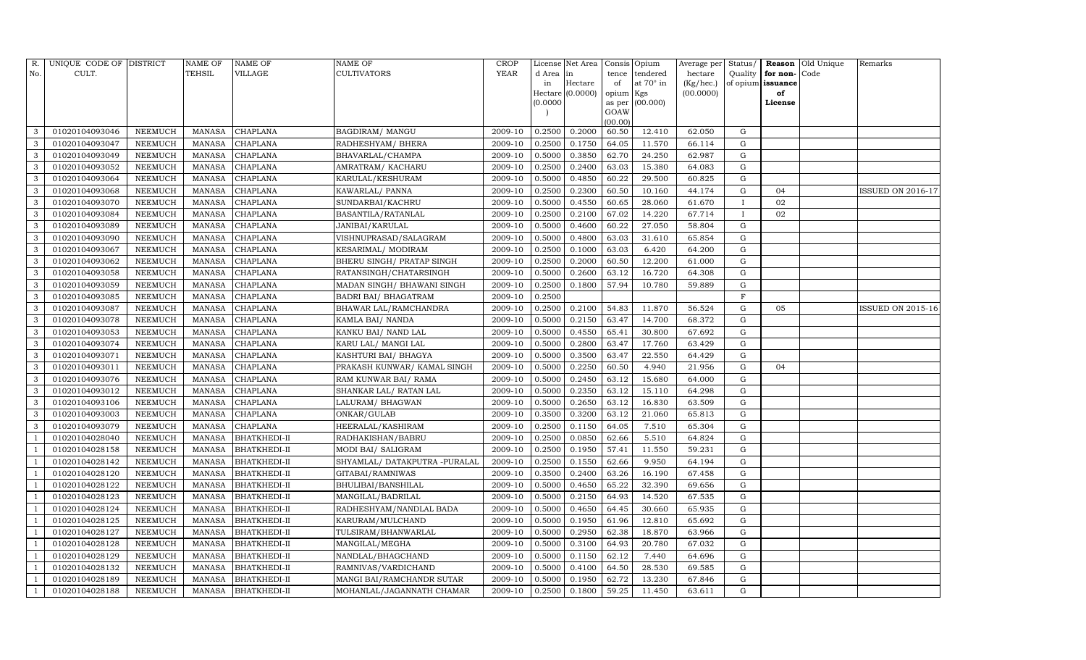| R.                       | UNIQUE CODE OF DISTRICT |                | <b>NAME OF</b> | <b>NAME OF</b>      | <b>NAME OF</b>                | CROP        |           | License Net Area |           | Consis Opium     | Average per | Status/      |                   | Reason Old Unique | Remarks                  |
|--------------------------|-------------------------|----------------|----------------|---------------------|-------------------------------|-------------|-----------|------------------|-----------|------------------|-------------|--------------|-------------------|-------------------|--------------------------|
| No.                      | CULT.                   |                | TEHSIL         | VILLAGE             | <b>CULTIVATORS</b>            | <b>YEAR</b> | d Area in |                  | tence     | tendered         | hectare     | Quality      | for non-          | Code              |                          |
|                          |                         |                |                |                     |                               |             | in        | Hectare          | of        | at $70^\circ$ in | (Kg/hec.)   |              | of opium issuance |                   |                          |
|                          |                         |                |                |                     |                               |             | (0.0000)  | Hectare (0.0000) | opium Kgs |                  | (00.0000)   |              | of                |                   |                          |
|                          |                         |                |                |                     |                               |             |           |                  | GOAW      | as per (00.000)  |             |              | License           |                   |                          |
|                          |                         |                |                |                     |                               |             |           |                  | (00.00)   |                  |             |              |                   |                   |                          |
| 3                        | 01020104093046          | NEEMUCH        | MANASA         | <b>CHAPLANA</b>     | <b>BAGDIRAM/ MANGU</b>        | 2009-10     | 0.2500    | 0.2000           | 60.50     | 12.410           | 62.050      | G            |                   |                   |                          |
| 3                        | 01020104093047          | <b>NEEMUCH</b> | MANASA         | <b>CHAPLANA</b>     | RADHESHYAM / BHERA            | 2009-10     | 0.2500    | 0.1750           | 64.05     | 11.570           | 66.114      | G            |                   |                   |                          |
| 3                        | 01020104093049          | <b>NEEMUCH</b> | MANASA         | <b>CHAPLANA</b>     | BHAVARLAL/CHAMPA              | 2009-10     | 0.5000    | 0.3850           | 62.70     | 24.250           | 62.987      | G            |                   |                   |                          |
| 3                        | 01020104093052          | NEEMUCH        | MANASA         | CHAPLANA            | AMRATRAM/KACHARU              | 2009-10     | 0.2500    | 0.2400           | 63.03     | 15.380           | 64.083      | G            |                   |                   |                          |
| 3                        | 01020104093064          | NEEMUCH        | MANASA         | <b>CHAPLANA</b>     | KARULAL/KESHURAM              | 2009-10     | 0.5000    | 0.4850           | 60.22     | 29.500           | 60.825      | G            |                   |                   |                          |
| 3                        | 01020104093068          | NEEMUCH        | MANASA         | CHAPLANA            | KAWARLAL/ PANNA               | 2009-10     | 0.2500    | 0.2300           | 60.50     | 10.160           | 44.174      | $\mathbf G$  | 04                |                   | ISSUED ON 2016-17        |
| 3                        | 01020104093070          | NEEMUCH        | <b>MANASA</b>  | <b>CHAPLANA</b>     | SUNDARBAI/KACHRU              | 2009-10     | 0.5000    | 0.4550           | 60.65     | 28.060           | 61.670      | $\mathbf{I}$ | 02                |                   |                          |
| 3                        | 01020104093084          | NEEMUCH        | MANASA         | <b>CHAPLANA</b>     | BASANTILA/RATANLAL            | 2009-10     | 0.2500    | 0.2100           | 67.02     | 14.220           | 67.714      | $\mathbf{I}$ | 02                |                   |                          |
| 3                        | 01020104093089          | NEEMUCH        | MANASA         | <b>CHAPLANA</b>     | JANIBAI/KARULAL               | 2009-10     | 0.5000    | 0.4600           | 60.22     | 27.050           | 58.804      | G            |                   |                   |                          |
| 3                        | 01020104093090          | NEEMUCH        | MANASA         | <b>CHAPLANA</b>     | VISHNUPRASAD/SALAGRAM         | 2009-10     | 0.5000    | 0.4800           | 63.03     | 31.610           | 65.854      | G            |                   |                   |                          |
| 3                        | 01020104093067          | NEEMUCH        | <b>MANASA</b>  | <b>CHAPLANA</b>     | KESARIMAL/ MODIRAM            | 2009-10     | 0.2500    | 0.1000           | 63.03     | 6.420            | 64.200      | G            |                   |                   |                          |
| 3                        | 01020104093062          | <b>NEEMUCH</b> | MANASA         | CHAPLANA            | BHERU SINGH / PRATAP SINGH    | 2009-10     | 0.2500    | 0.2000           | 60.50     | 12.200           | 61.000      | G            |                   |                   |                          |
| 3                        | 01020104093058          | NEEMUCH        | MANASA         | <b>CHAPLANA</b>     | RATANSINGH/CHATARSINGH        | 2009-10     | 0.5000    | 0.2600           | 63.12     | 16.720           | 64.308      | G            |                   |                   |                          |
| 3                        | 01020104093059          | <b>NEEMUCH</b> | <b>MANASA</b>  | <b>CHAPLANA</b>     | MADAN SINGH/ BHAWANI SINGH    | 2009-10     | 0.2500    | 0.1800           | 57.94     | 10.780           | 59.889      | G            |                   |                   |                          |
| 3                        | 01020104093085          | NEEMUCH        | <b>MANASA</b>  | <b>CHAPLANA</b>     | BADRI BAI / BHAGATRAM         | 2009-10     | 0.2500    |                  |           |                  |             | F            |                   |                   |                          |
| 3                        | 01020104093087          | NEEMUCH        | MANASA         | <b>CHAPLANA</b>     | BHAWAR LAL/RAMCHANDRA         | 2009-10     | 0.2500    | 0.2100           | 54.83     | 11.870           | 56.524      | G            | 05                |                   | <b>ISSUED ON 2015-16</b> |
| 3                        | 01020104093078          | NEEMUCH        | <b>MANASA</b>  | CHAPLANA            | KAMLA BAI/ NANDA              | 2009-10     | 0.5000    | 0.2150           | 63.47     | 14.700           | 68.372      | G            |                   |                   |                          |
| 3                        | 01020104093053          | NEEMUCH        | MANASA         | CHAPLANA            | KANKU BAI/ NAND LAL           | 2009-10     | 0.5000    | 0.4550           | 65.41     | 30.800           | 67.692      | G            |                   |                   |                          |
| 3                        | 01020104093074          | NEEMUCH        | MANASA         | <b>CHAPLANA</b>     | KARU LAL/ MANGI LAL           | 2009-10     | 0.5000    | 0.2800           | 63.47     | 17.760           | 63.429      | G            |                   |                   |                          |
| 3                        | 01020104093071          | NEEMUCH        | MANASA         | <b>CHAPLANA</b>     | KASHTURI BAI / BHAGYA         | 2009-10     | 0.5000    | 0.3500           | 63.47     | 22.550           | 64.429      | G            |                   |                   |                          |
| 3                        | 01020104093011          | NEEMUCH        | MANASA         | <b>CHAPLANA</b>     | PRAKASH KUNWAR/ KAMAL SINGH   | 2009-10     | 0.5000    | 0.2250           | 60.50     | 4.940            | 21.956      | G            | 04                |                   |                          |
| 3                        | 01020104093076          | NEEMUCH        | MANASA         | <b>CHAPLANA</b>     | RAM KUNWAR BAI/ RAMA          | 2009-10     | 0.5000    | 0.2450           | 63.12     | 15.680           | 64.000      | G            |                   |                   |                          |
| 3                        | 01020104093012          | NEEMUCH        | MANASA         | CHAPLANA            | SHANKAR LAL/ RATAN LAL        | 2009-10     | 0.5000    | 0.2350           | 63.12     | 15.110           | 64.298      | G            |                   |                   |                          |
| 3                        | 01020104093106          | <b>NEEMUCH</b> | <b>MANASA</b>  | <b>CHAPLANA</b>     | LALURAM/ BHAGWAN              | 2009-10     | 0.5000    | 0.2650           | 63.12     | 16.830           | 63.509      | G            |                   |                   |                          |
| 3                        | 01020104093003          | NEEMUCH        | MANASA         | <b>CHAPLANA</b>     | ONKAR/GULAB                   | 2009-10     | 0.3500    | 0.3200           | 63.12     | 21.060           | 65.813      | G            |                   |                   |                          |
| 3                        | 01020104093079          | NEEMUCH        | MANASA         | <b>CHAPLANA</b>     | HEERALAL/KASHIRAM             | 2009-10     | 0.2500    | 0.1150           | 64.05     | 7.510            | 65.304      | G            |                   |                   |                          |
|                          | 01020104028040          | NEEMUCH        | MANASA         | <b>BHATKHEDI-II</b> | RADHAKISHAN/BABRU             | 2009-10     | 0.2500    | 0.0850           | 62.66     | 5.510            | 64.824      | $\mathbf G$  |                   |                   |                          |
|                          | 01020104028158          | NEEMUCH        | MANASA         | <b>BHATKHEDI-II</b> | MODI BAI/ SALIGRAM            | 2009-10     | 0.2500    | 0.1950           | 57.41     | 11.550           | 59.231      | G            |                   |                   |                          |
|                          | 01020104028142          | NEEMUCH        | MANASA         | <b>BHATKHEDI-II</b> | SHYAMLAL/ DATAKPUTRA -PURALAL | 2009-10     | 0.2500    | 0.1550           | 62.66     | 9.950            | 64.194      | G            |                   |                   |                          |
|                          | 01020104028120          | NEEMUCH        | MANASA         | <b>BHATKHEDI-II</b> | GITABAI/RAMNIWAS              | 2009-10     | 0.3500    | 0.2400           | 63.26     | 16.190           | 67.458      | G            |                   |                   |                          |
| $\overline{\phantom{0}}$ | 01020104028122          | NEEMUCH        | MANASA         | <b>BHATKHEDI-II</b> | <b>BHULIBAI/BANSHILAL</b>     | 2009-10     | 0.5000    | 0.4650           | 65.22     | 32.390           | 69.656      | G            |                   |                   |                          |
|                          | 01020104028123          | NEEMUCH        | MANASA         | <b>BHATKHEDI-II</b> | MANGILAL/BADRILAL             | 2009-10     | 0.5000    | 0.2150           | 64.93     | 14.520           | 67.535      | G            |                   |                   |                          |
|                          | 01020104028124          | <b>NEEMUCH</b> | MANASA         | <b>BHATKHEDI-II</b> | RADHESHYAM/NANDLAL BADA       | 2009-10     | 0.5000    | 0.4650           | 64.45     | 30.660           | 65.935      | G            |                   |                   |                          |
|                          | 01020104028125          | NEEMUCH        | MANASA         | <b>BHATKHEDI-II</b> | KARURAM/MULCHAND              | 2009-10     | 0.5000    | 0.1950           | 61.96     | 12.810           | 65.692      | G            |                   |                   |                          |
|                          | 01020104028127          | <b>NEEMUCH</b> | MANASA         | <b>BHATKHEDI-II</b> | TULSIRAM/BHANWARLAL           | 2009-10     | 0.5000    | 0.2950           | 62.38     | 18.870           | 63.966      | G            |                   |                   |                          |
|                          | 01020104028128          | <b>NEEMUCH</b> | MANASA         | <b>BHATKHEDI-II</b> | MANGILAL/MEGHA                | 2009-10     | 0.5000    | 0.3100           | 64.93     | 20.780           | 67.032      | G            |                   |                   |                          |
|                          | 01020104028129          | <b>NEEMUCH</b> | MANASA         | <b>BHATKHEDI-II</b> | NANDLAL/BHAGCHAND             | 2009-10     | 0.5000    | 0.1150           | 62.12     | 7.440            | 64.696      | G            |                   |                   |                          |
| - 1                      | 01020104028132          | NEEMUCH        | MANASA         | <b>BHATKHEDI-II</b> | RAMNIVAS/VARDICHAND           | 2009-10     | 0.5000    | 0.4100           | 64.50     | 28.530           | 69.585      | ${\rm G}$    |                   |                   |                          |
|                          | 01020104028189          | <b>NEEMUCH</b> | MANASA         | <b>BHATKHEDI-II</b> | MANGI BAI/RAMCHANDR SUTAR     | 2009-10     | 0.5000    | 0.1950           | 62.72     | 13.230           | 67.846      | G            |                   |                   |                          |
| $\mathbf{1}$             | 01020104028188          | <b>NEEMUCH</b> |                | MANASA BHATKHEDI-II | MOHANLAL/JAGANNATH CHAMAR     | 2009-10     | 0.2500    | 0.1800           | 59.25     | 11.450           | 63.611      | G            |                   |                   |                          |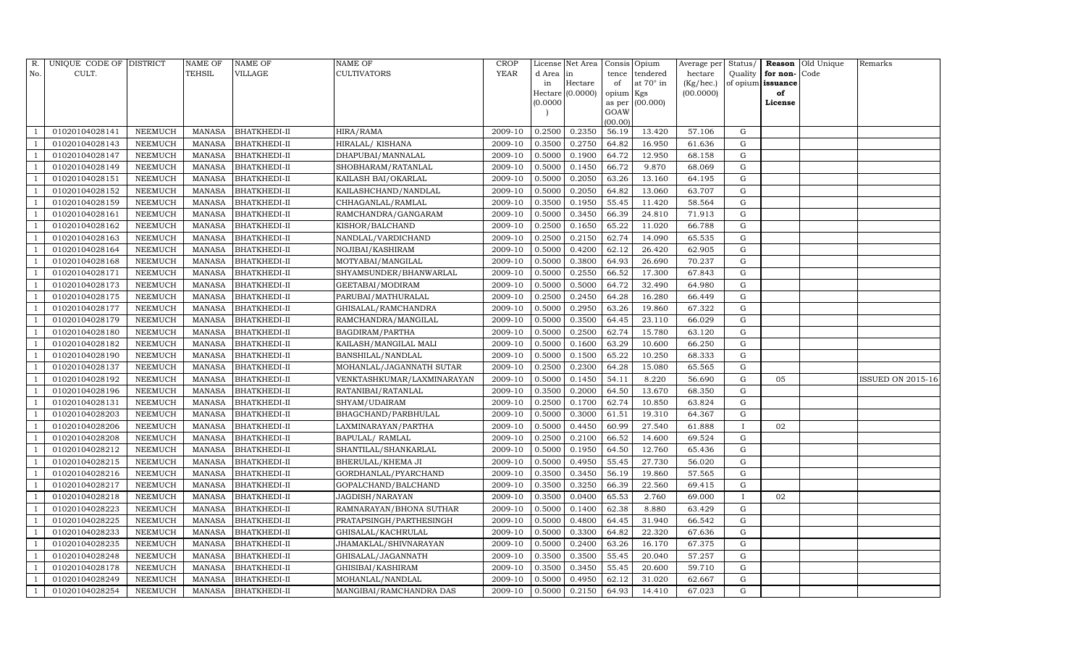| R.             | UNIQUE CODE OF DISTRICT |                | <b>NAME OF</b> | <b>NAME OF</b>      | <b>NAME OF</b>             | CROP    |           | License Net Area |                | Consis Opium     | Average per | Status/      |                   | <b>Reason</b> Old Unique | Remarks           |
|----------------|-------------------------|----------------|----------------|---------------------|----------------------------|---------|-----------|------------------|----------------|------------------|-------------|--------------|-------------------|--------------------------|-------------------|
| No.            | CULT.                   |                | <b>TEHSIL</b>  | VILLAGE             | <b>CULTIVATORS</b>         | YEAR    | d Area in |                  | tence          | tendered         | hectare     | Quality      | for non-          | Code                     |                   |
|                |                         |                |                |                     |                            |         | in        | Hectare          | of             | at $70^\circ$ in | (Kg/hec.)   |              | of opium issuance |                          |                   |
|                |                         |                |                |                     |                            |         |           | Hectare (0.0000) | opium Kgs      |                  | (00.0000)   |              | of                |                          |                   |
|                |                         |                |                |                     |                            |         | (0.0000)  |                  | as per<br>GOAW | (00.000)         |             |              | License           |                          |                   |
|                |                         |                |                |                     |                            |         |           |                  | (00.00)        |                  |             |              |                   |                          |                   |
|                | 01020104028141          | NEEMUCH        | MANASA         | <b>BHATKHEDI-II</b> | HIRA/RAMA                  | 2009-10 | 0.2500    | 0.2350           | 56.19          | 13.420           | 57.106      | G            |                   |                          |                   |
|                | 01020104028143          | NEEMUCH        | MANASA         | <b>BHATKHEDI-II</b> | HIRALAL/KISHANA            | 2009-10 | 0.3500    | 0.2750           | 64.82          | 16.950           | 61.636      | G            |                   |                          |                   |
|                | 01020104028147          | <b>NEEMUCH</b> | <b>MANASA</b>  | <b>BHATKHEDI-II</b> | DHAPUBAI/MANNALAL          | 2009-10 | 0.5000    | 0.1900           | 64.72          | 12.950           | 68.158      | G            |                   |                          |                   |
|                | 01020104028149          | NEEMUCH        | MANASA         | <b>BHATKHEDI-II</b> | SHOBHARAM/RATANLAL         | 2009-10 | 0.5000    | 0.1450           | 66.72          | 9.870            | 68.069      | ${\rm G}$    |                   |                          |                   |
|                | 01020104028151          | NEEMUCH        | MANASA         | <b>BHATKHEDI-II</b> | KAILASH BAI/OKARLAL        | 2009-10 | 0.5000    | 0.2050           | 63.26          | 13.160           | 64.195      | $\mathbf G$  |                   |                          |                   |
|                | 01020104028152          | NEEMUCH        | MANASA         | <b>BHATKHEDI-II</b> | KAILASHCHAND/NANDLAL       | 2009-10 | 0.5000    | 0.2050           | 64.82          | 13.060           | 63.707      | G            |                   |                          |                   |
|                | 01020104028159          | NEEMUCH        | MANASA         | <b>BHATKHEDI-II</b> | CHHAGANLAL/RAMLAL          | 2009-10 | 0.3500    | 0.1950           | 55.45          | 11.420           | 58.564      | G            |                   |                          |                   |
|                | 01020104028161          | NEEMUCH        | MANASA         | <b>BHATKHEDI-II</b> | RAMCHANDRA/GANGARAM        | 2009-10 | 0.5000    | 0.3450           | 66.39          | 24.810           | 71.913      | ${\rm G}$    |                   |                          |                   |
|                | 01020104028162          | <b>NEEMUCH</b> | <b>MANASA</b>  | <b>BHATKHEDI-II</b> | KISHOR/BALCHAND            | 2009-10 | 0.2500    | 0.1650           | 65.22          | 11.020           | 66.788      | $\mathbf G$  |                   |                          |                   |
|                | 01020104028163          | NEEMUCH        | MANASA         | <b>BHATKHEDI-II</b> | NANDLAL/VARDICHAND         | 2009-10 | 0.2500    | 0.2150           | 62.74          | 14.090           | 65.535      | ${\rm G}$    |                   |                          |                   |
|                | 01020104028164          | <b>NEEMUCH</b> | MANASA         | <b>BHATKHEDI-II</b> | NOJIBAI/KASHIRAM           | 2009-10 | 0.5000    | 0.4200           | 62.12          | 26.420           | 62.905      | ${\rm G}$    |                   |                          |                   |
|                | 01020104028168          | <b>NEEMUCH</b> | MANASA         | <b>BHATKHEDI-II</b> | MOTYABAI/MANGILAL          | 2009-10 | 0.5000    | 0.3800           | 64.93          | 26.690           | 70.237      | G            |                   |                          |                   |
|                | 01020104028171          | <b>NEEMUCH</b> | <b>MANASA</b>  | <b>BHATKHEDI-II</b> | SHYAMSUNDER/BHANWARLAL     | 2009-10 | 0.5000    | 0.2550           | 66.52          | 17.300           | 67.843      | ${\rm G}$    |                   |                          |                   |
|                | 01020104028173          | <b>NEEMUCH</b> | MANASA         | <b>BHATKHEDI-II</b> | GEETABAI/MODIRAM           | 2009-10 | 0.5000    | 0.5000           | 64.72          | 32.490           | 64.980      | G            |                   |                          |                   |
|                | 01020104028175          | NEEMUCH        | MANASA         | <b>BHATKHEDI-II</b> | PARUBAI/MATHURALAL         | 2009-10 | 0.2500    | 0.2450           | 64.28          | 16.280           | 66.449      | G            |                   |                          |                   |
|                | 01020104028177          | <b>NEEMUCH</b> | MANASA         | <b>BHATKHEDI-II</b> | GHISALAL/RAMCHANDRA        | 2009-10 | 0.5000    | 0.2950           | 63.26          | 19.860           | 67.322      | $\mathbf G$  |                   |                          |                   |
|                | 01020104028179          | <b>NEEMUCH</b> | MANASA         | <b>BHATKHEDI-II</b> | RAMCHANDRA/MANGILAL        | 2009-10 | 0.5000    | 0.3500           | 64.45          | 23.110           | 66.029      | $\mathbf G$  |                   |                          |                   |
|                | 01020104028180          | <b>NEEMUCH</b> | MANASA         | <b>BHATKHEDI-II</b> | BAGDIRAM/PARTHA            | 2009-10 | 0.5000    | 0.2500           | 62.74          | 15.780           | 63.120      | G            |                   |                          |                   |
|                | 01020104028182          | NEEMUCH        | MANASA         | <b>BHATKHEDI-II</b> | KAILASH/MANGILAL MALI      | 2009-10 | 0.5000    | 0.1600           | 63.29          | 10.600           | 66.250      | G            |                   |                          |                   |
|                | 01020104028190          | NEEMUCH        | MANASA         | <b>BHATKHEDI-II</b> | <b>BANSHILAL/NANDLAL</b>   | 2009-10 | 0.5000    | 0.1500           | 65.22          | 10.250           | 68.333      | G            |                   |                          |                   |
|                | 01020104028137          | NEEMUCH        | MANASA         | <b>BHATKHEDI-II</b> | MOHANLAL/JAGANNATH SUTAR   | 2009-10 | 0.2500    | 0.2300           | 64.28          | 15.080           | 65.565      | G            |                   |                          |                   |
|                | 01020104028192          | <b>NEEMUCH</b> | <b>MANASA</b>  | <b>BHATKHEDI-II</b> | VENKTASHKUMAR/LAXMINARAYAN | 2009-10 | 0.5000    | 0.1450           | 54.11          | 8.220            | 56.690      | ${\rm G}$    | 05                |                          | ISSUED ON 2015-16 |
|                | 01020104028196          | NEEMUCH        | MANASA         | <b>BHATKHEDI-II</b> | RATANIBAI/RATANLAL         | 2009-10 | 0.3500    | 0.2000           | 64.50          | 13.670           | 68.350      | ${\rm G}$    |                   |                          |                   |
|                | 01020104028131          | <b>NEEMUCH</b> | MANASA         | <b>BHATKHEDI-II</b> | SHYAM/UDAIRAM              | 2009-10 | 0.2500    | 0.1700           | 62.74          | 10.850           | 63.824      | G            |                   |                          |                   |
|                | 01020104028203          | <b>NEEMUCH</b> | <b>MANASA</b>  | <b>BHATKHEDI-II</b> | BHAGCHAND/PARBHULAL        | 2009-10 | 0.5000    | 0.3000           | 61.51          | 19.310           | 64.367      | ${\rm G}$    |                   |                          |                   |
|                | 01020104028206          | <b>NEEMUCH</b> | <b>MANASA</b>  | <b>BHATKHEDI-II</b> | LAXMINARAYAN/PARTHA        | 2009-10 | 0.5000    | 0.4450           | 60.99          | 27.540           | 61.888      | $\bf{I}$     | 02                |                          |                   |
|                | 01020104028208          | <b>NEEMUCH</b> | MANASA         | <b>BHATKHEDI-II</b> | BAPULAL/ RAMLAL            | 2009-10 | 0.2500    | 0.2100           | 66.52          | 14.600           | 69.524      | G            |                   |                          |                   |
|                | 01020104028212          | <b>NEEMUCH</b> | <b>MANASA</b>  | <b>BHATKHEDI-II</b> | SHANTILAL/SHANKARLAL       | 2009-10 | 0.5000    | 0.1950           | 64.50          | 12.760           | 65.436      | $\mathbf G$  |                   |                          |                   |
|                | 01020104028215          | NEEMUCH        | MANASA         | <b>BHATKHEDI-II</b> | <b>BHERULAL/KHEMA JI</b>   | 2009-10 | 0.5000    | 0.4950           | 55.45          | 27.730           | 56.020      | G            |                   |                          |                   |
|                | 01020104028216          | NEEMUCH        | MANASA         | <b>BHATKHEDI-II</b> | GORDHANLAL/PYARCHAND       | 2009-10 | 0.3500    | 0.3450           | 56.19          | 19.860           | 57.565      | G            |                   |                          |                   |
|                | 01020104028217          | <b>NEEMUCH</b> | MANASA         | <b>BHATKHEDI-II</b> | GOPALCHAND/BALCHAND        | 2009-10 | 0.3500    | 0.3250           | 66.39          | 22.560           | 69.415      | $\mathbf G$  |                   |                          |                   |
|                | 01020104028218          | NEEMUCH        | <b>MANASA</b>  | <b>BHATKHEDI-II</b> | JAGDISH/NARAYAN            | 2009-10 | 0.3500    | 0.0400           | 65.53          | 2.760            | 69.000      | $\mathbf{I}$ | 02                |                          |                   |
|                | 01020104028223          | <b>NEEMUCH</b> | MANASA         | <b>BHATKHEDI-II</b> | RAMNARAYAN/BHONA SUTHAR    | 2009-10 | 0.5000    | 0.1400           | 62.38          | 8.880            | 63.429      | G            |                   |                          |                   |
|                | 01020104028225          | <b>NEEMUCH</b> | MANASA         | <b>BHATKHEDI-II</b> | PRATAPSINGH/PARTHESINGH    | 2009-10 | 0.5000    | 0.4800           | 64.45          | 31.940           | 66.542      | G            |                   |                          |                   |
| $\overline{1}$ | 01020104028233          | <b>NEEMUCH</b> | MANASA         | <b>BHATKHEDI-II</b> | GHISALAL/KACHRULAL         | 2009-10 | 0.5000    | 0.3300           | 64.82          | 22.320           | 67.636      | ${\rm G}$    |                   |                          |                   |
|                | 01020104028235          | <b>NEEMUCH</b> | MANASA         | <b>BHATKHEDI-II</b> | JHAMAKLAL/SHIVNARAYAN      | 2009-10 | 0.5000    | 0.2400           | 63.26          | 16.170           | 67.375      | ${\rm G}$    |                   |                          |                   |
|                | 01020104028248          | <b>NEEMUCH</b> | MANASA         | <b>BHATKHEDI-II</b> | GHISALAL/JAGANNATH         | 2009-10 | 0.3500    | 0.3500           | 55.45          | 20.040           | 57.257      | G            |                   |                          |                   |
|                | 01020104028178          | NEEMUCH        | MANASA         | <b>BHATKHEDI-II</b> | GHISIBAI/KASHIRAM          | 2009-10 | 0.3500    | 0.3450           | 55.45          | 20.600           | 59.710      | G            |                   |                          |                   |
| $\overline{1}$ | 01020104028249          | <b>NEEMUCH</b> | MANASA         | <b>BHATKHEDI-II</b> | MOHANLAL/NANDLAL           | 2009-10 | 0.5000    | 0.4950           | 62.12          | 31.020           | 62.667      | G            |                   |                          |                   |
| 1              | 01020104028254          | <b>NEEMUCH</b> |                | MANASA BHATKHEDI-II | MANGIBAI/RAMCHANDRA DAS    | 2009-10 | 0.5000    | 0.2150           | 64.93          | 14.410           | 67.023      | G            |                   |                          |                   |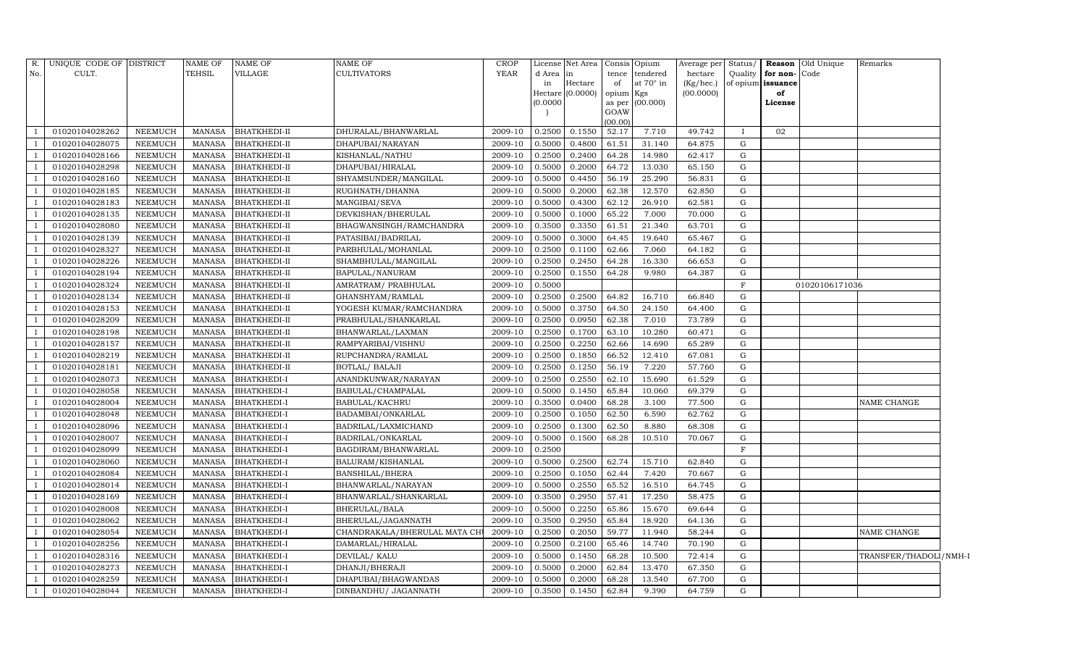| R.             | UNIQUE CODE OF DISTRICT |                | <b>NAME OF</b> | <b>NAME OF</b>      | NAME OF                      | <b>CROP</b> |          | License Net Area   Consis   Opium |                     |           | Average per            | Status/      |                         | <b>Reason</b> Old Unique | Remarks                |
|----------------|-------------------------|----------------|----------------|---------------------|------------------------------|-------------|----------|-----------------------------------|---------------------|-----------|------------------------|--------------|-------------------------|--------------------------|------------------------|
| No.            | CULT.                   |                | <b>TEHSIL</b>  | <b>VILLAGE</b>      | <b>CULTIVATORS</b>           | <b>YEAR</b> | d Area   | in                                | tence               | tendered  | hectare                | Quality      | for non-Code            |                          |                        |
|                |                         |                |                |                     |                              |             | in       | Hectare<br>Hectare (0.0000)       | of                  | at 70° in | (Kg/hec.)<br>(00.0000) |              | of opium issuance<br>of |                          |                        |
|                |                         |                |                |                     |                              |             | (0.0000) |                                   | opium Kgs<br>as per | (00.000)  |                        |              | License                 |                          |                        |
|                |                         |                |                |                     |                              |             |          |                                   | GOAW                |           |                        |              |                         |                          |                        |
|                |                         |                |                |                     |                              |             |          |                                   | (00.00)             |           |                        |              |                         |                          |                        |
|                | 01020104028262          | <b>NEEMUCH</b> | MANASA         | <b>BHATKHEDI-II</b> | DHURALAL/BHANWARLAL          | 2009-10     | 0.2500   | 0.1550                            | 52.17               | 7.710     | 49.742                 | $\mathbf{I}$ | 02                      |                          |                        |
|                | 01020104028075          | <b>NEEMUCH</b> | MANASA         | <b>BHATKHEDI-II</b> | DHAPUBAI/NARAYAN             | 2009-10     | 0.5000   | 0.4800                            | 61.51               | 31.140    | 64.875                 | G            |                         |                          |                        |
|                | 01020104028166          | <b>NEEMUCH</b> | MANASA         | <b>BHATKHEDI-II</b> | KISHANLAL/NATHU              | 2009-10     | 0.2500   | 0.2400                            | 64.28               | 14.980    | 62.417                 | G            |                         |                          |                        |
|                | 01020104028298          | <b>NEEMUCH</b> | <b>MANASA</b>  | <b>BHATKHEDI-II</b> | DHAPUBAI/HIRALAL             | 2009-10     | 0.5000   | 0.2000                            | 64.72               | 13.030    | 65.150                 | G            |                         |                          |                        |
|                | 01020104028160          | <b>NEEMUCH</b> | <b>MANASA</b>  | <b>BHATKHEDI-II</b> | SHYAMSUNDER/MANGILAL         | 2009-10     | 0.5000   | 0.4450                            | 56.19               | 25.290    | 56.831                 | G            |                         |                          |                        |
|                | 01020104028185          | <b>NEEMUCH</b> | <b>MANASA</b>  | <b>BHATKHEDI-II</b> | RUGHNATH/DHANNA              | 2009-10     | 0.5000   | 0.2000                            | 62.38               | 12.570    | 62.850                 | G            |                         |                          |                        |
|                | 01020104028183          | <b>NEEMUCH</b> | <b>MANASA</b>  | <b>BHATKHEDI-II</b> | MANGIBAI/SEVA                | 2009-10     | 0.5000   | 0.4300                            | 62.12               | 26.910    | 62.581                 | G            |                         |                          |                        |
|                | 01020104028135          | <b>NEEMUCH</b> | <b>MANASA</b>  | <b>BHATKHEDI-II</b> | DEVKISHAN/BHERULAL           | 2009-10     | 0.5000   | 0.1000                            | 65.22               | 7.000     | 70.000                 | G            |                         |                          |                        |
|                | 01020104028080          | <b>NEEMUCH</b> | <b>MANASA</b>  | <b>BHATKHEDI-II</b> | BHAGWANSINGH/RAMCHANDRA      | 2009-10     | 0.3500   | 0.3350                            | 61.51               | 21.340    | 63.701                 | G            |                         |                          |                        |
|                | 01020104028139          | <b>NEEMUCH</b> | MANASA         | <b>BHATKHEDI-II</b> | PATASIBAI/BADRILAL           | 2009-10     | 0.5000   | 0.3000                            | 64.45               | 19.640    | 65.467                 | G            |                         |                          |                        |
|                | 01020104028327          | <b>NEEMUCH</b> | <b>MANASA</b>  | <b>BHATKHEDI-II</b> | PARBHULAL/MOHANLAL           | 2009-10     | 0.2500   | 0.1100                            | 62.66               | 7.060     | 64.182                 | G            |                         |                          |                        |
|                | 01020104028226          | <b>NEEMUCH</b> | <b>MANASA</b>  | <b>BHATKHEDI-II</b> | SHAMBHULAL/MANGILAL          | 2009-10     | 0.2500   | 0.2450                            | 64.28               | 16.330    | 66.653                 | G            |                         |                          |                        |
|                | 01020104028194          | NEEMUCH        | MANASA         | <b>BHATKHEDI-II</b> | BAPULAL/NANURAM              | 2009-10     | 0.2500   | 0.1550                            | 64.28               | 9.980     | 64.387                 | G            |                         |                          |                        |
|                | 01020104028324          | NEEMUCH        | <b>MANASA</b>  | <b>BHATKHEDI-II</b> | AMRATRAM/ PRABHULAL          | 2009-10     | 0.5000   |                                   |                     |           |                        | $\mathbf{F}$ |                         | 01020106171036           |                        |
|                | 01020104028134          | NEEMUCH        | MANASA         | <b>BHATKHEDI-II</b> | GHANSHYAM/RAMLAL             | 2009-10     | 0.2500   | 0.2500                            | 64.82               | 16.710    | 66.840                 | G            |                         |                          |                        |
|                | 01020104028153          | <b>NEEMUCH</b> | <b>MANASA</b>  | <b>BHATKHEDI-II</b> | YOGESH KUMAR/RAMCHANDRA      | 2009-10     | 0.5000   | 0.3750                            | 64.50               | 24.150    | 64.400                 | $\mathbf G$  |                         |                          |                        |
|                | 01020104028209          | NEEMUCH        | <b>MANASA</b>  | <b>BHATKHEDI-II</b> | PRABHULAL/SHANKARLAL         | 2009-10     | 0.2500   | 0.0950                            | 62.38               | 7.010     | 73.789                 | G            |                         |                          |                        |
|                | 01020104028198          | NEEMUCH        | <b>MANASA</b>  | <b>BHATKHEDI-II</b> | BHANWARLAL/LAXMAN            | 2009-10     | 0.2500   | 0.1700                            | 63.10               | 10.280    | 60.471                 | G            |                         |                          |                        |
|                | 01020104028157          | NEEMUCH        | MANASA         | <b>BHATKHEDI-II</b> | RAMPYARIBAI/VISHNU           | 2009-10     | 0.2500   | 0.2250                            | 62.66               | 14.690    | 65.289                 | G            |                         |                          |                        |
|                | 01020104028219          | <b>NEEMUCH</b> | <b>MANASA</b>  | <b>BHATKHEDI-II</b> | RUPCHANDRA/RAMLAL            | 2009-10     | 0.2500   | 0.1850                            | 66.52               | 12.410    | 67.081                 | G            |                         |                          |                        |
|                | 01020104028181          | <b>NEEMUCH</b> | MANASA         | <b>BHATKHEDI-II</b> | <b>BOTLAL/ BALAJI</b>        | 2009-10     | 0.2500   | 0.1250                            | 56.19               | 7.220     | 57.760                 | G            |                         |                          |                        |
|                | 01020104028073          | <b>NEEMUCH</b> | <b>MANASA</b>  | <b>BHATKHEDI-I</b>  | ANANDKUNWAR/NARAYAN          | 2009-10     | 0.2500   | 0.2550                            | 62.10               | 15.690    | 61.529                 | G            |                         |                          |                        |
|                | 01020104028058          | NEEMUCH        | MANASA         | <b>BHATKHEDI-I</b>  | BABULAL/CHAMPALAL            | 2009-10     | 0.5000   | 0.1450                            | 65.84               | 10.060    | 69.379                 | G            |                         |                          |                        |
|                | 01020104028004          | <b>NEEMUCH</b> | <b>MANASA</b>  | <b>BHATKHEDI-I</b>  | <b>BABULAL/KACHRU</b>        | 2009-10     | 0.3500   | 0.0400                            | 68.28               | 3.100     | 77.500                 | G            |                         |                          | NAME CHANGE            |
|                | 01020104028048          | <b>NEEMUCH</b> | <b>MANASA</b>  | <b>BHATKHEDI-I</b>  | BADAMBAI/ONKARLAL            | 2009-10     | 0.2500   | 0.1050                            | 62.50               | 6.590     | 62.762                 | G            |                         |                          |                        |
|                | 01020104028096          | <b>NEEMUCH</b> | MANASA         | <b>BHATKHEDI-I</b>  | BADRILAL/LAXMICHAND          | 2009-10     | 0.2500   | 0.1300                            | 62.50               | 8.880     | 68.308                 | G            |                         |                          |                        |
|                | 01020104028007          | <b>NEEMUCH</b> | MANASA         | <b>BHATKHEDI-I</b>  | BADRILAL/ONKARLAL            | 2009-10     | 0.5000   | 0.1500                            | 68.28               | 10.510    | 70.067                 | G            |                         |                          |                        |
|                | 01020104028099          | <b>NEEMUCH</b> | <b>MANASA</b>  | <b>BHATKHEDI-I</b>  | BAGDIRAM/BHANWARLAL          | 2009-10     | 0.2500   |                                   |                     |           |                        | F            |                         |                          |                        |
|                | 01020104028060          | <b>NEEMUCH</b> | <b>MANASA</b>  | <b>BHATKHEDI-I</b>  | BALURAM/KISHANLAL            | 2009-10     | 0.5000   | 0.2500                            | 62.74               | 15.710    | 62.840                 | G            |                         |                          |                        |
|                | 01020104028084          | <b>NEEMUCH</b> | MANASA         | <b>BHATKHEDI-I</b>  | BANSHILAL/BHERA              | 2009-10     | 0.2500   | 0.1050                            | 62.44               | 7.420     | 70.667                 | G            |                         |                          |                        |
|                | 01020104028014          | <b>NEEMUCH</b> | MANASA         | <b>BHATKHEDI-I</b>  | BHANWARLAL/NARAYAN           | 2009-10     | 0.5000   | 0.2550                            | 65.52               | 16.510    | 64.745                 | G            |                         |                          |                        |
|                | 01020104028169          | <b>NEEMUCH</b> | <b>MANASA</b>  | <b>BHATKHEDI-I</b>  | BHANWARLAL/SHANKARLAL        | 2009-10     | 0.3500   | 0.2950                            | 57.41               | 17.250    | 58.475                 | G            |                         |                          |                        |
|                | 01020104028008          | <b>NEEMUCH</b> | <b>MANASA</b>  | <b>BHATKHEDI-I</b>  | <b>BHERULAL/BALA</b>         | 2009-10     | 0.5000   | 0.2250                            | 65.86               | 15.670    | 69.644                 | G            |                         |                          |                        |
|                | 01020104028062          | <b>NEEMUCH</b> | MANASA         | <b>BHATKHEDI-I</b>  | BHERULAL/JAGANNATH           | 2009-10     | 0.3500   | 0.2950                            | 65.84               | 18.920    | 64.136                 | G            |                         |                          |                        |
|                | 01020104028054          | <b>NEEMUCH</b> | MANASA         | <b>BHATKHEDI-I</b>  | CHANDRAKALA/BHERULAL MATA CH | 2009-10     | 0.2500   | 0.2050                            | 59.77               | 11.940    | 58.244                 | G            |                         |                          | <b>NAME CHANGE</b>     |
|                | 01020104028256          | NEEMUCH        | <b>MANASA</b>  | <b>BHATKHEDI-I</b>  | DAMARLAL/HIRALAL             | 2009-10     | 0.2500   | 0.2100                            | 65.46               | 14.740    | 70.190                 | G            |                         |                          |                        |
|                | 01020104028316          | <b>NEEMUCH</b> | MANASA         | <b>BHATKHEDI-I</b>  | DEVILAL/ KALU                | 2009-10     | 0.5000   | 0.1450                            | 68.28               | 10.500    | 72.414                 | G            |                         |                          | TRANSFER/THADOLI/NMH-I |
|                | 01020104028273          | NEEMUCH        | <b>MANASA</b>  | <b>BHATKHEDI-I</b>  | DHANJI/BHERAJI               | 2009-10     | 0.5000   | 0.2000                            | 62.84               | 13.470    | 67.350                 | G            |                         |                          |                        |
|                | 01020104028259          | <b>NEEMUCH</b> | <b>MANASA</b>  | <b>BHATKHEDI-I</b>  | DHAPUBAI/BHAGWANDAS          | 2009-10     | 0.5000   | 0.2000                            | 68.28               | 13.540    | 67.700                 | G            |                         |                          |                        |
| $\overline{1}$ | 01020104028044          | <b>NEEMUCH</b> | MANASA         | <b>BHATKHEDI-I</b>  | DINBANDHU/ JAGANNATH         | 2009-10     | 0.3500   | 0.1450                            | 62.84               | 9.390     | 64.759                 | G            |                         |                          |                        |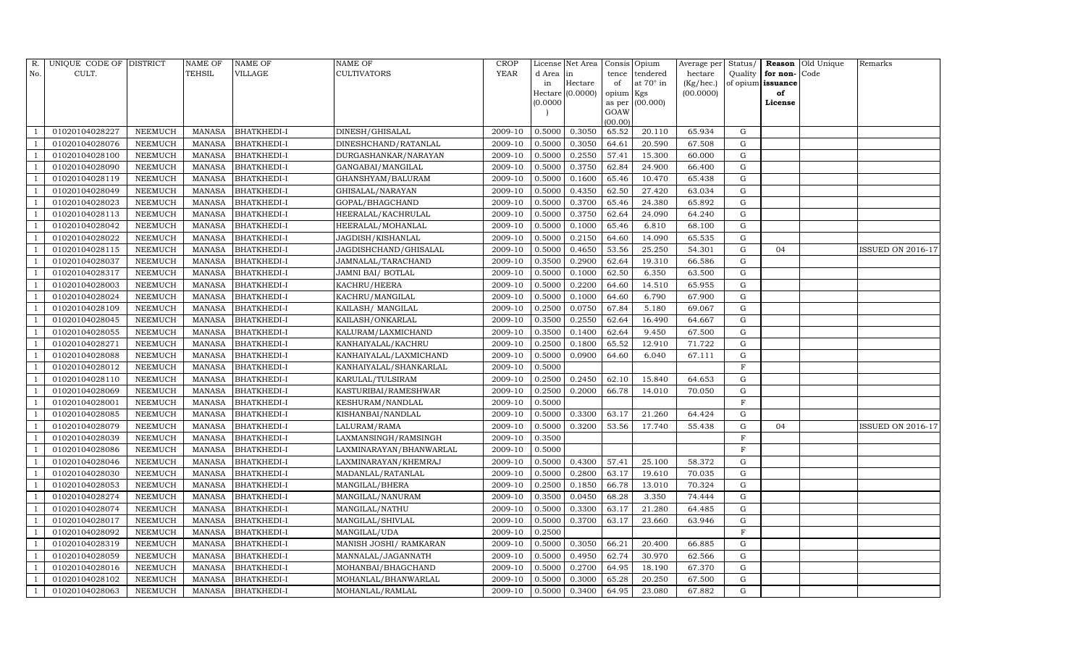| R.             | UNIQUE CODE OF DISTRICT |                | <b>NAME OF</b> | <b>NAME OF</b>     | <b>NAME OF</b>          | CROP    |           | License Net Area |           | Consis Opium      | Average per | Status/      |                   | <b>Reason</b> Old Unique | Remarks                  |
|----------------|-------------------------|----------------|----------------|--------------------|-------------------------|---------|-----------|------------------|-----------|-------------------|-------------|--------------|-------------------|--------------------------|--------------------------|
| No.            | CULT.                   |                | <b>TEHSIL</b>  | VILLAGE            | <b>CULTIVATORS</b>      | YEAR    | d Area in |                  | tence     | tendered          | hectare     | Quality      | for non-          | Code                     |                          |
|                |                         |                |                |                    |                         |         | in        | Hectare          | of        | at $70^\circ$ in  | (Kg/hec.)   |              | of opium issuance |                          |                          |
|                |                         |                |                |                    |                         |         |           | Hectare (0.0000) | opium Kgs |                   | (00.0000)   |              | of                |                          |                          |
|                |                         |                |                |                    |                         |         | (0.0000)  |                  | GOAW      | as per $(00.000)$ |             |              | License           |                          |                          |
|                |                         |                |                |                    |                         |         |           |                  | (00.00)   |                   |             |              |                   |                          |                          |
|                | 01020104028227          | NEEMUCH        | MANASA         | <b>BHATKHEDI-I</b> | DINESH/GHISALAL         | 2009-10 | 0.5000    | 0.3050           | 65.52     | 20.110            | 65.934      | G            |                   |                          |                          |
|                | 01020104028076          | NEEMUCH        | MANASA         | <b>BHATKHEDI-I</b> | DINESHCHAND/RATANLAL    | 2009-10 | 0.5000    | 0.3050           | 64.61     | 20.590            | 67.508      | G            |                   |                          |                          |
|                | 01020104028100          | <b>NEEMUCH</b> | <b>MANASA</b>  | <b>BHATKHEDI-I</b> | DURGASHANKAR/NARAYAN    | 2009-10 | 0.5000    | 0.2550           | 57.41     | 15.300            | 60.000      | G            |                   |                          |                          |
|                | 01020104028090          | NEEMUCH        | MANASA         | <b>BHATKHEDI-I</b> | GANGABAI/MANGILAL       | 2009-10 | 0.5000    | 0.3750           | 62.84     | 24.900            | 66.400      | ${\rm G}$    |                   |                          |                          |
|                | 01020104028119          | NEEMUCH        | MANASA         | <b>BHATKHEDI-I</b> | GHANSHYAM/BALURAM       | 2009-10 | 0.5000    | 0.1600           | 65.46     | 10.470            | 65.438      | $\mathbf G$  |                   |                          |                          |
|                | 01020104028049          | NEEMUCH        | MANASA         | <b>BHATKHEDI-I</b> | GHISALAL/NARAYAN        | 2009-10 | 0.5000    | 0.4350           | 62.50     | 27.420            | 63.034      | G            |                   |                          |                          |
|                | 01020104028023          | NEEMUCH        | MANASA         | <b>BHATKHEDI-I</b> | GOPAL/BHAGCHAND         | 2009-10 | 0.5000    | 0.3700           | 65.46     | 24.380            | 65.892      | G            |                   |                          |                          |
|                | 01020104028113          | NEEMUCH        | MANASA         | <b>BHATKHEDI-I</b> | HEERALAL/KACHRULAL      | 2009-10 | 0.5000    | 0.3750           | 62.64     | 24.090            | 64.240      | ${\rm G}$    |                   |                          |                          |
|                | 01020104028042          | <b>NEEMUCH</b> | <b>MANASA</b>  | <b>BHATKHEDI-I</b> | HEERALAL/MOHANLAL       | 2009-10 | 0.5000    | 0.1000           | 65.46     | 6.810             | 68.100      | $\mathbf G$  |                   |                          |                          |
|                | 01020104028022          | NEEMUCH        | MANASA         | <b>BHATKHEDI-I</b> | JAGDISH/KISHANLAL       | 2009-10 | 0.5000    | 0.2150           | 64.60     | 14.090            | 65.535      | G            |                   |                          |                          |
|                | 01020104028115          | <b>NEEMUCH</b> | MANASA         | <b>BHATKHEDI-I</b> | JAGDISHCHAND/GHISALAL   | 2009-10 | 0.5000    | 0.4650           | 53.56     | 25.250            | 54.301      | ${\rm G}$    | 04                |                          | <b>ISSUED ON 2016-17</b> |
|                | 01020104028037          | <b>NEEMUCH</b> | MANASA         | <b>BHATKHEDI-I</b> | JAMNALAL/TARACHAND      | 2009-10 | 0.3500    | 0.2900           | 62.64     | 19.310            | 66.586      | G            |                   |                          |                          |
|                | 01020104028317          | <b>NEEMUCH</b> | <b>MANASA</b>  | <b>BHATKHEDI-I</b> | JAMNI BAI/ BOTLAL       | 2009-10 | 0.5000    | 0.1000           | 62.50     | 6.350             | 63.500      | ${\rm G}$    |                   |                          |                          |
|                | 01020104028003          | <b>NEEMUCH</b> | MANASA         | <b>BHATKHEDI-I</b> | KACHRU/HEERA            | 2009-10 | 0.5000    | 0.2200           | 64.60     | 14.510            | 65.955      | G            |                   |                          |                          |
|                | 01020104028024          | NEEMUCH        | MANASA         | <b>BHATKHEDI-I</b> | KACHRU/MANGILAL         | 2009-10 | 0.5000    | 0.1000           | 64.60     | 6.790             | 67.900      | G            |                   |                          |                          |
|                | 01020104028109          | <b>NEEMUCH</b> | MANASA         | <b>BHATKHEDI-I</b> | KAILASH / MANGILAL      | 2009-10 | 0.2500    | 0.0750           | 67.84     | 5.180             | 69.067      | $\mathbf G$  |                   |                          |                          |
|                | 01020104028045          | <b>NEEMUCH</b> | MANASA         | <b>BHATKHEDI-I</b> | KAILASH/ONKARLAL        | 2009-10 | 0.3500    | 0.2550           | 62.64     | 16.490            | 64.667      | $\mathbf G$  |                   |                          |                          |
|                | 01020104028055          | <b>NEEMUCH</b> | MANASA         | <b>BHATKHEDI-I</b> | KALURAM/LAXMICHAND      | 2009-10 | 0.3500    | 0.1400           | 62.64     | 9.450             | 67.500      | G            |                   |                          |                          |
|                | 01020104028271          | NEEMUCH        | MANASA         | <b>BHATKHEDI-I</b> | KANHAIYALAL/KACHRU      | 2009-10 | 0.2500    | 0.1800           | 65.52     | 12.910            | 71.722      | G            |                   |                          |                          |
|                | 01020104028088          | NEEMUCH        | MANASA         | <b>BHATKHEDI-I</b> | KANHAIYALAL/LAXMICHAND  | 2009-10 | 0.5000    | 0.0900           | 64.60     | 6.040             | 67.111      | G            |                   |                          |                          |
|                | 01020104028012          | NEEMUCH        | MANASA         | <b>BHATKHEDI-I</b> | KANHAIYALAL/SHANKARLAL  | 2009-10 | 0.5000    |                  |           |                   |             | F            |                   |                          |                          |
|                | 01020104028110          | <b>NEEMUCH</b> | <b>MANASA</b>  | <b>BHATKHEDI-I</b> | KARULAL/TULSIRAM        | 2009-10 | 0.2500    | 0.2450           | 62.10     | 15.840            | 64.653      | ${\rm G}$    |                   |                          |                          |
|                | 01020104028069          | NEEMUCH        | MANASA         | <b>BHATKHEDI-I</b> | KASTURIBAI/RAMESHWAR    | 2009-10 | 0.2500    | 0.2000           | 66.78     | 14.010            | 70.050      | G            |                   |                          |                          |
|                | 01020104028001          | <b>NEEMUCH</b> | MANASA         | <b>BHATKHEDI-I</b> | KESHURAM/NANDLAL        | 2009-10 | 0.5000    |                  |           |                   |             | $\mathbf F$  |                   |                          |                          |
|                | 01020104028085          | NEEMUCH        | <b>MANASA</b>  | <b>BHATKHEDI-I</b> | KISHANBAI/NANDLAL       | 2009-10 | 0.5000    | 0.3300           | 63.17     | 21.260            | 64.424      | ${\rm G}$    |                   |                          |                          |
|                | 01020104028079          | <b>NEEMUCH</b> | <b>MANASA</b>  | <b>BHATKHEDI-I</b> | LALURAM/RAMA            | 2009-10 | 0.5000    | 0.3200           | 53.56     | 17.740            | 55.438      | G            | 04                |                          | ISSUED ON 2016-17        |
|                | 01020104028039          | <b>NEEMUCH</b> | MANASA         | <b>BHATKHEDI-I</b> | LAXMANSINGH/RAMSINGH    | 2009-10 | 0.3500    |                  |           |                   |             | $\mathbf F$  |                   |                          |                          |
|                | 01020104028086          | <b>NEEMUCH</b> | <b>MANASA</b>  | <b>BHATKHEDI-I</b> | LAXMINARAYAN/BHANWARLAL | 2009-10 | 0.5000    |                  |           |                   |             | $\mathbf{F}$ |                   |                          |                          |
|                | 01020104028046          | NEEMUCH        | MANASA         | <b>BHATKHEDI-I</b> | LAXMINARAYAN/KHEMRAJ    | 2009-10 | 0.5000    | 0.4300           | 57.41     | 25.100            | 58.372      | G            |                   |                          |                          |
|                | 01020104028030          | NEEMUCH        | MANASA         | <b>BHATKHEDI-I</b> | MADANLAL/RATANLAL       | 2009-10 | 0.5000    | 0.2800           | 63.17     | 19.610            | 70.035      | G            |                   |                          |                          |
|                | 01020104028053          | <b>NEEMUCH</b> | MANASA         | <b>BHATKHEDI-I</b> | MANGILAL/BHERA          | 2009-10 | 0.2500    | 0.1850           | 66.78     | 13.010            | 70.324      | ${\rm G}$    |                   |                          |                          |
|                | 01020104028274          | NEEMUCH        | <b>MANASA</b>  | <b>BHATKHEDI-I</b> | MANGILAL/NANURAM        | 2009-10 | 0.3500    | 0.0450           | 68.28     | 3.350             | 74.444      | $\mathbf G$  |                   |                          |                          |
|                | 01020104028074          | <b>NEEMUCH</b> | MANASA         | <b>BHATKHEDI-I</b> | MANGILAL/NATHU          | 2009-10 | 0.5000    | 0.3300           | 63.17     | 21.280            | 64.485      | ${\rm G}$    |                   |                          |                          |
|                | 01020104028017          | <b>NEEMUCH</b> | MANASA         | <b>BHATKHEDI-I</b> | MANGILAL/SHIVLAL        | 2009-10 | 0.5000    | 0.3700           | 63.17     | 23.660            | 63.946      | ${\rm G}$    |                   |                          |                          |
| $\overline{1}$ | 01020104028092          | <b>NEEMUCH</b> | MANASA         | <b>BHATKHEDI-I</b> | MANGILAL/UDA            | 2009-10 | 0.2500    |                  |           |                   |             | $\mathbf F$  |                   |                          |                          |
|                | 01020104028319          | <b>NEEMUCH</b> | <b>MANASA</b>  | <b>BHATKHEDI-I</b> | MANISH JOSHI/ RAMKARAN  | 2009-10 | 0.5000    | 0.3050           | 66.21     | 20.400            | 66.885      | $\mathbf G$  |                   |                          |                          |
|                | 01020104028059          | <b>NEEMUCH</b> | MANASA         | BHATKHEDI-I        | MANNALAL/JAGANNATH      | 2009-10 | 0.5000    | 0.4950           | 62.74     | 30.970            | 62.566      | G            |                   |                          |                          |
|                | 01020104028016          | NEEMUCH        | MANASA         | <b>BHATKHEDI-I</b> | MOHANBAI/BHAGCHAND      | 2009-10 | 0.5000    | 0.2700           | 64.95     | 18.190            | 67.370      | G            |                   |                          |                          |
| $\overline{1}$ | 01020104028102          | NEEMUCH        | MANASA         | <b>BHATKHEDI-I</b> | MOHANLAL/BHANWARLAL     | 2009-10 | 0.5000    | 0.3000           | 65.28     | 20.250            | 67.500      | G            |                   |                          |                          |
| 1              | 01020104028063          | <b>NEEMUCH</b> |                | MANASA BHATKHEDI-I | MOHANLAL/RAMLAL         | 2009-10 | 0.5000    | 0.3400           | 64.95     | 23.080            | 67.882      | G            |                   |                          |                          |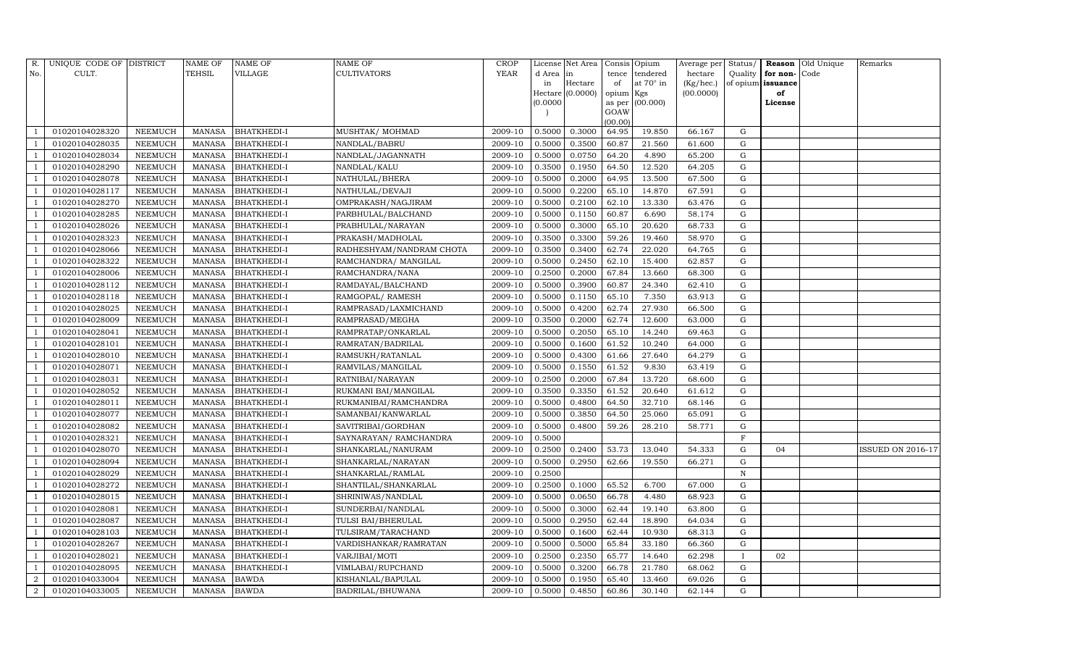| R.             | UNIQUE CODE OF DISTRICT |                | <b>NAME OF</b> | <b>NAME OF</b>     | <b>NAME OF</b>           | <b>CROP</b> |           | License Net Area |                | Consis Opium     | Average per Status/ |             |                   | Reason Old Unique | Remarks                  |
|----------------|-------------------------|----------------|----------------|--------------------|--------------------------|-------------|-----------|------------------|----------------|------------------|---------------------|-------------|-------------------|-------------------|--------------------------|
| No.            | CULT.                   |                | <b>TEHSIL</b>  | VILLAGE            | <b>CULTIVATORS</b>       | YEAR        | d Area in |                  | tence          | tendered         | hectare             | Quality     | for non-          | Code              |                          |
|                |                         |                |                |                    |                          |             | in        | Hectare          | of             | at $70^\circ$ in | (Kg/hec.)           |             | of opium issuance |                   |                          |
|                |                         |                |                |                    |                          |             |           | Hectare (0.0000) | opium Kgs      |                  | (00.0000)           |             | of                |                   |                          |
|                |                         |                |                |                    |                          |             | (0.0000)  |                  | as per<br>GOAW | (00.000)         |                     |             | License           |                   |                          |
|                |                         |                |                |                    |                          |             |           |                  | (00.00)        |                  |                     |             |                   |                   |                          |
|                | 01020104028320          | NEEMUCH        | <b>MANASA</b>  | <b>BHATKHEDI-I</b> | MUSHTAK/ MOHMAD          | 2009-10     | 0.5000    | 0.3000           | 64.95          | 19.850           | 66.167              | G           |                   |                   |                          |
|                | 01020104028035          | NEEMUCH        | <b>MANASA</b>  | <b>BHATKHEDI-I</b> | NANDLAL/BABRU            | 2009-10     | 0.5000    | 0.3500           | 60.87          | 21.560           | 61.600              | G           |                   |                   |                          |
|                | 01020104028034          | <b>NEEMUCH</b> | <b>MANASA</b>  | <b>BHATKHEDI-I</b> | NANDLAL/JAGANNATH        | 2009-10     | 0.5000    | 0.0750           | 64.20          | 4.890            | 65.200              | G           |                   |                   |                          |
|                | 01020104028290          | <b>NEEMUCH</b> | <b>MANASA</b>  | <b>BHATKHEDI-I</b> | NANDLAL/KALU             | 2009-10     | 0.3500    | 0.1950           | 64.50          | 12.520           | 64.205              | G           |                   |                   |                          |
|                | 01020104028078          | <b>NEEMUCH</b> | <b>MANASA</b>  | <b>BHATKHEDI-I</b> | NATHULAL/BHERA           | 2009-10     | 0.5000    | 0.2000           | 64.95          | 13.500           | 67.500              | G           |                   |                   |                          |
|                | 01020104028117          | NEEMUCH        | <b>MANASA</b>  | <b>BHATKHEDI-I</b> | NATHULAL/DEVAJI          | 2009-10     | 0.5000    | 0.2200           | 65.10          | 14.870           | 67.591              | G           |                   |                   |                          |
|                | 01020104028270          | <b>NEEMUCH</b> | <b>MANASA</b>  | <b>BHATKHEDI-I</b> | OMPRAKASH/NAGJIRAM       | 2009-10     | 0.5000    | 0.2100           | 62.10          | 13.330           | 63.476              | G           |                   |                   |                          |
|                | 01020104028285          | NEEMUCH        | <b>MANASA</b>  | <b>BHATKHEDI-I</b> | PARBHULAL/BALCHAND       | 2009-10     | 0.5000    | 0.1150           | 60.87          | 6.690            | 58.174              | G           |                   |                   |                          |
|                | 01020104028026          | <b>NEEMUCH</b> | <b>MANASA</b>  | <b>BHATKHEDI-I</b> | PRABHULAL/NARAYAN        | 2009-10     | 0.5000    | 0.3000           | 65.10          | 20.620           | 68.733              | G           |                   |                   |                          |
|                | 01020104028323          | NEEMUCH        | <b>MANASA</b>  | <b>BHATKHEDI-I</b> | PRAKASH/MADHOLAL         | 2009-10     | 0.3500    | 0.3300           | 59.26          | 19.460           | 58.970              | G           |                   |                   |                          |
|                | 01020104028066          | NEEMUCH        | <b>MANASA</b>  | <b>BHATKHEDI-I</b> | RADHESHYAM/NANDRAM CHOTA | 2009-10     | 0.3500    | 0.3400           | 62.74          | 22.020           | 64.765              | G           |                   |                   |                          |
|                | 01020104028322          | <b>NEEMUCH</b> | <b>MANASA</b>  | <b>BHATKHEDI-I</b> | RAMCHANDRA/ MANGILAL     | 2009-10     | 0.5000    | 0.2450           | 62.10          | 15.400           | 62.857              | G           |                   |                   |                          |
|                | 01020104028006          | <b>NEEMUCH</b> | <b>MANASA</b>  | <b>BHATKHEDI-I</b> | RAMCHANDRA/NANA          | 2009-10     | 0.2500    | 0.2000           | 67.84          | 13.660           | 68.300              | G           |                   |                   |                          |
|                | 01020104028112          | <b>NEEMUCH</b> | <b>MANASA</b>  | <b>BHATKHEDI-I</b> | RAMDAYAL/BALCHAND        | 2009-10     | 0.5000    | 0.3900           | 60.87          | 24.340           | 62.410              | G           |                   |                   |                          |
|                | 01020104028118          | NEEMUCH        | <b>MANASA</b>  | <b>BHATKHEDI-I</b> | RAMGOPAL/ RAMESH         | 2009-10     | 0.5000    | 0.1150           | 65.10          | 7.350            | 63.913              | G           |                   |                   |                          |
|                | 01020104028025          | NEEMUCH        | MANASA         | <b>BHATKHEDI-I</b> | RAMPRASAD/LAXMICHAND     | 2009-10     | 0.5000    | 0.4200           | 62.74          | 27.930           | 66.500              | G           |                   |                   |                          |
|                | 01020104028009          | NEEMUCH        | MANASA         | <b>BHATKHEDI-I</b> | RAMPRASAD/MEGHA          | 2009-10     | 0.3500    | 0.2000           | 62.74          | 12.600           | 63.000              | G           |                   |                   |                          |
|                | 01020104028041          | NEEMUCH        | MANASA         | <b>BHATKHEDI-I</b> | RAMPRATAP/ONKARLAL       | 2009-10     | 0.5000    | 0.2050           | 65.10          | 14.240           | 69.463              | G           |                   |                   |                          |
|                | 01020104028101          | NEEMUCH        | <b>MANASA</b>  | <b>BHATKHEDI-I</b> | RAMRATAN/BADRILAL        | 2009-10     | 0.5000    | 0.1600           | 61.52          | 10.240           | 64.000              | G           |                   |                   |                          |
|                | 01020104028010          | NEEMUCH        | <b>MANASA</b>  | <b>BHATKHEDI-I</b> | RAMSUKH/RATANLAL         | 2009-10     | 0.5000    | 0.4300           | 61.66          | 27.640           | 64.279              | G           |                   |                   |                          |
|                | 01020104028071          | NEEMUCH        | <b>MANASA</b>  | <b>BHATKHEDI-I</b> | RAMVILAS/MANGILAL        | 2009-10     | 0.5000    | 0.1550           | 61.52          | 9.830            | 63.419              | G           |                   |                   |                          |
|                | 01020104028031          | <b>NEEMUCH</b> | <b>MANASA</b>  | <b>BHATKHEDI-I</b> | RATNIBAI/NARAYAN         | 2009-10     | 0.2500    | 0.2000           | 67.84          | 13.720           | 68.600              | G           |                   |                   |                          |
|                | 01020104028052          | NEEMUCH        | <b>MANASA</b>  | <b>BHATKHEDI-I</b> | RUKMANI BAI/MANGILAL     | 2009-10     | 0.3500    | 0.3350           | 61.52          | 20.640           | 61.612              | G           |                   |                   |                          |
|                | 01020104028011          | <b>NEEMUCH</b> | <b>MANASA</b>  | <b>BHATKHEDI-I</b> | RUKMANIBAI/RAMCHANDRA    | 2009-10     | 0.5000    | 0.4800           | 64.50          | 32.710           | 68.146              | G           |                   |                   |                          |
|                | 01020104028077          | <b>NEEMUCH</b> | <b>MANASA</b>  | <b>BHATKHEDI-I</b> | SAMANBAI/KANWARLAL       | 2009-10     | 0.5000    | 0.3850           | 64.50          | 25.060           | 65.091              | G           |                   |                   |                          |
|                | 01020104028082          | <b>NEEMUCH</b> | <b>MANASA</b>  | <b>BHATKHEDI-I</b> | SAVITRIBAI/GORDHAN       | 2009-10     | 0.5000    | 0.4800           | 59.26          | 28.210           | 58.771              | G           |                   |                   |                          |
|                | 01020104028321          | <b>NEEMUCH</b> | <b>MANASA</b>  | <b>BHATKHEDI-I</b> | SAYNARAYAN / RAMCHANDRA  | 2009-10     | 0.5000    |                  |                |                  |                     | $\mathbf F$ |                   |                   |                          |
|                | 01020104028070          | <b>NEEMUCH</b> | <b>MANASA</b>  | <b>BHATKHEDI-I</b> | SHANKARLAL/NANURAM       | 2009-10     | 0.2500    | 0.2400           | 53.73          | 13.040           | 54.333              | G           | 04                |                   | <b>ISSUED ON 2016-17</b> |
|                | 01020104028094          | NEEMUCH        | <b>MANASA</b>  | <b>BHATKHEDI-I</b> | SHANKARLAL/NARAYAN       | 2009-10     | 0.5000    | 0.2950           | 62.66          | 19.550           | 66.271              | G           |                   |                   |                          |
|                | 01020104028029          | <b>NEEMUCH</b> | <b>MANASA</b>  | <b>BHATKHEDI-I</b> | SHANKARLAL/RAMLAL        | 2009-10     | 0.2500    |                  |                |                  |                     | $\,$ N      |                   |                   |                          |
|                | 01020104028272          | <b>NEEMUCH</b> | <b>MANASA</b>  | <b>BHATKHEDI-I</b> | SHANTILAL/SHANKARLAL     | 2009-10     | 0.2500    | 0.1000           | 65.52          | 6.700            | 67.000              | G           |                   |                   |                          |
|                | 01020104028015          | <b>NEEMUCH</b> | <b>MANASA</b>  | <b>BHATKHEDI-I</b> | SHRINIWAS/NANDLAL        | 2009-10     | 0.5000    | 0.0650           | 66.78          | 4.480            | 68.923              | G           |                   |                   |                          |
|                | 01020104028081          | NEEMUCH        | <b>MANASA</b>  | <b>BHATKHEDI-I</b> | SUNDERBAI/NANDLAL        | 2009-10     | 0.5000    | 0.3000           | 62.44          | 19.140           | 63.800              | G           |                   |                   |                          |
|                | 01020104028087          | NEEMUCH        | <b>MANASA</b>  | <b>BHATKHEDI-I</b> | TULSI BAI/BHERULAL       | 2009-10     | 0.5000    | 0.2950           | 62.44          | 18.890           | 64.034              | G           |                   |                   |                          |
|                | 01020104028103          | <b>NEEMUCH</b> | <b>MANASA</b>  | <b>BHATKHEDI-I</b> | TULSIRAM/TARACHAND       | 2009-10     | 0.5000    | 0.1600           | 62.44          | 10.930           | 68.313              | G           |                   |                   |                          |
|                | 01020104028267          | <b>NEEMUCH</b> | <b>MANASA</b>  | <b>BHATKHEDI-I</b> | VARDISHANKAR/RAMRATAN    | 2009-10     | 0.5000    | 0.5000           | 65.84          | 33.180           | 66.360              | G           |                   |                   |                          |
|                | 01020104028021          | <b>NEEMUCH</b> | <b>MANASA</b>  | <b>BHATKHEDI-I</b> | VARJIBAI/MOTI            | 2009-10     | 0.2500    | 0.2350           | 65.77          | 14.640           | 62.298              | П.          | 02                |                   |                          |
| $\overline{1}$ | 01020104028095          | <b>NEEMUCH</b> | <b>MANASA</b>  | <b>BHATKHEDI-I</b> | VIMLABAI/RUPCHAND        | 2009-10     | 0.5000    | 0.3200           | 66.78          | 21.780           | 68.062              | G           |                   |                   |                          |
| $\overline{2}$ | 01020104033004          | <b>NEEMUCH</b> | MANASA         | <b>BAWDA</b>       | KISHANLAL/BAPULAL        | 2009-10     | 0.5000    | 0.1950           | 65.40          | 13.460           | 69.026              | G           |                   |                   |                          |
| $\sqrt{2}$     | 01020104033005          | NEEMUCH        | MANASA BAWDA   |                    | BADRILAL/BHUWANA         | 2009-10     | 0.5000    | 0.4850           | 60.86          | 30.140           | 62.144              | G           |                   |                   |                          |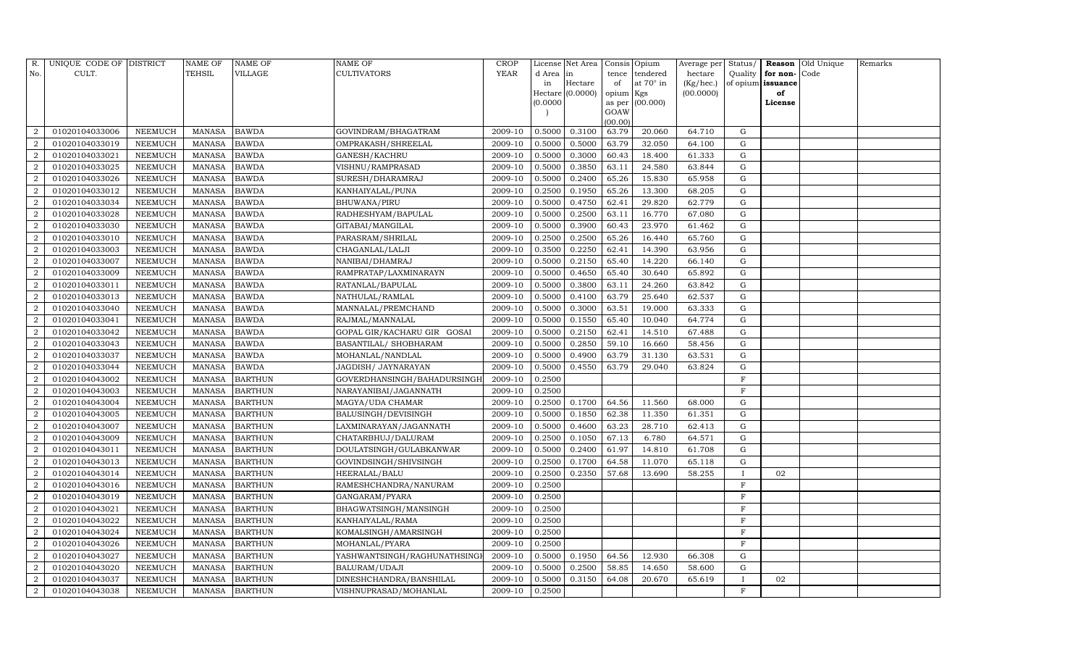| R.             | UNIQUE CODE OF DISTRICT |                | <b>NAME OF</b> | <b>NAME OF</b> | <b>NAME OF</b>              | CROP    |           | License Net Area |                 | Consis Opium     | Average per | Status/      | Reason            | Old Unique | Remarks |
|----------------|-------------------------|----------------|----------------|----------------|-----------------------------|---------|-----------|------------------|-----------------|------------------|-------------|--------------|-------------------|------------|---------|
| No.            | CULT.                   |                | <b>TEHSIL</b>  | VILLAGE        | <b>CULTIVATORS</b>          | YEAR    | d Area in |                  | tence           | tendered         | hectare     | Quality      | for non-          | Code       |         |
|                |                         |                |                |                |                             |         | in        | Hectare          | of              | at $70^\circ$ in | (Kg/hec.)   |              | of opium issuance |            |         |
|                |                         |                |                |                |                             |         |           | Hectare (0.0000) | opium Kgs       |                  | (00.0000)   |              | of                |            |         |
|                |                         |                |                |                |                             |         | (0.0000)  |                  | as per          | (00.000)         |             |              | License           |            |         |
|                |                         |                |                |                |                             |         |           |                  | GOAW<br>(00.00) |                  |             |              |                   |            |         |
| $\overline{2}$ | 01020104033006          | NEEMUCH        | MANASA         | <b>BAWDA</b>   | GOVINDRAM/BHAGATRAM         | 2009-10 | 0.5000    | 0.3100           | 63.79           | 20.060           | 64.710      | G            |                   |            |         |
| $\overline{2}$ | 01020104033019          | NEEMUCH        | <b>MANASA</b>  | <b>BAWDA</b>   | OMPRAKASH/SHREELAL          | 2009-10 | 0.5000    | 0.5000           | 63.79           | 32.050           | 64.100      | G            |                   |            |         |
| $\overline{2}$ | 01020104033021          | <b>NEEMUCH</b> | <b>MANASA</b>  | <b>BAWDA</b>   | GANESH/KACHRU               | 2009-10 | 0.5000    | 0.3000           | 60.43           | 18.400           | 61.333      | G            |                   |            |         |
| $\overline{2}$ | 01020104033025          | NEEMUCH        | MANASA         | <b>BAWDA</b>   | VISHNU/RAMPRASAD            | 2009-10 | 0.5000    | 0.3850           | 63.11           | 24.580           | 63.844      | G            |                   |            |         |
| $\overline{2}$ | 01020104033026          | NEEMUCH        | <b>MANASA</b>  | <b>BAWDA</b>   | SURESH/DHARAMRAJ            | 2009-10 | 0.5000    | 0.2400           | 65.26           | 15.830           | 65.958      | ${\rm G}$    |                   |            |         |
| $\overline{2}$ | 01020104033012          | NEEMUCH        | MANASA         | <b>BAWDA</b>   | KANHAIYALAL/PUNA            | 2009-10 | 0.2500    | 0.1950           | 65.26           | 13.300           | 68.205      | ${\rm G}$    |                   |            |         |
| $\overline{2}$ | 01020104033034          | NEEMUCH        | MANASA         | <b>BAWDA</b>   | <b>BHUWANA/PIRU</b>         | 2009-10 | 0.5000    | 0.4750           | 62.41           | 29.820           | 62.779      | G            |                   |            |         |
| $\overline{a}$ | 01020104033028          | <b>NEEMUCH</b> | MANASA         | <b>BAWDA</b>   | RADHESHYAM/BAPULAL          | 2009-10 | 0.5000    | 0.2500           | 63.11           | 16.770           | 67.080      | $\mathbf G$  |                   |            |         |
| 2              | 01020104033030          | NEEMUCH        | MANASA         | <b>BAWDA</b>   | GITABAI/MANGILAL            | 2009-10 | 0.5000    | 0.3900           | 60.43           | 23.970           | 61.462      | G            |                   |            |         |
| $\overline{2}$ | 01020104033010          | NEEMUCH        | MANASA         | <b>BAWDA</b>   | PARASRAM/SHRILAL            | 2009-10 | 0.2500    | 0.2500           | 65.26           | 16.440           | 65.760      | G            |                   |            |         |
| $\overline{2}$ | 01020104033003          | NEEMUCH        | <b>MANASA</b>  | <b>BAWDA</b>   | CHAGANLAL/LALJI             | 2009-10 | 0.3500    | 0.2250           | 62.41           | 14.390           | 63.956      | G            |                   |            |         |
| $\overline{2}$ | 01020104033007          | <b>NEEMUCH</b> | MANASA         | <b>BAWDA</b>   | NANIBAI/DHAMRAJ             | 2009-10 | 0.5000    | 0.2150           | 65.40           | 14.220           | 66.140      | $\mathbf G$  |                   |            |         |
| $\overline{2}$ | 01020104033009          | NEEMUCH        | MANASA         | <b>BAWDA</b>   | RAMPRATAP/LAXMINARAYN       | 2009-10 | 0.5000    | 0.4650           | 65.40           | 30.640           | 65.892      | G            |                   |            |         |
| $\overline{2}$ | 01020104033011          | <b>NEEMUCH</b> | <b>MANASA</b>  | <b>BAWDA</b>   | RATANLAL/BAPULAL            | 2009-10 | 0.5000    | 0.3800           | 63.11           | 24.260           | 63.842      | G            |                   |            |         |
| $\overline{2}$ | 01020104033013          | NEEMUCH        | MANASA         | <b>BAWDA</b>   | NATHULAL/RAMLAL             | 2009-10 | 0.5000    | 0.4100           | 63.79           | 25.640           | 62.537      | G            |                   |            |         |
| $\overline{2}$ | 01020104033040          | NEEMUCH        | MANASA         | <b>BAWDA</b>   | MANNALAL/PREMCHAND          | 2009-10 | 0.5000    | 0.3000           | 63.51           | 19.000           | 63.333      | ${\rm G}$    |                   |            |         |
| $\overline{2}$ | 01020104033041          | <b>NEEMUCH</b> | <b>MANASA</b>  | <b>BAWDA</b>   | RAJMAL/MANNALAL             | 2009-10 | 0.5000    | 0.1550           | 65.40           | 10.040           | 64.774      | $\mathbf G$  |                   |            |         |
| $\overline{2}$ | 01020104033042          | NEEMUCH        | MANASA         | <b>BAWDA</b>   | GOPAL GIR/KACHARU GIR GOSAI | 2009-10 | 0.5000    | 0.2150           | 62.41           | 14.510           | 67.488      | G            |                   |            |         |
| 2              | 01020104033043          | NEEMUCH        | MANASA         | <b>BAWDA</b>   | BASANTILAL/ SHOBHARAM       | 2009-10 | 0.5000    | 0.2850           | 59.10           | 16.660           | 58.456      | G            |                   |            |         |
| $\overline{2}$ | 01020104033037          | <b>NEEMUCH</b> | MANASA         | <b>BAWDA</b>   | MOHANLAL/NANDLAL            | 2009-10 | 0.5000    | 0.4900           | 63.79           | 31.130           | 63.531      | $\mathbf G$  |                   |            |         |
| $\overline{2}$ | 01020104033044          | <b>NEEMUCH</b> | <b>MANASA</b>  | <b>BAWDA</b>   | JAGDISH / JAYNARAYAN        | 2009-10 | 0.5000    | 0.4550           | 63.79           | 29.040           | 63.824      | G            |                   |            |         |
| $\overline{2}$ | 01020104043002          | <b>NEEMUCH</b> | <b>MANASA</b>  | <b>BARTHUN</b> | GOVERDHANSINGH/BAHADURSINGH | 2009-10 | 0.2500    |                  |                 |                  |             | $\mathbf F$  |                   |            |         |
| $\overline{2}$ | 01020104043003          | NEEMUCH        | MANASA         | <b>BARTHUN</b> | NARAYANIBAI/JAGANNATH       | 2009-10 | 0.2500    |                  |                 |                  |             | F            |                   |            |         |
| $\overline{2}$ | 01020104043004          | NEEMUCH        | MANASA         | <b>BARTHUN</b> | MAGYA/UDA CHAMAR            | 2009-10 | 0.2500    | 0.1700           | 64.56           | 11.560           | 68.000      | G            |                   |            |         |
| $\overline{2}$ | 01020104043005          | NEEMUCH        | MANASA         | <b>BARTHUN</b> | BALUSINGH/DEVISINGH         | 2009-10 | 0.5000    | 0.1850           | 62.38           | 11.350           | 61.351      | G            |                   |            |         |
| $\overline{2}$ | 01020104043007          | <b>NEEMUCH</b> | MANASA         | <b>BARTHUN</b> | LAXMINARAYAN/JAGANNATH      | 2009-10 | 0.5000    | 0.4600           | 63.23           | 28.710           | 62.413      | G            |                   |            |         |
| $\overline{2}$ | 01020104043009          | NEEMUCH        | MANASA         | <b>BARTHUN</b> | CHATARBHUJ/DALURAM          | 2009-10 | 0.2500    | 0.1050           | 67.13           | 6.780            | 64.571      | G            |                   |            |         |
| $\overline{2}$ | 01020104043011          | NEEMUCH        | MANASA         | <b>BARTHUN</b> | DOULATSINGH/GULABKANWAR     | 2009-10 | 0.5000    | 0.2400           | 61.97           | 14.810           | 61.708      | G            |                   |            |         |
| $\overline{2}$ | 01020104043013          | NEEMUCH        | MANASA         | <b>BARTHUN</b> | GOVINDSINGH/SHIVSINGH       | 2009-10 | 0.2500    | 0.1700           | 64.58           | 11.070           | 65.118      | G            |                   |            |         |
| $\overline{2}$ | 01020104043014          | <b>NEEMUCH</b> | <b>MANASA</b>  | <b>BARTHUN</b> | HEERALAL/BALU               | 2009-10 | 0.2500    | 0.2350           | 57.68           | 13.690           | 58.255      | $\mathbf{I}$ | 02                |            |         |
| $\overline{2}$ | 01020104043016          | <b>NEEMUCH</b> | MANASA         | <b>BARTHUN</b> | RAMESHCHANDRA/NANURAM       | 2009-10 | 0.2500    |                  |                 |                  |             | $\mathbf{F}$ |                   |            |         |
| $\overline{2}$ | 01020104043019          | <b>NEEMUCH</b> | <b>MANASA</b>  | <b>BARTHUN</b> | GANGARAM/PYARA              | 2009-10 | 0.2500    |                  |                 |                  |             | $\mathbf F$  |                   |            |         |
| $\overline{2}$ | 01020104043021          | NEEMUCH        | <b>MANASA</b>  | <b>BARTHUN</b> | BHAGWATSINGH/MANSINGH       | 2009-10 | 0.2500    |                  |                 |                  |             | $\mathbf{F}$ |                   |            |         |
| $\overline{2}$ | 01020104043022          | <b>NEEMUCH</b> | <b>MANASA</b>  | <b>BARTHUN</b> | KANHAIYALAL/RAMA            | 2009-10 | 0.2500    |                  |                 |                  |             | $\rm F$      |                   |            |         |
| $\overline{2}$ | 01020104043024          | <b>NEEMUCH</b> | <b>MANASA</b>  | <b>BARTHUN</b> | KOMALSINGH/AMARSINGH        | 2009-10 | 0.2500    |                  |                 |                  |             | F            |                   |            |         |
| $\overline{2}$ | 01020104043026          | <b>NEEMUCH</b> | <b>MANASA</b>  | <b>BARTHUN</b> | MOHANLAL/PYARA              | 2009-10 | 0.2500    |                  |                 |                  |             | $\mathbf{F}$ |                   |            |         |
| $\overline{2}$ | 01020104043027          | NEEMUCH        | MANASA         | <b>BARTHUN</b> | YASHWANTSINGH/RAGHUNATHSING | 2009-10 | 0.5000    | 0.1950           | 64.56           | 12.930           | 66.308      | ${\rm G}$    |                   |            |         |
| $\overline{2}$ | 01020104043020          | <b>NEEMUCH</b> | <b>MANASA</b>  | <b>BARTHUN</b> | BALURAM/UDAJI               | 2009-10 | 0.5000    | 0.2500           | 58.85           | 14.650           | 58.600      | $\mathbf G$  |                   |            |         |
| $\overline{2}$ | 01020104043037          | <b>NEEMUCH</b> | MANASA         | <b>BARTHUN</b> | DINESHCHANDRA/BANSHILAL     | 2009-10 | 0.5000    | 0.3150           | 64.08           | 20.670           | 65.619      | $\mathbf{I}$ | 02                |            |         |
| $\sqrt{2}$     | 01020104043038          | <b>NEEMUCH</b> |                | MANASA BARTHUN | VISHNUPRASAD/MOHANLAL       | 2009-10 | 0.2500    |                  |                 |                  |             | $\mathbf F$  |                   |            |         |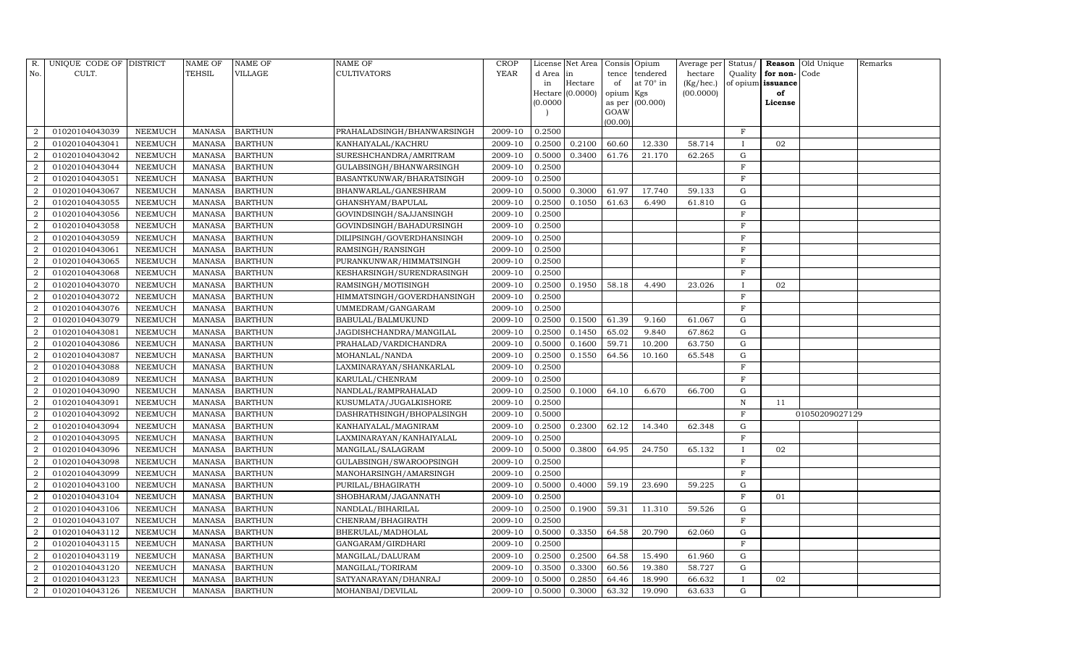| R.             | UNIQUE CODE OF DISTRICT |                | <b>NAME OF</b> | <b>NAME OF</b> | <b>NAME OF</b>             | CROP        |           | License Net Area |                | Consis Opium     | Average per | Status/      | <b>Reason</b>        | Old Unique     | Remarks |
|----------------|-------------------------|----------------|----------------|----------------|----------------------------|-------------|-----------|------------------|----------------|------------------|-------------|--------------|----------------------|----------------|---------|
| No.            | CULT.                   |                | TEHSIL         | VILLAGE        | CULTIVATORS                | <b>YEAR</b> | d Area in |                  | tence          | tendered         | hectare     |              | Quality $ $ for non- | Code           |         |
|                |                         |                |                |                |                            |             | in        | Hectare          | of             | at $70^\circ$ in | (Kg/hec.)   |              | of opium issuance    |                |         |
|                |                         |                |                |                |                            |             |           | Hectare (0.0000) | opium Kgs      |                  | (00.0000)   |              | of                   |                |         |
|                |                         |                |                |                |                            |             | (0.0000)  |                  | as per<br>GOAW | (00.000)         |             |              | License              |                |         |
|                |                         |                |                |                |                            |             |           |                  | (00.00)        |                  |             |              |                      |                |         |
| $\overline{2}$ | 01020104043039          | NEEMUCH        | MANASA         | <b>BARTHUN</b> | PRAHALADSINGH/BHANWARSINGH | 2009-10     | 0.2500    |                  |                |                  |             | $\mathbf F$  |                      |                |         |
| $\overline{2}$ | 01020104043041          | <b>NEEMUCH</b> | <b>MANASA</b>  | <b>BARTHUN</b> | KANHAIYALAL/KACHRU         | 2009-10     | 0.2500    | 0.2100           | 60.60          | 12.330           | 58.714      | $\mathbf{I}$ | 02                   |                |         |
| $\overline{2}$ | 01020104043042          | <b>NEEMUCH</b> | <b>MANASA</b>  | <b>BARTHUN</b> | SURESHCHANDRA/AMRITRAM     | 2009-10     | 0.5000    | 0.3400           | 61.76          | 21.170           | 62.265      | G            |                      |                |         |
| $\overline{a}$ | 01020104043044          | <b>NEEMUCH</b> | <b>MANASA</b>  | <b>BARTHUN</b> | GULABSINGH/BHANWARSINGH    | 2009-10     | 0.2500    |                  |                |                  |             | F            |                      |                |         |
| $\overline{2}$ | 01020104043051          | NEEMUCH        | <b>MANASA</b>  | <b>BARTHUN</b> | BASANTKUNWAR/BHARATSINGH   | 2009-10     | 0.2500    |                  |                |                  |             | F            |                      |                |         |
| $\overline{2}$ | 01020104043067          | <b>NEEMUCH</b> | <b>MANASA</b>  | <b>BARTHUN</b> | BHANWARLAL/GANESHRAM       | 2009-10     | 0.5000    | 0.3000           | 61.97          | 17.740           | 59.133      | ${\rm G}$    |                      |                |         |
| $\overline{2}$ | 01020104043055          | NEEMUCH        | <b>MANASA</b>  | <b>BARTHUN</b> | GHANSHYAM/BAPULAL          | 2009-10     | 0.2500    | 0.1050           | 61.63          | 6.490            | 61.810      | G            |                      |                |         |
| $\,2$          | 01020104043056          | <b>NEEMUCH</b> | <b>MANASA</b>  | <b>BARTHUN</b> | GOVINDSINGH/SAJJANSINGH    | 2009-10     | 0.2500    |                  |                |                  |             | $\mathbf F$  |                      |                |         |
| $\overline{a}$ | 01020104043058          | NEEMUCH        | <b>MANASA</b>  | <b>BARTHUN</b> | GOVINDSINGH/BAHADURSINGH   | 2009-10     | 0.2500    |                  |                |                  |             | $\mathbf F$  |                      |                |         |
| $\overline{2}$ | 01020104043059          | <b>NEEMUCH</b> | <b>MANASA</b>  | <b>BARTHUN</b> | DILIPSINGH/GOVERDHANSINGH  | 2009-10     | 0.2500    |                  |                |                  |             | $\mathbf F$  |                      |                |         |
| $\overline{a}$ | 01020104043061          | <b>NEEMUCH</b> | <b>MANASA</b>  | <b>BARTHUN</b> | RAMSINGH/RANSINGH          | 2009-10     | 0.2500    |                  |                |                  |             | $\rm F$      |                      |                |         |
| $\overline{a}$ | 01020104043065          | NEEMUCH        | <b>MANASA</b>  | <b>BARTHUN</b> | PURANKUNWAR/HIMMATSINGH    | 2009-10     | 0.2500    |                  |                |                  |             | $\mathbf F$  |                      |                |         |
| $\overline{a}$ | 01020104043068          | <b>NEEMUCH</b> | <b>MANASA</b>  | <b>BARTHUN</b> | KESHARSINGH/SURENDRASINGH  | 2009-10     | 0.2500    |                  |                |                  |             | $\mathbf F$  |                      |                |         |
| $\overline{2}$ | 01020104043070          | <b>NEEMUCH</b> | <b>MANASA</b>  | <b>BARTHUN</b> | RAMSINGH/MOTISINGH         | 2009-10     | 0.2500    | 0.1950           | 58.18          | 4.490            | 23.026      | $\mathbf I$  | 02                   |                |         |
| $\overline{a}$ | 01020104043072          | <b>NEEMUCH</b> | <b>MANASA</b>  | <b>BARTHUN</b> | HIMMATSINGH/GOVERDHANSINGH | 2009-10     | 0.2500    |                  |                |                  |             | $\mathbf F$  |                      |                |         |
| $\overline{a}$ | 01020104043076          | NEEMUCH        | <b>MANASA</b>  | <b>BARTHUN</b> | UMMEDRAM/GANGARAM          | 2009-10     | 0.2500    |                  |                |                  |             | $\mathbf F$  |                      |                |         |
| $\overline{a}$ | 01020104043079          | <b>NEEMUCH</b> | <b>MANASA</b>  | <b>BARTHUN</b> | BABULAL/BALMUKUND          | 2009-10     | 0.2500    | 0.1500           | 61.39          | 9.160            | 61.067      | $\mathbf G$  |                      |                |         |
| $\overline{2}$ | 01020104043081          | NEEMUCH        | <b>MANASA</b>  | <b>BARTHUN</b> | JAGDISHCHANDRA/MANGILAL    | 2009-10     | 0.2500    | 0.1450           | 65.02          | 9.840            | 67.862      | G            |                      |                |         |
| $\overline{2}$ | 01020104043086          | NEEMUCH        | <b>MANASA</b>  | <b>BARTHUN</b> | PRAHALAD/VARDICHANDRA      | 2009-10     | 0.5000    | 0.1600           | 59.71          | 10.200           | 63.750      | G            |                      |                |         |
| $\overline{2}$ | 01020104043087          | <b>NEEMUCH</b> | <b>MANASA</b>  | <b>BARTHUN</b> | MOHANLAL/NANDA             | 2009-10     | 0.2500    | 0.1550           | 64.56          | 10.160           | 65.548      | $\mathbf G$  |                      |                |         |
| $\overline{2}$ | 01020104043088          | <b>NEEMUCH</b> | <b>MANASA</b>  | <b>BARTHUN</b> | LAXMINARAYAN/SHANKARLAL    | 2009-10     | 0.2500    |                  |                |                  |             | $\mathbf F$  |                      |                |         |
| $\overline{2}$ | 01020104043089          | <b>NEEMUCH</b> | <b>MANASA</b>  | <b>BARTHUN</b> | KARULAL/CHENRAM            | 2009-10     | 0.2500    |                  |                |                  |             | $\mathbf F$  |                      |                |         |
| $\overline{2}$ | 01020104043090          | <b>NEEMUCH</b> | <b>MANASA</b>  | <b>BARTHUN</b> | NANDLAL/RAMPRAHALAD        | 2009-10     | 0.2500    | 0.1000           | 64.10          | 6.670            | 66.700      | G            |                      |                |         |
| $\overline{2}$ | 01020104043091          | NEEMUCH        | <b>MANASA</b>  | <b>BARTHUN</b> | KUSUMLATA/JUGALKISHORE     | 2009-10     | 0.2500    |                  |                |                  |             | $\, {\rm N}$ | 11                   |                |         |
| $\overline{2}$ | 01020104043092          | <b>NEEMUCH</b> | <b>MANASA</b>  | <b>BARTHUN</b> | DASHRATHSINGH/BHOPALSINGH  | 2009-10     | 0.5000    |                  |                |                  |             | $\mathbf F$  |                      | 01050209027129 |         |
| $\overline{2}$ | 01020104043094          | <b>NEEMUCH</b> | <b>MANASA</b>  | <b>BARTHUN</b> | KANHAIYALAL/MAGNIRAM       | 2009-10     | 0.2500    | 0.2300           | 62.12          | 14.340           | 62.348      | G            |                      |                |         |
| $\overline{2}$ | 01020104043095          | NEEMUCH        | <b>MANASA</b>  | <b>BARTHUN</b> | LAXMINARAYAN/KANHAIYALAL   | 2009-10     | 0.2500    |                  |                |                  |             | $\mathbf F$  |                      |                |         |
| $\overline{2}$ | 01020104043096          | <b>NEEMUCH</b> | <b>MANASA</b>  | <b>BARTHUN</b> | MANGILAL/SALAGRAM          | 2009-10     | 0.5000    | 0.3800           | 64.95          | 24.750           | 65.132      | $\mathbf{I}$ | 02                   |                |         |
| $\overline{2}$ | 01020104043098          | NEEMUCH        | <b>MANASA</b>  | <b>BARTHUN</b> | GULABSINGH/SWAROOPSINGH    | 2009-10     | 0.2500    |                  |                |                  |             | $\mathbf F$  |                      |                |         |
| $\overline{a}$ | 01020104043099          | <b>NEEMUCH</b> | <b>MANASA</b>  | <b>BARTHUN</b> | MANOHARSINGH/AMARSINGH     | 2009-10     | 0.2500    |                  |                |                  |             | $\mathbf F$  |                      |                |         |
| $\sqrt{2}$     | 01020104043100          | <b>NEEMUCH</b> | <b>MANASA</b>  | <b>BARTHUN</b> | PURILAL/BHAGIRATH          | 2009-10     | 0.5000    | 0.4000           | 59.19          | 23.690           | 59.225      | $\mathbf G$  |                      |                |         |
| 2              | 01020104043104          | NEEMUCH        | <b>MANASA</b>  | <b>BARTHUN</b> | SHOBHARAM/JAGANNATH        | 2009-10     | 0.2500    |                  |                |                  |             | $\mathbf F$  | 01                   |                |         |
| $\overline{2}$ | 01020104043106          | NEEMUCH        | <b>MANASA</b>  | <b>BARTHUN</b> | NANDLAL/BIHARILAL          | 2009-10     | 0.2500    | 0.1900           | 59.31          | 11.310           | 59.526      | ${\rm G}$    |                      |                |         |
| $\overline{a}$ | 01020104043107          | NEEMUCH        | <b>MANASA</b>  | <b>BARTHUN</b> | CHENRAM/BHAGIRATH          | 2009-10     | 0.2500    |                  |                |                  |             | $\mathbf F$  |                      |                |         |
| $\overline{a}$ | 01020104043112          | NEEMUCH        | <b>MANASA</b>  | <b>BARTHUN</b> | BHERULAL/MADHOLAL          | 2009-10     | 0.5000    | 0.3350           | 64.58          | 20.790           | 62.060      | ${\rm G}$    |                      |                |         |
| $\overline{2}$ | 01020104043115          | NEEMUCH        | <b>MANASA</b>  | <b>BARTHUN</b> | GANGARAM/GIRDHARI          | 2009-10     | 0.2500    |                  |                |                  |             | $\mathbf F$  |                      |                |         |
| $\overline{2}$ | 01020104043119          | <b>NEEMUCH</b> | <b>MANASA</b>  | <b>BARTHUN</b> | MANGILAL/DALURAM           | 2009-10     | 0.2500    | 0.2500           | 64.58          | 15.490           | 61.960      | G            |                      |                |         |
| $\overline{c}$ | 01020104043120          | NEEMUCH        | <b>MANASA</b>  | <b>BARTHUN</b> | MANGILAL/TORIRAM           | 2009-10     | 0.3500    | 0.3300           | 60.56          | 19.380           | 58.727      | G            |                      |                |         |
| $\sqrt{2}$     | 01020104043123          | <b>NEEMUCH</b> | <b>MANASA</b>  | <b>BARTHUN</b> | SATYANARAYAN/DHANRAJ       | 2009-10     | 0.5000    | 0.2850           | 64.46          | 18.990           | 66.632      | $\mathbf{I}$ | 02                   |                |         |
| $\sqrt{2}$     | 01020104043126          | NEEMUCH        | MANASA         | <b>BARTHUN</b> | MOHANBAI/DEVILAL           | 2009-10     | 0.5000    | 0.3000           | 63.32          | 19.090           | 63.633      | G            |                      |                |         |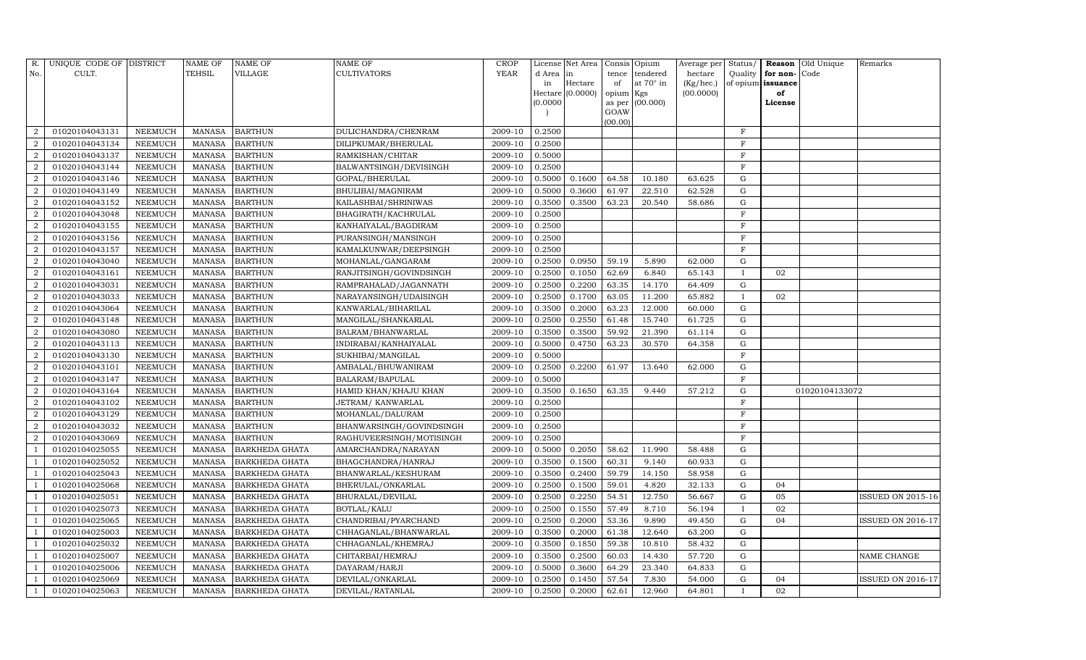| R.             | UNIQUE CODE OF DISTRICT |                | NAME OF       | <b>NAME OF</b>        | <b>NAME OF</b>           | <b>CROP</b> |          | License Net Area   Consis   Opium |                 |           | Average per Status/ |              |                          | <b>Reason</b> Old Unique | Remarks                  |
|----------------|-------------------------|----------------|---------------|-----------------------|--------------------------|-------------|----------|-----------------------------------|-----------------|-----------|---------------------|--------------|--------------------------|--------------------------|--------------------------|
| No.            | CULT.                   |                | <b>TEHSIL</b> | VILLAGE               | CULTIVATORS              | YEAR        | d Area   | in                                | tence           | tendered  | hectare             | Quality      | for non-Code             |                          |                          |
|                |                         |                |               |                       |                          |             | in       | Hectare                           | of              | at 70° in | (Kg/hec.)           |              | of opium <b>issuance</b> |                          |                          |
|                |                         |                |               |                       |                          |             |          | Hectare $(0.0000)$                | opium Kgs       |           | (00.0000)           |              | of                       |                          |                          |
|                |                         |                |               |                       |                          |             | (0.0000) |                                   | as per          | (00.000)  |                     |              | License                  |                          |                          |
|                |                         |                |               |                       |                          |             |          |                                   | GOAW<br>(00.00) |           |                     |              |                          |                          |                          |
| $\overline{2}$ | 01020104043131          | NEEMUCH        | <b>MANASA</b> | <b>BARTHUN</b>        | DULICHANDRA/CHENRAM      | 2009-10     | 0.2500   |                                   |                 |           |                     | $_{\rm F}$   |                          |                          |                          |
| $\overline{2}$ | 01020104043134          | NEEMUCH        | <b>MANASA</b> | <b>BARTHUN</b>        | DILIPKUMAR/BHERULAL      | 2009-10     | 0.2500   |                                   |                 |           |                     | $\mathbf{F}$ |                          |                          |                          |
| $\overline{2}$ | 01020104043137          | NEEMUCH        | <b>MANASA</b> | <b>BARTHUN</b>        | RAMKISHAN/CHITAR         | 2009-10     | 0.5000   |                                   |                 |           |                     | $_{\rm F}$   |                          |                          |                          |
| $\overline{a}$ | 01020104043144          | NEEMUCH        | <b>MANASA</b> | <b>BARTHUN</b>        | BALWANTSINGH/DEVISINGH   | 2009-10     | 0.2500   |                                   |                 |           |                     | $\mathbf F$  |                          |                          |                          |
| $\overline{2}$ | 01020104043146          | <b>NEEMUCH</b> | <b>MANASA</b> | <b>BARTHUN</b>        | GOPAL/BHERULAL           | 2009-10     | 0.5000   | 0.1600                            | 64.58           | 10.180    | 63.625              | G            |                          |                          |                          |
| $\overline{2}$ | 01020104043149          | NEEMUCH        | <b>MANASA</b> | <b>BARTHUN</b>        | BHULIBAI/MAGNIRAM        | 2009-10     | 0.5000   | 0.3600                            | 61.97           | 22.510    | 62.528              | G            |                          |                          |                          |
| $\overline{c}$ | 01020104043152          | NEEMUCH        | <b>MANASA</b> | <b>BARTHUN</b>        | KAILASHBAI/SHRINIWAS     | 2009-10     | 0.3500   | 0.3500                            | 63.23           | 20.540    | 58.686              | ${\rm G}$    |                          |                          |                          |
| $\overline{2}$ | 01020104043048          | NEEMUCH        | <b>MANASA</b> | <b>BARTHUN</b>        | BHAGIRATH/KACHRULAL      | 2009-10     | 0.2500   |                                   |                 |           |                     | $\mathbf F$  |                          |                          |                          |
| $\overline{2}$ | 01020104043155          | <b>NEEMUCH</b> | <b>MANASA</b> | <b>BARTHUN</b>        | KANHAIYALAL/BAGDIRAM     | 2009-10     | 0.2500   |                                   |                 |           |                     | F            |                          |                          |                          |
| $\overline{2}$ | 01020104043156          | NEEMUCH        | <b>MANASA</b> | <b>BARTHUN</b>        | PURANSINGH/MANSINGH      | 2009-10     | 0.2500   |                                   |                 |           |                     | $\mathbf F$  |                          |                          |                          |
| $\overline{a}$ | 01020104043157          | NEEMUCH        | <b>MANASA</b> | <b>BARTHUN</b>        | KAMALKUNWAR/DEEPSINGH    | 2009-10     | 0.2500   |                                   |                 |           |                     | F            |                          |                          |                          |
| $\overline{2}$ | 01020104043040          | NEEMUCH        | <b>MANASA</b> | <b>BARTHUN</b>        | MOHANLAL/GANGARAM        | 2009-10     | 0.2500   | 0.0950                            | 59.19           | 5.890     | 62.000              | G            |                          |                          |                          |
| $\overline{2}$ | 01020104043161          | <b>NEEMUCH</b> | <b>MANASA</b> | <b>BARTHUN</b>        | RANJITSINGH/GOVINDSINGH  | 2009-10     | 0.2500   | 0.1050                            | 62.69           | 6.840     | 65.143              |              | 02                       |                          |                          |
| $\overline{a}$ | 01020104043031          | <b>NEEMUCH</b> | <b>MANASA</b> | <b>BARTHUN</b>        | RAMPRAHALAD/JAGANNATH    | 2009-10     | 0.2500   | 0.2200                            | 63.35           | 14.170    | 64.409              | ${\rm G}$    |                          |                          |                          |
| $\overline{a}$ | 01020104043033          | NEEMUCH        | <b>MANASA</b> | <b>BARTHUN</b>        | NARAYANSINGH/UDAISINGH   | 2009-10     | 0.2500   | 0.1700                            | 63.05           | 11.200    | 65.882              | П            | 02                       |                          |                          |
| $\overline{a}$ | 01020104043064          | NEEMUCH        | <b>MANASA</b> | <b>BARTHUN</b>        | KANWARLAL/BIHARILAL      | 2009-10     | 0.3500   | 0.2000                            | 63.23           | 12.000    | 60.000              | $\mathbf G$  |                          |                          |                          |
| $\overline{2}$ | 01020104043148          | NEEMUCH        | <b>MANASA</b> | <b>BARTHUN</b>        | MANGILAL/SHANKARLAL      | 2009-10     | 0.2500   | 0.2550                            | 61.48           | 15.740    | 61.725              | $\mathbf G$  |                          |                          |                          |
| $\overline{2}$ | 01020104043080          | NEEMUCH        | <b>MANASA</b> | <b>BARTHUN</b>        | BALRAM/BHANWARLAL        | 2009-10     | 0.3500   | 0.3500                            | 59.92           | 21.390    | 61.114              | ${\rm G}$    |                          |                          |                          |
| $\,2$          | 01020104043113          | NEEMUCH        | <b>MANASA</b> | <b>BARTHUN</b>        | INDIRABAI/KANHAIYALAL    | 2009-10     | 0.5000   | 0.4750                            | 63.23           | 30.570    | 64.358              | $\mathbf G$  |                          |                          |                          |
| $\overline{2}$ | 01020104043130          | <b>NEEMUCH</b> | <b>MANASA</b> | <b>BARTHUN</b>        | SUKHIBAI/MANGILAL        | 2009-10     | 0.5000   |                                   |                 |           |                     | F            |                          |                          |                          |
| $\overline{2}$ | 01020104043101          | NEEMUCH        | <b>MANASA</b> | <b>BARTHUN</b>        | AMBALAL/BHUWANIRAM       | 2009-10     | 0.2500   | 0.2200                            | 61.97           | 13.640    | 62.000              | ${\rm G}$    |                          |                          |                          |
| $\overline{a}$ | 01020104043147          | NEEMUCH        | <b>MANASA</b> | <b>BARTHUN</b>        | BALARAM/BAPULAL          | 2009-10     | 0.5000   |                                   |                 |           |                     | F            |                          |                          |                          |
| $\overline{2}$ | 01020104043164          | NEEMUCH        | <b>MANASA</b> | <b>BARTHUN</b>        | HAMID KHAN/KHAJU KHAN    | 2009-10     | 0.3500   | 0.1650                            | 63.35           | 9.440     | 57.212              | G            |                          | 01020104133072           |                          |
| $\overline{2}$ | 01020104043102          | <b>NEEMUCH</b> | <b>MANASA</b> | <b>BARTHUN</b>        | JETRAM/KANWARLAL         | 2009-10     | 0.2500   |                                   |                 |           |                     | F            |                          |                          |                          |
| $\overline{2}$ | 01020104043129          | <b>NEEMUCH</b> | <b>MANASA</b> | <b>BARTHUN</b>        | MOHANLAL/DALURAM         | 2009-10     | 0.2500   |                                   |                 |           |                     | $\mathbf F$  |                          |                          |                          |
| $\overline{2}$ | 01020104043032          | <b>NEEMUCH</b> | <b>MANASA</b> | <b>BARTHUN</b>        | BHANWARSINGH/GOVINDSINGH | 2009-10     | 0.2500   |                                   |                 |           |                     | F            |                          |                          |                          |
| $\overline{2}$ | 01020104043069          | NEEMUCH        | <b>MANASA</b> | <b>BARTHUN</b>        | RAGHUVEERSINGH/MOTISINGH | 2009-10     | 0.2500   |                                   |                 |           |                     | $\mathbf F$  |                          |                          |                          |
|                | 01020104025055          | <b>NEEMUCH</b> | <b>MANASA</b> | <b>BARKHEDA GHATA</b> | AMARCHANDRA/NARAYAN      | 2009-10     | 0.5000   | 0.2050                            | 58.62           | 11.990    | 58.488              | $\mathbf G$  |                          |                          |                          |
|                | 01020104025052          | NEEMUCH        | <b>MANASA</b> | <b>BARKHEDA GHATA</b> | BHAGCHANDRA/HANRAJ       | 2009-10     | 0.3500   | 0.1500                            | 60.31           | 9.140     | 60.933              | ${\rm G}$    |                          |                          |                          |
|                | 01020104025043          | <b>NEEMUCH</b> | <b>MANASA</b> | <b>BARKHEDA GHATA</b> | BHANWARLAL/KESHURAM      | 2009-10     | 0.3500   | 0.2400                            | 59.79           | 14.150    | 58.958              | $\mathbf G$  |                          |                          |                          |
|                | 01020104025068          | <b>NEEMUCH</b> | <b>MANASA</b> | <b>BARKHEDA GHATA</b> | BHERULAL/ONKARLAL        | 2009-10     | 0.2500   | 0.1500                            | 59.01           | 4.820     | 32.133              | $\mathbf G$  | 04                       |                          |                          |
|                | 01020104025051          | <b>NEEMUCH</b> | <b>MANASA</b> | <b>BARKHEDA GHATA</b> | BHURALAL/DEVILAL         | 2009-10     | 0.2500   | 0.2250                            | 54.51           | 12.750    | 56.667              | $\mathbf G$  | 05                       |                          | <b>ISSUED ON 2015-16</b> |
|                | 01020104025073          | <b>NEEMUCH</b> | <b>MANASA</b> | <b>BARKHEDA GHATA</b> | <b>BOTLAL/KALU</b>       | 2009-10     | 0.2500   | 0.1550                            | 57.49           | 8.710     | 56.194              | $\mathbf{I}$ | 02                       |                          |                          |
|                | 01020104025065          | NEEMUCH        | <b>MANASA</b> | BARKHEDA GHATA        | CHANDRIBAI/PYARCHAND     | 2009-10     | 0.2500   | 0.2000                            | 53.36           | 9.890     | 49.450              | $\mathbf G$  | 04                       |                          | <b>ISSUED ON 2016-17</b> |
|                | 01020104025003          | NEEMUCH        | <b>MANASA</b> | <b>BARKHEDA GHATA</b> | CHHAGANLAL/BHANWARLAL    | 2009-10     | 0.3500   | 0.2000                            | 61.38           | 12.640    | 63.200              | $\mathbf G$  |                          |                          |                          |
|                | 01020104025032          | <b>NEEMUCH</b> | <b>MANASA</b> | <b>BARKHEDA GHATA</b> | CHHAGANLAL/KHEMRAJ       | 2009-10     | 0.3500   | 0.1850                            | 59.38           | 10.810    | 58.432              | ${\rm G}$    |                          |                          |                          |
|                | 01020104025007          | <b>NEEMUCH</b> | <b>MANASA</b> | <b>BARKHEDA GHATA</b> | CHITARBAI/HEMRAJ         | 2009-10     | 0.3500   | 0.2500                            | 60.03           | 14.430    | 57.720              | ${\rm G}$    |                          |                          | NAME CHANGE              |
|                | 01020104025006          | NEEMUCH        | <b>MANASA</b> | <b>BARKHEDA GHATA</b> | DAYARAM/HARJI            | 2009-10     | 0.5000   | 0.3600                            | 64.29           | 23.340    | 64.833              | $\mathbf G$  |                          |                          |                          |
|                | 01020104025069          | <b>NEEMUCH</b> | <b>MANASA</b> | <b>BARKHEDA GHATA</b> | DEVILAL/ONKARLAL         | 2009-10     | 0.2500   | 0.1450                            | 57.54           | 7.830     | 54.000              | $\mathbf G$  | 04                       |                          | <b>ISSUED ON 2016-17</b> |
| -1             | 01020104025063          | NEEMUCH        | MANASA        | <b>BARKHEDA GHATA</b> | DEVILAL/RATANLAL         | 2009-10     | 0.2500   | 0.2000                            | 62.61           | 12.960    | 64.801              |              | 02                       |                          |                          |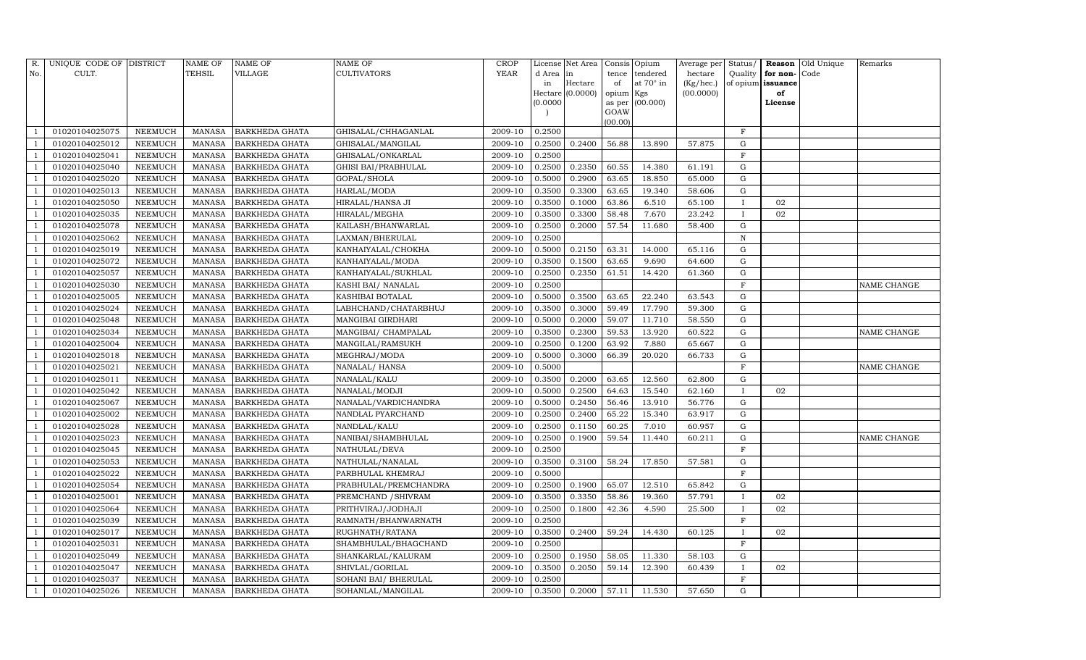| R.             | UNIQUE CODE OF DISTRICT |                | <b>NAME OF</b> | <b>NAME OF</b>        | <b>NAME OF</b>           | CROP    |           | License Net Area |           | Consis Opium      | Average per | Status/      |                   | Reason Old Unique | Remarks     |
|----------------|-------------------------|----------------|----------------|-----------------------|--------------------------|---------|-----------|------------------|-----------|-------------------|-------------|--------------|-------------------|-------------------|-------------|
| No.            | CULT.                   |                | <b>TEHSIL</b>  | VILLAGE               | <b>CULTIVATORS</b>       | YEAR    | d Area in |                  | tence     | tendered          | hectare     | Quality      | for non-          | Code              |             |
|                |                         |                |                |                       |                          |         | in        | Hectare          | of        | at $70^\circ$ in  | (Kg/hec.)   |              | of opium issuance |                   |             |
|                |                         |                |                |                       |                          |         |           | Hectare (0.0000) | opium Kgs |                   | (00.0000)   |              | of                |                   |             |
|                |                         |                |                |                       |                          |         | (0.0000)  |                  | GOAW      | as per $(00.000)$ |             |              | License           |                   |             |
|                |                         |                |                |                       |                          |         |           |                  | (00.00)   |                   |             |              |                   |                   |             |
|                | 01020104025075          | NEEMUCH        | MANASA         | <b>BARKHEDA GHATA</b> | GHISALAL/CHHAGANLAL      | 2009-10 | 0.2500    |                  |           |                   |             | $\mathbf F$  |                   |                   |             |
|                | 01020104025012          | NEEMUCH        | MANASA         | <b>BARKHEDA GHATA</b> | GHISALAL/MANGILAL        | 2009-10 | 0.2500    | 0.2400           | 56.88     | 13.890            | 57.875      | G            |                   |                   |             |
|                | 01020104025041          | <b>NEEMUCH</b> | <b>MANASA</b>  | <b>BARKHEDA GHATA</b> | GHISALAL/ONKARLAL        | 2009-10 | 0.2500    |                  |           |                   |             | $\rm F$      |                   |                   |             |
|                | 01020104025040          | NEEMUCH        | MANASA         | <b>BARKHEDA GHATA</b> | GHISI BAI/PRABHULAL      | 2009-10 | 0.2500    | 0.2350           | 60.55     | 14.380            | 61.191      | ${\rm G}$    |                   |                   |             |
|                | 01020104025020          | NEEMUCH        | MANASA         | <b>BARKHEDA GHATA</b> | GOPAL/SHOLA              | 2009-10 | 0.5000    | 0.2900           | 63.65     | 18.850            | 65.000      | G            |                   |                   |             |
|                | 01020104025013          | NEEMUCH        | MANASA         | <b>BARKHEDA GHATA</b> | HARLAL/MODA              | 2009-10 | 0.3500    | 0.3300           | 63.65     | 19.340            | 58.606      | G            |                   |                   |             |
|                | 01020104025050          | NEEMUCH        | MANASA         | <b>BARKHEDA GHATA</b> | HIRALAL/HANSA JI         | 2009-10 | 0.3500    | 0.1000           | 63.86     | 6.510             | 65.100      | $\mathbf{I}$ | 02                |                   |             |
| - 1            | 01020104025035          | NEEMUCH        | MANASA         | <b>BARKHEDA GHATA</b> | HIRALAL/MEGHA            | 2009-10 | 0.3500    | 0.3300           | 58.48     | 7.670             | 23.242      | $\bf{I}$     | 02                |                   |             |
|                | 01020104025078          | <b>NEEMUCH</b> | <b>MANASA</b>  | <b>BARKHEDA GHATA</b> | KAILASH/BHANWARLAL       | 2009-10 | 0.2500    | 0.2000           | 57.54     | 11.680            | 58.400      | $\mathbf G$  |                   |                   |             |
|                | 01020104025062          | NEEMUCH        | MANASA         | <b>BARKHEDA GHATA</b> | LAXMAN/BHERULAL          | 2009-10 | 0.2500    |                  |           |                   |             | ${\bf N}$    |                   |                   |             |
|                | 01020104025019          | <b>NEEMUCH</b> | MANASA         | <b>BARKHEDA GHATA</b> | KANHAIYALAL/CHOKHA       | 2009-10 | 0.5000    | 0.2150           | 63.31     | 14.000            | 65.116      | G            |                   |                   |             |
|                | 01020104025072          | <b>NEEMUCH</b> | MANASA         | <b>BARKHEDA GHATA</b> | KANHAIYALAL/MODA         | 2009-10 | 0.3500    | 0.1500           | 63.65     | 9.690             | 64.600      | G            |                   |                   |             |
|                | 01020104025057          | <b>NEEMUCH</b> | <b>MANASA</b>  | <b>BARKHEDA GHATA</b> | KANHAIYALAL/SUKHLAL      | 2009-10 | 0.2500    | 0.2350           | 61.51     | 14.420            | 61.360      | ${\rm G}$    |                   |                   |             |
|                | 01020104025030          | <b>NEEMUCH</b> | MANASA         | <b>BARKHEDA GHATA</b> | KASHI BAI / NANALAL      | 2009-10 | 0.2500    |                  |           |                   |             | $\mathbf F$  |                   |                   | NAME CHANGE |
|                | 01020104025005          | NEEMUCH        | MANASA         | BARKHEDA GHATA        | KASHIBAI BOTALAL         | 2009-10 | 0.5000    | 0.3500           | 63.65     | 22.240            | 63.543      | G            |                   |                   |             |
|                | 01020104025024          | NEEMUCH        | MANASA         | BARKHEDA GHATA        | LABHCHAND/CHATARBHUJ     | 2009-10 | 0.3500    | 0.3000           | 59.49     | 17.790            | 59.300      | G            |                   |                   |             |
|                | 01020104025048          | <b>NEEMUCH</b> | <b>MANASA</b>  | <b>BARKHEDA GHATA</b> | <b>MANGIBAI GIRDHARI</b> | 2009-10 | 0.5000    | 0.2000           | 59.07     | 11.710            | 58.550      | $\mathbf G$  |                   |                   |             |
|                | 01020104025034          | <b>NEEMUCH</b> | MANASA         | <b>BARKHEDA GHATA</b> | MANGIBAI / CHAMPALAL     | 2009-10 | 0.3500    | 0.2300           | 59.53     | 13.920            | 60.522      | G            |                   |                   | NAME CHANGE |
|                | 01020104025004          | NEEMUCH        | MANASA         | <b>BARKHEDA GHATA</b> | MANGILAL/RAMSUKH         | 2009-10 | 0.2500    | 0.1200           | 63.92     | 7.880             | 65.667      | G            |                   |                   |             |
|                | 01020104025018          | NEEMUCH        | MANASA         | <b>BARKHEDA GHATA</b> | MEGHRAJ/MODA             | 2009-10 | 0.5000    | 0.3000           | 66.39     | 20.020            | 66.733      | G            |                   |                   |             |
|                | 01020104025021          | NEEMUCH        | MANASA         | <b>BARKHEDA GHATA</b> | NANALAL/HANSA            | 2009-10 | 0.5000    |                  |           |                   |             | F            |                   |                   | NAME CHANGE |
|                | 01020104025011          | <b>NEEMUCH</b> | <b>MANASA</b>  | <b>BARKHEDA GHATA</b> | NANALAL/KALU             | 2009-10 | 0.3500    | 0.2000           | 63.65     | 12.560            | 62.800      | ${\rm G}$    |                   |                   |             |
|                | 01020104025042          | NEEMUCH        | MANASA         | <b>BARKHEDA GHATA</b> | NANALAL/MODJI            | 2009-10 | 0.5000    | 0.2500           | 64.63     | 15.540            | 62.160      | $\mathbf{I}$ | 02                |                   |             |
|                | 01020104025067          | NEEMUCH        | MANASA         | <b>BARKHEDA GHATA</b> | NANALAL/VARDICHANDRA     | 2009-10 | 0.5000    | 0.2450           | 56.46     | 13.910            | 56.776      | G            |                   |                   |             |
|                | 01020104025002          | <b>NEEMUCH</b> | <b>MANASA</b>  | <b>BARKHEDA GHATA</b> | NANDLAL PYARCHAND        | 2009-10 | 0.2500    | 0.2400           | 65.22     | 15.340            | 63.917      | G            |                   |                   |             |
|                | 01020104025028          | <b>NEEMUCH</b> | <b>MANASA</b>  | <b>BARKHEDA GHATA</b> | NANDLAL/KALU             | 2009-10 | 0.2500    | 0.1150           | 60.25     | 7.010             | 60.957      | G            |                   |                   |             |
|                | 01020104025023          | NEEMUCH        | MANASA         | <b>BARKHEDA GHATA</b> | NANIBAI/SHAMBHULAL       | 2009-10 | 0.2500    | 0.1900           | 59.54     | 11.440            | 60.211      | ${\rm G}$    |                   |                   | NAME CHANGE |
|                | 01020104025045          | <b>NEEMUCH</b> | <b>MANASA</b>  | <b>BARKHEDA GHATA</b> | NATHULAL/DEVA            | 2009-10 | 0.2500    |                  |           |                   |             | $\mathbf F$  |                   |                   |             |
|                | 01020104025053          | NEEMUCH        | MANASA         | <b>BARKHEDA GHATA</b> | NATHULAL/NANALAL         | 2009-10 | 0.3500    | 0.3100           | 58.24     | 17.850            | 57.581      | G            |                   |                   |             |
|                | 01020104025022          | NEEMUCH        | MANASA         | <b>BARKHEDA GHATA</b> | PARBHULAL KHEMRAJ        | 2009-10 | 0.5000    |                  |           |                   |             | $\mathbf F$  |                   |                   |             |
|                | 01020104025054          | <b>NEEMUCH</b> | MANASA         | <b>BARKHEDA GHATA</b> | PRABHULAL/PREMCHANDRA    | 2009-10 | 0.2500    | 0.1900           | 65.07     | 12.510            | 65.842      | $\mathbf G$  |                   |                   |             |
|                | 01020104025001          | NEEMUCH        | MANASA         | <b>BARKHEDA GHATA</b> | PREMCHAND / SHIVRAM      | 2009-10 | 0.3500    | 0.3350           | 58.86     | 19.360            | 57.791      | $\mathbf{I}$ | 02                |                   |             |
|                | 01020104025064          | NEEMUCH        | MANASA         | <b>BARKHEDA GHATA</b> | PRITHVIRAJ/JODHAJI       | 2009-10 | 0.2500    | 0.1800           | 42.36     | 4.590             | 25.500      | $\bf{I}$     | 02                |                   |             |
|                | 01020104025039          | <b>NEEMUCH</b> | MANASA         | <b>BARKHEDA GHATA</b> | RAMNATH/BHANWARNATH      | 2009-10 | 0.2500    |                  |           |                   |             | $\mathbf{F}$ |                   |                   |             |
| - 1            | 01020104025017          | NEEMUCH        | MANASA         | <b>BARKHEDA GHATA</b> | RUGHNATH/RATANA          | 2009-10 | 0.3500    | 0.2400           | 59.24     | 14.430            | 60.125      | $\mathbf{I}$ | 02                |                   |             |
|                | 01020104025031          | <b>NEEMUCH</b> | <b>MANASA</b>  | <b>BARKHEDA GHATA</b> | SHAMBHULAL/BHAGCHAND     | 2009-10 | 0.2500    |                  |           |                   |             | $\mathbf F$  |                   |                   |             |
|                | 01020104025049          | <b>NEEMUCH</b> | MANASA         | <b>BARKHEDA GHATA</b> | SHANKARLAL/KALURAM       | 2009-10 | 0.2500    | 0.1950           | 58.05     | 11.330            | 58.103      | G            |                   |                   |             |
|                | 01020104025047          | NEEMUCH        | MANASA         | <b>BARKHEDA GHATA</b> | SHIVLAL/GORILAL          | 2009-10 | 0.3500    | 0.2050           | 59.14     | 12.390            | 60.439      | $\mathbf{I}$ | 02                |                   |             |
| $\overline{1}$ | 01020104025037          | <b>NEEMUCH</b> | MANASA         | <b>BARKHEDA GHATA</b> | SOHANI BAI / BHERULAL    | 2009-10 | 0.2500    |                  |           |                   |             | F            |                   |                   |             |
| 1              | 01020104025026          | <b>NEEMUCH</b> |                | MANASA BARKHEDA GHATA | SOHANLAL/MANGILAL        | 2009-10 | 0.3500    | 0.2000           | 57.11     | 11.530            | 57.650      | G            |                   |                   |             |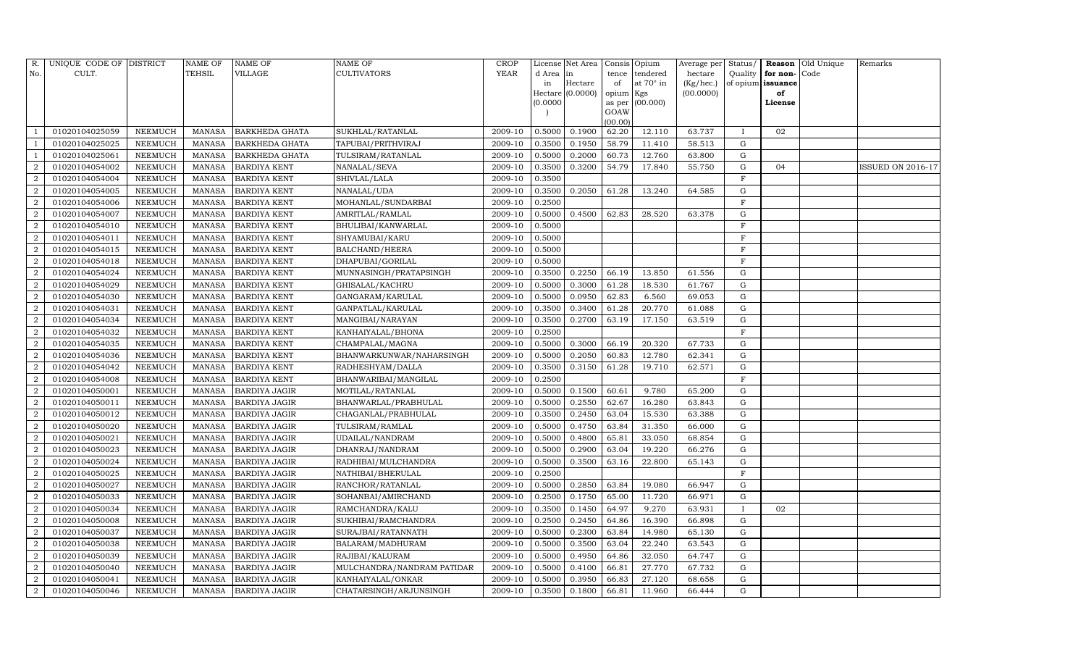| R.             | UNIQUE CODE OF DISTRICT |                | <b>NAME OF</b> | NAME OF               | NAME OF                    | CROP        |           | License Net Area |                | Consis Opium | Average per | Status/      | Reason            | Old Unique | Remarks                  |
|----------------|-------------------------|----------------|----------------|-----------------------|----------------------------|-------------|-----------|------------------|----------------|--------------|-------------|--------------|-------------------|------------|--------------------------|
| No.            | CULT.                   |                | TEHSIL         | VILLAGE               | <b>CULTIVATORS</b>         | <b>YEAR</b> | d Area in |                  | tence          | tendered     | hectare     | Quality      | for non-          | Code       |                          |
|                |                         |                |                |                       |                            |             | in        | Hectare          | of             | at 70° in    | (Kg/hec.)   |              | of opium issuance |            |                          |
|                |                         |                |                |                       |                            |             |           | Hectare (0.0000) | opium Kgs      |              | (00.0000)   |              | of                |            |                          |
|                |                         |                |                |                       |                            |             | (0.0000)  |                  | as per<br>GOAW | (00.000)     |             |              | License           |            |                          |
|                |                         |                |                |                       |                            |             |           |                  | (00.00)        |              |             |              |                   |            |                          |
|                | 01020104025059          | NEEMUCH        | MANASA         | <b>BARKHEDA GHATA</b> | SUKHLAL/RATANLAL           | 2009-10     | 0.5000    | 0.1900           | 62.20          | 12.110       | 63.737      | $\mathbf{I}$ | 02                |            |                          |
|                | 01020104025025          | NEEMUCH        | <b>MANASA</b>  | <b>BARKHEDA GHATA</b> | TAPUBAI/PRITHVIRAJ         | 2009-10     | 0.3500    | 0.1950           | 58.79          | 11.410       | 58.513      | G            |                   |            |                          |
|                | 01020104025061          | NEEMUCH        | MANASA         | <b>BARKHEDA GHATA</b> | TULSIRAM/RATANLAL          | 2009-10     | 0.5000    | 0.2000           | 60.73          | 12.760       | 63.800      | G            |                   |            |                          |
| $\mathcal{D}$  | 01020104054002          | NEEMUCH        | <b>MANASA</b>  | <b>BARDIYA KENT</b>   | NANALAL/SEVA               | 2009-10     | 0.3500    | 0.3200           | 54.79          | 17.840       | 55.750      | G            | 04                |            | <b>ISSUED ON 2016-17</b> |
| 2              | 01020104054004          | NEEMUCH        | <b>MANASA</b>  | <b>BARDIYA KENT</b>   | SHIVLAL/LALA               | 2009-10     | 0.3500    |                  |                |              |             | F            |                   |            |                          |
|                | 01020104054005          | NEEMUCH        | <b>MANASA</b>  | <b>BARDIYA KENT</b>   | NANALAL/UDA                | 2009-10     | 0.3500    | 0.2050           | 61.28          | 13.240       | 64.585      | G            |                   |            |                          |
| $\mathcal{D}$  | 01020104054006          | <b>NEEMUCH</b> | <b>MANASA</b>  | <b>BARDIYA KENT</b>   | MOHANLAL/SUNDARBAI         | 2009-10     | 0.2500    |                  |                |              |             | $\mathbf F$  |                   |            |                          |
| 2              | 01020104054007          | NEEMUCH        | <b>MANASA</b>  | <b>BARDIYA KENT</b>   | AMRITLAL/RAMLAL            | 2009-10     | 0.5000    | 0.4500           | 62.83          | 28.520       | 63.378      | G            |                   |            |                          |
| 2              | 01020104054010          | NEEMUCH        | <b>MANASA</b>  | <b>BARDIYA KENT</b>   | BHULIBAI/KANWARLAL         | 2009-10     | 0.5000    |                  |                |              |             | $\mathbf{F}$ |                   |            |                          |
|                | 01020104054011          | NEEMUCH        | <b>MANASA</b>  | <b>BARDIYA KENT</b>   | SHYAMUBAI/KARU             | 2009-10     | 0.5000    |                  |                |              |             | $\mathbf F$  |                   |            |                          |
| 2              | 01020104054015          | NEEMUCH        | <b>MANASA</b>  | <b>BARDIYA KENT</b>   | <b>BALCHAND/HEERA</b>      | 2009-10     | 0.5000    |                  |                |              |             | $\rm F$      |                   |            |                          |
| 2              | 01020104054018          | NEEMUCH        | <b>MANASA</b>  | <b>BARDIYA KENT</b>   | DHAPUBAI/GORILAL           | 2009-10     | 0.5000    |                  |                |              |             | $\mathbf F$  |                   |            |                          |
| $\overline{2}$ | 01020104054024          | NEEMUCH        | <b>MANASA</b>  | <b>BARDIYA KENT</b>   | MUNNASINGH/PRATAPSINGH     | 2009-10     | 0.3500    | 0.2250           | 66.19          | 13.850       | 61.556      | $\mathbf G$  |                   |            |                          |
| $\overline{2}$ | 01020104054029          | NEEMUCH        | <b>MANASA</b>  | <b>BARDIYA KENT</b>   | GHISALAL/KACHRU            | 2009-10     | 0.5000    | 0.3000           | 61.28          | 18.530       | 61.767      | G            |                   |            |                          |
| $\overline{2}$ | 01020104054030          | NEEMUCH        | MANASA         | <b>BARDIYA KENT</b>   | GANGARAM/KARULAL           | 2009-10     | 0.5000    | 0.0950           | 62.83          | 6.560        | 69.053      | G            |                   |            |                          |
| 2              | 01020104054031          | NEEMUCH        | MANASA         | <b>BARDIYA KENT</b>   | GANPATLAL/KARULAL          | 2009-10     | 0.3500    | 0.3400           | 61.28          | 20.770       | 61.088      | G            |                   |            |                          |
| $\overline{2}$ | 01020104054034          | <b>NEEMUCH</b> | <b>MANASA</b>  | <b>BARDIYA KENT</b>   | MANGIBAI/NARAYAN           | 2009-10     | 0.3500    | 0.2700           | 63.19          | 17.150       | 63.519      | $\mathbf G$  |                   |            |                          |
| $\overline{2}$ | 01020104054032          | NEEMUCH        | <b>MANASA</b>  | <b>BARDIYA KENT</b>   | KANHAIYALAL/BHONA          | 2009-10     | 0.2500    |                  |                |              |             | $\mathbf F$  |                   |            |                          |
| $\overline{2}$ | 01020104054035          | NEEMUCH        | <b>MANASA</b>  | <b>BARDIYA KENT</b>   | CHAMPALAL/MAGNA            | 2009-10     | 0.5000    | 0.3000           | 66.19          | 20.320       | 67.733      | G            |                   |            |                          |
| 2              | 01020104054036          | NEEMUCH        | <b>MANASA</b>  | <b>BARDIYA KENT</b>   | BHANWARKUNWAR/NAHARSINGH   | 2009-10     | 0.5000    | 0.2050           | 60.83          | 12.780       | 62.341      | $\mathbf G$  |                   |            |                          |
| $\overline{2}$ | 01020104054042          | <b>NEEMUCH</b> | <b>MANASA</b>  | <b>BARDIYA KENT</b>   | RADHESHYAM/DALLA           | 2009-10     | 0.3500    | 0.3150           | 61.28          | 19.710       | 62.571      | ${\rm G}$    |                   |            |                          |
| $\overline{2}$ | 01020104054008          | NEEMUCH        | <b>MANASA</b>  | <b>BARDIYA KENT</b>   | BHANWARIBAI/MANGILAL       | 2009-10     | 0.2500    |                  |                |              |             | $\mathbf F$  |                   |            |                          |
| $\overline{2}$ | 01020104050001          | NEEMUCH        | <b>MANASA</b>  | <b>BARDIYA JAGIR</b>  | MOTILAL/RATANLAL           | 2009-10     | 0.5000    | 0.1500           | 60.61          | 9.780        | 65.200      | G            |                   |            |                          |
| 2              | 01020104050011          | NEEMUCH        | <b>MANASA</b>  | <b>BARDIYA JAGIR</b>  | BHANWARLAL/PRABHULAL       | 2009-10     | 0.5000    | 0.2550           | 62.67          | 16.280       | 63.843      | G            |                   |            |                          |
|                | 01020104050012          | NEEMUCH        | <b>MANASA</b>  | <b>BARDIYA JAGIR</b>  | CHAGANLAL/PRABHULAL        | 2009-10     | 0.3500    | 0.2450           | 63.04          | 15.530       | 63.388      | G            |                   |            |                          |
| $\overline{2}$ | 01020104050020          | NEEMUCH        | <b>MANASA</b>  | <b>BARDIYA JAGIR</b>  | TULSIRAM/RAMLAL            | 2009-10     | 0.5000    | 0.4750           | 63.84          | 31.350       | 66.000      | G            |                   |            |                          |
| $\overline{2}$ | 01020104050021          | NEEMUCH        | <b>MANASA</b>  | <b>BARDIYA JAGIR</b>  | UDAILAL/NANDRAM            | 2009-10     | 0.5000    | 0.4800           | 65.81          | 33.050       | 68.854      | ${\rm G}$    |                   |            |                          |
| 2              | 01020104050023          | NEEMUCH        | <b>MANASA</b>  | <b>BARDIYA JAGIR</b>  | DHANRAJ/NANDRAM            | 2009-10     | 0.5000    | 0.2900           | 63.04          | 19.220       | 66.276      | $\mathbf G$  |                   |            |                          |
| $\overline{2}$ | 01020104050024          | NEEMUCH        | <b>MANASA</b>  | BARDIYA JAGIR         | RADHIBAI/MULCHANDRA        | 2009-10     | 0.5000    | 0.3500           | 63.16          | 22.800       | 65.143      | ${\rm G}$    |                   |            |                          |
| $\overline{2}$ | 01020104050025          | NEEMUCH        | <b>MANASA</b>  | BARDIYA JAGIR         | NATHIBAI/BHERULAL          | 2009-10     | 0.2500    |                  |                |              |             | $\mathbf F$  |                   |            |                          |
| $\overline{2}$ | 01020104050027          | NEEMUCH        | <b>MANASA</b>  | <b>BARDIYA JAGIR</b>  | RANCHOR/RATANLAL           | 2009-10     | 0.5000    | 0.2850           | 63.84          | 19.080       | 66.947      | $\mathbf G$  |                   |            |                          |
| 2              | 01020104050033          | NEEMUCH        | <b>MANASA</b>  | <b>BARDIYA JAGIR</b>  | SOHANBAI/AMIRCHAND         | 2009-10     | 0.2500    | 0.1750           | 65.00          | 11.720       | 66.971      | $\mathbf G$  |                   |            |                          |
|                | 01020104050034          | NEEMUCH        | MANASA         | <b>BARDIYA JAGIR</b>  | RAMCHANDRA/KALU            | 2009-10     | 0.3500    | 0.1450           | 64.97          | 9.270        | 63.931      | $\mathbf{I}$ | 02                |            |                          |
| $\overline{2}$ | 01020104050008          | NEEMUCH        | <b>MANASA</b>  | <b>BARDIYA JAGIR</b>  | SUKHIBAI/RAMCHANDRA        | 2009-10     | 0.2500    | 0.2450           | 64.86          | 16.390       | 66.898      | G            |                   |            |                          |
| 2              | 01020104050037          | NEEMUCH        | MANASA         | <b>BARDIYA JAGIR</b>  | SURAJBAI/RATANNATH         | 2009-10     | 0.5000    | 0.2300           | 63.84          | 14.980       | 65.130      | ${\rm G}$    |                   |            |                          |
| $\overline{2}$ | 01020104050038          | <b>NEEMUCH</b> | <b>MANASA</b>  | <b>BARDIYA JAGIR</b>  | BALARAM/MADHURAM           | 2009-10     | 0.5000    | 0.3500           | 63.04          | 22.240       | 63.543      | G            |                   |            |                          |
| $\overline{2}$ | 01020104050039          | NEEMUCH        | MANASA         | <b>BARDIYA JAGIR</b>  | RAJIBAI/KALURAM            | 2009-10     | 0.5000    | 0.4950           | 64.86          | 32.050       | 64.747      | G            |                   |            |                          |
| 2              | 01020104050040          | NEEMUCH        | <b>MANASA</b>  | <b>BARDIYA JAGIR</b>  | MULCHANDRA/NANDRAM PATIDAR | 2009-10     | 0.5000    | 0.4100           | 66.81          | 27.770       | 67.732      | G            |                   |            |                          |
| 2              | 01020104050041          | NEEMUCH        | <b>MANASA</b>  | <b>BARDIYA JAGIR</b>  | KANHAIYALAL/ONKAR          | 2009-10     | 0.5000    | 0.3950           | 66.83          | 27.120       | 68.658      | G            |                   |            |                          |
| $\,2\,$        | 01020104050046          | <b>NEEMUCH</b> | MANASA         | <b>BARDIYA JAGIR</b>  | CHATARSINGH/ARJUNSINGH     | 2009-10     | 0.3500    | 0.1800           | 66.81          | 11.960       | 66.444      | G            |                   |            |                          |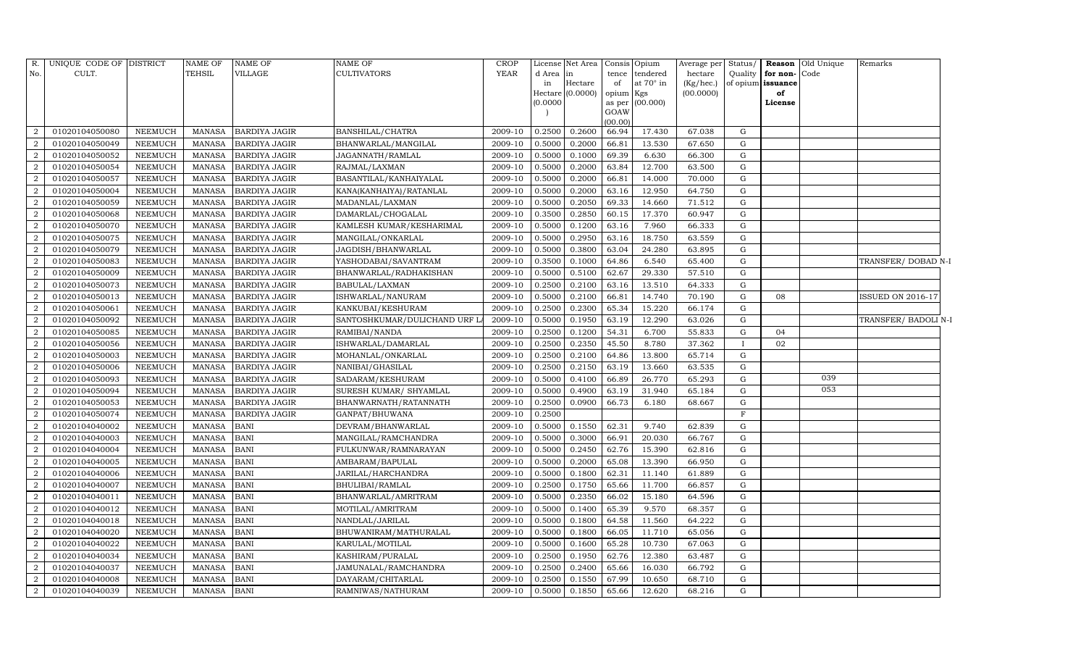| R.             | UNIQUE CODE OF DISTRICT |                | <b>NAME OF</b> | <b>NAME OF</b>       | <b>NAME OF</b>               | <b>CROP</b> |          | License Net Area | Consis Opium |                   | Average per | Status/      | Reason Old Unique | Remarks                  |  |
|----------------|-------------------------|----------------|----------------|----------------------|------------------------------|-------------|----------|------------------|--------------|-------------------|-------------|--------------|-------------------|--------------------------|--|
| No.            | CULT.                   |                | TEHSIL         | VILLAGE              | <b>CULTIVATORS</b>           | <b>YEAR</b> | d Area   | in               |              | tence tendered    | hectare     | Quality      | for non-<br>Code  |                          |  |
|                |                         |                |                |                      |                              |             | in       | Hectare          | of           | at 70° in         | (Kg/hec.)   |              | of opium issuance |                          |  |
|                |                         |                |                |                      |                              |             | Hectare  | (0.0000)         | opium Kgs    |                   | (00.0000)   |              | of                |                          |  |
|                |                         |                |                |                      |                              |             | (0.0000) |                  | GOAW         | as per $(00.000)$ |             |              | License           |                          |  |
|                |                         |                |                |                      |                              |             |          |                  | (00.00)      |                   |             |              |                   |                          |  |
| 2              | 01020104050080          | <b>NEEMUCH</b> | MANASA         | <b>BARDIYA JAGIR</b> | BANSHILAL/CHATRA             | 2009-10     | 0.2500   | 0.2600           | 66.94        | 17.430            | 67.038      | G            |                   |                          |  |
| $\overline{2}$ | 01020104050049          | <b>NEEMUCH</b> | <b>MANASA</b>  | <b>BARDIYA JAGIR</b> | BHANWARLAL/MANGILAL          | 2009-10     | 0.5000   | 0.2000           | 66.81        | 13.530            | 67.650      | G            |                   |                          |  |
| 2              | 01020104050052          | <b>NEEMUCH</b> | <b>MANASA</b>  | <b>BARDIYA JAGIR</b> | JAGANNATH/RAMLAL             | 2009-10     | 0.5000   | 0.1000           | 69.39        | 6.630             | 66.300      | G            |                   |                          |  |
| $\overline{2}$ | 01020104050054          | <b>NEEMUCH</b> | <b>MANASA</b>  | <b>BARDIYA JAGIR</b> | RAJMAL/LAXMAN                | 2009-10     | 0.5000   | 0.2000           | 63.84        | 12.700            | 63.500      | G            |                   |                          |  |
| $\overline{2}$ | 01020104050057          | <b>NEEMUCH</b> | <b>MANASA</b>  | <b>BARDIYA JAGIR</b> | BASANTILAL/KANHAIYALAL       | 2009-10     | 0.5000   | 0.2000           | 66.81        | 14.000            | 70.000      | ${\rm G}$    |                   |                          |  |
| $\overline{2}$ | 01020104050004          | <b>NEEMUCH</b> | <b>MANASA</b>  | <b>BARDIYA JAGIR</b> | KANA(KANHAIYA)/RATANLAL      | 2009-10     | 0.5000   | 0.2000           | 63.16        | 12.950            | 64.750      | G            |                   |                          |  |
| $\overline{2}$ | 01020104050059          | <b>NEEMUCH</b> | <b>MANASA</b>  | <b>BARDIYA JAGIR</b> | MADANLAL/LAXMAN              | 2009-10     | 0.5000   | 0.2050           | 69.33        | 14.660            | 71.512      | G            |                   |                          |  |
| $\overline{a}$ | 01020104050068          | <b>NEEMUCH</b> | <b>MANASA</b>  | <b>BARDIYA JAGIR</b> | DAMARLAL/CHOGALAL            | 2009-10     | 0.3500   | 0.2850           | 60.15        | 17.370            | 60.947      | ${\rm G}$    |                   |                          |  |
| $\overline{a}$ | 01020104050070          | <b>NEEMUCH</b> | <b>MANASA</b>  | <b>BARDIYA JAGIR</b> | KAMLESH KUMAR/KESHARIMAL     | 2009-10     | 0.5000   | 0.1200           | 63.16        | 7.960             | 66.333      | G            |                   |                          |  |
| $\overline{2}$ | 01020104050075          | <b>NEEMUCH</b> | <b>MANASA</b>  | <b>BARDIYA JAGIR</b> | MANGILAL/ONKARLAL            | 2009-10     | 0.5000   | 0.2950           | 63.16        | 18.750            | 63.559      | G            |                   |                          |  |
| $\overline{2}$ | 01020104050079          | <b>NEEMUCH</b> | <b>MANASA</b>  | <b>BARDIYA JAGIR</b> | JAGDISH/BHANWARLAL           | 2009-10     | 0.5000   | 0.3800           | 63.04        | 24.280            | 63.895      | G            |                   |                          |  |
| $\overline{a}$ | 01020104050083          | <b>NEEMUCH</b> | <b>MANASA</b>  | <b>BARDIYA JAGIR</b> | YASHODABAI/SAVANTRAM         | 2009-10     | 0.3500   | 0.1000           | 64.86        | 6.540             | 65.400      | G            |                   | TRANSFER/DOBAD N-I       |  |
| $\overline{a}$ | 01020104050009          | <b>NEEMUCH</b> | <b>MANASA</b>  | <b>BARDIYA JAGIR</b> | BHANWARLAL/RADHAKISHAN       | 2009-10     | 0.5000   | 0.5100           | 62.67        | 29.330            | 57.510      | G            |                   |                          |  |
| $\overline{2}$ | 01020104050073          | <b>NEEMUCH</b> | <b>MANASA</b>  | BARDIYA JAGIR        | BABULAL/LAXMAN               | 2009-10     | 0.2500   | 0.2100           | 63.16        | 13.510            | 64.333      | G            |                   |                          |  |
| $\overline{2}$ | 01020104050013          | <b>NEEMUCH</b> | <b>MANASA</b>  | <b>BARDIYA JAGIR</b> | ISHWARLAL/NANURAM            | 2009-10     | 0.5000   | 0.2100           | 66.81        | 14.740            | 70.190      | G            | 08                | <b>ISSUED ON 2016-17</b> |  |
| $\overline{2}$ | 01020104050061          | <b>NEEMUCH</b> | <b>MANASA</b>  | <b>BARDIYA JAGIR</b> | KANKUBAI/KESHURAM            | 2009-10     | 0.2500   | 0.2300           | 65.34        | 15.220            | 66.174      | ${\rm G}$    |                   |                          |  |
| $\overline{a}$ | 01020104050092          | <b>NEEMUCH</b> | <b>MANASA</b>  | <b>BARDIYA JAGIR</b> | SANTOSHKUMAR/DULICHAND URF L | 2009-10     | 0.5000   | 0.1950           | 63.19        | 12.290            | 63.026      | G            |                   | TRANSFER/ BADOLI N-I     |  |
| $\overline{2}$ | 01020104050085          | <b>NEEMUCH</b> | <b>MANASA</b>  | <b>BARDIYA JAGIR</b> | RAMIBAI/NANDA                | 2009-10     | 0.2500   | 0.1200           | 54.31        | 6.700             | 55.833      | ${\rm G}$    | 04                |                          |  |
| $\overline{a}$ | 01020104050056          | <b>NEEMUCH</b> | <b>MANASA</b>  | <b>BARDIYA JAGIR</b> | ISHWARLAL/DAMARLAL           | 2009-10     | 0.2500   | 0.2350           | 45.50        | 8.780             | 37.362      | $\mathbf{I}$ | 02                |                          |  |
| $\overline{a}$ | 01020104050003          | <b>NEEMUCH</b> | <b>MANASA</b>  | <b>BARDIYA JAGIR</b> | MOHANLAL/ONKARLAL            | 2009-10     | 0.2500   | 0.2100           | 64.86        | 13.800            | 65.714      | G            |                   |                          |  |
| $\overline{2}$ | 01020104050006          | <b>NEEMUCH</b> | <b>MANASA</b>  | <b>BARDIYA JAGIR</b> | NANIBAI/GHASILAL             | 2009-10     | 0.2500   | 0.2150           | 63.19        | 13.660            | 63.535      | G            |                   |                          |  |
| $\overline{2}$ | 01020104050093          | <b>NEEMUCH</b> | <b>MANASA</b>  | <b>BARDIYA JAGIR</b> | SADARAM/KESHURAM             | 2009-10     | 0.5000   | 0.4100           | 66.89        | 26.770            | 65.293      | G            | 039               |                          |  |
| $\overline{a}$ | 01020104050094          | <b>NEEMUCH</b> | <b>MANASA</b>  | <b>BARDIYA JAGIR</b> | SURESH KUMAR/ SHYAMLAL       | 2009-10     | 0.5000   | 0.4900           | 63.19        | 31.940            | 65.184      | G            | 053               |                          |  |
| $\overline{2}$ | 01020104050053          | <b>NEEMUCH</b> | <b>MANASA</b>  | <b>BARDIYA JAGIR</b> | BHANWARNATH/RATANNATH        | 2009-10     | 0.2500   | 0.0900           | 66.73        | 6.180             | 68.667      | ${\rm G}$    |                   |                          |  |
| $\overline{2}$ | 01020104050074          | <b>NEEMUCH</b> | <b>MANASA</b>  | <b>BARDIYA JAGIR</b> | GANPAT/BHUWANA               | 2009-10     | 0.2500   |                  |              |                   |             | $\mathbf F$  |                   |                          |  |
| $\overline{2}$ | 01020104040002          | <b>NEEMUCH</b> | <b>MANASA</b>  | <b>BANI</b>          | DEVRAM/BHANWARLAL            | 2009-10     | 0.5000   | 0.1550           | 62.31        | 9.740             | 62.839      | G            |                   |                          |  |
| $\overline{a}$ | 01020104040003          | <b>NEEMUCH</b> | <b>MANASA</b>  | <b>BANI</b>          | MANGILAL/RAMCHANDRA          | 2009-10     | 0.5000   | 0.3000           | 66.91        | 20.030            | 66.767      | ${\rm G}$    |                   |                          |  |
| 2              | 01020104040004          | <b>NEEMUCH</b> | <b>MANASA</b>  | <b>BANI</b>          | FULKUNWAR/RAMNARAYAN         | 2009-10     | 0.5000   | 0.2450           | 62.76        | 15.390            | 62.816      | G            |                   |                          |  |
| $\overline{a}$ | 01020104040005          | <b>NEEMUCH</b> | <b>MANASA</b>  | <b>BANI</b>          | AMBARAM/BAPULAL              | 2009-10     | 0.5000   | 0.2000           | 65.08        | 13.390            | 66.950      | G            |                   |                          |  |
| $\overline{a}$ | 01020104040006          | <b>NEEMUCH</b> | <b>MANASA</b>  | <b>BANI</b>          | JARILAL/HARCHANDRA           | 2009-10     | 0.5000   | 0.1800           | 62.31        | 11.140            | 61.889      | ${\rm G}$    |                   |                          |  |
| $\overline{a}$ | 01020104040007          | <b>NEEMUCH</b> | <b>MANASA</b>  | <b>BANI</b>          | BHULIBAI/RAMLAL              | 2009-10     | 0.2500   | 0.1750           | 65.66        | 11.700            | 66.857      | ${\rm G}$    |                   |                          |  |
| $\overline{a}$ | 01020104040011          | <b>NEEMUCH</b> | <b>MANASA</b>  | <b>BANI</b>          | BHANWARLAL/AMRITRAM          | 2009-10     | 0.5000   | 0.2350           | 66.02        | 15.180            | 64.596      | ${\rm G}$    |                   |                          |  |
| $\overline{2}$ | 01020104040012          | <b>NEEMUCH</b> | <b>MANASA</b>  | <b>BANI</b>          | MOTILAL/AMRITRAM             | 2009-10     | 0.5000   | 0.1400           | 65.39        | 9.570             | 68.357      | G            |                   |                          |  |
| $\overline{2}$ | 01020104040018          | <b>NEEMUCH</b> | <b>MANASA</b>  | <b>BANI</b>          | NANDLAL/JARILAL              | 2009-10     | 0.5000   | 0.1800           | 64.58        | 11.560            | 64.222      | G            |                   |                          |  |
| $\overline{2}$ | 01020104040020          | <b>NEEMUCH</b> | <b>MANASA</b>  | <b>BANI</b>          | BHUWANIRAM/MATHURALAL        | 2009-10     | 0.5000   | 0.1800           | 66.05        | 11.710            | 65.056      | ${\rm G}$    |                   |                          |  |
| $\,2$          | 01020104040022          | NEEMUCH        | <b>MANASA</b>  | <b>BANI</b>          | KARULAL/MOTILAL              | 2009-10     | 0.5000   | 0.1600           | 65.28        | 10.730            | 67.063      | G            |                   |                          |  |
| 2              | 01020104040034          | <b>NEEMUCH</b> | <b>MANASA</b>  | <b>BANI</b>          | KASHIRAM/PURALAL             | 2009-10     | 0.2500   | 0.1950           | 62.76        | 12.380            | 63.487      | G            |                   |                          |  |
| $\overline{a}$ | 01020104040037          | <b>NEEMUCH</b> | <b>MANASA</b>  | <b>BANI</b>          | JAMUNALAL/RAMCHANDRA         | 2009-10     | 0.2500   | 0.2400           | 65.66        | 16.030            | 66.792      | G            |                   |                          |  |
| 2              | 01020104040008          | <b>NEEMUCH</b> | <b>MANASA</b>  | <b>BANI</b>          | DAYARAM/CHITARLAL            | 2009-10     | 0.2500   | 0.1550           | 67.99        | 10.650            | 68.710      | G            |                   |                          |  |
| $\overline{a}$ | 01020104040039          | <b>NEEMUCH</b> | <b>MANASA</b>  | <b>BANI</b>          | RAMNIWAS/NATHURAM            | 2009-10     | 0.5000   | 0.1850           | 65.66        | 12.620            | 68.216      | G            |                   |                          |  |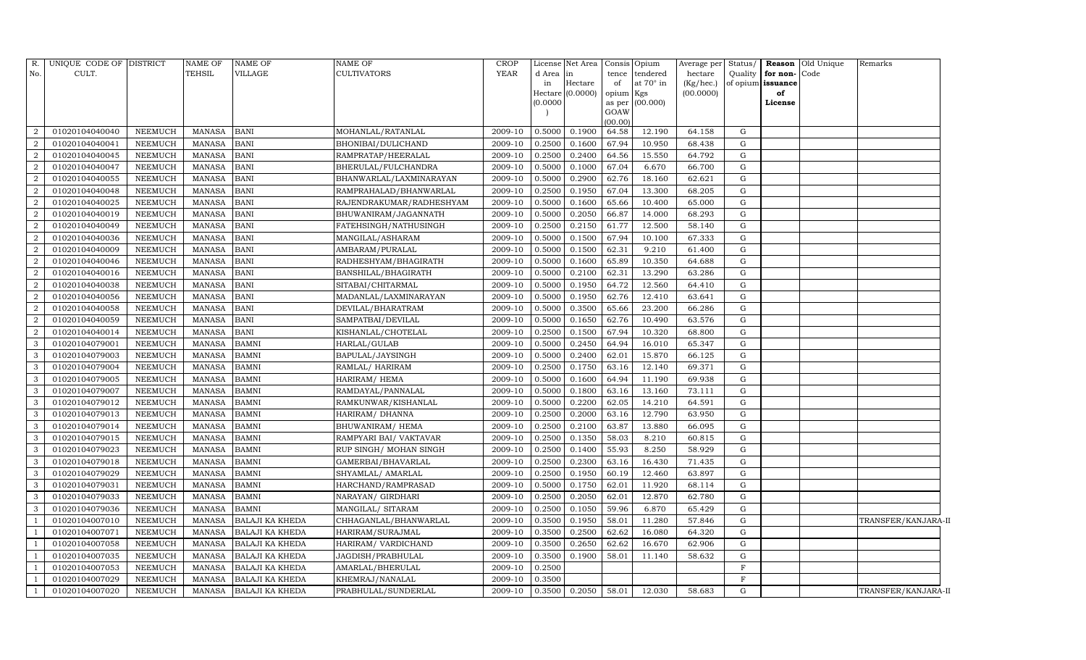| R.             | UNIQUE CODE OF DISTRICT |                | <b>NAME OF</b> | <b>NAME OF</b>         | <b>NAME OF</b>           | CROP        |          | License Net Area Consis |                | Opium     | Average per Status/ |             |                   | <b>Reason</b> Old Unique | Remarks             |
|----------------|-------------------------|----------------|----------------|------------------------|--------------------------|-------------|----------|-------------------------|----------------|-----------|---------------------|-------------|-------------------|--------------------------|---------------------|
| No.            | CULT.                   |                | <b>TEHSIL</b>  | VILLAGE                | <b>CULTIVATORS</b>       | <b>YEAR</b> | d Area   | in                      | tence          | tendered  | hectare             | Quality     | for non-Code      |                          |                     |
|                |                         |                |                |                        |                          |             | in       | Hectare                 | of             | at 70° in | (Kg/hec.)           |             | of opium issuance |                          |                     |
|                |                         |                |                |                        |                          |             | (0.0000) | Hectare (0.0000)        | opium Kgs      | (00.000)  | (00.0000)           |             | of<br>License     |                          |                     |
|                |                         |                |                |                        |                          |             |          |                         | as per<br>GOAW |           |                     |             |                   |                          |                     |
|                |                         |                |                |                        |                          |             |          |                         | (00.00)        |           |                     |             |                   |                          |                     |
| 2              | 01020104040040          | <b>NEEMUCH</b> | <b>MANASA</b>  | <b>BANI</b>            | MOHANLAL/RATANLAL        | 2009-10     | 0.5000   | 0.1900                  | 64.58          | 12.190    | 64.158              | ${\rm G}$   |                   |                          |                     |
| $\sqrt{2}$     | 01020104040041          | <b>NEEMUCH</b> | <b>MANASA</b>  | <b>BANI</b>            | BHONIBAI/DULICHAND       | 2009-10     | 0.2500   | 0.1600                  | 67.94          | 10.950    | 68.438              | G           |                   |                          |                     |
| 2              | 01020104040045          | NEEMUCH        | <b>MANASA</b>  | <b>BANI</b>            | RAMPRATAP/HEERALAL       | 2009-10     | 0.2500   | 0.2400                  | 64.56          | 15.550    | 64.792              | G           |                   |                          |                     |
| $\overline{a}$ | 01020104040047          | NEEMUCH        | <b>MANASA</b>  | <b>BANI</b>            | BHERULAL/FULCHANDRA      | 2009-10     | 0.5000   | 0.1000                  | 67.04          | 6.670     | 66.700              | ${\rm G}$   |                   |                          |                     |
| $\overline{2}$ | 01020104040055          | <b>NEEMUCH</b> | <b>MANASA</b>  | <b>BANI</b>            | BHANWARLAL/LAXMINARAYAN  | 2009-10     | 0.5000   | 0.2900                  | 62.76          | 18.160    | 62.621              | G           |                   |                          |                     |
| 2              | 01020104040048          | <b>NEEMUCH</b> | <b>MANASA</b>  | <b>BANI</b>            | RAMPRAHALAD/BHANWARLAL   | 2009-10     | 0.2500   | 0.1950                  | 67.04          | 13.300    | 68.205              | ${\rm G}$   |                   |                          |                     |
| $\overline{2}$ | 01020104040025          | <b>NEEMUCH</b> | <b>MANASA</b>  | <b>BANI</b>            | RAJENDRAKUMAR/RADHESHYAM | 2009-10     | 0.5000   | 0.1600                  | 65.66          | 10.400    | 65.000              | G           |                   |                          |                     |
| $\overline{2}$ | 01020104040019          | <b>NEEMUCH</b> | <b>MANASA</b>  | <b>BANI</b>            | BHUWANIRAM/JAGANNATH     | 2009-10     | 0.5000   | 0.2050                  | 66.87          | 14.000    | 68.293              | ${\rm G}$   |                   |                          |                     |
| $\overline{2}$ | 01020104040049          | <b>NEEMUCH</b> | <b>MANASA</b>  | <b>BANI</b>            | FATEHSINGH/NATHUSINGH    | 2009-10     | 0.2500   | 0.2150                  | 61.77          | 12.500    | 58.140              | G           |                   |                          |                     |
| $\overline{a}$ | 01020104040036          | <b>NEEMUCH</b> | <b>MANASA</b>  | <b>BANI</b>            | MANGILAL/ASHARAM         | 2009-10     | 0.5000   | 0.1500                  | 67.94          | 10.100    | 67.333              | G           |                   |                          |                     |
| $\overline{2}$ | 01020104040009          | <b>NEEMUCH</b> | <b>MANASA</b>  | <b>BANI</b>            | AMBARAM/PURALAL          | 2009-10     | 0.5000   | 0.1500                  | 62.31          | 9.210     | 61.400              | G           |                   |                          |                     |
| $\overline{2}$ | 01020104040046          | NEEMUCH        | <b>MANASA</b>  | <b>BANI</b>            | RADHESHYAM/BHAGIRATH     | 2009-10     | 0.5000   | 0.1600                  | 65.89          | 10.350    | 64.688              | $\mathbf G$ |                   |                          |                     |
| $\overline{2}$ | 01020104040016          | <b>NEEMUCH</b> | <b>MANASA</b>  | <b>BANI</b>            | BANSHILAL/BHAGIRATH      | 2009-10     | 0.5000   | 0.2100                  | 62.31          | 13.290    | 63.286              | G           |                   |                          |                     |
| $\overline{2}$ | 01020104040038          | <b>NEEMUCH</b> | <b>MANASA</b>  | <b>BANI</b>            | SITABAI/CHITARMAL        | 2009-10     | 0.5000   | 0.1950                  | 64.72          | 12.560    | 64.410              | G           |                   |                          |                     |
| $\overline{a}$ | 01020104040056          | <b>NEEMUCH</b> | <b>MANASA</b>  | <b>BANI</b>            | MADANLAL/LAXMINARAYAN    | 2009-10     | 0.5000   | 0.1950                  | 62.76          | 12.410    | 63.641              | G           |                   |                          |                     |
| $\overline{2}$ | 01020104040058          | <b>NEEMUCH</b> | <b>MANASA</b>  | <b>BANI</b>            | DEVILAL/BHARATRAM        | 2009-10     | 0.5000   | 0.3500                  | 65.66          | 23.200    | 66.286              | $\mathbf G$ |                   |                          |                     |
| $\overline{2}$ | 01020104040059          | <b>NEEMUCH</b> | <b>MANASA</b>  | <b>BANI</b>            | SAMPATBAI/DEVILAL        | 2009-10     | 0.5000   | 0.1650                  | 62.76          | 10.490    | 63.576              | ${\rm G}$   |                   |                          |                     |
| $\overline{a}$ | 01020104040014          | <b>NEEMUCH</b> | <b>MANASA</b>  | <b>BANI</b>            | KISHANLAL/CHOTELAL       | 2009-10     | 0.2500   | 0.1500                  | 67.94          | 10.320    | 68.800              | G           |                   |                          |                     |
| $\mathbf{3}$   | 01020104079001          | <b>NEEMUCH</b> | <b>MANASA</b>  | <b>BAMNI</b>           | HARLAL/GULAB             | 2009-10     | 0.5000   | 0.2450                  | 64.94          | 16.010    | 65.347              | ${\rm G}$   |                   |                          |                     |
| $\mathbf{3}$   | 01020104079003          | <b>NEEMUCH</b> | <b>MANASA</b>  | <b>BAMNI</b>           | BAPULAL/JAYSINGH         | 2009-10     | 0.5000   | 0.2400                  | 62.01          | 15.870    | 66.125              | $\mathbf G$ |                   |                          |                     |
| 3              | 01020104079004          | <b>NEEMUCH</b> | <b>MANASA</b>  | BAMNI                  | RAMLAL/ HARIRAM          | 2009-10     | 0.2500   | 0.1750                  | 63.16          | 12.140    | 69.371              | ${\rm G}$   |                   |                          |                     |
| 3              | 01020104079005          | <b>NEEMUCH</b> | <b>MANASA</b>  | <b>BAMNI</b>           | HARIRAM/ HEMA            | 2009-10     | 0.5000   | 0.1600                  | 64.94          | 11.190    | 69.938              | G           |                   |                          |                     |
| $\mathbf{3}$   | 01020104079007          | <b>NEEMUCH</b> | <b>MANASA</b>  | <b>BAMNI</b>           | RAMDAYAL/PANNALAL        | 2009-10     | 0.5000   | 0.1800                  | 63.16          | 13.160    | 73.111              | ${\rm G}$   |                   |                          |                     |
| 3              | 01020104079012          | <b>NEEMUCH</b> | <b>MANASA</b>  | <b>BAMNI</b>           | RAMKUNWAR/KISHANLAL      | 2009-10     | 0.5000   | 0.2200                  | 62.05          | 14.210    | 64.591              | $\mathbf G$ |                   |                          |                     |
| 3              | 01020104079013          | <b>NEEMUCH</b> | <b>MANASA</b>  | <b>BAMNI</b>           | HARIRAM/ DHANNA          | 2009-10     | 0.2500   | 0.2000                  | 63.16          | 12.790    | 63.950              | G           |                   |                          |                     |
| 3              | 01020104079014          | <b>NEEMUCH</b> | <b>MANASA</b>  | <b>BAMNI</b>           | BHUWANIRAM/HEMA          | 2009-10     | 0.2500   | 0.2100                  | 63.87          | 13.880    | 66.095              | G           |                   |                          |                     |
| 3              | 01020104079015          | NEEMUCH        | <b>MANASA</b>  | <b>BAMNI</b>           | RAMPYARI BAI/ VAKTAVAR   | 2009-10     | 0.2500   | 0.1350                  | 58.03          | 8.210     | 60.815              | ${\rm G}$   |                   |                          |                     |
| 3              | 01020104079023          | <b>NEEMUCH</b> | <b>MANASA</b>  | <b>BAMNI</b>           | RUP SINGH/ MOHAN SINGH   | 2009-10     | 0.2500   | 0.1400                  | 55.93          | 8.250     | 58.929              | G           |                   |                          |                     |
| 3              | 01020104079018          | <b>NEEMUCH</b> | <b>MANASA</b>  | <b>BAMNI</b>           | GAMERBAI/BHAVARLAL       | 2009-10     | 0.2500   | 0.2300                  | 63.16          | 16.430    | 71.435              | G           |                   |                          |                     |
| 3              | 01020104079029          | <b>NEEMUCH</b> | <b>MANASA</b>  | <b>BAMNI</b>           | SHYAMLAL/ AMARLAL        | 2009-10     | 0.2500   | 0.1950                  | 60.19          | 12.460    | 63.897              | ${\rm G}$   |                   |                          |                     |
| $\mathbf{3}$   | 01020104079031          | <b>NEEMUCH</b> | <b>MANASA</b>  | <b>BAMNI</b>           | HARCHAND/RAMPRASAD       | 2009-10     | 0.5000   | 0.1750                  | 62.01          | 11.920    | 68.114              | $\mathbf G$ |                   |                          |                     |
| 3              | 01020104079033          | <b>NEEMUCH</b> | <b>MANASA</b>  | <b>BAMNI</b>           | NARAYAN/ GIRDHARI        | 2009-10     | 0.2500   | 0.2050                  | 62.01          | 12.870    | 62.780              | ${\rm G}$   |                   |                          |                     |
| 3              | 01020104079036          | <b>NEEMUCH</b> | <b>MANASA</b>  | <b>BAMNI</b>           | MANGILAL/ SITARAM        | 2009-10     | 0.2500   | 0.1050                  | 59.96          | 6.870     | 65.429              | G           |                   |                          |                     |
|                | 01020104007010          | <b>NEEMUCH</b> | <b>MANASA</b>  | BALAJI KA KHEDA        | CHHAGANLAL/BHANWARLAL    | 2009-10     | 0.3500   | 0.1950                  | 58.01          | 11.280    | 57.846              | ${\rm G}$   |                   |                          | TRANSFER/KANJARA-II |
|                | 01020104007071          | <b>NEEMUCH</b> | <b>MANASA</b>  | <b>BALAJI KA KHEDA</b> | HARIRAM/SURAJMAL         | 2009-10     | 0.3500   | 0.2500                  | 62.62          | 16.080    | 64.320              | $\mathbf G$ |                   |                          |                     |
|                | 01020104007058          | <b>NEEMUCH</b> | <b>MANASA</b>  | BALAJI KA KHEDA        | HARIRAM/ VARDICHAND      | 2009-10     | 0.3500   | 0.2650                  | 62.62          | 16.670    | 62.906              | $\mathbf G$ |                   |                          |                     |
|                | 01020104007035          | <b>NEEMUCH</b> | <b>MANASA</b>  | BALAJI KA KHEDA        | JAGDISH/PRABHULAL        | 2009-10     | 0.3500   | 0.1900                  | 58.01          | 11.140    | 58.632              | ${\rm G}$   |                   |                          |                     |
|                | 01020104007053          | <b>NEEMUCH</b> | <b>MANASA</b>  | BALAJI KA KHEDA        | AMARLAL/BHERULAL         | 2009-10     | 0.2500   |                         |                |           |                     | $\mathbf F$ |                   |                          |                     |
|                | 01020104007029          | <b>NEEMUCH</b> | <b>MANASA</b>  | <b>BALAJI KA KHEDA</b> | KHEMRAJ/NANALAL          | 2009-10     | 0.3500   |                         |                |           |                     | $\mathbf F$ |                   |                          |                     |
| -1             | 01020104007020          | NEEMUCH        | MANASA         | <b>BALAJI KA KHEDA</b> | PRABHULAL/SUNDERLAL      | 2009-10     |          | 0.3500 0.2050           | 58.01          | 12.030    | 58.683              | G           |                   |                          | TRANSFER/KANJARA-II |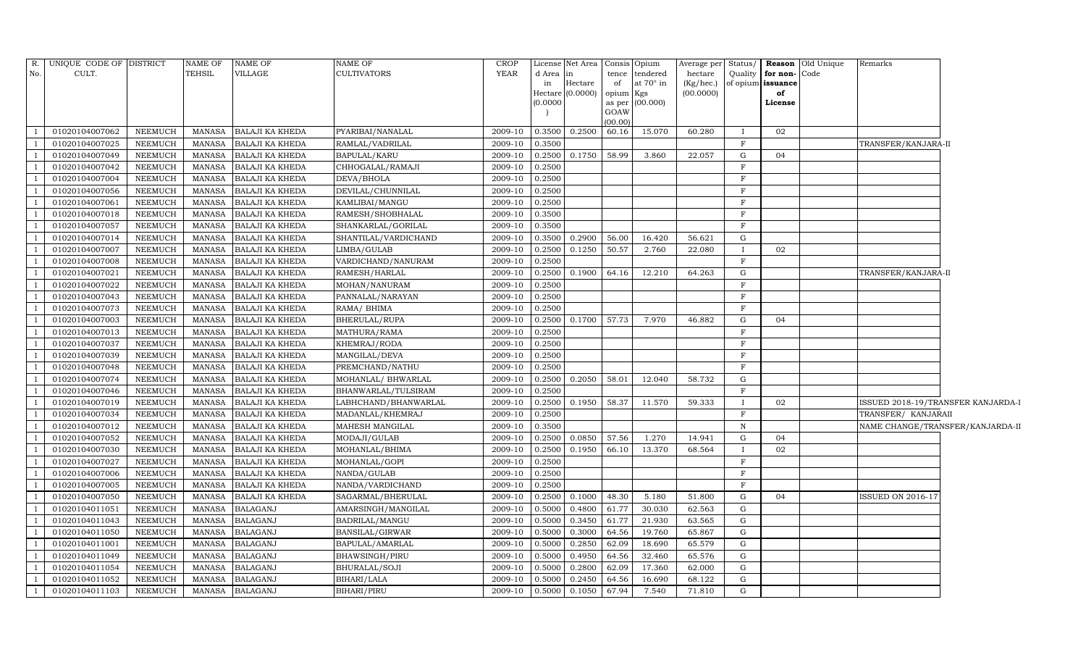| TEHSIL<br>VILLAGE<br>CULT.<br>CULTIVATORS<br>YEAR<br>No.<br>d Area<br>in<br>tence<br>tendered<br>hectare<br>Hectare<br>of<br>at $70^\circ$ in<br>in<br>$(Kg/$ hec. $)$<br>(0.0000)<br>(00.0000)<br>opium Kgs<br>Hectare<br>(0.0000)<br>as per (00.000) | Quality      | for non-Code<br>of opium issuance<br>of<br>License |                                    |
|--------------------------------------------------------------------------------------------------------------------------------------------------------------------------------------------------------------------------------------------------------|--------------|----------------------------------------------------|------------------------------------|
|                                                                                                                                                                                                                                                        |              |                                                    |                                    |
|                                                                                                                                                                                                                                                        |              |                                                    |                                    |
|                                                                                                                                                                                                                                                        |              |                                                    |                                    |
| GOAW                                                                                                                                                                                                                                                   |              |                                                    |                                    |
| (00.00)                                                                                                                                                                                                                                                |              |                                                    |                                    |
| 0.3500<br>0.2500<br>60.16<br>15.070<br>01020104007062<br><b>NEEMUCH</b><br><b>MANASA</b><br><b>BALAJI KA KHEDA</b><br>PYARIBAI/NANALAL<br>2009-10<br>60.280                                                                                            | $\mathbf{I}$ | 02                                                 |                                    |
| 01020104007025<br>NEEMUCH<br><b>MANASA</b><br>BALAJI KA KHEDA<br>2009-10<br>0.3500<br>RAMLAL/VADRILAL                                                                                                                                                  | $_{\rm F}$   |                                                    | TRANSFER/KANJARA-II                |
| 01020104007049<br>NEEMUCH<br><b>BALAJI KA KHEDA</b><br>2009-10<br>0.2500 0.1750 58.99<br>3.860<br><b>MANASA</b><br>BAPULAL/KARU<br>22.057                                                                                                              | G            | 04                                                 |                                    |
| 01020104007042<br><b>NEEMUCH</b><br>BALAJI KA KHEDA<br>CHHOGALAL/RAMAJI<br>2009-10<br>0.2500<br><b>MANASA</b>                                                                                                                                          | $\rm F$      |                                                    |                                    |
| <b>NEEMUCH</b><br><b>BALAJI KA KHEDA</b><br>0.2500<br>01020104007004<br><b>MANASA</b><br>DEVA/BHOLA<br>2009-10                                                                                                                                         | F            |                                                    |                                    |
| 2009-10<br>01020104007056<br><b>NEEMUCH</b><br><b>MANASA</b><br><b>BALAJI KA KHEDA</b><br>DEVILAL/CHUNNILAL<br>0.2500                                                                                                                                  | $_{\rm F}$   |                                                    |                                    |
| 2009-10<br>01020104007061<br>NEEMUCH<br><b>MANASA</b><br><b>BALAJI KA KHEDA</b><br>KAMLIBAI/MANGU<br>0.2500                                                                                                                                            | F            |                                                    |                                    |
| 2009-10<br>0.3500<br>01020104007018<br><b>NEEMUCH</b><br><b>MANASA</b><br><b>BALAJI KA KHEDA</b><br>RAMESH/SHOBHALAL                                                                                                                                   | F            |                                                    |                                    |
| 01020104007057<br>BALAJI KA KHEDA<br>2009-10<br>0.3500<br>NEEMUCH<br><b>MANASA</b><br>SHANKARLAL/GORILAL                                                                                                                                               | F            |                                                    |                                    |
| 0.2900<br>56.00<br>01020104007014<br>NEEMUCH<br><b>MANASA</b><br>BALAJI KA KHEDA<br>SHANTILAL/VARDICHAND<br>2009-10<br>0.3500<br>16.420<br>56.621                                                                                                      | G            |                                                    |                                    |
| 01020104007007<br>NEEMUCH<br><b>BALAJI KA KHEDA</b><br>2009-10<br>0.2500<br>0.1250<br>50.57<br>2.760<br><b>MANASA</b><br>LIMBA/GULAB<br>22.080                                                                                                         | $\mathbf{I}$ | 02                                                 |                                    |
| 01020104007008<br><b>NEEMUCH</b><br><b>BALAJI KA KHEDA</b><br>2009-10<br>0.2500<br><b>MANASA</b><br>VARDICHAND/NANURAM                                                                                                                                 | $_{\rm F}$   |                                                    |                                    |
| 0.2500<br>0.1900<br>01020104007021<br>NEEMUCH<br><b>MANASA</b><br><b>BALAJI KA KHEDA</b><br>RAMESH/HARLAL<br>2009-10<br>64.16<br>12.210<br>64.263                                                                                                      | G            |                                                    | TRANSFER/KANJARA-II                |
| 2009-10<br>01020104007022<br><b>NEEMUCH</b><br><b>BALAJI KA KHEDA</b><br>MOHAN/NANURAM<br>0.2500<br><b>MANASA</b>                                                                                                                                      | $_{\rm F}$   |                                                    |                                    |
| <b>NEEMUCH</b><br>2009-10<br>0.2500<br>01020104007043<br><b>MANASA</b><br><b>BALAJI KA KHEDA</b><br>PANNALAL/NARAYAN                                                                                                                                   | F            |                                                    |                                    |
| 01020104007073<br>NEEMUCH<br><b>MANASA</b><br><b>BALAJI KA KHEDA</b><br>RAMA/ BHIMA<br>2009-10<br>0.2500                                                                                                                                               | F            |                                                    |                                    |
| 0.2500<br>0.1700 57.73<br>7.970<br>01020104007003<br>NEEMUCH<br><b>MANASA</b><br>BALAJI KA KHEDA<br>BHERULAL/RUPA<br>2009-10<br>46.882                                                                                                                 | G            | 04                                                 |                                    |
| 01020104007013<br>NEEMUCH<br><b>MANASA</b><br>BALAJI KA KHEDA<br>2009-10<br>0.2500<br>MATHURA/RAMA                                                                                                                                                     | $\mathbf{F}$ |                                                    |                                    |
| 01020104007037<br>NEEMUCH<br><b>BALAJI KA KHEDA</b><br>2009-10<br>0.2500<br><b>MANASA</b><br>KHEMRAJ/RODA                                                                                                                                              | F            |                                                    |                                    |
| 01020104007039<br>NEEMUCH<br>BALAJI KA KHEDA<br>2009-10<br>0.2500<br><b>MANASA</b><br>MANGILAL/DEVA                                                                                                                                                    | $_{\rm F}$   |                                                    |                                    |
| <b>NEEMUCH</b><br>0.2500<br>01020104007048<br><b>MANASA</b><br><b>BALAJI KA KHEDA</b><br>PREMCHAND/NATHU<br>2009-10                                                                                                                                    | F            |                                                    |                                    |
| 2009-10<br>01020104007074<br><b>NEEMUCH</b><br><b>BALAJI KA KHEDA</b><br>MOHANLAL/ BHWARLAL<br>0.2500<br>0.2050<br>58.01<br>12.040<br>58.732<br><b>MANASA</b>                                                                                          | G            |                                                    |                                    |
| 2009-10<br>01020104007046<br>NEEMUCH<br>BALAJI KA KHEDA<br>0.2500<br><b>MANASA</b><br>BHANWARLAL/TULSIRAM                                                                                                                                              | F            |                                                    |                                    |
| 0.1950<br>01020104007019<br><b>NEEMUCH</b><br><b>MANASA</b><br><b>BALAJI KA KHEDA</b><br>LABHCHAND/BHANWARLAL<br>2009-10<br>0.2500<br>58.37<br>11.570<br>59.333                                                                                        | $\bf{I}$     | 02                                                 | ISSUED 2018-19/TRANSFER KANJARDA-I |
| 0.2500<br>01020104007034<br>NEEMUCH<br><b>MANASA</b><br>BALAJI KA KHEDA<br>MADANLAL/KHEMRAJ<br>2009-10                                                                                                                                                 | F            |                                                    | TRANSFER/ KANJARAII                |
| 01020104007012<br>NEEMUCH<br><b>MANASA</b><br>BALAJI KA KHEDA<br>2009-10<br>0.3500<br>MAHESH MANGILAL                                                                                                                                                  | N            |                                                    | NAME CHANGE/TRANSFER/KANJARDA-II   |
| 01020104007052<br>2009-10<br>0.2500<br>0.0850<br>57.56<br>1.270<br>14.941<br>NEEMUCH<br><b>MANASA</b><br>BALAJI KA KHEDA<br>MODAJI/GULAB                                                                                                               | G            | 04                                                 |                                    |
| 01020104007030<br>NEEMUCH<br>BALAJI KA KHEDA<br>2009-10<br>0.2500<br>0.1950<br>66.10<br>13.370<br><b>MANASA</b><br>MOHANLAL/BHIMA<br>68.564                                                                                                            | $\mathbf{I}$ | 02                                                 |                                    |
| 0.2500<br>01020104007027<br>NEEMUCH<br><b>MANASA</b><br><b>BALAJI KA KHEDA</b><br>MOHANLAL/GOPI<br>2009-10                                                                                                                                             | F            |                                                    |                                    |
| 2009-10<br>01020104007006<br><b>NEEMUCH</b><br><b>BALAJI KA KHEDA</b><br>NANDA/GULAB<br>0.2500<br><b>MANASA</b>                                                                                                                                        | F            |                                                    |                                    |
| 01020104007005<br><b>NEEMUCH</b><br>BALAJI KA KHEDA<br>2009-10<br>0.2500<br><b>MANASA</b><br>NANDA/VARDICHAND                                                                                                                                          | F            |                                                    |                                    |
| 0.1000<br>01020104007050<br>NEEMUCH<br><b>MANASA</b><br><b>BALAJI KA KHEDA</b><br>SAGARMAL/BHERULAL<br>2009-10<br>0.2500<br>48.30<br>5.180<br>51.800                                                                                                   | G            | 04                                                 | ISSUED ON 2016-17                  |
| 01020104011051<br>NEEMUCH<br><b>MANASA</b><br><b>BALAGANJ</b><br>AMARSINGH/MANGILAL<br>2009-10<br>0.5000<br>0.4800<br>61.77<br>30.030<br>62.563                                                                                                        | G            |                                                    |                                    |
| 01020104011043<br>NEEMUCH<br><b>MANASA</b><br><b>BALAGANJ</b><br>2009-10<br>0.5000<br>0.3450<br>61.77<br>21.930<br>63.565<br>BADRILAL/MANGU                                                                                                            | G            |                                                    |                                    |
| 01020104011050<br>NEEMUCH<br><b>BALAGANJ</b><br>2009-10<br>0.3000<br>64.56<br>19.760<br><b>MANASA</b><br>BANSILAL/GIRWAR<br>0.5000<br>65.867                                                                                                           | G            |                                                    |                                    |
| 01020104011001<br>NEEMUCH<br><b>BALAGANJ</b><br>2009-10<br>0.5000<br>0.2850<br>62.09<br>18.690<br>65.579<br><b>MANASA</b><br>BAPULAL/AMARLAL                                                                                                           | G            |                                                    |                                    |
| <b>BALAGANJ</b><br>65.576<br>01020104011049<br>NEEMUCH<br><b>MANASA</b><br>BHAWSINGH/PIRU<br>2009-10<br>0.5000<br>0.4950<br>64.56<br>32.460                                                                                                            | G            |                                                    |                                    |
| 01020104011054<br><b>NEEMUCH</b><br><b>BALAGANJ</b><br>2009-10<br>0.5000<br>0.2800<br>62.09<br>17.360<br>62.000<br><b>MANASA</b><br>BHURALAL/SOJI                                                                                                      | G            |                                                    |                                    |
| 01020104011052<br>NEEMUCH<br><b>BALAGANJ</b><br>2009-10<br>0.2450<br>64.56<br>16.690<br>68.122<br><b>MANASA</b><br>BIHARI/LALA<br>0.5000                                                                                                               | G            |                                                    |                                    |
| 67.94<br>01020104011103<br><b>NEEMUCH</b><br><b>MANASA</b><br><b>BALAGANJ</b><br><b>BIHARI/PIRU</b><br>2009-10<br>0.5000<br>0.1050<br>7.540<br>71.810                                                                                                  | G            |                                                    |                                    |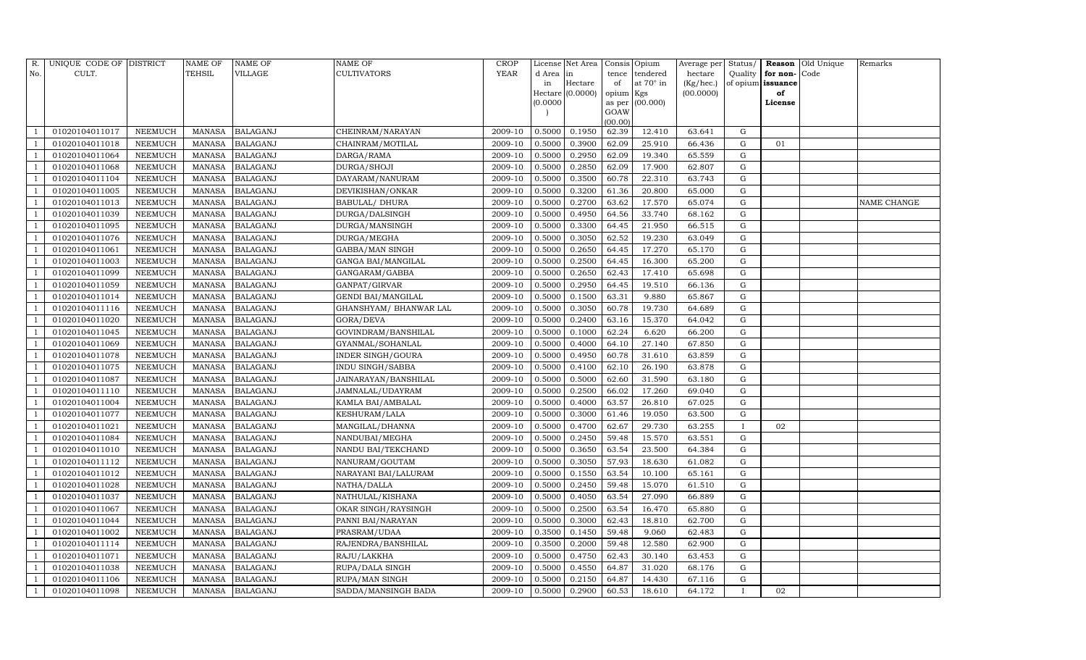| R.           | UNIQUE CODE OF DISTRICT |                | <b>NAME OF</b> | <b>NAME OF</b>  | <b>NAME OF</b>           | <b>CROP</b> |           | License Net Area |                 | Consis Opium | Average per Status/ |              |                   | Reason Old Unique | Remarks     |
|--------------|-------------------------|----------------|----------------|-----------------|--------------------------|-------------|-----------|------------------|-----------------|--------------|---------------------|--------------|-------------------|-------------------|-------------|
| No.          | CULT.                   |                | <b>TEHSIL</b>  | <b>VILLAGE</b>  | <b>CULTIVATORS</b>       | YEAR        | d Area in |                  | tence           | tendered     | hectare             | Quality      | for non-          | Code              |             |
|              |                         |                |                |                 |                          |             | in        | Hectare          | of              | at 70° in    | (Kg/hec.)           |              | of opium issuance |                   |             |
|              |                         |                |                |                 |                          |             |           | Hectare (0.0000) | opium Kgs       |              | (00.0000)           |              | of                |                   |             |
|              |                         |                |                |                 |                          |             | (0.0000)  |                  | as per          | (00.000)     |                     |              | License           |                   |             |
|              |                         |                |                |                 |                          |             |           |                  | GOAW<br>(00.00) |              |                     |              |                   |                   |             |
|              | 01020104011017          | NEEMUCH        | <b>MANASA</b>  | <b>BALAGANJ</b> | CHEINRAM/NARAYAN         | 2009-10     | 0.5000    | 0.1950           | 62.39           | 12.410       | 63.641              | G            |                   |                   |             |
|              | 01020104011018          | NEEMUCH        | <b>MANASA</b>  | <b>BALAGANJ</b> | CHAINRAM/MOTILAL         | 2009-10     | 0.5000    | 0.3900           | 62.09           | 25.910       | 66.436              | G            | 01                |                   |             |
|              | 01020104011064          | <b>NEEMUCH</b> | <b>MANASA</b>  | <b>BALAGANJ</b> | DARGA/RAMA               | 2009-10     | 0.5000    | 0.2950           | 62.09           | 19.340       | 65.559              | G            |                   |                   |             |
|              | 01020104011068          | NEEMUCH        | <b>MANASA</b>  | <b>BALAGANJ</b> | DURGA/SHOJI              | 2009-10     | 0.5000    | 0.2850           | 62.09           | 17.900       | 62.807              | G            |                   |                   |             |
|              | 01020104011104          | <b>NEEMUCH</b> | <b>MANASA</b>  | <b>BALAGANJ</b> | DAYARAM/NANURAM          | 2009-10     | 0.5000    | 0.3500           | 60.78           | 22.310       | 63.743              | G            |                   |                   |             |
|              | 01020104011005          | NEEMUCH        | <b>MANASA</b>  | <b>BALAGANJ</b> | DEVIKISHAN/ONKAR         | 2009-10     | 0.5000    | 0.3200           | 61.36           | 20.800       | 65.000              | G            |                   |                   |             |
|              | 01020104011013          | NEEMUCH        | <b>MANASA</b>  | <b>BALAGANJ</b> | <b>BABULAL/ DHURA</b>    | 2009-10     | 0.5000    | 0.2700           | 63.62           | 17.570       | 65.074              | G            |                   |                   | NAME CHANGE |
|              | 01020104011039          | NEEMUCH        | MANASA         | <b>BALAGANJ</b> | DURGA/DALSINGH           | 2009-10     | 0.5000    | 0.4950           | 64.56           | 33.740       | 68.162              | G            |                   |                   |             |
|              | 01020104011095          | <b>NEEMUCH</b> | <b>MANASA</b>  | <b>BALAGANJ</b> | DURGA/MANSINGH           | 2009-10     | 0.5000    | 0.3300           | 64.45           | 21.950       | 66.515              | G            |                   |                   |             |
|              | 01020104011076          | NEEMUCH        | MANASA         | <b>BALAGANJ</b> | DURGA/MEGHA              | 2009-10     | 0.5000    | 0.3050           | 62.52           | 19.230       | 63.049              | G            |                   |                   |             |
|              | 01020104011061          | NEEMUCH        | <b>MANASA</b>  | <b>BALAGANJ</b> | GABBA/MAN SINGH          | 2009-10     | 0.5000    | 0.2650           | 64.45           | 17.270       | 65.170              | G            |                   |                   |             |
|              | 01020104011003          | <b>NEEMUCH</b> | MANASA         | <b>BALAGANJ</b> | GANGA BAI/MANGILAL       | 2009-10     | 0.5000    | 0.2500           | 64.45           | 16.300       | 65.200              | G            |                   |                   |             |
|              | 01020104011099          | NEEMUCH        | <b>MANASA</b>  | <b>BALAGANJ</b> | GANGARAM/GABBA           | 2009-10     | 0.5000    | 0.2650           | 62.43           | 17.410       | 65.698              | G            |                   |                   |             |
|              | 01020104011059          | <b>NEEMUCH</b> | <b>MANASA</b>  | <b>BALAGANJ</b> | GANPAT/GIRVAR            | 2009-10     | 0.5000    | 0.2950           | 64.45           | 19.510       | 66.136              | G            |                   |                   |             |
|              | 01020104011014          | <b>NEEMUCH</b> | MANASA         | <b>BALAGANJ</b> | GENDI BAI/MANGILAL       | 2009-10     | 0.5000    | 0.1500           | 63.31           | 9.880        | 65.867              | G            |                   |                   |             |
|              | 01020104011116          | NEEMUCH        | <b>MANASA</b>  | <b>BALAGANJ</b> | GHANSHYAM / BHANWAR LAL  | 2009-10     | 0.5000    | 0.3050           | 60.78           | 19.730       | 64.689              | G            |                   |                   |             |
|              | 01020104011020          | <b>NEEMUCH</b> | <b>MANASA</b>  | <b>BALAGANJ</b> | GORA/DEVA                | 2009-10     | 0.5000    | 0.2400           | 63.16           | 15.370       | 64.042              | G            |                   |                   |             |
|              | 01020104011045          | <b>NEEMUCH</b> | <b>MANASA</b>  | <b>BALAGANJ</b> | GOVINDRAM/BANSHILAL      | 2009-10     | 0.5000    | 0.1000           | 62.24           | 6.620        | 66.200              | G            |                   |                   |             |
|              | 01020104011069          | <b>NEEMUCH</b> | <b>MANASA</b>  | <b>BALAGANJ</b> | GYANMAL/SOHANLAL         | 2009-10     | 0.5000    | 0.4000           | 64.10           | 27.140       | 67.850              | G            |                   |                   |             |
|              | 01020104011078          | <b>NEEMUCH</b> | <b>MANASA</b>  | <b>BALAGANJ</b> | <b>INDER SINGH/GOURA</b> | 2009-10     | 0.5000    | 0.4950           | 60.78           | 31.610       | 63.859              | $\mathbf G$  |                   |                   |             |
|              | 01020104011075          | NEEMUCH        | <b>MANASA</b>  | <b>BALAGANJ</b> | <b>INDU SINGH/SABBA</b>  | 2009-10     | 0.5000    | 0.4100           | 62.10           | 26.190       | 63.878              | G            |                   |                   |             |
|              | 01020104011087          | NEEMUCH        | <b>MANASA</b>  | <b>BALAGANJ</b> | JAINARAYAN/BANSHILAL     | 2009-10     | 0.5000    | 0.5000           | 62.60           | 31.590       | 63.180              | G            |                   |                   |             |
|              | 01020104011110          | NEEMUCH        | <b>MANASA</b>  | <b>BALAGANJ</b> | JAMNALAL/UDAYRAM         | 2009-10     | 0.5000    | 0.2500           | 66.02           | 17.260       | 69.040              | G            |                   |                   |             |
|              | 01020104011004          | NEEMUCH        | <b>MANASA</b>  | <b>BALAGANJ</b> | KAMLA BAI/AMBALAL        | 2009-10     | 0.5000    | 0.4000           | 63.57           | 26.810       | 67.025              | G            |                   |                   |             |
|              | 01020104011077          | <b>NEEMUCH</b> | <b>MANASA</b>  | <b>BALAGANJ</b> | <b>KESHURAM/LALA</b>     | 2009-10     | 0.5000    | 0.3000           | 61.46           | 19.050       | 63.500              | G            |                   |                   |             |
|              | 01020104011021          | <b>NEEMUCH</b> | <b>MANASA</b>  | <b>BALAGANJ</b> | MANGILAL/DHANNA          | 2009-10     | 0.5000    | 0.4700           | 62.67           | 29.730       | 63.255              | $\mathbf{I}$ | 02                |                   |             |
|              | 01020104011084          | NEEMUCH        | <b>MANASA</b>  | <b>BALAGANJ</b> | NANDUBAI/MEGHA           | 2009-10     | 0.5000    | 0.2450           | 59.48           | 15.570       | 63.551              | G            |                   |                   |             |
|              | 01020104011010          | <b>NEEMUCH</b> | <b>MANASA</b>  | <b>BALAGANJ</b> | NANDU BAI/TEKCHAND       | 2009-10     | 0.5000    | 0.3650           | 63.54           | 23.500       | 64.384              | G            |                   |                   |             |
|              | 01020104011112          | <b>NEEMUCH</b> | <b>MANASA</b>  | <b>BALAGANJ</b> | NANURAM/GOUTAM           | 2009-10     | 0.5000    | 0.3050           | 57.93           | 18.630       | 61.082              | G            |                   |                   |             |
|              | 01020104011012          | <b>NEEMUCH</b> | <b>MANASA</b>  | <b>BALAGANJ</b> | NARAYANI BAI/LALURAM     | 2009-10     | 0.5000    | 0.1550           | 63.54           | 10.100       | 65.161              | G            |                   |                   |             |
|              | 01020104011028          | <b>NEEMUCH</b> | <b>MANASA</b>  | <b>BALAGANJ</b> | NATHA/DALLA              | 2009-10     | 0.5000    | 0.2450           | 59.48           | 15.070       | 61.510              | G            |                   |                   |             |
|              | 01020104011037          | NEEMUCH        | <b>MANASA</b>  | <b>BALAGANJ</b> | NATHULAL/KISHANA         | 2009-10     | 0.5000    | 0.4050           | 63.54           | 27.090       | 66.889              | G            |                   |                   |             |
|              | 01020104011067          | <b>NEEMUCH</b> | <b>MANASA</b>  | <b>BALAGANJ</b> | OKAR SINGH/RAYSINGH      | 2009-10     | 0.5000    | 0.2500           | 63.54           | 16.470       | 65.880              | G            |                   |                   |             |
|              | 01020104011044          | NEEMUCH        | <b>MANASA</b>  | <b>BALAGANJ</b> | PANNI BAI/NARAYAN        | 2009-10     | 0.5000    | 0.3000           | 62.43           | 18.810       | 62.700              | G            |                   |                   |             |
|              | 01020104011002          | <b>NEEMUCH</b> | <b>MANASA</b>  | <b>BALAGANJ</b> | PRASRAM/UDAA             | 2009-10     | 0.3500    | 0.1450           | 59.48           | 9.060        | 62.483              | G            |                   |                   |             |
|              | 01020104011114          | <b>NEEMUCH</b> | <b>MANASA</b>  | <b>BALAGANJ</b> | RAJENDRA/BANSHILAL       | 2009-10     | 0.3500    | 0.2000           | 59.48           | 12.580       | 62.900              | G            |                   |                   |             |
|              | 01020104011071          | <b>NEEMUCH</b> | <b>MANASA</b>  | <b>BALAGANJ</b> | RAJU/LAKKHA              | 2009-10     | 0.5000    | 0.4750           | 62.43           | 30.140       | 63.453              | G            |                   |                   |             |
|              | 01020104011038          | <b>NEEMUCH</b> | <b>MANASA</b>  | <b>BALAGANJ</b> | RUPA/DALA SINGH          | 2009-10     | 0.5000    | 0.4550           | 64.87           | 31.020       | 68.176              | G            |                   |                   |             |
|              | 01020104011106          | <b>NEEMUCH</b> | <b>MANASA</b>  | <b>BALAGANJ</b> | <b>RUPA/MAN SINGH</b>    | 2009-10     | 0.5000    | 0.2150           | 64.87           | 14.430       | 67.116              | $\mathbf G$  |                   |                   |             |
| $\mathbf{1}$ | 01020104011098          | NEEMUCH        |                | MANASA BALAGANJ | SADDA/MANSINGH BADA      | 2009-10     | 0.5000    | 0.2900           | 60.53           | 18.610       | 64.172              | $\mathbf{I}$ | 02                |                   |             |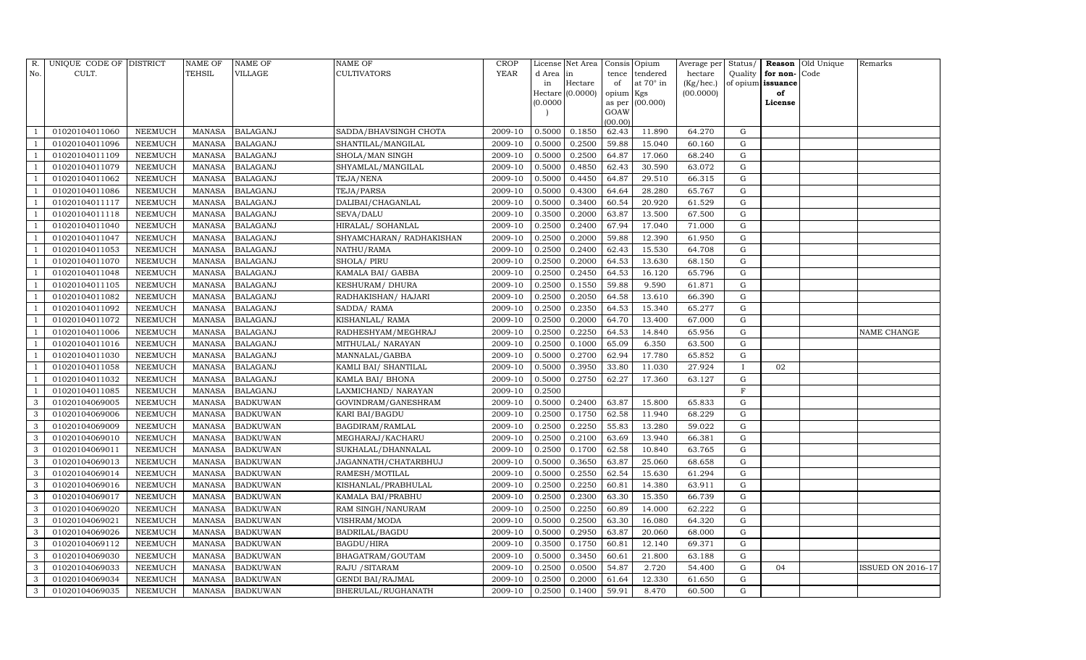| R.  | UNIQUE CODE OF DISTRICT |                | <b>NAME OF</b> | <b>NAME OF</b>  | <b>NAME OF</b>            | <b>CROP</b> |           | License Net Area |                | Consis Opium | Average per | Status/      | Reason            | Old Unique | Remarks                  |
|-----|-------------------------|----------------|----------------|-----------------|---------------------------|-------------|-----------|------------------|----------------|--------------|-------------|--------------|-------------------|------------|--------------------------|
| No. | CULT.                   |                | <b>TEHSIL</b>  | <b>VILLAGE</b>  | <b>CULTIVATORS</b>        | YEAR        | d Area in |                  | tence          | tendered     | hectare     | Quality      | for non-          | Code       |                          |
|     |                         |                |                |                 |                           |             | in        | Hectare          | of             | at 70° in    | (Kg/hec.)   |              | of opium issuance |            |                          |
|     |                         |                |                |                 |                           |             |           | Hectare (0.0000) | opium Kgs      |              | (00.0000)   |              | of                |            |                          |
|     |                         |                |                |                 |                           |             | (0.0000)  |                  | as per<br>GOAW | (00.000)     |             |              | License           |            |                          |
|     |                         |                |                |                 |                           |             |           |                  | (00.00)        |              |             |              |                   |            |                          |
|     | 01020104011060          | NEEMUCH        | MANASA         | <b>BALAGANJ</b> | SADDA/BHAVSINGH CHOTA     | 2009-10     | 0.5000    | 0.1850           | 62.43          | 11.890       | 64.270      | G            |                   |            |                          |
|     | 01020104011096          | NEEMUCH        | <b>MANASA</b>  | <b>BALAGANJ</b> | SHANTILAL/MANGILAL        | 2009-10     | 0.5000    | 0.2500           | 59.88          | 15.040       | 60.160      | G            |                   |            |                          |
|     | 01020104011109          | NEEMUCH        | <b>MANASA</b>  | <b>BALAGANJ</b> | SHOLA/MAN SINGH           | 2009-10     | 0.5000    | 0.2500           | 64.87          | 17.060       | 68.240      | G            |                   |            |                          |
|     | 01020104011079          | NEEMUCH        | <b>MANASA</b>  | <b>BALAGANJ</b> | SHYAMLAL/MANGILAL         | 2009-10     | 0.5000    | 0.4850           | 62.43          | 30.590       | 63.072      | G            |                   |            |                          |
|     | 01020104011062          | NEEMUCH        | <b>MANASA</b>  | <b>BALAGANJ</b> | TEJA/NENA                 | 2009-10     | 0.5000    | 0.4450           | 64.87          | 29.510       | 66.315      | G            |                   |            |                          |
|     | 01020104011086          | <b>NEEMUCH</b> | <b>MANASA</b>  | <b>BALAGANJ</b> | TEJA/PARSA                | 2009-10     | 0.5000    | 0.4300           | 64.64          | 28.280       | 65.767      | G            |                   |            |                          |
|     | 01020104011117          | NEEMUCH        | <b>MANASA</b>  | <b>BALAGANJ</b> | DALIBAI/CHAGANLAL         | 2009-10     | 0.5000    | 0.3400           | 60.54          | 20.920       | 61.529      | G            |                   |            |                          |
|     | 01020104011118          | NEEMUCH        | <b>MANASA</b>  | <b>BALAGANJ</b> | SEVA/DALU                 | 2009-10     | 0.3500    | 0.2000           | 63.87          | 13.500       | 67.500      | G            |                   |            |                          |
|     | 01020104011040          | <b>NEEMUCH</b> | <b>MANASA</b>  | <b>BALAGANJ</b> | HIRALAL/ SOHANLAL         | 2009-10     | 0.2500    | 0.2400           | 67.94          | 17.040       | 71.000      | G            |                   |            |                          |
|     | 01020104011047          | NEEMUCH        | <b>MANASA</b>  | <b>BALAGANJ</b> | SHYAMCHARAN / RADHAKISHAN | 2009-10     | 0.2500    | 0.2000           | 59.88          | 12.390       | 61.950      | G            |                   |            |                          |
|     | 01020104011053          | <b>NEEMUCH</b> | <b>MANASA</b>  | <b>BALAGANJ</b> | NATHU/RAMA                | 2009-10     | 0.2500    | 0.2400           | 62.43          | 15.530       | 64.708      | ${\rm G}$    |                   |            |                          |
|     | 01020104011070          | <b>NEEMUCH</b> | <b>MANASA</b>  | <b>BALAGANJ</b> | <b>SHOLA/ PIRU</b>        | 2009-10     | 0.2500    | 0.2000           | 64.53          | 13.630       | 68.150      | G            |                   |            |                          |
|     | 01020104011048          | <b>NEEMUCH</b> | <b>MANASA</b>  | <b>BALAGANJ</b> | KAMALA BAI/ GABBA         | 2009-10     | 0.2500    | 0.2450           | 64.53          | 16.120       | 65.796      | G            |                   |            |                          |
|     | 01020104011105          | <b>NEEMUCH</b> | <b>MANASA</b>  | <b>BALAGANJ</b> | <b>KESHURAM/ DHURA</b>    | 2009-10     | 0.2500    | 0.1550           | 59.88          | 9.590        | 61.871      | G            |                   |            |                          |
|     | 01020104011082          | NEEMUCH        | <b>MANASA</b>  | <b>BALAGANJ</b> | RADHAKISHAN/ HAJARI       | 2009-10     | 0.2500    | 0.2050           | 64.58          | 13.610       | 66.390      | G            |                   |            |                          |
|     | 01020104011092          | NEEMUCH        | MANASA         | <b>BALAGANJ</b> | SADDA/RAMA                | 2009-10     | 0.2500    | 0.2350           | 64.53          | 15.340       | 65.277      | G            |                   |            |                          |
|     | 01020104011072          | NEEMUCH        | <b>MANASA</b>  | <b>BALAGANJ</b> | KISHANLAL/ RAMA           | 2009-10     | 0.2500    | 0.2000           | 64.70          | 13.400       | 67.000      | G            |                   |            |                          |
|     | 01020104011006          | <b>NEEMUCH</b> | <b>MANASA</b>  | <b>BALAGANJ</b> | RADHESHYAM/MEGHRAJ        | 2009-10     | 0.2500    | 0.2250           | 64.53          | 14.840       | 65.956      | G            |                   |            | NAME CHANGE              |
|     | 01020104011016          | NEEMUCH        | <b>MANASA</b>  | <b>BALAGANJ</b> | MITHULAL/ NARAYAN         | 2009-10     | 0.2500    | 0.1000           | 65.09          | 6.350        | 63.500      | G            |                   |            |                          |
|     | 01020104011030          | NEEMUCH        | <b>MANASA</b>  | <b>BALAGANJ</b> | MANNALAL/GABBA            | 2009-10     | 0.5000    | 0.2700           | 62.94          | 17.780       | 65.852      | G            |                   |            |                          |
|     | 01020104011058          | NEEMUCH        | <b>MANASA</b>  | <b>BALAGANJ</b> | KAMLI BAI/ SHANTILAL      | 2009-10     | 0.5000    | 0.3950           | 33.80          | 11.030       | 27.924      | $\mathbf{I}$ | 02                |            |                          |
|     | 01020104011032          | <b>NEEMUCH</b> | <b>MANASA</b>  | <b>BALAGANJ</b> | KAMLA BAI/ BHONA          | 2009-10     | 0.5000    | 0.2750           | 62.27          | 17.360       | 63.127      | G            |                   |            |                          |
|     | 01020104011085          | NEEMUCH        | <b>MANASA</b>  | <b>BALAGANJ</b> | LAXMICHAND/ NARAYAN       | 2009-10     | 0.2500    |                  |                |              |             | $\mathbf F$  |                   |            |                          |
| 3   | 01020104069005          | <b>NEEMUCH</b> | <b>MANASA</b>  | <b>BADKUWAN</b> | GOVINDRAM/GANESHRAM       | 2009-10     | 0.5000    | 0.2400           | 63.87          | 15.800       | 65.833      | G            |                   |            |                          |
| 3   | 01020104069006          | <b>NEEMUCH</b> | <b>MANASA</b>  | <b>BADKUWAN</b> | KARI BAI/BAGDU            | 2009-10     | 0.2500    | 0.1750           | 62.58          | 11.940       | 68.229      | G            |                   |            |                          |
| 3   | 01020104069009          | <b>NEEMUCH</b> | <b>MANASA</b>  | <b>BADKUWAN</b> | BAGDIRAM/RAMLAL           | 2009-10     | 0.2500    | 0.2250           | 55.83          | 13.280       | 59.022      | G            |                   |            |                          |
| 3   | 01020104069010          | NEEMUCH        | <b>MANASA</b>  | <b>BADKUWAN</b> | MEGHARAJ/KACHARU          | 2009-10     | 0.2500    | 0.2100           | 63.69          | 13.940       | 66.381      | G            |                   |            |                          |
| 3   | 01020104069011          | <b>NEEMUCH</b> | <b>MANASA</b>  | <b>BADKUWAN</b> | SUKHALAL/DHANNALAL        | 2009-10     | 0.2500    | 0.1700           | 62.58          | 10.840       | 63.765      | G            |                   |            |                          |
| 3   | 01020104069013          | NEEMUCH        | <b>MANASA</b>  | <b>BADKUWAN</b> | JAGANNATH/CHATARBHUJ      | 2009-10     | 0.5000    | 0.3650           | 63.87          | 25.060       | 68.658      | G            |                   |            |                          |
| 3   | 01020104069014          | <b>NEEMUCH</b> | <b>MANASA</b>  | <b>BADKUWAN</b> | RAMESH/MOTILAL            | 2009-10     | 0.5000    | 0.2550           | 62.54          | 15.630       | 61.294      | G            |                   |            |                          |
| 3   | 01020104069016          | <b>NEEMUCH</b> | <b>MANASA</b>  | <b>BADKUWAN</b> | KISHANLAL/PRABHULAL       | 2009-10     | 0.2500    | 0.2250           | 60.81          | 14.380       | 63.911      | G            |                   |            |                          |
| 3   | 01020104069017          | NEEMUCH        | <b>MANASA</b>  | <b>BADKUWAN</b> | KAMALA BAI/PRABHU         | 2009-10     | 0.2500    | 0.2300           | 63.30          | 15.350       | 66.739      | ${\rm G}$    |                   |            |                          |
| 3   | 01020104069020          | <b>NEEMUCH</b> | <b>MANASA</b>  | <b>BADKUWAN</b> | RAM SINGH/NANURAM         | 2009-10     | 0.2500    | 0.2250           | 60.89          | 14.000       | 62.222      | G            |                   |            |                          |
| 3   | 01020104069021          | <b>NEEMUCH</b> | <b>MANASA</b>  | <b>BADKUWAN</b> | VISHRAM/MODA              | 2009-10     | 0.5000    | 0.2500           | 63.30          | 16.080       | 64.320      | G            |                   |            |                          |
| 3   | 01020104069026          | <b>NEEMUCH</b> | <b>MANASA</b>  | <b>BADKUWAN</b> | <b>BADRILAL/BAGDU</b>     | 2009-10     | 0.5000    | 0.2950           | 63.87          | 20.060       | 68.000      | G            |                   |            |                          |
| 3   | 01020104069112          | <b>NEEMUCH</b> | <b>MANASA</b>  | <b>BADKUWAN</b> | <b>BAGDU/HIRA</b>         | 2009-10     | 0.3500    | 0.1750           | 60.81          | 12.140       | 69.371      | ${\rm G}$    |                   |            |                          |
| 3   | 01020104069030          | <b>NEEMUCH</b> | <b>MANASA</b>  | <b>BADKUWAN</b> | BHAGATRAM/GOUTAM          | 2009-10     | 0.5000    | 0.3450           | 60.61          | 21.800       | 63.188      | G            |                   |            |                          |
| 3   | 01020104069033          | <b>NEEMUCH</b> | MANASA         | <b>BADKUWAN</b> | RAJU / SITARAM            | 2009-10     | 0.2500    | 0.0500           | 54.87          | 2.720        | 54.400      | G            | 04                |            | <b>ISSUED ON 2016-17</b> |
| 3   | 01020104069034          | <b>NEEMUCH</b> | <b>MANASA</b>  | <b>BADKUWAN</b> | <b>GENDI BAI/RAJMAL</b>   | 2009-10     | 0.2500    | 0.2000           | 61.64          | 12.330       | 61.650      | G            |                   |            |                          |
| 3   | 01020104069035          | <b>NEEMUCH</b> |                | MANASA BADKUWAN | BHERULAL/RUGHANATH        | 2009-10     | 0.2500    | 0.1400           | 59.91          | 8.470        | 60.500      | G            |                   |            |                          |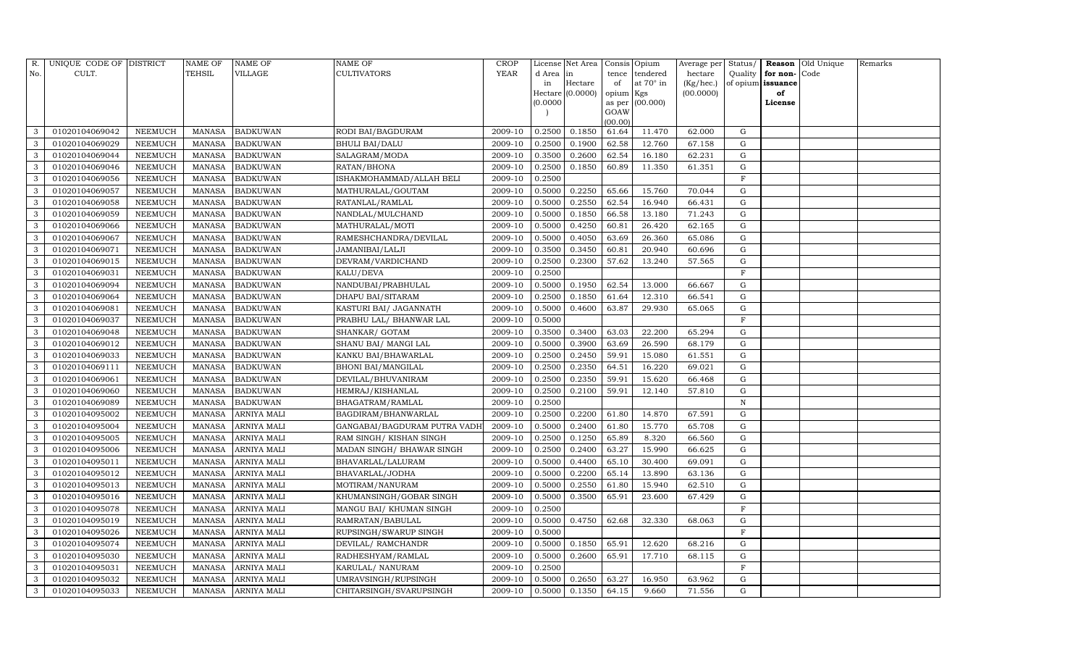| R.           | UNIQUE CODE OF DISTRICT |                | NAME OF       | <b>NAME OF</b>     | <b>NAME OF</b>               | CROP    |           | License Net Area |                | Consis Opium     | Average per | Status/      |                   | <b>Reason</b> Old Unique | Remarks |
|--------------|-------------------------|----------------|---------------|--------------------|------------------------------|---------|-----------|------------------|----------------|------------------|-------------|--------------|-------------------|--------------------------|---------|
| No.          | CULT.                   |                | <b>TEHSIL</b> | VILLAGE            | <b>CULTIVATORS</b>           | YEAR    | d Area in |                  | tence          | tendered         | hectare     | Quality      | for non-          | Code                     |         |
|              |                         |                |               |                    |                              |         | in        | Hectare          | of             | at $70^\circ$ in | (Kg/hec.)   |              | of opium issuance |                          |         |
|              |                         |                |               |                    |                              |         |           | Hectare (0.0000) | opium Kgs      |                  | (00.0000)   |              | of                |                          |         |
|              |                         |                |               |                    |                              |         | (0.0000)  |                  | as per<br>GOAW | (00.000)         |             |              | License           |                          |         |
|              |                         |                |               |                    |                              |         |           |                  | (00.00)        |                  |             |              |                   |                          |         |
| 3            | 01020104069042          | NEEMUCH        | MANASA        | <b>BADKUWAN</b>    | RODI BAI/BAGDURAM            | 2009-10 | 0.2500    | 0.1850           | 61.64          | 11.470           | 62.000      | G            |                   |                          |         |
| 3            | 01020104069029          | NEEMUCH        | MANASA        | <b>BADKUWAN</b>    | <b>BHULI BAI/DALU</b>        | 2009-10 | 0.2500    | 0.1900           | 62.58          | 12.760           | 67.158      | G            |                   |                          |         |
| 3            | 01020104069044          | <b>NEEMUCH</b> | <b>MANASA</b> | <b>BADKUWAN</b>    | SALAGRAM/MODA                | 2009-10 | 0.3500    | 0.2600           | 62.54          | 16.180           | 62.231      | G            |                   |                          |         |
| 3            | 01020104069046          | NEEMUCH        | MANASA        | <b>BADKUWAN</b>    | RATAN/BHONA                  | 2009-10 | 0.2500    | 0.1850           | 60.89          | 11.350           | 61.351      | G            |                   |                          |         |
| 3            | 01020104069056          | NEEMUCH        | MANASA        | <b>BADKUWAN</b>    | ISHAKMOHAMMAD/ALLAH BELI     | 2009-10 | 0.2500    |                  |                |                  |             | $\mathbf F$  |                   |                          |         |
| 3            | 01020104069057          | NEEMUCH        | MANASA        | <b>BADKUWAN</b>    | MATHURALAL/GOUTAM            | 2009-10 | 0.5000    | 0.2250           | 65.66          | 15.760           | 70.044      | G            |                   |                          |         |
| 3            | 01020104069058          | NEEMUCH        | MANASA        | <b>BADKUWAN</b>    | RATANLAL/RAMLAL              | 2009-10 | 0.5000    | 0.2550           | 62.54          | 16.940           | 66.431      | G            |                   |                          |         |
| 3            | 01020104069059          | NEEMUCH        | MANASA        | <b>BADKUWAN</b>    | NANDLAL/MULCHAND             | 2009-10 | 0.5000    | 0.1850           | 66.58          | 13.180           | 71.243      | G            |                   |                          |         |
| 3            | 01020104069066          | <b>NEEMUCH</b> | <b>MANASA</b> | <b>BADKUWAN</b>    | MATHURALAL/MOTI              | 2009-10 | 0.5000    | 0.4250           | 60.81          | 26.420           | 62.165      | $\mathbf G$  |                   |                          |         |
| 3            | 01020104069067          | NEEMUCH        | MANASA        | <b>BADKUWAN</b>    | RAMESHCHANDRA/DEVILAL        | 2009-10 | 0.5000    | 0.4050           | 63.69          | 26.360           | 65.086      | ${\rm G}$    |                   |                          |         |
| 3            | 01020104069071          | <b>NEEMUCH</b> | <b>MANASA</b> | <b>BADKUWAN</b>    | <b>JAMANIBAI/LALJI</b>       | 2009-10 | 0.3500    | 0.3450           | 60.81          | 20.940           | 60.696      | ${\rm G}$    |                   |                          |         |
| 3            | 01020104069015          | <b>NEEMUCH</b> | MANASA        | <b>BADKUWAN</b>    | DEVRAM/VARDICHAND            | 2009-10 | 0.2500    | 0.2300           | 57.62          | 13.240           | 57.565      | G            |                   |                          |         |
| 3            | 01020104069031          | <b>NEEMUCH</b> | <b>MANASA</b> | <b>BADKUWAN</b>    | KALU/DEVA                    | 2009-10 | 0.2500    |                  |                |                  |             | $\mathbf F$  |                   |                          |         |
| 3            | 01020104069094          | <b>NEEMUCH</b> | MANASA        | <b>BADKUWAN</b>    | NANDUBAI/PRABHULAL           | 2009-10 | 0.5000    | 0.1950           | 62.54          | 13.000           | 66.667      | G            |                   |                          |         |
| 3            | 01020104069064          | NEEMUCH        | MANASA        | <b>BADKUWAN</b>    | DHAPU BAI/SITARAM            | 2009-10 | 0.2500    | 0.1850           | 61.64          | 12.310           | 66.541      | G            |                   |                          |         |
| 3            | 01020104069081          | <b>NEEMUCH</b> | MANASA        | <b>BADKUWAN</b>    | KASTURI BAI/ JAGANNATH       | 2009-10 | 0.5000    | 0.4600           | 63.87          | 29.930           | 65.065      | G            |                   |                          |         |
| 3            | 01020104069037          | <b>NEEMUCH</b> | <b>MANASA</b> | <b>BADKUWAN</b>    | PRABHU LAL/ BHANWAR LAL      | 2009-10 | 0.5000    |                  |                |                  |             | $\mathbf{F}$ |                   |                          |         |
| 3            | 01020104069048          | <b>NEEMUCH</b> | MANASA        | <b>BADKUWAN</b>    | SHANKAR/ GOTAM               | 2009-10 | 0.3500    | 0.3400           | 63.03          | 22.200           | 65.294      | G            |                   |                          |         |
| 3            | 01020104069012          | NEEMUCH        | MANASA        | <b>BADKUWAN</b>    | SHANU BAI/ MANGI LAL         | 2009-10 | 0.5000    | 0.3900           | 63.69          | 26.590           | 68.179      | G            |                   |                          |         |
| 3            | 01020104069033          | NEEMUCH        | MANASA        | <b>BADKUWAN</b>    | KANKU BAI/BHAWARLAL          | 2009-10 | 0.2500    | 0.2450           | 59.91          | 15.080           | 61.551      | G            |                   |                          |         |
| 3            | 01020104069111          | NEEMUCH        | MANASA        | <b>BADKUWAN</b>    | <b>BHONI BAI/MANGILAL</b>    | 2009-10 | 0.2500    | 0.2350           | 64.51          | 16.220           | 69.021      | G            |                   |                          |         |
| 3            | 01020104069061          | <b>NEEMUCH</b> | <b>MANASA</b> | <b>BADKUWAN</b>    | DEVILAL/BHUVANIRAM           | 2009-10 | 0.2500    | 0.2350           | 59.91          | 15.620           | 66.468      | G            |                   |                          |         |
| 3            | 01020104069060          | NEEMUCH        | MANASA        | <b>BADKUWAN</b>    | HEMRAJ/KISHANLAL             | 2009-10 | 0.2500    | 0.2100           | 59.91          | 12.140           | 57.810      | G            |                   |                          |         |
| 3            | 01020104069089          | <b>NEEMUCH</b> | MANASA        | <b>BADKUWAN</b>    | BHAGATRAM/RAMLAL             | 2009-10 | 0.2500    |                  |                |                  |             | $\mathbf N$  |                   |                          |         |
| 3            | 01020104095002          | <b>NEEMUCH</b> | <b>MANASA</b> | <b>ARNIYA MALI</b> | BAGDIRAM/BHANWARLAL          | 2009-10 | 0.2500    | 0.2200           | 61.80          | 14.870           | 67.591      | G            |                   |                          |         |
| 3            | 01020104095004          | <b>NEEMUCH</b> | <b>MANASA</b> | ARNIYA MALI        | GANGABAI/BAGDURAM PUTRA VADH | 2009-10 | 0.5000    | 0.2400           | 61.80          | 15.770           | 65.708      | G            |                   |                          |         |
| 3            | 01020104095005          | <b>NEEMUCH</b> | MANASA        | <b>ARNIYA MALI</b> | RAM SINGH/KISHAN SINGH       | 2009-10 | 0.2500    | 0.1250           | 65.89          | 8.320            | 66.560      | G            |                   |                          |         |
| 3            | 01020104095006          | <b>NEEMUCH</b> | <b>MANASA</b> | <b>ARNIYA MALI</b> | MADAN SINGH/ BHAWAR SINGH    | 2009-10 | 0.2500    | 0.2400           | 63.27          | 15.990           | 66.625      | $\mathbf G$  |                   |                          |         |
| 3            | 01020104095011          | NEEMUCH        | MANASA        | <b>ARNIYA MALI</b> | BHAVARLAL/LALURAM            | 2009-10 | 0.5000    | 0.4400           | 65.10          | 30.400           | 69.091      | G            |                   |                          |         |
| 3            | 01020104095012          | NEEMUCH        | MANASA        | <b>ARNIYA MALI</b> | BHAVARLAL/JODHA              | 2009-10 | 0.5000    | 0.2200           | 65.14          | 13.890           | 63.136      | ${\rm G}$    |                   |                          |         |
| 3            | 01020104095013          | <b>NEEMUCH</b> | MANASA        | <b>ARNIYA MALI</b> | MOTIRAM/NANURAM              | 2009-10 | 0.5000    | 0.2550           | 61.80          | 15.940           | 62.510      | ${\rm G}$    |                   |                          |         |
| 3            | 01020104095016          | NEEMUCH        | <b>MANASA</b> | <b>ARNIYA MALI</b> | KHUMANSINGH/GOBAR SINGH      | 2009-10 | 0.5000    | 0.3500           | 65.91          | 23.600           | 67.429      | $\mathbf G$  |                   |                          |         |
| 3            | 01020104095078          | <b>NEEMUCH</b> | MANASA        | <b>ARNIYA MALI</b> | MANGU BAI/ KHUMAN SINGH      | 2009-10 | 0.2500    |                  |                |                  |             | $\mathbf F$  |                   |                          |         |
| 3            | 01020104095019          | <b>NEEMUCH</b> | MANASA        | <b>ARNIYA MALI</b> | RAMRATAN/BABULAL             | 2009-10 | 0.5000    | 0.4750           | 62.68          | 32.330           | 68.063      | G            |                   |                          |         |
| 3            | 01020104095026          | <b>NEEMUCH</b> | MANASA        | <b>ARNIYA MALI</b> | RUPSINGH/SWARUP SINGH        | 2009-10 | 0.5000    |                  |                |                  |             | $\mathbf F$  |                   |                          |         |
| 3            | 01020104095074          | <b>NEEMUCH</b> | MANASA        | <b>ARNIYA MALI</b> | DEVILAL/ RAMCHANDR           | 2009-10 | 0.5000    | 0.1850           | 65.91          | 12.620           | 68.216      | $\mathbf G$  |                   |                          |         |
| 3            | 01020104095030          | <b>NEEMUCH</b> | MANASA        | <b>ARNIYA MALI</b> | RADHESHYAM/RAMLAL            | 2009-10 | 0.5000    | 0.2600           | 65.91          | 17.710           | 68.115      | G            |                   |                          |         |
| 3            | 01020104095031          | NEEMUCH        | MANASA        | ARNIYA MALI        | KARULAL/ NANURAM             | 2009-10 | 0.2500    |                  |                |                  |             | F            |                   |                          |         |
| $\mathbf{3}$ | 01020104095032          | <b>NEEMUCH</b> | MANASA        | <b>ARNIYA MALI</b> | UMRAVSINGH/RUPSINGH          | 2009-10 | 0.5000    | 0.2650           | 63.27          | 16.950           | 63.962      | G            |                   |                          |         |
| 3            | 01020104095033          | <b>NEEMUCH</b> |               | MANASA ARNIYA MALI | CHITARSINGH/SVARUPSINGH      | 2009-10 | 0.5000    | 0.1350           | 64.15          | 9.660            | 71.556      | G            |                   |                          |         |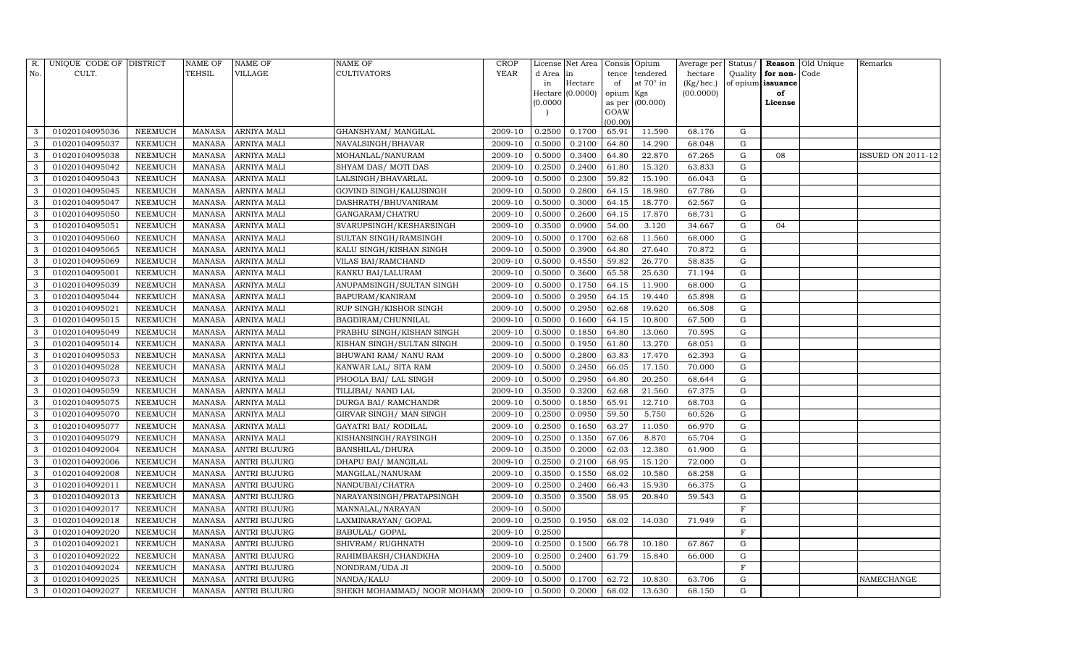| R.           | UNIQUE CODE OF DISTRICT |                | $\operatorname{NAME}$ OF | <b>NAME OF</b>      | <b>NAME OF</b>                      | CROP    |           | License Net Area |                 | Consis Opium     | Average per | Status/     |                   | Reason Old Unique | Remarks                  |
|--------------|-------------------------|----------------|--------------------------|---------------------|-------------------------------------|---------|-----------|------------------|-----------------|------------------|-------------|-------------|-------------------|-------------------|--------------------------|
| No.          | CULT.                   |                | <b>TEHSIL</b>            | VILLAGE             | <b>CULTIVATORS</b>                  | YEAR    | d Area in |                  | tence           | tendered         | hectare     | Quality     | for non-          | Code              |                          |
|              |                         |                |                          |                     |                                     |         | in        | Hectare          | of              | at $70^\circ$ in | (Kg/hec.)   |             | of opium issuance |                   |                          |
|              |                         |                |                          |                     |                                     |         |           | Hectare (0.0000) | opium Kgs       |                  | (00.0000)   |             | of                |                   |                          |
|              |                         |                |                          |                     |                                     |         | (0.0000)  |                  |                 | as per (00.000)  |             |             | License           |                   |                          |
|              |                         |                |                          |                     |                                     |         |           |                  | GOAW<br>(00.00) |                  |             |             |                   |                   |                          |
| 3            | 01020104095036          | NEEMUCH        | MANASA                   | <b>ARNIYA MALI</b>  | GHANSHYAM / MANGILAL                | 2009-10 | 0.2500    | 0.1700           | 65.91           | 11.590           | 68.176      | G           |                   |                   |                          |
| 3            | 01020104095037          | NEEMUCH        | MANASA                   | <b>ARNIYA MALI</b>  | NAVALSINGH/BHAVAR                   | 2009-10 | 0.5000    | 0.2100           | 64.80           | 14.290           | 68.048      | G           |                   |                   |                          |
| 3            | 01020104095038          | NEEMUCH        | MANASA                   | <b>ARNIYA MALI</b>  | MOHANLAL/NANURAM                    | 2009-10 | 0.5000    | 0.3400           | 64.80           | 22.870           | 67.265      | G           | 08                |                   | <b>ISSUED ON 2011-12</b> |
| 3            | 01020104095042          | NEEMUCH        | MANASA                   | <b>ARNIYA MALI</b>  | SHYAM DAS/ MOTI DAS                 | 2009-10 | 0.2500    | 0.2400           | 61.80           | 15.320           | 63.833      | G           |                   |                   |                          |
| 3            | 01020104095043          | NEEMUCH        | MANASA                   | <b>ARNIYA MALI</b>  | LALSINGH/BHAVARLAL                  | 2009-10 | 0.5000    | 0.2300           | 59.82           | 15.190           | 66.043      | G           |                   |                   |                          |
| 3            | 01020104095045          | NEEMUCH        | MANASA                   | <b>ARNIYA MALI</b>  | GOVIND SINGH/KALUSINGH              | 2009-10 | 0.5000    | 0.2800           | 64.15           | 18.980           | 67.786      | G           |                   |                   |                          |
| 3            | 01020104095047          | NEEMUCH        | MANASA                   | <b>ARNIYA MALI</b>  | DASHRATH/BHUVANIRAM                 | 2009-10 | 0.5000    | 0.3000           | 64.15           | 18.770           | 62.567      | G           |                   |                   |                          |
| 3            | 01020104095050          | NEEMUCH        | MANASA                   | <b>ARNIYA MALI</b>  | GANGARAM/CHATRU                     | 2009-10 | 0.5000    | 0.2600           | 64.15           | 17.870           | 68.731      | G           |                   |                   |                          |
| 3            | 01020104095051          | <b>NEEMUCH</b> | MANASA                   | <b>ARNIYA MALI</b>  | SVARUPSINGH/KESHARSINGH             | 2009-10 | 0.3500    | 0.0900           | 54.00           | 3.120            | 34.667      | G           | 04                |                   |                          |
| 3            | 01020104095060          | NEEMUCH        | MANASA                   | <b>ARNIYA MALI</b>  | SULTAN SINGH/RAMSINGH               | 2009-10 | 0.5000    | 0.1700           | 62.68           | 11.560           | 68.000      | G           |                   |                   |                          |
| 3            | 01020104095065          | NEEMUCH        | MANASA                   | <b>ARNIYA MALI</b>  | KALU SINGH/KISHAN SINGH             | 2009-10 | 0.5000    | 0.3900           | 64.80           | 27.640           | 70.872      | G           |                   |                   |                          |
| 3            | 01020104095069          | <b>NEEMUCH</b> | MANASA                   | <b>ARNIYA MALI</b>  | VILAS BAI/RAMCHAND                  | 2009-10 | 0.5000    | 0.4550           | 59.82           | 26.770           | 58.835      | G           |                   |                   |                          |
| 3            | 01020104095001          | NEEMUCH        | MANASA                   | <b>ARNIYA MALI</b>  | KANKU BAI/LALURAM                   | 2009-10 | 0.5000    | 0.3600           | 65.58           | 25.630           | 71.194      | G           |                   |                   |                          |
| 3            | 01020104095039          | <b>NEEMUCH</b> | MANASA                   | <b>ARNIYA MALI</b>  | ANUPAMSINGH/SULTAN SINGH            | 2009-10 | 0.5000    | 0.1750           | 64.15           | 11.900           | 68.000      | G           |                   |                   |                          |
| 3            | 01020104095044          | NEEMUCH        | MANASA                   | ARNIYA MALI         | <b>BAPURAM/KANIRAM</b>              | 2009-10 | 0.5000    | 0.2950           | 64.15           | 19.440           | 65.898      | ${\rm G}$   |                   |                   |                          |
| 3            | 01020104095021          | NEEMUCH        | MANASA                   | <b>ARNIYA MALI</b>  | <b>RUP SINGH/KISHOR SINGH</b>       | 2009-10 | 0.5000    | 0.2950           | 62.68           | 19.620           | 66.508      | ${\rm G}$   |                   |                   |                          |
| 3            | 01020104095015          | <b>NEEMUCH</b> | MANASA                   | <b>ARNIYA MALI</b>  | BAGDIRAM/CHUNNILAL                  | 2009-10 | 0.5000    | 0.1600           | 64.15           | 10.800           | 67.500      | G           |                   |                   |                          |
| 3            | 01020104095049          | NEEMUCH        | MANASA                   | <b>ARNIYA MALI</b>  | PRABHU SINGH/KISHAN SINGH           | 2009-10 | 0.5000    | 0.1850           | 64.80           | 13.060           | 70.595      | G           |                   |                   |                          |
| 3            | 01020104095014          | NEEMUCH        | MANASA                   | <b>ARNIYA MALI</b>  | KISHAN SINGH/SULTAN SINGH           | 2009-10 | 0.5000    | 0.1950           | 61.80           | 13.270           | 68.051      | ${\rm G}$   |                   |                   |                          |
| 3            | 01020104095053          | <b>NEEMUCH</b> | MANASA                   | <b>ARNIYA MALI</b>  | BHUWANI RAM/ NANU RAM               | 2009-10 | 0.5000    | 0.2800           | 63.83           | 17.470           | 62.393      | $\mathbf G$ |                   |                   |                          |
| 3            | 01020104095028          | NEEMUCH        | MANASA                   | <b>ARNIYA MALI</b>  | KANWAR LAL/ SITA RAM                | 2009-10 | 0.5000    | 0.2450           | 66.05           | 17.150           | 70.000      | G           |                   |                   |                          |
| 3            | 01020104095073          | NEEMUCH        | MANASA                   | <b>ARNIYA MALI</b>  | PHOOLA BAI/ LAL SINGH               | 2009-10 | 0.5000    | 0.2950           | 64.80           | 20.250           | 68.644      | G           |                   |                   |                          |
| 3            | 01020104095059          | NEEMUCH        | MANASA                   | <b>ARNIYA MALI</b>  | TILLIBAI/ NAND LAL                  | 2009-10 | 0.3500    | 0.3200           | 62.68           | 21.560           | 67.375      | G           |                   |                   |                          |
| 3            | 01020104095075          | NEEMUCH        | MANASA                   | <b>ARNIYA MALI</b>  | DURGA BAI/ RAMCHANDR                | 2009-10 | 0.5000    | 0.1850           | 65.91           | 12.710           | 68.703      | G           |                   |                   |                          |
| 3            | 01020104095070          | <b>NEEMUCH</b> | MANASA                   | <b>ARNIYA MALI</b>  | GIRVAR SINGH/ MAN SINGH             | 2009-10 | 0.2500    | 0.0950           | 59.50           | 5.750            | 60.526      | G           |                   |                   |                          |
| 3            | 01020104095077          | NEEMUCH        | MANASA                   | <b>ARNIYA MALI</b>  | GAYATRI BAI / RODILAL               | 2009-10 | 0.2500    | 0.1650           | 63.27           | 11.050           | 66.970      | G           |                   |                   |                          |
| 3            | 01020104095079          | NEEMUCH        | MANASA                   | <b>ARNIYA MALI</b>  | KISHANSINGH/RAYSINGH                | 2009-10 | 0.2500    | 0.1350           | 67.06           | 8.870            | 65.704      | G           |                   |                   |                          |
| 3            | 01020104092004          | <b>NEEMUCH</b> | MANASA                   | <b>ANTRI BUJURG</b> | <b>BANSHILAL/DHURA</b>              | 2009-10 | 0.3500    | 0.2000           | 62.03           | 12.380           | 61.900      | ${\rm G}$   |                   |                   |                          |
| 3            | 01020104092006          | NEEMUCH        | MANASA                   | <b>ANTRI BUJURG</b> | DHAPU BAI/ MANGILAL                 | 2009-10 | 0.2500    | 0.2100           | 68.95           | 15.120           | 72.000      | G           |                   |                   |                          |
| 3            | 01020104092008          | <b>NEEMUCH</b> | MANASA                   | <b>ANTRI BUJURG</b> | MANGILAL/NANURAM                    | 2009-10 | 0.3500    | 0.1550           | 68.02           | 10.580           | 68.258      | G           |                   |                   |                          |
| 3            | 01020104092011          | NEEMUCH        | MANASA                   | <b>ANTRI BUJURG</b> | NANDUBAI/CHATRA                     | 2009-10 | 0.2500    | 0.2400           | 66.43           | 15.930           | 66.375      | ${\rm G}$   |                   |                   |                          |
| 3            | 01020104092013          | NEEMUCH        | MANASA                   | <b>ANTRI BUJURG</b> | NARAYANSINGH/PRATAPSINGH            | 2009-10 | 0.3500    | 0.3500           | 58.95           | 20.840           | 59.543      | G           |                   |                   |                          |
| 3            | 01020104092017          | <b>NEEMUCH</b> | MANASA                   | <b>ANTRI BUJURG</b> | MANNALAL/NARAYAN                    | 2009-10 | 0.5000    |                  |                 |                  |             | $\rm F$     |                   |                   |                          |
| 3            | 01020104092018          | NEEMUCH        | MANASA                   | <b>ANTRI BUJURG</b> | LAXMINARAYAN/ GOPAL                 | 2009-10 | 0.2500    | 0.1950           | 68.02           | 14.030           | 71.949      | ${\rm G}$   |                   |                   |                          |
| 3            | 01020104092020          | <b>NEEMUCH</b> | MANASA                   | <b>ANTRI BUJURG</b> | <b>BABULAL/ GOPAL</b>               | 2009-10 | 0.2500    |                  |                 |                  |             | $\mathbf F$ |                   |                   |                          |
| 3            | 01020104092021          | <b>NEEMUCH</b> | MANASA                   | <b>ANTRI BUJURG</b> | SHIVRAM/RUGHNATH                    | 2009-10 | 0.2500    | 0.1500           | 66.78           | 10.180           | 67.867      | G           |                   |                   |                          |
| 3            | 01020104092022          | NEEMUCH        | MANASA                   | <b>ANTRI BUJURG</b> | RAHIMBAKSH/CHANDKHA                 | 2009-10 | 0.2500    | 0.2400           | 61.79           | 15.840           | 66.000      | G           |                   |                   |                          |
| 3            | 01020104092024          | NEEMUCH        | MANASA                   | <b>ANTRI BUJURG</b> | NONDRAM/UDA JI                      | 2009-10 | 0.5000    |                  |                 |                  |             | F           |                   |                   |                          |
| 3            | 01020104092025          | <b>NEEMUCH</b> | MANASA                   | <b>ANTRI BUJURG</b> | NANDA/KALU                          | 2009-10 | 0.5000    | 0.1700           | 62.72           | 10.830           | 63.706      | $\mathbf G$ |                   |                   | NAMECHANGE               |
| $\mathbf{3}$ | 01020104092027          | NEEMUCH        |                          | MANASA ANTRI BUJURG | SHEKH MOHAMMAD/ NOOR MOHAMN 2009-10 |         | 0.5000    | 0.2000           | 68.02           | 13.630           | 68.150      | G           |                   |                   |                          |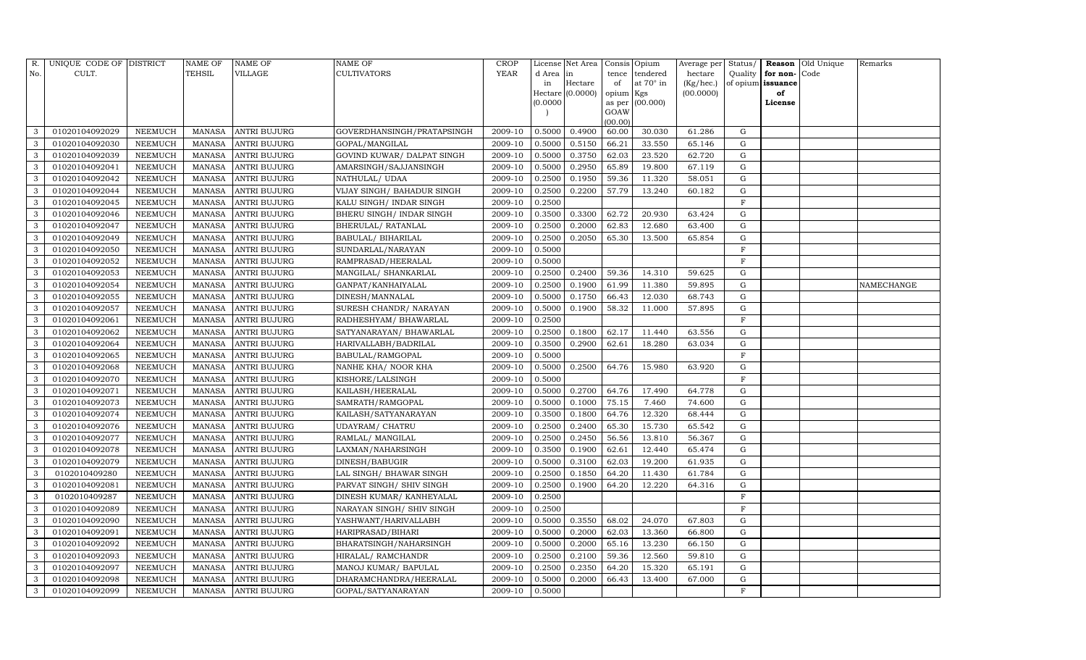| R.           | UNIQUE CODE OF DISTRICT |                | <b>NAME OF</b> | NAME OF             | NAME OF                    | CROP        |           | License Net Area |           | Consis Opium    | Average per | Status/     |                   | Reason Old Unique | Remarks    |
|--------------|-------------------------|----------------|----------------|---------------------|----------------------------|-------------|-----------|------------------|-----------|-----------------|-------------|-------------|-------------------|-------------------|------------|
| No.          | CULT.                   |                | TEHSIL         | VILLAGE             | CULTIVATORS                | <b>YEAR</b> | d Area in |                  |           | tence tendered  | hectare     | Quality     | for non-Code      |                   |            |
|              |                         |                |                |                     |                            |             | in        | Hectare          | of        | at 70° in       | (Kg/hec.)   |             | of opium issuance |                   |            |
|              |                         |                |                |                     |                            |             |           | Hectare (0.0000) | opium Kgs |                 | (00.0000)   |             | of                |                   |            |
|              |                         |                |                |                     |                            |             | (0.0000)  |                  | GOAW      | as per (00.000) |             |             | License           |                   |            |
|              |                         |                |                |                     |                            |             |           |                  | (00.00)   |                 |             |             |                   |                   |            |
| 3            | 01020104092029          | NEEMUCH        | MANASA         | <b>ANTRI BUJURG</b> | GOVERDHANSINGH/PRATAPSINGH | 2009-10     | 0.5000    | 0.4900           | 60.00     | 30.030          | 61.286      | G           |                   |                   |            |
| 3            | 01020104092030          | NEEMUCH        | MANASA         | <b>ANTRI BUJURG</b> | GOPAL/MANGILAL             | 2009-10     | 0.5000    | 0.5150           | 66.21     | 33.550          | 65.146      | G           |                   |                   |            |
| 3            | 01020104092039          | NEEMUCH        | MANASA         | ANTRI BUJURG        | GOVIND KUWAR/ DALPAT SINGH | 2009-10     | 0.5000    | 0.3750           | 62.03     | 23.520          | 62.720      | G           |                   |                   |            |
| 3            | 01020104092041          | NEEMUCH        | MANASA         | <b>ANTRI BUJURG</b> | AMARSINGH/SAJJANSINGH      | 2009-10     | 0.5000    | 0.2950           | 65.89     | 19.800          | 67.119      | G           |                   |                   |            |
| 3            | 01020104092042          | NEEMUCH        | <b>MANASA</b>  | ANTRI BUJURG        | NATHULAL/UDAA              | 2009-10     | 0.2500    | 0.1950           | 59.36     | 11.320          | 58.051      | G           |                   |                   |            |
| 3            | 01020104092044          | NEEMUCH        | MANASA         | ANTRI BUJURG        | VIJAY SINGH/ BAHADUR SINGH | 2009-10     | 0.2500    | 0.2200           | 57.79     | 13.240          | 60.182      | G           |                   |                   |            |
| 3            | 01020104092045          | NEEMUCH        | <b>MANASA</b>  | ANTRI BUJURG        | KALU SINGH/ INDAR SINGH    | 2009-10     | 0.2500    |                  |           |                 |             | F           |                   |                   |            |
| 3            | 01020104092046          | NEEMUCH        | <b>MANASA</b>  | ANTRI BUJURG        | BHERU SINGH/ INDAR SINGH   | 2009-10     | 0.3500    | 0.3300           | 62.72     | 20.930          | 63.424      | G           |                   |                   |            |
| 3            | 01020104092047          | NEEMUCH        | MANASA         | ANTRI BUJURG        | BHERULAL/RATANLAL          | 2009-10     | 0.2500    | 0.2000           | 62.83     | 12.680          | 63.400      | G           |                   |                   |            |
| 3            | 01020104092049          | NEEMUCH        | <b>MANASA</b>  | ANTRI BUJURG        | BABULAL/BIHARILAL          | 2009-10     | 0.2500    | 0.2050           | 65.30     | 13.500          | 65.854      | G           |                   |                   |            |
| 3            | 01020104092050          | NEEMUCH        | <b>MANASA</b>  | ANTRI BUJURG        | SUNDARLAL/NARAYAN          | 2009-10     | 0.5000    |                  |           |                 |             | $\mathbf F$ |                   |                   |            |
| 3            | 01020104092052          | NEEMUCH        | MANASA         | <b>ANTRI BUJURG</b> | RAMPRASAD/HEERALAL         | 2009-10     | 0.5000    |                  |           |                 |             | F           |                   |                   |            |
| 3            | 01020104092053          | NEEMUCH        | <b>MANASA</b>  | <b>ANTRI BUJURG</b> | MANGILAL/ SHANKARLAL       | 2009-10     | 0.2500    | 0.2400           | 59.36     | 14.310          | 59.625      | G           |                   |                   |            |
| 3            | 01020104092054          | NEEMUCH        | MANASA         | ANTRI BUJURG        | GANPAT/KANHAIYALAL         | 2009-10     | 0.2500    | 0.1900           | 61.99     | 11.380          | 59.895      | G           |                   |                   | NAMECHANGE |
| 3            | 01020104092055          | NEEMUCH        | <b>MANASA</b>  | ANTRI BUJURG        | DINESH/MANNALAL            | 2009-10     | 0.5000    | 0.1750           | 66.43     | 12.030          | 68.743      | G           |                   |                   |            |
| 3            | 01020104092057          | NEEMUCH        | MANASA         | ANTRI BUJURG        | SURESH CHANDR/ NARAYAN     | 2009-10     | 0.5000    | 0.1900           | 58.32     | 11.000          | 57.895      | G           |                   |                   |            |
| 3            | 01020104092061          | NEEMUCH        | <b>MANASA</b>  | <b>ANTRI BUJURG</b> | RADHESHYAM / BHAWARLAL     | 2009-10     | 0.2500    |                  |           |                 |             | $\mathbf F$ |                   |                   |            |
| 3            | 01020104092062          | NEEMUCH        | MANASA         | ANTRI BUJURG        | SATYANARAYAN/BHAWARLAL     | 2009-10     | 0.2500    | 0.1800           | 62.17     | 11.440          | 63.556      | G           |                   |                   |            |
| 3            | 01020104092064          | NEEMUCH        | <b>MANASA</b>  | <b>ANTRI BUJURG</b> | HARIVALLABH/BADRILAL       | 2009-10     | 0.3500    | 0.2900           | 62.61     | 18.280          | 63.034      | G           |                   |                   |            |
| 3            | 01020104092065          | NEEMUCH        | MANASA         | <b>ANTRI BUJURG</b> | BABULAL/RAMGOPAL           | 2009-10     | 0.5000    |                  |           |                 |             | $\mathbf F$ |                   |                   |            |
| 3            | 01020104092068          | NEEMUCH        | <b>MANASA</b>  | ANTRI BUJURG        | NANHE KHA/ NOOR KHA        | 2009-10     | 0.5000    | 0.2500           | 64.76     | 15.980          | 63.920      | G           |                   |                   |            |
| 3            | 01020104092070          | <b>NEEMUCH</b> | <b>MANASA</b>  | <b>ANTRI BUJURG</b> | KISHORE/LALSINGH           | 2009-10     | 0.5000    |                  |           |                 |             | $\mathbf F$ |                   |                   |            |
| 3            | 01020104092071          | NEEMUCH        | <b>MANASA</b>  | ANTRI BUJURG        | KAILASH/HEERALAL           | 2009-10     | 0.5000    | 0.2700           | 64.76     | 17.490          | 64.778      | G           |                   |                   |            |
| 3            | 01020104092073          | NEEMUCH        | <b>MANASA</b>  | <b>ANTRI BUJURG</b> | SAMRATH/RAMGOPAL           | 2009-10     | 0.5000    | 0.1000           | 75.15     | 7.460           | 74.600      | G           |                   |                   |            |
| 3            | 01020104092074          | <b>NEEMUCH</b> | <b>MANASA</b>  | <b>ANTRI BUJURG</b> | KAILASH/SATYANARAYAN       | 2009-10     | 0.3500    | 0.1800           | 64.76     | 12.320          | 68.444      | G           |                   |                   |            |
| 3            | 01020104092076          | NEEMUCH        | <b>MANASA</b>  | ANTRI BUJURG        | UDAYRAM/ CHATRU            | 2009-10     | 0.2500    | 0.2400           | 65.30     | 15.730          | 65.542      | G           |                   |                   |            |
| 3            | 01020104092077          | NEEMUCH        | <b>MANASA</b>  | <b>ANTRI BUJURG</b> | RAMLAL/ MANGILAL           | 2009-10     | 0.2500    | 0.2450           | 56.56     | 13.810          | 56.367      | G           |                   |                   |            |
| 3            | 01020104092078          | NEEMUCH        | <b>MANASA</b>  | <b>ANTRI BUJURG</b> | LAXMAN/NAHARSINGH          | 2009-10     | 0.3500    | 0.1900           | 62.61     | 12.440          | 65.474      | G           |                   |                   |            |
| 3            | 01020104092079          | NEEMUCH        | MANASA         | <b>ANTRI BUJURG</b> | DINESH/BABUGIR             | 2009-10     | 0.5000    | 0.3100           | 62.03     | 19.200          | 61.935      | G           |                   |                   |            |
| 3            | 0102010409280           | NEEMUCH        | MANASA         | <b>ANTRI BUJURG</b> | LAL SINGH/ BHAWAR SINGH    | 2009-10     | 0.2500    | 0.1850           | 64.20     | 11.430          | 61.784      | G           |                   |                   |            |
| $\mathbf{3}$ | 01020104092081          | NEEMUCH        | <b>MANASA</b>  | <b>ANTRI BUJURG</b> | PARVAT SINGH/ SHIV SINGH   | 2009-10     | 0.2500    | 0.1900           | 64.20     | 12.220          | 64.316      | G           |                   |                   |            |
| 3            | 0102010409287           | <b>NEEMUCH</b> | MANASA         | <b>ANTRI BUJURG</b> | DINESH KUMAR/KANHEYALAL    | 2009-10     | 0.2500    |                  |           |                 |             | $\mathbf F$ |                   |                   |            |
| 3            | 01020104092089          | NEEMUCH        | MANASA         | <b>ANTRI BUJURG</b> | NARAYAN SINGH/ SHIV SINGH  | 2009-10     | 0.2500    |                  |           |                 |             | $_{\rm F}$  |                   |                   |            |
| 3            | 01020104092090          | NEEMUCH        | MANASA         | <b>ANTRI BUJURG</b> | YASHWANT/HARIVALLABH       | 2009-10     | 0.5000    | 0.3550           | 68.02     | 24.070          | 67.803      | G           |                   |                   |            |
| 3            | 01020104092091          | NEEMUCH        | MANASA         | ANTRI BUJURG        | HARIPRASAD/BIHARI          | 2009-10     | 0.5000    | 0.2000           | 62.03     | 13.360          | 66.800      | G           |                   |                   |            |
| 3            | 01020104092092          | NEEMUCH        | MANASA         | ANTRI BUJURG        | BHARATSINGH/NAHARSINGH     | 2009-10     | 0.5000    | 0.2000           | 65.16     | 13.230          | 66.150      | G           |                   |                   |            |
| 3            | 01020104092093          | NEEMUCH        | MANASA         | ANTRI BUJURG        | HIRALAL/RAMCHANDR          | 2009-10     | 0.2500    | 0.2100           | 59.36     | 12.560          | 59.810      | G           |                   |                   |            |
| 3            | 01020104092097          | NEEMUCH        | MANASA         | ANTRI BUJURG        | MANOJ KUMAR/ BAPULAL       | 2009-10     | 0.2500    | 0.2350           | 64.20     | 15.320          | 65.191      | G           |                   |                   |            |
| 3            | 01020104092098          | <b>NEEMUCH</b> | MANASA         | <b>ANTRI BUJURG</b> | DHARAMCHANDRA/HEERALAL     | 2009-10     | 0.5000    | 0.2000           | 66.43     | 13.400          | 67.000      | G           |                   |                   |            |
| 3            | 01020104092099          | <b>NEEMUCH</b> | MANASA         | <b>ANTRI BUJURG</b> | GOPAL/SATYANARAYAN         | 2009-10     | 0.5000    |                  |           |                 |             | F           |                   |                   |            |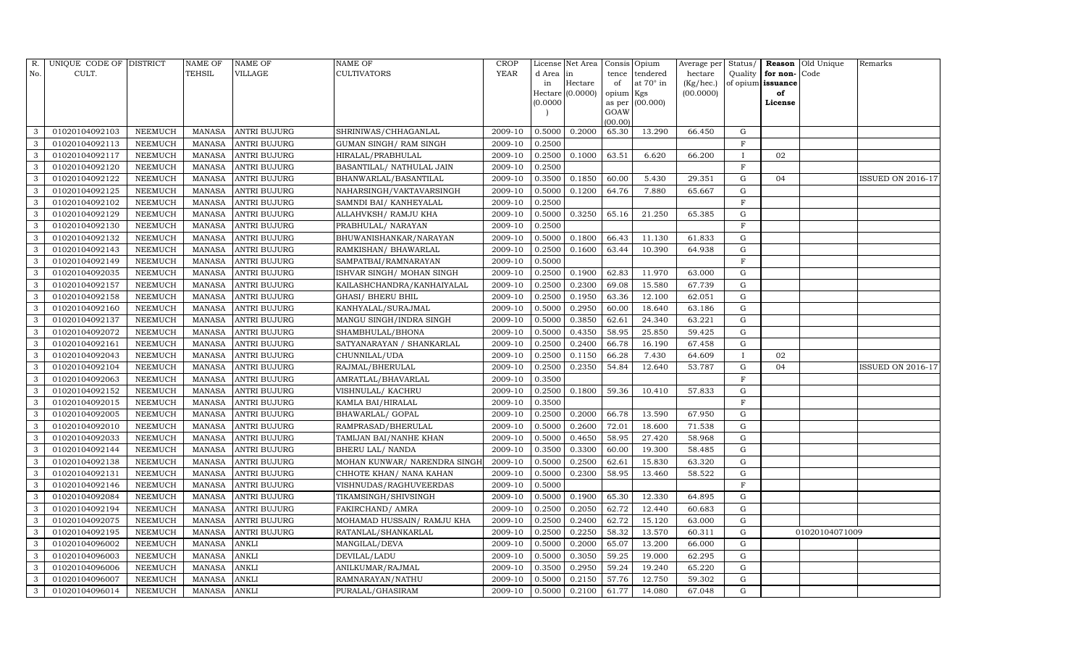| R.           | UNIQUE CODE OF DISTRICT |                | <b>NAME OF</b> | <b>NAME OF</b>      | <b>NAME OF</b>               | CROP        |           | License Net Area |           | Consis Opium     | Average per | Status/      |                   | Reason Old Unique | Remarks                  |
|--------------|-------------------------|----------------|----------------|---------------------|------------------------------|-------------|-----------|------------------|-----------|------------------|-------------|--------------|-------------------|-------------------|--------------------------|
| No.          | CULT.                   |                | <b>TEHSIL</b>  | VILLAGE             | <b>CULTIVATORS</b>           | <b>YEAR</b> | d Area in |                  | tence     | tendered         | hectare     | Quality      | for non-          | Code              |                          |
|              |                         |                |                |                     |                              |             | in        | Hectare          | of        | at $70^\circ$ in | (Kg/hec.)   |              | of opium issuance |                   |                          |
|              |                         |                |                |                     |                              |             |           | Hectare (0.0000) | opium Kgs |                  | (00.0000)   |              | of                |                   |                          |
|              |                         |                |                |                     |                              |             | (0.0000)  |                  | GOAW      | as per (00.000)  |             |              | License           |                   |                          |
|              |                         |                |                |                     |                              |             |           |                  | (00.00)   |                  |             |              |                   |                   |                          |
| 3            | 01020104092103          | NEEMUCH        | MANASA         | <b>ANTRI BUJURG</b> | SHRINIWAS/CHHAGANLAL         | 2009-10     | 0.5000    | 0.2000           | 65.30     | 13.290           | 66.450      | G            |                   |                   |                          |
| 3            | 01020104092113          | NEEMUCH        | MANASA         | <b>ANTRI BUJURG</b> | GUMAN SINGH/ RAM SINGH       | 2009-10     | 0.2500    |                  |           |                  |             | F            |                   |                   |                          |
| 3            | 01020104092117          | NEEMUCH        | MANASA         | <b>ANTRI BUJURG</b> | HIRALAL/PRABHULAL            | 2009-10     | 0.2500    | 0.1000           | 63.51     | 6.620            | 66.200      | $\mathbf{I}$ | 02                |                   |                          |
| 3            | 01020104092120          | <b>NEEMUCH</b> | MANASA         | <b>ANTRI BUJURG</b> | BASANTILAL/ NATHULAL JAIN    | 2009-10     | 0.2500    |                  |           |                  |             | F            |                   |                   |                          |
| 3            | 01020104092122          | NEEMUCH        | MANASA         | <b>ANTRI BUJURG</b> | BHANWARLAL/BASANTILAL        | 2009-10     | 0.3500    | 0.1850           | 60.00     | 5.430            | 29.351      | G            | 04                |                   | <b>ISSUED ON 2016-17</b> |
| 3            | 01020104092125          | NEEMUCH        | MANASA         | <b>ANTRI BUJURG</b> | NAHARSINGH/VAKTAVARSINGH     | 2009-10     | 0.5000    | 0.1200           | 64.76     | 7.880            | 65.667      | ${\rm G}$    |                   |                   |                          |
| 3            | 01020104092102          | <b>NEEMUCH</b> | <b>MANASA</b>  | <b>ANTRI BUJURG</b> | SAMNDI BAI/ KANHEYALAL       | 2009-10     | 0.2500    |                  |           |                  |             | $\rm F$      |                   |                   |                          |
| 3            | 01020104092129          | <b>NEEMUCH</b> | MANASA         | <b>ANTRI BUJURG</b> | ALLAHVKSH/ RAMJU KHA         | 2009-10     | 0.5000    | 0.3250           | 65.16     | 21.250           | 65.385      | ${\rm G}$    |                   |                   |                          |
| 3            | 01020104092130          | NEEMUCH        | MANASA         | <b>ANTRI BUJURG</b> | PRABHULAL/ NARAYAN           | 2009-10     | 0.2500    |                  |           |                  |             | $\mathbf{F}$ |                   |                   |                          |
| 3            | 01020104092132          | NEEMUCH        | MANASA         | <b>ANTRI BUJURG</b> | BHUWANISHANKAR/NARAYAN       | 2009-10     | 0.5000    | 0.1800           | 66.43     | 11.130           | 61.833      | G            |                   |                   |                          |
| 3            | 01020104092143          | <b>NEEMUCH</b> | MANASA         | <b>ANTRI BUJURG</b> | RAMKISHAN / BHAWARLAL        | 2009-10     | 0.2500    | 0.1600           | 63.44     | 10.390           | 64.938      | G            |                   |                   |                          |
| 3            | 01020104092149          | <b>NEEMUCH</b> | MANASA         | <b>ANTRI BUJURG</b> | SAMPATBAI/RAMNARAYAN         | 2009-10     | 0.5000    |                  |           |                  |             | $\mathbf F$  |                   |                   |                          |
| 3            | 01020104092035          | NEEMUCH        | MANASA         | <b>ANTRI BUJURG</b> | ISHVAR SINGH/ MOHAN SINGH    | 2009-10     | 0.2500    | 0.1900           | 62.83     | 11.970           | 63.000      | $\mathbf G$  |                   |                   |                          |
| 3            | 01020104092157          | NEEMUCH        | MANASA         | <b>ANTRI BUJURG</b> | KAILASHCHANDRA/KANHAIYALAL   | 2009-10     | 0.2500    | 0.2300           | 69.08     | 15.580           | 67.739      | G            |                   |                   |                          |
| 3            | 01020104092158          | NEEMUCH        | MANASA         | <b>ANTRI BUJURG</b> | GHASI / BHERU BHIL           | 2009-10     | 0.2500    | 0.1950           | 63.36     | 12.100           | 62.051      | G            |                   |                   |                          |
| 3            | 01020104092160          | NEEMUCH        | MANASA         | <b>ANTRI BUJURG</b> | KANHYALAL/SURAJMAL           | 2009-10     | 0.5000    | 0.2950           | 60.00     | 18.640           | 63.186      | G            |                   |                   |                          |
| 3            | 01020104092137          | <b>NEEMUCH</b> | MANASA         | <b>ANTRI BUJURG</b> | MANGU SINGH/INDRA SINGH      | 2009-10     | 0.5000    | 0.3850           | 62.61     | 24.340           | 63.221      | $\mathbf G$  |                   |                   |                          |
| 3            | 01020104092072          | NEEMUCH        | MANASA         | <b>ANTRI BUJURG</b> | SHAMBHULAL/BHONA             | 2009-10     | 0.5000    | 0.4350           | 58.95     | 25.850           | 59.425      | G            |                   |                   |                          |
| 3            | 01020104092161          | NEEMUCH        | MANASA         | <b>ANTRI BUJURG</b> | SATYANARAYAN / SHANKARLAL    | 2009-10     | 0.2500    | 0.2400           | 66.78     | 16.190           | 67.458      | G            |                   |                   |                          |
| 3            | 01020104092043          | <b>NEEMUCH</b> | MANASA         | <b>ANTRI BUJURG</b> | CHUNNILAL/UDA                | 2009-10     | 0.2500    | 0.1150           | 66.28     | 7.430            | 64.609      | $\mathbf{I}$ | 02                |                   |                          |
| 3            | 01020104092104          | <b>NEEMUCH</b> | MANASA         | <b>ANTRI BUJURG</b> | RAJMAL/BHERULAL              | 2009-10     | 0.2500    | 0.2350           | 54.84     | 12.640           | 53.787      | G            | 04                |                   | <b>ISSUED ON 2016-17</b> |
| 3            | 01020104092063          | <b>NEEMUCH</b> | MANASA         | <b>ANTRI BUJURG</b> | AMRATLAL/BHAVARLAL           | 2009-10     | 0.3500    |                  |           |                  |             | $\rm F$      |                   |                   |                          |
| 3            | 01020104092152          | NEEMUCH        | MANASA         | <b>ANTRI BUJURG</b> | VISHNULAL/ KACHRU            | 2009-10     | 0.2500    | 0.1800           | 59.36     | 10.410           | 57.833      | G            |                   |                   |                          |
| 3            | 01020104092015          | <b>NEEMUCH</b> | MANASA         | <b>ANTRI BUJURG</b> | KAMLA BAI/HIRALAL            | 2009-10     | 0.3500    |                  |           |                  |             | $\mathbf F$  |                   |                   |                          |
| 3            | 01020104092005          | <b>NEEMUCH</b> | MANASA         | <b>ANTRI BUJURG</b> | BHAWARLAL/ GOPAL             | 2009-10     | 0.2500    | 0.2000           | 66.78     | 13.590           | 67.950      | G            |                   |                   |                          |
| 3            | 01020104092010          | <b>NEEMUCH</b> | MANASA         | <b>ANTRI BUJURG</b> | RAMPRASAD/BHERULAL           | 2009-10     | 0.5000    | 0.2600           | 72.01     | 18.600           | 71.538      | G            |                   |                   |                          |
| 3            | 01020104092033          | <b>NEEMUCH</b> | MANASA         | <b>ANTRI BUJURG</b> | TAMIJAN BAI/NANHE KHAN       | 2009-10     | 0.5000    | 0.4650           | 58.95     | 27.420           | 58.968      | ${\rm G}$    |                   |                   |                          |
| 3            | 01020104092144          | <b>NEEMUCH</b> | MANASA         | <b>ANTRI BUJURG</b> | <b>BHERU LAL/ NANDA</b>      | 2009-10     | 0.3500    | 0.3300           | 60.00     | 19.300           | 58.485      | $\mathbf G$  |                   |                   |                          |
| $\mathbf{3}$ | 01020104092138          | NEEMUCH        | MANASA         | <b>ANTRI BUJURG</b> | MOHAN KUNWAR/ NARENDRA SINGH | 2009-10     | 0.5000    | 0.2500           | 62.61     | 15.830           | 63.320      | G            |                   |                   |                          |
| 3            | 01020104092131          | <b>NEEMUCH</b> | MANASA         | <b>ANTRI BUJURG</b> | CHHOTE KHAN/ NANA KAHAN      | 2009-10     | 0.5000    | 0.2300           | 58.95     | 13.460           | 58.522      | ${\rm G}$    |                   |                   |                          |
| 3            | 01020104092146          | <b>NEEMUCH</b> | MANASA         | <b>ANTRI BUJURG</b> | VISHNUDAS/RAGHUVEERDAS       | 2009-10     | 0.5000    |                  |           |                  |             | $\mathbf F$  |                   |                   |                          |
| 3            | 01020104092084          | NEEMUCH        | MANASA         | <b>ANTRI BUJURG</b> | TIKAMSINGH/SHIVSINGH         | 2009-10     | 0.5000    | 0.1900           | 65.30     | 12.330           | 64.895      | G            |                   |                   |                          |
| 3            | 01020104092194          | <b>NEEMUCH</b> | MANASA         | <b>ANTRI BUJURG</b> | <b>FAKIRCHAND/ AMRA</b>      | 2009-10     | 0.2500    | 0.2050           | 62.72     | 12.440           | 60.683      | ${\rm G}$    |                   |                   |                          |
| 3            | 01020104092075          | <b>NEEMUCH</b> | MANASA         | <b>ANTRI BUJURG</b> | MOHAMAD HUSSAIN/ RAMJU KHA   | 2009-10     | 0.2500    | 0.2400           | 62.72     | 15.120           | 63.000      | G            |                   |                   |                          |
| 3            | 01020104092195          | <b>NEEMUCH</b> | MANASA         | <b>ANTRI BUJURG</b> | RATANLAL/SHANKARLAL          | 2009-10     | 0.2500    | 0.2250           | 58.32     | 13.570           | 60.311      | G            |                   | 01020104071009    |                          |
| 3            | 01020104096002          | <b>NEEMUCH</b> | MANASA         | <b>ANKLI</b>        | MANGILAL/DEVA                | 2009-10     | 0.5000    | 0.2000           | 65.07     | 13.200           | 66.000      | G            |                   |                   |                          |
| 3            | 01020104096003          | <b>NEEMUCH</b> | MANASA         | <b>ANKLI</b>        | DEVILAL/LADU                 | 2009-10     | 0.5000    | 0.3050           | 59.25     | 19.000           | 62.295      | G            |                   |                   |                          |
| 3            | 01020104096006          | NEEMUCH        | MANASA         | <b>ANKLI</b>        | ANILKUMAR/RAJMAL             | 2009-10     | 0.3500    | 0.2950           | 59.24     | 19.240           | 65.220      | G            |                   |                   |                          |
| $\mathbf{3}$ | 01020104096007          | NEEMUCH        | MANASA         | <b>ANKLI</b>        | RAMNARAYAN/NATHU             | 2009-10     | 0.5000    | 0.2150           | 57.76     | 12.750           | 59.302      | G            |                   |                   |                          |
| 3            | 01020104096014          | <b>NEEMUCH</b> | MANASA ANKLI   |                     | PURALAL/GHASIRAM             | 2009-10     | 0.5000    | 0.2100           | 61.77     | 14.080           | 67.048      | G            |                   |                   |                          |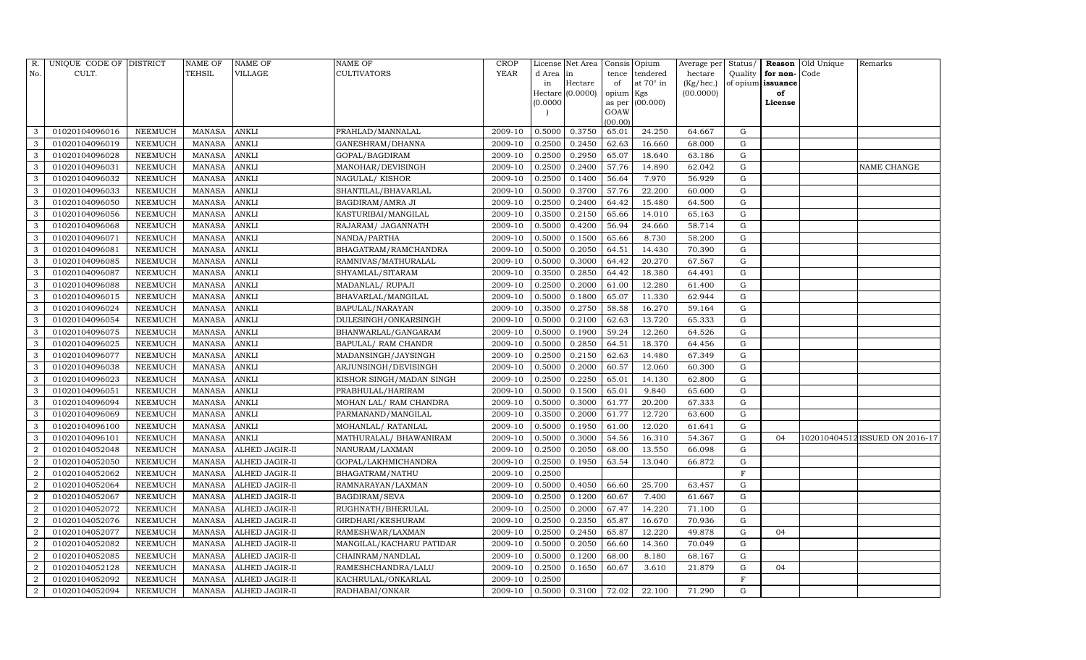| R.             | UNIQUE CODE OF DISTRICT |                | NAME OF       | <b>NAME OF</b>        | <b>NAME OF</b>             | <b>CROP</b> |           | License Net Area |                | Consis Opium     | Average per | Status/     | Reason            | Old Unique | Remarks                        |
|----------------|-------------------------|----------------|---------------|-----------------------|----------------------------|-------------|-----------|------------------|----------------|------------------|-------------|-------------|-------------------|------------|--------------------------------|
| No.            | CULT.                   |                | <b>TEHSIL</b> | VILLAGE               | <b>CULTIVATORS</b>         | YEAR        | d Area in |                  | tence          | tendered         | hectare     | Quality     | for non-          | Code       |                                |
|                |                         |                |               |                       |                            |             | in        | Hectare          | of             | at $70^\circ$ in | (Kg/hec.)   |             | of opium issuance |            |                                |
|                |                         |                |               |                       |                            |             |           | Hectare (0.0000) | opium Kgs      |                  | (00.0000)   |             | of                |            |                                |
|                |                         |                |               |                       |                            |             | (0.0000)  |                  | as per<br>GOAW | (00.000)         |             |             | License           |            |                                |
|                |                         |                |               |                       |                            |             |           |                  | (00.00)        |                  |             |             |                   |            |                                |
| 3              | 01020104096016          | NEEMUCH        | MANASA        | <b>ANKLI</b>          | PRAHLAD/MANNALAL           | 2009-10     | 0.5000    | 0.3750           | 65.01          | 24.250           | 64.667      | G           |                   |            |                                |
| 3              | 01020104096019          | NEEMUCH        | <b>MANASA</b> | <b>ANKLI</b>          | GANESHRAM/DHANNA           | 2009-10     | 0.2500    | 0.2450           | 62.63          | 16.660           | 68.000      | G           |                   |            |                                |
| 3              | 01020104096028          | <b>NEEMUCH</b> | <b>MANASA</b> | <b>ANKLI</b>          | GOPAL/BAGDIRAM             | 2009-10     | 0.2500    | 0.2950           | 65.07          | 18.640           | 63.186      | G           |                   |            |                                |
| 3              | 01020104096031          | NEEMUCH        | MANASA        | <b>ANKLI</b>          | MANOHAR/DEVISINGH          | 2009-10     | 0.2500    | 0.2400           | 57.76          | 14.890           | 62.042      | ${\rm G}$   |                   |            | NAME CHANGE                    |
| 3              | 01020104096032          | NEEMUCH        | <b>MANASA</b> | <b>ANKLI</b>          | <b>NAGULAL/ KISHOR</b>     | 2009-10     | 0.2500    | 0.1400           | 56.64          | 7.970            | 56.929      | $\mathbf G$ |                   |            |                                |
| 3              | 01020104096033          | NEEMUCH        | MANASA        | <b>ANKLI</b>          | SHANTILAL/BHAVARLAL        | 2009-10     | 0.5000    | 0.3700           | 57.76          | 22.200           | 60.000      | G           |                   |            |                                |
| 3              | 01020104096050          | NEEMUCH        | MANASA        | <b>ANKLI</b>          | BAGDIRAM/AMRA JI           | 2009-10     | 0.2500    | 0.2400           | 64.42          | 15.480           | 64.500      | G           |                   |            |                                |
| 3              | 01020104096056          | <b>NEEMUCH</b> | MANASA        | <b>ANKLI</b>          | KASTURIBAI/MANGILAL        | 2009-10     | 0.3500    | 0.2150           | 65.66          | 14.010           | 65.163      | ${\rm G}$   |                   |            |                                |
| 3              | 01020104096068          | <b>NEEMUCH</b> | <b>MANASA</b> | <b>ANKLI</b>          | RAJARAM/ JAGANNATH         | 2009-10     | 0.5000    | 0.4200           | 56.94          | 24.660           | 58.714      | $\mathbf G$ |                   |            |                                |
| 3              | 01020104096071          | NEEMUCH        | MANASA        | <b>ANKLI</b>          | NANDA/PARTHA               | 2009-10     | 0.5000    | 0.1500           | 65.66          | 8.730            | 58.200      | ${\rm G}$   |                   |            |                                |
| 3              | 01020104096081          | <b>NEEMUCH</b> | <b>MANASA</b> | <b>ANKLI</b>          | BHAGATRAM/RAMCHANDRA       | 2009-10     | 0.5000    | 0.2050           | 64.51          | 14.430           | 70.390      | ${\rm G}$   |                   |            |                                |
| 3              | 01020104096085          | <b>NEEMUCH</b> | MANASA        | <b>ANKLI</b>          | RAMNIVAS/MATHURALAL        | 2009-10     | 0.5000    | 0.3000           | 64.42          | 20.270           | 67.567      | G           |                   |            |                                |
| 3              | 01020104096087          | <b>NEEMUCH</b> | <b>MANASA</b> | <b>ANKLI</b>          | SHYAMLAL/SITARAM           | 2009-10     | 0.3500    | 0.2850           | 64.42          | 18.380           | 64.491      | ${\rm G}$   |                   |            |                                |
| 3              | 01020104096088          | <b>NEEMUCH</b> | <b>MANASA</b> | <b>ANKLI</b>          | MADANLAL/ RUPAJI           | 2009-10     | 0.2500    | 0.2000           | 61.00          | 12.280           | 61.400      | G           |                   |            |                                |
| 3              | 01020104096015          | NEEMUCH        | MANASA        | <b>ANKLI</b>          | BHAVARLAL/MANGILAL         | 2009-10     | 0.5000    | 0.1800           | 65.07          | 11.330           | 62.944      | G           |                   |            |                                |
| 3              | 01020104096024          | NEEMUCH        | <b>MANASA</b> | <b>ANKLI</b>          | <b>BAPULAL/NARAYAN</b>     | 2009-10     | 0.3500    | 0.2750           | 58.58          | 16.270           | 59.164      | $\mathbf G$ |                   |            |                                |
| 3              | 01020104096054          | <b>NEEMUCH</b> | <b>MANASA</b> | <b>ANKLI</b>          | DULESINGH/ONKARSINGH       | 2009-10     | 0.5000    | 0.2100           | 62.63          | 13.720           | 65.333      | G           |                   |            |                                |
| 3              | 01020104096075          | <b>NEEMUCH</b> | MANASA        | <b>ANKLI</b>          | BHANWARLAL/GANGARAM        | 2009-10     | 0.5000    | 0.1900           | 59.24          | 12.260           | 64.526      | G           |                   |            |                                |
| 3              | 01020104096025          | NEEMUCH        | <b>MANASA</b> | <b>ANKLI</b>          | <b>BAPULAL/ RAM CHANDR</b> | 2009-10     | 0.5000    | 0.2850           | 64.51          | 18.370           | 64.456      | G           |                   |            |                                |
| 3              | 01020104096077          | NEEMUCH        | MANASA        | <b>ANKLI</b>          | MADANSINGH/JAYSINGH        | 2009-10     | 0.2500    | 0.2150           | 62.63          | 14.480           | 67.349      | G           |                   |            |                                |
| 3              | 01020104096038          | NEEMUCH        | MANASA        | <b>ANKLI</b>          | ARJUNSINGH/DEVISINGH       | 2009-10     | 0.5000    | 0.2000           | 60.57          | 12.060           | 60.300      | G           |                   |            |                                |
| 3              | 01020104096023          | <b>NEEMUCH</b> | <b>MANASA</b> | <b>ANKLI</b>          | KISHOR SINGH/MADAN SINGH   | 2009-10     | 0.2500    | 0.2250           | 65.01          | 14.130           | 62.800      | ${\rm G}$   |                   |            |                                |
| 3              | 01020104096051          | NEEMUCH        | MANASA        | <b>ANKLI</b>          | PRABHULAL/HARIRAM          | 2009-10     | 0.5000    | 0.1500           | 65.01          | 9.840            | 65.600      | ${\rm G}$   |                   |            |                                |
| 3              | 01020104096094          | <b>NEEMUCH</b> | <b>MANASA</b> | <b>ANKLI</b>          | MOHAN LAL/ RAM CHANDRA     | 2009-10     | 0.5000    | 0.3000           | 61.77          | 20.200           | 67.333      | G           |                   |            |                                |
| 3              | 01020104096069          | <b>NEEMUCH</b> | <b>MANASA</b> | <b>ANKLI</b>          | PARMANAND/MANGILAL         | 2009-10     | 0.3500    | 0.2000           | 61.77          | 12.720           | 63.600      | G           |                   |            |                                |
| 3              | 01020104096100          | <b>NEEMUCH</b> | <b>MANASA</b> | ANKLI                 | MOHANLAL/ RATANLAL         | 2009-10     | 0.5000    | 0.1950           | 61.00          | 12.020           | 61.641      | G           |                   |            |                                |
| 3              | 01020104096101          | <b>NEEMUCH</b> | MANASA        | <b>ANKLI</b>          | MATHURALAL/ BHAWANIRAM     | 2009-10     | 0.5000    | 0.3000           | 54.56          | 16.310           | 54.367      | ${\rm G}$   | 04                |            | 102010404512 ISSUED ON 2016-17 |
| $\overline{2}$ | 01020104052048          | <b>NEEMUCH</b> | <b>MANASA</b> | ALHED JAGIR-II        | NANURAM/LAXMAN             | 2009-10     | 0.2500    | 0.2050           | 68.00          | 13.550           | 66.098      | $\mathbf G$ |                   |            |                                |
| $\overline{2}$ | 01020104052050          | NEEMUCH        | MANASA        | ALHED JAGIR-II        | GOPAL/LAKHMICHANDRA        | 2009-10     | 0.2500    | 0.1950           | 63.54          | 13.040           | 66.872      | G           |                   |            |                                |
| $\overline{2}$ | 01020104052062          | <b>NEEMUCH</b> | MANASA        | ALHED JAGIR-II        | BHAGATRAM/NATHU            | 2009-10     | 0.2500    |                  |                |                  |             | $\mathbf F$ |                   |            |                                |
| $\overline{2}$ | 01020104052064          | <b>NEEMUCH</b> | MANASA        | ALHED JAGIR-II        | RAMNARAYAN/LAXMAN          | 2009-10     | 0.5000    | 0.4050           | 66.60          | 25.700           | 63.457      | ${\rm G}$   |                   |            |                                |
| $\overline{2}$ | 01020104052067          | <b>NEEMUCH</b> | <b>MANASA</b> | ALHED JAGIR-II        | <b>BAGDIRAM/SEVA</b>       | 2009-10     | 0.2500    | 0.1200           | 60.67          | 7.400            | 61.667      | $\mathbf G$ |                   |            |                                |
| $\overline{2}$ | 01020104052072          | <b>NEEMUCH</b> | MANASA        | ALHED JAGIR-II        | RUGHNATH/BHERULAL          | 2009-10     | 0.2500    | 0.2000           | 67.47          | 14.220           | 71.100      | G           |                   |            |                                |
| $\overline{2}$ | 01020104052076          | <b>NEEMUCH</b> | MANASA        | ALHED JAGIR-II        | GIRDHARI/KESHURAM          | 2009-10     | 0.2500    | 0.2350           | 65.87          | 16.670           | 70.936      | G           |                   |            |                                |
| $\overline{2}$ | 01020104052077          | <b>NEEMUCH</b> | MANASA        | ALHED JAGIR-II        | RAMESHWAR/LAXMAN           | 2009-10     | 0.2500    | 0.2450           | 65.87          | 12.220           | 49.878      | G           | 04                |            |                                |
| $\overline{2}$ | 01020104052082          | <b>NEEMUCH</b> | MANASA        | ALHED JAGIR-II        | MANGILAL/KACHARU PATIDAR   | 2009-10     | 0.5000    | 0.2050           | 66.60          | 14.360           | 70.049      | $\mathbf G$ |                   |            |                                |
| 2              | 01020104052085          | <b>NEEMUCH</b> | MANASA        | ALHED JAGIR-II        | CHAINRAM/NANDLAL           | 2009-10     | 0.5000    | 0.1200           | 68.00          | 8.180            | 68.167      | G           |                   |            |                                |
| $\overline{2}$ | 01020104052128          | NEEMUCH        | MANASA        | ALHED JAGIR-II        | RAMESHCHANDRA/LALU         | 2009-10     | 0.2500    | 0.1650           | 60.67          | 3.610            | 21.879      | G           | 04                |            |                                |
| $\overline{2}$ | 01020104052092          | NEEMUCH        | MANASA        | ALHED JAGIR-II        | KACHRULAL/ONKARLAL         | 2009-10     | 0.2500    |                  |                |                  |             | F           |                   |            |                                |
| $\overline{2}$ | 01020104052094          | <b>NEEMUCH</b> |               | MANASA ALHED JAGIR-II | RADHABAI/ONKAR             | 2009-10     | 0.5000    | 0.3100           | 72.02          | 22.100           | 71.290      | G           |                   |            |                                |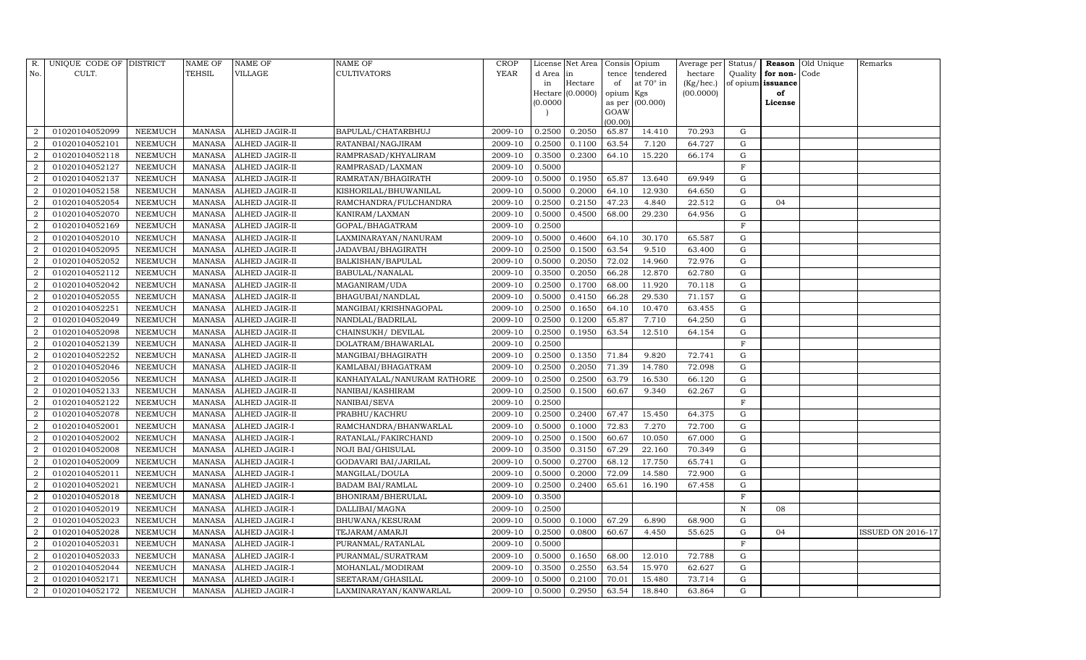| R.                          | UNIQUE CODE OF DISTRICT |                 | <b>NAME OF</b> | NAME OF              | NAME OF                     | <b>CROP</b> |           | License Net Area |                | Consis Opium | Average per | Status/      |          | Reason Old Unique | Remarks                  |
|-----------------------------|-------------------------|-----------------|----------------|----------------------|-----------------------------|-------------|-----------|------------------|----------------|--------------|-------------|--------------|----------|-------------------|--------------------------|
| No.                         | CULT.                   |                 | TEHSIL         | VILLAGE              | CULTIVATORS                 | <b>YEAR</b> | d Area in |                  | tence          | tendered     | hectare     | Quality      | for non- | Code              |                          |
|                             |                         |                 |                |                      |                             |             | in        | Hectare          | of             | at 70° in    | (Kg/hec.)   | of opium     | issuance |                   |                          |
|                             |                         |                 |                |                      |                             |             |           | Hectare (0.0000) | opium Kgs      |              | (00.0000)   |              | of       |                   |                          |
|                             |                         |                 |                |                      |                             |             | (0.0000)  |                  | as per<br>GOAW | (00.000)     |             |              | License  |                   |                          |
|                             |                         |                 |                |                      |                             |             |           |                  | (00.00)        |              |             |              |          |                   |                          |
| $\mathcal{D}$               | 01020104052099          | NEEMUCH         | MANASA         | ALHED JAGIR-II       | BAPULAL/CHATARBHUJ          | 2009-10     | 0.2500    | 0.2050           | 65.87          | 14.410       | 70.293      | ${\rm G}$    |          |                   |                          |
|                             | 01020104052101          | NEEMUCH         | <b>MANASA</b>  | ALHED JAGIR-II       | RATANBAI/NAGJIRAM           | 2009-10     | 0.2500    | 0.1100           | 63.54          | 7.120        | 64.727      | G            |          |                   |                          |
| 2                           | 01020104052118          | NEEMUCH         | <b>MANASA</b>  | ALHED JAGIR-II       | RAMPRASAD/KHYALIRAM         | 2009-10     | 0.3500    | 0.2300           | 64.10          | 15.220       | 66.174      | G            |          |                   |                          |
| 2                           | 01020104052127          | NEEMUCH         | MANASA         | ALHED JAGIR-II       | RAMPRASAD/LAXMAN            | 2009-10     | 0.5000    |                  |                |              |             | $\mathbf F$  |          |                   |                          |
| $\overline{2}$              | 01020104052137          | NEEMUCH         | <b>MANASA</b>  | ALHED JAGIR-II       | RAMRATAN/BHAGIRATH          | 2009-10     | 0.5000    | 0.1950           | 65.87          | 13.640       | 69.949      | G            |          |                   |                          |
| $\overline{2}$              | 01020104052158          | NEEMUCH         | <b>MANASA</b>  | ALHED JAGIR-II       | KISHORILAL/BHUWANILAL       | 2009-10     | 0.5000    | 0.2000           | 64.10          | 12.930       | 64.650      | ${\rm G}$    |          |                   |                          |
| $\overline{2}$              | 01020104052054          | NEEMUCH         | <b>MANASA</b>  | ALHED JAGIR-II       | RAMCHANDRA/FULCHANDRA       | 2009-10     | 0.2500    | 0.2150           | 47.23          | 4.840        | 22.512      | G            | 04       |                   |                          |
| 2                           | 01020104052070          | NEEMUCH         | <b>MANASA</b>  | ALHED JAGIR-II       | KANIRAM/LAXMAN              | 2009-10     | 0.5000    | 0.4500           | 68.00          | 29.230       | 64.956      | ${\rm G}$    |          |                   |                          |
| $\overline{2}$              | 01020104052169          | <b>NEEMUCH</b>  | <b>MANASA</b>  | ALHED JAGIR-II       | GOPAL/BHAGATRAM             | 2009-10     | 0.2500    |                  |                |              |             | $\mathbf F$  |          |                   |                          |
|                             | 01020104052010          | NEEMUCH         | <b>MANASA</b>  | ALHED JAGIR-II       | LAXMINARAYAN/NANURAM        | 2009-10     | 0.5000    | 0.4600           | 64.10          | 30.170       | 65.587      | G            |          |                   |                          |
| $\overline{2}$              | 01020104052095          | NEEMUCH         | <b>MANASA</b>  | ALHED JAGIR-II       | JADAVBAI/BHAGIRATH          | 2009-10     | 0.2500    | 0.1500           | 63.54          | 9.510        | 63.400      | ${\rm G}$    |          |                   |                          |
| $\overline{2}$              | 01020104052052          | NEEMUCH         | <b>MANASA</b>  | ALHED JAGIR-II       | BALKISHAN/BAPULAL           | 2009-10     | 0.5000    | 0.2050           | 72.02          | 14.960       | 72.976      | G            |          |                   |                          |
| $\overline{2}$              | 01020104052112          | <b>NEEMUCH</b>  | <b>MANASA</b>  | ALHED JAGIR-II       | BABULAL/NANALAL             | 2009-10     | 0.3500    | 0.2050           | 66.28          | 12.870       | 62.780      | ${\rm G}$    |          |                   |                          |
| $\overline{2}$              | 01020104052042          | NEEMUCH         | MANASA         | ALHED JAGIR-II       | MAGANIRAM/UDA               | 2009-10     | 0.2500    | 0.1700           | 68.00          | 11.920       | 70.118      | G            |          |                   |                          |
| $\overline{2}$              | 01020104052055          | NEEMUCH         | MANASA         | ALHED JAGIR-II       | BHAGUBAI/NANDLAL            | 2009-10     | 0.5000    | 0.4150           | 66.28          | 29.530       | 71.157      | G            |          |                   |                          |
| 2                           | 01020104052251          | NEEMUCH         | <b>MANASA</b>  | ALHED JAGIR-II       | MANGIBAI/KRISHNAGOPAL       | 2009-10     | 0.2500    | 0.1650           | 64.10          | 10.470       | 63.455      | G            |          |                   |                          |
| $\mathcal{D}$               | 01020104052049          | <b>NEEMUCH</b>  | <b>MANASA</b>  | ALHED JAGIR-II       | NANDLAL/BADRILAL            | 2009-10     | 0.2500    | 0.1200           | 65.87          | 7.710        | 64.250      | G            |          |                   |                          |
| 2                           | 01020104052098          | NEEMUCH         | MANASA         | ALHED JAGIR-II       | CHAINSUKH/DEVILAL           | 2009-10     | 0.2500    | 0.1950           | 63.54          | 12.510       | 64.154      | G            |          |                   |                          |
| $\overline{2}$              | 01020104052139          | NEEMUCH         | <b>MANASA</b>  | ALHED JAGIR-II       | DOLATRAM/BHAWARLAL          | 2009-10     | 0.2500    |                  |                |              |             | F            |          |                   |                          |
| 2                           | 01020104052252          | ${\tt NEEMUCH}$ | <b>MANASA</b>  | ALHED JAGIR-II       | MANGIBAI/BHAGIRATH          | 2009-10     | 0.2500    | 0.1350           | 71.84          | 9.820        | 72.741      | G            |          |                   |                          |
| $\overline{2}$              | 01020104052046          | NEEMUCH         | <b>MANASA</b>  | ALHED JAGIR-II       | KAMLABAI/BHAGATRAM          | 2009-10     | 0.2500    | 0.2050           | 71.39          | 14.780       | 72.098      | ${\rm G}$    |          |                   |                          |
| $\mathcal{D}_{\mathcal{L}}$ | 01020104052056          | <b>NEEMUCH</b>  | <b>MANASA</b>  | ALHED JAGIR-II       | KANHAIYALAL/NANURAM RATHORE | 2009-10     | 0.2500    | 0.2500           | 63.79          | 16.530       | 66.120      | ${\rm G}$    |          |                   |                          |
| $\mathcal{D}$               | 01020104052133          | NEEMUCH         | <b>MANASA</b>  | ALHED JAGIR-II       | NANIBAI/KASHIRAM            | 2009-10     | 0.2500    | 0.1500           | 60.67          | 9.340        | 62.267      | G            |          |                   |                          |
| 2                           | 01020104052122          | NEEMUCH         | <b>MANASA</b>  | ALHED JAGIR-II       | NANIBAI/SEVA                | 2009-10     | 0.2500    |                  |                |              |             | $\mathbf F$  |          |                   |                          |
|                             | 01020104052078          | NEEMUCH         | <b>MANASA</b>  | ALHED JAGIR-II       | PRABHU/KACHRU               | 2009-10     | 0.2500    | 0.2400           | 67.47          | 15.450       | 64.375      | ${\rm G}$    |          |                   |                          |
| $\overline{2}$              | 01020104052001          | NEEMUCH         | <b>MANASA</b>  | ALHED JAGIR-I        | RAMCHANDRA/BHANWARLAL       | 2009-10     | 0.5000    | 0.1000           | 72.83          | 7.270        | 72.700      | G            |          |                   |                          |
| 2                           | 01020104052002          | NEEMUCH         | <b>MANASA</b>  | ALHED JAGIR-I        | RATANLAL/FAKIRCHAND         | 2009-10     | 0.2500    | 0.1500           | 60.67          | 10.050       | 67.000      | ${\rm G}$    |          |                   |                          |
| $\overline{2}$              | 01020104052008          | NEEMUCH         | <b>MANASA</b>  | ALHED JAGIR-I        | NOJI BAI/GHISULAL           | 2009-10     | 0.3500    | 0.3150           | 67.29          | 22.160       | 70.349      | G            |          |                   |                          |
| $\overline{2}$              | 01020104052009          | NEEMUCH         | MANASA         | ALHED JAGIR-I        | GODAVARI BAI/JARILAL        | 2009-10     | 0.5000    | 0.2700           | 68.12          | 17.750       | 65.741      | G            |          |                   |                          |
| $\overline{2}$              | 01020104052011          | NEEMUCH         | <b>MANASA</b>  | ALHED JAGIR-I        | MANGILAL/DOULA              | 2009-10     | 0.5000    | 0.2000           | 72.09          | 14.580       | 72.900      | ${\rm G}$    |          |                   |                          |
| $\overline{2}$              | 01020104052021          | NEEMUCH         | <b>MANASA</b>  | ALHED JAGIR-I        | <b>BADAM BAI/RAMLAL</b>     | 2009-10     | 0.2500    | 0.2400           | 65.61          | 16.190       | 67.458      | ${\rm G}$    |          |                   |                          |
| $\overline{2}$              | 01020104052018          | <b>NEEMUCH</b>  | <b>MANASA</b>  | ALHED JAGIR-I        | BHONIRAM/BHERULAL           | 2009-10     | 0.3500    |                  |                |              |             | $\mathbf F$  |          |                   |                          |
| $\overline{2}$              | 01020104052019          | NEEMUCH         | <b>MANASA</b>  | ALHED JAGIR-I        | DALLIBAI/MAGNA              | 2009-10     | 0.2500    |                  |                |              |             | ${\bf N}$    | 08       |                   |                          |
| $\overline{2}$              | 01020104052023          | NEEMUCH         | <b>MANASA</b>  | ALHED JAGIR-I        | BHUWANA/KESURAM             | 2009-10     | 0.5000    | 0.1000           | 67.29          | 6.890        | 68.900      | G            |          |                   |                          |
| 2                           | 01020104052028          | NEEMUCH         | <b>MANASA</b>  | ALHED JAGIR-I        | TEJARAM/AMARJI              | 2009-10     | 0.2500    | 0.0800           | 60.67          | 4.450        | 55.625      | G            | 04       |                   | <b>ISSUED ON 2016-17</b> |
| $\overline{2}$              | 01020104052031          | <b>NEEMUCH</b>  | <b>MANASA</b>  | ALHED JAGIR-I        | PURANMAL/RATANLAL           | 2009-10     | 0.5000    |                  |                |              |             | $\mathbf{F}$ |          |                   |                          |
| $\overline{2}$              | 01020104052033          | NEEMUCH         | MANASA         | ALHED JAGIR-I        | PURANMAL/SURATRAM           | 2009-10     | 0.5000    | 0.1650           | 68.00          | 12.010       | 72.788      | G            |          |                   |                          |
| 2                           | 01020104052044          | NEEMUCH         | <b>MANASA</b>  | ALHED JAGIR-I        | MOHANLAL/MODIRAM            | 2009-10     | 0.3500    | 0.2550           | 63.54          | 15.970       | 62.627      | G            |          |                   |                          |
| 2                           | 01020104052171          | NEEMUCH         | <b>MANASA</b>  | ALHED JAGIR-I        | SEETARAM/GHASILAL           | 2009-10     | 0.5000    | 0.2100           | 70.01          | 15.480       | 73.714      | G            |          |                   |                          |
| $\overline{a}$              | 01020104052172          | <b>NEEMUCH</b>  | MANASA         | <b>ALHED JAGIR-I</b> | LAXMINARAYAN/KANWARLAL      | 2009-10     | 0.5000    | 0.2950           | 63.54          | 18.840       | 63.864      | G            |          |                   |                          |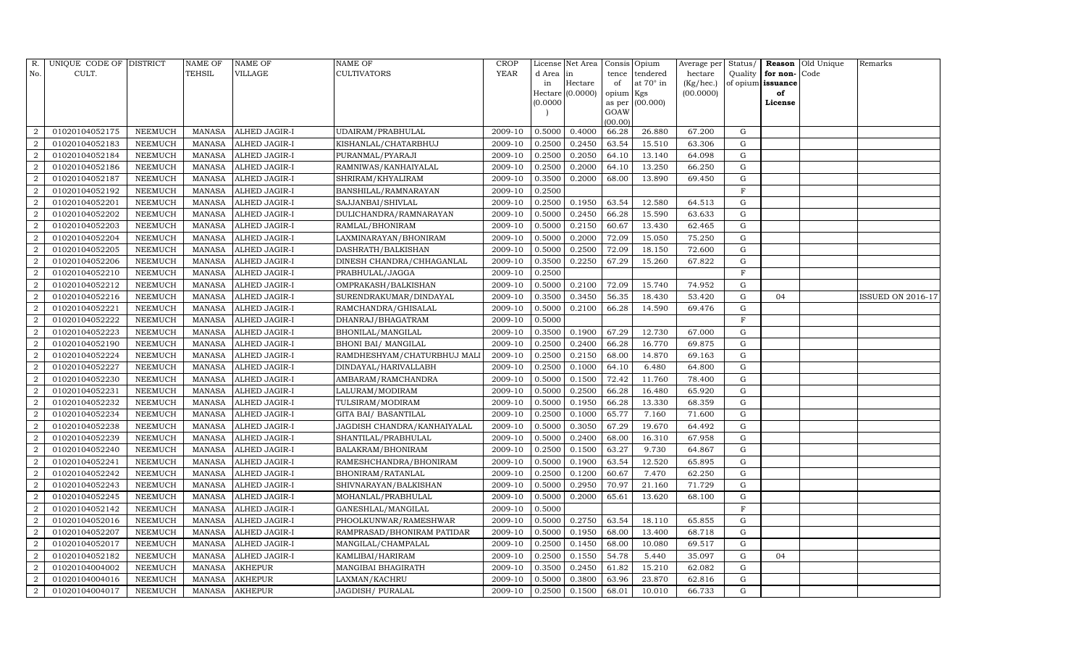| R.             | UNIQUE CODE OF DISTRICT |                | <b>NAME OF</b> | <b>NAME OF</b>       | <b>NAME OF</b>              | CROP    |           | License Net Area |                | Consis Opium     | Average per | Status/      |                   | <b>Reason</b> Old Unique | Remarks           |
|----------------|-------------------------|----------------|----------------|----------------------|-----------------------------|---------|-----------|------------------|----------------|------------------|-------------|--------------|-------------------|--------------------------|-------------------|
| No.            | CULT.                   |                | <b>TEHSIL</b>  | VILLAGE              | <b>CULTIVATORS</b>          | YEAR    | d Area in |                  | tence          | tendered         | hectare     | Quality      | for non-          | Code                     |                   |
|                |                         |                |                |                      |                             |         | in        | Hectare          | of             | at $70^\circ$ in | (Kg/hec.)   |              | of opium issuance |                          |                   |
|                |                         |                |                |                      |                             |         |           | Hectare (0.0000) | opium Kgs      |                  | (00.0000)   |              | of                |                          |                   |
|                |                         |                |                |                      |                             |         | (0.0000   |                  | as per<br>GOAW | (00.000)         |             |              | License           |                          |                   |
|                |                         |                |                |                      |                             |         |           |                  | (00.00)        |                  |             |              |                   |                          |                   |
| $\overline{2}$ | 01020104052175          | NEEMUCH        | MANASA         | ALHED JAGIR-I        | UDAIRAM/PRABHULAL           | 2009-10 | 0.5000    | 0.4000           | 66.28          | 26.880           | 67.200      | G            |                   |                          |                   |
| $\overline{2}$ | 01020104052183          | NEEMUCH        | MANASA         | <b>ALHED JAGIR-I</b> | KISHANLAL/CHATARBHUJ        | 2009-10 | 0.2500    | 0.2450           | 63.54          | 15.510           | 63.306      | G            |                   |                          |                   |
| $\overline{a}$ | 01020104052184          | <b>NEEMUCH</b> | MANASA         | <b>ALHED JAGIR-I</b> | PURANMAL/PYARAJI            | 2009-10 | 0.2500    | 0.2050           | 64.10          | 13.140           | 64.098      | G            |                   |                          |                   |
| $\overline{2}$ | 01020104052186          | NEEMUCH        | MANASA         | <b>ALHED JAGIR-I</b> | RAMNIWAS/KANHAIYALAL        | 2009-10 | 0.2500    | 0.2000           | 64.10          | 13.250           | 66.250      | ${\rm G}$    |                   |                          |                   |
| $\overline{2}$ | 01020104052187          | NEEMUCH        | MANASA         | ALHED JAGIR-I        | SHRIRAM/KHYALIRAM           | 2009-10 | 0.3500    | 0.2000           | 68.00          | 13.890           | 69.450      | $\mathbf G$  |                   |                          |                   |
| $\overline{2}$ | 01020104052192          | NEEMUCH        | MANASA         | <b>ALHED JAGIR-I</b> | BANSHILAL/RAMNARAYAN        | 2009-10 | 0.2500    |                  |                |                  |             | $\rm F$      |                   |                          |                   |
| $\overline{2}$ | 01020104052201          | NEEMUCH        | MANASA         | ALHED JAGIR-I        | SAJJANBAI/SHIVLAL           | 2009-10 | 0.2500    | 0.1950           | 63.54          | 12.580           | 64.513      | G            |                   |                          |                   |
| $\overline{2}$ | 01020104052202          | NEEMUCH        | MANASA         | <b>ALHED JAGIR-I</b> | DULICHANDRA/RAMNARAYAN      | 2009-10 | 0.5000    | 0.2450           | 66.28          | 15.590           | 63.633      | ${\rm G}$    |                   |                          |                   |
| $\overline{2}$ | 01020104052203          | <b>NEEMUCH</b> | MANASA         | <b>ALHED JAGIR-I</b> | RAMLAL/BHONIRAM             | 2009-10 | 0.5000    | 0.2150           | 60.67          | 13.430           | 62.465      | $\mathbf G$  |                   |                          |                   |
| $\overline{2}$ | 01020104052204          | NEEMUCH        | MANASA         | ALHED JAGIR-I        | LAXMINARAYAN/BHONIRAM       | 2009-10 | 0.5000    | 0.2000           | 72.09          | 15.050           | 75.250      | ${\rm G}$    |                   |                          |                   |
| $\overline{2}$ | 01020104052205          | <b>NEEMUCH</b> | MANASA         | <b>ALHED JAGIR-I</b> | DASHRATH/BALKISHAN          | 2009-10 | 0.5000    | 0.2500           | 72.09          | 18.150           | 72.600      | ${\rm G}$    |                   |                          |                   |
| $\overline{2}$ | 01020104052206          | <b>NEEMUCH</b> | MANASA         | <b>ALHED JAGIR-I</b> | DINESH CHANDRA/CHHAGANLAL   | 2009-10 | 0.3500    | 0.2250           | 67.29          | 15.260           | 67.822      | G            |                   |                          |                   |
| $\overline{2}$ | 01020104052210          | <b>NEEMUCH</b> | <b>MANASA</b>  | <b>ALHED JAGIR-I</b> | PRABHULAL/JAGGA             | 2009-10 | 0.2500    |                  |                |                  |             | $\mathbf F$  |                   |                          |                   |
| $\overline{2}$ | 01020104052212          | <b>NEEMUCH</b> | MANASA         | ALHED JAGIR-I        | OMPRAKASH/BALKISHAN         | 2009-10 | 0.5000    | 0.2100           | 72.09          | 15.740           | 74.952      | G            |                   |                          |                   |
| $\overline{2}$ | 01020104052216          | NEEMUCH        | MANASA         | ALHED JAGIR-I        | SURENDRAKUMAR/DINDAYAL      | 2009-10 | 0.3500    | 0.3450           | 56.35          | 18.430           | 53.420      | G            | 04                |                          | ISSUED ON 2016-17 |
| 2              | 01020104052221          | NEEMUCH        | MANASA         | ALHED JAGIR-I        | RAMCHANDRA/GHISALAL         | 2009-10 | 0.5000    | 0.2100           | 66.28          | 14.590           | 69.476      | G            |                   |                          |                   |
| $\overline{2}$ | 01020104052222          | <b>NEEMUCH</b> | MANASA         | <b>ALHED JAGIR-I</b> | DHANRAJ/BHAGATRAM           | 2009-10 | 0.5000    |                  |                |                  |             | $\mathbf{F}$ |                   |                          |                   |
| 2              | 01020104052223          | <b>NEEMUCH</b> | MANASA         | ALHED JAGIR-I        | BHONILAL/MANGILAL           | 2009-10 | 0.3500    | 0.1900           | 67.29          | 12.730           | 67.000      | G            |                   |                          |                   |
| $\overline{a}$ | 01020104052190          | NEEMUCH        | MANASA         | ALHED JAGIR-I        | <b>BHONI BAI/ MANGILAL</b>  | 2009-10 | 0.2500    | 0.2400           | 66.28          | 16.770           | 69.875      | G            |                   |                          |                   |
| $\overline{2}$ | 01020104052224          | NEEMUCH        | MANASA         | ALHED JAGIR-I        | RAMDHESHYAM/CHATURBHUJ MALI | 2009-10 | 0.2500    | 0.2150           | 68.00          | 14.870           | 69.163      | G            |                   |                          |                   |
| $\overline{2}$ | 01020104052227          | NEEMUCH        | MANASA         | <b>ALHED JAGIR-I</b> | DINDAYAL/HARIVALLABH        | 2009-10 | 0.2500    | 0.1000           | 64.10          | 6.480            | 64.800      | G            |                   |                          |                   |
| $\overline{2}$ | 01020104052230          | <b>NEEMUCH</b> | <b>MANASA</b>  | ALHED JAGIR-I        | AMBARAM/RAMCHANDRA          | 2009-10 | 0.5000    | 0.1500           | 72.42          | 11.760           | 78.400      | ${\rm G}$    |                   |                          |                   |
| $\overline{2}$ | 01020104052231          | NEEMUCH        | MANASA         | ALHED JAGIR-I        | LALURAM/MODIRAM             | 2009-10 | 0.5000    | 0.2500           | 66.28          | 16.480           | 65.920      | G            |                   |                          |                   |
| $\overline{2}$ | 01020104052232          | <b>NEEMUCH</b> | MANASA         | <b>ALHED JAGIR-I</b> | TULSIRAM/MODIRAM            | 2009-10 | 0.5000    | 0.1950           | 66.28          | 13.330           | 68.359      | G            |                   |                          |                   |
| $\overline{2}$ | 01020104052234          | <b>NEEMUCH</b> | MANASA         | ALHED JAGIR-I        | GITA BAI/ BASANTILAL        | 2009-10 | 0.2500    | 0.1000           | 65.77          | 7.160            | 71.600      | G            |                   |                          |                   |
| $\overline{2}$ | 01020104052238          | <b>NEEMUCH</b> | MANASA         | ALHED JAGIR-I        | JAGDISH CHANDRA/KANHAIYALAL | 2009-10 | 0.5000    | 0.3050           | 67.29          | 19.670           | 64.492      | G            |                   |                          |                   |
| $\overline{2}$ | 01020104052239          | <b>NEEMUCH</b> | MANASA         | <b>ALHED JAGIR-I</b> | SHANTILAL/PRABHULAL         | 2009-10 | 0.5000    | 0.2400           | 68.00          | 16.310           | 67.958      | G            |                   |                          |                   |
| $\overline{2}$ | 01020104052240          | <b>NEEMUCH</b> | MANASA         | <b>ALHED JAGIR-I</b> | BALAKRAM/BHONIRAM           | 2009-10 | 0.2500    | 0.1500           | 63.27          | 9.730            | 64.867      | $\mathbf G$  |                   |                          |                   |
| $\overline{2}$ | 01020104052241          | NEEMUCH        | MANASA         | ALHED JAGIR-I        | RAMESHCHANDRA/BHONIRAM      | 2009-10 | 0.5000    | 0.1900           | 63.54          | 12.520           | 65.895      | G            |                   |                          |                   |
| 2              | 01020104052242          | NEEMUCH        | MANASA         | ALHED JAGIR-I        | BHONIRAM/RATANLAL           | 2009-10 | 0.2500    | 0.1200           | 60.67          | 7.470            | 62.250      | G            |                   |                          |                   |
| $\overline{2}$ | 01020104052243          | <b>NEEMUCH</b> | MANASA         | <b>ALHED JAGIR-I</b> | SHIVNARAYAN/BALKISHAN       | 2009-10 | 0.5000    | 0.2950           | 70.97          | 21.160           | 71.729      | ${\rm G}$    |                   |                          |                   |
| $\overline{2}$ | 01020104052245          | NEEMUCH        | <b>MANASA</b>  | ALHED JAGIR-I        | MOHANLAL/PRABHULAL          | 2009-10 | 0.5000    | 0.2000           | 65.61          | 13.620           | 68.100      | $\mathbf G$  |                   |                          |                   |
| $\overline{2}$ | 01020104052142          | <b>NEEMUCH</b> | MANASA         | ALHED JAGIR-I        | GANESHLAL/MANGILAL          | 2009-10 | 0.5000    |                  |                |                  |             | $\mathbf F$  |                   |                          |                   |
| $\overline{2}$ | 01020104052016          | <b>NEEMUCH</b> | MANASA         | <b>ALHED JAGIR-I</b> | PHOOLKUNWAR/RAMESHWAR       | 2009-10 | 0.5000    | 0.2750           | 63.54          | 18.110           | 65.855      | G            |                   |                          |                   |
| 2              | 01020104052207          | <b>NEEMUCH</b> | MANASA         | <b>ALHED JAGIR-I</b> | RAMPRASAD/BHONIRAM PATIDAR  | 2009-10 | 0.5000    | 0.1950           | 68.00          | 13.400           | 68.718      | G            |                   |                          |                   |
| $\overline{2}$ | 01020104052017          | <b>NEEMUCH</b> | <b>MANASA</b>  | <b>ALHED JAGIR-I</b> | MANGILAL/CHAMPALAL          | 2009-10 | 0.2500    | 0.1450           | 68.00          | 10.080           | 69.517      | $\mathbf G$  |                   |                          |                   |
| 2              | 01020104052182          | <b>NEEMUCH</b> | MANASA         | ALHED JAGIR-I        | KAMLIBAI/HARIRAM            | 2009-10 | 0.2500    | 0.1550           | 54.78          | 5.440            | 35.097      | G            | 04                |                          |                   |
| $\overline{2}$ | 01020104004002          | NEEMUCH        | MANASA         | <b>AKHEPUR</b>       | MANGIBAI BHAGIRATH          | 2009-10 | 0.3500    | 0.2450           | 61.82          | 15.210           | 62.082      | G            |                   |                          |                   |
| $\overline{2}$ | 01020104004016          | NEEMUCH        | MANASA         | <b>AKHEPUR</b>       | LAXMAN/KACHRU               | 2009-10 | 0.5000    | 0.3800           | 63.96          | 23.870           | 62.816      | G            |                   |                          |                   |
| $\overline{2}$ | 01020104004017          | <b>NEEMUCH</b> |                | MANASA AKHEPUR       | <b>JAGDISH/ PURALAL</b>     | 2009-10 | 0.2500    | 0.1500           | 68.01          | 10.010           | 66.733      | G            |                   |                          |                   |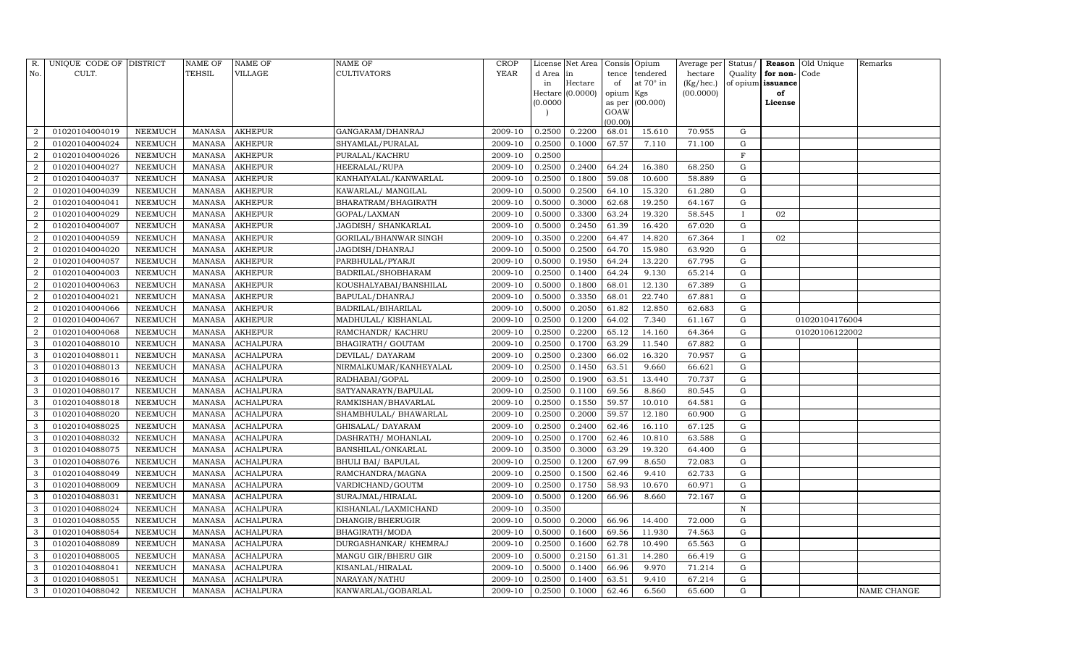| R.             | UNIQUE CODE OF DISTRICT |                | NAME OF       | <b>NAME OF</b>   | <b>NAME OF</b>            | <b>CROP</b> |           | License Net Area |                | Consis Opium     | Average per | Status/      |                   | <b>Reason</b> Old Unique | Remarks     |
|----------------|-------------------------|----------------|---------------|------------------|---------------------------|-------------|-----------|------------------|----------------|------------------|-------------|--------------|-------------------|--------------------------|-------------|
| No.            | CULT.                   |                | <b>TEHSIL</b> | VILLAGE          | <b>CULTIVATORS</b>        | YEAR        | d Area in |                  | tence          | tendered         | hectare     | Quality      | for non-          | Code                     |             |
|                |                         |                |               |                  |                           |             | in        | Hectare          | of             | at $70^\circ$ in | (Kg/hec.)   |              | of opium issuance |                          |             |
|                |                         |                |               |                  |                           |             |           | Hectare (0.0000) | opium Kgs      |                  | (00.0000)   |              | of                |                          |             |
|                |                         |                |               |                  |                           |             | (0.0000)  |                  | as per<br>GOAW | (00.000)         |             |              | License           |                          |             |
|                |                         |                |               |                  |                           |             |           |                  | (00.00)        |                  |             |              |                   |                          |             |
| $\overline{2}$ | 01020104004019          | NEEMUCH        | MANASA        | <b>AKHEPUR</b>   | GANGARAM/DHANRAJ          | 2009-10     | 0.2500    | 0.2200           | 68.01          | 15.610           | 70.955      | G            |                   |                          |             |
| $\overline{2}$ | 01020104004024          | NEEMUCH        | MANASA        | <b>AKHEPUR</b>   | SHYAMLAL/PURALAL          | 2009-10     | 0.2500    | 0.1000           | 67.57          | 7.110            | 71.100      | G            |                   |                          |             |
| $\overline{2}$ | 01020104004026          | <b>NEEMUCH</b> | MANASA        | <b>AKHEPUR</b>   | PURALAL/KACHRU            | 2009-10     | 0.2500    |                  |                |                  |             | $\rm F$      |                   |                          |             |
| $\overline{2}$ | 01020104004027          | NEEMUCH        | MANASA        | <b>AKHEPUR</b>   | HEERALAL/RUPA             | 2009-10     | 0.2500    | 0.2400           | 64.24          | 16.380           | 68.250      | ${\rm G}$    |                   |                          |             |
| $\overline{2}$ | 01020104004037          | NEEMUCH        | MANASA        | <b>AKHEPUR</b>   | KANHAIYALAL/KANWARLAL     | 2009-10     | 0.2500    | 0.1800           | 59.08          | 10.600           | 58.889      | $\mathbf G$  |                   |                          |             |
| $\overline{2}$ | 01020104004039          | NEEMUCH        | MANASA        | <b>AKHEPUR</b>   | KAWARLAL/ MANGILAL        | 2009-10     | 0.5000    | 0.2500           | 64.10          | 15.320           | 61.280      | G            |                   |                          |             |
| $\overline{2}$ | 01020104004041          | NEEMUCH        | MANASA        | <b>AKHEPUR</b>   | BHARATRAM/BHAGIRATH       | 2009-10     | 0.5000    | 0.3000           | 62.68          | 19.250           | 64.167      | G            |                   |                          |             |
| $\overline{2}$ | 01020104004029          | NEEMUCH        | MANASA        | <b>AKHEPUR</b>   | GOPAL/LAXMAN              | 2009-10     | 0.5000    | 0.3300           | 63.24          | 19.320           | 58.545      | $\mathbf{I}$ | 02                |                          |             |
| $\overline{2}$ | 01020104004007          | <b>NEEMUCH</b> | MANASA        | <b>AKHEPUR</b>   | JAGDISH / SHANKARLAL      | 2009-10     | 0.5000    | 0.2450           | 61.39          | 16.420           | 67.020      | $\mathbf G$  |                   |                          |             |
| $\overline{2}$ | 01020104004059          | NEEMUCH        | MANASA        | <b>AKHEPUR</b>   | GORILAL/BHANWAR SINGH     | 2009-10     | 0.3500    | 0.2200           | 64.47          | 14.820           | 67.364      | $\bf{I}$     | 02                |                          |             |
| $\overline{2}$ | 01020104004020          | NEEMUCH        | MANASA        | <b>AKHEPUR</b>   | JAGDISH/DHANRAJ           | 2009-10     | 0.5000    | 0.2500           | 64.70          | 15.980           | 63.920      | ${\rm G}$    |                   |                          |             |
| $\overline{2}$ | 01020104004057          | <b>NEEMUCH</b> | MANASA        | <b>AKHEPUR</b>   | PARBHULAL/PYARJI          | 2009-10     | 0.5000    | 0.1950           | 64.24          | 13.220           | 67.795      | G            |                   |                          |             |
| $\overline{2}$ | 01020104004003          | <b>NEEMUCH</b> | <b>MANASA</b> | <b>AKHEPUR</b>   | BADRILAL/SHOBHARAM        | 2009-10     | 0.2500    | 0.1400           | 64.24          | 9.130            | 65.214      | ${\rm G}$    |                   |                          |             |
| $\overline{2}$ | 01020104004063          | <b>NEEMUCH</b> | MANASA        | <b>AKHEPUR</b>   | KOUSHALYABAI/BANSHILAL    | 2009-10     | 0.5000    | 0.1800           | 68.01          | 12.130           | 67.389      | G            |                   |                          |             |
| $\overline{2}$ | 01020104004021          | NEEMUCH        | MANASA        | <b>AKHEPUR</b>   | BAPULAL/DHANRAJ           | 2009-10     | 0.5000    | 0.3350           | 68.01          | 22.740           | 67.881      | G            |                   |                          |             |
| 2              | 01020104004066          | <b>NEEMUCH</b> | MANASA        | <b>AKHEPUR</b>   | BADRILAL/BIHARILAL        | 2009-10     | 0.5000    | 0.2050           | 61.82          | 12.850           | 62.683      | G            |                   |                          |             |
| $\overline{2}$ | 01020104004067          | <b>NEEMUCH</b> | MANASA        | <b>AKHEPUR</b>   | MADHULAL/KISHANLAL        | 2009-10     | 0.2500    | 0.1200           | 64.02          | 7.340            | 61.167      | G            |                   | 01020104176004           |             |
| $\overline{2}$ | 01020104004068          | <b>NEEMUCH</b> | MANASA        | <b>AKHEPUR</b>   | RAMCHANDR/ KACHRU         | 2009-10     | 0.2500    | 0.2200           | 65.12          | 14.160           | 64.364      | G            |                   | 01020106122002           |             |
| 3              | 01020104088010          | NEEMUCH        | MANASA        | <b>ACHALPURA</b> | BHAGIRATH / GOUTAM        | 2009-10     | 0.2500    | 0.1700           | 63.29          | 11.540           | 67.882      | G            |                   |                          |             |
| 3              | 01020104088011          | <b>NEEMUCH</b> | MANASA        | <b>ACHALPURA</b> | DEVILAL/ DAYARAM          | 2009-10     | 0.2500    | 0.2300           | 66.02          | 16.320           | 70.957      | G            |                   |                          |             |
| 3              | 01020104088013          | NEEMUCH        | MANASA        | <b>ACHALPURA</b> | NIRMALKUMAR/KANHEYALAL    | 2009-10     | 0.2500    | 0.1450           | 63.51          | 9.660            | 66.621      | G            |                   |                          |             |
| 3              | 01020104088016          | <b>NEEMUCH</b> | <b>MANASA</b> | <b>ACHALPURA</b> | RADHABAI/GOPAL            | 2009-10     | 0.2500    | 0.1900           | 63.51          | 13.440           | 70.737      | G            |                   |                          |             |
| 3              | 01020104088017          | NEEMUCH        | MANASA        | <b>ACHALPURA</b> | SATYANARAYN/BAPULAL       | 2009-10     | 0.2500    | 0.1100           | 69.56          | 8.860            | 80.545      | G            |                   |                          |             |
| 3              | 01020104088018          | NEEMUCH        | MANASA        | <b>ACHALPURA</b> | RAMKISHAN/BHAVARLAL       | 2009-10     | 0.2500    | 0.1550           | 59.57          | 10.010           | 64.581      | G            |                   |                          |             |
| 3              | 01020104088020          | NEEMUCH        | MANASA        | <b>ACHALPURA</b> | SHAMBHULAL/ BHAWARLAL     | 2009-10     | 0.2500    | 0.2000           | 59.57          | 12.180           | 60.900      | G            |                   |                          |             |
| 3              | 01020104088025          | <b>NEEMUCH</b> | <b>MANASA</b> | <b>ACHALPURA</b> | GHISALAL/ DAYARAM         | 2009-10     | 0.2500    | 0.2400           | 62.46          | 16.110           | 67.125      | G            |                   |                          |             |
| 3              | 01020104088032          | NEEMUCH        | MANASA        | <b>ACHALPURA</b> | DASHRATH / MOHANLAL       | 2009-10     | 0.2500    | 0.1700           | 62.46          | 10.810           | 63.588      | ${\rm G}$    |                   |                          |             |
| 3              | 01020104088075          | <b>NEEMUCH</b> | <b>MANASA</b> | <b>ACHALPURA</b> | <b>BANSHILAL/ONKARLAL</b> | 2009-10     | 0.3500    | 0.3000           | 63.29          | 19.320           | 64.400      | $\mathbf G$  |                   |                          |             |
| 3              | 01020104088076          | NEEMUCH        | MANASA        | <b>ACHALPURA</b> | <b>BHULI BAI/ BAPULAL</b> | 2009-10     | 0.2500    | 0.1200           | 67.99          | 8.650            | 72.083      | G            |                   |                          |             |
| 3              | 01020104088049          | NEEMUCH        | MANASA        | <b>ACHALPURA</b> | RAMCHANDRA/MAGNA          | 2009-10     | 0.2500    | 0.1500           | 62.46          | 9.410            | 62.733      | G            |                   |                          |             |
| 3              | 01020104088009          | <b>NEEMUCH</b> | MANASA        | <b>ACHALPURA</b> | VARDICHAND/GOUTM          | 2009-10     | 0.2500    | 0.1750           | 58.93          | 10.670           | 60.971      | $\mathbf G$  |                   |                          |             |
| 3              | 01020104088031          | NEEMUCH        | <b>MANASA</b> | <b>ACHALPURA</b> | SURAJMAL/HIRALAL          | 2009-10     | 0.5000    | 0.1200           | 66.96          | 8.660            | 72.167      | $\mathbf G$  |                   |                          |             |
| 3              | 01020104088024          | <b>NEEMUCH</b> | MANASA        | <b>ACHALPURA</b> | KISHANLAL/LAXMICHAND      | 2009-10     | 0.3500    |                  |                |                  |             | N            |                   |                          |             |
| 3              | 01020104088055          | <b>NEEMUCH</b> | MANASA        | <b>ACHALPURA</b> | DHANGIR/BHERUGIR          | 2009-10     | 0.5000    | 0.2000           | 66.96          | 14.400           | 72.000      | G            |                   |                          |             |
| 3              | 01020104088054          | NEEMUCH        | MANASA        | <b>ACHALPURA</b> | BHAGIRATH/MODA            | 2009-10     | 0.5000    | 0.1600           | 69.56          | 11.930           | 74.563      | ${\rm G}$    |                   |                          |             |
| 3              | 01020104088089          | <b>NEEMUCH</b> | MANASA        | <b>ACHALPURA</b> | DURGASHANKAR/ KHEMRAJ     | 2009-10     | 0.2500    | 0.1600           | 62.78          | 10.490           | 65.563      | ${\rm G}$    |                   |                          |             |
| 3              | 01020104088005          | <b>NEEMUCH</b> | MANASA        | <b>ACHALPURA</b> | MANGU GIR/BHERU GIR       | 2009-10     | 0.5000    | 0.2150           | 61.31          | 14.280           | 66.419      | G            |                   |                          |             |
| 3              | 01020104088041          | NEEMUCH        | MANASA        | <b>ACHALPURA</b> | KISANLAL/HIRALAL          | 2009-10     | 0.5000    | 0.1400           | 66.96          | 9.970            | 71.214      | G            |                   |                          |             |
| 3              | 01020104088051          | <b>NEEMUCH</b> | MANASA        | <b>ACHALPURA</b> | NARAYAN/NATHU             | 2009-10     | 0.2500    | 0.1400           | 63.51          | 9.410            | 67.214      | G            |                   |                          |             |
| 3              | 01020104088042          | <b>NEEMUCH</b> |               | MANASA ACHALPURA | KANWARLAL/GOBARLAL        | 2009-10     | 0.2500    | 0.1000           | 62.46          | 6.560            | 65.600      | G            |                   |                          | NAME CHANGE |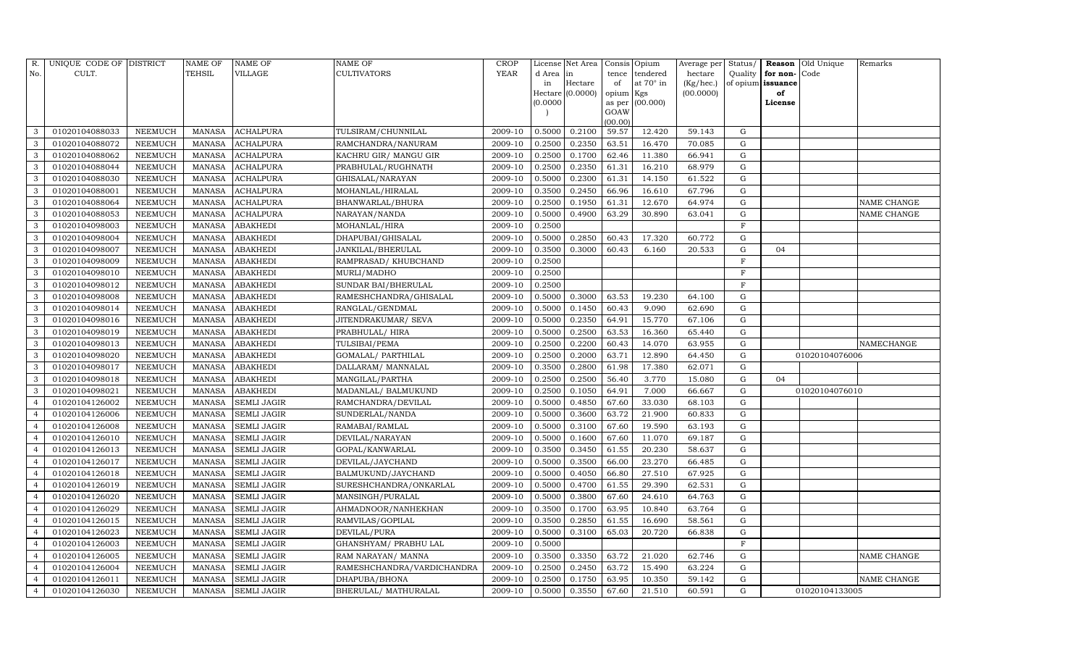| R.             | UNIQUE CODE OF DISTRICT |                | <b>NAME OF</b> | NAME OF            | NAME OF                    | CROP        |          | License Net Area |           | Consis Opium    | Average per  | Status/     |                   | Reason Old Unique | Remarks            |
|----------------|-------------------------|----------------|----------------|--------------------|----------------------------|-------------|----------|------------------|-----------|-----------------|--------------|-------------|-------------------|-------------------|--------------------|
| No.            | CULT.                   |                | TEHSIL         | VILLAGE            | CULTIVATORS                | <b>YEAR</b> | d Area   | in               | tence     | tendered        | hectare      | Quality     | for non-Code      |                   |                    |
|                |                         |                |                |                    |                            |             | in       | Hectare          | of        | at 70° in       | $(Kg/$ hec.) |             | of opium issuance |                   |                    |
|                |                         |                |                |                    |                            |             | (0.0000) | Hectare (0.0000) | opium Kgs |                 | (00.0000)    |             | of                |                   |                    |
|                |                         |                |                |                    |                            |             |          |                  | GOAW      | as per (00.000) |              |             | License           |                   |                    |
|                |                         |                |                |                    |                            |             |          |                  | (00.00)   |                 |              |             |                   |                   |                    |
| 3              | 01020104088033          | NEEMUCH        | MANASA         | <b>ACHALPURA</b>   | TULSIRAM/CHUNNILAL         | 2009-10     | 0.5000   | 0.2100           | 59.57     | 12.420          | 59.143       | G           |                   |                   |                    |
| 3              | 01020104088072          | NEEMUCH        | <b>MANASA</b>  | <b>ACHALPURA</b>   | RAMCHANDRA/NANURAM         | 2009-10     | 0.2500   | 0.2350           | 63.51     | 16.470          | 70.085       | G           |                   |                   |                    |
| 3              | 01020104088062          | NEEMUCH        | MANASA         | <b>ACHALPURA</b>   | KACHRU GIR/ MANGU GIR      | 2009-10     | 0.2500   | 0.1700           | 62.46     | 11.380          | 66.941       | G           |                   |                   |                    |
| 3              | 01020104088044          | NEEMUCH        | <b>MANASA</b>  | <b>ACHALPURA</b>   | PRABHULAL/RUGHNATH         | 2009-10     | 0.2500   | 0.2350           | 61.31     | 16.210          | 68.979       | G           |                   |                   |                    |
| 3              | 01020104088030          | NEEMUCH        | <b>MANASA</b>  | <b>ACHALPURA</b>   | GHISALAL/NARAYAN           | 2009-10     | 0.5000   | 0.2300           | 61.31     | 14.150          | 61.522       | G           |                   |                   |                    |
| 3              | 01020104088001          | NEEMUCH        | <b>MANASA</b>  | <b>ACHALPURA</b>   | MOHANLAL/HIRALAL           | 2009-10     | 0.3500   | 0.2450           | 66.96     | 16.610          | 67.796       | G           |                   |                   |                    |
| 3              | 01020104088064          | <b>NEEMUCH</b> | <b>MANASA</b>  | <b>ACHALPURA</b>   | BHANWARLAL/BHURA           | 2009-10     | 0.2500   | 0.1950           | 61.31     | 12.670          | 64.974       | G           |                   |                   | NAME CHANGE        |
| 3              | 01020104088053          | <b>NEEMUCH</b> | <b>MANASA</b>  | <b>ACHALPURA</b>   | NARAYAN/NANDA              | 2009-10     | 0.5000   | 0.4900           | 63.29     | 30.890          | 63.041       | G           |                   |                   | <b>NAME CHANGE</b> |
| 3              | 01020104098003          | NEEMUCH        | <b>MANASA</b>  | <b>ABAKHEDI</b>    | MOHANLAL/HIRA              | 2009-10     | 0.2500   |                  |           |                 |              | $\mathbf F$ |                   |                   |                    |
| 3              | 01020104098004          | NEEMUCH        | <b>MANASA</b>  | <b>ABAKHEDI</b>    | DHAPUBAI/GHISALAL          | 2009-10     | 0.5000   | 0.2850           | 60.43     | 17.320          | 60.772       | G           |                   |                   |                    |
| 3              | 01020104098007          | <b>NEEMUCH</b> | <b>MANASA</b>  | <b>ABAKHEDI</b>    | JANKILAL/BHERULAL          | 2009-10     | 0.3500   | 0.3000           | 60.43     | 6.160           | 20.533       | G           | 04                |                   |                    |
| 3              | 01020104098009          | <b>NEEMUCH</b> | <b>MANASA</b>  | <b>ABAKHEDI</b>    | RAMPRASAD/ KHUBCHAND       | 2009-10     | 0.2500   |                  |           |                 |              | F           |                   |                   |                    |
| 3              | 01020104098010          | <b>NEEMUCH</b> | <b>MANASA</b>  | <b>ABAKHEDI</b>    | MURLI/MADHO                | 2009-10     | 0.2500   |                  |           |                 |              | $\mathbf F$ |                   |                   |                    |
| 3              | 01020104098012          | <b>NEEMUCH</b> | <b>MANASA</b>  | <b>ABAKHEDI</b>    | SUNDAR BAI/BHERULAL        | 2009-10     | 0.2500   |                  |           |                 |              | $\mathbf F$ |                   |                   |                    |
| 3              | 01020104098008          | <b>NEEMUCH</b> | <b>MANASA</b>  | <b>ABAKHEDI</b>    | RAMESHCHANDRA/GHISALAL     | 2009-10     | 0.5000   | 0.3000           | 63.53     | 19.230          | 64.100       | G           |                   |                   |                    |
| 3              | 01020104098014          | NEEMUCH        | <b>MANASA</b>  | <b>ABAKHEDI</b>    | RANGLAL/GENDMAL            | 2009-10     | 0.5000   | 0.1450           | 60.43     | 9.090           | 62.690       | G           |                   |                   |                    |
| 3              | 01020104098016          | <b>NEEMUCH</b> | <b>MANASA</b>  | ABAKHEDI           | JITENDRAKUMAR/ SEVA        | 2009-10     | 0.5000   | 0.2350           | 64.91     | 15.770          | 67.106       | G           |                   |                   |                    |
| 3              | 01020104098019          | NEEMUCH        | <b>MANASA</b>  | ABAKHEDI           | PRABHULAL/HIRA             | 2009-10     | 0.5000   | 0.2500           | 63.53     | 16.360          | 65.440       | G           |                   |                   |                    |
| 3              | 01020104098013          | NEEMUCH        | <b>MANASA</b>  | <b>ABAKHEDI</b>    | TULSIBAI/PEMA              | 2009-10     | 0.2500   | 0.2200           | 60.43     | 14.070          | 63.955       | G           |                   |                   | <b>NAMECHANGE</b>  |
| 3              | 01020104098020          | <b>NEEMUCH</b> | <b>MANASA</b>  | <b>ABAKHEDI</b>    | GOMALAL/ PARTHILAL         | 2009-10     | 0.2500   | 0.2000           | 63.71     | 12.890          | 64.450       | G           |                   | 01020104076006    |                    |
| 3              | 01020104098017          | <b>NEEMUCH</b> | <b>MANASA</b>  | <b>ABAKHEDI</b>    | DALLARAM / MANNALAL        | 2009-10     | 0.3500   | 0.2800           | 61.98     | 17.380          | 62.071       | G           |                   |                   |                    |
| 3              | 01020104098018          | <b>NEEMUCH</b> | <b>MANASA</b>  | <b>ABAKHEDI</b>    | MANGILAL/PARTHA            | 2009-10     | 0.2500   | 0.2500           | 56.40     | 3.770           | 15.080       | G           | 04                |                   |                    |
| 3              | 01020104098021          | NEEMUCH        | <b>MANASA</b>  | ABAKHEDI           | MADANLAL/BALMUKUND         | 2009-10     | 0.2500   | 0.1050           | 64.91     | 7.000           | 66.667       | G           |                   | 01020104076010    |                    |
| $\overline{4}$ | 01020104126002          | <b>NEEMUCH</b> | <b>MANASA</b>  | <b>SEMLI JAGIR</b> | RAMCHANDRA/DEVILAL         | 2009-10     | 0.5000   | 0.4850           | 67.60     | 33.030          | 68.103       | G           |                   |                   |                    |
|                | 01020104126006          | <b>NEEMUCH</b> | <b>MANASA</b>  | <b>SEMLI JAGIR</b> | SUNDERLAL/NANDA            | 2009-10     | 0.5000   | 0.3600           | 63.72     | 21.900          | 60.833       | G           |                   |                   |                    |
| $\overline{4}$ | 01020104126008          | NEEMUCH        | <b>MANASA</b>  | <b>SEMLI JAGIR</b> | RAMABAI/RAMLAL             | 2009-10     | 0.5000   | 0.3100           | 67.60     | 19.590          | 63.193       | G           |                   |                   |                    |
| $\overline{4}$ | 01020104126010          | <b>NEEMUCH</b> | <b>MANASA</b>  | <b>SEMLI JAGIR</b> | DEVILAL/NARAYAN            | 2009-10     | 0.5000   | 0.1600           | 67.60     | 11.070          | 69.187       | G           |                   |                   |                    |
| $\overline{4}$ | 01020104126013          | <b>NEEMUCH</b> | <b>MANASA</b>  | <b>SEMLI JAGIR</b> | GOPAL/KANWARLAL            | 2009-10     | 0.3500   | 0.3450           | 61.55     | 20.230          | 58.637       | G           |                   |                   |                    |
|                | 01020104126017          | NEEMUCH        | MANASA         | <b>SEMLI JAGIR</b> | DEVILAL/JAYCHAND           | 2009-10     | 0.5000   | 0.3500           | 66.00     | 23.270          | 66.485       | G           |                   |                   |                    |
| $\overline{4}$ | 01020104126018          | NEEMUCH        | <b>MANASA</b>  | <b>SEMLI JAGIR</b> | BALMUKUND/JAYCHAND         | 2009-10     | 0.5000   | 0.4050           | 66.80     | 27.510          | 67.925       | G           |                   |                   |                    |
| $\overline{4}$ | 01020104126019          | <b>NEEMUCH</b> | <b>MANASA</b>  | <b>SEMLI JAGIR</b> | SURESHCHANDRA/ONKARLAL     | 2009-10     | 0.5000   | 0.4700           | 61.55     | 29.390          | 62.531       | G           |                   |                   |                    |
| $\overline{4}$ | 01020104126020          | <b>NEEMUCH</b> | <b>MANASA</b>  | <b>SEMLI JAGIR</b> | MANSINGH/PURALAL           | 2009-10     | 0.5000   | 0.3800           | 67.60     | 24.610          | 64.763       | G           |                   |                   |                    |
|                | 01020104126029          | <b>NEEMUCH</b> | MANASA         | <b>SEMLI JAGIR</b> | AHMADNOOR/NANHEKHAN        | 2009-10     | 0.3500   | 0.1700           | 63.95     | 10.840          | 63.764       | G           |                   |                   |                    |
| $\overline{4}$ | 01020104126015          | <b>NEEMUCH</b> | <b>MANASA</b>  | <b>SEMLI JAGIR</b> | RAMVILAS/GOPILAL           | 2009-10     | 0.3500   | 0.2850           | 61.55     | 16.690          | 58.561       | G           |                   |                   |                    |
| $\overline{4}$ | 01020104126023          | <b>NEEMUCH</b> | <b>MANASA</b>  | <b>SEMLI JAGIR</b> | DEVILAL/PURA               | 2009-10     | 0.5000   | 0.3100           | 65.03     | 20.720          | 66.838       | ${\rm G}$   |                   |                   |                    |
|                | 01020104126003          | <b>NEEMUCH</b> | <b>MANASA</b>  | <b>SEMLI JAGIR</b> | GHANSHYAM/ PRABHU LAL      | 2009-10     | 0.5000   |                  |           |                 |              | F           |                   |                   |                    |
| $\overline{4}$ | 01020104126005          | <b>NEEMUCH</b> | <b>MANASA</b>  | SEMLI JAGIR        | RAM NARAYAN/ MANNA         | 2009-10     | 0.3500   | 0.3350           | 63.72     | 21.020          | 62.746       | G           |                   |                   | <b>NAME CHANGE</b> |
| $\overline{4}$ | 01020104126004          | NEEMUCH        | <b>MANASA</b>  | SEMLI JAGIR        | RAMESHCHANDRA/VARDICHANDRA | 2009-10     | 0.2500   | 0.2450           | 63.72     | 15.490          | 63.224       | G           |                   |                   |                    |
| $\overline{4}$ | 01020104126011          | NEEMUCH        | <b>MANASA</b>  | <b>SEMLI JAGIR</b> | DHAPUBA/BHONA              | 2009-10     | 0.2500   | 0.1750           | 63.95     | 10.350          | 59.142       | G           |                   |                   | NAME CHANGE        |
| $\overline{4}$ | 01020104126030          | <b>NEEMUCH</b> | MANASA         | <b>SEMLI JAGIR</b> | BHERULAL/MATHURALAL        | 2009-10     | 0.5000   | 0.3550           | 67.60     | 21.510          | 60.591       | G           |                   | 01020104133005    |                    |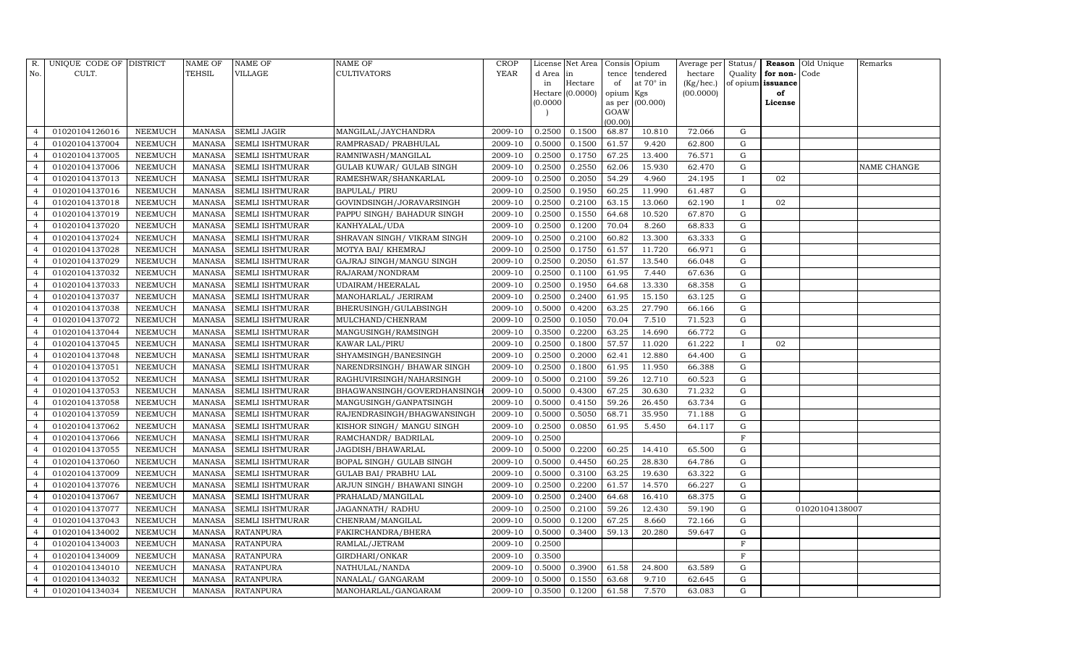| R.             | UNIQUE CODE OF DISTRICT |                | <b>NAME OF</b> | <b>NAME OF</b>         | <b>NAME OF</b>                  | <b>CROP</b> |           | License Net Area |                | Consis Opium     | Average per Status/ |              |                   | Reason Old Unique | Remarks     |
|----------------|-------------------------|----------------|----------------|------------------------|---------------------------------|-------------|-----------|------------------|----------------|------------------|---------------------|--------------|-------------------|-------------------|-------------|
| No.            | CULT.                   |                | <b>TEHSIL</b>  | <b>VILLAGE</b>         | <b>CULTIVATORS</b>              | YEAR        | d Area in |                  | tence          | tendered         | hectare             | Quality      | for non-          | Code              |             |
|                |                         |                |                |                        |                                 |             | in        | Hectare          | of             | at $70^\circ$ in | (Kg/hec.)           |              | of opium issuance |                   |             |
|                |                         |                |                |                        |                                 |             |           | Hectare (0.0000) | opium Kgs      |                  | (00.0000)           |              | of                |                   |             |
|                |                         |                |                |                        |                                 |             | (0.0000)  |                  | as per<br>GOAW | (00.000)         |                     |              | License           |                   |             |
|                |                         |                |                |                        |                                 |             |           |                  | (00.00)        |                  |                     |              |                   |                   |             |
| $\overline{4}$ | 01020104126016          | NEEMUCH        | <b>MANASA</b>  | <b>SEMLI JAGIR</b>     | MANGILAL/JAYCHANDRA             | 2009-10     | 0.2500    | 0.1500           | 68.87          | 10.810           | 72.066              | G            |                   |                   |             |
| $\overline{4}$ | 01020104137004          | NEEMUCH        | MANASA         | <b>SEMLI ISHTMURAR</b> | RAMPRASAD/ PRABHULAL            | 2009-10     | 0.5000    | 0.1500           | 61.57          | 9.420            | 62.800              | G            |                   |                   |             |
| $\overline{4}$ | 01020104137005          | NEEMUCH        | <b>MANASA</b>  | <b>SEMLI ISHTMURAR</b> | RAMNIWASH/MANGILAL              | 2009-10     | 0.2500    | 0.1750           | 67.25          | 13.400           | 76.571              | G            |                   |                   |             |
| $\overline{4}$ | 01020104137006          | <b>NEEMUCH</b> | <b>MANASA</b>  | <b>SEMLI ISHTMURAR</b> | <b>GULAB KUWAR/ GULAB SINGH</b> | 2009-10     | 0.2500    | 0.2550           | 62.06          | 15.930           | 62.470              | G            |                   |                   | NAME CHANGE |
| $\overline{4}$ | 01020104137013          | <b>NEEMUCH</b> | <b>MANASA</b>  | <b>SEMLI ISHTMURAR</b> | RAMESHWAR/SHANKARLAL            | 2009-10     | 0.2500    | 0.2050           | 54.29          | 4.960            | 24.195              | $\mathbf{I}$ | 02                |                   |             |
| $\overline{4}$ | 01020104137016          | NEEMUCH        | <b>MANASA</b>  | <b>SEMLI ISHTMURAR</b> | <b>BAPULAL/ PIRU</b>            | 2009-10     | 0.2500    | 0.1950           | 60.25          | 11.990           | 61.487              | G            |                   |                   |             |
| $\overline{4}$ | 01020104137018          | NEEMUCH        | <b>MANASA</b>  | <b>SEMLI ISHTMURAR</b> | GOVINDSINGH/JORAVARSINGH        | 2009-10     | 0.2500    | 0.2100           | 63.15          | 13.060           | 62.190              |              | 02                |                   |             |
| $\overline{4}$ | 01020104137019          | NEEMUCH        | MANASA         | <b>SEMLI ISHTMURAR</b> | PAPPU SINGH/ BAHADUR SINGH      | 2009-10     | 0.2500    | 0.1550           | 64.68          | 10.520           | 67.870              | G            |                   |                   |             |
| $\overline{4}$ | 01020104137020          | <b>NEEMUCH</b> | <b>MANASA</b>  | <b>SEMLI ISHTMURAR</b> | KANHYALAL/UDA                   | 2009-10     | 0.2500    | 0.1200           | 70.04          | 8.260            | 68.833              | G            |                   |                   |             |
| $\overline{4}$ | 01020104137024          | NEEMUCH        | <b>MANASA</b>  | <b>SEMLI ISHTMURAR</b> | SHRAVAN SINGH / VIKRAM SINGH    | 2009-10     | 0.2500    | 0.2100           | 60.82          | 13.300           | 63.333              | G            |                   |                   |             |
| $\overline{4}$ | 01020104137028          | NEEMUCH        | <b>MANASA</b>  | <b>SEMLI ISHTMURAR</b> | MOTYA BAI/ KHEMRAJ              | 2009-10     | 0.2500    | 0.1750           | 61.57          | 11.720           | 66.971              | G            |                   |                   |             |
| $\overline{4}$ | 01020104137029          | <b>NEEMUCH</b> | <b>MANASA</b>  | <b>SEMLI ISHTMURAR</b> | GAJRAJ SINGH/MANGU SINGH        | 2009-10     | 0.2500    | 0.2050           | 61.57          | 13.540           | 66.048              | G            |                   |                   |             |
| $\overline{4}$ | 01020104137032          | NEEMUCH        | <b>MANASA</b>  | <b>SEMLI ISHTMURAR</b> | RAJARAM/NONDRAM                 | 2009-10     | 0.2500    | 0.1100           | 61.95          | 7.440            | 67.636              | G            |                   |                   |             |
| $\overline{4}$ | 01020104137033          | <b>NEEMUCH</b> | <b>MANASA</b>  | <b>SEMLI ISHTMURAR</b> | UDAIRAM/HEERALAL                | 2009-10     | 0.2500    | 0.1950           | 64.68          | 13.330           | 68.358              | G            |                   |                   |             |
| $\overline{4}$ | 01020104137037          | NEEMUCH        | MANASA         | <b>SEMLI ISHTMURAR</b> | MANOHARLAL/ JERIRAM             | 2009-10     | 0.2500    | 0.2400           | 61.95          | 15.150           | 63.125              | G            |                   |                   |             |
| $\overline{4}$ | 01020104137038          | NEEMUCH        | <b>MANASA</b>  | <b>SEMLI ISHTMURAR</b> | BHERUSINGH/GULABSINGH           | 2009-10     | 0.5000    | 0.4200           | 63.25          | 27.790           | 66.166              | G            |                   |                   |             |
| $\overline{4}$ | 01020104137072          | <b>NEEMUCH</b> | <b>MANASA</b>  | <b>SEMLI ISHTMURAR</b> | MULCHAND/CHENRAM                | 2009-10     | 0.2500    | 0.1050           | 70.04          | 7.510            | 71.523              | G            |                   |                   |             |
| $\overline{4}$ | 01020104137044          | <b>NEEMUCH</b> | <b>MANASA</b>  | <b>SEMLI ISHTMURAR</b> | MANGUSINGH/RAMSINGH             | 2009-10     | 0.3500    | 0.2200           | 63.25          | 14.690           | 66.772              | G            |                   |                   |             |
| $\overline{4}$ | 01020104137045          | NEEMUCH        | MANASA         | <b>SEMLI ISHTMURAR</b> | <b>KAWAR LAL/PIRU</b>           | 2009-10     | 0.2500    | 0.1800           | 57.57          | 11.020           | 61.222              | $\mathbf{I}$ | 02                |                   |             |
| $\overline{4}$ | 01020104137048          | <b>NEEMUCH</b> | <b>MANASA</b>  | <b>SEMLI ISHTMURAR</b> | SHYAMSINGH/BANESINGH            | 2009-10     | 0.2500    | 0.2000           | 62.41          | 12.880           | 64.400              | $\mathbf G$  |                   |                   |             |
| $\overline{4}$ | 01020104137051          | NEEMUCH        | <b>MANASA</b>  | <b>SEMLI ISHTMURAR</b> | NARENDRSINGH/ BHAWAR SINGH      | 2009-10     | 0.2500    | 0.1800           | 61.95          | 11.950           | 66.388              | G            |                   |                   |             |
| $\overline{4}$ | 01020104137052          | NEEMUCH        | <b>MANASA</b>  | <b>SEMLI ISHTMURAR</b> | RAGHUVIRSINGH/NAHARSINGH        | 2009-10     | 0.5000    | 0.2100           | 59.26          | 12.710           | 60.523              | G            |                   |                   |             |
| $\overline{4}$ | 01020104137053          | <b>NEEMUCH</b> | <b>MANASA</b>  | <b>SEMLI ISHTMURAR</b> | BHAGWANSINGH/GOVERDHANSINGH     | 2009-10     | 0.5000    | 0.4300           | 67.25          | 30.630           | 71.232              | G            |                   |                   |             |
| $\overline{4}$ | 01020104137058          | <b>NEEMUCH</b> | <b>MANASA</b>  | <b>SEMLI ISHTMURAR</b> | MANGUSINGH/GANPATSINGH          | 2009-10     | 0.5000    | 0.4150           | 59.26          | 26.450           | 63.734              | G            |                   |                   |             |
| $\overline{4}$ | 01020104137059          | <b>NEEMUCH</b> | <b>MANASA</b>  | <b>SEMLI ISHTMURAR</b> | RAJENDRASINGH/BHAGWANSINGH      | 2009-10     | 0.5000    | 0.5050           | 68.71          | 35.950           | 71.188              | G            |                   |                   |             |
| $\overline{4}$ | 01020104137062          | <b>NEEMUCH</b> | MANASA         | <b>SEMLI ISHTMURAR</b> | KISHOR SINGH/ MANGU SINGH       | 2009-10     | 0.2500    | 0.0850           | 61.95          | 5.450            | 64.117              | G            |                   |                   |             |
| $\overline{4}$ | 01020104137066          | NEEMUCH        | <b>MANASA</b>  | <b>SEMLI ISHTMURAR</b> | RAMCHANDR/ BADRILAL             | 2009-10     | 0.2500    |                  |                |                  |                     | $_{\rm F}$   |                   |                   |             |
| $\overline{4}$ | 01020104137055          | <b>NEEMUCH</b> | <b>MANASA</b>  | <b>SEMLI ISHTMURAR</b> | JAGDISH/BHAWARLAL               | 2009-10     | 0.5000    | 0.2200           | 60.25          | 14.410           | 65.500              | G            |                   |                   |             |
| $\overline{4}$ | 01020104137060          | NEEMUCH        | <b>MANASA</b>  | <b>SEMLI ISHTMURAR</b> | BOPAL SINGH/ GULAB SINGH        | 2009-10     | 0.5000    | 0.4450           | 60.25          | 28.830           | 64.786              | G            |                   |                   |             |
| $\overline{4}$ | 01020104137009          | <b>NEEMUCH</b> | MANASA         | <b>SEMLI ISHTMURAR</b> | <b>GULAB BAI/ PRABHU LAL</b>    | 2009-10     | 0.5000    | 0.3100           | 63.25          | 19.630           | 63.322              | G            |                   |                   |             |
| $\overline{4}$ | 01020104137076          | NEEMUCH        | <b>MANASA</b>  | <b>SEMLI ISHTMURAR</b> | ARJUN SINGH/ BHAWANI SINGH      | 2009-10     | 0.2500    | 0.2200           | 61.57          | 14.570           | 66.227              | G            |                   |                   |             |
| $\overline{4}$ | 01020104137067          | NEEMUCH        | <b>MANASA</b>  | <b>SEMLI ISHTMURAR</b> | PRAHALAD/MANGILAL               | 2009-10     | 0.2500    | 0.2400           | 64.68          | 16.410           | 68.375              | G            |                   |                   |             |
| $\overline{4}$ | 01020104137077          | <b>NEEMUCH</b> | <b>MANASA</b>  | <b>SEMLI ISHTMURAR</b> | JAGANNATH / RADHU               | 2009-10     | 0.2500    | 0.2100           | 59.26          | 12.430           | 59.190              | G            |                   | 01020104138007    |             |
| $\overline{4}$ | 01020104137043          | NEEMUCH        | <b>MANASA</b>  | <b>SEMLI ISHTMURAR</b> | CHENRAM/MANGILAL                | 2009-10     | 0.5000    | 0.1200           | 67.25          | 8.660            | 72.166              | G            |                   |                   |             |
| $\overline{4}$ | 01020104134002          | NEEMUCH        | <b>MANASA</b>  | <b>RATANPURA</b>       | FAKIRCHANDRA/BHERA              | 2009-10     | 0.5000    | 0.3400           | 59.13          | 20.280           | 59.647              | G            |                   |                   |             |
| $\overline{4}$ | 01020104134003          | <b>NEEMUCH</b> | <b>MANASA</b>  | <b>RATANPURA</b>       | RAMLAL/JETRAM                   | 2009-10     | 0.2500    |                  |                |                  |                     | $\rm F$      |                   |                   |             |
| $\overline{4}$ | 01020104134009          | NEEMUCH        | <b>MANASA</b>  | <b>RATANPURA</b>       | GIRDHARI/ONKAR                  | 2009-10     | 0.3500    |                  |                |                  |                     | F            |                   |                   |             |
| $\overline{4}$ | 01020104134010          | NEEMUCH        | <b>MANASA</b>  | <b>RATANPURA</b>       | NATHULAL/NANDA                  | 2009-10     | 0.5000    | 0.3900           | 61.58          | 24.800           | 63.589              | G            |                   |                   |             |
| $\overline{4}$ | 01020104134032          | <b>NEEMUCH</b> | <b>MANASA</b>  | <b>RATANPURA</b>       | NANALAL/ GANGARAM               | 2009-10     | 0.5000    | 0.1550           | 63.68          | 9.710            | 62.645              | G            |                   |                   |             |
| $\overline{4}$ | 01020104134034          | NEEMUCH        |                | MANASA RATANPURA       | MANOHARLAL/GANGARAM             | 2009-10     | 0.3500    | 0.1200           | 61.58          | 7.570            | 63.083              | G            |                   |                   |             |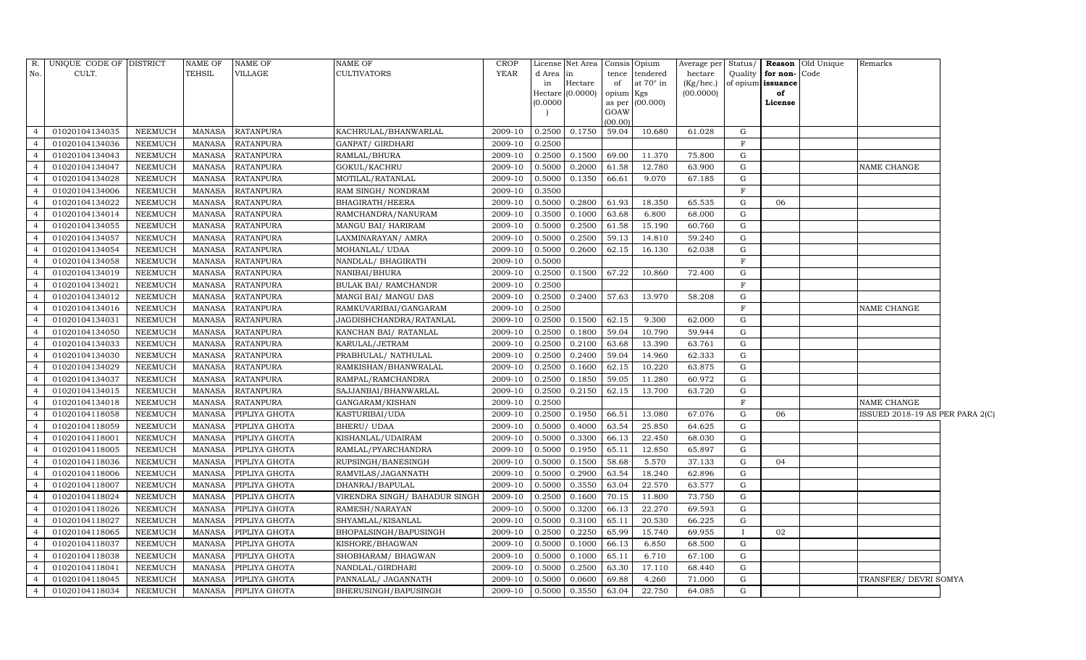|                | R. UNIQUE CODE OF DISTRICT |                | <b>NAME OF</b> | NAME OF          | NAME OF                                       | <b>CROP</b> |          | License Net Area | Consis Opium |                  |           |              |                   | Average per Status/ Reason Old Unique | Remarks                         |  |
|----------------|----------------------------|----------------|----------------|------------------|-----------------------------------------------|-------------|----------|------------------|--------------|------------------|-----------|--------------|-------------------|---------------------------------------|---------------------------------|--|
| No.            | CULT.                      |                | <b>TEHSIL</b>  | VILLAGE          | <b>CULTIVATORS</b>                            | <b>YEAR</b> | d Area   | in               | tence        | tendered         | hectare   | Quality      | for non-Code      |                                       |                                 |  |
|                |                            |                |                |                  |                                               |             | in       | Hectare          | of           | at $70^\circ$ in | (Kg/hec.) |              | of opium issuance |                                       |                                 |  |
|                |                            |                |                |                  |                                               |             | (0.0000) | Hectare (0.0000) | opium Kgs    | as per (00.000)  | (00.0000) |              | of<br>License     |                                       |                                 |  |
|                |                            |                |                |                  |                                               |             |          |                  | GOAW         |                  |           |              |                   |                                       |                                 |  |
|                |                            |                |                |                  |                                               |             |          |                  | (00.00)      |                  |           |              |                   |                                       |                                 |  |
| $\overline{a}$ | 01020104134035             | NEEMUCH        | MANASA         | <b>RATANPURA</b> | KACHRULAL/BHANWARLAL                          | 2009-10     | 0.2500   | 0.1750           | 59.04        | 10.680           | 61.028    | G            |                   |                                       |                                 |  |
| $\overline{4}$ | 01020104134036             | NEEMUCH        | MANASA         | <b>RATANPURA</b> | GANPAT/ GIRDHARI                              | 2009-10     | 0.2500   |                  |              |                  |           | $\mathbf F$  |                   |                                       |                                 |  |
| $\overline{4}$ | 01020104134043             | NEEMUCH        | <b>MANASA</b>  | <b>RATANPURA</b> | RAMLAL/BHURA                                  | 2009-10     | 0.2500   | 0.1500           | 69.00        | 11.370           | 75.800    | G            |                   |                                       |                                 |  |
| $\overline{4}$ | 01020104134047             | NEEMUCH        | <b>MANASA</b>  | <b>RATANPURA</b> | GOKUL/KACHRU                                  | 2009-10     | 0.5000   | 0.2000           | 61.58        | 12.780           | 63.900    | G            |                   |                                       | NAME CHANGE                     |  |
| $\overline{4}$ | 01020104134028             | NEEMUCH        | <b>MANASA</b>  | <b>RATANPURA</b> | MOTILAL/RATANLAL                              | 2009-10     | 0.5000   | 0.1350           | 66.61        | 9.070            | 67.185    | G            |                   |                                       |                                 |  |
| $\overline{4}$ | 01020104134006             | NEEMUCH        | <b>MANASA</b>  | <b>RATANPURA</b> | RAM SINGH/ NONDRAM                            | 2009-10     | 0.3500   |                  |              |                  |           | $\rm F$      |                   |                                       |                                 |  |
| $\overline{4}$ | 01020104134022             | NEEMUCH        | <b>MANASA</b>  | <b>RATANPURA</b> | <b>BHAGIRATH/HEERA</b>                        | 2009-10     | 0.5000   | 0.2800           | 61.93        | 18.350           | 65.535    | G            | 06                |                                       |                                 |  |
| $\overline{4}$ | 01020104134014             | NEEMUCH        | <b>MANASA</b>  | <b>RATANPURA</b> | RAMCHANDRA/NANURAM                            | 2009-10     | 0.3500   | 0.1000           | 63.68        | 6.800            | 68.000    | G            |                   |                                       |                                 |  |
| $\overline{4}$ | 01020104134055             | <b>NEEMUCH</b> | <b>MANASA</b>  | <b>RATANPURA</b> | MANGU BAI/ HARIRAM                            | 2009-10     | 0.5000   | 0.2500           | 61.58        | 15.190           | 60.760    | G            |                   |                                       |                                 |  |
| $\overline{4}$ | 01020104134057             | NEEMUCH        | MANASA         | <b>RATANPURA</b> | LAXMINARAYAN/ AMRA                            | 2009-10     | 0.5000   | 0.2500           | 59.13        | 14.810           | 59.240    | G            |                   |                                       |                                 |  |
| $\overline{4}$ | 01020104134054             | NEEMUCH        | <b>MANASA</b>  | <b>RATANPURA</b> | MOHANLAL/ UDAA                                | 2009-10     | 0.5000   | 0.2600           | 62.15        | 16.130           | 62.038    | G            |                   |                                       |                                 |  |
| $\overline{4}$ | 01020104134058             | NEEMUCH        | <b>MANASA</b>  | <b>RATANPURA</b> | NANDLAL/ BHAGIRATH                            | 2009-10     | 0.5000   |                  |              |                  |           | $\mathbf F$  |                   |                                       |                                 |  |
| $\overline{4}$ | 01020104134019             | NEEMUCH        | <b>MANASA</b>  | <b>RATANPURA</b> | NANIBAI/BHURA                                 | 2009-10     | 0.2500   | 0.1500           | 67.22        | 10.860           | 72.400    | G            |                   |                                       |                                 |  |
| $\overline{4}$ | 01020104134021             | NEEMUCH        | <b>MANASA</b>  | <b>RATANPURA</b> | <b>BULAK BAI/ RAMCHANDR</b>                   | 2009-10     | 0.2500   |                  |              |                  |           | $\rm F$      |                   |                                       |                                 |  |
| $\overline{4}$ | 01020104134012             | NEEMUCH        | <b>MANASA</b>  | <b>RATANPURA</b> | MANGI BAI/ MANGU DAS                          | 2009-10     | 0.2500   | 0.2400           | 57.63        | 13.970           | 58.208    | G            |                   |                                       |                                 |  |
| $\overline{4}$ | 01020104134016             | NEEMUCH        | <b>MANASA</b>  | <b>RATANPURA</b> | RAMKUVARIBAI/GANGARAM                         | 2009-10     | 0.2500   |                  |              |                  |           | $\mathbf F$  |                   |                                       | NAME CHANGE                     |  |
| $\overline{4}$ | 01020104134031             | <b>NEEMUCH</b> | <b>MANASA</b>  | <b>RATANPURA</b> | JAGDISHCHANDRA/RATANLAL                       | 2009-10     | 0.2500   | 0.1500           | 62.15        | 9.300            | 62.000    | G            |                   |                                       |                                 |  |
| $\overline{4}$ | 01020104134050             | NEEMUCH        | MANASA         | <b>RATANPURA</b> | KANCHAN BAI/ RATANLAL                         | 2009-10     | 0.2500   | 0.1800           | 59.04        | 10.790           | 59.944    | G            |                   |                                       |                                 |  |
| $\overline{4}$ | 01020104134033             | NEEMUCH        | <b>MANASA</b>  | <b>RATANPURA</b> | KARULAL/JETRAM                                | 2009-10     | 0.2500   | 0.2100           | 63.68        | 13.390           | 63.761    | G            |                   |                                       |                                 |  |
| $\overline{4}$ | 01020104134030             | NEEMUCH        | <b>MANASA</b>  | <b>RATANPURA</b> | PRABHULAL/ NATHULAL                           | 2009-10     | 0.2500   | 0.2400           | 59.04        | 14.960           | 62.333    | G            |                   |                                       |                                 |  |
| $\overline{4}$ | 01020104134029             | NEEMUCH        | <b>MANASA</b>  | <b>RATANPURA</b> | RAMKISHAN/BHANWRALAL                          | 2009-10     | 0.2500   | 0.1600           | 62.15        | 10.220           | 63.875    | G            |                   |                                       |                                 |  |
| $\overline{4}$ | 01020104134037             | NEEMUCH        | <b>MANASA</b>  | <b>RATANPURA</b> | RAMPAL/RAMCHANDRA                             | 2009-10     | 0.2500   | 0.1850           | 59.05        | 11.280           | 60.972    | G            |                   |                                       |                                 |  |
| $\overline{4}$ | 01020104134015             | NEEMUCH        | <b>MANASA</b>  | <b>RATANPURA</b> | SAJJANBAI/BHANWARLAL                          | 2009-10     | 0.2500   | 0.2150           | 62.15        | 13.700           | 63.720    | G            |                   |                                       |                                 |  |
| $\overline{4}$ | 01020104134018             | NEEMUCH        | <b>MANASA</b>  | <b>RATANPURA</b> | GANGARAM/KISHAN                               | 2009-10     | 0.2500   |                  |              |                  |           | $\mathbf F$  |                   |                                       | NAME CHANGE                     |  |
| $\overline{4}$ | 01020104118058             | <b>NEEMUCH</b> | <b>MANASA</b>  | PIPLIYA GHOTA    | KASTURIBAI/UDA                                | 2009-10     | 0.2500   | 0.1950           | 66.51        | 13.080           | 67.076    | G            | 06                |                                       | ISSUED 2018-19 AS PER PARA 2(C) |  |
| $\overline{4}$ | 01020104118059             | NEEMUCH        | MANASA         | PIPLIYA GHOTA    | BHERU/ UDAA                                   | 2009-10     | 0.5000   | 0.4000           | 63.54        | 25.850           | 64.625    | G            |                   |                                       |                                 |  |
| $\overline{4}$ | 01020104118001             | NEEMUCH        | <b>MANASA</b>  | PIPLIYA GHOTA    | KISHANLAL/UDAIRAM                             | 2009-10     | 0.5000   | 0.3300           | 66.13        | 22.450           | 68.030    | G            |                   |                                       |                                 |  |
| $\overline{4}$ | 01020104118005             | NEEMUCH        | <b>MANASA</b>  | PIPLIYA GHOTA    | RAMLAL/PYARCHANDRA                            | 2009-10     | 0.5000   | 0.1950           | 65.11        | 12.850           | 65.897    | G            |                   |                                       |                                 |  |
| $\overline{4}$ | 01020104118036             | NEEMUCH        | <b>MANASA</b>  | PIPLIYA GHOTA    | RUPSINGH/BANESINGH                            | 2009-10     | 0.5000   | 0.1500           | 58.68        | 5.570            | 37.133    | G            | 04                |                                       |                                 |  |
| $\overline{4}$ | 01020104118006             | NEEMUCH        | <b>MANASA</b>  | PIPLIYA GHOTA    | $\overline{\text{RAMVILAS}}/\text{JAGANNATH}$ | 2009-10     | 0.5000   | 0.2900           | 63.54        | 18.240           | 62.896    | G            |                   |                                       |                                 |  |
| $\overline{4}$ | 01020104118007             | NEEMUCH        | <b>MANASA</b>  | PIPLIYA GHOTA    | DHANRAJ/BAPULAL                               | 2009-10     | 0.5000   | 0.3550           | 63.04        | 22.570           | 63.577    | G            |                   |                                       |                                 |  |
| $\overline{4}$ | 01020104118024             | NEEMUCH        | <b>MANASA</b>  | PIPLIYA GHOTA    | VIRENDRA SINGH / BAHADUR SINGH                | 2009-10     | 0.2500   | 0.1600           | 70.15        | 11.800           | 73.750    | G            |                   |                                       |                                 |  |
| $\overline{4}$ | 01020104118026             | <b>NEEMUCH</b> | <b>MANASA</b>  | PIPLIYA GHOTA    | RAMESH/NARAYAN                                | 2009-10     | 0.5000   | 0.3200           | 66.13        | 22.270           | 69.593    | G            |                   |                                       |                                 |  |
| $\overline{4}$ | 01020104118027             | NEEMUCH        | MANASA         | PIPLIYA GHOTA    | SHYAMLAL/KISANLAL                             | 2009-10     | 0.5000   | 0.3100           | 65.11        | 20.530           | 66.225    | G            |                   |                                       |                                 |  |
| $\overline{4}$ | 01020104118065             | NEEMUCH        | <b>MANASA</b>  | PIPLIYA GHOTA    | BHOPALSINGH/BAPUSINGH                         | 2009-10     | 0.2500   | 0.2250           | 65.99        | 15.740           | 69.955    | $\mathbf{I}$ | 02                |                                       |                                 |  |
| $\overline{4}$ | 01020104118037             | NEEMUCH        | <b>MANASA</b>  | PIPLIYA GHOTA    | KISHORE/BHAGWAN                               | 2009-10     | 0.5000   | 0.1000           | 66.13        | 6.850            | 68.500    | G            |                   |                                       |                                 |  |
| $\overline{4}$ | 01020104118038             | NEEMUCH        | <b>MANASA</b>  | PIPLIYA GHOTA    | SHOBHARAM / BHAGWAN                           | 2009-10     | 0.5000   | 0.1000           | 65.11        | 6.710            | 67.100    | G            |                   |                                       |                                 |  |
| $\overline{4}$ | 01020104118041             | NEEMUCH        | <b>MANASA</b>  | PIPLIYA GHOTA    | NANDLAL/GIRDHARI                              | 2009-10     | 0.5000   | 0.2500           | 63.30        | 17.110           | 68.440    | G            |                   |                                       |                                 |  |
| $\overline{4}$ | 01020104118045             | NEEMUCH        | <b>MANASA</b>  | PIPLIYA GHOTA    | PANNALAL/ JAGANNATH                           | 2009-10     | 0.5000   | 0.0600           | 69.88        | 4.260            | 71.000    | G            |                   |                                       | TRANSFER/ DEVRI SOMYA           |  |
| $\overline{4}$ | 01020104118034             | NEEMUCH        | MANASA         | PIPLIYA GHOTA    | BHERUSINGH/BAPUSINGH                          | 2009-10     | 0.5000   | 0.3550           | 63.04        | 22.750           | 64.085    | G            |                   |                                       |                                 |  |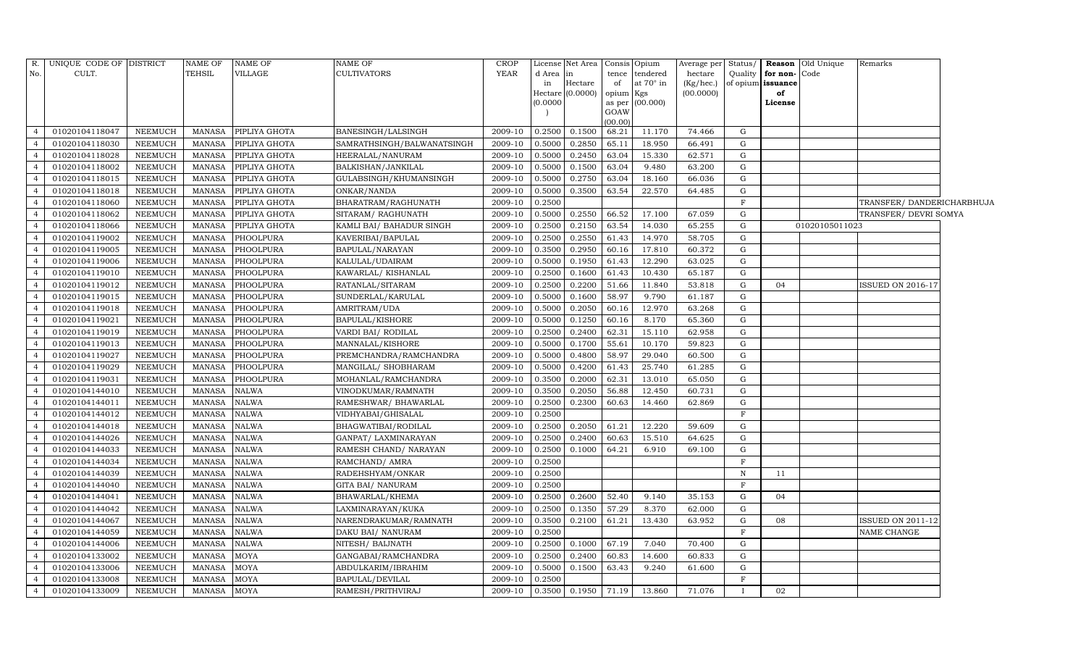| R.             | UNIQUE CODE OF DISTRICT |                | <b>NAME OF</b> | <b>NAME OF</b> | NAME OF                    | <b>CROP</b>           |          | License Net Area | Consis Opium |                 |           |              |                      | Average per Status/   Reason Old Unique | Remarks                    |  |
|----------------|-------------------------|----------------|----------------|----------------|----------------------------|-----------------------|----------|------------------|--------------|-----------------|-----------|--------------|----------------------|-----------------------------------------|----------------------------|--|
| No.            | CULT.                   |                | TEHSIL         | VILLAGE        | <b>CULTIVATORS</b>         | YEAR                  | d Area   | in               |              | tence tendered  | hectare   |              | Quality for non-Code |                                         |                            |  |
|                |                         |                |                |                |                            |                       | in       | Hectare          | of           | at 70° in       | (Kg/hec.) |              | of opium issuance    |                                         |                            |  |
|                |                         |                |                |                |                            |                       | (0.0000) | Hectare (0.0000) | opium Kgs    | as per (00.000) | (00.0000) |              | of<br>License        |                                         |                            |  |
|                |                         |                |                |                |                            |                       |          |                  | GOAW         |                 |           |              |                      |                                         |                            |  |
|                |                         |                |                |                |                            |                       |          |                  | (00.00)      |                 |           |              |                      |                                         |                            |  |
| $\Delta$       | 01020104118047          | NEEMUCH        | MANASA         | PIPLIYA GHOTA  | BANESINGH/LALSINGH         | 2009-10               | 0.2500   | 0.1500           | 68.21        | 11.170          | 74.466    | G            |                      |                                         |                            |  |
| $\overline{4}$ | 01020104118030          | NEEMUCH        | <b>MANASA</b>  | PIPLIYA GHOTA  | SAMRATHSINGH/BALWANATSINGH | 2009-10               | 0.5000   | 0.2850           | 65.11        | 18.950          | 66.491    | G            |                      |                                         |                            |  |
| $\overline{4}$ | 01020104118028          | <b>NEEMUCH</b> | <b>MANASA</b>  | PIPLIYA GHOTA  | HEERALAL/NANURAM           | 2009-10               | 0.5000   | 0.2450           | 63.04        | 15.330          | 62.571    | G            |                      |                                         |                            |  |
| $\overline{4}$ | 01020104118002          | NEEMUCH        | <b>MANASA</b>  | PIPLIYA GHOTA  | BALKISHAN/JANKILAL         | 2009-10               | 0.5000   | 0.1500           | 63.04        | 9.480           | 63.200    | G            |                      |                                         |                            |  |
| $\overline{4}$ | 01020104118015          | <b>NEEMUCH</b> | <b>MANASA</b>  | PIPLIYA GHOTA  | GULABSINGH/KHUMANSINGH     | 2009-10               | 0.5000   | 0.2750           | 63.04        | 18.160          | 66.036    | G            |                      |                                         |                            |  |
| $\overline{4}$ | 01020104118018          | NEEMUCH        | MANASA         | PIPLIYA GHOTA  | ONKAR/NANDA                | 2009-10               | 0.5000   | 0.3500           | 63.54        | 22.570          | 64.485    | G            |                      |                                         |                            |  |
| $\overline{4}$ | 01020104118060          | NEEMUCH        | <b>MANASA</b>  | PIPLIYA GHOTA  | BHARATRAM/RAGHUNATH        | 2009-10               | 0.2500   |                  |              |                 |           | $\mathbf{F}$ |                      |                                         | TRANSFER/ DANDERICHARBHUJA |  |
| $\overline{4}$ | 01020104118062          | <b>NEEMUCH</b> | <b>MANASA</b>  | PIPLIYA GHOTA  | SITARAM/RAGHUNATH          | 2009-10               | 0.5000   | 0.2550           | 66.52        | 17.100          | 67.059    | G            |                      |                                         | TRANSFER/ DEVRI SOMYA      |  |
| $\overline{4}$ | 01020104118066          | <b>NEEMUCH</b> | <b>MANASA</b>  | PIPLIYA GHOTA  | KAMLI BAI/ BAHADUR SINGH   | 2009-10               | 0.2500   | 0.2150           | 63.54        | 14.030          | 65.255    | G            |                      | 01020105011023                          |                            |  |
| $\overline{4}$ | 01020104119002          | NEEMUCH        | MANASA         | PHOOLPURA      | KAVERIBAI/BAPULAL          | 2009-10               | 0.2500   | 0.2550           | 61.43        | 14.970          | 58.705    | G            |                      |                                         |                            |  |
| $\overline{4}$ | 01020104119005          | <b>NEEMUCH</b> | <b>MANASA</b>  | PHOOLPURA      | BAPULAL/NARAYAN            | 2009-10               | 0.3500   | 0.2950           | 60.16        | 17.810          | 60.372    | G            |                      |                                         |                            |  |
| $\overline{4}$ | 01020104119006          | <b>NEEMUCH</b> | MANASA         | PHOOLPURA      | KALULAL/UDAIRAM            | 2009-10               | 0.5000   | 0.1950           | 61.43        | 12.290          | 63.025    | G            |                      |                                         |                            |  |
| $\overline{4}$ | 01020104119010          | <b>NEEMUCH</b> | <b>MANASA</b>  | PHOOLPURA      | KAWARLAL/KISHANLAL         | 2009-10               | 0.2500   | 0.1600           | 61.43        | 10.430          | 65.187    | G            |                      |                                         |                            |  |
| $\overline{4}$ | 01020104119012          | <b>NEEMUCH</b> | <b>MANASA</b>  | PHOOLPURA      | RATANLAL/SITARAM           | 2009-10               | 0.2500   | 0.2200           | 51.66        | 11.840          | 53.818    | G            | 04                   |                                         | ISSUED ON 2016-17          |  |
| $\overline{4}$ | 01020104119015          | NEEMUCH        | MANASA         | PHOOLPURA      | SUNDERLAL/KARULAL          | 2009-10               | 0.5000   | 0.1600           | 58.97        | 9.790           | 61.187    | G            |                      |                                         |                            |  |
| $\overline{4}$ | 01020104119018          | NEEMUCH        | MANASA         | PHOOLPURA      | AMRITRAM/UDA               | 2009-10               | 0.5000   | 0.2050           | 60.16        | 12.970          | 63.268    | G            |                      |                                         |                            |  |
| $\overline{4}$ | 01020104119021          | <b>NEEMUCH</b> | <b>MANASA</b>  | PHOOLPURA      | <b>BAPULAL/KISHORE</b>     | 2009-10               | 0.5000   | 0.1250           | 60.16        | 8.170           | 65.360    | G            |                      |                                         |                            |  |
| $\overline{4}$ | 01020104119019          | NEEMUCH        | MANASA         | PHOOLPURA      | VARDI BAI/ RODILAL         | 2009-10               | 0.2500   | 0.2400           | 62.31        | 15.110          | 62.958    | G            |                      |                                         |                            |  |
| $\overline{4}$ | 01020104119013          | <b>NEEMUCH</b> | <b>MANASA</b>  | PHOOLPURA      | MANNALAL/KISHORE           | 2009-10               | 0.5000   | 0.1700           | 55.61        | 10.170          | 59.823    | G            |                      |                                         |                            |  |
| $\overline{4}$ | 01020104119027          | NEEMUCH        | <b>MANASA</b>  | PHOOLPURA      | PREMCHANDRA/RAMCHANDRA     | 2009-10               | 0.5000   | 0.4800           | 58.97        | 29.040          | 60.500    | G            |                      |                                         |                            |  |
| $\overline{4}$ | 01020104119029          | NEEMUCH        | MANASA         | PHOOLPURA      | MANGILAL/ SHOBHARAM        | 2009-10               | 0.5000   | 0.4200           | 61.43        | 25.740          | 61.285    | G            |                      |                                         |                            |  |
| $\overline{4}$ | 01020104119031          | <b>NEEMUCH</b> | <b>MANASA</b>  | PHOOLPURA      | MOHANLAL/RAMCHANDRA        | 2009-10               | 0.3500   | 0.2000           | 62.31        | 13.010          | 65.050    | G            |                      |                                         |                            |  |
| $\overline{4}$ | 01020104144010          | NEEMUCH        | <b>MANASA</b>  | NALWA          | VINODKUMAR/RAMNATH         | 2009-10               | 0.3500   | 0.2050           | 56.88        | 12.450          | 60.731    | G            |                      |                                         |                            |  |
| $\overline{4}$ | 01020104144011          | <b>NEEMUCH</b> | <b>MANASA</b>  | NALWA          | RAMESHWAR/ BHAWARLAL       | 2009-10               | 0.2500   | 0.2300           | 60.63        | 14.460          | 62.869    | G            |                      |                                         |                            |  |
| $\overline{4}$ | 01020104144012          | NEEMUCH        | <b>MANASA</b>  | NALWA          | VIDHYABAI/GHISALAL         | 2009-10               | 0.2500   |                  |              |                 |           | F            |                      |                                         |                            |  |
| $\overline{4}$ | 01020104144018          | NEEMUCH        | <b>MANASA</b>  | NALWA          | BHAGWATIBAI/RODILAL        | 2009-10               | 0.2500   | 0.2050           | 61.21        | 12.220          | 59.609    | G            |                      |                                         |                            |  |
| $\overline{4}$ | 01020104144026          | NEEMUCH        | <b>MANASA</b>  | NALWA          | GANPAT/ LAXMINARAYAN       | 2009-10               | 0.2500   | 0.2400           | 60.63        | 15.510          | 64.625    | G            |                      |                                         |                            |  |
| $\overline{4}$ | 01020104144033          | <b>NEEMUCH</b> | <b>MANASA</b>  | NALWA          | RAMESH CHAND/ NARAYAN      | 2009-10               | 0.2500   | 0.1000           | 64.21        | 6.910           | 69.100    | G            |                      |                                         |                            |  |
| $\overline{4}$ | 01020104144034          | NEEMUCH        | <b>MANASA</b>  | NALWA          | RAMCHAND/ AMRA             | 2009-10               | 0.2500   |                  |              |                 |           | $_{\rm F}$   |                      |                                         |                            |  |
| $\overline{4}$ | 01020104144039          | <b>NEEMUCH</b> | <b>MANASA</b>  | <b>NALWA</b>   | RADEHSHYAM/ONKAR           | 2009-10               | 0.2500   |                  |              |                 |           | $\mathbf N$  | 11                   |                                         |                            |  |
| $\overline{4}$ | 01020104144040          | NEEMUCH        | <b>MANASA</b>  | NALWA          | GITA BAI/ NANURAM          | 2009-10               | 0.2500   |                  |              |                 |           | $_{\rm F}$   |                      |                                         |                            |  |
| $\overline{4}$ | 01020104144041          | <b>NEEMUCH</b> | <b>MANASA</b>  | <b>NALWA</b>   | BHAWARLAL/KHEMA            | 2009-10               | 0.2500   | 0.2600           | 52.40        | 9.140           | 35.153    | G            | 04                   |                                         |                            |  |
| $\overline{4}$ | 01020104144042          | NEEMUCH        | <b>MANASA</b>  | NALWA          | LAXMINARAYAN/KUKA          | 2009-10               | 0.2500   | 0.1350           | 57.29        | 8.370           | 62.000    | G            |                      |                                         |                            |  |
| $\overline{4}$ | 01020104144067          | NEEMUCH        | <b>MANASA</b>  | <b>NALWA</b>   | NARENDRAKUMAR/RAMNATH      | 2009-10               | 0.3500   | 0.2100           | 61.21        | 13.430          | 63.952    | G            | 08                   |                                         | <b>ISSUED ON 2011-12</b>   |  |
| $\overline{4}$ | 01020104144059          | <b>NEEMUCH</b> | <b>MANASA</b>  | NALWA          | DAKU BAI/ NANURAM          | 2009-10               | 0.2500   |                  |              |                 |           | F            |                      |                                         | NAME CHANGE                |  |
| $\overline{4}$ | 01020104144006          | <b>NEEMUCH</b> | <b>MANASA</b>  | <b>NALWA</b>   | NITESH/ BAIJNATH           | 2009-10               | 0.2500   | 0.1000           | 67.19        | 7.040           | 70.400    | G            |                      |                                         |                            |  |
| $\overline{4}$ | 01020104133002          | NEEMUCH        | <b>MANASA</b>  | MOYA           | GANGABAI/RAMCHANDRA        | 2009-10               | 0.2500   | 0.2400           | 60.83        | 14.600          | 60.833    | G            |                      |                                         |                            |  |
| $\overline{4}$ | 01020104133006          | NEEMUCH        | <b>MANASA</b>  | MOYA           | ABDULKARIM/IBRAHIM         | 2009-10               | 0.5000   | 0.1500           | 63.43        | 9.240           | 61.600    | G            |                      |                                         |                            |  |
| $\overline{4}$ | 01020104133008          | NEEMUCH        | <b>MANASA</b>  | MOYA           | BAPULAL/DEVILAL            | 2009-10               | 0.2500   |                  |              |                 |           | F            |                      |                                         |                            |  |
| $\overline{4}$ | 01020104133009          | <b>NEEMUCH</b> | MANASA         | <b>MOYA</b>    | RAMESH/PRITHVIRAJ          | 2009-10 0.3500 0.1950 |          |                  | 71.19        | 13.860          | 71.076    |              | 02                   |                                         |                            |  |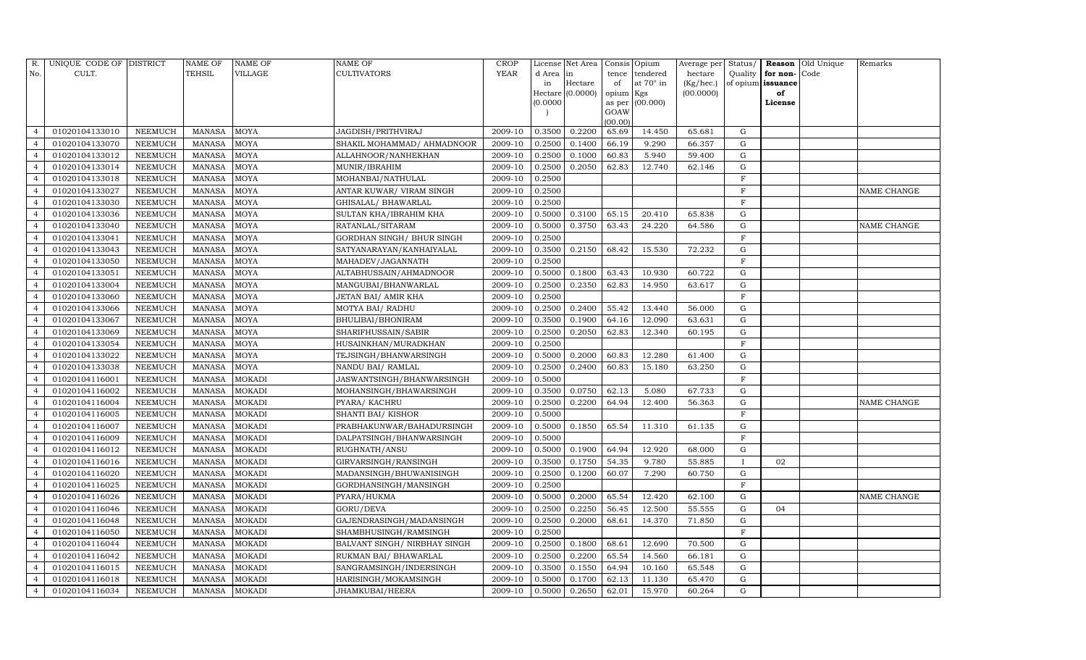| R.             | UNIQUE CODE OF DISTRICT |                | <b>NAME OF</b> | <b>NAME OF</b> | <b>NAME OF</b>               | CROP        |          | License Net Area |           | Consis Opium     | Average per | Status/      |                   | Reason Old Unique | Remarks            |
|----------------|-------------------------|----------------|----------------|----------------|------------------------------|-------------|----------|------------------|-----------|------------------|-------------|--------------|-------------------|-------------------|--------------------|
| No.            | CULT.                   |                | TEHSIL         | VILLAGE        | <b>CULTIVATORS</b>           | <b>YEAR</b> | d Area   | lin              | tence     | tendered         | hectare     | Quality      | for non-Code      |                   |                    |
|                |                         |                |                |                |                              |             | in       | Hectare          | of        | at $70^\circ$ in | (Kg/hec.)   |              | of opium issuance |                   |                    |
|                |                         |                |                |                |                              |             | (0.0000) | Hectare (0.0000) | opium Kgs | as per (00.000)  | (00.0000)   |              | of<br>License     |                   |                    |
|                |                         |                |                |                |                              |             |          |                  | GOAW      |                  |             |              |                   |                   |                    |
|                |                         |                |                |                |                              |             |          |                  | (00.00)   |                  |             |              |                   |                   |                    |
| $\overline{4}$ | 01020104133010          | <b>NEEMUCH</b> | MANASA         | <b>MOYA</b>    | JAGDISH/PRITHVIRAJ           | 2009-10     | 0.3500   | 0.2200           | 65.69     | 14.450           | 65.681      | G            |                   |                   |                    |
| $\overline{4}$ | 01020104133070          | NEEMUCH        | <b>MANASA</b>  | <b>MOYA</b>    | SHAKIL MOHAMMAD/ AHMADNOOR   | 2009-10     | 0.2500   | 0.1400           | 66.19     | 9.290            | 66.357      | G            |                   |                   |                    |
| $\overline{4}$ | 01020104133012          | NEEMUCH        | <b>MANASA</b>  | <b>MOYA</b>    | ALLAHNOOR/NANHEKHAN          | 2009-10     | 0.2500   | 0.1000           | 60.83     | 5.940            | 59.400      | G            |                   |                   |                    |
| $\overline{4}$ | 01020104133014          | <b>NEEMUCH</b> | MANASA         | <b>MOYA</b>    | MUNIR/IBRAHIM                | 2009-10     | 0.2500   | 0.2050           | 62.83     | 12.740           | 62.146      | G            |                   |                   |                    |
| $\overline{4}$ | 01020104133018          | <b>NEEMUCH</b> | <b>MANASA</b>  | <b>MOYA</b>    | MOHANBAI/NATHULAL            | 2009-10     | 0.2500   |                  |           |                  |             | F            |                   |                   |                    |
| $\overline{4}$ | 01020104133027          | <b>NEEMUCH</b> | <b>MANASA</b>  | MOYA           | ANTAR KUWAR/ VIRAM SINGH     | 2009-10     | 0.2500   |                  |           |                  |             | F            |                   |                   | <b>NAME CHANGE</b> |
| $\overline{4}$ | 01020104133030          | <b>NEEMUCH</b> | <b>MANASA</b>  | <b>MOYA</b>    | GHISALAL/ BHAWARLAL          | 2009-10     | 0.2500   |                  |           |                  |             | F            |                   |                   |                    |
| $\overline{4}$ | 01020104133036          | <b>NEEMUCH</b> | <b>MANASA</b>  | <b>MOYA</b>    | SULTAN KHA/IBRAHIM KHA       | 2009-10     | 0.5000   | 0.3100           | 65.15     | 20.410           | 65.838      | G            |                   |                   |                    |
| $\overline{4}$ | 01020104133040          | NEEMUCH        | <b>MANASA</b>  | <b>MOYA</b>    | RATANLAL/SITARAM             | 2009-10     | 0.5000   | 0.3750           | 63.43     | 24.220           | 64.586      | G            |                   |                   | <b>NAME CHANGE</b> |
| $\overline{4}$ | 01020104133041          | <b>NEEMUCH</b> | <b>MANASA</b>  | <b>MOYA</b>    | GORDHAN SINGH/ BHUR SINGH    | 2009-10     | 0.2500   |                  |           |                  |             | $\mathbf F$  |                   |                   |                    |
| $\overline{4}$ | 01020104133043          | <b>NEEMUCH</b> | <b>MANASA</b>  | <b>MOYA</b>    | SATYANARAYAN/KANHAIYALAL     | 2009-10     | 0.3500   | 0.2150           | 68.42     | 15.530           | 72.232      | G            |                   |                   |                    |
| $\overline{4}$ | 01020104133050          | <b>NEEMUCH</b> | MANASA         | <b>MOYA</b>    | MAHADEV/JAGANNATH            | 2009-10     | 0.2500   |                  |           |                  |             | F            |                   |                   |                    |
| $\overline{4}$ | 01020104133051          | <b>NEEMUCH</b> | <b>MANASA</b>  | <b>MOYA</b>    | ALTABHUSSAIN/AHMADNOOR       | 2009-10     | 0.5000   | 0.1800           | 63.43     | 10.930           | 60.722      | G            |                   |                   |                    |
| $\overline{4}$ | 01020104133004          | <b>NEEMUCH</b> | <b>MANASA</b>  | <b>MOYA</b>    | MANGUBAI/BHANWARLAL          | 2009-10     | 0.2500   | 0.2350           | 62.83     | 14.950           | 63.617      | G            |                   |                   |                    |
| $\overline{4}$ | 01020104133060          | <b>NEEMUCH</b> | <b>MANASA</b>  | <b>MOYA</b>    | JETAN BAI/ AMIR KHA          | 2009-10     | 0.2500   |                  |           |                  |             | F            |                   |                   |                    |
| $\overline{4}$ | 01020104133066          | <b>NEEMUCH</b> | MANASA         | <b>MOYA</b>    | MOTYA BAI/ RADHU             | 2009-10     | 0.2500   | 0.2400           | 55.42     | 13.440           | 56.000      | G            |                   |                   |                    |
| $\overline{4}$ | 01020104133067          | <b>NEEMUCH</b> | <b>MANASA</b>  | <b>MOYA</b>    | BHULIBAI/BHONIRAM            | 2009-10     | 0.3500   | 0.1900           | 64.16     | 12.090           | 63.631      | G            |                   |                   |                    |
| $\overline{4}$ | 01020104133069          | NEEMUCH        | MANASA         | MOYA           | SHARIFHUSSAIN/SABIR          | 2009-10     | 0.2500   | 0.2050           | 62.83     | 12.340           | 60.195      | G            |                   |                   |                    |
| $\overline{4}$ | 01020104133054          | <b>NEEMUCH</b> | <b>MANASA</b>  | <b>MOYA</b>    | HUSAINKHAN/MURADKHAN         | 2009-10     | 0.2500   |                  |           |                  |             | F            |                   |                   |                    |
| $\overline{4}$ | 01020104133022          | <b>NEEMUCH</b> | <b>MANASA</b>  | <b>MOYA</b>    | TEJSINGH/BHANWARSINGH        | 2009-10     | 0.5000   | 0.2000           | 60.83     | 12.280           | 61.400      | G            |                   |                   |                    |
| $\overline{4}$ | 01020104133038          | <b>NEEMUCH</b> | <b>MANASA</b>  | <b>MOYA</b>    | NANDU BAI / RAMLAL           | 2009-10     | 0.2500   | 0.2400           | 60.83     | 15.180           | 63.250      | G            |                   |                   |                    |
| $\overline{4}$ | 01020104116001          | <b>NEEMUCH</b> | <b>MANASA</b>  | <b>MOKADI</b>  | JASWANTSINGH/BHANWARSINGH    | 2009-10     | 0.5000   |                  |           |                  |             | $\mathbf{F}$ |                   |                   |                    |
| $\overline{4}$ | 01020104116002          | <b>NEEMUCH</b> | <b>MANASA</b>  | MOKADI         | MOHANSINGH/BHAWARSINGH       | 2009-10     | 0.3500   | 0.0750           | 62.13     | 5.080            | 67.733      | G            |                   |                   |                    |
| $\overline{4}$ | 01020104116004          | <b>NEEMUCH</b> | <b>MANASA</b>  | <b>MOKADI</b>  | PYARA/ KACHRU                | 2009-10     | 0.2500   | 0.2200           | 64.94     | 12.400           | 56.363      | G            |                   |                   | <b>NAME CHANGE</b> |
| $\overline{4}$ | 01020104116005          | <b>NEEMUCH</b> | <b>MANASA</b>  | <b>MOKADI</b>  | SHANTI BAI/KISHOR            | 2009-10     | 0.5000   |                  |           |                  |             | $\mathbf F$  |                   |                   |                    |
| $\overline{4}$ | 01020104116007          | <b>NEEMUCH</b> | <b>MANASA</b>  | <b>MOKADI</b>  | PRABHAKUNWAR/BAHADURSINGH    | 2009-10     | 0.5000   | 0.1850           | 65.54     | 11.310           | 61.135      | G            |                   |                   |                    |
| $\overline{4}$ | 01020104116009          | <b>NEEMUCH</b> | <b>MANASA</b>  | <b>MOKADI</b>  | DALPATSINGH/BHANWARSINGH     | 2009-10     | 0.5000   |                  |           |                  |             | F            |                   |                   |                    |
| $\overline{4}$ | 01020104116012          | <b>NEEMUCH</b> | MANASA         | <b>MOKADI</b>  | RUGHNATH/ANSU                | 2009-10     | 0.5000   | 0.1900           | 64.94     | 12.920           | 68.000      | G            |                   |                   |                    |
| $\overline{4}$ | 01020104116016          | <b>NEEMUCH</b> | MANASA         | <b>MOKADI</b>  | GIRVARSINGH/RANSINGH         | 2009-10     | 0.3500   | 0.1750           | 54.35     | 9.780            | 55.885      | $\mathbf{I}$ | 02                |                   |                    |
| $\overline{4}$ | 01020104116020          | <b>NEEMUCH</b> | <b>MANASA</b>  | <b>MOKADI</b>  | MADANSINGH/BHUWANISINGH      | 2009-10     | 0.2500   | 0.1200           | 60.07     | 7.290            | 60.750      | G            |                   |                   |                    |
| $\overline{4}$ | 01020104116025          | <b>NEEMUCH</b> | MANASA         | <b>MOKADI</b>  | GORDHANSINGH/MANSINGH        | 2009-10     | 0.2500   |                  |           |                  |             | F            |                   |                   |                    |
| $\overline{4}$ | 01020104116026          | NEEMUCH        | <b>MANASA</b>  | <b>MOKADI</b>  | PYARA/HUKMA                  | 2009-10     | 0.5000   | 0.2000           | 65.54     | 12.420           | 62.100      | G            |                   |                   | <b>NAME CHANGE</b> |
| $\overline{4}$ | 01020104116046          | <b>NEEMUCH</b> | <b>MANASA</b>  | <b>MOKADI</b>  | GORU/DEVA                    | 2009-10     | 0.2500   | 0.2250           | 56.45     | 12.500           | 55.555      | G            | 04                |                   |                    |
| $\overline{4}$ | 01020104116048          | <b>NEEMUCH</b> | MANASA         | <b>MOKADI</b>  | GAJENDRASINGH/MADANSINGH     | 2009-10     | 0.2500   | 0.2000           | 68.61     | 14.370           | 71.850      | G            |                   |                   |                    |
| $\overline{4}$ | 01020104116050          | NEEMUCH        | <b>MANASA</b>  | <b>MOKADI</b>  | SHAMBHUSINGH/RAMSINGH        | 2009-10     | 0.2500   |                  |           |                  |             | F            |                   |                   |                    |
| $\overline{4}$ | 01020104116044          | NEEMUCH        | MANASA         | <b>MOKADI</b>  | BALVANT SINGH/ NIRBHAY SINGH | 2009-10     | 0.2500   | 0.1800           | 68.61     | 12.690           | 70.500      | G            |                   |                   |                    |
| $\overline{4}$ | 01020104116042          | NEEMUCH        | <b>MANASA</b>  | <b>MOKADI</b>  | RUKMAN BAI/ BHAWARLAL        | 2009-10     | 0.2500   | 0.2200           | 65.54     | 14.560           | 66.181      | G            |                   |                   |                    |
| $\overline{4}$ | 01020104116015          | NEEMUCH        | <b>MANASA</b>  | <b>MOKADI</b>  | SANGRAMSINGH/INDERSINGH      | 2009-10     | 0.3500   | 0.1550           | 64.94     | 10.160           | 65.548      | G            |                   |                   |                    |
| $\overline{4}$ | 01020104116018          | NEEMUCH        | MANASA         | <b>MOKADI</b>  | HARISINGH/MOKAMSINGH         | 2009-10     | 0.5000   | 0.1700           | 62.13     | 11.130           | 65.470      | G            |                   |                   |                    |
| $\overline{4}$ | 01020104116034          | <b>NEEMUCH</b> | MANASA MOKADI  |                | JHAMKUBAI/HEERA              | 2009-10     | 0.5000   | 0.2650           | 62.01     | 15.970           | 60.264      | G            |                   |                   |                    |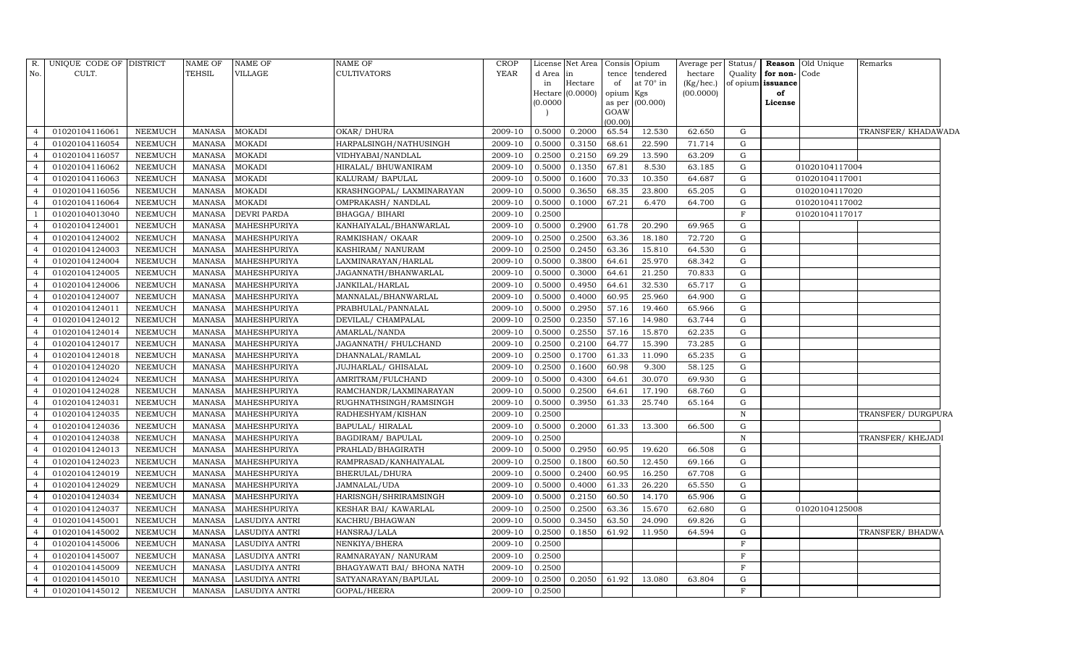| No.<br>CULT.<br><b>TEHSIL</b><br>VILLAGE<br><b>CULTIVATORS</b><br>YEAR<br>d Area<br>tence tendered<br>hectare<br>Quality<br>for non-Code<br>in<br>at 70° in<br>Hectare<br>of opium issuance<br>in<br>of<br>(Kg/hec.)<br>Hectare $(0.0000)$<br>(00.0000)<br>opium Kgs<br>of<br>(0.0000)<br>as per (00.000)<br>License<br>GOAW<br>(00.00)<br>01020104116061<br><b>NEEMUCH</b><br><b>MOKADI</b><br>0.5000<br>0.2000<br>65.54<br>12.530<br>62.650<br>TRANSFER/ KHADAWADA<br>$\overline{4}$<br><b>MANASA</b><br>OKAR/ DHURA<br>2009-10<br>G<br>01020104116054<br>NEEMUCH<br><b>MANASA</b><br><b>MOKADI</b><br>HARPALSINGH/NATHUSINGH<br>0.5000<br>0.3150<br>68.61<br>22.590<br>71.714<br>$\overline{4}$<br>2009-10<br>G<br>01020104116057<br><b>MANASA</b><br><b>MOKADI</b><br>VIDHYABAI/NANDLAL<br>2009-10<br>0.2500<br>0.2150<br>69.29<br>13.590<br>63.209<br>$\overline{4}$<br><b>NEEMUCH</b><br>G<br>0.5000<br>$\overline{4}$<br>01020104116062<br><b>NEEMUCH</b><br><b>MOKADI</b><br>2009-10<br>0.1350<br>67.81<br>8.530<br>63.185<br>G<br>01020104117004<br><b>MANASA</b><br>HIRALAL/ BHUWANIRAM<br>01020104116063<br><b>MOKADI</b><br><b>NEEMUCH</b><br><b>MANASA</b><br>KALURAM / BAPULAL<br>2009-10<br>0.5000<br>0.1600<br>70.33<br>10.350<br>64.687<br>G<br>01020104117001<br>$\overline{4}$<br>01020104116056<br><b>MOKADI</b><br>KRASHNGOPAL/ LAXMINARAYAN<br>2009-10<br>0.5000<br>0.3650<br>68.35<br>23.800<br>G<br>01020104117020<br>$\overline{4}$<br><b>NEEMUCH</b><br><b>MANASA</b><br>65.205<br>$\overline{4}$<br>01020104116064<br><b>NEEMUCH</b><br><b>MANASA</b><br><b>MOKADI</b><br>OMPRAKASH / NANDLAL<br>2009-10<br>0.5000<br>0.1000<br>67.21<br>6.470<br>64.700<br>G<br>01020104117002<br>2009-10<br>F<br>01020104013040<br><b>NEEMUCH</b><br><b>DEVRI PARDA</b><br>BHAGGA/ BIHARI<br>0.2500<br>01020104117017<br><b>MANASA</b><br>01020104124001<br>MAHESHPURIYA<br>0.2900<br>$\overline{4}$<br><b>NEEMUCH</b><br><b>MANASA</b><br>KANHAIYALAL/BHANWARLAL<br>2009-10<br>0.5000<br>61.78<br>20.290<br>69.965<br>G<br>0.2500<br>0.2500<br>01020104124002<br>NEEMUCH<br><b>MANASA</b><br>MAHESHPURIYA<br>RAMKISHAN/OKAAR<br>63.36<br>18.180<br>72.720<br>G<br>$\overline{4}$<br>2009-10<br>01020104124003<br>2009-10<br>0.2500<br>0.2450<br>63.36<br>15.810<br>64.530<br>$\overline{4}$<br><b>NEEMUCH</b><br><b>MANASA</b><br>MAHESHPURIYA<br>KASHIRAM/ NANURAM<br>G<br>0.3800<br>$\overline{4}$<br>01020104124004<br><b>NEEMUCH</b><br><b>MANASA</b><br>MAHESHPURIYA<br>LAXMINARAYAN/HARLAL<br>2009-10<br>0.5000<br>64.61<br>25.970<br>68.342<br>G<br>01020104124005<br><b>NEEMUCH</b><br>0.5000<br>21.250<br>70.833<br><b>MANASA</b><br>MAHESHPURIYA<br>JAGANNATH/BHANWARLAL<br>2009-10<br>0.3000<br>64.61<br>G<br>$\overline{4}$<br>01020104124006<br><b>NEEMUCH</b><br>MAHESHPURIYA<br>JANKILAL/HARLAL<br>2009-10<br>0.5000<br>0.4950<br>64.61<br>32.530<br>65.717<br>G<br>$\overline{4}$<br><b>MANASA</b><br>01020104124007<br>0.5000<br>60.95<br><b>NEEMUCH</b><br>MANASA<br>MAHESHPURIYA<br>MANNALAL/BHANWARLAL<br>2009-10<br>0.4000<br>25.960<br>64.900<br>G<br>$\overline{4}$<br>01020104124011<br>57.16<br><b>NEEMUCH</b><br><b>MANASA</b><br>MAHESHPURIYA<br>PRABHULAL/PANNALAL<br>2009-10<br>0.5000<br>0.2950<br>19.460<br>65.966<br>G<br>$\overline{4}$<br>01020104124012<br>NEEMUCH<br>MAHESHPURIYA<br>0.2500<br>0.2350<br>57.16<br>$\overline{4}$<br><b>MANASA</b><br>DEVILAL/ CHAMPALAL<br>2009-10<br>14.980<br>63.744<br>G<br>0.5000<br>57.16<br>01020104124014<br><b>NEEMUCH</b><br><b>MANASA</b><br>MAHESHPURIYA<br>2009-10<br>0.2550<br>15.870<br>62.235<br>G<br>$\overline{4}$<br>AMARLAL/NANDA<br>01020104124017<br>NEEMUCH<br>MAHESHPURIYA<br>JAGANNATH / FHULCHAND<br>2009-10<br>0.2500<br>0.2100<br>64.77<br>15.390<br>73.285<br>G<br>$\overline{4}$<br><b>MANASA</b><br>01020104124018<br>0.2500<br>0.1700<br>61.33<br>$\overline{4}$<br><b>NEEMUCH</b><br><b>MANASA</b><br>MAHESHPURIYA<br>DHANNALAL/RAMLAL<br>2009-10<br>11.090<br>65.235<br>G<br>01020104124020<br>NEEMUCH<br>0.2500<br>0.1600<br>60.98<br>9.300<br>G<br><b>MANASA</b><br>MAHESHPURIYA<br>JUJHARLAL/ GHISALAL<br>2009-10<br>58.125<br>$\overline{4}$<br>01020104124024<br>2009-10<br>0.5000<br>0.4300<br>64.61<br>30.070<br>69.930<br>G<br><b>NEEMUCH</b><br><b>MANASA</b><br>MAHESHPURIYA<br>AMRITRAM/FULCHAND<br>$\overline{4}$<br>01020104124028<br>NEEMUCH<br>2009-10<br>0.5000<br>0.2500<br>17.190<br>G<br>$\overline{4}$<br><b>MANASA</b><br>MAHESHPURIYA<br>RAMCHANDR/LAXMINARAYAN<br>64.61<br>68.760<br>01020104124031<br><b>NEEMUCH</b><br>MAHESHPURIYA<br>2009-10<br>0.5000<br>0.3950<br>61.33<br>25.740<br>65.164<br>G<br>$\overline{4}$<br><b>MANASA</b><br>RUGHNATHSINGH/RAMSINGH<br>01020104124035<br>NEEMUCH<br>MAHESHPURIYA<br>2009-10<br>0.2500<br>$\mathbf N$<br>TRANSFER/DURGPURA<br><b>MANASA</b><br>RADHESHYAM/KISHAN<br>$\overline{4}$<br>01020104124036<br>0.5000<br>0.2000<br>61.33<br>13.300<br><b>NEEMUCH</b><br><b>MANASA</b><br>MAHESHPURIYA<br>BAPULAL/HIRALAL<br>2009-10<br>66.500<br>G<br>$\overline{4}$<br>01020104124038<br>2009-10<br>NEEMUCH<br>MAHESHPURIYA<br>BAGDIRAM/ BAPULAL<br>0.2500<br>$\, {\rm N}$<br>TRANSFER/KHEJADI<br>$\overline{4}$<br><b>MANASA</b><br>01020104124013<br>0.2950<br>60.95<br><b>NEEMUCH</b><br><b>MANASA</b><br>MAHESHPURIYA<br>PRAHLAD/BHAGIRATH<br>2009-10<br>0.5000<br>19.620<br>66.508<br>G<br>$\overline{4}$<br>0.2500<br>01020104124023<br>NEEMUCH<br>0.1800<br>60.50<br>12.450<br>G<br>$\overline{4}$<br><b>MANASA</b><br>MAHESHPURIYA<br>RAMPRASAD/KANHAIYALAL<br>2009-10<br>69.166<br>01020104124019<br>0.2400<br>60.95<br><b>NEEMUCH</b><br><b>MANASA</b><br>MAHESHPURIYA<br>BHERULAL/DHURA<br>2009-10<br>0.5000<br>16.250<br>67.708<br>G<br>$\overline{4}$<br>01020104124029<br>0.5000<br>$\overline{4}$<br><b>NEEMUCH</b><br>MAHESHPURIYA<br>2009-10<br>0.4000<br>61.33<br>26.220<br>65.550<br>G<br><b>MANASA</b><br>JAMNALAL/UDA<br>01020104124034<br><b>NEEMUCH</b><br><b>MANASA</b><br>MAHESHPURIYA<br>HARISNGH/SHRIRAMSINGH<br>2009-10<br>0.5000<br>0.2150<br>60.50<br>14.170<br>65.906<br>G<br>$\overline{4}$<br>0.2500<br>01020104124037<br><b>NEEMUCH</b><br>MAHESHPURIYA<br>KESHAR BAI/ KAWARLAL<br>2009-10<br>0.2500<br>63.36<br>15.670<br>62.680<br>G<br>01020104125008<br>$\overline{4}$<br><b>MANASA</b><br>0.5000<br>0.3450<br>01020104145001<br><b>NEEMUCH</b><br><b>MANASA</b><br><b>LASUDIYA ANTRI</b><br>KACHRU/BHAGWAN<br>2009-10<br>63.50<br>24.090<br>69.826<br>G<br>$\overline{4}$<br>01020104145002<br>0.1850<br><b>NEEMUCH</b><br><b>LASUDIYA ANTRI</b><br>HANSRAJ/LALA<br>2009-10<br>0.2500<br>61.92<br>11.950<br>64.594<br>G<br>TRANSFER/ BHADWA<br>$\overline{4}$<br>MANASA<br>01020104145006<br><b>NEEMUCH</b><br>F<br><b>MANASA</b><br><b>LASUDIYA ANTRI</b><br>NENKIYA/BHERA<br>2009-10<br>0.2500<br>$\overline{4}$<br>01020104145007<br><b>NEEMUCH</b><br><b>MANASA</b><br>RAMNARAYAN/ NANURAM<br>2009-10<br>0.2500<br>F<br>$\overline{4}$<br>LASUDIYA ANTRI<br>01020104145009<br>2009-10<br>F<br><b>NEEMUCH</b><br><b>MANASA</b><br>LASUDIYA ANTRI<br>BHAGYAWATI BAI / BHONA NATH<br>0.2500<br>$\overline{4}$<br>0.2050<br>61.92<br>$\overline{4}$<br>01020104145010<br><b>NEEMUCH</b><br><b>MANASA</b><br>LASUDIYA ANTRI<br>SATYANARAYAN/BAPULAL<br>2009-10<br>0.2500<br>13.080<br>63.804<br>G<br>NEEMUCH<br><b>MANASA</b><br>2009-10<br>0.2500<br>$\overline{4}$<br>01020104145012<br><b>LASUDIYA ANTRI</b><br><b>GOPAL/HEERA</b><br>F | R. | UNIQUE CODE OF DISTRICT | <b>NAME OF</b> | <b>NAME OF</b> | <b>NAME OF</b> | <b>CROP</b> | License Net Area | Consis Opium | Average per | Status/ | Reason Old Unique | Remarks |
|---------------------------------------------------------------------------------------------------------------------------------------------------------------------------------------------------------------------------------------------------------------------------------------------------------------------------------------------------------------------------------------------------------------------------------------------------------------------------------------------------------------------------------------------------------------------------------------------------------------------------------------------------------------------------------------------------------------------------------------------------------------------------------------------------------------------------------------------------------------------------------------------------------------------------------------------------------------------------------------------------------------------------------------------------------------------------------------------------------------------------------------------------------------------------------------------------------------------------------------------------------------------------------------------------------------------------------------------------------------------------------------------------------------------------------------------------------------------------------------------------------------------------------------------------------------------------------------------------------------------------------------------------------------------------------------------------------------------------------------------------------------------------------------------------------------------------------------------------------------------------------------------------------------------------------------------------------------------------------------------------------------------------------------------------------------------------------------------------------------------------------------------------------------------------------------------------------------------------------------------------------------------------------------------------------------------------------------------------------------------------------------------------------------------------------------------------------------------------------------------------------------------------------------------------------------------------------------------------------------------------------------------------------------------------------------------------------------------------------------------------------------------------------------------------------------------------------------------------------------------------------------------------------------------------------------------------------------------------------------------------------------------------------------------------------------------------------------------------------------------------------------------------------------------------------------------------------------------------------------------------------------------------------------------------------------------------------------------------------------------------------------------------------------------------------------------------------------------------------------------------------------------------------------------------------------------------------------------------------------------------------------------------------------------------------------------------------------------------------------------------------------------------------------------------------------------------------------------------------------------------------------------------------------------------------------------------------------------------------------------------------------------------------------------------------------------------------------------------------------------------------------------------------------------------------------------------------------------------------------------------------------------------------------------------------------------------------------------------------------------------------------------------------------------------------------------------------------------------------------------------------------------------------------------------------------------------------------------------------------------------------------------------------------------------------------------------------------------------------------------------------------------------------------------------------------------------------------------------------------------------------------------------------------------------------------------------------------------------------------------------------------------------------------------------------------------------------------------------------------------------------------------------------------------------------------------------------------------------------------------------------------------------------------------------------------------------------------------------------------------------------------------------------------------------------------------------------------------------------------------------------------------------------------------------------------------------------------------------------------------------------------------------------------------------------------------------------------------------------------------------------------------------------------------------------------------------------------------------------------------------------------------------------------------------------------------------------------------------------------------------------------------------------------------------------------------------------------------------------------------------------------------------------------------------------------------------------------------------------------------------------------------------------------------------------------------------------------------------------------------------------------------------------------------------------------------------------------------------------------------------------------------------------------------------------------------------------------------------------------------------------------------------------------------------------------------------------------------------------------------------------------------------------------------------------------------------------------------------------------------------------------------------------------------------------------------------------------------------------------------------------------------------------------------------------------------------------------------------------------------------------------------------------------------------------------------------------------------------------------------------------------------------------------------------------------------------------------------------------------------------------------------------------------------------------------------------------------------|----|-------------------------|----------------|----------------|----------------|-------------|------------------|--------------|-------------|---------|-------------------|---------|
|                                                                                                                                                                                                                                                                                                                                                                                                                                                                                                                                                                                                                                                                                                                                                                                                                                                                                                                                                                                                                                                                                                                                                                                                                                                                                                                                                                                                                                                                                                                                                                                                                                                                                                                                                                                                                                                                                                                                                                                                                                                                                                                                                                                                                                                                                                                                                                                                                                                                                                                                                                                                                                                                                                                                                                                                                                                                                                                                                                                                                                                                                                                                                                                                                                                                                                                                                                                                                                                                                                                                                                                                                                                                                                                                                                                                                                                                                                                                                                                                                                                                                                                                                                                                                                                                                                                                                                                                                                                                                                                                                                                                                                                                                                                                                                                                                                                                                                                                                                                                                                                                                                                                                                                                                                                                                                                                                                                                                                                                                                                                                                                                                                                                                                                                                                                                                                                                                                                                                                                                                                                                                                                                                                                                                                                                                                                                                                                                                                                                                                                                                                                                                                                                                                                                                                                                                                                                                                                                                                                                                                                                                                                                                                                                                                                                                                                                                                                                                                                                     |    |                         |                |                |                |             |                  |              |             |         |                   |         |
|                                                                                                                                                                                                                                                                                                                                                                                                                                                                                                                                                                                                                                                                                                                                                                                                                                                                                                                                                                                                                                                                                                                                                                                                                                                                                                                                                                                                                                                                                                                                                                                                                                                                                                                                                                                                                                                                                                                                                                                                                                                                                                                                                                                                                                                                                                                                                                                                                                                                                                                                                                                                                                                                                                                                                                                                                                                                                                                                                                                                                                                                                                                                                                                                                                                                                                                                                                                                                                                                                                                                                                                                                                                                                                                                                                                                                                                                                                                                                                                                                                                                                                                                                                                                                                                                                                                                                                                                                                                                                                                                                                                                                                                                                                                                                                                                                                                                                                                                                                                                                                                                                                                                                                                                                                                                                                                                                                                                                                                                                                                                                                                                                                                                                                                                                                                                                                                                                                                                                                                                                                                                                                                                                                                                                                                                                                                                                                                                                                                                                                                                                                                                                                                                                                                                                                                                                                                                                                                                                                                                                                                                                                                                                                                                                                                                                                                                                                                                                                                                     |    |                         |                |                |                |             |                  |              |             |         |                   |         |
|                                                                                                                                                                                                                                                                                                                                                                                                                                                                                                                                                                                                                                                                                                                                                                                                                                                                                                                                                                                                                                                                                                                                                                                                                                                                                                                                                                                                                                                                                                                                                                                                                                                                                                                                                                                                                                                                                                                                                                                                                                                                                                                                                                                                                                                                                                                                                                                                                                                                                                                                                                                                                                                                                                                                                                                                                                                                                                                                                                                                                                                                                                                                                                                                                                                                                                                                                                                                                                                                                                                                                                                                                                                                                                                                                                                                                                                                                                                                                                                                                                                                                                                                                                                                                                                                                                                                                                                                                                                                                                                                                                                                                                                                                                                                                                                                                                                                                                                                                                                                                                                                                                                                                                                                                                                                                                                                                                                                                                                                                                                                                                                                                                                                                                                                                                                                                                                                                                                                                                                                                                                                                                                                                                                                                                                                                                                                                                                                                                                                                                                                                                                                                                                                                                                                                                                                                                                                                                                                                                                                                                                                                                                                                                                                                                                                                                                                                                                                                                                                     |    |                         |                |                |                |             |                  |              |             |         |                   |         |
|                                                                                                                                                                                                                                                                                                                                                                                                                                                                                                                                                                                                                                                                                                                                                                                                                                                                                                                                                                                                                                                                                                                                                                                                                                                                                                                                                                                                                                                                                                                                                                                                                                                                                                                                                                                                                                                                                                                                                                                                                                                                                                                                                                                                                                                                                                                                                                                                                                                                                                                                                                                                                                                                                                                                                                                                                                                                                                                                                                                                                                                                                                                                                                                                                                                                                                                                                                                                                                                                                                                                                                                                                                                                                                                                                                                                                                                                                                                                                                                                                                                                                                                                                                                                                                                                                                                                                                                                                                                                                                                                                                                                                                                                                                                                                                                                                                                                                                                                                                                                                                                                                                                                                                                                                                                                                                                                                                                                                                                                                                                                                                                                                                                                                                                                                                                                                                                                                                                                                                                                                                                                                                                                                                                                                                                                                                                                                                                                                                                                                                                                                                                                                                                                                                                                                                                                                                                                                                                                                                                                                                                                                                                                                                                                                                                                                                                                                                                                                                                                     |    |                         |                |                |                |             |                  |              |             |         |                   |         |
|                                                                                                                                                                                                                                                                                                                                                                                                                                                                                                                                                                                                                                                                                                                                                                                                                                                                                                                                                                                                                                                                                                                                                                                                                                                                                                                                                                                                                                                                                                                                                                                                                                                                                                                                                                                                                                                                                                                                                                                                                                                                                                                                                                                                                                                                                                                                                                                                                                                                                                                                                                                                                                                                                                                                                                                                                                                                                                                                                                                                                                                                                                                                                                                                                                                                                                                                                                                                                                                                                                                                                                                                                                                                                                                                                                                                                                                                                                                                                                                                                                                                                                                                                                                                                                                                                                                                                                                                                                                                                                                                                                                                                                                                                                                                                                                                                                                                                                                                                                                                                                                                                                                                                                                                                                                                                                                                                                                                                                                                                                                                                                                                                                                                                                                                                                                                                                                                                                                                                                                                                                                                                                                                                                                                                                                                                                                                                                                                                                                                                                                                                                                                                                                                                                                                                                                                                                                                                                                                                                                                                                                                                                                                                                                                                                                                                                                                                                                                                                                                     |    |                         |                |                |                |             |                  |              |             |         |                   |         |
|                                                                                                                                                                                                                                                                                                                                                                                                                                                                                                                                                                                                                                                                                                                                                                                                                                                                                                                                                                                                                                                                                                                                                                                                                                                                                                                                                                                                                                                                                                                                                                                                                                                                                                                                                                                                                                                                                                                                                                                                                                                                                                                                                                                                                                                                                                                                                                                                                                                                                                                                                                                                                                                                                                                                                                                                                                                                                                                                                                                                                                                                                                                                                                                                                                                                                                                                                                                                                                                                                                                                                                                                                                                                                                                                                                                                                                                                                                                                                                                                                                                                                                                                                                                                                                                                                                                                                                                                                                                                                                                                                                                                                                                                                                                                                                                                                                                                                                                                                                                                                                                                                                                                                                                                                                                                                                                                                                                                                                                                                                                                                                                                                                                                                                                                                                                                                                                                                                                                                                                                                                                                                                                                                                                                                                                                                                                                                                                                                                                                                                                                                                                                                                                                                                                                                                                                                                                                                                                                                                                                                                                                                                                                                                                                                                                                                                                                                                                                                                                                     |    |                         |                |                |                |             |                  |              |             |         |                   |         |
|                                                                                                                                                                                                                                                                                                                                                                                                                                                                                                                                                                                                                                                                                                                                                                                                                                                                                                                                                                                                                                                                                                                                                                                                                                                                                                                                                                                                                                                                                                                                                                                                                                                                                                                                                                                                                                                                                                                                                                                                                                                                                                                                                                                                                                                                                                                                                                                                                                                                                                                                                                                                                                                                                                                                                                                                                                                                                                                                                                                                                                                                                                                                                                                                                                                                                                                                                                                                                                                                                                                                                                                                                                                                                                                                                                                                                                                                                                                                                                                                                                                                                                                                                                                                                                                                                                                                                                                                                                                                                                                                                                                                                                                                                                                                                                                                                                                                                                                                                                                                                                                                                                                                                                                                                                                                                                                                                                                                                                                                                                                                                                                                                                                                                                                                                                                                                                                                                                                                                                                                                                                                                                                                                                                                                                                                                                                                                                                                                                                                                                                                                                                                                                                                                                                                                                                                                                                                                                                                                                                                                                                                                                                                                                                                                                                                                                                                                                                                                                                                     |    |                         |                |                |                |             |                  |              |             |         |                   |         |
|                                                                                                                                                                                                                                                                                                                                                                                                                                                                                                                                                                                                                                                                                                                                                                                                                                                                                                                                                                                                                                                                                                                                                                                                                                                                                                                                                                                                                                                                                                                                                                                                                                                                                                                                                                                                                                                                                                                                                                                                                                                                                                                                                                                                                                                                                                                                                                                                                                                                                                                                                                                                                                                                                                                                                                                                                                                                                                                                                                                                                                                                                                                                                                                                                                                                                                                                                                                                                                                                                                                                                                                                                                                                                                                                                                                                                                                                                                                                                                                                                                                                                                                                                                                                                                                                                                                                                                                                                                                                                                                                                                                                                                                                                                                                                                                                                                                                                                                                                                                                                                                                                                                                                                                                                                                                                                                                                                                                                                                                                                                                                                                                                                                                                                                                                                                                                                                                                                                                                                                                                                                                                                                                                                                                                                                                                                                                                                                                                                                                                                                                                                                                                                                                                                                                                                                                                                                                                                                                                                                                                                                                                                                                                                                                                                                                                                                                                                                                                                                                     |    |                         |                |                |                |             |                  |              |             |         |                   |         |
|                                                                                                                                                                                                                                                                                                                                                                                                                                                                                                                                                                                                                                                                                                                                                                                                                                                                                                                                                                                                                                                                                                                                                                                                                                                                                                                                                                                                                                                                                                                                                                                                                                                                                                                                                                                                                                                                                                                                                                                                                                                                                                                                                                                                                                                                                                                                                                                                                                                                                                                                                                                                                                                                                                                                                                                                                                                                                                                                                                                                                                                                                                                                                                                                                                                                                                                                                                                                                                                                                                                                                                                                                                                                                                                                                                                                                                                                                                                                                                                                                                                                                                                                                                                                                                                                                                                                                                                                                                                                                                                                                                                                                                                                                                                                                                                                                                                                                                                                                                                                                                                                                                                                                                                                                                                                                                                                                                                                                                                                                                                                                                                                                                                                                                                                                                                                                                                                                                                                                                                                                                                                                                                                                                                                                                                                                                                                                                                                                                                                                                                                                                                                                                                                                                                                                                                                                                                                                                                                                                                                                                                                                                                                                                                                                                                                                                                                                                                                                                                                     |    |                         |                |                |                |             |                  |              |             |         |                   |         |
|                                                                                                                                                                                                                                                                                                                                                                                                                                                                                                                                                                                                                                                                                                                                                                                                                                                                                                                                                                                                                                                                                                                                                                                                                                                                                                                                                                                                                                                                                                                                                                                                                                                                                                                                                                                                                                                                                                                                                                                                                                                                                                                                                                                                                                                                                                                                                                                                                                                                                                                                                                                                                                                                                                                                                                                                                                                                                                                                                                                                                                                                                                                                                                                                                                                                                                                                                                                                                                                                                                                                                                                                                                                                                                                                                                                                                                                                                                                                                                                                                                                                                                                                                                                                                                                                                                                                                                                                                                                                                                                                                                                                                                                                                                                                                                                                                                                                                                                                                                                                                                                                                                                                                                                                                                                                                                                                                                                                                                                                                                                                                                                                                                                                                                                                                                                                                                                                                                                                                                                                                                                                                                                                                                                                                                                                                                                                                                                                                                                                                                                                                                                                                                                                                                                                                                                                                                                                                                                                                                                                                                                                                                                                                                                                                                                                                                                                                                                                                                                                     |    |                         |                |                |                |             |                  |              |             |         |                   |         |
|                                                                                                                                                                                                                                                                                                                                                                                                                                                                                                                                                                                                                                                                                                                                                                                                                                                                                                                                                                                                                                                                                                                                                                                                                                                                                                                                                                                                                                                                                                                                                                                                                                                                                                                                                                                                                                                                                                                                                                                                                                                                                                                                                                                                                                                                                                                                                                                                                                                                                                                                                                                                                                                                                                                                                                                                                                                                                                                                                                                                                                                                                                                                                                                                                                                                                                                                                                                                                                                                                                                                                                                                                                                                                                                                                                                                                                                                                                                                                                                                                                                                                                                                                                                                                                                                                                                                                                                                                                                                                                                                                                                                                                                                                                                                                                                                                                                                                                                                                                                                                                                                                                                                                                                                                                                                                                                                                                                                                                                                                                                                                                                                                                                                                                                                                                                                                                                                                                                                                                                                                                                                                                                                                                                                                                                                                                                                                                                                                                                                                                                                                                                                                                                                                                                                                                                                                                                                                                                                                                                                                                                                                                                                                                                                                                                                                                                                                                                                                                                                     |    |                         |                |                |                |             |                  |              |             |         |                   |         |
|                                                                                                                                                                                                                                                                                                                                                                                                                                                                                                                                                                                                                                                                                                                                                                                                                                                                                                                                                                                                                                                                                                                                                                                                                                                                                                                                                                                                                                                                                                                                                                                                                                                                                                                                                                                                                                                                                                                                                                                                                                                                                                                                                                                                                                                                                                                                                                                                                                                                                                                                                                                                                                                                                                                                                                                                                                                                                                                                                                                                                                                                                                                                                                                                                                                                                                                                                                                                                                                                                                                                                                                                                                                                                                                                                                                                                                                                                                                                                                                                                                                                                                                                                                                                                                                                                                                                                                                                                                                                                                                                                                                                                                                                                                                                                                                                                                                                                                                                                                                                                                                                                                                                                                                                                                                                                                                                                                                                                                                                                                                                                                                                                                                                                                                                                                                                                                                                                                                                                                                                                                                                                                                                                                                                                                                                                                                                                                                                                                                                                                                                                                                                                                                                                                                                                                                                                                                                                                                                                                                                                                                                                                                                                                                                                                                                                                                                                                                                                                                                     |    |                         |                |                |                |             |                  |              |             |         |                   |         |
|                                                                                                                                                                                                                                                                                                                                                                                                                                                                                                                                                                                                                                                                                                                                                                                                                                                                                                                                                                                                                                                                                                                                                                                                                                                                                                                                                                                                                                                                                                                                                                                                                                                                                                                                                                                                                                                                                                                                                                                                                                                                                                                                                                                                                                                                                                                                                                                                                                                                                                                                                                                                                                                                                                                                                                                                                                                                                                                                                                                                                                                                                                                                                                                                                                                                                                                                                                                                                                                                                                                                                                                                                                                                                                                                                                                                                                                                                                                                                                                                                                                                                                                                                                                                                                                                                                                                                                                                                                                                                                                                                                                                                                                                                                                                                                                                                                                                                                                                                                                                                                                                                                                                                                                                                                                                                                                                                                                                                                                                                                                                                                                                                                                                                                                                                                                                                                                                                                                                                                                                                                                                                                                                                                                                                                                                                                                                                                                                                                                                                                                                                                                                                                                                                                                                                                                                                                                                                                                                                                                                                                                                                                                                                                                                                                                                                                                                                                                                                                                                     |    |                         |                |                |                |             |                  |              |             |         |                   |         |
|                                                                                                                                                                                                                                                                                                                                                                                                                                                                                                                                                                                                                                                                                                                                                                                                                                                                                                                                                                                                                                                                                                                                                                                                                                                                                                                                                                                                                                                                                                                                                                                                                                                                                                                                                                                                                                                                                                                                                                                                                                                                                                                                                                                                                                                                                                                                                                                                                                                                                                                                                                                                                                                                                                                                                                                                                                                                                                                                                                                                                                                                                                                                                                                                                                                                                                                                                                                                                                                                                                                                                                                                                                                                                                                                                                                                                                                                                                                                                                                                                                                                                                                                                                                                                                                                                                                                                                                                                                                                                                                                                                                                                                                                                                                                                                                                                                                                                                                                                                                                                                                                                                                                                                                                                                                                                                                                                                                                                                                                                                                                                                                                                                                                                                                                                                                                                                                                                                                                                                                                                                                                                                                                                                                                                                                                                                                                                                                                                                                                                                                                                                                                                                                                                                                                                                                                                                                                                                                                                                                                                                                                                                                                                                                                                                                                                                                                                                                                                                                                     |    |                         |                |                |                |             |                  |              |             |         |                   |         |
|                                                                                                                                                                                                                                                                                                                                                                                                                                                                                                                                                                                                                                                                                                                                                                                                                                                                                                                                                                                                                                                                                                                                                                                                                                                                                                                                                                                                                                                                                                                                                                                                                                                                                                                                                                                                                                                                                                                                                                                                                                                                                                                                                                                                                                                                                                                                                                                                                                                                                                                                                                                                                                                                                                                                                                                                                                                                                                                                                                                                                                                                                                                                                                                                                                                                                                                                                                                                                                                                                                                                                                                                                                                                                                                                                                                                                                                                                                                                                                                                                                                                                                                                                                                                                                                                                                                                                                                                                                                                                                                                                                                                                                                                                                                                                                                                                                                                                                                                                                                                                                                                                                                                                                                                                                                                                                                                                                                                                                                                                                                                                                                                                                                                                                                                                                                                                                                                                                                                                                                                                                                                                                                                                                                                                                                                                                                                                                                                                                                                                                                                                                                                                                                                                                                                                                                                                                                                                                                                                                                                                                                                                                                                                                                                                                                                                                                                                                                                                                                                     |    |                         |                |                |                |             |                  |              |             |         |                   |         |
|                                                                                                                                                                                                                                                                                                                                                                                                                                                                                                                                                                                                                                                                                                                                                                                                                                                                                                                                                                                                                                                                                                                                                                                                                                                                                                                                                                                                                                                                                                                                                                                                                                                                                                                                                                                                                                                                                                                                                                                                                                                                                                                                                                                                                                                                                                                                                                                                                                                                                                                                                                                                                                                                                                                                                                                                                                                                                                                                                                                                                                                                                                                                                                                                                                                                                                                                                                                                                                                                                                                                                                                                                                                                                                                                                                                                                                                                                                                                                                                                                                                                                                                                                                                                                                                                                                                                                                                                                                                                                                                                                                                                                                                                                                                                                                                                                                                                                                                                                                                                                                                                                                                                                                                                                                                                                                                                                                                                                                                                                                                                                                                                                                                                                                                                                                                                                                                                                                                                                                                                                                                                                                                                                                                                                                                                                                                                                                                                                                                                                                                                                                                                                                                                                                                                                                                                                                                                                                                                                                                                                                                                                                                                                                                                                                                                                                                                                                                                                                                                     |    |                         |                |                |                |             |                  |              |             |         |                   |         |
|                                                                                                                                                                                                                                                                                                                                                                                                                                                                                                                                                                                                                                                                                                                                                                                                                                                                                                                                                                                                                                                                                                                                                                                                                                                                                                                                                                                                                                                                                                                                                                                                                                                                                                                                                                                                                                                                                                                                                                                                                                                                                                                                                                                                                                                                                                                                                                                                                                                                                                                                                                                                                                                                                                                                                                                                                                                                                                                                                                                                                                                                                                                                                                                                                                                                                                                                                                                                                                                                                                                                                                                                                                                                                                                                                                                                                                                                                                                                                                                                                                                                                                                                                                                                                                                                                                                                                                                                                                                                                                                                                                                                                                                                                                                                                                                                                                                                                                                                                                                                                                                                                                                                                                                                                                                                                                                                                                                                                                                                                                                                                                                                                                                                                                                                                                                                                                                                                                                                                                                                                                                                                                                                                                                                                                                                                                                                                                                                                                                                                                                                                                                                                                                                                                                                                                                                                                                                                                                                                                                                                                                                                                                                                                                                                                                                                                                                                                                                                                                                     |    |                         |                |                |                |             |                  |              |             |         |                   |         |
|                                                                                                                                                                                                                                                                                                                                                                                                                                                                                                                                                                                                                                                                                                                                                                                                                                                                                                                                                                                                                                                                                                                                                                                                                                                                                                                                                                                                                                                                                                                                                                                                                                                                                                                                                                                                                                                                                                                                                                                                                                                                                                                                                                                                                                                                                                                                                                                                                                                                                                                                                                                                                                                                                                                                                                                                                                                                                                                                                                                                                                                                                                                                                                                                                                                                                                                                                                                                                                                                                                                                                                                                                                                                                                                                                                                                                                                                                                                                                                                                                                                                                                                                                                                                                                                                                                                                                                                                                                                                                                                                                                                                                                                                                                                                                                                                                                                                                                                                                                                                                                                                                                                                                                                                                                                                                                                                                                                                                                                                                                                                                                                                                                                                                                                                                                                                                                                                                                                                                                                                                                                                                                                                                                                                                                                                                                                                                                                                                                                                                                                                                                                                                                                                                                                                                                                                                                                                                                                                                                                                                                                                                                                                                                                                                                                                                                                                                                                                                                                                     |    |                         |                |                |                |             |                  |              |             |         |                   |         |
|                                                                                                                                                                                                                                                                                                                                                                                                                                                                                                                                                                                                                                                                                                                                                                                                                                                                                                                                                                                                                                                                                                                                                                                                                                                                                                                                                                                                                                                                                                                                                                                                                                                                                                                                                                                                                                                                                                                                                                                                                                                                                                                                                                                                                                                                                                                                                                                                                                                                                                                                                                                                                                                                                                                                                                                                                                                                                                                                                                                                                                                                                                                                                                                                                                                                                                                                                                                                                                                                                                                                                                                                                                                                                                                                                                                                                                                                                                                                                                                                                                                                                                                                                                                                                                                                                                                                                                                                                                                                                                                                                                                                                                                                                                                                                                                                                                                                                                                                                                                                                                                                                                                                                                                                                                                                                                                                                                                                                                                                                                                                                                                                                                                                                                                                                                                                                                                                                                                                                                                                                                                                                                                                                                                                                                                                                                                                                                                                                                                                                                                                                                                                                                                                                                                                                                                                                                                                                                                                                                                                                                                                                                                                                                                                                                                                                                                                                                                                                                                                     |    |                         |                |                |                |             |                  |              |             |         |                   |         |
|                                                                                                                                                                                                                                                                                                                                                                                                                                                                                                                                                                                                                                                                                                                                                                                                                                                                                                                                                                                                                                                                                                                                                                                                                                                                                                                                                                                                                                                                                                                                                                                                                                                                                                                                                                                                                                                                                                                                                                                                                                                                                                                                                                                                                                                                                                                                                                                                                                                                                                                                                                                                                                                                                                                                                                                                                                                                                                                                                                                                                                                                                                                                                                                                                                                                                                                                                                                                                                                                                                                                                                                                                                                                                                                                                                                                                                                                                                                                                                                                                                                                                                                                                                                                                                                                                                                                                                                                                                                                                                                                                                                                                                                                                                                                                                                                                                                                                                                                                                                                                                                                                                                                                                                                                                                                                                                                                                                                                                                                                                                                                                                                                                                                                                                                                                                                                                                                                                                                                                                                                                                                                                                                                                                                                                                                                                                                                                                                                                                                                                                                                                                                                                                                                                                                                                                                                                                                                                                                                                                                                                                                                                                                                                                                                                                                                                                                                                                                                                                                     |    |                         |                |                |                |             |                  |              |             |         |                   |         |
|                                                                                                                                                                                                                                                                                                                                                                                                                                                                                                                                                                                                                                                                                                                                                                                                                                                                                                                                                                                                                                                                                                                                                                                                                                                                                                                                                                                                                                                                                                                                                                                                                                                                                                                                                                                                                                                                                                                                                                                                                                                                                                                                                                                                                                                                                                                                                                                                                                                                                                                                                                                                                                                                                                                                                                                                                                                                                                                                                                                                                                                                                                                                                                                                                                                                                                                                                                                                                                                                                                                                                                                                                                                                                                                                                                                                                                                                                                                                                                                                                                                                                                                                                                                                                                                                                                                                                                                                                                                                                                                                                                                                                                                                                                                                                                                                                                                                                                                                                                                                                                                                                                                                                                                                                                                                                                                                                                                                                                                                                                                                                                                                                                                                                                                                                                                                                                                                                                                                                                                                                                                                                                                                                                                                                                                                                                                                                                                                                                                                                                                                                                                                                                                                                                                                                                                                                                                                                                                                                                                                                                                                                                                                                                                                                                                                                                                                                                                                                                                                     |    |                         |                |                |                |             |                  |              |             |         |                   |         |
|                                                                                                                                                                                                                                                                                                                                                                                                                                                                                                                                                                                                                                                                                                                                                                                                                                                                                                                                                                                                                                                                                                                                                                                                                                                                                                                                                                                                                                                                                                                                                                                                                                                                                                                                                                                                                                                                                                                                                                                                                                                                                                                                                                                                                                                                                                                                                                                                                                                                                                                                                                                                                                                                                                                                                                                                                                                                                                                                                                                                                                                                                                                                                                                                                                                                                                                                                                                                                                                                                                                                                                                                                                                                                                                                                                                                                                                                                                                                                                                                                                                                                                                                                                                                                                                                                                                                                                                                                                                                                                                                                                                                                                                                                                                                                                                                                                                                                                                                                                                                                                                                                                                                                                                                                                                                                                                                                                                                                                                                                                                                                                                                                                                                                                                                                                                                                                                                                                                                                                                                                                                                                                                                                                                                                                                                                                                                                                                                                                                                                                                                                                                                                                                                                                                                                                                                                                                                                                                                                                                                                                                                                                                                                                                                                                                                                                                                                                                                                                                                     |    |                         |                |                |                |             |                  |              |             |         |                   |         |
|                                                                                                                                                                                                                                                                                                                                                                                                                                                                                                                                                                                                                                                                                                                                                                                                                                                                                                                                                                                                                                                                                                                                                                                                                                                                                                                                                                                                                                                                                                                                                                                                                                                                                                                                                                                                                                                                                                                                                                                                                                                                                                                                                                                                                                                                                                                                                                                                                                                                                                                                                                                                                                                                                                                                                                                                                                                                                                                                                                                                                                                                                                                                                                                                                                                                                                                                                                                                                                                                                                                                                                                                                                                                                                                                                                                                                                                                                                                                                                                                                                                                                                                                                                                                                                                                                                                                                                                                                                                                                                                                                                                                                                                                                                                                                                                                                                                                                                                                                                                                                                                                                                                                                                                                                                                                                                                                                                                                                                                                                                                                                                                                                                                                                                                                                                                                                                                                                                                                                                                                                                                                                                                                                                                                                                                                                                                                                                                                                                                                                                                                                                                                                                                                                                                                                                                                                                                                                                                                                                                                                                                                                                                                                                                                                                                                                                                                                                                                                                                                     |    |                         |                |                |                |             |                  |              |             |         |                   |         |
|                                                                                                                                                                                                                                                                                                                                                                                                                                                                                                                                                                                                                                                                                                                                                                                                                                                                                                                                                                                                                                                                                                                                                                                                                                                                                                                                                                                                                                                                                                                                                                                                                                                                                                                                                                                                                                                                                                                                                                                                                                                                                                                                                                                                                                                                                                                                                                                                                                                                                                                                                                                                                                                                                                                                                                                                                                                                                                                                                                                                                                                                                                                                                                                                                                                                                                                                                                                                                                                                                                                                                                                                                                                                                                                                                                                                                                                                                                                                                                                                                                                                                                                                                                                                                                                                                                                                                                                                                                                                                                                                                                                                                                                                                                                                                                                                                                                                                                                                                                                                                                                                                                                                                                                                                                                                                                                                                                                                                                                                                                                                                                                                                                                                                                                                                                                                                                                                                                                                                                                                                                                                                                                                                                                                                                                                                                                                                                                                                                                                                                                                                                                                                                                                                                                                                                                                                                                                                                                                                                                                                                                                                                                                                                                                                                                                                                                                                                                                                                                                     |    |                         |                |                |                |             |                  |              |             |         |                   |         |
|                                                                                                                                                                                                                                                                                                                                                                                                                                                                                                                                                                                                                                                                                                                                                                                                                                                                                                                                                                                                                                                                                                                                                                                                                                                                                                                                                                                                                                                                                                                                                                                                                                                                                                                                                                                                                                                                                                                                                                                                                                                                                                                                                                                                                                                                                                                                                                                                                                                                                                                                                                                                                                                                                                                                                                                                                                                                                                                                                                                                                                                                                                                                                                                                                                                                                                                                                                                                                                                                                                                                                                                                                                                                                                                                                                                                                                                                                                                                                                                                                                                                                                                                                                                                                                                                                                                                                                                                                                                                                                                                                                                                                                                                                                                                                                                                                                                                                                                                                                                                                                                                                                                                                                                                                                                                                                                                                                                                                                                                                                                                                                                                                                                                                                                                                                                                                                                                                                                                                                                                                                                                                                                                                                                                                                                                                                                                                                                                                                                                                                                                                                                                                                                                                                                                                                                                                                                                                                                                                                                                                                                                                                                                                                                                                                                                                                                                                                                                                                                                     |    |                         |                |                |                |             |                  |              |             |         |                   |         |
|                                                                                                                                                                                                                                                                                                                                                                                                                                                                                                                                                                                                                                                                                                                                                                                                                                                                                                                                                                                                                                                                                                                                                                                                                                                                                                                                                                                                                                                                                                                                                                                                                                                                                                                                                                                                                                                                                                                                                                                                                                                                                                                                                                                                                                                                                                                                                                                                                                                                                                                                                                                                                                                                                                                                                                                                                                                                                                                                                                                                                                                                                                                                                                                                                                                                                                                                                                                                                                                                                                                                                                                                                                                                                                                                                                                                                                                                                                                                                                                                                                                                                                                                                                                                                                                                                                                                                                                                                                                                                                                                                                                                                                                                                                                                                                                                                                                                                                                                                                                                                                                                                                                                                                                                                                                                                                                                                                                                                                                                                                                                                                                                                                                                                                                                                                                                                                                                                                                                                                                                                                                                                                                                                                                                                                                                                                                                                                                                                                                                                                                                                                                                                                                                                                                                                                                                                                                                                                                                                                                                                                                                                                                                                                                                                                                                                                                                                                                                                                                                     |    |                         |                |                |                |             |                  |              |             |         |                   |         |
|                                                                                                                                                                                                                                                                                                                                                                                                                                                                                                                                                                                                                                                                                                                                                                                                                                                                                                                                                                                                                                                                                                                                                                                                                                                                                                                                                                                                                                                                                                                                                                                                                                                                                                                                                                                                                                                                                                                                                                                                                                                                                                                                                                                                                                                                                                                                                                                                                                                                                                                                                                                                                                                                                                                                                                                                                                                                                                                                                                                                                                                                                                                                                                                                                                                                                                                                                                                                                                                                                                                                                                                                                                                                                                                                                                                                                                                                                                                                                                                                                                                                                                                                                                                                                                                                                                                                                                                                                                                                                                                                                                                                                                                                                                                                                                                                                                                                                                                                                                                                                                                                                                                                                                                                                                                                                                                                                                                                                                                                                                                                                                                                                                                                                                                                                                                                                                                                                                                                                                                                                                                                                                                                                                                                                                                                                                                                                                                                                                                                                                                                                                                                                                                                                                                                                                                                                                                                                                                                                                                                                                                                                                                                                                                                                                                                                                                                                                                                                                                                     |    |                         |                |                |                |             |                  |              |             |         |                   |         |
|                                                                                                                                                                                                                                                                                                                                                                                                                                                                                                                                                                                                                                                                                                                                                                                                                                                                                                                                                                                                                                                                                                                                                                                                                                                                                                                                                                                                                                                                                                                                                                                                                                                                                                                                                                                                                                                                                                                                                                                                                                                                                                                                                                                                                                                                                                                                                                                                                                                                                                                                                                                                                                                                                                                                                                                                                                                                                                                                                                                                                                                                                                                                                                                                                                                                                                                                                                                                                                                                                                                                                                                                                                                                                                                                                                                                                                                                                                                                                                                                                                                                                                                                                                                                                                                                                                                                                                                                                                                                                                                                                                                                                                                                                                                                                                                                                                                                                                                                                                                                                                                                                                                                                                                                                                                                                                                                                                                                                                                                                                                                                                                                                                                                                                                                                                                                                                                                                                                                                                                                                                                                                                                                                                                                                                                                                                                                                                                                                                                                                                                                                                                                                                                                                                                                                                                                                                                                                                                                                                                                                                                                                                                                                                                                                                                                                                                                                                                                                                                                     |    |                         |                |                |                |             |                  |              |             |         |                   |         |
|                                                                                                                                                                                                                                                                                                                                                                                                                                                                                                                                                                                                                                                                                                                                                                                                                                                                                                                                                                                                                                                                                                                                                                                                                                                                                                                                                                                                                                                                                                                                                                                                                                                                                                                                                                                                                                                                                                                                                                                                                                                                                                                                                                                                                                                                                                                                                                                                                                                                                                                                                                                                                                                                                                                                                                                                                                                                                                                                                                                                                                                                                                                                                                                                                                                                                                                                                                                                                                                                                                                                                                                                                                                                                                                                                                                                                                                                                                                                                                                                                                                                                                                                                                                                                                                                                                                                                                                                                                                                                                                                                                                                                                                                                                                                                                                                                                                                                                                                                                                                                                                                                                                                                                                                                                                                                                                                                                                                                                                                                                                                                                                                                                                                                                                                                                                                                                                                                                                                                                                                                                                                                                                                                                                                                                                                                                                                                                                                                                                                                                                                                                                                                                                                                                                                                                                                                                                                                                                                                                                                                                                                                                                                                                                                                                                                                                                                                                                                                                                                     |    |                         |                |                |                |             |                  |              |             |         |                   |         |
|                                                                                                                                                                                                                                                                                                                                                                                                                                                                                                                                                                                                                                                                                                                                                                                                                                                                                                                                                                                                                                                                                                                                                                                                                                                                                                                                                                                                                                                                                                                                                                                                                                                                                                                                                                                                                                                                                                                                                                                                                                                                                                                                                                                                                                                                                                                                                                                                                                                                                                                                                                                                                                                                                                                                                                                                                                                                                                                                                                                                                                                                                                                                                                                                                                                                                                                                                                                                                                                                                                                                                                                                                                                                                                                                                                                                                                                                                                                                                                                                                                                                                                                                                                                                                                                                                                                                                                                                                                                                                                                                                                                                                                                                                                                                                                                                                                                                                                                                                                                                                                                                                                                                                                                                                                                                                                                                                                                                                                                                                                                                                                                                                                                                                                                                                                                                                                                                                                                                                                                                                                                                                                                                                                                                                                                                                                                                                                                                                                                                                                                                                                                                                                                                                                                                                                                                                                                                                                                                                                                                                                                                                                                                                                                                                                                                                                                                                                                                                                                                     |    |                         |                |                |                |             |                  |              |             |         |                   |         |
|                                                                                                                                                                                                                                                                                                                                                                                                                                                                                                                                                                                                                                                                                                                                                                                                                                                                                                                                                                                                                                                                                                                                                                                                                                                                                                                                                                                                                                                                                                                                                                                                                                                                                                                                                                                                                                                                                                                                                                                                                                                                                                                                                                                                                                                                                                                                                                                                                                                                                                                                                                                                                                                                                                                                                                                                                                                                                                                                                                                                                                                                                                                                                                                                                                                                                                                                                                                                                                                                                                                                                                                                                                                                                                                                                                                                                                                                                                                                                                                                                                                                                                                                                                                                                                                                                                                                                                                                                                                                                                                                                                                                                                                                                                                                                                                                                                                                                                                                                                                                                                                                                                                                                                                                                                                                                                                                                                                                                                                                                                                                                                                                                                                                                                                                                                                                                                                                                                                                                                                                                                                                                                                                                                                                                                                                                                                                                                                                                                                                                                                                                                                                                                                                                                                                                                                                                                                                                                                                                                                                                                                                                                                                                                                                                                                                                                                                                                                                                                                                     |    |                         |                |                |                |             |                  |              |             |         |                   |         |
|                                                                                                                                                                                                                                                                                                                                                                                                                                                                                                                                                                                                                                                                                                                                                                                                                                                                                                                                                                                                                                                                                                                                                                                                                                                                                                                                                                                                                                                                                                                                                                                                                                                                                                                                                                                                                                                                                                                                                                                                                                                                                                                                                                                                                                                                                                                                                                                                                                                                                                                                                                                                                                                                                                                                                                                                                                                                                                                                                                                                                                                                                                                                                                                                                                                                                                                                                                                                                                                                                                                                                                                                                                                                                                                                                                                                                                                                                                                                                                                                                                                                                                                                                                                                                                                                                                                                                                                                                                                                                                                                                                                                                                                                                                                                                                                                                                                                                                                                                                                                                                                                                                                                                                                                                                                                                                                                                                                                                                                                                                                                                                                                                                                                                                                                                                                                                                                                                                                                                                                                                                                                                                                                                                                                                                                                                                                                                                                                                                                                                                                                                                                                                                                                                                                                                                                                                                                                                                                                                                                                                                                                                                                                                                                                                                                                                                                                                                                                                                                                     |    |                         |                |                |                |             |                  |              |             |         |                   |         |
|                                                                                                                                                                                                                                                                                                                                                                                                                                                                                                                                                                                                                                                                                                                                                                                                                                                                                                                                                                                                                                                                                                                                                                                                                                                                                                                                                                                                                                                                                                                                                                                                                                                                                                                                                                                                                                                                                                                                                                                                                                                                                                                                                                                                                                                                                                                                                                                                                                                                                                                                                                                                                                                                                                                                                                                                                                                                                                                                                                                                                                                                                                                                                                                                                                                                                                                                                                                                                                                                                                                                                                                                                                                                                                                                                                                                                                                                                                                                                                                                                                                                                                                                                                                                                                                                                                                                                                                                                                                                                                                                                                                                                                                                                                                                                                                                                                                                                                                                                                                                                                                                                                                                                                                                                                                                                                                                                                                                                                                                                                                                                                                                                                                                                                                                                                                                                                                                                                                                                                                                                                                                                                                                                                                                                                                                                                                                                                                                                                                                                                                                                                                                                                                                                                                                                                                                                                                                                                                                                                                                                                                                                                                                                                                                                                                                                                                                                                                                                                                                     |    |                         |                |                |                |             |                  |              |             |         |                   |         |
|                                                                                                                                                                                                                                                                                                                                                                                                                                                                                                                                                                                                                                                                                                                                                                                                                                                                                                                                                                                                                                                                                                                                                                                                                                                                                                                                                                                                                                                                                                                                                                                                                                                                                                                                                                                                                                                                                                                                                                                                                                                                                                                                                                                                                                                                                                                                                                                                                                                                                                                                                                                                                                                                                                                                                                                                                                                                                                                                                                                                                                                                                                                                                                                                                                                                                                                                                                                                                                                                                                                                                                                                                                                                                                                                                                                                                                                                                                                                                                                                                                                                                                                                                                                                                                                                                                                                                                                                                                                                                                                                                                                                                                                                                                                                                                                                                                                                                                                                                                                                                                                                                                                                                                                                                                                                                                                                                                                                                                                                                                                                                                                                                                                                                                                                                                                                                                                                                                                                                                                                                                                                                                                                                                                                                                                                                                                                                                                                                                                                                                                                                                                                                                                                                                                                                                                                                                                                                                                                                                                                                                                                                                                                                                                                                                                                                                                                                                                                                                                                     |    |                         |                |                |                |             |                  |              |             |         |                   |         |
|                                                                                                                                                                                                                                                                                                                                                                                                                                                                                                                                                                                                                                                                                                                                                                                                                                                                                                                                                                                                                                                                                                                                                                                                                                                                                                                                                                                                                                                                                                                                                                                                                                                                                                                                                                                                                                                                                                                                                                                                                                                                                                                                                                                                                                                                                                                                                                                                                                                                                                                                                                                                                                                                                                                                                                                                                                                                                                                                                                                                                                                                                                                                                                                                                                                                                                                                                                                                                                                                                                                                                                                                                                                                                                                                                                                                                                                                                                                                                                                                                                                                                                                                                                                                                                                                                                                                                                                                                                                                                                                                                                                                                                                                                                                                                                                                                                                                                                                                                                                                                                                                                                                                                                                                                                                                                                                                                                                                                                                                                                                                                                                                                                                                                                                                                                                                                                                                                                                                                                                                                                                                                                                                                                                                                                                                                                                                                                                                                                                                                                                                                                                                                                                                                                                                                                                                                                                                                                                                                                                                                                                                                                                                                                                                                                                                                                                                                                                                                                                                     |    |                         |                |                |                |             |                  |              |             |         |                   |         |
|                                                                                                                                                                                                                                                                                                                                                                                                                                                                                                                                                                                                                                                                                                                                                                                                                                                                                                                                                                                                                                                                                                                                                                                                                                                                                                                                                                                                                                                                                                                                                                                                                                                                                                                                                                                                                                                                                                                                                                                                                                                                                                                                                                                                                                                                                                                                                                                                                                                                                                                                                                                                                                                                                                                                                                                                                                                                                                                                                                                                                                                                                                                                                                                                                                                                                                                                                                                                                                                                                                                                                                                                                                                                                                                                                                                                                                                                                                                                                                                                                                                                                                                                                                                                                                                                                                                                                                                                                                                                                                                                                                                                                                                                                                                                                                                                                                                                                                                                                                                                                                                                                                                                                                                                                                                                                                                                                                                                                                                                                                                                                                                                                                                                                                                                                                                                                                                                                                                                                                                                                                                                                                                                                                                                                                                                                                                                                                                                                                                                                                                                                                                                                                                                                                                                                                                                                                                                                                                                                                                                                                                                                                                                                                                                                                                                                                                                                                                                                                                                     |    |                         |                |                |                |             |                  |              |             |         |                   |         |
|                                                                                                                                                                                                                                                                                                                                                                                                                                                                                                                                                                                                                                                                                                                                                                                                                                                                                                                                                                                                                                                                                                                                                                                                                                                                                                                                                                                                                                                                                                                                                                                                                                                                                                                                                                                                                                                                                                                                                                                                                                                                                                                                                                                                                                                                                                                                                                                                                                                                                                                                                                                                                                                                                                                                                                                                                                                                                                                                                                                                                                                                                                                                                                                                                                                                                                                                                                                                                                                                                                                                                                                                                                                                                                                                                                                                                                                                                                                                                                                                                                                                                                                                                                                                                                                                                                                                                                                                                                                                                                                                                                                                                                                                                                                                                                                                                                                                                                                                                                                                                                                                                                                                                                                                                                                                                                                                                                                                                                                                                                                                                                                                                                                                                                                                                                                                                                                                                                                                                                                                                                                                                                                                                                                                                                                                                                                                                                                                                                                                                                                                                                                                                                                                                                                                                                                                                                                                                                                                                                                                                                                                                                                                                                                                                                                                                                                                                                                                                                                                     |    |                         |                |                |                |             |                  |              |             |         |                   |         |
|                                                                                                                                                                                                                                                                                                                                                                                                                                                                                                                                                                                                                                                                                                                                                                                                                                                                                                                                                                                                                                                                                                                                                                                                                                                                                                                                                                                                                                                                                                                                                                                                                                                                                                                                                                                                                                                                                                                                                                                                                                                                                                                                                                                                                                                                                                                                                                                                                                                                                                                                                                                                                                                                                                                                                                                                                                                                                                                                                                                                                                                                                                                                                                                                                                                                                                                                                                                                                                                                                                                                                                                                                                                                                                                                                                                                                                                                                                                                                                                                                                                                                                                                                                                                                                                                                                                                                                                                                                                                                                                                                                                                                                                                                                                                                                                                                                                                                                                                                                                                                                                                                                                                                                                                                                                                                                                                                                                                                                                                                                                                                                                                                                                                                                                                                                                                                                                                                                                                                                                                                                                                                                                                                                                                                                                                                                                                                                                                                                                                                                                                                                                                                                                                                                                                                                                                                                                                                                                                                                                                                                                                                                                                                                                                                                                                                                                                                                                                                                                                     |    |                         |                |                |                |             |                  |              |             |         |                   |         |
|                                                                                                                                                                                                                                                                                                                                                                                                                                                                                                                                                                                                                                                                                                                                                                                                                                                                                                                                                                                                                                                                                                                                                                                                                                                                                                                                                                                                                                                                                                                                                                                                                                                                                                                                                                                                                                                                                                                                                                                                                                                                                                                                                                                                                                                                                                                                                                                                                                                                                                                                                                                                                                                                                                                                                                                                                                                                                                                                                                                                                                                                                                                                                                                                                                                                                                                                                                                                                                                                                                                                                                                                                                                                                                                                                                                                                                                                                                                                                                                                                                                                                                                                                                                                                                                                                                                                                                                                                                                                                                                                                                                                                                                                                                                                                                                                                                                                                                                                                                                                                                                                                                                                                                                                                                                                                                                                                                                                                                                                                                                                                                                                                                                                                                                                                                                                                                                                                                                                                                                                                                                                                                                                                                                                                                                                                                                                                                                                                                                                                                                                                                                                                                                                                                                                                                                                                                                                                                                                                                                                                                                                                                                                                                                                                                                                                                                                                                                                                                                                     |    |                         |                |                |                |             |                  |              |             |         |                   |         |
|                                                                                                                                                                                                                                                                                                                                                                                                                                                                                                                                                                                                                                                                                                                                                                                                                                                                                                                                                                                                                                                                                                                                                                                                                                                                                                                                                                                                                                                                                                                                                                                                                                                                                                                                                                                                                                                                                                                                                                                                                                                                                                                                                                                                                                                                                                                                                                                                                                                                                                                                                                                                                                                                                                                                                                                                                                                                                                                                                                                                                                                                                                                                                                                                                                                                                                                                                                                                                                                                                                                                                                                                                                                                                                                                                                                                                                                                                                                                                                                                                                                                                                                                                                                                                                                                                                                                                                                                                                                                                                                                                                                                                                                                                                                                                                                                                                                                                                                                                                                                                                                                                                                                                                                                                                                                                                                                                                                                                                                                                                                                                                                                                                                                                                                                                                                                                                                                                                                                                                                                                                                                                                                                                                                                                                                                                                                                                                                                                                                                                                                                                                                                                                                                                                                                                                                                                                                                                                                                                                                                                                                                                                                                                                                                                                                                                                                                                                                                                                                                     |    |                         |                |                |                |             |                  |              |             |         |                   |         |
|                                                                                                                                                                                                                                                                                                                                                                                                                                                                                                                                                                                                                                                                                                                                                                                                                                                                                                                                                                                                                                                                                                                                                                                                                                                                                                                                                                                                                                                                                                                                                                                                                                                                                                                                                                                                                                                                                                                                                                                                                                                                                                                                                                                                                                                                                                                                                                                                                                                                                                                                                                                                                                                                                                                                                                                                                                                                                                                                                                                                                                                                                                                                                                                                                                                                                                                                                                                                                                                                                                                                                                                                                                                                                                                                                                                                                                                                                                                                                                                                                                                                                                                                                                                                                                                                                                                                                                                                                                                                                                                                                                                                                                                                                                                                                                                                                                                                                                                                                                                                                                                                                                                                                                                                                                                                                                                                                                                                                                                                                                                                                                                                                                                                                                                                                                                                                                                                                                                                                                                                                                                                                                                                                                                                                                                                                                                                                                                                                                                                                                                                                                                                                                                                                                                                                                                                                                                                                                                                                                                                                                                                                                                                                                                                                                                                                                                                                                                                                                                                     |    |                         |                |                |                |             |                  |              |             |         |                   |         |
|                                                                                                                                                                                                                                                                                                                                                                                                                                                                                                                                                                                                                                                                                                                                                                                                                                                                                                                                                                                                                                                                                                                                                                                                                                                                                                                                                                                                                                                                                                                                                                                                                                                                                                                                                                                                                                                                                                                                                                                                                                                                                                                                                                                                                                                                                                                                                                                                                                                                                                                                                                                                                                                                                                                                                                                                                                                                                                                                                                                                                                                                                                                                                                                                                                                                                                                                                                                                                                                                                                                                                                                                                                                                                                                                                                                                                                                                                                                                                                                                                                                                                                                                                                                                                                                                                                                                                                                                                                                                                                                                                                                                                                                                                                                                                                                                                                                                                                                                                                                                                                                                                                                                                                                                                                                                                                                                                                                                                                                                                                                                                                                                                                                                                                                                                                                                                                                                                                                                                                                                                                                                                                                                                                                                                                                                                                                                                                                                                                                                                                                                                                                                                                                                                                                                                                                                                                                                                                                                                                                                                                                                                                                                                                                                                                                                                                                                                                                                                                                                     |    |                         |                |                |                |             |                  |              |             |         |                   |         |
|                                                                                                                                                                                                                                                                                                                                                                                                                                                                                                                                                                                                                                                                                                                                                                                                                                                                                                                                                                                                                                                                                                                                                                                                                                                                                                                                                                                                                                                                                                                                                                                                                                                                                                                                                                                                                                                                                                                                                                                                                                                                                                                                                                                                                                                                                                                                                                                                                                                                                                                                                                                                                                                                                                                                                                                                                                                                                                                                                                                                                                                                                                                                                                                                                                                                                                                                                                                                                                                                                                                                                                                                                                                                                                                                                                                                                                                                                                                                                                                                                                                                                                                                                                                                                                                                                                                                                                                                                                                                                                                                                                                                                                                                                                                                                                                                                                                                                                                                                                                                                                                                                                                                                                                                                                                                                                                                                                                                                                                                                                                                                                                                                                                                                                                                                                                                                                                                                                                                                                                                                                                                                                                                                                                                                                                                                                                                                                                                                                                                                                                                                                                                                                                                                                                                                                                                                                                                                                                                                                                                                                                                                                                                                                                                                                                                                                                                                                                                                                                                     |    |                         |                |                |                |             |                  |              |             |         |                   |         |
|                                                                                                                                                                                                                                                                                                                                                                                                                                                                                                                                                                                                                                                                                                                                                                                                                                                                                                                                                                                                                                                                                                                                                                                                                                                                                                                                                                                                                                                                                                                                                                                                                                                                                                                                                                                                                                                                                                                                                                                                                                                                                                                                                                                                                                                                                                                                                                                                                                                                                                                                                                                                                                                                                                                                                                                                                                                                                                                                                                                                                                                                                                                                                                                                                                                                                                                                                                                                                                                                                                                                                                                                                                                                                                                                                                                                                                                                                                                                                                                                                                                                                                                                                                                                                                                                                                                                                                                                                                                                                                                                                                                                                                                                                                                                                                                                                                                                                                                                                                                                                                                                                                                                                                                                                                                                                                                                                                                                                                                                                                                                                                                                                                                                                                                                                                                                                                                                                                                                                                                                                                                                                                                                                                                                                                                                                                                                                                                                                                                                                                                                                                                                                                                                                                                                                                                                                                                                                                                                                                                                                                                                                                                                                                                                                                                                                                                                                                                                                                                                     |    |                         |                |                |                |             |                  |              |             |         |                   |         |
|                                                                                                                                                                                                                                                                                                                                                                                                                                                                                                                                                                                                                                                                                                                                                                                                                                                                                                                                                                                                                                                                                                                                                                                                                                                                                                                                                                                                                                                                                                                                                                                                                                                                                                                                                                                                                                                                                                                                                                                                                                                                                                                                                                                                                                                                                                                                                                                                                                                                                                                                                                                                                                                                                                                                                                                                                                                                                                                                                                                                                                                                                                                                                                                                                                                                                                                                                                                                                                                                                                                                                                                                                                                                                                                                                                                                                                                                                                                                                                                                                                                                                                                                                                                                                                                                                                                                                                                                                                                                                                                                                                                                                                                                                                                                                                                                                                                                                                                                                                                                                                                                                                                                                                                                                                                                                                                                                                                                                                                                                                                                                                                                                                                                                                                                                                                                                                                                                                                                                                                                                                                                                                                                                                                                                                                                                                                                                                                                                                                                                                                                                                                                                                                                                                                                                                                                                                                                                                                                                                                                                                                                                                                                                                                                                                                                                                                                                                                                                                                                     |    |                         |                |                |                |             |                  |              |             |         |                   |         |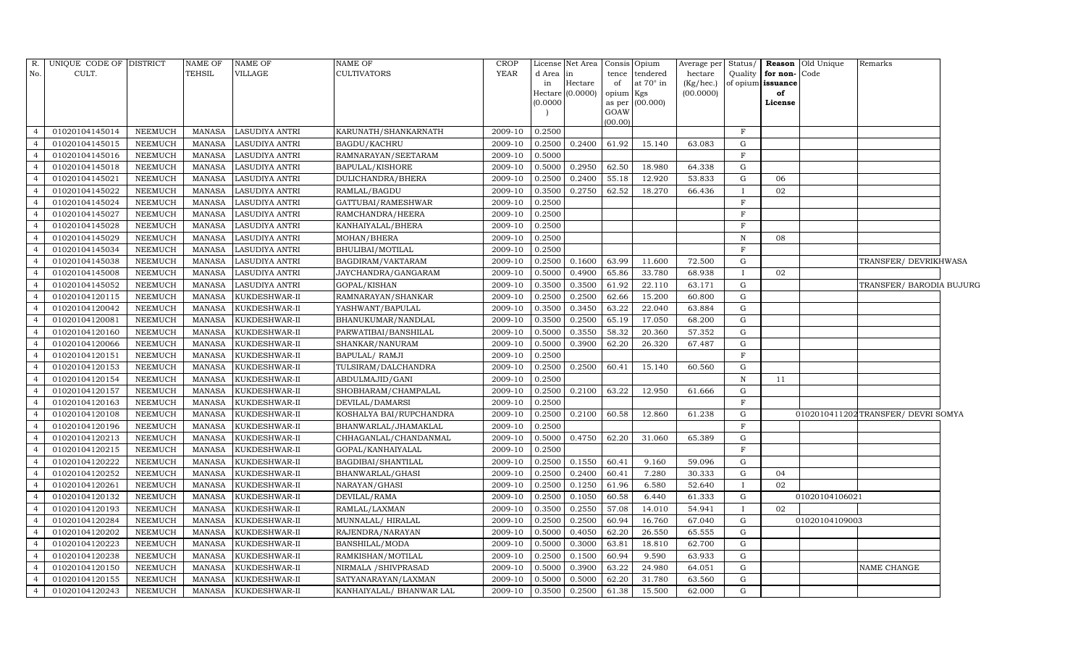| R.             | UNIQUE CODE OF DISTRICT |                | <b>NAME OF</b> | NAME OF        | NAME OF                  | <b>CROP</b> | License  | Net Area         |           | Consis Opium     | Average per | Status/      |                   | Reason Old Unique | Remarks                             |  |
|----------------|-------------------------|----------------|----------------|----------------|--------------------------|-------------|----------|------------------|-----------|------------------|-------------|--------------|-------------------|-------------------|-------------------------------------|--|
| No.            | CULT.                   |                | <b>TEHSIL</b>  | VILLAGE        | <b>CULTIVATORS</b>       | <b>YEAR</b> | d Area   | in               | tence     | tendered         | hectare     | Quality      | for non-Code      |                   |                                     |  |
|                |                         |                |                |                |                          |             | in       | Hectare          | of        | at $70^\circ$ in | (Kg/hec.)   |              | of opium issuance |                   |                                     |  |
|                |                         |                |                |                |                          |             |          | Hectare (0.0000) | opium Kgs |                  | (00.0000)   |              | of                |                   |                                     |  |
|                |                         |                |                |                |                          |             | (0.0000) |                  | GOAW      | as per (00.000)  |             |              | License           |                   |                                     |  |
|                |                         |                |                |                |                          |             |          |                  | (00.00)   |                  |             |              |                   |                   |                                     |  |
| $\overline{4}$ | 01020104145014          | NEEMUCH        | MANASA         | LASUDIYA ANTRI | KARUNATH/SHANKARNATH     | 2009-10     | 0.2500   |                  |           |                  |             | $\mathbf{F}$ |                   |                   |                                     |  |
| $\overline{4}$ | 01020104145015          | <b>NEEMUCH</b> | <b>MANASA</b>  | LASUDIYA ANTRI | BAGDU/KACHRU             | 2009-10     | 0.2500   | 0.2400           | 61.92     | 15.140           | 63.083      | G            |                   |                   |                                     |  |
| $\overline{4}$ | 01020104145016          | <b>NEEMUCH</b> | MANASA         | LASUDIYA ANTRI | RAMNARAYAN/SEETARAM      | 2009-10     | 0.5000   |                  |           |                  |             | $\mathbf{F}$ |                   |                   |                                     |  |
| $\overline{4}$ | 01020104145018          | NEEMUCH        | <b>MANASA</b>  | LASUDIYA ANTRI | BAPULAL/KISHORE          | 2009-10     | 0.5000   | 0.2950           | 62.50     | 18.980           | 64.338      | G            |                   |                   |                                     |  |
| $\overline{4}$ | 01020104145021          | <b>NEEMUCH</b> | <b>MANASA</b>  | LASUDIYA ANTRI | DULICHANDRA/BHERA        | 2009-10     | 0.2500   | 0.2400           | 55.18     | 12.920           | 53.833      | G            | 06                |                   |                                     |  |
| $\overline{4}$ | 01020104145022          | NEEMUCH        | MANASA         | LASUDIYA ANTRI | RAMLAL/BAGDU             | 2009-10     | 0.3500   | 0.2750           | 62.52     | 18.270           | 66.436      | $\mathbf{I}$ | 02                |                   |                                     |  |
| $\overline{4}$ | 01020104145024          | NEEMUCH        | <b>MANASA</b>  | LASUDIYA ANTRI | GATTUBAI/RAMESHWAR       | 2009-10     | 0.2500   |                  |           |                  |             | $\rm F$      |                   |                   |                                     |  |
| $\overline{4}$ | 01020104145027          | NEEMUCH        | <b>MANASA</b>  | LASUDIYA ANTRI | RAMCHANDRA/HEERA         | 2009-10     | 0.2500   |                  |           |                  |             | $\mathbf{F}$ |                   |                   |                                     |  |
| $\overline{4}$ | 01020104145028          | NEEMUCH        | <b>MANASA</b>  | LASUDIYA ANTRI | KANHAIYALAL/BHERA        | 2009-10     | 0.2500   |                  |           |                  |             | $\mathbf{F}$ |                   |                   |                                     |  |
| $\overline{4}$ | 01020104145029          | <b>NEEMUCH</b> | <b>MANASA</b>  | LASUDIYA ANTRI | MOHAN/BHERA              | 2009-10     | 0.2500   |                  |           |                  |             | $\mathbf N$  | 08                |                   |                                     |  |
| $\overline{4}$ | 01020104145034          | <b>NEEMUCH</b> | <b>MANASA</b>  | LASUDIYA ANTRI | BHULIBAI/MOTILAL         | 2009-10     | 0.2500   |                  |           |                  |             | $\mathbf{F}$ |                   |                   |                                     |  |
| $\overline{4}$ | 01020104145038          | <b>NEEMUCH</b> | <b>MANASA</b>  | LASUDIYA ANTRI | BAGDIRAM/VAKTARAM        | 2009-10     | 0.2500   | 0.1600           | 63.99     | 11.600           | 72.500      | G            |                   |                   | TRANSFER/ DEVRIKHWASA               |  |
| $\overline{4}$ | 01020104145008          | <b>NEEMUCH</b> | <b>MANASA</b>  | LASUDIYA ANTRI | JAYCHANDRA/GANGARAM      | 2009-10     | 0.5000   | 0.4900           | 65.86     | 33.780           | 68.938      | $\bf{I}$     | 02                |                   |                                     |  |
| $\overline{4}$ | 01020104145052          | <b>NEEMUCH</b> | MANASA         | LASUDIYA ANTRI | GOPAL/KISHAN             | 2009-10     | 0.3500   | 0.3500           | 61.92     | 22.110           | 63.171      | G            |                   |                   | TRANSFER/ BARODIA BUJURG            |  |
| $\overline{4}$ | 01020104120115          | <b>NEEMUCH</b> | <b>MANASA</b>  | KUKDESHWAR-II  | RAMNARAYAN/SHANKAR       | 2009-10     | 0.2500   | 0.2500           | 62.66     | 15.200           | 60.800      | G            |                   |                   |                                     |  |
| $\overline{4}$ | 01020104120042          | <b>NEEMUCH</b> | <b>MANASA</b>  | KUKDESHWAR-II  | YASHWANT/BAPULAL         | 2009-10     | 0.3500   | 0.3450           | 63.22     | 22.040           | 63.884      | G            |                   |                   |                                     |  |
| $\overline{4}$ | 01020104120081          | <b>NEEMUCH</b> | <b>MANASA</b>  | KUKDESHWAR-II  | BHANUKUMAR/NANDLAL       | 2009-10     | 0.3500   | 0.2500           | 65.19     | 17.050           | 68.200      | G            |                   |                   |                                     |  |
| $\overline{4}$ | 01020104120160          | <b>NEEMUCH</b> | <b>MANASA</b>  | KUKDESHWAR-II  | PARWATIBAI/BANSHILAL     | 2009-10     | 0.5000   | 0.3550           | 58.32     | 20.360           | 57.352      | G            |                   |                   |                                     |  |
| $\overline{4}$ | 01020104120066          | <b>NEEMUCH</b> | <b>MANASA</b>  | KUKDESHWAR-II  | SHANKAR/NANURAM          | 2009-10     | 0.5000   | 0.3900           | 62.20     | 26.320           | 67.487      | G            |                   |                   |                                     |  |
| $\overline{4}$ | 01020104120151          | <b>NEEMUCH</b> | <b>MANASA</b>  | KUKDESHWAR-II  | <b>BAPULAL/ RAMJI</b>    | 2009-10     | 0.2500   |                  |           |                  |             | $\mathbf{F}$ |                   |                   |                                     |  |
| $\overline{4}$ | 01020104120153          | <b>NEEMUCH</b> | <b>MANASA</b>  | KUKDESHWAR-II  | TULSIRAM/DALCHANDRA      | 2009-10     | 0.2500   | 0.2500           | 60.41     | 15.140           | 60.560      | G            |                   |                   |                                     |  |
| $\overline{4}$ | 01020104120154          | <b>NEEMUCH</b> | <b>MANASA</b>  | KUKDESHWAR-II  | ABDULMAJID/GANI          | 2009-10     | 0.2500   |                  |           |                  |             | $\mathbf N$  | 11                |                   |                                     |  |
| $\overline{4}$ | 01020104120157          | <b>NEEMUCH</b> | <b>MANASA</b>  | KUKDESHWAR-II  | SHOBHARAM/CHAMPALAL      | 2009-10     | 0.2500   | 0.2100           | 63.22     | 12.950           | 61.666      | G            |                   |                   |                                     |  |
| $\overline{4}$ | 01020104120163          | <b>NEEMUCH</b> | <b>MANASA</b>  | KUKDESHWAR-II  | DEVILAL/DAMARSI          | 2009-10     | 0.2500   |                  |           |                  |             | $\mathbf{F}$ |                   |                   |                                     |  |
| $\overline{4}$ | 01020104120108          | <b>NEEMUCH</b> | <b>MANASA</b>  | KUKDESHWAR-II  | KOSHALYA BAI/RUPCHANDRA  | 2009-10     | 0.2500   | 0.2100           | 60.58     | 12.860           | 61.238      | $\mathbf G$  |                   |                   | 0102010411202 TRANSFER/ DEVRI SOMYA |  |
| $\overline{4}$ | 01020104120196          | <b>NEEMUCH</b> | <b>MANASA</b>  | KUKDESHWAR-II  | BHANWARLAL/JHAMAKLAL     | 2009-10     | 0.2500   |                  |           |                  |             | $\mathbf{F}$ |                   |                   |                                     |  |
| $\overline{4}$ | 01020104120213          | <b>NEEMUCH</b> | <b>MANASA</b>  | KUKDESHWAR-II  | CHHAGANLAL/CHANDANMAL    | 2009-10     | 0.5000   | 0.4750           | 62.20     | 31.060           | 65.389      | $\mathbf G$  |                   |                   |                                     |  |
| $\overline{4}$ | 01020104120215          | <b>NEEMUCH</b> | <b>MANASA</b>  | KUKDESHWAR-II  | GOPAL/KANHAIYALAL        | 2009-10     | 0.2500   |                  |           |                  |             | $\mathbf{F}$ |                   |                   |                                     |  |
| $\overline{4}$ | 01020104120222          | <b>NEEMUCH</b> | <b>MANASA</b>  | KUKDESHWAR-II  | BAGDIBAI/SHANTILAL       | 2009-10     | 0.2500   | 0.1550           | 60.41     | 9.160            | 59.096      | $\mathbf G$  |                   |                   |                                     |  |
| $\overline{4}$ | 01020104120252          | <b>NEEMUCH</b> | <b>MANASA</b>  | KUKDESHWAR-II  | BHANWARLAL/GHASI         | 2009-10     | 0.2500   | 0.2400           | 60.41     | 7.280            | 30.333      | G            | 04                |                   |                                     |  |
| $\overline{4}$ | 01020104120261          | NEEMUCH        | <b>MANASA</b>  | KUKDESHWAR-II  | NARAYAN/GHASI            | 2009-10     | 0.2500   | 0.1250           | 61.96     | 6.580            | 52.640      | $\mathbf{I}$ | 02                |                   |                                     |  |
| $\overline{4}$ | 01020104120132          | <b>NEEMUCH</b> | <b>MANASA</b>  | KUKDESHWAR-II  | DEVILAL/RAMA             | 2009-10     | 0.2500   | 0.1050           | 60.58     | 6.440            | 61.333      | $\mathbf G$  |                   | 01020104106021    |                                     |  |
| $\overline{4}$ | 01020104120193          | <b>NEEMUCH</b> | MANASA         | KUKDESHWAR-II  | RAMLAL/LAXMAN            | 2009-10     | 0.3500   | 0.2550           | 57.08     | 14.010           | 54.941      | $\mathbf{I}$ | 02                |                   |                                     |  |
| $\overline{4}$ | 01020104120284          | <b>NEEMUCH</b> | MANASA         | KUKDESHWAR-II  | MUNNALAL/HIRALAL         | 2009-10     | 0.2500   | 0.2500           | 60.94     | 16.760           | 67.040      | G            |                   | 01020104109003    |                                     |  |
| $\overline{4}$ | 01020104120202          | <b>NEEMUCH</b> | MANASA         | KUKDESHWAR-II  | RAJENDRA/NARAYAN         | 2009-10     | 0.5000   | 0.4050           | 62.20     | 26.550           | 65.555      | G            |                   |                   |                                     |  |
| $\overline{4}$ | 01020104120223          | NEEMUCH        | MANASA         | KUKDESHWAR-II  | BANSHILAL/MODA           | 2009-10     | 0.5000   | 0.3000           | 63.81     | 18.810           | 62.700      | G            |                   |                   |                                     |  |
| $\overline{4}$ | 01020104120238          | NEEMUCH        | <b>MANASA</b>  | KUKDESHWAR-II  | RAMKISHAN/MOTILAL        | 2009-10     | 0.2500   | 0.1500           | 60.94     | 9.590            | 63.933      | G            |                   |                   |                                     |  |
| $\overline{4}$ | 01020104120150          | NEEMUCH        | MANASA         | KUKDESHWAR-II  | NIRMALA / SHIVPRASAD     | 2009-10     | 0.5000   | 0.3900           | 63.22     | 24.980           | 64.051      | G            |                   |                   | NAME CHANGE                         |  |
| $\overline{4}$ | 01020104120155          | NEEMUCH        | <b>MANASA</b>  | KUKDESHWAR-II  | SATYANARAYAN/LAXMAN      | 2009-10     | 0.5000   | 0.5000           | 62.20     | 31.780           | 63.560      | G            |                   |                   |                                     |  |
| $\overline{4}$ | 01020104120243          | <b>NEEMUCH</b> | <b>MANASA</b>  | KUKDESHWAR-II  | KANHAIYALAL/ BHANWAR LAL | 2009-10     | 0.3500   | 0.2500           | 61.38     | 15.500           | 62.000      | G            |                   |                   |                                     |  |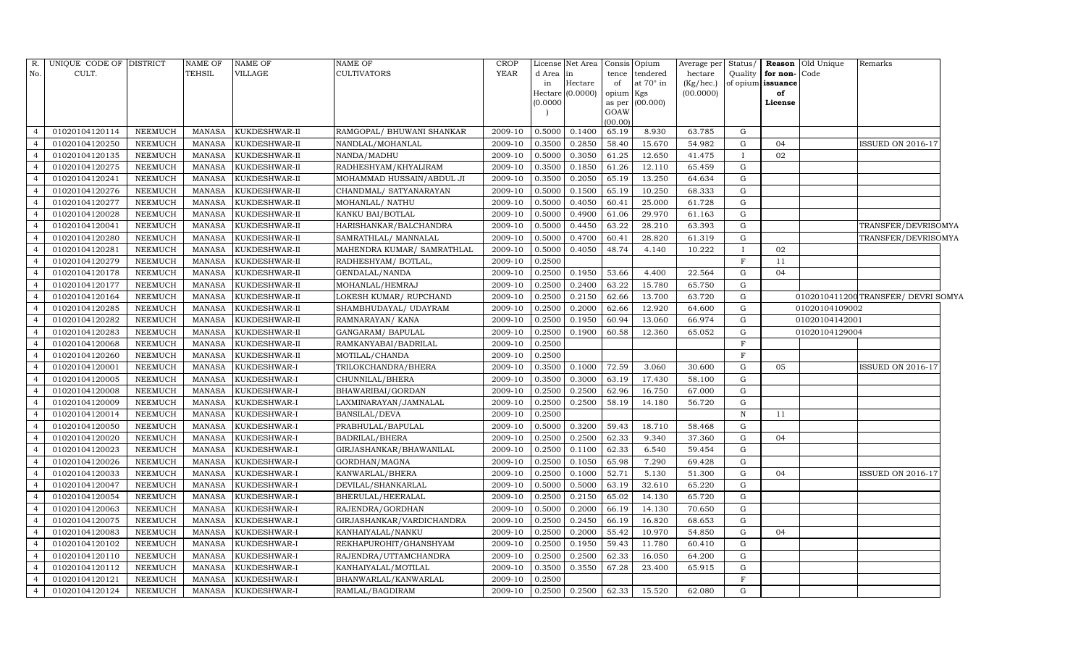| R.             | UNIQUE CODE OF DISTRICT |                | <b>NAME OF</b> | NAME OF       | NAME OF                    | <b>CROP</b> |          | License Net Area |                | Consis Opium | Average per Status/ |              |                   | <b>Reason</b> Old Unique | Remarks                             |
|----------------|-------------------------|----------------|----------------|---------------|----------------------------|-------------|----------|------------------|----------------|--------------|---------------------|--------------|-------------------|--------------------------|-------------------------------------|
| No.            | CULT.                   |                | TEHSIL         | VILLAGE       | <b>CULTIVATORS</b>         | <b>YEAR</b> | d Area   | in               | tence          | tendered     | hectare             | Quality      | for non-Code      |                          |                                     |
|                |                         |                |                |               |                            |             | in       | Hectare          | of             | at 70° in    | (Kg/hec.)           |              | of opium issuance |                          |                                     |
|                |                         |                |                |               |                            |             | Hectare  | (0.0000)         | opium          | Kgs          | (00.0000)           |              | of                |                          |                                     |
|                |                         |                |                |               |                            |             | (0.0000) |                  | as per<br>GOAW | (00.000)     |                     |              | License           |                          |                                     |
|                |                         |                |                |               |                            |             |          |                  | (00.00)        |              |                     |              |                   |                          |                                     |
| $\overline{4}$ | 01020104120114          | <b>NEEMUCH</b> | <b>MANASA</b>  | KUKDESHWAR-II | RAMGOPAL/ BHUWANI SHANKAR  | 2009-10     | 0.5000   | 0.1400           | 65.19          | 8.930        | 63.785              | G            |                   |                          |                                     |
| $\overline{4}$ | 01020104120250          | NEEMUCH        | <b>MANASA</b>  | KUKDESHWAR-II | NANDLAL/MOHANLAL           | 2009-10     | 0.3500   | 0.2850           | 58.40          | 15.670       | 54.982              | G            | 04                |                          | ISSUED ON 2016-17                   |
| $\overline{4}$ | 01020104120135          | <b>NEEMUCH</b> | <b>MANASA</b>  | KUKDESHWAR-II | NANDA/MADHU                | 2009-10     | 0.5000   | 0.3050           | 61.25          | 12.650       | 41.475              | $\bf{I}$     | 02                |                          |                                     |
| $\overline{4}$ | 01020104120275          | <b>NEEMUCH</b> | <b>MANASA</b>  | KUKDESHWAR-II | RADHESHYAM/KHYALIRAM       | 2009-10     | 0.3500   | 0.1850           | 61.26          | 12.110       | 65.459              | G            |                   |                          |                                     |
| $\overline{4}$ | 01020104120241          | <b>NEEMUCH</b> | <b>MANASA</b>  | KUKDESHWAR-II | MOHAMMAD HUSSAIN/ABDUL JI  | 2009-10     | 0.3500   | 0.2050           | 65.19          | 13.250       | 64.634              | G            |                   |                          |                                     |
| $\overline{4}$ | 01020104120276          | NEEMUCH        | <b>MANASA</b>  | KUKDESHWAR-II | CHANDMAL/ SATYANARAYAN     | 2009-10     | 0.5000   | 0.1500           | 65.19          | 10.250       | 68.333              | G            |                   |                          |                                     |
| $\overline{4}$ | 01020104120277          | <b>NEEMUCH</b> | <b>MANASA</b>  | KUKDESHWAR-II | MOHANLAL/ NATHU            | 2009-10     | 0.5000   | 0.4050           | 60.41          | 25.000       | 61.728              | G            |                   |                          |                                     |
| $\overline{4}$ | 01020104120028          | <b>NEEMUCH</b> | <b>MANASA</b>  | KUKDESHWAR-II | KANKU BAI/BOTLAL           | 2009-10     | 0.5000   | 0.4900           | 61.06          | 29.970       | 61.163              | G            |                   |                          |                                     |
| $\overline{4}$ | 01020104120041          | <b>NEEMUCH</b> | <b>MANASA</b>  | KUKDESHWAR-II | HARISHANKAR/BALCHANDRA     | 2009-10     | 0.5000   | 0.4450           | 63.22          | 28.210       | 63.393              | G            |                   |                          | TRANSFER/DEVRISOMYA                 |
| $\overline{4}$ | 01020104120280          | NEEMUCH        | <b>MANASA</b>  | KUKDESHWAR-II | SAMRATHLAL/ MANNALAL       | 2009-10     | 0.5000   | 0.4700           | 60.41          | 28.820       | 61.319              | G            |                   |                          | TRANSFER/DEVRISOMYA                 |
| $\overline{4}$ | 01020104120281          | NEEMUCH        | <b>MANASA</b>  | KUKDESHWAR-II | MAHENDRA KUMAR/ SAMRATHLAL | 2009-10     | 0.5000   | 0.4050           | 48.74          | 4.140        | 10.222              | $\mathbf{I}$ | 02                |                          |                                     |
| $\overline{4}$ | 01020104120279          | <b>NEEMUCH</b> | <b>MANASA</b>  | KUKDESHWAR-II | RADHESHYAM/ BOTLAL,        | 2009-10     | 0.2500   |                  |                |              |                     | F            | 11                |                          |                                     |
| $\overline{4}$ | 01020104120178          | <b>NEEMUCH</b> | <b>MANASA</b>  | KUKDESHWAR-II | GENDALAL/NANDA             | 2009-10     | 0.2500   | 0.1950           | 53.66          | 4.400        | 22.564              | $\mathbf G$  | 04                |                          |                                     |
| $\overline{4}$ | 01020104120177          | <b>NEEMUCH</b> | <b>MANASA</b>  | KUKDESHWAR-II | MOHANLAL/HEMRAJ            | 2009-10     | 0.2500   | 0.2400           | 63.22          | 15.780       | 65.750              | G            |                   |                          |                                     |
| $\overline{4}$ | 01020104120164          | NEEMUCH        | <b>MANASA</b>  | KUKDESHWAR-II | LOKESH KUMAR/ RUPCHAND     | 2009-10     | 0.2500   | 0.2150           | 62.66          | 13.700       | 63.720              | G            |                   |                          | 0102010411200 TRANSFER/ DEVRI SOMYA |
| $\overline{4}$ | 01020104120285          | <b>NEEMUCH</b> | <b>MANASA</b>  | KUKDESHWAR-II | SHAMBHUDAYAL/ UDAYRAM      | 2009-10     | 0.2500   | 0.2000           | 62.66          | 12.920       | 64.600              | G            |                   | 01020104109002           |                                     |
| $\overline{4}$ | 01020104120282          | <b>NEEMUCH</b> | <b>MANASA</b>  | KUKDESHWAR-II | RAMNARAYAN/KANA            | 2009-10     | 0.2500   | 0.1950           | 60.94          | 13.060       | 66.974              | G            |                   | 01020104142001           |                                     |
| $\overline{4}$ | 01020104120283          | <b>NEEMUCH</b> | <b>MANASA</b>  | KUKDESHWAR-II | GANGARAM / BAPULAL         | 2009-10     | 0.2500   | 0.1900           | 60.58          | 12.360       | 65.052              | G            |                   | 01020104129004           |                                     |
| $\overline{4}$ | 01020104120068          | <b>NEEMUCH</b> | <b>MANASA</b>  | KUKDESHWAR-II | RAMKANYABAI/BADRILAL       | 2009-10     | 0.2500   |                  |                |              |                     | F            |                   |                          |                                     |
| $\overline{4}$ | 01020104120260          | <b>NEEMUCH</b> | <b>MANASA</b>  | KUKDESHWAR-II | MOTILAL/CHANDA             | 2009-10     | 0.2500   |                  |                |              |                     | F            |                   |                          |                                     |
| $\overline{4}$ | 01020104120001          | NEEMUCH        | <b>MANASA</b>  | KUKDESHWAR-I  | TRILOKCHANDRA/BHERA        | 2009-10     | 0.3500   | 0.1000           | 72.59          | 3.060        | 30.600              | $\mathbf G$  | 05                |                          | <b>ISSUED ON 2016-17</b>            |
| $\overline{4}$ | 01020104120005          | <b>NEEMUCH</b> | <b>MANASA</b>  | KUKDESHWAR-I  | CHUNNILAL/BHERA            | 2009-10     | 0.3500   | 0.3000           | 63.19          | 17.430       | 58.100              | G            |                   |                          |                                     |
| $\overline{4}$ | 01020104120008          | <b>NEEMUCH</b> | <b>MANASA</b>  | KUKDESHWAR-I  | BHAWARIBAI/GORDAN          | 2009-10     | 0.2500   | 0.2500           | 62.96          | 16.750       | 67.000              | G            |                   |                          |                                     |
| $\overline{4}$ | 01020104120009          | <b>NEEMUCH</b> | <b>MANASA</b>  | KUKDESHWAR-I  | LAXMINARAYAN/JAMNALAL      | 2009-10     | 0.2500   | 0.2500           | 58.19          | 14.180       | 56.720              | G            |                   |                          |                                     |
|                | 01020104120014          | NEEMUCH        | <b>MANASA</b>  | KUKDESHWAR-I  | BANSILAL/DEVA              | 2009-10     | 0.2500   |                  |                |              |                     | $\,$ N       | 11                |                          |                                     |
| $\overline{4}$ | 01020104120050          | <b>NEEMUCH</b> | <b>MANASA</b>  | KUKDESHWAR-I  | PRABHULAL/BAPULAL          | 2009-10     | 0.5000   | 0.3200           | 59.43          | 18.710       | 58.468              | G            |                   |                          |                                     |
| $\overline{4}$ | 01020104120020          | NEEMUCH        | <b>MANASA</b>  | KUKDESHWAR-I  | BADRILAL/BHERA             | 2009-10     | 0.2500   | 0.2500           | 62.33          | 9.340        | 37.360              | G            | 04                |                          |                                     |
| $\overline{4}$ | 01020104120023          | NEEMUCH        | <b>MANASA</b>  | KUKDESHWAR-I  | GIRJASHANKAR/BHAWANILAL    | 2009-10     | 0.2500   | 0.1100           | 62.33          | 6.540        | 59.454              | G            |                   |                          |                                     |
| $\overline{4}$ | 01020104120026          | NEEMUCH        | <b>MANASA</b>  | KUKDESHWAR-I  | GORDHAN/MAGNA              | 2009-10     | 0.2500   | 0.1050           | 65.98          | 7.290        | 69.428              | G            |                   |                          |                                     |
| $\overline{4}$ | 01020104120033          | <b>NEEMUCH</b> | <b>MANASA</b>  | KUKDESHWAR-I  | KANWARLAL/BHERA            | 2009-10     | 0.2500   | 0.1000           | 52.71          | 5.130        | 51.300              | G            | 04                |                          | <b>ISSUED ON 2016-17</b>            |
| $\overline{4}$ | 01020104120047          | <b>NEEMUCH</b> | <b>MANASA</b>  | KUKDESHWAR-I  | DEVILAL/SHANKARLAL         | 2009-10     | 0.5000   | 0.5000           | 63.19          | 32.610       | 65.220              | G            |                   |                          |                                     |
| $\overline{4}$ | 01020104120054          | <b>NEEMUCH</b> | <b>MANASA</b>  | KUKDESHWAR-I  | BHERULAL/HEERALAL          | 2009-10     | 0.2500   | 0.2150           | 65.02          | 14.130       | 65.720              | G            |                   |                          |                                     |
| $\overline{4}$ | 01020104120063          | NEEMUCH        | <b>MANASA</b>  | KUKDESHWAR-I  | RAJENDRA/GORDHAN           | 2009-10     | 0.5000   | 0.2000           | 66.19          | 14.130       | 70.650              | $\mathbf G$  |                   |                          |                                     |
| $\overline{4}$ | 01020104120075          | <b>NEEMUCH</b> | <b>MANASA</b>  | KUKDESHWAR-I  | GIRJASHANKAR/VARDICHANDRA  | 2009-10     | 0.2500   | 0.2450           | 66.19          | 16.820       | 68.653              | G            |                   |                          |                                     |
| $\overline{4}$ | 01020104120083          | <b>NEEMUCH</b> | MANASA         | KUKDESHWAR-I  | KANHAIYALAL/NANKU          | 2009-10     | 0.2500   | 0.2000           | 55.42          | 10.970       | 54.850              | G            | 04                |                          |                                     |
| $\overline{4}$ | 01020104120102          | <b>NEEMUCH</b> | <b>MANASA</b>  | KUKDESHWAR-I  | REKHAPUROHIT/GHANSHYAM     | 2009-10     | 0.2500   | 0.1950           | 59.43          | 11.780       | 60.410              | G            |                   |                          |                                     |
| $\overline{4}$ | 01020104120110          | <b>NEEMUCH</b> | <b>MANASA</b>  | KUKDESHWAR-I  | RAJENDRA/UTTAMCHANDRA      | 2009-10     | 0.2500   | 0.2500           | 62.33          | 16.050       | 64.200              | G            |                   |                          |                                     |
| $\overline{4}$ | 01020104120112          | NEEMUCH        | <b>MANASA</b>  | KUKDESHWAR-I  | KANHAIYALAL/MOTILAL        | 2009-10     | 0.3500   | 0.3550           | 67.28          | 23.400       | 65.915              | G            |                   |                          |                                     |
| $\overline{4}$ | 01020104120121          | NEEMUCH        | <b>MANASA</b>  | KUKDESHWAR-I  | BHANWARLAL/KANWARLAL       | 2009-10     | 0.2500   |                  |                |              |                     | $_{\rm F}$   |                   |                          |                                     |
| $\overline{4}$ | 01020104120124          | <b>NEEMUCH</b> | MANASA         | KUKDESHWAR-I  | RAMLAL/BAGDIRAM            | 2009-10     | 0.2500   | 0.2500           | 62.33          | 15.520       | 62.080              | G            |                   |                          |                                     |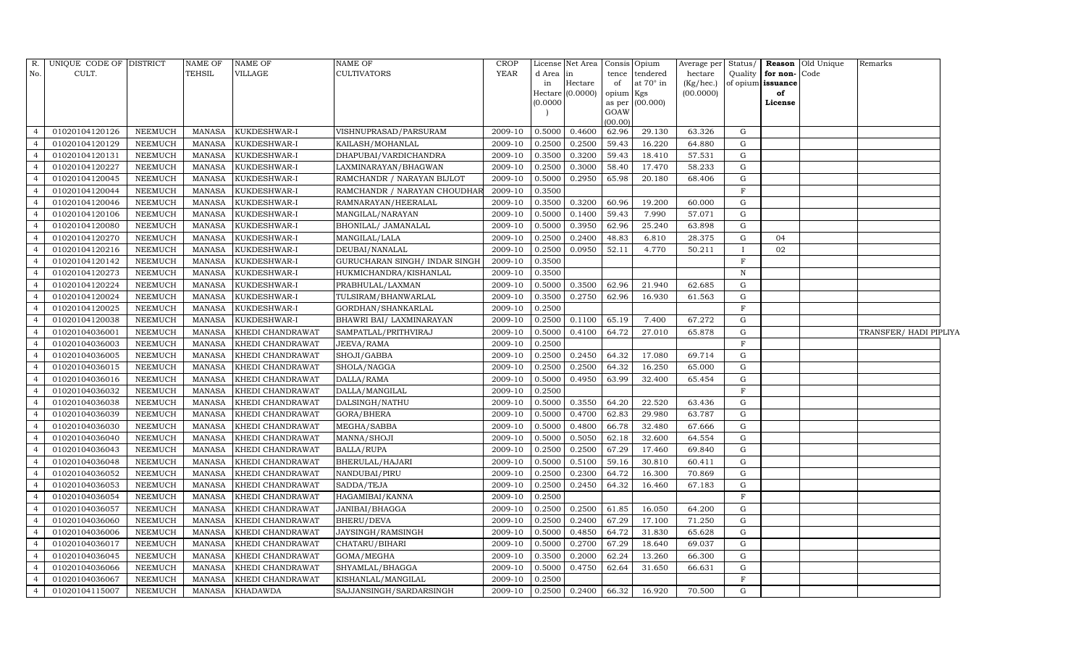| R.             | UNIQUE CODE OF DISTRICT |                | <b>NAME OF</b> | <b>NAME OF</b>   | <b>NAME OF</b>                 | <b>CROP</b> |          | License Net Area |                     | Consis Opium | Average per Status/ |                |                   | <b>Reason</b> Old Unique | Remarks                |  |
|----------------|-------------------------|----------------|----------------|------------------|--------------------------------|-------------|----------|------------------|---------------------|--------------|---------------------|----------------|-------------------|--------------------------|------------------------|--|
| No.            | CULT.                   |                | <b>TEHSIL</b>  | VILLAGE          | <b>CULTIVATORS</b>             | YEAR        | d Area   | in               | tence               | tendered     | hectare             | Quality        | for non-Code      |                          |                        |  |
|                |                         |                |                |                  |                                |             | in       | Hectare          | of                  | at 70° in    | (Kg/hec.)           |                | of opium issuance |                          |                        |  |
|                |                         |                |                |                  |                                |             | (0.0000) | Hectare (0.0000) | opium Kgs<br>as per | (00.000)     | (00.0000)           |                | of<br>License     |                          |                        |  |
|                |                         |                |                |                  |                                |             |          |                  | GOAW                |              |                     |                |                   |                          |                        |  |
|                |                         |                |                |                  |                                |             |          |                  | (00.00)             |              |                     |                |                   |                          |                        |  |
| $\Delta$       | 01020104120126          | NEEMUCH        | <b>MANASA</b>  | KUKDESHWAR-I     | VISHNUPRASAD/PARSURAM          | 2009-10     | 0.5000   | 0.4600           | 62.96               | 29.130       | 63.326              | G              |                   |                          |                        |  |
|                | 01020104120129          | <b>NEEMUCH</b> | <b>MANASA</b>  | KUKDESHWAR-I     | KAILASH/MOHANLAL               | 2009-10     | 0.2500   | 0.2500           | 59.43               | 16.220       | 64.880              | G              |                   |                          |                        |  |
| $\overline{4}$ | 01020104120131          | <b>NEEMUCH</b> | <b>MANASA</b>  | KUKDESHWAR-I     | DHAPUBAI/VARDICHANDRA          | 2009-10     | 0.3500   | 0.3200           | 59.43               | 18.410       | 57.531              | G              |                   |                          |                        |  |
| $\overline{4}$ | 01020104120227          | <b>NEEMUCH</b> | <b>MANASA</b>  | KUKDESHWAR-I     | LAXMINARAYAN/BHAGWAN           | 2009-10     | 0.2500   | 0.3000           | 58.40               | 17.470       | 58.233              | G              |                   |                          |                        |  |
| $\overline{4}$ | 01020104120045          | <b>NEEMUCH</b> | <b>MANASA</b>  | KUKDESHWAR-I     | RAMCHANDR / NARAYAN BIJLOT     | 2009-10     | 0.5000   | 0.2950           | 65.98               | 20.180       | 68.406              | G              |                   |                          |                        |  |
|                | 01020104120044          | <b>NEEMUCH</b> | <b>MANASA</b>  | KUKDESHWAR-I     | RAMCHANDR / NARAYAN CHOUDHAR   | 2009-10     | 0.3500   |                  |                     |              |                     | $\rm F$        |                   |                          |                        |  |
| $\overline{4}$ | 01020104120046          | <b>NEEMUCH</b> | <b>MANASA</b>  | KUKDESHWAR-I     | RAMNARAYAN/HEERALAL            | 2009-10     | 0.3500   | 0.3200           | 60.96               | 19.200       | 60.000              | G              |                   |                          |                        |  |
| $\overline{4}$ | 01020104120106          | <b>NEEMUCH</b> | <b>MANASA</b>  | KUKDESHWAR-I     | MANGILAL/NARAYAN               | 2009-10     | 0.5000   | 0.1400           | 59.43               | 7.990        | 57.071              | G              |                   |                          |                        |  |
| $\overline{4}$ | 01020104120080          | <b>NEEMUCH</b> | <b>MANASA</b>  | KUKDESHWAR-I     | BHONILAL/ JAMANALAL            | 2009-10     | 0.5000   | 0.3950           | 62.96               | 25.240       | 63.898              | G              |                   |                          |                        |  |
| $\overline{4}$ | 01020104120270          | <b>NEEMUCH</b> | <b>MANASA</b>  | KUKDESHWAR-I     | MANGILAL/LALA                  | 2009-10     | 0.2500   | 0.2400           | 48.83               | 6.810        | 28.375              | G              | 04                |                          |                        |  |
| $\overline{4}$ | 01020104120216          | <b>NEEMUCH</b> | <b>MANASA</b>  | KUKDESHWAR-I     | DEUBAI/NANALAL                 | 2009-10     | 0.2500   | 0.0950           | 52.11               | 4.770        | 50.211              | $\mathbf{I}$   | 02                |                          |                        |  |
| $\overline{4}$ | 01020104120142          | <b>NEEMUCH</b> | <b>MANASA</b>  | KUKDESHWAR-I     | GURUCHARAN SINGH / INDAR SINGH | 2009-10     | 0.3500   |                  |                     |              |                     | $_{\rm F}$     |                   |                          |                        |  |
| $\overline{4}$ | 01020104120273          | <b>NEEMUCH</b> | <b>MANASA</b>  | KUKDESHWAR-I     | HUKMICHANDRA/KISHANLAL         | 2009-10     | 0.3500   |                  |                     |              |                     | $\mathbf N$    |                   |                          |                        |  |
| $\overline{4}$ | 01020104120224          | <b>NEEMUCH</b> | <b>MANASA</b>  | KUKDESHWAR-I     | PRABHULAL/LAXMAN               | 2009-10     | 0.5000   | 0.3500           | 62.96               | 21.940       | 62.685              | G              |                   |                          |                        |  |
| $\overline{4}$ | 01020104120024          | <b>NEEMUCH</b> | <b>MANASA</b>  | KUKDESHWAR-I     | TULSIRAM/BHANWARLAL            | 2009-10     | 0.3500   | 0.2750           | 62.96               | 16.930       | 61.563              | G              |                   |                          |                        |  |
| $\overline{4}$ | 01020104120025          | <b>NEEMUCH</b> | <b>MANASA</b>  | KUKDESHWAR-I     | GORDHAN/SHANKARLAL             | 2009-10     | 0.2500   |                  |                     |              |                     | F              |                   |                          |                        |  |
| $\overline{4}$ | 01020104120038          | <b>NEEMUCH</b> | <b>MANASA</b>  | KUKDESHWAR-I     | BHAWRI BAI/ LAXMINARAYAN       | 2009-10     | 0.2500   | 0.1100           | 65.19               | 7.400        | 67.272              | G              |                   |                          |                        |  |
| $\overline{4}$ | 01020104036001          | <b>NEEMUCH</b> | <b>MANASA</b>  | KHEDI CHANDRAWAT | SAMPATLAL/PRITHVIRAJ           | 2009-10     | 0.5000   | 0.4100           | 64.72               | 27.010       | 65.878              | G              |                   |                          | TRANSFER/ HADI PIPLIYA |  |
| $\overline{4}$ | 01020104036003          | NEEMUCH        | <b>MANASA</b>  | KHEDI CHANDRAWAT | JEEVA/RAMA                     | 2009-10     | 0.2500   |                  |                     |              |                     | $\mathbf F$    |                   |                          |                        |  |
| $\overline{4}$ | 01020104036005          | <b>NEEMUCH</b> | <b>MANASA</b>  | KHEDI CHANDRAWAT | SHOJI/GABBA                    | 2009-10     | 0.2500   | 0.2450           | 64.32               | 17.080       | 69.714              | G              |                   |                          |                        |  |
|                | 01020104036015          | NEEMUCH        | <b>MANASA</b>  | KHEDI CHANDRAWAT | SHOLA/NAGGA                    | 2009-10     | 0.2500   | 0.2500           | 64.32               | 16.250       | 65.000              | G              |                   |                          |                        |  |
| $\overline{4}$ | 01020104036016          | <b>NEEMUCH</b> | <b>MANASA</b>  | KHEDI CHANDRAWAT | DALLA/RAMA                     | 2009-10     | 0.5000   | 0.4950           | 63.99               | 32.400       | 65.454              | G              |                   |                          |                        |  |
| $\overline{4}$ | 01020104036032          | NEEMUCH        | <b>MANASA</b>  | KHEDI CHANDRAWAT | DALLA/MANGILAL                 | 2009-10     | 0.2500   |                  |                     |              |                     | F              |                   |                          |                        |  |
| $\overline{4}$ | 01020104036038          | <b>NEEMUCH</b> | <b>MANASA</b>  | KHEDI CHANDRAWAT | DALSINGH/NATHU                 | 2009-10     | 0.5000   | 0.3550           | 64.20               | 22.520       | 63.436              | G              |                   |                          |                        |  |
|                | 01020104036039          | NEEMUCH        | <b>MANASA</b>  | KHEDI CHANDRAWAT | GORA/BHERA                     | 2009-10     | 0.5000   | 0.4700           | 62.83               | 29.980       | 63.787              | G              |                   |                          |                        |  |
| $\overline{4}$ | 01020104036030          | <b>NEEMUCH</b> | <b>MANASA</b>  | KHEDI CHANDRAWAT | MEGHA/SABBA                    | 2009-10     | 0.5000   | 0.4800           | 66.78               | 32.480       | 67.666              | G              |                   |                          |                        |  |
| $\overline{4}$ | 01020104036040          | NEEMUCH        | <b>MANASA</b>  | KHEDI CHANDRAWAT | MANNA/SHOJI                    | 2009-10     | 0.5000   | 0.5050           | 62.18               | 32.600       | 64.554              | G              |                   |                          |                        |  |
| $\overline{4}$ | 01020104036043          | <b>NEEMUCH</b> | <b>MANASA</b>  | KHEDI CHANDRAWAT | <b>BALLA/RUPA</b>              | 2009-10     | 0.2500   | 0.2500           | 67.29               | 17.460       | 69.840              | G              |                   |                          |                        |  |
| $\overline{4}$ | 01020104036048          | <b>NEEMUCH</b> | <b>MANASA</b>  | KHEDI CHANDRAWAT | BHERULAL/HAJARI                | 2009-10     | 0.5000   | 0.5100           | 59.16               | 30.810       | 60.411              | G              |                   |                          |                        |  |
| $\overline{4}$ | 01020104036052          | <b>NEEMUCH</b> | <b>MANASA</b>  | KHEDI CHANDRAWAT | NANDUBAI/PIRU                  | 2009-10     | 0.2500   | 0.2300           | 64.72               | 16.300       | 70.869              | G              |                   |                          |                        |  |
| $\overline{4}$ | 01020104036053          | <b>NEEMUCH</b> | <b>MANASA</b>  | KHEDI CHANDRAWAT | SADDA/TEJA                     | 2009-10     | 0.2500   | 0.2450           | 64.32               | 16.460       | 67.183              | G              |                   |                          |                        |  |
| $\overline{4}$ | 01020104036054          | <b>NEEMUCH</b> | <b>MANASA</b>  | KHEDI CHANDRAWAT | HAGAMIBAI/KANNA                | 2009-10     | 0.2500   |                  |                     |              |                     | $\overline{F}$ |                   |                          |                        |  |
|                | 01020104036057          | <b>NEEMUCH</b> | <b>MANASA</b>  | KHEDI CHANDRAWAT | JANIBAI/BHAGGA                 | 2009-10     | 0.2500   | 0.2500           | 61.85               | 16.050       | 64.200              | G              |                   |                          |                        |  |
| $\overline{4}$ | 01020104036060          | <b>NEEMUCH</b> | <b>MANASA</b>  | KHEDI CHANDRAWAT | BHERU/DEVA                     | 2009-10     | 0.2500   | 0.2400           | 67.29               | 17.100       | 71.250              | G              |                   |                          |                        |  |
| $\overline{4}$ | 01020104036006          | <b>NEEMUCH</b> | MANASA         | KHEDI CHANDRAWAT | JAYSINGH/RAMSINGH              | 2009-10     | 0.5000   | 0.4850           | 64.72               | 31.830       | 65.628              | G              |                   |                          |                        |  |
| $\overline{4}$ | 01020104036017          | <b>NEEMUCH</b> | <b>MANASA</b>  | KHEDI CHANDRAWAT | CHATARU/BIHARI                 | 2009-10     | 0.5000   | 0.2700           | 67.29               | 18.640       | 69.037              | $\mathbf G$    |                   |                          |                        |  |
| $\overline{4}$ | 01020104036045          | <b>NEEMUCH</b> | <b>MANASA</b>  | KHEDI CHANDRAWAT | GOMA/MEGHA                     | 2009-10     | 0.3500   | 0.2000           | 62.24               | 13.260       | 66.300              | G              |                   |                          |                        |  |
| $\overline{4}$ | 01020104036066          | <b>NEEMUCH</b> | <b>MANASA</b>  | KHEDI CHANDRAWAT | SHYAMLAL/BHAGGA                | 2009-10     | 0.5000   | 0.4750           | 62.64               | 31.650       | 66.631              | G              |                   |                          |                        |  |
| $\overline{4}$ | 01020104036067          | <b>NEEMUCH</b> | <b>MANASA</b>  | KHEDI CHANDRAWAT | KISHANLAL/MANGILAL             | 2009-10     | 0.2500   |                  |                     |              |                     | $\mathbf F$    |                   |                          |                        |  |
| $\overline{4}$ | 01020104115007          | <b>NEEMUCH</b> | MANASA         | <b>KHADAWDA</b>  | SAJJANSINGH/SARDARSINGH        | 2009-10     | 0.2500   | 0.2400           | 66.32               | 16.920       | 70.500              | G              |                   |                          |                        |  |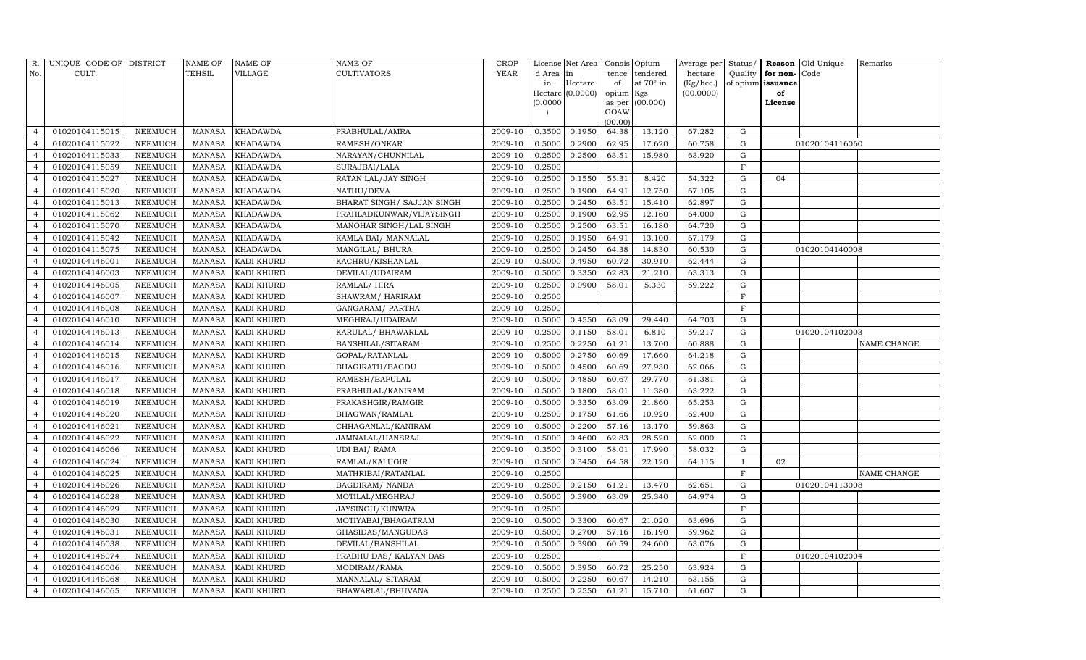| R.             | UNIQUE CODE OF DISTRICT |                | <b>NAME OF</b> | <b>NAME OF</b>    | <b>NAME OF</b>              | <b>CROP</b> |           | License Net Area |                | Consis Opium | Average per | Status/      |                   | Reason Old Unique | Remarks     |
|----------------|-------------------------|----------------|----------------|-------------------|-----------------------------|-------------|-----------|------------------|----------------|--------------|-------------|--------------|-------------------|-------------------|-------------|
| No.            | CULT.                   |                | <b>TEHSIL</b>  | VILLAGE           | <b>CULTIVATORS</b>          | YEAR        | d Area in |                  | tence          | tendered     | hectare     | Quality      | for non-          | Code              |             |
|                |                         |                |                |                   |                             |             | in        | Hectare          | of             | at 70° in    | (Kg/hec.)   |              | of opium issuance |                   |             |
|                |                         |                |                |                   |                             |             |           | Hectare (0.0000) | opium Kgs      |              | (00.0000)   |              | of                |                   |             |
|                |                         |                |                |                   |                             |             | (0.0000)  |                  | as per<br>GOAW | (00.000)     |             |              | License           |                   |             |
|                |                         |                |                |                   |                             |             |           |                  | (00.00)        |              |             |              |                   |                   |             |
| $\overline{a}$ | 01020104115015          | NEEMUCH        | <b>MANASA</b>  | <b>KHADAWDA</b>   | PRABHULAL/AMRA              | 2009-10     | 0.3500    | 0.1950           | 64.38          | 13.120       | 67.282      | G            |                   |                   |             |
| $\overline{4}$ | 01020104115022          | NEEMUCH        | <b>MANASA</b>  | <b>KHADAWDA</b>   | RAMESH/ONKAR                | 2009-10     | 0.5000    | 0.2900           | 62.95          | 17.620       | 60.758      | G            |                   | 01020104116060    |             |
| $\overline{4}$ | 01020104115033          | <b>NEEMUCH</b> | <b>MANASA</b>  | <b>KHADAWDA</b>   | NARAYAN/CHUNNILAL           | 2009-10     | 0.2500    | 0.2500           | 63.51          | 15.980       | 63.920      | G            |                   |                   |             |
| $\overline{4}$ | 01020104115059          | <b>NEEMUCH</b> | <b>MANASA</b>  | <b>KHADAWDA</b>   | SURAJBAI/LALA               | 2009-10     | 0.2500    |                  |                |              |             | $\mathbf F$  |                   |                   |             |
| $\overline{4}$ | 01020104115027          | <b>NEEMUCH</b> | <b>MANASA</b>  | <b>KHADAWDA</b>   | RATAN LAL/JAY SINGH         | 2009-10     | 0.2500    | 0.1550           | 55.31          | 8.420        | 54.322      | $\mathbf G$  | 04                |                   |             |
| $\overline{4}$ | 01020104115020          | <b>NEEMUCH</b> | <b>MANASA</b>  | <b>KHADAWDA</b>   | NATHU/DEVA                  | 2009-10     | 0.2500    | 0.1900           | 64.91          | 12.750       | 67.105      | G            |                   |                   |             |
| $\overline{4}$ | 01020104115013          | <b>NEEMUCH</b> | <b>MANASA</b>  | <b>KHADAWDA</b>   | BHARAT SINGH / SAJJAN SINGH | 2009-10     | 0.2500    | 0.2450           | 63.51          | 15.410       | 62.897      | G            |                   |                   |             |
| $\overline{4}$ | 01020104115062          | <b>NEEMUCH</b> | <b>MANASA</b>  | <b>KHADAWDA</b>   | PRAHLADKUNWAR/VIJAYSINGH    | 2009-10     | 0.2500    | 0.1900           | 62.95          | 12.160       | 64.000      | G            |                   |                   |             |
| $\overline{4}$ | 01020104115070          | <b>NEEMUCH</b> | <b>MANASA</b>  | <b>KHADAWDA</b>   | MANOHAR SINGH/LAL SINGH     | 2009-10     | 0.2500    | 0.2500           | 63.51          | 16.180       | 64.720      | G            |                   |                   |             |
| $\overline{4}$ | 01020104115042          | NEEMUCH        | <b>MANASA</b>  | <b>KHADAWDA</b>   | KAMLA BAI / MANNALAL        | 2009-10     | 0.2500    | 0.1950           | 64.91          | 13.100       | 67.179      | G            |                   |                   |             |
| $\overline{4}$ | 01020104115075          | <b>NEEMUCH</b> | <b>MANASA</b>  | <b>KHADAWDA</b>   | MANGILAL/ BHURA             | 2009-10     | 0.2500    | 0.2450           | 64.38          | 14.830       | 60.530      | G            |                   | 01020104140008    |             |
| $\overline{4}$ | 01020104146001          | <b>NEEMUCH</b> | <b>MANASA</b>  | KADI KHURD        | KACHRU/KISHANLAL            | 2009-10     | 0.5000    | 0.4950           | 60.72          | 30.910       | 62.444      | G            |                   |                   |             |
| $\overline{4}$ | 01020104146003          | <b>NEEMUCH</b> | <b>MANASA</b>  | <b>KADI KHURD</b> | DEVILAL/UDAIRAM             | 2009-10     | 0.5000    | 0.3350           | 62.83          | 21.210       | 63.313      | G            |                   |                   |             |
| $\overline{4}$ | 01020104146005          | <b>NEEMUCH</b> | <b>MANASA</b>  | KADI KHURD        | RAMLAL/HIRA                 | 2009-10     | 0.2500    | 0.0900           | 58.01          | 5.330        | 59.222      | G            |                   |                   |             |
| $\overline{4}$ | 01020104146007          | <b>NEEMUCH</b> | <b>MANASA</b>  | <b>KADI KHURD</b> | SHAWRAM / HARIRAM           | 2009-10     | 0.2500    |                  |                |              |             | F            |                   |                   |             |
| $\overline{4}$ | 01020104146008          | NEEMUCH        | MANASA         | <b>KADI KHURD</b> | GANGARAM / PARTHA           | 2009-10     | 0.2500    |                  |                |              |             | $_{\rm F}$   |                   |                   |             |
| $\overline{4}$ | 01020104146010          | NEEMUCH        | MANASA         | KADI KHURD        | MEGHRAJ/UDAIRAM             | 2009-10     | 0.5000    | 0.4550           | 63.09          | 29.440       | 64.703      | G            |                   |                   |             |
| $\overline{4}$ | 01020104146013          | NEEMUCH        | <b>MANASA</b>  | <b>KADI KHURD</b> | KARULAL/ BHAWARLAL          | 2009-10     | 0.2500    | 0.1150           | 58.01          | 6.810        | 59.217      | G            |                   | 01020104102003    |             |
| $\overline{4}$ | 01020104146014          | NEEMUCH        | MANASA         | <b>KADI KHURD</b> | <b>BANSHILAL/SITARAM</b>    | 2009-10     | 0.2500    | 0.2250           | 61.21          | 13.700       | 60.888      | G            |                   |                   | NAME CHANGE |
| $\overline{a}$ | 01020104146015          | NEEMUCH        | <b>MANASA</b>  | KADI KHURD        | GOPAL/RATANLAL              | 2009-10     | 0.5000    | 0.2750           | 60.69          | 17.660       | 64.218      | G            |                   |                   |             |
| $\overline{4}$ | 01020104146016          | <b>NEEMUCH</b> | <b>MANASA</b>  | <b>KADI KHURD</b> | BHAGIRATH/BAGDU             | 2009-10     | 0.5000    | 0.4500           | 60.69          | 27.930       | 62.066      | G            |                   |                   |             |
| $\overline{4}$ | 01020104146017          | <b>NEEMUCH</b> | <b>MANASA</b>  | KADI KHURD        | RAMESH/BAPULAL              | 2009-10     | 0.5000    | 0.4850           | 60.67          | 29.770       | 61.381      | G            |                   |                   |             |
| $\overline{4}$ | 01020104146018          | NEEMUCH        | <b>MANASA</b>  | KADI KHURD        | PRABHULAL/KANIRAM           | 2009-10     | 0.5000    | 0.1800           | 58.01          | 11.380       | 63.222      | G            |                   |                   |             |
| $\overline{4}$ | 01020104146019          | <b>NEEMUCH</b> | <b>MANASA</b>  | KADI KHURD        | PRAKASHGIR/RAMGIR           | 2009-10     | 0.5000    | 0.3350           | 63.09          | 21.860       | 65.253      | G            |                   |                   |             |
| $\overline{4}$ | 01020104146020          | <b>NEEMUCH</b> | <b>MANASA</b>  | KADI KHURD        | BHAGWAN/RAMLAL              | 2009-10     | 0.2500    | 0.1750           | 61.66          | 10.920       | 62.400      | G            |                   |                   |             |
| $\overline{4}$ | 01020104146021          | <b>NEEMUCH</b> | <b>MANASA</b>  | <b>KADI KHURD</b> | CHHAGANLAL/KANIRAM          | 2009-10     | 0.5000    | 0.2200           | 57.16          | 13.170       | 59.863      | G            |                   |                   |             |
| $\overline{4}$ | 01020104146022          | <b>NEEMUCH</b> | <b>MANASA</b>  | KADI KHURD        | JAMNALAL/HANSRAJ            | 2009-10     | 0.5000    | 0.4600           | 62.83          | 28.520       | 62.000      | G            |                   |                   |             |
| $\overline{4}$ | 01020104146066          | <b>NEEMUCH</b> | <b>MANASA</b>  | <b>KADI KHURD</b> | <b>UDI BAI/ RAMA</b>        | 2009-10     | 0.3500    | 0.3100           | 58.01          | 17.990       | 58.032      | G            |                   |                   |             |
| $\overline{4}$ | 01020104146024          | NEEMUCH        | <b>MANASA</b>  | KADI KHURD        | RAMLAL/KALUGIR              | 2009-10     | 0.5000    | 0.3450           | 64.58          | 22.120       | 64.115      | $\mathbf{I}$ | 02                |                   |             |
| $\overline{4}$ | 01020104146025          | <b>NEEMUCH</b> | <b>MANASA</b>  | KADI KHURD        | MATHRIBAI/RATANLAL          | 2009-10     | 0.2500    |                  |                |              |             | $\mathbf F$  |                   |                   | NAME CHANGE |
| $\overline{4}$ | 01020104146026          | <b>NEEMUCH</b> | <b>MANASA</b>  | <b>KADI KHURD</b> | <b>BAGDIRAM/ NANDA</b>      | 2009-10     | 0.2500    | 0.2150           | 61.21          | 13.470       | 62.651      | G            |                   | 01020104113008    |             |
| $\overline{4}$ | 01020104146028          | <b>NEEMUCH</b> | <b>MANASA</b>  | <b>KADI KHURD</b> | MOTILAL/MEGHRAJ             | 2009-10     | 0.5000    | 0.3900           | 63.09          | 25.340       | 64.974      | G            |                   |                   |             |
| $\overline{4}$ | 01020104146029          | NEEMUCH        | <b>MANASA</b>  | <b>KADI KHURD</b> | JAYSINGH/KUNWRA             | 2009-10     | 0.2500    |                  |                |              |             | $\mathbf F$  |                   |                   |             |
| $\overline{4}$ | 01020104146030          | NEEMUCH        | <b>MANASA</b>  | KADI KHURD        | MOTIYABAI/BHAGATRAM         | 2009-10     | 0.5000    | 0.3300           | 60.67          | 21.020       | 63.696      | G            |                   |                   |             |
| $\overline{4}$ | 01020104146031          | <b>NEEMUCH</b> | <b>MANASA</b>  | <b>KADI KHURD</b> | GHASIDAS/MANGUDAS           | 2009-10     | 0.5000    | 0.2700           | 57.16          | 16.190       | 59.962      | G            |                   |                   |             |
| $\overline{4}$ | 01020104146038          | <b>NEEMUCH</b> | <b>MANASA</b>  | KADI KHURD        | DEVILAL/BANSHILAL           | 2009-10     | 0.5000    | 0.3900           | 60.59          | 24.600       | 63.076      | ${\rm G}$    |                   |                   |             |
| $\overline{4}$ | 01020104146074          | <b>NEEMUCH</b> | <b>MANASA</b>  | KADI KHURD        | PRABHU DAS/KALYAN DAS       | 2009-10     | 0.2500    |                  |                |              |             | $\mathbf F$  |                   | 01020104102004    |             |
| $\overline{4}$ | 01020104146006          | <b>NEEMUCH</b> | <b>MANASA</b>  | <b>KADI KHURD</b> | MODIRAM/RAMA                | 2009-10     | 0.5000    | 0.3950           | 60.72          | 25.250       | 63.924      | G            |                   |                   |             |
| $\overline{4}$ | 01020104146068          | <b>NEEMUCH</b> | <b>MANASA</b>  | <b>KADI KHURD</b> | MANNALAL/ SITARAM           | 2009-10     | 0.5000    | 0.2250           | 60.67          | 14.210       | 63.155      | G            |                   |                   |             |
| $\overline{4}$ | 01020104146065          | <b>NEEMUCH</b> | MANASA         | <b>KADI KHURD</b> | BHAWARLAL/BHUVANA           | 2009-10     | 0.2500    | 0.2550           | 61.21          | 15.710       | 61.607      | G            |                   |                   |             |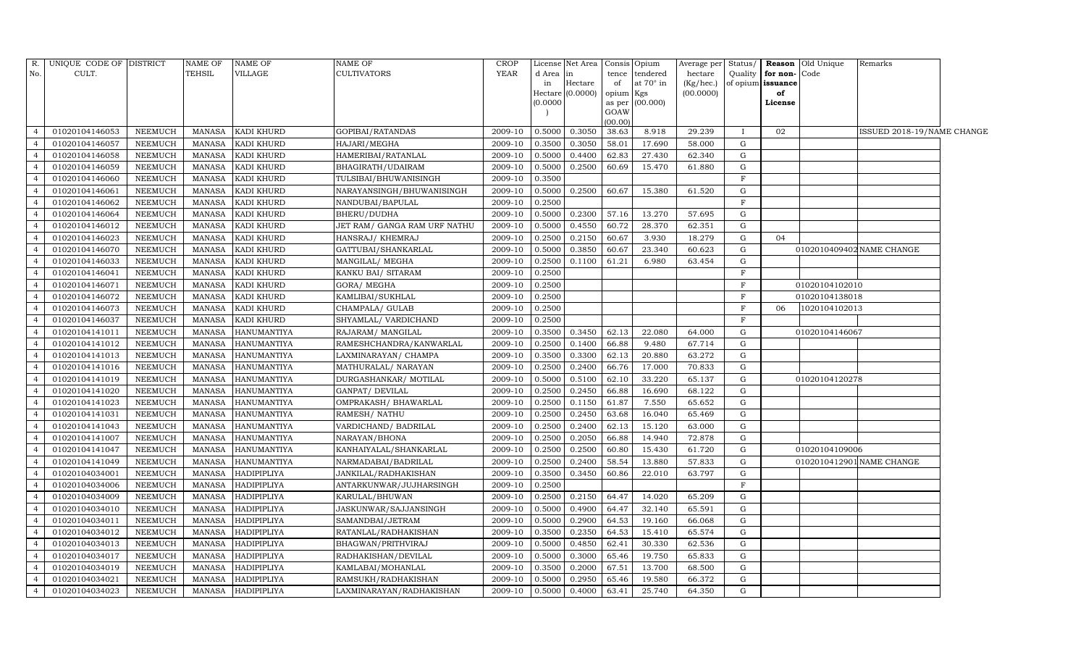|                | R. UNIQUE CODE OF DISTRICT |                | NAME OF       | <b>NAME OF</b> | <b>NAME OF</b>               | <b>CROP</b> |           | License Net Area   Consis   Opium |         |                 | Average per | Status/      |                          | Reason Old Unique | Remarks                    |  |
|----------------|----------------------------|----------------|---------------|----------------|------------------------------|-------------|-----------|-----------------------------------|---------|-----------------|-------------|--------------|--------------------------|-------------------|----------------------------|--|
| No.            | CULT.                      |                | <b>TEHSIL</b> | VILLAGE        | <b>CULTIVATORS</b>           | <b>YEAR</b> | d Area in |                                   | tence   | tendered        | hectare     | Quality      | for non-Code             |                   |                            |  |
|                |                            |                |               |                |                              |             | in        | Hectare                           | of      | at 70° in       | (Kg/hec.)   |              | of opium <b>issuance</b> |                   |                            |  |
|                |                            |                |               |                |                              |             |           | Hectare (0.0000) opium Kgs        |         |                 | (00.0000)   |              | of                       |                   |                            |  |
|                |                            |                |               |                |                              |             | (0.0000)  |                                   | GOAW    | as per (00.000) |             |              | License                  |                   |                            |  |
|                |                            |                |               |                |                              |             |           |                                   | (00.00) |                 |             |              |                          |                   |                            |  |
| $\Delta$       | 01020104146053             | <b>NEEMUCH</b> | MANASA        | KADI KHURD     | GOPIBAI/RATANDAS             | 2009-10     | 0.5000    | 0.3050                            | 38.63   | 8.918           | 29.239      | $\mathbf{I}$ | 02                       |                   | ISSUED 2018-19/NAME CHANGE |  |
|                | 01020104146057             | <b>NEEMUCH</b> | <b>MANASA</b> | KADI KHURD     | HAJARI/MEGHA                 | 2009-10     | 0.3500    | 0.3050                            | 58.01   | 17.690          | 58.000      | G            |                          |                   |                            |  |
| $\overline{4}$ | 01020104146058             | NEEMUCH        | <b>MANASA</b> | KADI KHURD     | HAMERIBAI/RATANLAL           | 2009-10     | 0.5000    | 0.4400                            | 62.83   | 27.430          | 62.340      | G            |                          |                   |                            |  |
| $\overline{4}$ | 01020104146059             | <b>NEEMUCH</b> | <b>MANASA</b> | KADI KHURD     | BHAGIRATH/UDAIRAM            | 2009-10     | 0.5000    | 0.2500                            | 60.69   | 15.470          | 61.880      | G            |                          |                   |                            |  |
| $\overline{4}$ | 01020104146060             | <b>NEEMUCH</b> | <b>MANASA</b> | KADI KHURD     | TULSIBAI/BHUWANISINGH        | 2009-10     | 0.3500    |                                   |         |                 |             | $\mathbf F$  |                          |                   |                            |  |
| $\overline{4}$ | 01020104146061             | <b>NEEMUCH</b> | <b>MANASA</b> | KADI KHURD     | NARAYANSINGH/BHUWANISINGH    | 2009-10     | 0.5000    | 0.2500                            | 60.67   | 15.380          | 61.520      | G            |                          |                   |                            |  |
| $\overline{4}$ | 01020104146062             | <b>NEEMUCH</b> | <b>MANASA</b> | KADI KHURD     | NANDUBAI/BAPULAL             | 2009-10     | 0.2500    |                                   |         |                 |             | $\mathbf F$  |                          |                   |                            |  |
| $\overline{4}$ | 01020104146064             | <b>NEEMUCH</b> | <b>MANASA</b> | KADI KHURD     | BHERU/DUDHA                  | 2009-10     | 0.5000    | 0.2300                            | 57.16   | 13.270          | 57.695      | G            |                          |                   |                            |  |
| $\overline{4}$ | 01020104146012             | <b>NEEMUCH</b> | <b>MANASA</b> | KADI KHURD     | JET RAM/ GANGA RAM URF NATHU | 2009-10     | 0.5000    | 0.4550                            | 60.72   | 28.370          | 62.351      | G            |                          |                   |                            |  |
| $\overline{4}$ | 01020104146023             | <b>NEEMUCH</b> | <b>MANASA</b> | KADI KHURD     | HANSRAJ/ KHEMRAJ             | 2009-10     | 0.2500    | 0.2150                            | 60.67   | 3.930           | 18.279      | G            | 04                       |                   |                            |  |
| $\overline{4}$ | 01020104146070             | <b>NEEMUCH</b> | <b>MANASA</b> | KADI KHURD     | GATTUBAI/SHANKARLAL          | 2009-10     | 0.5000    | 0.3850                            | 60.67   | 23.340          | 60.623      | G            |                          |                   | 0102010409402 NAME CHANGE  |  |
| $\overline{4}$ | 01020104146033             | <b>NEEMUCH</b> | MANASA        | KADI KHURD     | MANGILAL/ MEGHA              | 2009-10     | 0.2500    | 0.1100                            | 61.21   | 6.980           | 63.454      | G            |                          |                   |                            |  |
| $\overline{4}$ | 01020104146041             | <b>NEEMUCH</b> | <b>MANASA</b> | KADI KHURD     | KANKU BAI/ SITARAM           | 2009-10     | 0.2500    |                                   |         |                 |             | $\mathbf F$  |                          |                   |                            |  |
| $\overline{4}$ | 01020104146071             | <b>NEEMUCH</b> | MANASA        | KADI KHURD     | GORA/ MEGHA                  | 2009-10     | 0.2500    |                                   |         |                 |             | F            |                          | 01020104102010    |                            |  |
| $\overline{4}$ | 01020104146072             | NEEMUCH        | <b>MANASA</b> | KADI KHURD     | KAMLIBAI/SUKHLAL             | 2009-10     | 0.2500    |                                   |         |                 |             | $\mathbf F$  |                          | 01020104138018    |                            |  |
| $\overline{4}$ | 01020104146073             | NEEMUCH        | <b>MANASA</b> | KADI KHURD     | CHAMPALA/ GULAB              | 2009-10     | 0.2500    |                                   |         |                 |             | $\mathbf F$  | 06                       | 1020104102013     |                            |  |
| $\overline{4}$ | 01020104146037             | <b>NEEMUCH</b> | <b>MANASA</b> | KADI KHURD     | SHYAMLAL/ VARDICHAND         | 2009-10     | 0.2500    |                                   |         |                 |             | F            |                          |                   |                            |  |
| $\overline{4}$ | 01020104141011             | NEEMUCH        | MANASA        | HANUMANTIYA    | RAJARAM/ MANGILAL            | 2009-10     | 0.3500    | 0.3450                            | 62.13   | 22.080          | 64.000      | G            |                          | 01020104146067    |                            |  |
| $\overline{4}$ | 01020104141012             | NEEMUCH        | <b>MANASA</b> | HANUMANTIYA    | RAMESHCHANDRA/KANWARLAL      | 2009-10     | 0.2500    | 0.1400                            | 66.88   | 9.480           | 67.714      | G            |                          |                   |                            |  |
| $\overline{4}$ | 01020104141013             | <b>NEEMUCH</b> | <b>MANASA</b> | HANUMANTIYA    | LAXMINARAYAN/ CHAMPA         | 2009-10     | 0.3500    | 0.3300                            | 62.13   | 20.880          | 63.272      | G            |                          |                   |                            |  |
|                | 01020104141016             | NEEMUCH        | <b>MANASA</b> | HANUMANTIYA    | MATHURALAL/ NARAYAN          | 2009-10     | 0.2500    | 0.2400                            | 66.76   | 17.000          | 70.833      | ${\rm G}$    |                          |                   |                            |  |
| $\overline{4}$ | 01020104141019             | NEEMUCH        | <b>MANASA</b> | HANUMANTIYA    | DURGASHANKAR/ MOTILAL        | 2009-10     | 0.5000    | 0.5100                            | 62.10   | 33.220          | 65.137      | G            |                          | 01020104120278    |                            |  |
| $\overline{4}$ | 01020104141020             | NEEMUCH        | <b>MANASA</b> | HANUMANTIYA    | GANPAT/ DEVILAL              | 2009-10     | 0.2500    | 0.2450                            | 66.88   | 16.690          | 68.122      | G            |                          |                   |                            |  |
| $\overline{a}$ | 01020104141023             | <b>NEEMUCH</b> | <b>MANASA</b> | HANUMANTIYA    | OMPRAKASH / BHAWARLAL        | 2009-10     | 0.2500    | 0.1150                            | 61.87   | 7.550           | 65.652      | G            |                          |                   |                            |  |
|                | 01020104141031             | <b>NEEMUCH</b> | <b>MANASA</b> | HANUMANTIYA    | RAMESH/ NATHU                | 2009-10     | 0.2500    | 0.2450                            | 63.68   | 16.040          | 65.469      | G            |                          |                   |                            |  |
| $\overline{4}$ | 01020104141043             | NEEMUCH        | <b>MANASA</b> | HANUMANTIYA    | VARDICHAND/ BADRILAL         | 2009-10     | 0.2500    | 0.2400                            | 62.13   | 15.120          | 63.000      | ${\rm G}$    |                          |                   |                            |  |
| $\overline{a}$ | 01020104141007             | <b>NEEMUCH</b> | <b>MANASA</b> | HANUMANTIYA    | NARAYAN/BHONA                | 2009-10     | 0.2500    | 0.2050                            | 66.88   | 14.940          | 72.878      | G            |                          |                   |                            |  |
| $\overline{4}$ | 01020104141047             | <b>NEEMUCH</b> | <b>MANASA</b> | HANUMANTIYA    | KANHAIYALAL/SHANKARLAL       | 2009-10     | 0.2500    | 0.2500                            | 60.80   | 15.430          | 61.720      | G            |                          | 01020104109006    |                            |  |
| $\overline{4}$ | 01020104141049             | <b>NEEMUCH</b> | <b>MANASA</b> | HANUMANTIYA    | NARMADABAI/BADRILAL          | 2009-10     | 0.2500    | 0.2400                            | 58.54   | 13.880          | 57.833      | ${\rm G}$    |                          |                   | 0102010412901 NAME CHANGE  |  |
| $\overline{4}$ | 01020104034001             | <b>NEEMUCH</b> | <b>MANASA</b> | HADIPIPLIYA    | JANKILAL/RADHAKISHAN         | 2009-10     | 0.3500    | 0.3450                            | 60.86   | 22.010          | 63.797      | G            |                          |                   |                            |  |
| $\overline{4}$ | 01020104034006             | <b>NEEMUCH</b> | <b>MANASA</b> | HADIPIPLIYA    | ANTARKUNWAR/JUJHARSINGH      | 2009-10     | 0.2500    |                                   |         |                 |             | $\mathbf F$  |                          |                   |                            |  |
| $\overline{4}$ | 01020104034009             | <b>NEEMUCH</b> | <b>MANASA</b> | HADIPIPLIYA    | KARULAL/BHUWAN               | 2009-10     | 0.2500    | 0.2150                            | 64.47   | 14.020          | 65.209      | G            |                          |                   |                            |  |
| $\overline{4}$ | 01020104034010             | <b>NEEMUCH</b> | <b>MANASA</b> | HADIPIPLIYA    | JASKUNWAR/SAJJANSINGH        | 2009-10     | 0.5000    | 0.4900                            | 64.47   | 32.140          | 65.591      | G            |                          |                   |                            |  |
| $\overline{4}$ | 01020104034011             | <b>NEEMUCH</b> | <b>MANASA</b> | HADIPIPLIYA    | SAMANDBAI/JETRAM             | 2009-10     | 0.5000    | 0.2900                            | 64.53   | 19.160          | 66.068      | G            |                          |                   |                            |  |
| $\overline{4}$ | 01020104034012             | <b>NEEMUCH</b> | <b>MANASA</b> | HADIPIPLIYA    | RATANLAL/RADHAKISHAN         | 2009-10     | 0.3500    | 0.2350                            | 64.53   | 15.410          | 65.574      | ${\rm G}$    |                          |                   |                            |  |
| $\overline{a}$ | 01020104034013             | <b>NEEMUCH</b> | <b>MANASA</b> | HADIPIPLIYA    | BHAGWAN/PRITHVIRAJ           | 2009-10     | 0.5000    | 0.4850                            | 62.41   | 30.330          | 62.536      | G            |                          |                   |                            |  |
| $\overline{4}$ | 01020104034017             | <b>NEEMUCH</b> | MANASA        | HADIPIPLIYA    | RADHAKISHAN/DEVILAL          | 2009-10     | 0.5000    | 0.3000                            | 65.46   | 19.750          | 65.833      | G            |                          |                   |                            |  |
| $\overline{4}$ | 01020104034019             | NEEMUCH        | <b>MANASA</b> | HADIPIPLIYA    | KAMLABAI/MOHANLAL            | 2009-10     | 0.3500    | 0.2000                            | 67.51   | 13.700          | 68.500      | G            |                          |                   |                            |  |
| $\overline{4}$ | 01020104034021             | NEEMUCH        | <b>MANASA</b> | HADIPIPLIYA    | RAMSUKH/RADHAKISHAN          | 2009-10     | 0.5000    | 0.2950                            | 65.46   | 19.580          | 66.372      | G            |                          |                   |                            |  |
| $\overline{4}$ | 01020104034023             | <b>NEEMUCH</b> | MANASA        | HADIPIPLIYA    | LAXMINARAYAN/RADHAKISHAN     | 2009-10     | 0.5000    | 0.4000                            | 63.41   | 25.740          | 64.350      | G            |                          |                   |                            |  |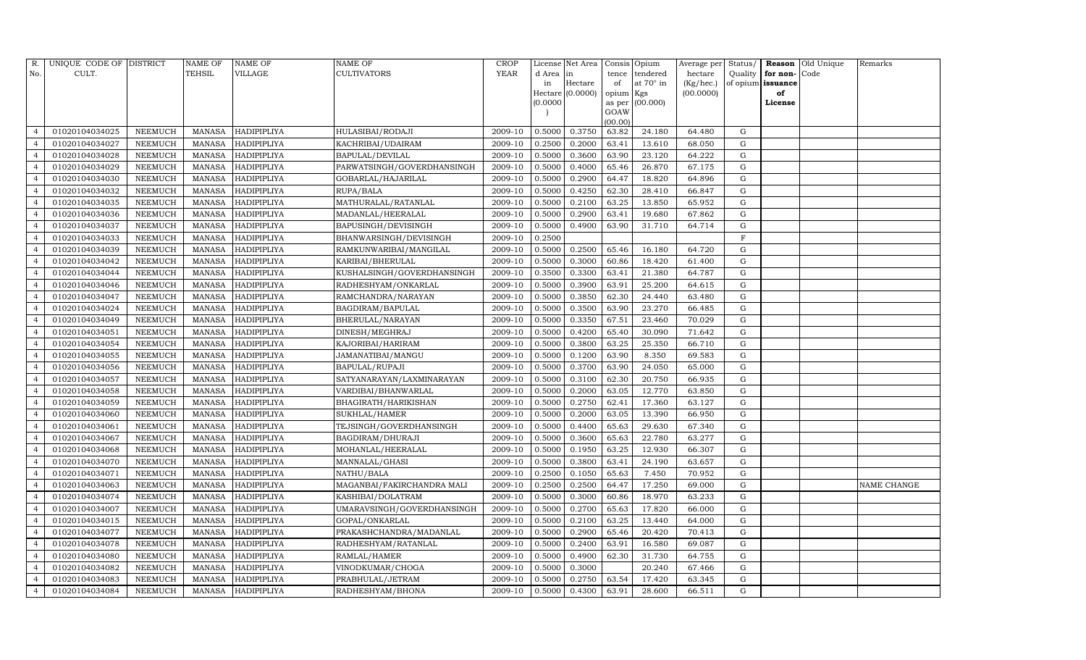| R.                       | UNIQUE CODE OF DISTRICT |                | <b>NAME OF</b> | NAME OF            | NAME OF                    | CROP        |          | License Net Area |           | Consis Opium     | Average per | Status/     |                   | Reason Old Unique | Remarks            |
|--------------------------|-------------------------|----------------|----------------|--------------------|----------------------------|-------------|----------|------------------|-----------|------------------|-------------|-------------|-------------------|-------------------|--------------------|
| No.                      | CULT.                   |                | TEHSIL         | VILLAGE            | CULTIVATORS                | <b>YEAR</b> | d Area   | in               | tence     | tendered         | hectare     | Quality     | for non-Code      |                   |                    |
|                          |                         |                |                |                    |                            |             | in       | Hectare          | of        | at $70^\circ$ in | (Kg/hec.)   |             | of opium issuance |                   |                    |
|                          |                         |                |                |                    |                            |             |          | Hectare (0.0000) | opium Kgs |                  | (00.0000)   |             | of                |                   |                    |
|                          |                         |                |                |                    |                            |             | (0.0000) |                  | GOAW      | as per (00.000)  |             |             | License           |                   |                    |
|                          |                         |                |                |                    |                            |             |          |                  | (00.00)   |                  |             |             |                   |                   |                    |
| $\overline{4}$           | 01020104034025          | NEEMUCH        | MANASA         | HADIPIPLIYA        | HULASIBAI/RODAJI           | 2009-10     | 0.5000   | 0.3750           | 63.82     | 24.180           | 64.480      | G           |                   |                   |                    |
|                          | 01020104034027          | NEEMUCH        | MANASA         | HADIPIPLIYA        | KACHRIBAI/UDAIRAM          | 2009-10     | 0.2500   | 0.2000           | 63.41     | 13.610           | 68.050      | G           |                   |                   |                    |
| $\overline{4}$           | 01020104034028          | NEEMUCH        | MANASA         | HADIPIPLIYA        | BAPULAL/DEVILAL            | 2009-10     | 0.5000   | 0.3600           | 63.90     | 23.120           | 64.222      | G           |                   |                   |                    |
| $\overline{4}$           | 01020104034029          | <b>NEEMUCH</b> | MANASA         | HADIPIPLIYA        | PARWATSINGH/GOVERDHANSINGH | 2009-10     | 0.5000   | 0.4000           | 65.46     | 26.870           | 67.175      | G           |                   |                   |                    |
| $\overline{4}$           | 01020104034030          | <b>NEEMUCH</b> | <b>MANASA</b>  | HADIPIPLIYA        | GOBARLAL/HAJARILAL         | 2009-10     | 0.5000   | 0.2900           | 64.47     | 18.820           | 64.896      | G           |                   |                   |                    |
| $\overline{4}$           | 01020104034032          | NEEMUCH        | <b>MANASA</b>  | HADIPIPLIYA        | RUPA/BALA                  | 2009-10     | 0.5000   | 0.4250           | 62.30     | 28.410           | 66.847      | G           |                   |                   |                    |
| $\overline{4}$           | 01020104034035          | <b>NEEMUCH</b> | MANASA         | HADIPIPLIYA        | MATHURALAL/RATANLAL        | 2009-10     | 0.5000   | 0.2100           | 63.25     | 13.850           | 65.952      | G           |                   |                   |                    |
| $\overline{4}$           | 01020104034036          | NEEMUCH        | MANASA         | HADIPIPLIYA        | MADANLAL/HEERALAL          | 2009-10     | 0.5000   | 0.2900           | 63.41     | 19.680           | 67.862      | G           |                   |                   |                    |
| $\Delta$                 | 01020104034037          | NEEMUCH        | MANASA         | HADIPIPLIYA        | BAPUSINGH/DEVISINGH        | 2009-10     | 0.5000   | 0.4900           | 63.90     | 31.710           | 64.714      | G           |                   |                   |                    |
| $\overline{4}$           | 01020104034033          | NEEMUCH        | MANASA         | HADIPIPLIYA        | BHANWARSINGH/DEVISINGH     | 2009-10     | 0.2500   |                  |           |                  |             | $\mathbf F$ |                   |                   |                    |
| $\overline{4}$           | 01020104034039          | NEEMUCH        | <b>MANASA</b>  | HADIPIPLIYA        | RAMKUNWARIBAI/MANGILAL     | 2009-10     | 0.5000   | 0.2500           | 65.46     | 16.180           | 64.720      | G           |                   |                   |                    |
| $\overline{4}$           | 01020104034042          | NEEMUCH        | <b>MANASA</b>  | HADIPIPLIYA        | KARIBAI/BHERULAL           | 2009-10     | 0.5000   | 0.3000           | 60.86     | 18.420           | 61.400      | G           |                   |                   |                    |
|                          | 01020104034044          | NEEMUCH        | <b>MANASA</b>  | <b>HADIPIPLIYA</b> | KUSHALSINGH/GOVERDHANSINGH | 2009-10     | 0.3500   | 0.3300           | 63.41     | 21.380           | 64.787      | G           |                   |                   |                    |
| $\overline{4}$           | 01020104034046          | NEEMUCH        | <b>MANASA</b>  | HADIPIPLIYA        | RADHESHYAM/ONKARLAL        | 2009-10     | 0.5000   | 0.3900           | 63.91     | 25.200           | 64.615      | G           |                   |                   |                    |
| $\overline{4}$           | 01020104034047          | NEEMUCH        | MANASA         | HADIPIPLIYA        | RAMCHANDRA/NARAYAN         | 2009-10     | 0.5000   | 0.3850           | 62.30     | 24.440           | 63.480      | G           |                   |                   |                    |
| $\overline{4}$           | 01020104034024          | <b>NEEMUCH</b> | <b>MANASA</b>  | HADIPIPLIYA        | BAGDIRAM/BAPULAL           | 2009-10     | 0.5000   | 0.3500           | 63.90     | 23.270           | 66.485      | G           |                   |                   |                    |
|                          | 01020104034049          | NEEMUCH        | MANASA         | HADIPIPLIYA        | BHERULAL/NARAYAN           | 2009-10     | 0.5000   | 0.3350           | 67.51     | 23.460           | 70.029      | G           |                   |                   |                    |
| $\overline{4}$           | 01020104034051          | NEEMUCH        | <b>MANASA</b>  | HADIPIPLIYA        | DINESH/MEGHRAJ             | 2009-10     | 0.5000   | 0.4200           | 65.40     | 30.090           | 71.642      | G           |                   |                   |                    |
| $\overline{4}$           | 01020104034054          | <b>NEEMUCH</b> | MANASA         | HADIPIPLIYA        | KAJORIBAI/HARIRAM          | 2009-10     | 0.5000   | 0.3800           | 63.25     | 25.350           | 66.710      | G           |                   |                   |                    |
|                          | 01020104034055          | NEEMUCH        | <b>MANASA</b>  | HADIPIPLIYA        | JAMANATIBAI/MANGU          | 2009-10     | 0.5000   | 0.1200           | 63.90     | 8.350            | 69.583      | G           |                   |                   |                    |
| $\overline{4}$           | 01020104034056          | <b>NEEMUCH</b> | MANASA         | HADIPIPLIYA        | BAPULAL/RUPAJI             | 2009-10     | 0.5000   | 0.3700           | 63.90     | 24.050           | 65.000      | G           |                   |                   |                    |
| $\overline{4}$           | 01020104034057          | NEEMUCH        | <b>MANASA</b>  | HADIPIPLIYA        | SATYANARAYAN/LAXMINARAYAN  | 2009-10     | 0.5000   | 0.3100           | 62.30     | 20.750           | 66.935      | G           |                   |                   |                    |
| $\overline{4}$           | 01020104034058          | NEEMUCH        | MANASA         | HADIPIPLIYA        | VARDIBAI/BHANWARLAL        | 2009-10     | 0.5000   | 0.2000           | 63.05     | 12.770           | 63.850      | G           |                   |                   |                    |
| $\overline{4}$           | 01020104034059          | <b>NEEMUCH</b> | <b>MANASA</b>  | HADIPIPLIYA        | BHAGIRATH/HARIKISHAN       | 2009-10     | 0.5000   | 0.2750           | 62.41     | 17.360           | 63.127      | G           |                   |                   |                    |
| $\overline{4}$           | 01020104034060          | NEEMUCH        | MANASA         | HADIPIPLIYA        | SUKHLAL/HAMER              | 2009-10     | 0.5000   | 0.2000           | 63.05     | 13.390           | 66.950      | G           |                   |                   |                    |
| $\overline{4}$           | 01020104034061          | NEEMUCH        | <b>MANASA</b>  | HADIPIPLIYA        | TEJSINGH/GOVERDHANSINGH    | 2009-10     | 0.5000   | 0.4400           | 65.63     | 29.630           | 67.340      | G           |                   |                   |                    |
| $\overline{4}$           | 01020104034067          | NEEMUCH        | MANASA         | HADIPIPLIYA        | BAGDIRAM/DHURAJI           | 2009-10     | 0.5000   | 0.3600           | 65.63     | 22.780           | 63.277      | G           |                   |                   |                    |
|                          | 01020104034068          | NEEMUCH        | <b>MANASA</b>  | HADIPIPLIYA        | MOHANLAL/HEERALAL          | 2009-10     | 0.5000   | 0.1950           | 63.25     | 12.930           | 66.307      | G           |                   |                   |                    |
| $\overline{4}$           | 01020104034070          | <b>NEEMUCH</b> | <b>MANASA</b>  | HADIPIPLIYA        | MANNALAL/GHASI             | 2009-10     | 0.5000   | 0.3800           | 63.41     | 24.190           | 63.657      | G           |                   |                   |                    |
| $\overline{4}$           | 01020104034071          | <b>NEEMUCH</b> | <b>MANASA</b>  | HADIPIPLIYA        | NATHU/BALA                 | 2009-10     | 0.2500   | 0.1050           | 65.63     | 7.450            | 70.952      | G           |                   |                   |                    |
| $\overline{4}$           | 01020104034063          | NEEMUCH        | <b>MANASA</b>  | HADIPIPLIYA        | MAGANBAI/FAKIRCHANDRA MALI | 2009-10     | 0.2500   | 0.2500           | 64.47     | 17.250           | 69.000      | G           |                   |                   | <b>NAME CHANGE</b> |
|                          | 01020104034074          | NEEMUCH        | <b>MANASA</b>  | HADIPIPLIYA        | KASHIBAI/DOLATRAM          | 2009-10     | 0.5000   | 0.3000           | 60.86     | 18.970           | 63.233      | G           |                   |                   |                    |
| $\overline{4}$           | 01020104034007          | <b>NEEMUCH</b> | <b>MANASA</b>  | HADIPIPLIYA        | UMARAVSINGH/GOVERDHANSINGH | 2009-10     | 0.5000   | 0.2700           | 65.63     | 17.820           | 66.000      | G           |                   |                   |                    |
| $\overline{4}$           | 01020104034015          | NEEMUCH        | MANASA         | HADIPIPLIYA        | GOPAL/ONKARLAL             | 2009-10     | 0.5000   | 0.2100           | 63.25     | 13.440           | 64.000      | G           |                   |                   |                    |
| $\overline{4}$           | 01020104034077          | <b>NEEMUCH</b> | <b>MANASA</b>  | HADIPIPLIYA        | PRAKASHCHANDRA/MADANLAL    | 2009-10     | 0.5000   | 0.2900           | 65.46     | 20.420           | 70.413      | G           |                   |                   |                    |
| $\overline{\mathcal{L}}$ | 01020104034078          | <b>NEEMUCH</b> | MANASA         | HADIPIPLIYA        | RADHESHYAM/RATANLAL        | 2009-10     | 0.5000   | 0.2400           | 63.91     | 16.580           | 69.087      | G           |                   |                   |                    |
| $\overline{4}$           | 01020104034080          | NEEMUCH        | <b>MANASA</b>  | HADIPIPLIYA        | RAMLAL/HAMER               | 2009-10     | 0.5000   | 0.4900           | 62.30     | 31.730           | 64.755      | G           |                   |                   |                    |
| $\overline{4}$           | 01020104034082          | <b>NEEMUCH</b> | MANASA         | HADIPIPLIYA        | VINODKUMAR/CHOGA           | 2009-10     | 0.5000   | 0.3000           |           | 20.240           | 67.466      | G           |                   |                   |                    |
| $\overline{4}$           | 01020104034083          | NEEMUCH        | <b>MANASA</b>  | HADIPIPLIYA        | PRABHULAL/JETRAM           | 2009-10     | 0.5000   | 0.2750           | 63.54     | 17.420           | 63.345      | G           |                   |                   |                    |
| $\overline{4}$           | 01020104034084          | NEEMUCH        |                | MANASA HADIPIPLIYA | RADHESHYAM/BHONA           | 2009-10     | 0.5000   | 0.4300           | 63.91     | 28.600           | 66.511      | G           |                   |                   |                    |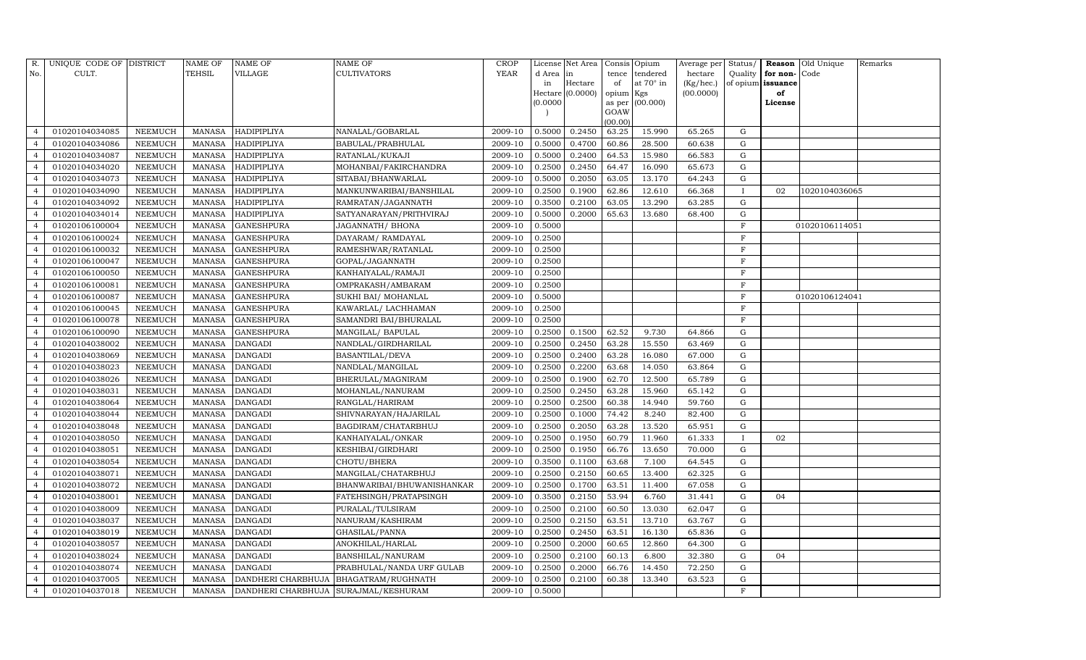| R.                       | UNIQUE CODE OF DISTRICT |                | <b>NAME OF</b> | NAME OF                                     | NAME OF                    | CROP        |           | License Net Area |           | Consis Opium    | Average per | Status/      |                   | Reason Old Unique | Remarks |
|--------------------------|-------------------------|----------------|----------------|---------------------------------------------|----------------------------|-------------|-----------|------------------|-----------|-----------------|-------------|--------------|-------------------|-------------------|---------|
| No.                      | CULT.                   |                | TEHSIL         | VILLAGE                                     | CULTIVATORS                | <b>YEAR</b> | d Area in |                  |           | tence tendered  | hectare     | Quality      | for non-Code      |                   |         |
|                          |                         |                |                |                                             |                            |             | in        | Hectare          | of        | at 70° in       | (Kg/hec.)   |              | of opium issuance |                   |         |
|                          |                         |                |                |                                             |                            |             | (0.0000)  | Hectare (0.0000) | opium Kgs | as per (00.000) | (00.0000)   |              | of<br>License     |                   |         |
|                          |                         |                |                |                                             |                            |             |           |                  | GOAW      |                 |             |              |                   |                   |         |
|                          |                         |                |                |                                             |                            |             |           |                  | (00.00)   |                 |             |              |                   |                   |         |
| $\overline{4}$           | 01020104034085          | NEEMUCH        | MANASA         | HADIPIPLIYA                                 | NANALAL/GOBARLAL           | 2009-10     | 0.5000    | 0.2450           | 63.25     | 15.990          | 65.265      | G            |                   |                   |         |
| $\overline{4}$           | 01020104034086          | NEEMUCH        | <b>MANASA</b>  | HADIPIPLIYA                                 | BABULAL/PRABHULAL          | 2009-10     | 0.5000    | 0.4700           | 60.86     | 28.500          | 60.638      | G            |                   |                   |         |
| $\overline{4}$           | 01020104034087          | NEEMUCH        | MANASA         | HADIPIPLIYA                                 | RATANLAL/KUKAJI            | 2009-10     | 0.5000    | 0.2400           | 64.53     | 15.980          | 66.583      | G            |                   |                   |         |
| $\overline{4}$           | 01020104034020          | NEEMUCH        | <b>MANASA</b>  | HADIPIPLIYA                                 | MOHANBAI/FAKIRCHANDRA      | 2009-10     | 0.2500    | 0.2450           | 64.47     | 16.090          | 65.673      | G            |                   |                   |         |
| $\overline{4}$           | 01020104034073          | NEEMUCH        | <b>MANASA</b>  | HADIPIPLIYA                                 | SITABAI/BHANWARLAL         | 2009-10     | 0.5000    | 0.2050           | 63.05     | 13.170          | 64.243      | G            |                   |                   |         |
|                          | 01020104034090          | NEEMUCH        | <b>MANASA</b>  | HADIPIPLIYA                                 | MANKUNWARIBAI/BANSHILAL    | 2009-10     | 0.2500    | 0.1900           | 62.86     | 12.610          | 66.368      |              | 02                | 1020104036065     |         |
| $\overline{4}$           | 01020104034092          | <b>NEEMUCH</b> | <b>MANASA</b>  | HADIPIPLIYA                                 | RAMRATAN/JAGANNATH         | 2009-10     | 0.3500    | 0.2100           | 63.05     | 13.290          | 63.285      | G            |                   |                   |         |
| $\overline{4}$           | 01020104034014          | <b>NEEMUCH</b> | <b>MANASA</b>  | HADIPIPLIYA                                 | SATYANARAYAN/PRITHVIRAJ    | 2009-10     | 0.5000    | 0.2000           | 65.63     | 13.680          | 68.400      | G            |                   |                   |         |
| $\Delta$                 | 01020106100004          | NEEMUCH        | <b>MANASA</b>  | <b>GANESHPURA</b>                           | JAGANNATH/BHONA            | 2009-10     | 0.5000    |                  |           |                 |             | F            |                   | 01020106114051    |         |
|                          | 01020106100024          | NEEMUCH        | <b>MANASA</b>  | <b>GANESHPURA</b>                           | DAYARAM/RAMDAYAL           | 2009-10     | 0.2500    |                  |           |                 |             | $\mathbf F$  |                   |                   |         |
| $\overline{4}$           | 01020106100032          | <b>NEEMUCH</b> | <b>MANASA</b>  | <b>GANESHPURA</b>                           | RAMESHWAR/RATANLAL         | 2009-10     | 0.2500    |                  |           |                 |             | F            |                   |                   |         |
| $\overline{4}$           | 01020106100047          | <b>NEEMUCH</b> | <b>MANASA</b>  | <b>GANESHPURA</b>                           | GOPAL/JAGANNATH            | 2009-10     | 0.2500    |                  |           |                 |             | F            |                   |                   |         |
| $\overline{4}$           | 01020106100050          | <b>NEEMUCH</b> | <b>MANASA</b>  | <b>GANESHPURA</b>                           | KANHAIYALAL/RAMAJI         | 2009-10     | 0.2500    |                  |           |                 |             | $\mathbf F$  |                   |                   |         |
| $\overline{\mathcal{L}}$ | 01020106100081          | <b>NEEMUCH</b> | <b>MANASA</b>  | <b>GANESHPURA</b>                           | OMPRAKASH/AMBARAM          | 2009-10     | 0.2500    |                  |           |                 |             | $\mathbf F$  |                   |                   |         |
| $\overline{4}$           | 01020106100087          | <b>NEEMUCH</b> | <b>MANASA</b>  | <b>GANESHPURA</b>                           | SUKHI BAI/ MOHANLAL        | 2009-10     | 0.5000    |                  |           |                 |             | F            |                   | 01020106124041    |         |
| $\overline{4}$           | 01020106100045          | NEEMUCH        | <b>MANASA</b>  | <b>GANESHPURA</b>                           | KAWARLAL/LACHHAMAN         | 2009-10     | 0.2500    |                  |           |                 |             | F            |                   |                   |         |
|                          | 01020106100078          | NEEMUCH        | <b>MANASA</b>  | <b>GANESHPURA</b>                           | SAMANDRI BAI/BHURALAL      | 2009-10     | 0.2500    |                  |           |                 |             | F            |                   |                   |         |
| $\overline{4}$           | 01020106100090          | NEEMUCH        | <b>MANASA</b>  | <b>GANESHPURA</b>                           | MANGILAL/BAPULAL           | 2009-10     | 0.2500    | 0.1500           | 62.52     | 9.730           | 64.866      | G            |                   |                   |         |
| $\overline{4}$           | 01020104038002          | NEEMUCH        | <b>MANASA</b>  | <b>DANGADI</b>                              | NANDLAL/GIRDHARILAL        | 2009-10     | 0.2500    | 0.2450           | 63.28     | 15.550          | 63.469      | G            |                   |                   |         |
| $\overline{4}$           | 01020104038069          | <b>NEEMUCH</b> | <b>MANASA</b>  | <b>DANGADI</b>                              | <b>BASANTILAL/DEVA</b>     | 2009-10     | 0.2500    | 0.2400           | 63.28     | 16.080          | 67.000      | G            |                   |                   |         |
|                          | 01020104038023          | <b>NEEMUCH</b> | <b>MANASA</b>  | <b>DANGADI</b>                              | NANDLAL/MANGILAL           | 2009-10     | 0.2500    | 0.2200           | 63.68     | 14.050          | 63.864      | G            |                   |                   |         |
| $\overline{4}$           | 01020104038026          | <b>NEEMUCH</b> | <b>MANASA</b>  | <b>DANGADI</b>                              | BHERULAL/MAGNIRAM          | 2009-10     | 0.2500    | 0.1900           | 62.70     | 12.500          | 65.789      | G            |                   |                   |         |
| $\overline{4}$           | 01020104038031          | NEEMUCH        | <b>MANASA</b>  | DANGADI                                     | MOHANLAL/NANURAM           | 2009-10     | 0.2500    | 0.2450           | 63.28     | 15.960          | 65.142      | G            |                   |                   |         |
| $\overline{4}$           | 01020104038064          | <b>NEEMUCH</b> | <b>MANASA</b>  | <b>DANGADI</b>                              | RANGLAL/HARIRAM            | 2009-10     | 0.2500    | 0.2500           | 60.38     | 14.940          | 59.760      | G            |                   |                   |         |
|                          | 01020104038044          | <b>NEEMUCH</b> | <b>MANASA</b>  | <b>DANGADI</b>                              | SHIVNARAYAN/HAJARILAL      | 2009-10     | 0.2500    | 0.1000           | 74.42     | 8.240           | 82.400      | G            |                   |                   |         |
| $\overline{4}$           | 01020104038048          | <b>NEEMUCH</b> | <b>MANASA</b>  | <b>DANGADI</b>                              | BAGDIRAM/CHATARBHUJ        | 2009-10     | 0.2500    | 0.2050           | 63.28     | 13.520          | 65.951      | G            |                   |                   |         |
| $\overline{4}$           | 01020104038050          | <b>NEEMUCH</b> | <b>MANASA</b>  | <b>DANGADI</b>                              | KANHAIYALAL/ONKAR          | 2009-10     | 0.2500    | 0.1950           | 60.79     | 11.960          | 61.333      | $\mathbf{I}$ | 02                |                   |         |
| $\overline{4}$           | 01020104038051          | <b>NEEMUCH</b> | <b>MANASA</b>  | <b>DANGADI</b>                              | KESHIBAI/GIRDHARI          | 2009-10     | 0.2500    | 0.1950           | 66.76     | 13.650          | 70.000      | G            |                   |                   |         |
|                          | 01020104038054          | NEEMUCH        | MANASA         | <b>DANGADI</b>                              | CHOTU/BHERA                | 2009-10     | 0.3500    | 0.1100           | 63.68     | 7.100           | 64.545      | G            |                   |                   |         |
| $\overline{4}$           | 01020104038071          | NEEMUCH        | MANASA         | <b>DANGADI</b>                              | MANGILAL/CHATARBHUJ        | 2009-10     | 0.2500    | 0.2150           | 60.65     | 13.400          | 62.325      | G            |                   |                   |         |
| $\overline{4}$           | 01020104038072          | <b>NEEMUCH</b> | <b>MANASA</b>  | <b>DANGADI</b>                              | BHANWARIBAI/BHUWANISHANKAR | 2009-10     | 0.2500    | 0.1700           | 63.51     | 11.400          | 67.058      | G            |                   |                   |         |
| $\overline{4}$           | 01020104038001          | <b>NEEMUCH</b> | <b>MANASA</b>  | <b>DANGADI</b>                              | FATEHSINGH/PRATAPSINGH     | 2009-10     | 0.3500    | 0.2150           | 53.94     | 6.760           | 31.441      | G            | 04                |                   |         |
|                          | 01020104038009          | <b>NEEMUCH</b> | MANASA         | DANGADI                                     | PURALAL/TULSIRAM           | 2009-10     | 0.2500    | 0.2100           | 60.50     | 13.030          | 62.047      | G            |                   |                   |         |
| $\overline{4}$           | 01020104038037          | <b>NEEMUCH</b> | MANASA         | DANGADI                                     | NANURAM/KASHIRAM           | 2009-10     | 0.2500    | 0.2150           | 63.51     | 13.710          | 63.767      | G            |                   |                   |         |
| $\overline{4}$           | 01020104038019          | <b>NEEMUCH</b> | MANASA         | DANGADI                                     | GHASILAL/PANNA             | 2009-10     | 0.2500    | 0.2450           | 63.51     | 16.130          | 65.836      | G            |                   |                   |         |
|                          | 01020104038057          | NEEMUCH        | <b>MANASA</b>  | DANGADI                                     | ANOKHILAL/HARLAL           | 2009-10     | 0.2500    | 0.2000           | 60.65     | 12.860          | 64.300      | G            |                   |                   |         |
| $\overline{4}$           | 01020104038024          | NEEMUCH        | MANASA         | <b>DANGADI</b>                              | BANSHILAL/NANURAM          | 2009-10     | 0.2500    | 0.2100           | 60.13     | 6.800           | 32.380      | G            | 04                |                   |         |
| $\overline{4}$           | 01020104038074          | <b>NEEMUCH</b> | <b>MANASA</b>  | <b>DANGADI</b>                              | PRABHULAL/NANDA URF GULAB  | 2009-10     | 0.2500    | 0.2000           | 66.76     | 14.450          | 72.250      | G            |                   |                   |         |
| $\overline{4}$           | 01020104037005          | <b>NEEMUCH</b> | MANASA         | DANDHERI CHARBHUJA                          | BHAGATRAM/RUGHNATH         | 2009-10     | 0.2500    | 0.2100           | 60.38     | 13.340          | 63.523      | G            |                   |                   |         |
| $\overline{4}$           | 01020104037018          | <b>NEEMUCH</b> |                | MANASA DANDHERI CHARBHUJA SURAJMAL/KESHURAM |                            | 2009-10     | 0.5000    |                  |           |                 |             | F            |                   |                   |         |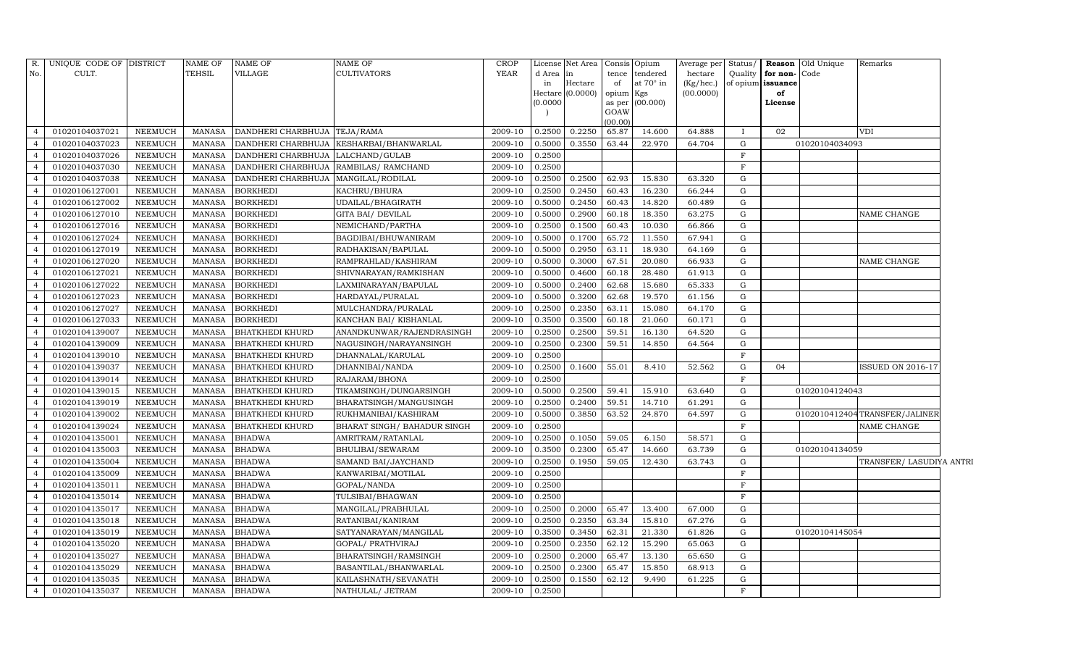| R.             | UNIQUE CODE OF DISTRICT |                | <b>NAME OF</b> | <b>NAME OF</b>                           | NAME OF                                   | <b>CROP</b> |          | License Net Area | Consis Opium |                  | Average per     | Status/      |                   | <b>Reason Old Unique</b> | Remarks                        |
|----------------|-------------------------|----------------|----------------|------------------------------------------|-------------------------------------------|-------------|----------|------------------|--------------|------------------|-----------------|--------------|-------------------|--------------------------|--------------------------------|
| No.            | CULT.                   |                | TEHSIL         | VILLAGE                                  | <b>CULTIVATORS</b>                        | YEAR        | d Area   | lin              | tence        | tendered         | hectare         | Quality      | for non-Code      |                          |                                |
|                |                         |                |                |                                          |                                           |             | in       | Hectare          | of           | at $70^\circ$ in | $(Kg/$ hec. $)$ |              | of opium issuance |                          |                                |
|                |                         |                |                |                                          |                                           |             |          | Hectare (0.0000) | opium Kgs    |                  | (00.0000)       |              | of                |                          |                                |
|                |                         |                |                |                                          |                                           |             | (0.0000) |                  | GOAW         | as per (00.000)  |                 |              | License           |                          |                                |
|                |                         |                |                |                                          |                                           |             |          |                  | (00.00)      |                  |                 |              |                   |                          |                                |
| $\overline{4}$ | 01020104037021          | NEEMUCH        | MANASA         | DANDHERI CHARBHUJA TEJA/RAMA             |                                           | 2009-10     | 0.2500   | 0.2250           | 65.87        | 14.600           | 64.888          | $\mathbf{I}$ | 02                |                          | <b>VDI</b>                     |
|                | 01020104037023          | <b>NEEMUCH</b> | <b>MANASA</b>  |                                          | DANDHERI CHARBHUJA   KESHARBAI/BHANWARLAL | 2009-10     | 0.5000   | 0.3550           | 63.44        | 22.970           | 64.704          | G            |                   | 01020104034093           |                                |
| $\overline{4}$ | 01020104037026          | NEEMUCH        | MANASA         | DANDHERI CHARBHUJA LALCHAND/GULAB        |                                           | 2009-10     | 0.2500   |                  |              |                  |                 | $\mathbf F$  |                   |                          |                                |
| $\overline{4}$ | 01020104037030          | NEEMUCH        | <b>MANASA</b>  | DANDHERI CHARBHUJA   RAMBILAS / RAMCHAND |                                           | 2009-10     | 0.2500   |                  |              |                  |                 | F            |                   |                          |                                |
| $\overline{a}$ | 01020104037038          | <b>NEEMUCH</b> | <b>MANASA</b>  | DANDHERI CHARBHUJA   MANGILAL/RODILAL    |                                           | 2009-10     | 0.2500   | 0.2500           | 62.93        | 15.830           | 63.320          | G            |                   |                          |                                |
|                | 01020106127001          | NEEMUCH        | <b>MANASA</b>  | <b>BORKHEDI</b>                          | KACHRU/BHURA                              | 2009-10     | 0.2500   | 0.2450           | 60.43        | 16.230           | 66.244          | G            |                   |                          |                                |
| $\overline{4}$ | 01020106127002          | NEEMUCH        | MANASA         | <b>BORKHEDI</b>                          | UDAILAL/BHAGIRATH                         | 2009-10     | 0.5000   | 0.2450           | 60.43        | 14.820           | 60.489          | G            |                   |                          |                                |
| $\overline{4}$ | 01020106127010          | <b>NEEMUCH</b> | <b>MANASA</b>  | <b>BORKHEDI</b>                          | <b>GITA BAI/ DEVILAL</b>                  | 2009-10     | 0.5000   | 0.2900           | 60.18        | 18.350           | 63.275          | G            |                   |                          | NAME CHANGE                    |
| $\overline{4}$ | 01020106127016          | <b>NEEMUCH</b> | <b>MANASA</b>  | <b>BORKHEDI</b>                          | NEMICHAND/PARTHA                          | 2009-10     | 0.2500   | 0.1500           | 60.43        | 10.030           | 66.866          | G            |                   |                          |                                |
|                | 01020106127024          | <b>NEEMUCH</b> | <b>MANASA</b>  | <b>BORKHEDI</b>                          | BAGDIBAI/BHUWANIRAM                       | 2009-10     | 0.5000   | 0.1700           | 65.72        | 11.550           | 67.941          | G            |                   |                          |                                |
| $\overline{4}$ | 01020106127019          | <b>NEEMUCH</b> | <b>MANASA</b>  | <b>BORKHEDI</b>                          | RADHAKISAN/BAPULAL                        | 2009-10     | 0.5000   | 0.2950           | 63.11        | 18.930           | 64.169          | G            |                   |                          |                                |
| $\overline{4}$ | 01020106127020          | NEEMUCH        | <b>MANASA</b>  | <b>BORKHEDI</b>                          | RAMPRAHLAD/KASHIRAM                       | 2009-10     | 0.5000   | 0.3000           | 67.51        | 20.080           | 66.933          | G            |                   |                          | <b>NAME CHANGE</b>             |
| $\overline{4}$ | 01020106127021          | NEEMUCH        | <b>MANASA</b>  | <b>BORKHEDI</b>                          | SHIVNARAYAN/RAMKISHAN                     | 2009-10     | 0.5000   | 0.4600           | 60.18        | 28.480           | 61.913          | G            |                   |                          |                                |
| $\overline{4}$ | 01020106127022          | NEEMUCH        | <b>MANASA</b>  | <b>BORKHEDI</b>                          | LAXMINARAYAN/BAPULAL                      | 2009-10     | 0.5000   | 0.2400           | 62.68        | 15.680           | 65.333          | G            |                   |                          |                                |
| $\overline{4}$ | 01020106127023          | NEEMUCH        | <b>MANASA</b>  | <b>BORKHEDI</b>                          | HARDAYAL/PURALAL                          | 2009-10     | 0.5000   | 0.3200           | 62.68        | 19.570           | 61.156          | G            |                   |                          |                                |
| $\overline{4}$ | 01020106127027          | NEEMUCH        | <b>MANASA</b>  | <b>BORKHEDI</b>                          | MULCHANDRA/PURALAL                        | 2009-10     | 0.2500   | 0.2350           | 63.11        | 15.080           | 64.170          | G            |                   |                          |                                |
| $\overline{4}$ | 01020106127033          | <b>NEEMUCH</b> | <b>MANASA</b>  | <b>BORKHEDI</b>                          | KANCHAN BAI/ KISHANLAL                    | 2009-10     | 0.3500   | 0.3500           | 60.18        | 21.060           | 60.171          | G            |                   |                          |                                |
| $\overline{4}$ | 01020104139007          | <b>NEEMUCH</b> | <b>MANASA</b>  | <b>BHATKHEDI KHURD</b>                   | ANANDKUNWAR/RAJENDRASINGH                 | 2009-10     | 0.2500   | 0.2500           | 59.51        | 16.130           | 64.520          | G            |                   |                          |                                |
| $\overline{4}$ | 01020104139009          | NEEMUCH        | <b>MANASA</b>  | <b>BHATKHEDI KHURD</b>                   | NAGUSINGH/NARAYANSINGH                    | 2009-10     | 0.2500   | 0.2300           | 59.51        | 14.850           | 64.564          | G            |                   |                          |                                |
| $\overline{4}$ | 01020104139010          | NEEMUCH        | <b>MANASA</b>  | <b>BHATKHEDI KHURD</b>                   | DHANNALAL/KARULAL                         | 2009-10     | 0.2500   |                  |              |                  |                 | F            |                   |                          |                                |
| $\overline{4}$ | 01020104139037          | NEEMUCH        | MANASA         | <b>BHATKHEDI KHURD</b>                   | DHANNIBAI/NANDA                           | 2009-10     | 0.2500   | 0.1600           | 55.01        | 8.410            | 52.562          | G            | 04                |                          | <b>ISSUED ON 2016-17</b>       |
|                | 01020104139014          | <b>NEEMUCH</b> | <b>MANASA</b>  | <b>BHATKHEDI KHURD</b>                   | RAJARAM/BHONA                             | 2009-10     | 0.2500   |                  |              |                  |                 | $\rm F$      |                   |                          |                                |
| $\overline{4}$ | 01020104139015          | NEEMUCH        | <b>MANASA</b>  | <b>BHATKHEDI KHURD</b>                   | TIKAMSINGH/DUNGARSINGH                    | 2009-10     | 0.5000   | 0.2500           | 59.41        | 15.910           | 63.640          | G            |                   | 01020104124043           |                                |
| $\overline{4}$ | 01020104139019          | NEEMUCH        | MANASA         | <b>BHATKHEDI KHURD</b>                   | BHARATSINGH/MANGUSINGH                    | 2009-10     | 0.2500   | 0.2400           | 59.51        | 14.710           | 61.291          | G            |                   |                          |                                |
| $\overline{4}$ | 01020104139002          | NEEMUCH        | <b>MANASA</b>  | <b>BHATKHEDI KHURD</b>                   | RUKHMANIBAI/KASHIRAM                      | 2009-10     | 0.5000   | 0.3850           | 63.52        | 24.870           | 64.597          | G            |                   |                          | 0102010412404 TRANSFER/JALINER |
|                | 01020104139024          | <b>NEEMUCH</b> | <b>MANASA</b>  | <b>BHATKHEDI KHURD</b>                   | BHARAT SINGH/ BAHADUR SINGH               | 2009-10     | 0.2500   |                  |              |                  |                 | $\mathbf F$  |                   |                          | NAME CHANGE                    |
| $\overline{4}$ | 01020104135001          | <b>NEEMUCH</b> | <b>MANASA</b>  | <b>BHADWA</b>                            | AMRITRAM/RATANLAL                         | 2009-10     | 0.2500   | 0.1050           | 59.05        | 6.150            | 58.571          | G            |                   |                          |                                |
| $\overline{4}$ | 01020104135003          | NEEMUCH        | <b>MANASA</b>  | <b>BHADWA</b>                            | BHULIBAI/SEWARAM                          | 2009-10     | 0.3500   | 0.2300           | 65.47        | 14.660           | 63.739          | G            |                   | 01020104134059           |                                |
| $\overline{4}$ | 01020104135004          | <b>NEEMUCH</b> | <b>MANASA</b>  | <b>BHADWA</b>                            | SAMAND BAI/JAYCHAND                       | 2009-10     | 0.2500   | 0.1950           | 59.05        | 12.430           | 63.743          | G            |                   |                          | TRANSFER/ LASUDIYA ANTRI       |
|                | 01020104135009          | <b>NEEMUCH</b> | <b>MANASA</b>  | <b>BHADWA</b>                            | KANWARIBAI/MOTILAL                        | 2009-10     | 0.2500   |                  |              |                  |                 | $\mathbf F$  |                   |                          |                                |
| $\overline{4}$ | 01020104135011          | NEEMUCH        | <b>MANASA</b>  | <b>BHADWA</b>                            | GOPAL/NANDA                               | 2009-10     | 0.2500   |                  |              |                  |                 | $\mathbf F$  |                   |                          |                                |
| $\overline{4}$ | 01020104135014          | NEEMUCH        | <b>MANASA</b>  | <b>BHADWA</b>                            | TULSIBAI/BHAGWAN                          | 2009-10     | 0.2500   |                  |              |                  |                 | $\mathbf F$  |                   |                          |                                |
| $\overline{4}$ | 01020104135017          | <b>NEEMUCH</b> | <b>MANASA</b>  | <b>BHADWA</b>                            | MANGILAL/PRABHULAL                        | 2009-10     | 0.2500   | 0.2000           | 65.47        | 13.400           | 67.000          | G            |                   |                          |                                |
| $\overline{4}$ | 01020104135018          | NEEMUCH        | MANASA         | <b>BHADWA</b>                            | RATANIBAI/KANIRAM                         | 2009-10     | 0.2500   | 0.2350           | 63.34        | 15.810           | 67.276          | G            |                   |                          |                                |
| $\overline{4}$ | 01020104135019          | NEEMUCH        | <b>MANASA</b>  | <b>BHADWA</b>                            | SATYANARAYAN/MANGILAL                     | 2009-10     | 0.3500   | 0.3450           | 62.31        | 21.330           | 61.826          | G            |                   | 01020104145054           |                                |
| $\overline{4}$ | 01020104135020          | NEEMUCH        | <b>MANASA</b>  | <b>BHADWA</b>                            | GOPAL/ PRATHVIRAJ                         | 2009-10     | 0.2500   | 0.2350           | 62.12        | 15.290           | 65.063          | G            |                   |                          |                                |
| $\overline{4}$ | 01020104135027          | <b>NEEMUCH</b> | <b>MANASA</b>  | <b>BHADWA</b>                            | BHARATSINGH/RAMSINGH                      | 2009-10     | 0.2500   | 0.2000           | 65.47        | 13.130           | 65.650          | G            |                   |                          |                                |
| $\overline{4}$ | 01020104135029          | NEEMUCH        | <b>MANASA</b>  | <b>BHADWA</b>                            | BASANTILAL/BHANWARLAL                     | 2009-10     | 0.2500   | 0.2300           | 65.47        | 15.850           | 68.913          | G            |                   |                          |                                |
| $\overline{4}$ | 01020104135035          | NEEMUCH        | <b>MANASA</b>  | <b>BHADWA</b>                            | KAILASHNATH/SEVANATH                      | 2009-10     | 0.2500   | 0.1550           | 62.12        | 9.490            | 61.225          | G            |                   |                          |                                |
| $\overline{4}$ | 01020104135037          | NEEMUCH        | MANASA         | <b>BHADWA</b>                            | NATHULAL/ JETRAM                          | 2009-10     | 0.2500   |                  |              |                  |                 | $\mathbf F$  |                   |                          |                                |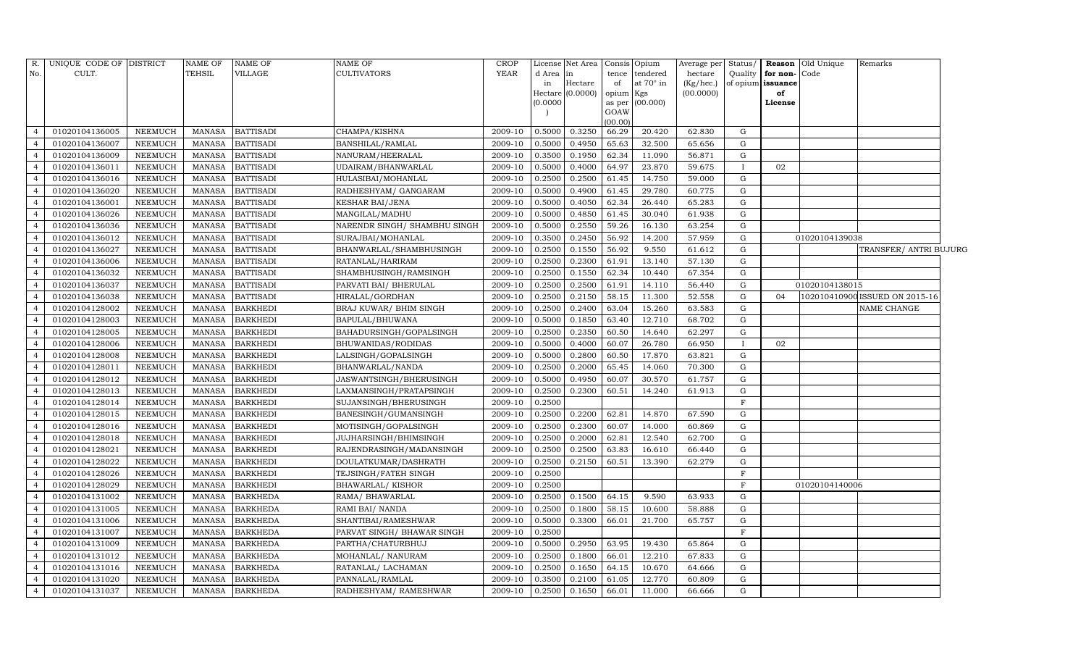| R.             | UNIQUE CODE OF DISTRICT |                | <b>NAME OF</b> | <b>NAME OF</b>   | NAME OF                      | <b>CROP</b> |           | License Net Area   Consis   Opium |                |           | Average per | Status/      |                   | <b>Reason</b> Old Unique | Remarks                        |  |
|----------------|-------------------------|----------------|----------------|------------------|------------------------------|-------------|-----------|-----------------------------------|----------------|-----------|-------------|--------------|-------------------|--------------------------|--------------------------------|--|
| No.            | CULT.                   |                | TEHSIL         | <b>VILLAGE</b>   | <b>CULTIVATORS</b>           | <b>YEAR</b> | d Area in |                                   | tence          | tendered  | hectare     | Quality      | for non-Code      |                          |                                |  |
|                |                         |                |                |                  |                              |             | in        | Hectare                           | of             | at 70° in | (Kg/hec.)   |              | of opium issuance |                          |                                |  |
|                |                         |                |                |                  |                              |             |           | Hectare (0.0000)                  | opium          | Kgs       | (00.0000)   |              | of                |                          |                                |  |
|                |                         |                |                |                  |                              |             | (0.0000)  |                                   | as per<br>GOAW | (00.000)  |             |              | License           |                          |                                |  |
|                |                         |                |                |                  |                              |             |           |                                   | (00.00)        |           |             |              |                   |                          |                                |  |
|                | 01020104136005          | NEEMUCH        | MANASA         | <b>BATTISADI</b> | CHAMPA/KISHNA                | 2009-10     | 0.5000    | 0.3250                            | 66.29          | 20.420    | 62.830      | G            |                   |                          |                                |  |
| $\overline{4}$ | 01020104136007          | <b>NEEMUCH</b> | <b>MANASA</b>  | <b>BATTISADI</b> | BANSHILAL/RAMLAL             | 2009-10     | 0.5000    | 0.4950                            | 65.63          | 32.500    | 65.656      | G            |                   |                          |                                |  |
| $\overline{4}$ | 01020104136009          | <b>NEEMUCH</b> | <b>MANASA</b>  | <b>BATTISADI</b> | NANURAM/HEERALAL             | 2009-10     | 0.3500    | 0.1950                            | 62.34          | 11.090    | 56.871      | G            |                   |                          |                                |  |
| $\overline{4}$ | 01020104136011          | <b>NEEMUCH</b> | MANASA         | <b>BATTISADI</b> | UDAIRAM/BHANWARLAL           | 2009-10     | 0.5000    | 0.4000                            | 64.97          | 23.870    | 59.675      | $\bf{I}$     | 02                |                          |                                |  |
| $\overline{4}$ | 01020104136016          | <b>NEEMUCH</b> | <b>MANASA</b>  | <b>BATTISADI</b> | HULASIBAI/MOHANLAL           | 2009-10     | 0.2500    | 0.2500                            | 61.45          | 14.750    | 59.000      | G            |                   |                          |                                |  |
| $\overline{4}$ | 01020104136020          | <b>NEEMUCH</b> | <b>MANASA</b>  | <b>BATTISADI</b> | RADHESHYAM / GANGARAM        | 2009-10     | 0.5000    | 0.4900                            | 61.45          | 29.780    | 60.775      | G            |                   |                          |                                |  |
| $\overline{4}$ | 01020104136001          | <b>NEEMUCH</b> | <b>MANASA</b>  | <b>BATTISADI</b> | <b>KESHAR BAI/JENA</b>       | 2009-10     | 0.5000    | 0.4050                            | 62.34          | 26.440    | 65.283      | $\mathbf G$  |                   |                          |                                |  |
| $\overline{4}$ | 01020104136026          | <b>NEEMUCH</b> | MANASA         | <b>BATTISADI</b> | MANGILAL/MADHU               | 2009-10     | 0.5000    | 0.4850                            | 61.45          | 30.040    | 61.938      | G            |                   |                          |                                |  |
| $\overline{4}$ | 01020104136036          | NEEMUCH        | <b>MANASA</b>  | <b>BATTISADI</b> | NARENDR SINGH/ SHAMBHU SINGH | 2009-10     | 0.5000    | 0.2550                            | 59.26          | 16.130    | 63.254      | G            |                   |                          |                                |  |
| $\overline{4}$ | 01020104136012          | NEEMUCH        | MANASA         | <b>BATTISADI</b> | SURAJBAI/MOHANLAL            | 2009-10     | 0.3500    | 0.2450                            | 56.92          | 14.200    | 57.959      | G            |                   | 01020104139038           |                                |  |
| $\overline{4}$ | 01020104136027          | NEEMUCH        | <b>MANASA</b>  | <b>BATTISADI</b> | BHANWARLAL/SHAMBHUSINGH      | 2009-10     | 0.2500    | 0.1550                            | 56.92          | 9.550     | 61.612      | G            |                   |                          | TRANSFER/ ANTRI BUJURG         |  |
| $\overline{4}$ | 01020104136006          | <b>NEEMUCH</b> | MANASA         | <b>BATTISADI</b> | RATANLAL/HARIRAM             | 2009-10     | 0.2500    | 0.2300                            | 61.91          | 13.140    | 57.130      | G            |                   |                          |                                |  |
| $\overline{4}$ | 01020104136032          | <b>NEEMUCH</b> | MANASA         | <b>BATTISADI</b> | SHAMBHUSINGH/RAMSINGH        | 2009-10     | 0.2500    | 0.1550                            | 62.34          | 10.440    | 67.354      | G            |                   |                          |                                |  |
| $\overline{4}$ | 01020104136037          | <b>NEEMUCH</b> | <b>MANASA</b>  | <b>BATTISADI</b> | PARVATI BAI/ BHERULAL        | 2009-10     | 0.2500    | 0.2500                            | 61.91          | 14.110    | 56.440      | G            |                   | 01020104138015           |                                |  |
| $\overline{4}$ | 01020104136038          | <b>NEEMUCH</b> | MANASA         | <b>BATTISADI</b> | HIRALAL/GORDHAN              | $2009-10$   | 0.2500    | 0.2150                            | 58.15          | 11.300    | 52.558      | G            | 04                |                          | 102010410900 ISSUED ON 2015-16 |  |
| $\overline{4}$ | 01020104128002          | <b>NEEMUCH</b> | MANASA         | <b>BARKHEDI</b>  | BRAJ KUWAR/ BHIM SINGH       | 2009-10     | 0.2500    | 0.2400                            | 63.04          | 15.260    | 63.583      | G            |                   |                          | NAME CHANGE                    |  |
| $\overline{4}$ | 01020104128003          | <b>NEEMUCH</b> | <b>MANASA</b>  | <b>BARKHEDI</b>  | BAPULAL/BHUWANA              | 2009-10     | 0.5000    | 0.1850                            | 63.40          | 12.710    | 68.702      | G            |                   |                          |                                |  |
| $\overline{4}$ | 01020104128005          | <b>NEEMUCH</b> | MANASA         | <b>BARKHEDI</b>  | BAHADURSINGH/GOPALSINGH      | 2009-10     | 0.2500    | 0.2350                            | 60.50          | 14.640    | 62.297      | G            |                   |                          |                                |  |
| $\overline{4}$ | 01020104128006          | <b>NEEMUCH</b> | MANASA         | <b>BARKHEDI</b>  | BHUWANIDAS/RODIDAS           | 2009-10     | 0.5000    | 0.4000                            | 60.07          | 26.780    | 66.950      | $\mathbf{I}$ | 02                |                          |                                |  |
| $\overline{4}$ | 01020104128008          | <b>NEEMUCH</b> | MANASA         | <b>BARKHEDI</b>  | LALSINGH/GOPALSINGH          | 2009-10     | 0.5000    | 0.2800                            | 60.50          | 17.870    | 63.821      | G            |                   |                          |                                |  |
| $\overline{4}$ | 01020104128011          | <b>NEEMUCH</b> | <b>MANASA</b>  | <b>BARKHEDI</b>  | BHANWARLAL/NANDA             | 2009-10     | 0.2500    | 0.2000                            | 65.45          | 14.060    | 70.300      | $\mathbf G$  |                   |                          |                                |  |
| $\overline{4}$ | 01020104128012          | <b>NEEMUCH</b> | <b>MANASA</b>  | <b>BARKHEDI</b>  | JASWANTSINGH/BHERUSINGH      | 2009-10     | 0.5000    | 0.4950                            | 60.07          | 30.570    | 61.757      | G            |                   |                          |                                |  |
| $\overline{4}$ | 01020104128013          | <b>NEEMUCH</b> | MANASA         | <b>BARKHEDI</b>  | LAXMANSINGH/PRATAPSINGH      | 2009-10     | 0.2500    | 0.2300                            | 60.51          | 14.240    | 61.913      | $\mathbf{G}$ |                   |                          |                                |  |
| $\overline{4}$ | 01020104128014          | <b>NEEMUCH</b> | MANASA         | <b>BARKHEDI</b>  | SUJANSINGH/BHERUSINGH        | 2009-10     | 0.2500    |                                   |                |           |             | $\mathbf{F}$ |                   |                          |                                |  |
| $\overline{4}$ | 01020104128015          | <b>NEEMUCH</b> | <b>MANASA</b>  | <b>BARKHEDI</b>  | BANESINGH/GUMANSINGH         | 2009-10     | 0.2500    | 0.2200                            | 62.81          | 14.870    | 67.590      | G            |                   |                          |                                |  |
| $\overline{4}$ | 01020104128016          | <b>NEEMUCH</b> | MANASA         | <b>BARKHEDI</b>  | MOTISINGH/GOPALSINGH         | 2009-10     | 0.2500    | 0.2300                            | 60.07          | 14.000    | 60.869      | G            |                   |                          |                                |  |
| $\overline{4}$ | 01020104128018          | <b>NEEMUCH</b> | <b>MANASA</b>  | <b>BARKHEDI</b>  | JUJHARSINGH/BHIMSINGH        | 2009-10     | 0.2500    | 0.2000                            | 62.81          | 12.540    | 62.700      | G            |                   |                          |                                |  |
| $\overline{4}$ | 01020104128021          | <b>NEEMUCH</b> | <b>MANASA</b>  | <b>BARKHEDI</b>  | RAJENDRASINGH/MADANSINGH     | 2009-10     | 0.2500    | 0.2500                            | 63.83          | 16.610    | 66.440      | G            |                   |                          |                                |  |
| $\overline{4}$ | 01020104128022          | NEEMUCH        | MANASA         | <b>BARKHEDI</b>  | DOULATKUMAR/DASHRATH         | 2009-10     | 0.2500    | 0.2150                            | 60.51          | 13.390    | 62.279      | G            |                   |                          |                                |  |
| $\overline{4}$ | 01020104128026          | NEEMUCH        | <b>MANASA</b>  | <b>BARKHEDI</b>  | TEJSINGH/FATEH SINGH         | 2009-10     | 0.2500    |                                   |                |           |             | $\mathbf{F}$ |                   |                          |                                |  |
| $\overline{4}$ | 01020104128029          | <b>NEEMUCH</b> | MANASA         | <b>BARKHEDI</b>  | <b>BHAWARLAL/ KISHOR</b>     | 2009-10     | 0.2500    |                                   |                |           |             | F            |                   | 01020104140006           |                                |  |
| $\overline{4}$ | 01020104131002          | <b>NEEMUCH</b> | <b>MANASA</b>  | <b>BARKHEDA</b>  | RAMA/ BHAWARLAL              | 2009-10     | 0.2500    | 0.1500                            | 64.15          | 9.590     | 63.933      | G            |                   |                          |                                |  |
| $\overline{4}$ | 01020104131005          | <b>NEEMUCH</b> | <b>MANASA</b>  | <b>BARKHEDA</b>  | RAMI BAI/ NANDA              | 2009-10     | 0.2500    | 0.1800                            | 58.15          | 10.600    | 58.888      | G            |                   |                          |                                |  |
| $\overline{4}$ | 01020104131006          | <b>NEEMUCH</b> | <b>MANASA</b>  | <b>BARKHEDA</b>  | SHANTIBAI/RAMESHWAR          | 2009-10     | 0.5000    | 0.3300                            | 66.01          | 21.700    | 65.757      | G            |                   |                          |                                |  |
| $\overline{4}$ | 01020104131007          | <b>NEEMUCH</b> | MANASA         | <b>BARKHEDA</b>  | PARVAT SINGH/ BHAWAR SINGH   | 2009-10     | 0.2500    |                                   |                |           |             | F            |                   |                          |                                |  |
| $\overline{4}$ | 01020104131009          | <b>NEEMUCH</b> | <b>MANASA</b>  | <b>BARKHEDA</b>  | PARTHA/CHATURBHUJ            | 2009-10     | 0.5000    | 0.2950                            | 63.95          | 19.430    | 65.864      | G            |                   |                          |                                |  |
| $\overline{4}$ | 01020104131012          | NEEMUCH        | MANASA         | <b>BARKHEDA</b>  | MOHANLAL/ NANURAM            | 2009-10     | 0.2500    | 0.1800                            | 66.01          | 12.210    | 67.833      | G            |                   |                          |                                |  |
| $\overline{4}$ | 01020104131016          | NEEMUCH        | <b>MANASA</b>  | <b>BARKHEDA</b>  | RATANLAL/ LACHAMAN           | 2009-10     | 0.2500    | 0.1650                            | 64.15          | 10.670    | 64.666      | G            |                   |                          |                                |  |
| $\overline{4}$ | 01020104131020          | <b>NEEMUCH</b> | MANASA         | <b>BARKHEDA</b>  | PANNALAL/RAMLAL              | 2009-10     | 0.3500    | 0.2100                            | 61.05          | 12.770    | 60.809      | G            |                   |                          |                                |  |
| $\overline{4}$ | 01020104131037          | <b>NEEMUCH</b> | MANASA         | <b>BARKHEDA</b>  | RADHESHYAM / RAMESHWAR       | 2009-10     | 0.2500    | 0.1650                            | 66.01          | 11.000    | 66.666      | $\mathbf G$  |                   |                          |                                |  |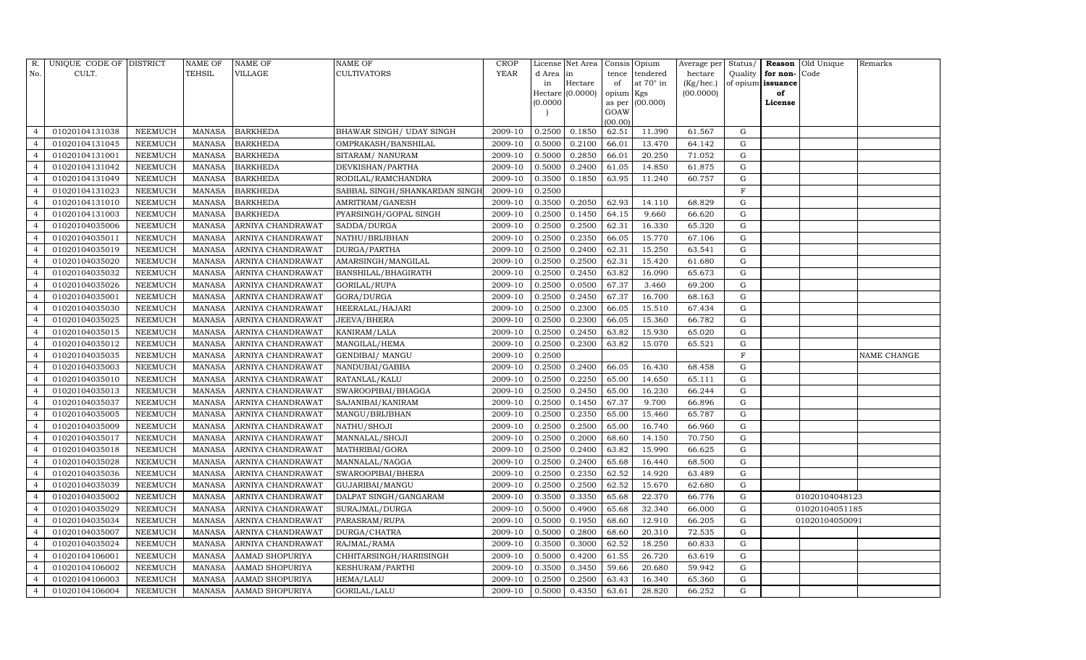| R.             | UNIQUE CODE OF DISTRICT |                | <b>NAME OF</b> | <b>NAME OF</b>    | NAME OF                       | CROP        |          | License Net Area |           | Consis Opium    | Average per | Status/     |                   | Reason Old Unique | Remarks            |
|----------------|-------------------------|----------------|----------------|-------------------|-------------------------------|-------------|----------|------------------|-----------|-----------------|-------------|-------------|-------------------|-------------------|--------------------|
| No.            | CULT.                   |                | TEHSIL         | VILLAGE           | <b>CULTIVATORS</b>            | <b>YEAR</b> | d Area   | lin              | tence     | tendered        | hectare     | Quality     | for non-Code      |                   |                    |
|                |                         |                |                |                   |                               |             | in       | Hectare          | of        | at 70° in       | (Kg/hec.)   |             | of opium issuance |                   |                    |
|                |                         |                |                |                   |                               |             | (0.0000) | Hectare (0.0000) | opium Kgs |                 | (00.0000)   |             | of                |                   |                    |
|                |                         |                |                |                   |                               |             |          |                  | GOAW      | as per (00.000) |             |             | License           |                   |                    |
|                |                         |                |                |                   |                               |             |          |                  | (00.00)   |                 |             |             |                   |                   |                    |
| $\overline{4}$ | 01020104131038          | NEEMUCH        | MANASA         | <b>BARKHEDA</b>   | BHAWAR SINGH / UDAY SINGH     | 2009-10     | 0.2500   | 0.1850           | 62.51     | 11.390          | 61.567      | G           |                   |                   |                    |
| $\overline{4}$ | 01020104131045          | <b>NEEMUCH</b> | <b>MANASA</b>  | <b>BARKHEDA</b>   | OMPRAKASH/BANSHILAL           | 2009-10     | 0.5000   | 0.2100           | 66.01     | 13.470          | 64.142      | G           |                   |                   |                    |
| $\overline{4}$ | 01020104131001          | <b>NEEMUCH</b> | <b>MANASA</b>  | <b>BARKHEDA</b>   | SITARAM/ NANURAM              | 2009-10     | 0.5000   | 0.2850           | 66.01     | 20.250          | 71.052      | G           |                   |                   |                    |
| $\overline{4}$ | 01020104131042          | NEEMUCH        | MANASA         | <b>BARKHEDA</b>   | DEVKISHAN/PARTHA              | 2009-10     | 0.5000   | 0.2400           | 61.05     | 14.850          | 61.875      | G           |                   |                   |                    |
| $\overline{4}$ | 01020104131049          | <b>NEEMUCH</b> | <b>MANASA</b>  | <b>BARKHEDA</b>   | RODILAL/RAMCHANDRA            | 2009-10     | 0.3500   | 0.1850           | 63.95     | 11.240          | 60.757      | G           |                   |                   |                    |
| $\overline{4}$ | 01020104131023          | <b>NEEMUCH</b> | <b>MANASA</b>  | <b>BARKHEDA</b>   | SABBAL SINGH/SHANKARDAN SINGH | 2009-10     | 0.2500   |                  |           |                 |             | $\mathbf F$ |                   |                   |                    |
| $\overline{4}$ | 01020104131010          | <b>NEEMUCH</b> | MANASA         | <b>BARKHEDA</b>   | <b>AMRITRAM/GANESH</b>        | 2009-10     | 0.3500   | 0.2050           | 62.93     | 14.110          | 68.829      | G           |                   |                   |                    |
| $\overline{4}$ | 01020104131003          | <b>NEEMUCH</b> | MANASA         | <b>BARKHEDA</b>   | PYARSINGH/GOPAL SINGH         | 2009-10     | 0.2500   | 0.1450           | 64.15     | 9.660           | 66.620      | G           |                   |                   |                    |
| $\overline{4}$ | 01020104035006          | <b>NEEMUCH</b> | <b>MANASA</b>  | ARNIYA CHANDRAWAT | SADDA/DURGA                   | 2009-10     | 0.2500   | 0.2500           | 62.31     | 16.330          | 65.320      | G           |                   |                   |                    |
| $\overline{4}$ | 01020104035011          | NEEMUCH        | MANASA         | ARNIYA CHANDRAWAT | NATHU/BRIJBHAN                | 2009-10     | 0.2500   | 0.2350           | 66.05     | 15.770          | 67.106      | ${\rm G}$   |                   |                   |                    |
| $\overline{4}$ | 01020104035019          | <b>NEEMUCH</b> | <b>MANASA</b>  | ARNIYA CHANDRAWAT | DURGA/PARTHA                  | 2009-10     | 0.2500   | 0.2400           | 62.31     | 15.250          | 63.541      | G           |                   |                   |                    |
| $\overline{4}$ | 01020104035020          | <b>NEEMUCH</b> | MANASA         | ARNIYA CHANDRAWAT | AMARSINGH/MANGILAL            | 2009-10     | 0.2500   | 0.2500           | 62.31     | 15.420          | 61.680      | G           |                   |                   |                    |
| $\overline{4}$ | 01020104035032          | <b>NEEMUCH</b> | <b>MANASA</b>  | ARNIYA CHANDRAWAT | BANSHILAL/BHAGIRATH           | 2009-10     | 0.2500   | 0.2450           | 63.82     | 16.090          | 65.673      | G           |                   |                   |                    |
| $\overline{4}$ | 01020104035026          | <b>NEEMUCH</b> | <b>MANASA</b>  | ARNIYA CHANDRAWAT | GORILAL/RUPA                  | 2009-10     | 0.2500   | 0.0500           | 67.37     | 3.460           | 69.200      | G           |                   |                   |                    |
| $\overline{4}$ | 01020104035001          | <b>NEEMUCH</b> | <b>MANASA</b>  | ARNIYA CHANDRAWAT | GORA/DURGA                    | 2009-10     | 0.2500   | 0.2450           | 67.37     | 16.700          | 68.163      | G           |                   |                   |                    |
| $\overline{4}$ | 01020104035030          | <b>NEEMUCH</b> | <b>MANASA</b>  | ARNIYA CHANDRAWAT | HEERALAL/HAJARI               | 2009-10     | 0.2500   | 0.2300           | 66.05     | 15.510          | 67.434      | G           |                   |                   |                    |
| $\overline{4}$ | 01020104035025          | <b>NEEMUCH</b> | <b>MANASA</b>  | ARNIYA CHANDRAWAT | JEEVA/BHERA                   | 2009-10     | 0.2500   | 0.2300           | 66.05     | 15.360          | 66.782      | G           |                   |                   |                    |
| $\overline{4}$ | 01020104035015          | <b>NEEMUCH</b> | <b>MANASA</b>  | ARNIYA CHANDRAWAT | KANIRAM/LALA                  | 2009-10     | 0.2500   | 0.2450           | 63.82     | 15.930          | 65.020      | G           |                   |                   |                    |
| $\overline{4}$ | 01020104035012          | <b>NEEMUCH</b> | <b>MANASA</b>  | ARNIYA CHANDRAWAT | MANGILAL/HEMA                 | 2009-10     | 0.2500   | 0.2300           | 63.82     | 15.070          | 65.521      | G           |                   |                   |                    |
| $\overline{4}$ | 01020104035035          | <b>NEEMUCH</b> | <b>MANASA</b>  | ARNIYA CHANDRAWAT | <b>GENDIBAI/ MANGU</b>        | 2009-10     | 0.2500   |                  |           |                 |             | F           |                   |                   | <b>NAME CHANGE</b> |
| $\overline{4}$ | 01020104035003          | <b>NEEMUCH</b> | <b>MANASA</b>  | ARNIYA CHANDRAWAT | NANDUBAI/GABBA                | 2009-10     | 0.2500   | 0.2400           | 66.05     | 16.430          | 68.458      | G           |                   |                   |                    |
| $\overline{4}$ | 01020104035010          | <b>NEEMUCH</b> | <b>MANASA</b>  | ARNIYA CHANDRAWAT | RATANLAL/KALU                 | 2009-10     | 0.2500   | 0.2250           | 65.00     | 14.650          | 65.111      | G           |                   |                   |                    |
| $\overline{4}$ | 01020104035013          | <b>NEEMUCH</b> | MANASA         | ARNIYA CHANDRAWAT | SWAROOPIBAI/BHAGGA            | 2009-10     | 0.2500   | 0.2450           | 65.00     | 16.230          | 66.244      | G           |                   |                   |                    |
| $\overline{4}$ | 01020104035037          | <b>NEEMUCH</b> | <b>MANASA</b>  | ARNIYA CHANDRAWAT | SAJANIBAI/KANIRAM             | 2009-10     | 0.2500   | 0.1450           | 67.37     | 9.700           | 66.896      | G           |                   |                   |                    |
| $\overline{4}$ | 01020104035005          | <b>NEEMUCH</b> | <b>MANASA</b>  | ARNIYA CHANDRAWAT | MANGU/BRIJBHAN                | 2009-10     | 0.2500   | 0.2350           | 65.00     | 15.460          | 65.787      | G           |                   |                   |                    |
| $\overline{4}$ | 01020104035009          | <b>NEEMUCH</b> | MANASA         | ARNIYA CHANDRAWAT | NATHU/SHOJI                   | 2009-10     | 0.2500   | 0.2500           | 65.00     | 16.740          | 66.960      | G           |                   |                   |                    |
| $\overline{4}$ | 01020104035017          | <b>NEEMUCH</b> | MANASA         | ARNIYA CHANDRAWAT | MANNALAL/SHOJI                | 2009-10     | 0.2500   | 0.2000           | 68.60     | 14.150          | 70.750      | G           |                   |                   |                    |
| $\overline{4}$ | 01020104035018          | <b>NEEMUCH</b> | <b>MANASA</b>  | ARNIYA CHANDRAWAT | MATHRIBAI/GORA                | 2009-10     | 0.2500   | 0.2400           | 63.82     | 15.990          | 66.625      | G           |                   |                   |                    |
| $\overline{4}$ | 01020104035028          | <b>NEEMUCH</b> | <b>MANASA</b>  | ARNIYA CHANDRAWAT | MANNALAL/NAGGA                | 2009-10     | 0.2500   | 0.2400           | 65.68     | 16.440          | 68.500      | G           |                   |                   |                    |
| $\overline{4}$ | 01020104035036          | <b>NEEMUCH</b> | <b>MANASA</b>  | ARNIYA CHANDRAWAT | SWAROOPIBAI/BHERA             | 2009-10     | 0.2500   | 0.2350           | 62.52     | 14.920          | 63.489      | G           |                   |                   |                    |
| $\overline{4}$ | 01020104035039          | NEEMUCH        | <b>MANASA</b>  | ARNIYA CHANDRAWAT | GUJARIBAI/MANGU               | 2009-10     | 0.2500   | 0.2500           | 62.52     | 15.670          | 62.680      | G           |                   |                   |                    |
| $\overline{4}$ | 01020104035002          | <b>NEEMUCH</b> | <b>MANASA</b>  | ARNIYA CHANDRAWAT | DALPAT SINGH/GANGARAM         | 2009-10     | 0.3500   | 0.3350           | 65.68     | 22.370          | 66.776      | G           |                   | 01020104048123    |                    |
| $\overline{4}$ | 01020104035029          | <b>NEEMUCH</b> | <b>MANASA</b>  | ARNIYA CHANDRAWAT | SURAJMAL/DURGA                | 2009-10     | 0.5000   | 0.4900           | 65.68     | 32.340          | 66.000      | G           |                   | 01020104051185    |                    |
| $\overline{4}$ | 01020104035034          | <b>NEEMUCH</b> | <b>MANASA</b>  | ARNIYA CHANDRAWAT | PARASRAM/RUPA                 | 2009-10     | 0.5000   | 0.1950           | 68.60     | 12.910          | 66.205      | G           |                   | 01020104050091    |                    |
| $\overline{4}$ | 01020104035007          | <b>NEEMUCH</b> | <b>MANASA</b>  | ARNIYA CHANDRAWAT | DURGA/CHATRA                  | 2009-10     | 0.5000   | 0.2800           | 68.60     | 20.310          | 72.535      | G           |                   |                   |                    |
| $\overline{4}$ | 01020104035024          | <b>NEEMUCH</b> | <b>MANASA</b>  | ARNIYA CHANDRAWAT | RAJMAL/RAMA                   | 2009-10     | 0.3500   | 0.3000           | 62.52     | 18.250          | 60.833      | G           |                   |                   |                    |
| $\overline{4}$ | 01020104106001          | <b>NEEMUCH</b> | <b>MANASA</b>  | AAMAD SHOPURIYA   | CHHITARSINGH/HARIISINGH       | 2009-10     | 0.5000   | 0.4200           | 61.55     | 26.720          | 63.619      | G           |                   |                   |                    |
| $\overline{4}$ | 01020104106002          | <b>NEEMUCH</b> | MANASA         | AAMAD SHOPURIYA   | KESHURAM/PARTHI               | 2009-10     | 0.3500   | 0.3450           | 59.66     | 20.680          | 59.942      | G           |                   |                   |                    |
| $\overline{4}$ | 01020104106003          | <b>NEEMUCH</b> | MANASA         | AAMAD SHOPURIYA   | HEMA/LALU                     | 2009-10     | 0.2500   | 0.2500           | 63.43     | 16.340          | 65.360      | G           |                   |                   |                    |
| $\overline{4}$ | 01020104106004          | NEEMUCH        | MANASA         | AAMAD SHOPURIYA   | GORILAL/LALU                  | 2009-10     | 0.5000   | 0.4350           | 63.61     | 28.820          | 66.252      | G           |                   |                   |                    |